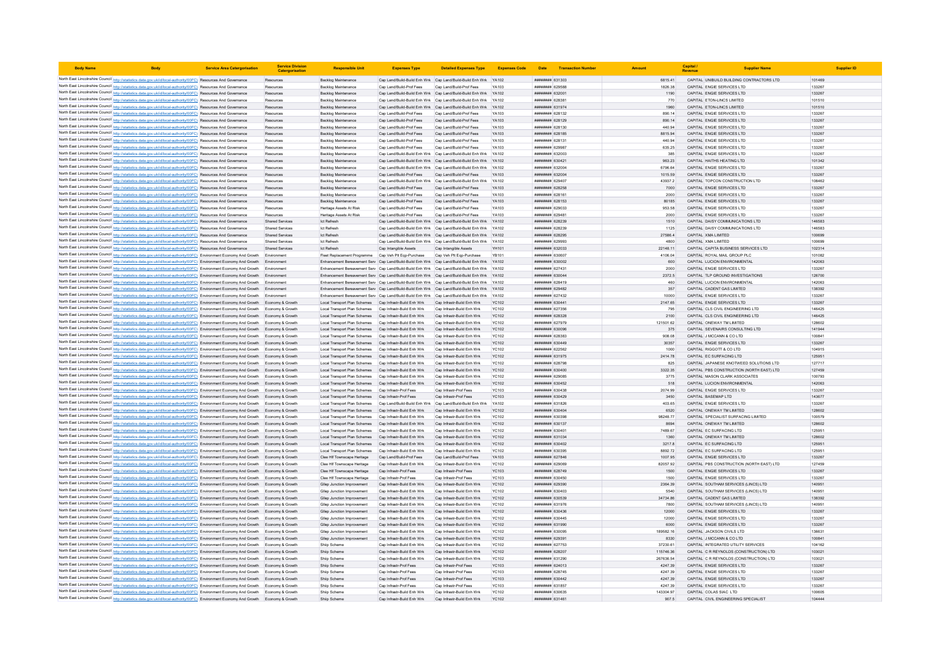| <b>Body Name</b> |                                                                                                                                                                                                                                                                                  | <b>Service Area Catergorisation</b> | <b>Service Division</b><br>Catergorisatio        | <b>Responsible Uni</b>                                                                       | <b>Expenses Type</b>                                     | <b>Detailed Expenses Type</b>                                                                                                      | <b>Expenses Code</b>         | Date                                            | <b>Transaction Number</b> |                  | Capital<br>Revenue                                                   |                  | <b>Supplier ID</b> |
|------------------|----------------------------------------------------------------------------------------------------------------------------------------------------------------------------------------------------------------------------------------------------------------------------------|-------------------------------------|--------------------------------------------------|----------------------------------------------------------------------------------------------|----------------------------------------------------------|------------------------------------------------------------------------------------------------------------------------------------|------------------------------|-------------------------------------------------|---------------------------|------------------|----------------------------------------------------------------------|------------------|--------------------|
|                  | North East Lincolnshire Council http://statistics.data.gov.uk/id/local-authority/00FC) Resources And Governance                                                                                                                                                                  |                                     | Resources                                        | Backlog Maintenance                                                                          |                                                          | Cap Land/Build-Build Enh Wrk Cap Land/Build-Build Enh Wrk YA102                                                                    |                              | ######## 631303                                 |                           | 6815.41          | CAPITAL UNIBUILD BUILDING CONTRACTORS LTD                            | 101469           |                    |
|                  | North East Lincolnshire Council http://statistics.data.gov.uk/id/local-authority/00FC) Resources And Governance                                                                                                                                                                  |                                     | Resources                                        | Backlog Maintenance                                                                          | Cap Land/Build-Prof Fees                                 | Cap Land/Build-Prof Fees                                                                                                           | YA103                        | ######## 629588                                 |                           | 1826.38          | CAPITAL ENGIE SERVICES LTD                                           | 133267           |                    |
|                  | North East Lincolnshire Council http://statistics.data.gov.uk/id/local-authority/00FC) Resources And Governance                                                                                                                                                                  |                                     | Resources                                        | Backlog Maintenance                                                                          |                                                          | Cap Land/Build-Build Enh Wrk Cap Land/Build-Build Enh Wrk                                                                          | <b>YA102</b>                 | ######## 632001                                 |                           | 1190             | CAPITAL ENGIE SERVICES LTD                                           | 133267           |                    |
|                  | North East Lincolnshire Council http://statistics.data.gov.uk/id/local-authority/00FC) Resources And Governance                                                                                                                                                                  |                                     | Resources                                        | Backlog Maintenance                                                                          |                                                          | Cap Land/Build-Build Enh Wrk Cap Land/Build-Build Enh Wrk YA102                                                                    |                              | <b>ппинини</b> 628381                           |                           | 770              | CAPITAL FTON-LINCS LIMITED                                           |                  | 101510             |
|                  | North East Lincolnshire Council http://statistics.data.gov.uk/id/local-authority/00FC) Resources And Governance                                                                                                                                                                  |                                     | Resources                                        | Backlog Maintenance                                                                          |                                                          | Cap Land/Build-Build Enh Wrk Cap Land/Build-Build Enh Wrk YA102                                                                    |                              | ######## 631974                                 |                           | 1960             | CAPITAL ETON-LINCS LIMITED                                           |                  | 101510             |
|                  | North East Lincolnshire Council http://statistics.data.gov.uk/id/local-authority/00FC) Resources And Governance                                                                                                                                                                  |                                     | Resources                                        | Backlog Maintenance                                                                          | Cap Land/Build-Prof Fees                                 | Cap Land/Build-Prof Fees                                                                                                           | YA103                        | ######## 628132                                 |                           | 890.14           | CAPITAL ENGIE SERVICES LTD                                           | 133267           |                    |
|                  | North East Lincolnshire Council http://statistics.data.gov.uk/id/local-authority/00FC) Resources And Governance                                                                                                                                                                  |                                     | Resources                                        | <b>Backlog Maintenance</b>                                                                   | Cap Land/Build-Prof Fees                                 | Cap Land/Build-Prof Fees                                                                                                           | YA103                        | ######## 628129                                 |                           | 890.14           | CAPITAL ENGIE SERVICES LTD                                           | 133267           |                    |
|                  | North East Lincolnshire Council http://statistics.data.gov.uk/id/local-authority/00FC) Resources And Governance                                                                                                                                                                  |                                     | Resources                                        | Backlog Maintenance                                                                          | Cap Land/Build-Prof Fees                                 | Cap Land/Build-Prof Fees                                                                                                           | YA103                        | ######## 628130                                 |                           | 440.94           | CAPITAL ENGIF SERVICES I TD                                          | 133267           |                    |
|                  | North East Lincolnshire Council http://statistics.data.gov.uk/id/local-authority/00FC) Resources And Governance                                                                                                                                                                  |                                     | Resources                                        | Backlog Maintenance                                                                          | Cap Land/Build-Prof Fees                                 | Cap Land/Build-Prof Fees                                                                                                           | YA103                        | ######## 628185                                 |                           | 8815.94          | CAPITAL ENGIE SERVICES LTD                                           | 133267           |                    |
|                  | North East Lincolnshire Council http://statistics.data.gov.uk/id/local-authority/00FC) Resources And Governance<br>North East Lincolnshire Council http://statistics.data.gov.uk/id/local-authority/00FC) Resources And Governance                                               |                                     | Resources                                        | Backlog Maintenance                                                                          | Cap Land/Build-Prof Fees                                 | Cap Land/Build-Prof Fees                                                                                                           | YA103                        | ####### 628131                                  |                           | 440.94           | CAPITAL ENGIE SERVICES LTD                                           | 133267           |                    |
|                  | North East Lincolnshire Council http://statistics.data.gov.uk/id/local-authority/00FC) Resources And Governance                                                                                                                                                                  |                                     | Resources<br>Resources                           | <b>Backlog Maintenance</b><br><b>Backlon Maintenance</b>                                     | Cap Land/Build-Prof Fees                                 | Cap Land/Build-Prof Fees<br>Can Land/Build-Build Enh Wrk Can Land/Build-Build Enh Wrk YA102                                        | YA103                        | <b><i>HHHHHHH</i></b> 629987<br>######## 632003 |                           | 635.25<br>385    | CAPITAL ENGIE SERVICES LTD<br>CAPITAL ENGIF SERVICES I TD            | 133267<br>133267 |                    |
|                  | North East Lincolnshire Council http://statistics.data.gov.uk/id/local-authority/00FC) Resources And Governance                                                                                                                                                                  |                                     | Resources                                        | Backlog Maintenance                                                                          |                                                          | Cap Land/Build-Build Enh Wrk Cap Land/Build-Build Enh Wrk YA102                                                                    |                              | ######## 630421                                 |                           | 963.23           | CAPITAL HAITHS HEATING LTD                                           | 101342           |                    |
|                  | North East Lincolnshire Council http://statistics.data.gov.uk/id/local-authority/00FC) Resources And Governance                                                                                                                                                                  |                                     | Resources                                        | <b>Backlog Maintenance</b>                                                                   |                                                          | Cap Land/Build-Build Enh Wrk Cap Land/Build-Build Enh Wrk YA102                                                                    |                              | ######## 632004                                 |                           | 6796.64          | CAPITAL ENGIE SERVICES LTD                                           | 133267           |                    |
|                  | North East Lincolnshire Council http://statistics.data.gov.uk/id/local-authority/00FC) Resources And Governance                                                                                                                                                                  |                                     | Resources                                        | Backlog Maintenance                                                                          | Cap Land/Build-Prof Fees                                 | Cap Land/Build-Prof Fees                                                                                                           | YA103                        | ######## 632004                                 |                           | 1015.59          | CAPITAL ENGIE SERVICES LTD                                           | 133267           |                    |
|                  | North East Lincolnshire Council http://statistics.data.gov.uk/id/local-authority/00FC) Resources And Governance                                                                                                                                                                  |                                     | Resources                                        | Backlog Maintenance                                                                          |                                                          | Cap Land/Build-Build Enh Wrk Cap Land/Build-Build Enh Wrk YA102                                                                    |                              | ######## 629407                                 |                           | 43937.2          | CAPITAL TOPCON CONSTRUCTION LTD                                      |                  | 108462             |
|                  | North East Lincolnshire Council http://statistics.data.gov.uk/id/local-authority/00FC) Resources And Governance                                                                                                                                                                  |                                     | Resources                                        | Backlog Maintenance                                                                          | Cap Land/Build-Prof Fees                                 | Cap Land/Build-Prof Fees                                                                                                           | YA103                        | ######## 628258                                 |                           | 7000             | CAPITAL ENGIE SERVICES LTD                                           |                  | 133267             |
|                  | North East Lincolnshire Council http://statistics.data.gov.uk/id/local-authority/00FC) Resources And Governanc                                                                                                                                                                   |                                     | Resources                                        | Backlog Maintenance                                                                          | Cap Land/Build-Prof Fees                                 | Cap Land/Build-Prof Fees                                                                                                           | YA103                        | ####### 62816                                   |                           | 2000             | CAPITAL ENGIE SERVICES LTD                                           | 133267           |                    |
|                  | North East Lincolnshire Council http://statistics.data.gov.uk/id/local-authority/00FC) Resources And Governance                                                                                                                                                                  |                                     | Resources                                        | Backlog Maintenance                                                                          | Cap Land/Build-Prof Fees                                 | Cap Land/Build-Prof Fees                                                                                                           | YA103                        | ######## 628153                                 |                           | 80185            | CAPITAL ENGIE SERVICES LTD                                           | 133267           |                    |
|                  | North East Lincolnshire Council http://statistics.data.gov.uk/id/local-authority/00FC) Resources And Governance                                                                                                                                                                  |                                     | Resources                                        | Heritage Assets At Risk                                                                      | Cap Land/Build-Prof Fees                                 | Cap Land/Build-Prof Fees                                                                                                           | YA103                        | ######## 629033                                 |                           | 953.58           | CAPITAL ENGIE SERVICES LTD                                           | 133267           |                    |
|                  | North East Lincolnshire Council http://statistics.data.gov.uk/id/local-authority/00FC) Resources And Governance                                                                                                                                                                  |                                     | Resources                                        | Heritage Assets At Risk                                                                      | Cap Land/Build-Prof Fees                                 | Cap Land/Build-Prof Fees                                                                                                           | YA103                        | ####### 629481                                  |                           | 2000             | CAPITAL ENGIE SERVICES LTD                                           | 133267           |                    |
|                  | North East Lincolnshire Council http://statistics.data.gov.uk/id/local-authority/00FC) Resources And Governance                                                                                                                                                                  |                                     | <b>Shared Services</b><br><b>Shared Services</b> | Ict Refresh<br><b>Ict Refresh</b>                                                            |                                                          | Cap Land/Build-Build Enh Wrk Cap Land/Build-Build Enh Wrk YA102<br>Cap Land/Build-Build Enh Wrk Cap Land/Build-Build Enh Wrk YA102 |                              | ######## 628239<br>нининни 628239               |                           | 1510             | CAPITAL DAISY COMMUNICATIONS LTD<br>CAPITAL DAISY COMMUNICATIONS LTD | 146583           | 146583             |
|                  | North East Lincolnshire Council http://statistics.data.gov.uk/id/local-authority/00FC) Resources And Governance<br>North East Lincolnshire Council http://statistics.data.gov.uk/id/local-authority/00FC) Resources And Governance                                               |                                     | <b>Shared Services</b>                           | <b>Ict Refresh</b>                                                                           |                                                          | Cap Land/Build-Build Enh Wrk Cap Land/Build-Build Enh Wrk YA102                                                                    |                              | ######## 628295                                 |                           | 1125<br>27586.4  | CAPITAL XMA LIMITED                                                  |                  | 100699             |
|                  | North East Lincolnshire Council http://statistics.data.gov.uk/id/local-authority/00FC) Resources And Governance                                                                                                                                                                  |                                     | <b>Shared Servicer</b>                           | <b>Ict Refresh</b>                                                                           |                                                          | Cap Land/Build-Build Enh Wrk Cap Land/Build-Build Enh Wrk                                                                          | YA102                        | ######## 629993                                 |                           | 4800             | CAPITAL XMA LIMITED                                                  |                  | 100699             |
|                  | North East Lincolnshire Council http://statistics.data.gov.uk/id/local-authority/00FC) Resources And Governance                                                                                                                                                                  |                                     | <b>Shared Servicer</b>                           | <b>Ict Refresh</b>                                                                           | Cap Intangible Assets                                    | Cap Intangible Assets                                                                                                              | YH101                        | ######## 632033                                 |                           | 22148.11         | CAPITAL CAPITA BUSINESS SERVICES LTD                                 |                  | 102314             |
|                  | North East Lincolnshire Council http://statistics.data.gov.uk/id/local-authority/00FC) Environment Economy And Growth                                                                                                                                                            |                                     | Environment                                      | Fleet Renlacement Programme Can Veh Pit Fon-Purchase                                         |                                                          | Can Veh Pit Fon-Purchase                                                                                                           | YR101                        | ######## 630607                                 |                           | 4106.04          | CAPITAL ROYAL MAIL GROUP PLC                                         |                  | 101082             |
|                  | North East Lincolnshire Council http://statistics.data.gov.uk/id/local-authority/00FC) Environment Economy And Growth Environment                                                                                                                                                |                                     |                                                  | Enhancement Bereavement Serv Cap Land/Build-Build Enh Wrk Cap Land/Build-Build Enh Wrk YA102 |                                                          |                                                                                                                                    |                              | ######## 630002                                 |                           | 600              | CAPITAL LUCION ENVIRONMENTAL                                         |                  | 142063             |
|                  | North East Lincolnshire Council http://statistics.data.gov.uk/id/local-authority/00FC) Environment Economy And Growth Environment                                                                                                                                                |                                     |                                                  | Enhancement Bereavement Serv Cap Land/Build-Build Enh Wrk Cap Land/Build-Build Enh Wrk YA102 |                                                          |                                                                                                                                    |                              | ######## 627431                                 |                           | 2000             | CAPITAL ENGIE SERVICES LTD                                           | 133267           |                    |
|                  | North East Lincolnshire Council http://statistics.data.gov.uk/id/local-authority/00FC) Environment Economy And Growth Environment                                                                                                                                                |                                     |                                                  | Enhancement Bereavement Serv Cap Land/Build-Build Enh Wrk Cap Land/Build-Build Enh Wrk YA102 |                                                          |                                                                                                                                    |                              | ######## 630044                                 |                           | 2372.5           | CAPITAL TLP GROUND INVESTIGATIONS                                    | 126700           |                    |
|                  | North East Lincolnshire Council http://statistics.data.gov.uk/id/local-authority/00FC) Environment Economy And Growth Environment                                                                                                                                                |                                     |                                                  | Fnhancement Bereavement Serv Can Land/Build-Build Enh Wrk Can Land/Build-Build Enh Wrk YA102 |                                                          |                                                                                                                                    |                              | пининни 628419                                  |                           | 460              | CAPITAL LUCION ENVIRONMENTAL                                         |                  | 142063             |
|                  | North East Lincolnshire Council http://statistics.data.gov.uk/id/local-authority/00FC) Environment Economy And Growth Environment                                                                                                                                                |                                     |                                                  | Enhancement Bereavement Serv Cap Land/Build-Build Enh Wrk Cap Land/Build-Build Enh Wrk YA102 |                                                          |                                                                                                                                    |                              | пининни 629482                                  |                           | 357              | CAPITAL CADENT GAS LIMITED                                           |                  | 138392             |
|                  | North East Lincolnshire Council http://statistics.data.gov.uk/id/local-authority/00FC) Environment Economy And Growth                                                                                                                                                            |                                     |                                                  | Enhancement Bereavement Serv Cap Land/Build-Build Enh Wrk Cap Land/Build-Build Enh Wrk       |                                                          |                                                                                                                                    |                              | ######## 627432                                 |                           | 10000            | CAPITAL ENGIE SERVICES LTD                                           | 133267           |                    |
|                  | North East Lincolnshire Council http://statistics.data.gov.uk/id/local-authority/00FC) Environment Economy And Growth Economy & Growth                                                                                                                                           |                                     |                                                  | Local Transport Plan Schemes                                                                 | Cap Infrastr-Build Enh Wrk                               | Cap Infrastr-Build Enh Wrk                                                                                                         | <b>YC102</b>                 | ######## 630441                                 |                           | 2147.65          | CAPITAL ENGIE SERVICES LTD                                           | 133267           |                    |
|                  | North East Lincolnshire Council http://statistics.data.gov.uk/id/local-authority/00FC) Environment Economy And Growth Economy & Growth                                                                                                                                           |                                     |                                                  | Local Transport Plan Schemes                                                                 | Cap Infrastr-Build Enh Wrk                               | Cap Infrastr-Build Enh Wrk                                                                                                         | <b>YC102</b>                 | ######## 627356                                 |                           | 795              | CAPITAL CLS CIVIL ENGINEERING LTD                                    |                  | 146425             |
|                  | North East Lincolnshire Council http://statistics.data.gov.uk/id/local-authority/00FC) Environment Economy And Growth Economy & Growth                                                                                                                                           |                                     |                                                  | Local Transport Plan Schemes Cap Infrastr-Build Enh Wrk                                      |                                                          | Cap Infrastr-Build Enh Wrk                                                                                                         | <b>YC102</b>                 | ######## 628328                                 |                           | 2100             | CAPITAL CLS CIVIL ENGINEERING LTD                                    |                  | 146425             |
|                  | North East Lincolnshire Council http://statistics.data.gov.uk/id/local-authority/00FC) Environment Economy And Growth Economy & Growth                                                                                                                                           |                                     |                                                  | Local Transport Plan Schemes                                                                 | Cap Infrastr-Build Enh Wrk                               | Cap Infrastr-Build Enh Wrk                                                                                                         | YC102                        | ######## 627979                                 |                           | 121501.62        | CAPITAL ONEWAY TM LIMITED                                            | 128602           |                    |
|                  | North East Lincolnshire Council http://statistics.data.gov.uk/id/local-authority/00FC) Environment Economy And Growth Economy & Growth                                                                                                                                           |                                     |                                                  | Local Transport Plan Schemes                                                                 | Cap Infrastr-Build Enh Wrk                               | Cap Infrastr-Build Enh Wrk                                                                                                         | <b>YC102</b>                 | ######## 630096                                 |                           | 375              | CAPITAL SEVENAIRS CONSULTING LTD                                     |                  | 141944             |
|                  | North East Lincolnshire Council http://statistics.data.gov.uk/id/local-authority/00FC) Environment Economy And Growth Economy & Growth<br>North East Lincolnshire Council http://statistics.data.gov.uk/id/local-authority/00FC) Environment Economy And Growth Economy & Growth |                                     |                                                  | Local Transport Plan Schemes<br>Local Transport Plan Schemes                                 | Cap Infrastr-Build Enh Wrk<br>Cap Infrastr-Build Enh Wrk | Cap Infrastr-Build Enh Wrk<br>Cap Infrastr-Build Enh Wrk                                                                           | <b>YC102</b><br><b>YC102</b> | ######## 628383<br>######## 630449              |                           | 908.08<br>30357  | CAPITAL J MCCANN & CO LTD<br>CAPITAL ENGIE SERVICES LTD              | 100841<br>133267 |                    |
|                  | North East Lincolnshire Council http://statistics.data.gov.uk/id/local-authority/00FC) Environment Economy And Growth                                                                                                                                                            |                                     | Economy & Growth                                 | Local Transport Plan Schemes                                                                 | Cap Infrastr-Build Enh Wrk                               | Cap Infrastr-Build Enh Wrk                                                                                                         | YC102                        | ######## 622562                                 |                           | 1000             | CAPITAL RIGGOTT & CO LTD                                             | 104915           |                    |
|                  | North East Lincolnshire Council http://statistics.data.gov.uk/id/local-authority/00FC) Environment Economy And Growth Economy & Growth                                                                                                                                           |                                     |                                                  | Local Transport Plan Schemes                                                                 | Can Infrastr-Build Enh Wrk                               | Can Infrastr-Build Enh Wrk                                                                                                         | <b>YC102</b>                 | <b><i>BREEBBBB</i></b> 631975                   |                           | 2414.78          | CAPITAL FC SURFACING LTD                                             | 125951           |                    |
|                  | North East Lincolnshire Council http://statistics.data.gov.uk/id/local-authority/00FC) Environment Economy And Growth Economy & Growth                                                                                                                                           |                                     |                                                  | Local Transport Plan Schemes                                                                 | Cap Infrastr-Build Enh Wrk                               | Can Infrastr-Build Enh Wrk                                                                                                         | <b>YC102</b>                 | ####### 628798                                  |                           | 825              | CAPITAL JAPANESE KNOTWEED SOLUTIONS LTD                              | 127717           |                    |
|                  | North East Lincolnshire Council http://statistics.data.gov.uk/id/local-authority/00FC) Environment Economy And Growth Economy & Growth                                                                                                                                           |                                     |                                                  | Local Transport Plan Schemes                                                                 | Cap Infrastr-Build Enh Wrk                               | Cap Infrastr-Build Enh Wrk                                                                                                         | <b>YC102</b>                 | ######## 630400                                 |                           | 3322.35          | CAPITAL PBS CONSTRUCTION (NORTH EAST) LTD                            | 127459           |                    |
|                  | North East Lincolnshire Council http://statistics.data.gov.uk/id/local-authority/00FC) Environment Economy And Growth Economy & Growth                                                                                                                                           |                                     |                                                  | Local Transport Plan Schemes                                                                 | Cap Infrastr-Build Enh Wrk                               | Cap Infrastr-Build Enh Wrk                                                                                                         | <b>YC102</b>                 | ######## 629085                                 |                           | 3775             | CAPITAL MASON CLARK ASSOCIATES                                       | 100793           |                    |
|                  | North East Lincolnshire Council http://statistics.data.gov.uk/id/local-authority/00FC) Environment Economy And Growth Economy & Growth                                                                                                                                           |                                     |                                                  | Local Transport Plan Schemes                                                                 | Can Infrastr-Build Enh Wrk                               | Can Infrastr-Build Enh Wrk                                                                                                         | YC102                        | ######## 630452                                 |                           | 518              | CAPITAL LUCION ENVIRONMENTAL                                         |                  | 142063             |
|                  | North East Lincolnshire Council http://statistics.data.gov.uk/id/local-authority/00FC) Environment Economy And Growth Economy & Growth                                                                                                                                           |                                     |                                                  | Local Transport Plan Schemes                                                                 | Cap Infrastr-Prof Fees                                   | Cap Infrastr-Prof Fees                                                                                                             | YC103                        | ######## 630438                                 |                           | 2074 99          | CAPITAL ENGIE SERVICES LTD                                           |                  | 133267             |
|                  | North East Lincolnshire Council http://statistics.data.gov.uk/id/local-authority/00FC) Environment Economy And Growth Economy & Growth                                                                                                                                           |                                     |                                                  | Local Transport Plan Schemes                                                                 | Cap Infrastr-Prof Fees                                   | Cap Infrastr-Prof Fees                                                                                                             | <b>YC103</b>                 | ######## 630429                                 |                           | 3450             | CAPITAL BASEMAP LTD                                                  | 143677           |                    |
|                  | North East Lincolnshire Council http://statistics.data.gov.uk/id/local-authority/00FC) Environment Economy And Growth Economy & Growth                                                                                                                                           |                                     |                                                  | Local Transport Plan Schemes                                                                 |                                                          | Cap Land/Build-Build Enh Wrk Cap Land/Build-Build Enh Wrk                                                                          | YA102                        | <b>HHHHHHH 631826</b>                           |                           | 403.65           | CAPITAL FNGIF SERVICES LTD                                           | 133267           |                    |
|                  | North East Lincolnshire Council http://statistics.data.gov.uk/id/local-authority/00FC) Environment Economy And Growth Economy & Growth                                                                                                                                           |                                     |                                                  | Local Transport Plan Schemes                                                                 | Cap Infrastr-Build Enh Wrk                               | Cap Infrastr-Build Enh Wrk                                                                                                         | <b>YC102</b>                 | ######## 630404                                 |                           | 6520             | CAPITAL ONEWAY TM LIMITED                                            |                  | 128602             |
|                  | North East Lincolnshire Council http://statistics.data.gov.uk/id/local-authority/00FC) Environment Economy And Growth Economy & Growth                                                                                                                                           |                                     |                                                  | Local Transport Plan Schemes                                                                 | Cap Infrastr-Build Enh Wrk                               | Cap Infrastr-Build Enh Wrk                                                                                                         | <b>YC102</b>                 | ######## 630398                                 |                           | 98248.77         | CAPITAL SPECIALIST SURFACING LIMITED                                 |                  | 100579             |
|                  | North East Lincolnshire Council http://statistics.data.gov.uk/id/local-authority/00FC) Environment Economy And Growth Economy & Growth                                                                                                                                           |                                     |                                                  | Local Transport Plan Schemes Cap Infrastr-Build Enh Wrk                                      |                                                          | Cap Infrastr-Build Enh Wrk                                                                                                         | <b>YC102</b>                 | ######## 630137                                 |                           | 8694             | CAPITAL ONEWAY TM LIMITED                                            | 128602           |                    |
|                  | North East Lincolnshire Council http://statistics.data.gov.uk/id/local-authority/00FC) Environment Economy And Growth Economy & Growth<br>North East Lincolnshire Council http://statistics.data.gov.uk/id/local-authority/00FC) Environment Economy And Growth Economy & Growth |                                     |                                                  | Local Transport Plan Schemes<br>Local Transport Plan Schemes                                 | Cap Infrastr-Build Enh Wrk<br>Cap Infrastr-Build Enh Wrk | Cap Infrastr-Build Enh Wrk<br>Cap Infrastr-Build Enh Wrk                                                                           | <b>YC102</b><br><b>YC102</b> | ######## 630401<br>######## 631034              |                           | 7489.67<br>1360  | CAPITAL EC SURFACING LTD<br>CAPITAL ONEWAY TM LIMITED                | 125951           | 128602             |
|                  | North East Lincolnshire Council http://statistics.data.gov.uk/id/local-authority/00FC) Environment Economy And Growth Economy & Growth                                                                                                                                           |                                     |                                                  | Local Transport Plan Schemes                                                                 | Cap Infrastr-Build Enh Wrk                               | Cap Infrastr-Build Enh Wrk                                                                                                         | <b>YC102</b>                 | ######## 630402                                 |                           | 3217.8           | CAPITAL EC SURFACING LTD                                             | 125951           |                    |
|                  | North East Lincolnshire Council http://statistics.data.gov.uk/id/local-authority/00FC) Environment Economy And Growth                                                                                                                                                            |                                     |                                                  | Local Transport Plan Schemes                                                                 | Cap Infrastr-Build Enh Wrk                               | Cap Infrastr-Build Enh Wrk                                                                                                         | YC102                        | ######## 630395                                 |                           | 8892.72          | CAPITAL EC SURFACING LTD                                             | 125951           |                    |
|                  | North East Lincolnshire Council http://statistics.data.gov.uk/id/local-authority/00FC) Environment Economy And Growth Economy & Growth                                                                                                                                           |                                     |                                                  | Clee Hif Townscape Heritage                                                                  | Can Land/Build-Prof Fees                                 | Can Land/Build-Prof Fees                                                                                                           | YA103                        | нининин 627846                                  |                           | 1007.95          | CAPITAL FNGIF SERVICES LTD                                           | 133267           |                    |
|                  | North East Lincolnshire Council http://statistics.data.gov.uk/id/local-authority/00FC) Environment Economy And Growth Economy & Growth                                                                                                                                           |                                     |                                                  | Clee Hif Townscape Heritage                                                                  | Cap Infrastr-Build Enh Wrk                               | Cap Infrastr-Build Enh Wrk                                                                                                         | <b>YC102</b>                 | ####### 629069                                  |                           | 82057.92         | CAPITAL PBS CONSTRUCTION (NORTH EAST) LTD                            |                  | 127459             |
|                  | North East Lincolnshire Council http://statistics.data.gov.uk/id/local-authority/00FC) Environment Economy And Growth Economy & Growth                                                                                                                                           |                                     |                                                  | Clee Hif Townscape Heritage                                                                  | Cap Infrastr-Prof Fees                                   | Cap Infrastr-Prof Fees                                                                                                             | <b>YC103</b>                 | ######## 628749                                 |                           | 1500             | CAPITAL ENGIE SERVICES LTD                                           | 133267           |                    |
|                  | North East Lincolnshire Council http://statistics.data.gov.uk/id/local-authority/00FC) Environment Economy And Growth Economy & Growth                                                                                                                                           |                                     |                                                  | Clee Hif Townscape Heritage                                                                  | Cap Infrastr-Prof Fees                                   | Cap Infrastr-Prof Fees                                                                                                             | YC103                        | ######## 630450                                 |                           | 1500             | CAPITAL ENGIE SERVICES LTD                                           | 133267           |                    |
|                  | North East Lincolnshire Council http://statistics.data.gov.uk/id/local-authority/00FC) Environment Economy And Growth Economy & Growth                                                                                                                                           |                                     |                                                  | Gliep Junction Improvement                                                                   | Can Infrastr-Build Enh Wrk                               | Cap Infrastr-Build Enh Wrk                                                                                                         | <b>YC102</b>                 | ######## 629390                                 |                           | 2364.39          | CAPITAL SOUTHAM SERVICES (LINCS) LTD                                 | 140951           |                    |
|                  | North East Lincolnshire Council http://statistics.data.gov.uk/id/local-authority/00FC) Environment Economy And Growth Economy & Growth                                                                                                                                           |                                     |                                                  | Gliep Junction Improvement                                                                   | Cap Infrastr-Build Enh Wrk                               | Cap Infrastr-Build Enh Wrk                                                                                                         | <b>YC102</b>                 | ######## 630403                                 |                           | 5540             | CAPITAL SOUTHAM SERVICES (LINCS) LTD                                 | 140951           |                    |
|                  | North East Lincolnshire Council http://statistics.data.gov.uk/id/local-authority/00FC) Environment Economy And Growth Economy & Growth                                                                                                                                           |                                     |                                                  | Gliep Junction Improvement                                                                   | Cap Infrastr-Build Enh Wrk                               | Cap Infrastr-Build Enh Wrk                                                                                                         | <b>YC102</b>                 | ######## 630539                                 |                           | 34734.86         | CAPITAL CADENT GAS LIMITED                                           | 138392           |                    |
|                  | North East Lincolnshire Council http://statistics.data.gov.uk/id/local-authority/00FC) Environment Economy And Growth Economy & Growth                                                                                                                                           |                                     |                                                  | Gliep Junction Improvement                                                                   | Can Infrastr-Build Enh Wrk                               | Cap Infrastr-Build Enh Wrk                                                                                                         | <b>YC102</b>                 | <b><i>BREEBER 631976</i></b>                    |                           | 7800             | CAPITAL SOUTHAM SERVICES (LINCS) LTD.                                | 140951           |                    |
|                  | North East Lincolnshire Council http://statistics.data.gov.uk/id/local-authority/00FC) Environment Economy And Growth Economy & Growth                                                                                                                                           |                                     |                                                  | Glien Junction Improvement                                                                   | Can Infrastr-Build Enh Wrk                               | Can Infrastr-Build Enh Wrk                                                                                                         | YC102                        | ######## 630436                                 |                           | 12000            | CAPITAL ENGIF SERVICES LTD                                           | 133267           |                    |
|                  | North East Lincolnshire Council http://statistics.data.gov.uk/id/local-authority/00FC) Environment Economy And Growth Economy & Growth                                                                                                                                           |                                     |                                                  | Gliep Junction Improvement                                                                   | Can Infrastr-Build Enh Wrk                               | Can Infrastr-Build Enh Wrk                                                                                                         | YC102                        | ####### 630445                                  |                           | 12000            | CAPITAL ENGIE SERVICES LTD                                           | 133267           |                    |
|                  | North East Lincolnshire Council http://statistics.data.gov.uk/id/local-authority/00FC) Environment Economy And Growth Economy & Growth                                                                                                                                           |                                     |                                                  | Gliep Junction Improvement                                                                   | Cap Infrastr-Build Enh Wrk                               | Cap Infrastr-Build Enh Wrk                                                                                                         | <b>YC102</b>                 | ######## 631990                                 |                           | 6000             | CAPITAL ENGIE SERVICES LTD                                           | 133267           |                    |
|                  | North East Lincolnshire Council http://statistics.data.gov.uk/id/local-authority/00FC) Environment Economy And Growth Economy & Growth                                                                                                                                           |                                     |                                                  | Gliep Junction Improvement                                                                   | Cap Infrastr-Build Enh Wrk                               | Cap Infrastr-Build Enh Wrk                                                                                                         | <b>YC102</b>                 | ######## 630095                                 |                           | 189582.16        | CAPITAL JACKSON CIVILS LTD                                           | 136631           |                    |
|                  | North East Lincolnshire Council http://statistics.data.gov.uk/id/local-authority/00FC) Environment Economy And Growth Economy & Growth                                                                                                                                           |                                     |                                                  | Gliep Junction Improvement                                                                   | Cap Infrastr-Build Enh Wrk<br>Cap Infrastr-Build Enh Wrk | Cap Infrastr-Build Enh Wrk<br>Cap Infrastr-Build Enh Wrk                                                                           | <b>YC102</b><br><b>YC102</b> | ######## 629391<br>######## 627753              |                           | 8330<br>37230.61 | CAPITAL J MCCANN & CO LTD<br>CAPITAL INTEGRATED UTILITY SERVICES     | 100841           | 104162             |
|                  | North East Lincolnshire Council http://statistics.data.gov.uk/id/local-authority/00FC) Environment Economy And Growth Economy & Growth<br>North East Lincolnshire Council http://statistics.data.gov.uk/id/local-authority/00FC) Environment Economy And Growth Economy & Growth |                                     |                                                  | Shiip Scheme<br>Shiip Scheme                                                                 | Cap Infrastr-Build Enh Wrk                               | Cap Infrastr-Build Enh Wrk                                                                                                         | <b>YC102</b>                 | ######## 628207                                 |                           | 115746.36        | CAPITAL C R REYNOLDS (CONSTRUCTION) LTD                              | 103021           |                    |
|                  | North East Lincolnshire Council http://statistics.data.gov.uk/id/local-authority/00FC) Environment Economy And Growth Economy & Growth                                                                                                                                           |                                     |                                                  | Shiip Scheme                                                                                 | Can Infrastr-Build Enh Wrk                               | Can Infrastr-Build Enh Wrk                                                                                                         | <b>YC102</b>                 | ######## 631290                                 |                           | 267636.54        | CAPITAL C R REYNOLDS (CONSTRUCTION) LTD                              | 103021           |                    |
|                  | North East Lincolnshire Council http://statistics.data.gov.uk/id/local-authority/00FC) Environment Economy And Growth Economy & Growth                                                                                                                                           |                                     |                                                  | Shiip Scheme                                                                                 | Cap Infrastr-Prof Fees                                   | Cap Infrastr-Prof Fees                                                                                                             | <b>YC103</b>                 | ######## 624013                                 |                           | 4247.39          | CAPITAL ENGIE SERVICES LTD                                           | 133267           |                    |
|                  | North East Lincolnshire Council http://statistics.data.gov.uk/id/local-authority/00FC) Environment Economy And Growth Economy & Growth                                                                                                                                           |                                     |                                                  | Shiip Scheme                                                                                 | Cap Infrastr-Prof Fees                                   | Cap Infrastr-Prof Fees                                                                                                             | YC103                        | ######## 628745                                 |                           | 4247.39          | CAPITAL ENGIE SERVICES LTD                                           | 133267           |                    |
|                  | North East Lincolnshire Council http://statistics.data.gov.uk/id/local-authority/00FC) Environment Economy And Growth Economy & Growth                                                                                                                                           |                                     |                                                  | Shiip Scheme                                                                                 | Cap Infrastr-Prof Fees                                   | Cap Infrastr-Prof Fees                                                                                                             | YC103                        | ######## 630442                                 |                           | 4247.39          | CAPITAL ENGIE SERVICES LTD                                           | 133267           |                    |
|                  | North East Lincolnshire Council http://statistics.data.gov.uk/id/local-authority/00FC) Environment Economy And Growth Economy & Growth                                                                                                                                           |                                     |                                                  | Shiip Scheme                                                                                 | Cap Infrastr-Prof Fees                                   | Can Infrastr-Prof Fees                                                                                                             | YC103                        | <b><i>BREEBBBB</i></b> 631857                   |                           | 4247.39          | CAPITAL ENGIF SERVICES LTD                                           | 133267           |                    |
|                  | North East Lincolnshire Council http://statistics.data.gov.uk/id/local-authority/00FC) Environment Economy And Growth Economy & Growth                                                                                                                                           |                                     |                                                  | Shiip Scheme                                                                                 | Cap Infrastr-Build Enh Wrk                               | Cap Infrastr-Build Enh Wrk                                                                                                         | <b>YC102</b>                 | ######## 630635                                 |                           | 143304.97        | CAPITAL COLAS SIAC LTD                                               |                  | 100605             |
|                  | North East Lincolnshire Council http://statistics.data.gov.uk/id/local-authority/00FC) Environment Economy And Growth Economy & Growth                                                                                                                                           |                                     |                                                  | Shiip Scheme                                                                                 | Cap Infrastr-Build Enh Wrk                               | Cap Infrastr-Build Enh Wrk                                                                                                         | <b>YC102</b>                 | ######## 631461                                 |                           | 907.5            | CAPITAL CIVIL ENGINEERING SPECIALIST                                 |                  | 104444             |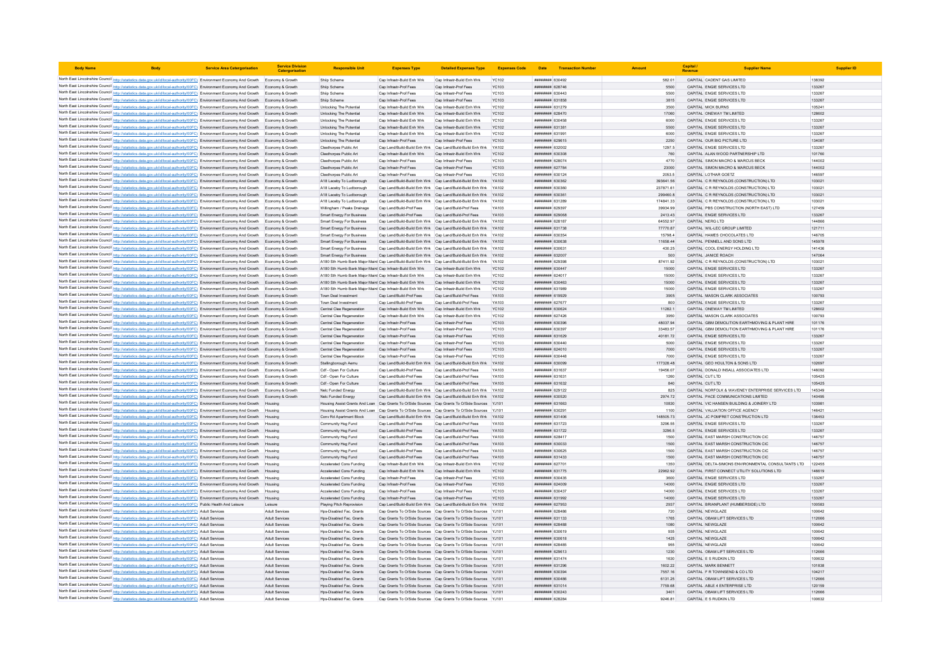| <b>Body Name</b> |                                                                                                                                                                                                                                                                                  | <b>Service Area Catergorisatio</b> | <b>Service Division</b><br>Catergorisatio | <b>Responsible Uni</b>                                                                                                                                                                           | <b>Expenses Type</b>                                     | <b>Detailed Expenses Type</b>                                                                                                      | <b>Expenses Code</b>         | Date                                             | <b>Transaction Number</b> |                       | Capital                                                                            | <b>Supplier Nam</b>                                |                  |
|------------------|----------------------------------------------------------------------------------------------------------------------------------------------------------------------------------------------------------------------------------------------------------------------------------|------------------------------------|-------------------------------------------|--------------------------------------------------------------------------------------------------------------------------------------------------------------------------------------------------|----------------------------------------------------------|------------------------------------------------------------------------------------------------------------------------------------|------------------------------|--------------------------------------------------|---------------------------|-----------------------|------------------------------------------------------------------------------------|----------------------------------------------------|------------------|
|                  | North East Lincolnshire Council http://statistics.data.gov.uk/id/local-authority/00FC) Environment Economy And Growth Economy & Growth                                                                                                                                           |                                    |                                           | Shiip Scheme                                                                                                                                                                                     | Cap Infrastr-Build Enh Wrk                               | Cap Infrastr-Build Enh Wrk                                                                                                         | <b>YC102</b>                 | ######## 630492                                  |                           | 582.01                | CAPITAL CADENT GAS LIMITED                                                         |                                                    | 138392           |
|                  | North East Lincolnshire Council http://statistics.data.gov.uk/id/local-authority/00FC) Environment Economy And Growth Economy & Growth                                                                                                                                           |                                    |                                           | Shijp Scheme                                                                                                                                                                                     | Cap Infrastr-Prof Fees                                   | Cap Infrastr-Prof Fees                                                                                                             | <b>YC103</b>                 | ######## 628746                                  |                           | 5500                  | CAPITAL ENGIE SERVICES LTD                                                         |                                                    | 133267           |
|                  | North East Lincolnshire Council http://statistics.data.gov.uk/id/local-authority/00FC) Environment Economy And Growth Economy & Growth                                                                                                                                           |                                    |                                           | Shiip Scheme                                                                                                                                                                                     | Cap Infrastr-Prof Fees                                   | Cap Infrastr-Prof Fees                                                                                                             | YC103                        | ######## 630443                                  |                           | 5500                  | CAPITAL ENGIE SERVICES LTD                                                         |                                                    | 133267           |
|                  | North East Lincolnshire Council http://statistics.data.gov.uk/id/local-authority/00FC) Environment Economy And Growth Economy & Growth                                                                                                                                           |                                    |                                           | Shiin Scheme                                                                                                                                                                                     | Cap Infrastr-Prof Fees                                   | Cap Infrastr-Prof Fees                                                                                                             | <b>YC103</b>                 | ######## 631858                                  |                           | 3815                  | CAPITAL ENGIF SERVICES LTD                                                         |                                                    | 133267           |
|                  | North East Lincolnshire Council http://statistics.data.gov.uk/id/local-authority/00FC) Environment Economy And Growth Economy & Growth                                                                                                                                           |                                    |                                           | Unlocking The Potential                                                                                                                                                                          | Cap Infrastr-Build Enh Wrk                               | Cap Infrastr-Build Enh Wrk                                                                                                         | <b>YC102</b>                 | ######## 631279                                  |                           | 3500                  | <b>CAPITAL MICK BURNS</b>                                                          |                                                    | 105241           |
|                  | North East Lincolnshire Council http://statistics.data.gov.uk/id/local-authority/00FC) Environment Economy And Growth Economy & Growth                                                                                                                                           |                                    |                                           | Unlocking The Potential                                                                                                                                                                          | Cap Infrastr-Build Enh Wrk                               | Cap Infrastr-Build Enh Wrk                                                                                                         | <b>YC102</b>                 | ######## 628470                                  |                           | 17060                 | CAPITAL ONEWAY TM LIMITED                                                          |                                                    | 128602           |
|                  | North East Lincolnshire Council http://statistics.data.gov.uk/id/local-authority/00FC) Environment Economy And Growth Economy & Growth<br>North East Lincolnshire Council http://statistics.data.gov.uk/id/local-authority/00FC) Environment Economy And Growth Economy & Growth |                                    |                                           | Unlocking The Potential<br>Unlocking The Potential                                                                                                                                               | Cap Infrastr-Build Enh Wrk<br>Can Infrastr-Build Enh Wrk | Cap Infrastr-Build Enh Wrk<br>Can Infrastr-Build Enh Wrk                                                                           | <b>YC102</b><br>YC102        | ######## 630458<br><b><i>BREEBBBB</i></b> 631381 |                           | 6000<br>5500          | CAPITAL ENGIE SERVICES LTD<br>CAPITAL ENGIF SERVICES LTD                           |                                                    | 133267<br>133267 |
|                  | North East Lincolnshire Council http://statistics.data.gov.uk/id/local-authority/00FC) Environment Economy And Growth Economy & Growth                                                                                                                                           |                                    |                                           | Unlocking The Potential                                                                                                                                                                          | Cap Infrastr-Build Enh Wrk                               | Cap Infrastr-Build Enh Wrk                                                                                                         | <b>YC102</b>                 | ######## 631991                                  |                           | 6000                  | CAPITAL ENGIE SERVICES LTD                                                         |                                                    | 133267           |
|                  | North East Lincolnshire Council http://statistics.data.gov.uk/id/local-authority/00FC) Environment Economy And Growth Economy & Growth                                                                                                                                           |                                    |                                           | Unlocking The Potential                                                                                                                                                                          | Cap Infrastr-Prof Fees                                   | Cap Infrastr-Prof Fees                                                                                                             | <b>YC103</b>                 | ######## 629615                                  |                           | 2250                  | CAPITAL OUR BIG PICTURE LTD                                                        |                                                    | 134087           |
|                  | North East Lincolnshire Council http://statistics.data.gov.uk/id/local-authority/00FC) Environment Economy And Growth Economy & Growth                                                                                                                                           |                                    |                                           | Cleethorpes Public Art                                                                                                                                                                           |                                                          | Cap Land/Build-Build Enh Wrk Cap Land/Build-Build Enh Wrk                                                                          | YA102                        | ######## 632002                                  |                           | 1297.5                | CAPITAL ENGIE SERVICES LTD                                                         |                                                    | 133267           |
|                  | North East Lincolnshire Council http://statistics.data.gov.uk/id/local-authority/00FC) Environment Economy And Growth Economy & Growth                                                                                                                                           |                                    |                                           | Cleethorpes Public Art                                                                                                                                                                           | Cap Infrastr-Build Enh Wrk                               | Cap Infrastr-Build Enh Wrk                                                                                                         | <b>YC102</b>                 | ######## 630308                                  |                           | 760                   | CAPITAL ALAN WOOD PARTNERSHIP LTD                                                  |                                                    | 101760           |
|                  | North East Lincolnshire Council http://statistics.data.gov.uk/id/local-authority/00FC) Environment Economy And Growth Economy & Growth                                                                                                                                           |                                    |                                           | Cleethorpes Public Art                                                                                                                                                                           | Cap Infrastr-Prof Fees                                   | Cap Infrastr-Prof Fees                                                                                                             | <b>YC103</b>                 | ######## 628074                                  |                           | 4770                  | CAPITAL SIMON MACRO & MARCUS BECK                                                  |                                                    | 144002           |
|                  | North East Lincolnshire Council http://statistics.data.gov.uk/id/local-authority/00FC) Environment Economy And Growth Economy & Growth                                                                                                                                           |                                    |                                           | Cleethorpes Public Art                                                                                                                                                                           | Cap Infrastr-Prof Fees                                   | Cap Infrastr-Prof Fees                                                                                                             | <b>YC103</b>                 | ######## 627784                                  |                           | 23000                 | CAPITAL SIMON MACRO & MARCUS BECK                                                  |                                                    | 144002           |
|                  | North East Lincolnshire Council http://statistics.data.gov.uk/id/local-authority/00FC) Environment Economy And Growth Economy & Growth                                                                                                                                           |                                    |                                           | Cleethorpes Public Art                                                                                                                                                                           | Cap Infrastr-Prof Fees                                   | Cap Infrastr-Prof Fees                                                                                                             | <b>YC103</b>                 | ######## 630124                                  |                           | 2053.5                | CAPITAL LOTHAR GOETZ                                                               |                                                    | 146597           |
|                  | North East Lincolnshire Council http://statistics.data.gov.uk/id/local-authority/00FC) Environment Economy And Growth Economy & Growth                                                                                                                                           |                                    |                                           | A18 Laceby To Ludborough                                                                                                                                                                         |                                                          | Cap Land/Build-Build Enh Wrk Cap Land/Build-Build Enh Wrk YA102                                                                    |                              | ######## 630362                                  |                           | 393641.56             | CAPITAL C R REYNOLDS (CONSTRUCTION) LTD                                            |                                                    | 103021           |
|                  | North East Lincolnshire Council http://statistics.data.gov.uk/id/local-authority/00FC) Environment Economy And Growth Economy & Growth<br>North East Lincolnshire Council http://statistics.data.gov.uk/id/local-authority/00FC) Environment Economy And Growth Economy & Growth |                                    |                                           | A18 Laceby To Ludborough<br>A18 Laceby To Ludborough                                                                                                                                             |                                                          | Cap Land/Build-Build Enh Wrk Cap Land/Build-Build Enh Wrk YA102<br>Cap Land/Build-Build Enh Wrk Cap Land/Build-Build Enh Wrk YA102 |                              | ######## 630360<br>######## 630361               |                           | 237871.61<br>299460.8 | CAPITAL C R REYNOLDS (CONSTRUCTION) LTD<br>CAPITAL C R REYNOLDS (CONSTRUCTION) LTD |                                                    | 103021<br>103021 |
|                  | North East Lincolnshire Council http://statistics.data.gov.uk/id/local-authority/00FC) Environment Economy And Growth Economy & Growth                                                                                                                                           |                                    |                                           | A18 Laceby To Ludborough                                                                                                                                                                         |                                                          | Can Land/Build-Build Enh Wrk Can Land/Build-Build Enh Wrk YA102                                                                    |                              | <b><i>BREABHAR</i></b> 631289                    |                           | 17484133              | CAPITAL C R REYNOLDS (CONSTRUCTION) LTD                                            |                                                    | 103021           |
|                  | North East Lincolnshire Council http://statistics.data.gov.uk/id/local-authority/00FC) Environment Economy And Growth Economy & Growth                                                                                                                                           |                                    |                                           | Willingham / Peaks Drainage                                                                                                                                                                      | Cap Land/Build-Prof Fees                                 | Cap Land/Build-Prof Fees                                                                                                           | YA103                        | <b>ппинини</b> 629397                            |                           | 39934.99              | CAPITAL PBS CONSTRUCTION (NORTH EAST) LTD                                          |                                                    | 127459           |
|                  | North East Lincolnshire Council http://statistics.data.gov.uk/id/local-authority/00FC) Environment Economy And Growth Economy & Growth                                                                                                                                           |                                    |                                           | Smart Energy For Business                                                                                                                                                                        | Cap Land/Build-Prof Fees                                 | Cap Land/Build-Prof Fees                                                                                                           | YA103                        | ######## 629068                                  |                           | 2413.43               | CAPITAL ENGIE SERVICES LTD                                                         |                                                    | 133267           |
|                  | North East Lincolnshire Council http://statistics.data.gov.uk/id/local-authority/00FC) Environment Economy And Growth Economy & Growth                                                                                                                                           |                                    |                                           | <b>Smart Energy For Business</b>                                                                                                                                                                 |                                                          | Cap Land/Build-Build Enh Wrk Cap Land/Build-Build Enh Wrk YA102                                                                    |                              | <b>ппинини</b> 628187                            |                           | 64552.97              | CAPITAL NERG LTD                                                                   |                                                    | 144866           |
|                  | North East Lincolnshire Council http://statistics.data.gov.uk/id/local-authority/00FC) Environment Economy And Growth Economy & Growth                                                                                                                                           |                                    |                                           | <b>Smart Energy For Business</b>                                                                                                                                                                 |                                                          | Cap Land/Build-Build Enh Wrk Cap Land/Build-Build Enh Wrk YA102                                                                    |                              | ######## 631738                                  |                           | 77770.87              | CAPITAL WIL-LEC GROUP LIMITED                                                      |                                                    | 121711           |
|                  | North East Lincolnshire Council http://statistics.data.gov.uk/id/local-authority/00FC) Environment Economy And Growth Economy & Growth                                                                                                                                           |                                    |                                           | <b>Smart Energy For Business</b>                                                                                                                                                                 |                                                          | Cap Land/Build-Build Enh Wrk Cap Land/Build-Build Enh Wrk YA102                                                                    |                              | ######## 630354                                  |                           | 15798.4               | CAPITAL HAMES CHOCOLATES LTD                                                       |                                                    | 146705           |
|                  | North East Lincolnshire Council http://statistics.data.gov.uk/id/local-authority/00FC) Environment Economy And Growth Economy & Growth                                                                                                                                           |                                    |                                           | Smart Energy For Business                                                                                                                                                                        |                                                          | Cap Land/Build-Build Enh Wrk Cap Land/Build-Build Enh Wrk YA102                                                                    |                              | ######## 630638                                  |                           | 11658.44              | CAPITAL PENNELL AND SONS LTD                                                       |                                                    | 145978           |
|                  | North East Lincolnshire Council http://statistics.data.gov.uk/id/local-authority/00FC) Environment Economy And Growth Economy & Growth                                                                                                                                           |                                    |                                           | <b>Smart Energy For Business</b>                                                                                                                                                                 |                                                          | Cap Land/Build-Build Enh Wrk Cap Land/Build-Build Enh Wrk YA102                                                                    |                              | ######## 630631                                  |                           | 430.25                | CAPITAL COOL ENERGY HOLDING LTD                                                    |                                                    | 141436           |
|                  | North East Lincolnshire Council http://statistics.data.gov.uk/id/local-authority/00FC) Environment Economy And Growth Economy & Growth                                                                                                                                           |                                    |                                           | Smart Energy For Business                                                                                                                                                                        |                                                          | Cap Land/Build-Build Enh Wrk Cap Land/Build-Build Enh Wrk YA102                                                                    |                              | ######## 632007                                  |                           | 500                   | CAPITAL JANICE ROACH                                                               |                                                    | 147064           |
|                  | North East Lincolnshire Council http://statistics.data.gov.uk/id/local-authority/00FC) Environment Economy And Growth Economy & Growth<br>North East Lincolnshire Council http://statistics.data.gov.uk/id/local-authority/00FC) Environment Economy And Growth Economy & Growth |                                    |                                           | A180 Sth Humb Bank Maior Maint Cap Land/Build-Build Enh Wrk Cap Land/Build-Build Enh Wrk YA102<br>A180 Sth Humb Bank Major Maint Cap Infrastr-Build Enh Wrk                                      |                                                          | Cap Infrastr-Build Enh Wrk                                                                                                         | <b>YC102</b>                 | ######## 629398<br>######## 630447               |                           | 87411.92<br>15000     | CAPITAL C R REYNOLDS (CONSTRUCTION) LTD<br>CAPITAL ENGIE SERVICES LTD              |                                                    | 103021<br>133267 |
|                  | North East Lincolnshire Council http://statistics.data.gov.uk/id/local-authority/00FC) Environment Economy And Growth Economy & Growth                                                                                                                                           |                                    |                                           | A180 Sth Humb Bank Major Maint Can Infrastr-Build Enh Wrk                                                                                                                                        |                                                          | Can Infrastr-Build Enh Wrk                                                                                                         | YC102                        | <b>HHHHHHH</b> 624017                            |                           | 15000                 | CAPITAL ENGIF SERVICES LTD                                                         |                                                    | 133267           |
|                  | North East Lincolnshire Council http://statistics.data.gov.uk/id/local-authority/00FC) Environment Economy And Growth Economy & Growth                                                                                                                                           |                                    |                                           | A180 Sth Humb Bank Major Maint Cap Infrastr-Build Enh Wrk                                                                                                                                        |                                                          | Cap Infrastr-Build Enh Wrk                                                                                                         | <b>YC102</b>                 | ######## 630463                                  |                           | 15000                 | CAPITAL ENGIE SERVICES LTD                                                         |                                                    | 133267           |
|                  | North East Lincolnshire Council http://statistics.data.gov.uk/id/local-authority/00FC) Environment Economy And Growth Economy & Growth                                                                                                                                           |                                    |                                           | A180 Sth Humb Bank Major Maint Cap Infrastr-Build Enh Wrk                                                                                                                                        |                                                          | Cap Infrastr-Build Enh Wrk                                                                                                         | <b>YC102</b>                 | ######## 63198                                   |                           | 15000                 | CAPITAL ENGIE SERVICES LTD                                                         |                                                    | 133267           |
|                  | North East Lincolnshire Council http://statistics.data.gov.uk/id/local-authority/00FC) Environment Economy And Growth Economy & Growth                                                                                                                                           |                                    |                                           | Town Deal Investment                                                                                                                                                                             | Cap Land/Build-Prof Fees                                 | Cap Land/Build-Prof Fees                                                                                                           | YA103                        | ######## 619929                                  |                           | 3905                  | CAPITAL MASON CLARK ASSOCIATES                                                     |                                                    | 100793           |
|                  | North East Lincolnshire Council http://statistics.data.gov.uk/id/local-authority/00FC) Environment Economy And Growth Economy & Growth                                                                                                                                           |                                    |                                           | Town Deal Investment                                                                                                                                                                             | Can Land/Build-Prof Fees                                 | Can Land/Build-Prof Fees                                                                                                           | <b>YA103</b>                 | <b><i><u>RHHHHHH</u></i></b> 627677              |                           | 800                   | CAPITAL ENGIF SERVICES I TD                                                        |                                                    | 133267           |
|                  | North East Lincolnshire Council http://statistics.data.gov.uk/id/local-authority/00FC) Environment Economy And Growth Economy & Growth                                                                                                                                           |                                    |                                           | Central Clee Regeneration                                                                                                                                                                        | Cap Infrastr-Build Enh Wrk                               | Cap Infrastr-Build Enh Wrk                                                                                                         | <b>YC102</b>                 | ######## 630624                                  |                           | 11282.1               | CAPITAL ONEWAY TM LIMITED                                                          |                                                    | 128602           |
|                  | North East Lincolnshire Council http://statistics.data.gov.uk/id/local-authority/00FC) Environment Economy And Growth Economy & Growth                                                                                                                                           |                                    |                                           | Central Clee Regeneration                                                                                                                                                                        | Cap Infrastr-Build Enh Wrk                               | Cap Infrastr-Build Enh Wrk                                                                                                         | YC102                        | ######## 627426                                  |                           | 3950                  | CAPITAL MASON CLARK ASSOCIATES                                                     |                                                    | 100793           |
|                  | North East Lincolnshire Council http://statistics.data.gov.uk/id/local-authority/00FC) Environment Economy And Growth Economy & Growth                                                                                                                                           |                                    |                                           | Central Clee Regeneration                                                                                                                                                                        | Cap Infrastr-Prof Fees                                   | Cap Infrastr-Prof Fees                                                                                                             | <b>YC103</b>                 | ######## 630396                                  |                           | 48037.94              | CAPITAL GBM DEMOLITION EARTHMOVING & PLANT HIRE                                    |                                                    | 101176           |
|                  | North East Lincolnshire Council http://statistics.data.gov.uk/id/local-authority/00FC) Environment Economy And Growth Economy & Growth                                                                                                                                           |                                    |                                           | Central Clee Regeneration                                                                                                                                                                        | Cap Infrastr-Prof Fees                                   | Cap Infrastr-Prof Fees                                                                                                             | <b>YC103</b><br><b>YC103</b> | ######## 630397                                  |                           | 33483.57<br>40181.72  | CAPITAL GBM DEMOLITION EARTHMOVING & PLANT HIRE<br>CAPITAL ENGIE SERVICES LTD      |                                                    | 101176<br>133267 |
|                  | North East Lincolnshire Council http://statistics.data.gov.uk/id/local-authority/00FC) Environment Economy And Growth Economy & Growth<br>North East Lincolnshire Council http://statistics.data.gov.uk/id/local-authority/00FC) Environment Economy And Growth                  |                                    | Economy & Growth                          | Central Clee Regeneration<br>Central Clee Regeneration                                                                                                                                           | Cap Infrastr-Prof Fees<br>Cap Infrastr-Prof Fees         | Cap Infrastr-Prof Fees<br>Cap Infrastr-Prof Fees                                                                                   | YC103                        | ######## 631629<br>######## 630440               |                           | 5000                  | CAPITAL ENGIE SERVICES LTD                                                         |                                                    | 133267           |
|                  | North East Lincolnshire Council http://statistics.data.gov.uk/id/local-authority/00FC) Environment Economy And Growth Economy & Growth                                                                                                                                           |                                    |                                           | Central Clee Regeneration                                                                                                                                                                        | Cap Infrastr-Prof Fees                                   | Can Infrastr-Prof Fees                                                                                                             | <b>YC103</b>                 | ######## 624010                                  |                           | 7000                  | CAPITAL ENGIF SERVICES LTD                                                         |                                                    | 133267           |
|                  | North East Lincolnshire Council http://statistics.data.gov.uk/id/local-authority/00FC) Environment Economy And Growth Economy & Growth                                                                                                                                           |                                    |                                           | Central Clee Regeneration                                                                                                                                                                        | Cap Infrastr-Prof Fees                                   | Cap Infrastr-Prof Fees                                                                                                             | <b>YC103</b>                 | ######## 630448                                  |                           | 7000                  | CAPITAL ENGIE SERVICES LTD                                                         |                                                    | 133267           |
|                  | North East Lincolnshire Council http://statistics.data.gov.uk/id/local-authority/00FC) Environment Economy And Growth Economy & Growth                                                                                                                                           |                                    |                                           | Stallingborough Aemu                                                                                                                                                                             |                                                          | Cap Land/Build-Build Enh Wrk Cap Land/Build-Build Enh Wrk YA102                                                                    |                              | ######## 630099                                  |                           | 177328.48             | CAPITAL GEO HOULTON & SONS LTD                                                     |                                                    | 102697           |
|                  | North East Lincolnshire Council http://statistics.data.gov.uk/id/local-authority/00FC) Environment Economy And Growth Economy & Growth                                                                                                                                           |                                    |                                           | Cdf - Open For Culture                                                                                                                                                                           | Cap Land/Build-Prof Fees                                 | Cap Land/Build-Prof Fees                                                                                                           | YA103                        | ######## 631637                                  |                           | 19456.07              | CAPITAL DONALD INSALL ASSOCIATES LTD                                               |                                                    | 146092           |
|                  | North East Lincolnshire Council http://statistics.data.gov.uk/id/local-authority/00FC) Environment Economy And Growth Economy & Growth                                                                                                                                           |                                    |                                           | Cdf - Open For Culture                                                                                                                                                                           | Can Land/Build-Prof Fees                                 | Can Land/Build-Prof Fees                                                                                                           | <b>YA103</b>                 | ######## 631631                                  |                           | 1260                  | CAPITAL CUT ITD                                                                    |                                                    | 105425           |
|                  | North East Lincolnshire Council http://statistics.data.gov.uk/id/local-authority/00FC) Environment Economy And Growth Economy & Growth                                                                                                                                           |                                    |                                           | Cdf - Open For Culture                                                                                                                                                                           | Cap Land/Build-Prof Fees                                 | Cap Land/Build-Prof Fees                                                                                                           | YA103                        | ######## 631632                                  |                           | 840                   | CAPITAL CUT LTD                                                                    |                                                    | 105425           |
|                  | North East Lincolnshire Council http://statistics.data.gov.uk/id/local-authority/00FC) Environment Economy And Growth Economy & Growth                                                                                                                                           |                                    |                                           | Nelc Funded Energy                                                                                                                                                                               | Cap Land/Build-Build Enh Wrk                             | Cap Land/Build-Build Enh Wrk                                                                                                       | YA102                        | ######## 629122                                  |                           | 825                   |                                                                                    | CAPITAL NORFOLK & WAVENEY ENTERPRISE SERVICES LTD  | 145349           |
|                  | North East Lincolnshire Council http://statistics.data.gov.uk/id/local-authority/00FC) Environment Economy And Growth Economy & Growth                                                                                                                                           |                                    |                                           | Nelc Funded Energy                                                                                                                                                                               |                                                          | Cap Land/Build-Build Enh Wrk Cap Land/Build-Build Enh Wrk YA102                                                                    |                              | ######## 630520                                  |                           | 2974.72               | CAPITAL PACE COMMUNICATIONS LIMITED                                                |                                                    | 140495           |
|                  | North East Lincolnshire Council http://statistics.data.gov.uk/id/local-authority/00FC) Environment Economy And Growth Housing                                                                                                                                                    |                                    |                                           | Housing Assist Grants And Loan Cap Grants To O/Side Sources Cap Grants To O/Side Sources YJ101<br>Housing Assist Grants And Loan Cap Grants To O/Side Sources Cap Grants To O/Side Sources VJ101 |                                                          |                                                                                                                                    |                              | ######## 631663<br>######## 630291               |                           | 10830<br>1100         | CAPITAL VIC HANSEN BUILDING & JOINERY LTD<br>CAPITAL VALUATION OFFICE AGENCY       |                                                    | 103981<br>146421 |
|                  | North East Lincolnshire Council http://statistics.data.gov.uk/id/local-authority/00FC) Environment Economy And Growth Housing<br>North East Lincolnshire Council http://statistics.data.gov.uk/id/local-authority/00FC) Environment Economy And Growth Housing                   |                                    |                                           | Conv Rd Apartment Block                                                                                                                                                                          |                                                          | Cap Land/Build-Build Enh Wrk Cap Land/Build-Build Enh Wrk YA102                                                                    |                              | ######## 631406                                  |                           | 148505.73             | CAPITAL JC POMFRET CONSTRUCTION LTD                                                |                                                    | 136453           |
|                  | North East Lincolnshire Council http://statistics.data.gov.uk/id/local-authority/00FC) Environment Economy And Growth Housing                                                                                                                                                    |                                    |                                           | Community Hsg Fund                                                                                                                                                                               | Cap Land/Build-Prof Fees                                 | Cap Land/Build-Prof Fees                                                                                                           | YA103                        | ######## 631723                                  |                           | 3296.55               | CAPITAL ENGIE SERVICES LTD                                                         |                                                    | 133267           |
|                  | North East Lincolnshire Council http://statistics.data.gov.uk/id/local-authority/00FC) Environment Economy And Growth Housing                                                                                                                                                    |                                    |                                           | Community Hsg Fund                                                                                                                                                                               | Cap Land/Build-Prof Fees                                 | Cap Land/Build-Prof Fees                                                                                                           | YA103                        | ######## 631722                                  |                           | 3296.5                | CAPITAL ENGIE SERVICES LTD                                                         |                                                    | 133267           |
|                  | North East Lincolnshire Council http://statistics.data.gov.uk/id/local-authority/00FC) Environment Economy And Growth                                                                                                                                                            |                                    |                                           | Community Hsg Fund                                                                                                                                                                               | Cap Land/Build-Prof Fees                                 | Cap Land/Build-Prof Fees                                                                                                           | YA103                        | ####### 628417                                   |                           | 1500                  | CAPITAL EAST MARSH CONSTRUCTION CIC                                                |                                                    | 146757           |
|                  | North East Lincolnshire Council http://statistics.data.gov.uk/id/local-authority/00FC) Environment Economy And Growth                                                                                                                                                            |                                    |                                           | Community Hsg Fund                                                                                                                                                                               | Cap Land/Build-Prof Fees                                 | Cap Land/Build-Prof Fees                                                                                                           | YA103                        | ######## 630033                                  |                           | 1500                  | CAPITAL EAST MARSH CONSTRUCTION CIC                                                |                                                    | 146757           |
|                  | North East Lincolnshire Council http://statistics.data.gov.uk/id/local-authority/00FC) Environment Economy And Growth Housing                                                                                                                                                    |                                    |                                           | Community Hsg Fund                                                                                                                                                                               | Can Land/Build-Prof Fees                                 | Can Land/Build-Prof Fees                                                                                                           | YA103                        | ######## 630625                                  |                           | 1500                  | CAPITAL FAST MARSH CONSTRUCTION CIC.                                               |                                                    | 146757           |
|                  | North East Lincolnshire Council http://statistics.data.gov.uk/id/local-authority/00FC) Environment Economy And Growth Housing                                                                                                                                                    |                                    |                                           | Community Hsg Fund                                                                                                                                                                               | Cap Land/Build-Prof Fees                                 | Cap Land/Build-Prof Fees                                                                                                           | YA103                        | ######## 631433                                  |                           | 1500                  | CAPITAL EAST MARSH CONSTRUCTION CIC                                                |                                                    | 146757           |
|                  | North East Lincolnshire Council http://statistics.data.gov.uk/id/local-authority/00FC) Environment Economy And Growth                                                                                                                                                            |                                    |                                           | Accelerated Cons Funding                                                                                                                                                                         | Cap Infrastr-Build Enh Wrk                               | Cap Infrastr-Build Enh Wrk                                                                                                         | <b>YC102</b>                 | ######## 627701                                  |                           | 1350                  |                                                                                    | CAPITAL DELTA-SIMONS ENVIRONMENTAL CONSULTANTS LTD | 122455           |
|                  | North East Lincolnshire Council http://statistics.data.gov.uk/id/local-authority/00FC) Environment Economy And Growth Housing                                                                                                                                                    |                                    |                                           | Accelerated Cons Funding                                                                                                                                                                         | Cap Infrastr-Build Enh Wrk                               | Cap Infrastr-Build Enh Wrk                                                                                                         | <b>YC102</b>                 | ######## 631775                                  |                           | 22962.92              | CAPITAL FIRST CONNECT UTILITY SOLUTIONS LTD                                        |                                                    | 146619           |
|                  | North East Lincolnshire Council http://statistics.data.gov.uk/id/local-authority/00FC) Environment Economy And Growth Housing                                                                                                                                                    |                                    |                                           | Accelerated Cons Funding                                                                                                                                                                         | Cap Infrastr-Prof Fees                                   | Cap Infrastr-Prof Fees                                                                                                             | <b>YC103</b>                 | ######## 630435<br>######## 624009               |                           | 3600<br>14000         | CAPITAL ENGIE SERVICES LTD                                                         |                                                    | 133267           |
|                  | North East Lincolnshire Council http://statistics.data.gov.uk/id/local-authority/00FC) Environment Economy And Growth Housing<br>North East Lincolnshire Council http://statistics.data.gov.uk/id/local-authority/00FC) Environment Economy And Growth                           |                                    |                                           | Accelerated Cons Funding<br>Accelerated Cons Funding                                                                                                                                             | Cap Infrastr-Prof Fees<br>Cap Infrastr-Prof Fees         | Cap Infrastr-Prof Fees<br>Cap Infrastr-Prof Fee                                                                                    | <b>YC103</b><br>YC103        | ######## 630437                                  |                           | 14000                 | CAPITAL ENGIE SERVICES LTD<br>CAPITAL ENGIE SERVICES LTD                           |                                                    | 133267<br>133267 |
|                  | North East Lincolnshire Council http://statistics.data.gov.uk/id/local-authority/00FC) Environment Economy And Growth Housing                                                                                                                                                    |                                    |                                           | Accelerated Cons Funding                                                                                                                                                                         | Cap Infrastr-Prof Fees                                   | Cap Infrastr-Prof Fees                                                                                                             | <b>YC103</b>                 | ######## 631992                                  |                           | 14000                 | CAPITAL ENGIF SERVICES LTD                                                         |                                                    | 133267           |
|                  | North East Lincolnshire Council http://statistics.data.gov.uk/id/local-authority/00FC) Public Health And Leisure                                                                                                                                                                 |                                    | Leisure                                   | Plaving Pitch Reprovision                                                                                                                                                                        |                                                          | Cap Land/Build-Build Enh Wrk Cap Land/Build-Build Enh Wrk YA102                                                                    |                              | ######## 627953                                  |                           | 2937                  | CAPITAL BRIANPLANT (HUMBERSIDE) LTD                                                |                                                    | 100583           |
|                  | North East Lincolnshire Council http://statistics.data.gov.uk/id/local-authority/00FC) Adult Services                                                                                                                                                                            |                                    | Adult Services                            | Hos-Disabled Fac. Grants                                                                                                                                                                         |                                                          | Cap Grants To O/Side Sources Cap Grants To O/Side Sources YJ101                                                                    |                              | ######## 628486                                  |                           | 720                   | CAPITAL NEWGLAZE                                                                   |                                                    | 100642           |
|                  | North East Lincolnshire Council http://statistics.data.gov.uk/id/local-authority/00FC) Adult Services                                                                                                                                                                            |                                    | <b>Adult Services</b>                     | Hps-Disabled Fac. Grants                                                                                                                                                                         |                                                          | Cap Grants To O/Side Sources Cap Grants To O/Side Sources YJ101                                                                    |                              | ######## 631133                                  |                           | 1765                  | CAPITAL OBAM LIFT SERVICES LTD                                                     |                                                    | 112666           |
|                  | North East Lincolnshire Council http://statistics.data.gov.uk/id/local-authority/00FC) Adult Services                                                                                                                                                                            |                                    | <b>Adult Services</b>                     | Hps-Disabled Fac. Grants                                                                                                                                                                         |                                                          | Cap Grants To O/Side Sources Cap Grants To O/Side Sources YJ101                                                                    |                              | <i>пининния</i> 628488                           |                           | 1080                  | CAPITAL NEWGLAZE                                                                   |                                                    | 100642           |
|                  | North East Lincolnshire Council http://statistics.data.gov.uk/id/local-authority/00FC) Adult Services                                                                                                                                                                            |                                    | <b>Adult Services</b>                     | Hos-Disabled Fac. Grants                                                                                                                                                                         |                                                          | Cap Grants To O/Side Sources Cap Grants To O/Side Sources YJ101                                                                    |                              | ######## 630619                                  |                           | 935                   | CAPITAL NEWGLAZE                                                                   |                                                    | 100642           |
|                  | North East Lincolnshire Council http://statistics.data.gov.uk/id/local-authority/00FC) Adult Services                                                                                                                                                                            |                                    | Adult Services                            | Hps-Disabled Fac. Grants                                                                                                                                                                         |                                                          | Cap Grants To O/Side Sources Cap Grants To O/Side Sources YJ101                                                                    |                              | ######## 630618                                  |                           | 1425                  | CAPITAL NEWGLAZE                                                                   |                                                    | 100642           |
|                  | North East Lincolnshire Council http://statistics.data.gov.uk/id/local-authority/00FC) Adult Services                                                                                                                                                                            |                                    | Adult Service                             | Hos-Disabled Fac. Grants                                                                                                                                                                         |                                                          | Cap Grants To O/Side Sources Cap Grants To O/Side Sources YJ101                                                                    |                              | ####### 628485                                   |                           | 955                   | CAPITAL NEWGLAZE                                                                   |                                                    | 100642           |
|                  | North East Lincolnshire Council http://statistics.data.gov.uk/id/local-authority/00FC) Adult Services                                                                                                                                                                            |                                    | <b>Adult Services</b><br>Adult Services   | Hos-Disabled Fac Grants                                                                                                                                                                          |                                                          | Can Grants To O/Side Sources Can Grants To O/Side Sources Y.1101                                                                   |                              | ######## 629613<br>######## 631474               |                           | 1230<br>1630          | CAPITAL OBAM LIFT SERVICES LTD.<br>CAPITAL E S RUDKIN LTD                          |                                                    | 112666<br>100632 |
|                  | North East Lincolnshire Council http://statistics.data.gov.uk/id/local-authority/00FC) Adult Services<br>North East Lincolnshire Council http://statistics.data.gov.uk/id/local-authority/00FC) Adult Services                                                                   |                                    | <b>Adult Services</b>                     | Hps-Disabled Fac. Grants<br>Hps-Disabled Fac. Grants                                                                                                                                             |                                                          | Cap Grants To O/Side Sources Cap Grants To O/Side Sources YJ101<br>Cap Grants To O/Side Sources Cap Grants To O/Side Sources YJ101 |                              | ######## 631296                                  |                           | 1602.22               | CAPITAL MARK BENNETT                                                               |                                                    | 101838           |
|                  | North East Lincolnshire Council http://statistics.data.gov.uk/id/local-authority/00FC) Adult Services                                                                                                                                                                            |                                    | <b>Adult Services</b>                     | Hps-Disabled Fac. Grants                                                                                                                                                                         |                                                          | Cap Grants To O/Side Sources Cap Grants To O/Side Sources YJ101                                                                    |                              | ######## 630394                                  |                           | 7557.16               | CAPITAL F R TOWNSEND & CO LTD                                                      |                                                    | 104217           |
|                  | North East Lincolnshire Council http://statistics.data.gov.uk/id/local-authority/00FC) Adult Services                                                                                                                                                                            |                                    | <b>Adult Services</b>                     | Hps-Disabled Fac. Grants                                                                                                                                                                         |                                                          | Cap Grants To O/Side Sources Cap Grants To O/Side Sources YJ101                                                                    |                              | ######## 630486                                  |                           | 6131.25               | CAPITAL OBAM LIFT SERVICES LTD                                                     |                                                    | 112666           |
|                  | North East Lincolnshire Council http://statistics.data.gov.uk/id/local-authority/00FC) Adult Services                                                                                                                                                                            |                                    | Adult Services                            | Hos-Disabled Fac. Grants                                                                                                                                                                         |                                                          | Cap Grants To O/Side Sources Cap Grants To O/Side Sources YJ101                                                                    |                              | ######## 631014                                  |                           | 7759.68               | CAPITAL ABLE 4 ENTERPRISE LTD                                                      |                                                    | 120159           |
|                  | North East Lincolnshire Council http://statistics.data.gov.uk/id/local-authority/00FC) Adult Services                                                                                                                                                                            |                                    | Adult Services                            | Hps-Disabled Fac. Grants                                                                                                                                                                         |                                                          | Cap Grants To O/Side Sources Cap Grants To O/Side Sources YJ101                                                                    |                              | ######## 630243                                  |                           | 3401                  | CAPITAL OBAM LIFT SERVICES LTD                                                     |                                                    | 112666           |
|                  | North East Lincolnshire Council http://statistics.data.gov.uk/id/local-authority/00FC) Adult Services                                                                                                                                                                            |                                    | <b>Adult Services</b>                     | Hns-Disabled Fac Grants                                                                                                                                                                          |                                                          | Cap Grants To O/Side Sources Cap Grants To O/Side Sources YJ101                                                                    |                              | нининни 628284                                   |                           | 9246.81               | CAPITAL E S RUDKIN LTD                                                             |                                                    | 100632           |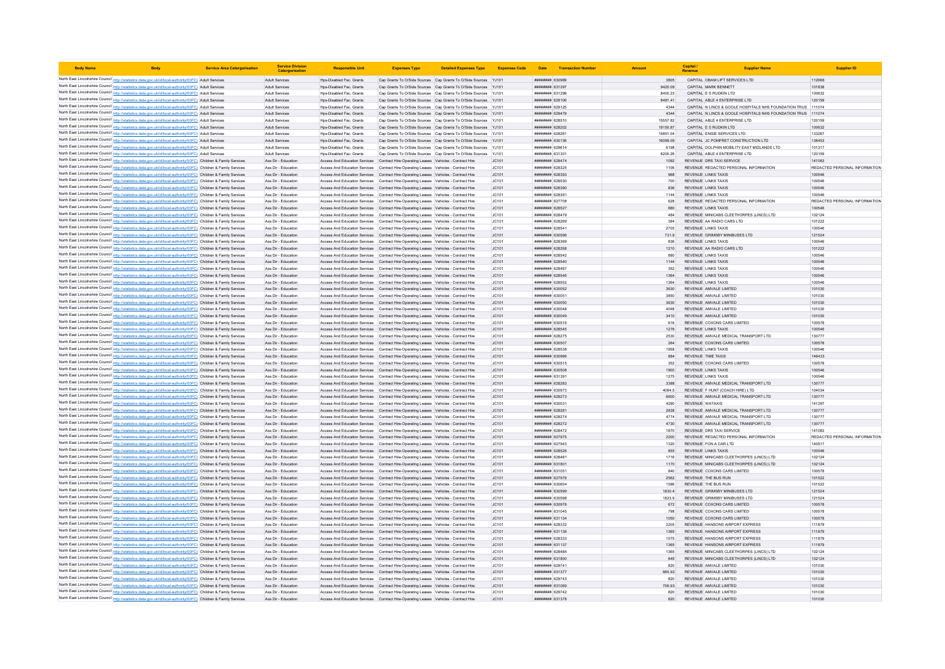| <b>Body Name</b> |                                                                                                                                                                                                                                        | <b>Service Area Catergorisation</b> | <b>Service Division</b><br><b>Catergorisat</b> | <b>Responsible Unit</b>                                                                                                | <b>Expenses Type</b>                                                                                                                             | <b>Detailed Expenses Type Expenses Code</b>                                                                                        |                |                                                | Date Transaction Number |                      | Capital                                           | <b>Supplier Name</b>                                                                  | <b>Supplier ID</b>            |
|------------------|----------------------------------------------------------------------------------------------------------------------------------------------------------------------------------------------------------------------------------------|-------------------------------------|------------------------------------------------|------------------------------------------------------------------------------------------------------------------------|--------------------------------------------------------------------------------------------------------------------------------------------------|------------------------------------------------------------------------------------------------------------------------------------|----------------|------------------------------------------------|-------------------------|----------------------|---------------------------------------------------|---------------------------------------------------------------------------------------|-------------------------------|
|                  | North East Lincolnshire Council http://statistics.data.gov.uk/id/local-authority/00FC) Adult Services                                                                                                                                  |                                     | Adult Services                                 | Hps-Disabled Fac. Grants                                                                                               |                                                                                                                                                  | Cap Grants To O/Side Sources Cap Grants To O/Side Sources YJ101                                                                    |                | ######## 630989                                |                         | 3805                 |                                                   | CAPITAL OBAM LIFT SERVICES LTD                                                        | 112666                        |
|                  | North East Lincolnshire Council http://statistics.data.gov.uk/id/local-authority/00FC) Adult Services                                                                                                                                  |                                     | <b>Adult Services</b>                          | Hps-Disabled Fac. Grants                                                                                               |                                                                                                                                                  | Cap Grants To O/Side Sources Cap Grants To O/Side Sources YJ101                                                                    |                | ######## 631297                                |                         | 9420.09              | CAPITAL MARK BENNET                               |                                                                                       | 101838                        |
|                  | North East Lincolnshire Council http://statistics.data.gov.uk/id/local-authority/00FC) Adult Services                                                                                                                                  |                                     | <b>Adult Services</b>                          | Hos-Disabled Fac. Grants                                                                                               |                                                                                                                                                  | Cap Grants To O/Side Sources Cap Grants To O/Side Sources YJ101                                                                    |                | <b>пининний</b> 631298                         |                         | 8400.23              | CAPITAL F S RUDKIN LTD.                           |                                                                                       | 100632                        |
|                  | North East Lincolnshire Council http://statistics.data.gov.uk/id/local-authority/00FC) Adult Services                                                                                                                                  |                                     | Adult Services                                 | Hps-Disabled Fac. Grants                                                                                               |                                                                                                                                                  | Cap Grants To O/Side Sources Cap Grants To O/Side Sources YJ101                                                                    |                | ######## 629106                                |                         | 8491.41              |                                                   | CAPITAL ABLE 4 ENTERPRISE LTD                                                         | 120159                        |
|                  | North East Lincolnshire Council http://statistics.data.gov.uk/id/local-authority/00FC) Adult Services                                                                                                                                  |                                     | Adult Services                                 | Hps-Disabled Fac. Grants                                                                                               |                                                                                                                                                  | Cap Grants To O/Side Sources Cap Grants To O/Side Sources YJ101                                                                    |                | ######## 629125                                |                         | 4344                 |                                                   | CAPITAL IN LINCS & GOOLE HOSPITALS NHS FOUNDATION TRUS 111074                         |                               |
|                  | North East Lincolnshire Council http://statistics.data.gov.uk/id/local-authority/00FC) Adult Services                                                                                                                                  |                                     | <b>Adult Services</b>                          | Hps-Disabled Fac. Grants                                                                                               |                                                                                                                                                  | Cap Grants To O/Side Sources Cap Grants To O/Side Sources YJ101                                                                    |                | ######## 629479                                |                         | 4344                 |                                                   | CAPITAL N LINCS & GOOLE HOSPITALS NHS FOUNDATION TRUS 111074                          |                               |
|                  | North East Lincolnshire Council http://statistics.data.gov.uk/id/local-authority/00FC) Adult Services<br>North East Lincolnshire Council http://statistics.data.gov.uk/id/local-authority/00FC) Adult Services                         |                                     | <b>Adult Services</b><br><b>Adult Services</b> | Hos-Disabled Fac. Grants<br>Hos-Disabled Fac. Grants                                                                   |                                                                                                                                                  | Cap Grants To O/Side Sources Cap Grants To O/Side Sources YJ101<br>Cap Grants To O/Side Sources Cap Grants To O/Side Sources YJ101 |                | <b>пининни 628510</b><br>######## 628202       |                         | 15557.82<br>19150.87 | CAPITAL E S RUDKIN LTD                            | CAPITAL ABLE 4 ENTERPRISE LTD                                                         | 120159<br>100632              |
|                  | North East Lincolnshire Council http://statistics.data.gov.uk/id/local-authority/00FC) Adult Services                                                                                                                                  |                                     | <b>Adult Services</b>                          | Hos-Disabled Fac. Grants                                                                                               |                                                                                                                                                  | Cap Grants To O/Side Sources Cap Grants To O/Side Sources YJ101                                                                    |                | ####### 62826                                  |                         | 15851.04             |                                                   | CAPITAL ENGIE SERVICES LTD                                                            | 133267                        |
|                  | North East Lincolnshire Council http://statistics.data.gov.uk/id/local-authority/00FC) Adult Services                                                                                                                                  |                                     | <b>Adult Services</b>                          | Hps-Disabled Fac. Grants                                                                                               |                                                                                                                                                  | Cap Grants To O/Side Sources Cap Grants To O/Side Sources YJ101                                                                    |                | ######## 630136                                |                         | 16089.09             |                                                   | CAPITAL JC POMFRET CONSTRUCTION LTD                                                   | 136453                        |
|                  | North East Lincolnshire Council http://statistics.data.gov.uk/id/local-authority/00FC) Adult Services                                                                                                                                  |                                     | <b>Adult Services</b>                          | Hns-Disabled Fac Grants                                                                                                |                                                                                                                                                  | Cap Grants To O/Side Sources Cap Grants To O/Side Sources YJ101                                                                    |                | ######## 629614                                |                         | 6198                 |                                                   | CAPITAL DOLPHIN MOBILITY FAST MIDLANDS LTD                                            | 101317                        |
|                  | North East Lincolnshire Council http://statistics.data.gov.uk/id/local-authority/00FC) Adult Services                                                                                                                                  |                                     | <b>Adult Services</b>                          | Hos-Disabled Fac. Grants                                                                                               |                                                                                                                                                  | Cap Grants To O/Side Sources Cap Grants To O/Side Sources YJ101                                                                    |                | ######## 631301                                |                         | 8200.26              |                                                   | CAPITAL ABLE 4 ENTERPRISE LTD                                                         | 120159                        |
|                  | North East Lincolnshire Council http://statistics.data.gov.uk/id/local-authority/00FC) Children & Family Services                                                                                                                      |                                     | Ass Dir - Education                            | Access And Education Services Contract Hire-Operating Leases Vehicles - Contract Hire                                  |                                                                                                                                                  |                                                                                                                                    | JC101          | ######## 628474                                |                         | 1092                 |                                                   | REVENUE DRS TAXI SERVICE                                                              | 141083                        |
|                  | North East Lincolnshire Council http://statistics.data.gov.uk/id/local-authority/00FC) Children & Family Services                                                                                                                      |                                     | Ass Dir - Education                            | Access And Education Services                                                                                          | Contract Hire-Operating Leases Vehicles - Contract Hire                                                                                          |                                                                                                                                    | JC101          | ######## 628325                                |                         | 1106                 |                                                   | REVENUE REDACTED PERSONAL INFORMATION                                                 | REDACTED PERSONAL INFORMATION |
|                  | North East Lincolnshire Council http://statistics.data.gov.uk/id/local-authority/00FC) Children & Family Services<br>North East Lincolnshire Council http://statistics.data.gov.uk/id/local-authority/00FC) Children & Family Services |                                     | Ass Dir - Education<br>Ass Dir - Education     |                                                                                                                        | Access And Education Services Contract Hire-Operating Leases Vehicles - Contract Hire                                                            |                                                                                                                                    | JC101<br>JC101 | <i>пининни</i> 628393<br>######## 628530       |                         | 968<br>700           | REVENUE LINKS TAXIS<br><b>REVENUE LINKS TAXIS</b> |                                                                                       | 100546<br>100546              |
|                  | North East Lincolnshire Council http://statistics.data.gov.uk/id/local-authority/00FC) Children & Family Services                                                                                                                      |                                     | Ass Dir - Education                            | Access And Education Services                                                                                          | Access And Education Services Contract Hire-Operating Leases Vehicles - Contract Hire<br>Contract Hire-Operating Leases Vehicles - Contract Hire |                                                                                                                                    | JC101          | ######## 628390                                |                         | 836                  | <b>REVENUE LINKS TAXIS</b>                        |                                                                                       | 100546                        |
|                  | North East Lincolnshire Council http://statistics.data.gov.uk/id/local-authority/00FC) Children & Family Services                                                                                                                      |                                     | Ass Dir - Education                            | Access And Education Services                                                                                          | Contract Hire-Operating Leases Vehicles - Contract Hire                                                                                          |                                                                                                                                    | JC101          | ######## 62839                                 |                         | 1144                 | <b>REVENUE LINKS TAXIS</b>                        |                                                                                       | 100546                        |
|                  | North East Lincolnshire Council http://statistics.data.gov.uk/id/local-authority/00FC) Children & Family Services                                                                                                                      |                                     | Ass Dir - Education                            |                                                                                                                        | Access And Education Services Contract Hire-Operating Leases Vehicles - Contract Hire                                                            |                                                                                                                                    | IC101          | ######## 627708                                |                         | 628                  |                                                   | REVENUE REDACTED PERSONAL INFORMATION                                                 | REDACTED PERSONAL INFORMATION |
|                  | North East Lincolnshire Council http://statistics.data.gov.uk/id/local-authority/00FC) Children & Family Services                                                                                                                      |                                     | Ass Dir - Education                            | Access And Education Services Contract Hire-Operating Leases Vehicles - Contract Hire                                  |                                                                                                                                                  |                                                                                                                                    | JC101          | <b>НИНИНИЯ</b> 628527                          |                         | 880                  | <b>REVENUE LINKS TAXIS</b>                        |                                                                                       | 100546                        |
|                  | North East Lincolnshire Council http://statistics.data.gov.uk/id/local-authority/00FC) Children & Family Services                                                                                                                      |                                     | Ass Dir - Education                            |                                                                                                                        | Access And Education Services Contract Hire-Operating Leases Vehicles - Contract Hire                                                            |                                                                                                                                    | JC101          | ######## 628479                                |                         | 484                  |                                                   | REVENUE MINICABS CLEETHORPES (LINCS) LTD                                              | 102124                        |
|                  | North East Lincolnshire Council http://statistics.data.gov.uk/id/local-authority/00FC) Children & Family Services                                                                                                                      |                                     | Ass Dir - Education                            |                                                                                                                        | Access And Education Services Contract Hire-Operating Leases Vehicles - Contract Hire                                                            |                                                                                                                                    | JC101          | ######## 628269                                |                         | 384                  |                                                   | REVENUE AA RADIO CARS LTD                                                             | 101222                        |
|                  | North East Lincolnshire Council http://statistics.data.gov.uk/id/local-authority/00FC) Children & Family Services                                                                                                                      |                                     | Ass Dir - Education                            |                                                                                                                        | Access And Education Services Contract Hire-Operating Leases Vehicles - Contract Hire                                                            |                                                                                                                                    | JC101          | ######## 628541                                |                         | 2705                 | <b>REVENUE LINKS TAXIS</b>                        | REVENUE GRIMSBY MINIBUSES LTD                                                         | 100546<br>121524              |
|                  | North East Lincolnshire Council http://statistics.data.gov.uk/id/local-authority/00FC) Children & Family Services<br>North East Lincolnshire Council http://statistics.data.gov.uk/id/local-authority/00FC) Children & Family Services |                                     | Ass Dir - Education<br>Ass Dir - Education     | Access And Education Services                                                                                          | Access And Education Services Contract Hire-Operating Leases Vehicles - Contract Hire<br>Contract Hire-Operating Leases Vehicles - Contract Hire |                                                                                                                                    | JC101<br>JC101 | ######## 630596<br>####### 62836               |                         | 731.9                | <b>REVENUE LINKS TAXIS</b>                        |                                                                                       | 100546                        |
|                  | North East Lincolnshire Council http://statistics.data.gov.uk/id/local-authority/00FC) Children & Family Services                                                                                                                      |                                     | Ass Dir - Education                            | Access And Education Services                                                                                          | Contract Hire-Operating Leases Vehicles - Contract Hire                                                                                          |                                                                                                                                    | JC101          | нининни 628268                                 |                         | 1210                 |                                                   | REVENUE AA RADIO CARS LTD                                                             | 101222                        |
|                  | North East Lincolnshire Council http://statistics.data.gov.uk/id/local-authority/00FC) Children & Family Services                                                                                                                      |                                     | Ass Dir - Education                            |                                                                                                                        | Access And Education Services Contract Hire-Operating Leases Vehicles - Contract Hire                                                            |                                                                                                                                    | JC101          | ######## 628542                                |                         | 880                  | <b>REVENUE LINKS TAXIS</b>                        |                                                                                       | 100546                        |
|                  | North East Lincolnshire Council http://statistics.data.gov.uk/id/local-authority/00FC) Children & Family Services                                                                                                                      |                                     | Ass Dir - Education                            | Access And Education Services Contract Hire-Operating Leases Vehicles - Contract Hire                                  |                                                                                                                                                  |                                                                                                                                    | JC101          | ######## 628540                                |                         | 1144                 | <b>REVENUE LINKS TAXIS</b>                        |                                                                                       | 100546                        |
|                  | North East Lincolnshire Council http://statistics.data.gov.uk/id/local-authority/00FC) Children & Family Services                                                                                                                      |                                     | Ass Dir - Education                            |                                                                                                                        | Access And Education Services Contract Hire-Operating Leases Vehicles - Contract Hire                                                            |                                                                                                                                    | JC101          | ######## 628467                                |                         | 352                  | <b>REVENUE LINKS TAXIS</b>                        |                                                                                       | 100546                        |
|                  | North East Lincolnshire Council http://statistics.data.gov.uk/id/local-authority/00FC) Children & Family Services                                                                                                                      |                                     | Ass Dir - Education                            |                                                                                                                        | Access And Education Services Contract Hire-Operating Leases Vehicles - Contract Hire                                                            |                                                                                                                                    | JC101          | <b>пининний</b> 628546                         |                         | 1364                 | <b>REVENUE LINKS TAXIS</b>                        |                                                                                       | 100546                        |
|                  | North East Lincolnshire Council http://statistics.data.gov.uk/id/local-authority/00FC) Children & Family Services                                                                                                                      |                                     | Ass Dir - Education                            |                                                                                                                        | Access And Education Services Contract Hire-Operating Leases Vehicles - Contract Hire                                                            |                                                                                                                                    | JC101          | ######## 628552                                |                         | 1364                 | <b>REVENUE LINKS TAXIS</b>                        |                                                                                       | 100546                        |
|                  | North East Lincolnshire Council http://statistics.data.gov.uk/id/local-authority/00FC) Children & Family Services                                                                                                                      |                                     | Ass Dir - Education                            |                                                                                                                        | Access And Education Services Contract Hire-Operating Leases Vehicles - Contract Hire                                                            |                                                                                                                                    | JC101          | ######## 630052                                |                         | 3630                 | REVENUE AMVALE LIMITED                            |                                                                                       | 101030                        |
|                  | North East Lincolnshire Council http://statistics.data.gov.uk/id/local-authority/00FC) Children & Family Services<br>North East Lincolnshire Council http://statistics.data.gov.uk/id/local-authority/00FC) Children & Family Services |                                     | Ass Dir - Education<br>Ass Dir - Education     | Access And Education Services                                                                                          | Contract Hire-Operating Leases Vehicles - Contract Hire<br>Access And Education Services Contract Hire-Operating Leases Vehicles - Contract Hire |                                                                                                                                    | JC101<br>JC101 | ######## 63005<br>######## 630050              |                         | 3850<br>3630         | REVENUE AMVALE LIMITED<br>REVENUE AMVALE LIMITED  |                                                                                       | 101030<br>101030              |
|                  | North East Lincolnshire Council http://statistics.data.gov.uk/id/local-authority/00FC) Children & Family Services                                                                                                                      |                                     | Ass Dir - Education                            |                                                                                                                        | Access And Education Services Contract Hire-Operating Leases Vehicles - Contract Hire                                                            |                                                                                                                                    | JC101          | ######## 630048                                |                         | 4048                 | REVENUE AMVALE LIMITED                            |                                                                                       | 101030                        |
|                  | North East Lincolnshire Council http://statistics.data.gov.uk/id/local-authority/00FC) Children & Family Services                                                                                                                      |                                     | Ass Dir - Education                            |                                                                                                                        | Access And Education Services Contract Hire-Operating Leases Vehicles - Contract Hire                                                            |                                                                                                                                    | JC101          | ######## 630049                                |                         | 3410                 | REVENUE AMVALE LIMITED                            |                                                                                       | 101030                        |
|                  | North East Lincolnshire Council http://statistics.data.gov.uk/id/local-authority/00FC) Children & Family Services                                                                                                                      |                                     | Ass Dir - Education                            |                                                                                                                        | Access And Education Services Contract Hire-Operating Leases Vehicles - Contract Hire                                                            |                                                                                                                                    | JC101          | 830516 HEBREHO                                 |                         | 616                  |                                                   | REVENUE COXONS CARS LIMITED                                                           | 100578                        |
|                  | North East Lincolnshire Council http://statistics.data.gov.uk/id/local-authority/00FC) Children & Family Services                                                                                                                      |                                     | Ass Dir - Education                            |                                                                                                                        | Access And Education Services Contract Hire-Operating Leases Vehicles - Contract Hire                                                            |                                                                                                                                    | IC101          | <b><i>BREEBBBB</i></b> 628545                  |                         | 1276                 | REVENUE LINKS TAXIS                               |                                                                                       | 100546                        |
|                  | North East Lincolnshire Council http://statistics.data.gov.uk/id/local-authority/00FC) Children & Family Services                                                                                                                      |                                     | Ass Dir - Education                            |                                                                                                                        | Access And Education Services Contract Hire-Operating Leases Vehicles - Contract Hire                                                            |                                                                                                                                    | IC101          | ######## 628275                                |                         | 2530                 |                                                   | REVENUE AMVALE MEDICAL TRANSPORT LTD                                                  | 130777                        |
|                  | North East Lincolnshire Council http://statistics.data.gov.uk/id/local-authority/00FC) Children & Family Services                                                                                                                      |                                     | Ass Dir - Education                            | Access And Education Services                                                                                          | Contract Hire-Operating Leases Vehicles - Contract Hire                                                                                          |                                                                                                                                    | JC101          | ######## 630507                                |                         | 264                  |                                                   | REVENUE COXONS CARS LIMITED                                                           | 100578                        |
|                  | North East Lincolnshire Council http://statistics.data.gov.uk/id/local-authority/00FC) Children & Family Services<br>North East Lincolnshire Council http://statistics.data.gov.uk/id/local-authority/00FC) Children & Family Services |                                     | Ass Dir - Education<br>Ass Dir - Education     | Access And Education Services<br>Access And Education Services Contract Hire-Operating Leases Vehicles - Contract Hire | Contract Hire-Operating Leases Vehicles - Contract Hire                                                                                          |                                                                                                                                    | JC101<br>IC101 | <b><i>BEZACA BREEBER</i></b><br>880029 BRUNNER |                         | 1958<br>884          | REVENUE LINKS TAXIS<br>REVENUE TIME TAXIS         |                                                                                       | 100546<br>146433              |
|                  | North East Lincolnshire Council http://statistics.data.gov.uk/id/local-authority/00FC) Children & Family Services                                                                                                                      |                                     | Ass Dir - Education                            |                                                                                                                        | Access And Education Services Contract Hire-Operating Leases Vehicles - Contract Hire                                                            |                                                                                                                                    | JC101          | ######## 630515                                |                         | 352                  |                                                   | REVENUE COXONS CARS LIMITED                                                           | 100578                        |
|                  | North East Lincolnshire Council http://statistics.data.gov.uk/id/local-authority/00FC) Children & Family Services                                                                                                                      |                                     | Ass Dir - Education                            |                                                                                                                        | Access And Education Services Contract Hire-Operating Leases Vehicles - Contract Hire                                                            |                                                                                                                                    | JC101          | ######## 630508                                |                         | 1900                 | <b>REVENUE LINKS TAXIS</b>                        |                                                                                       | 100546                        |
|                  | North East Lincolnshire Council http://statistics.data.gov.uk/id/local-authority/00FC) Children & Family Services                                                                                                                      |                                     | Ass Dir - Education                            |                                                                                                                        | Access And Education Services Contract Hire-Operating Leases Vehicles - Contract Hire                                                            |                                                                                                                                    | JC101          | ######## 631391                                |                         | 1275                 | <b>REVENUE LINKS TAXIS</b>                        |                                                                                       | 100546                        |
|                  | North East Lincolnshire Council http://statistics.data.gov.uk/id/local-authority/00FC) Children & Family Services                                                                                                                      |                                     | Ass Dir - Education                            |                                                                                                                        | Access And Education Services Contract Hire-Operating Leases Vehicles - Contract Hire                                                            |                                                                                                                                    | JC101          | ######## 628283                                |                         | 3388                 |                                                   | REVENUE AMVALE MEDICAL TRANSPORT LTD                                                  | 130777                        |
|                  | North East Lincolnshire Council http://statistics.data.gov.uk/id/local-authority/00FC) Children & Family Services                                                                                                                      |                                     | Ass Dir - Education                            |                                                                                                                        | Access And Education Services Contract Hire-Operating Leases Vehicles - Contract Hire                                                            |                                                                                                                                    | JC101          | ######## 630973                                |                         | 4084.5               |                                                   | REVENUE F HUNT (COACH HIRE) LTD                                                       | 104034                        |
|                  | North East Lincolnshire Council http://statistics.data.gov.uk/id/local-authority/00FC) Children & Family Services                                                                                                                      |                                     | Ass Dir - Education                            | Access And Education Services                                                                                          | Contract Hire-Operating Leases Vehicles - Contract Hire                                                                                          |                                                                                                                                    | JC101          | ######## 628273                                |                         | 6600                 |                                                   | REVENUE AMVALE MEDICAL TRANSPORT LTD                                                  | 130777                        |
|                  | North East Lincolnshire Council http://statistics.data.gov.uk/id/local-authority/00FC) Children & Family Services<br>North East Lincolnshire Council http://statistics.data.gov.uk/id/local-authority/00FC) Children & Family Services |                                     | Ass Dir - Education<br>Ass Dir - Education     | Access And Education Services                                                                                          | Contract Hire-Operating Leases Vehicles - Contract Hire<br>Access And Education Services Contract Hire-Operating Leases Vehicles - Contract Hire |                                                                                                                                    | JC101<br>JC101 | ######## 630031<br>######## 628281             |                         | 4290<br>2838         | <b>REVENUE WATAXIS</b>                            | REVENUE AMVALE MEDICAL TRANSPORT LTD                                                  | 141297<br>130777              |
|                  | North East Lincolnshire Council http://statistics.data.gov.uk/id/local-authority/00FC) Children & Family Services                                                                                                                      |                                     | Ass Dir - Education                            |                                                                                                                        | Access And Education Services Contract Hire-Operating Leases Vehicles - Contract Hire                                                            |                                                                                                                                    | JC101          | ####### 628274                                 |                         | 4774                 |                                                   | REVENUE AMVALE MEDICAL TRANSPORT LTD                                                  | 130777                        |
|                  | North East Lincolnshire Council http://statistics.data.gov.uk/id/local-authority/00FC) Children & Family Services                                                                                                                      |                                     | Ass Dir - Education                            |                                                                                                                        | Access And Education Services Contract Hire-Operating Leases Vehicles - Contract Hire                                                            |                                                                                                                                    | JC101          | ######## 628272                                |                         | 4730                 |                                                   | REVENUE AMVALE MEDICAL TRANSPORT LTD                                                  | 130777                        |
|                  | North East Lincolnshire Council http://statistics.data.gov.uk/id/local-authority/00FC) Children & Family Services                                                                                                                      |                                     | Ass Dir - Education                            |                                                                                                                        | Access And Education Services Contract Hire-Operating Leases Vehicles - Contract Hire                                                            |                                                                                                                                    | IC101          | <b>пининний</b> 628472                         |                         | 1870                 |                                                   | REVENUE DRS TAXLSERVICE                                                               | 141083                        |
|                  | North East Lincolnshire Council http://statistics.data.gov.uk/id/local-authority/00FC) Children & Family Services                                                                                                                      |                                     | Ass Dir - Education                            |                                                                                                                        | Access And Education Services Contract Hire-Operating Leases Vehicles - Contract Hire                                                            |                                                                                                                                    | JC101          | ######## 627975                                |                         | 2200                 |                                                   | REVENUE REDACTED PERSONAL INFORMATION                                                 | REDACTED PERSONAL INFORMATION |
|                  | North East Lincolnshire Council http://statistics.data.gov.uk/id/local-authority/00FC) Children & Family Services                                                                                                                      |                                     | Ass Dir - Education                            |                                                                                                                        | Access And Education Services Contract Hire-Operating Leases Vehicles - Contract Hire                                                            |                                                                                                                                    | JC101          | ######## 627943                                |                         | 1320                 | REVENUE FON A CAR LTD                             |                                                                                       | 140517                        |
|                  | North East Lincolnshire Council http://statistics.data.gov.uk/id/local-authority/00FC) Children & Family Services                                                                                                                      |                                     | Ass Dir - Education                            | Access And Education Services                                                                                          | Contract Hire-Operating Leases Vehicles - Contract Hire                                                                                          |                                                                                                                                    | JC101          | ######## 628526                                |                         | 855                  | <b>REVENUE LINKS TAXIS</b>                        |                                                                                       | 100546                        |
|                  | North East Lincolnshire Council http://statistics.data.gov.uk/id/local-authority/00FC) Children & Family Services<br>North East Lincolnshire Council http://statistics.data.gov.uk/id/local-authority/00FC) Children & Family Services |                                     | Ass Dir - Education<br>Ass Dir - Education     | Access And Education Services<br>Access And Education Services Contract Hire-Operating Leases Vehicles - Contract Hire | Contract Hire-Onerating Leases Vehicles - Contract Hire                                                                                          |                                                                                                                                    | IC101<br>JC101 | ######## 628481<br>######## 631801             |                         | 1716<br>1170         |                                                   | REVENUE MINICARS CLEETHORPES (LINCS) LTD.<br>REVENUE MINICABS CLEETHORPES (LINCS) LTD | 102124<br>102124              |
|                  | North East Lincolnshire Council http://statistics.data.gov.uk/id/local-authority/00FC) Children & Family Services                                                                                                                      |                                     | Ass Dir - Education                            |                                                                                                                        | Access And Education Services Contract Hire-Operating Leases Vehicles - Contract Hire                                                            |                                                                                                                                    | JC101          | ####### 63105                                  |                         | 840                  |                                                   | REVENUE COXONS CARS LIMITED                                                           | 100578                        |
|                  | North East Lincolnshire Council http://statistics.data.gov.uk/id/local-authority/00FC) Children & Family Services                                                                                                                      |                                     | Ass Dir - Education                            |                                                                                                                        | Access And Education Services Contract Hire-Operating Leases Vehicles - Contract Hire                                                            |                                                                                                                                    | JC101          | ######## 627976                                |                         | 2562                 | <b>REVENUE THE BUS RUN</b>                        |                                                                                       | 101522                        |
|                  | North East Lincolnshire Council http://statistics.data.gov.uk/id/local-authority/00FC) Children & Family Services                                                                                                                      |                                     | Ass Dir - Education                            |                                                                                                                        | Access And Education Services Contract Hire-Operating Leases Vehicles - Contract Hire                                                            |                                                                                                                                    | IC101          | ######## 630604                                |                         | 1586                 | REVENUE THE BUS RUN                               |                                                                                       | 101522                        |
|                  | North East Lincolnshire Council http://statistics.data.gov.uk/id/local-authority/00FC) Children & Family Services                                                                                                                      |                                     | Ass Dir - Education                            |                                                                                                                        | Access And Education Services Contract Hire-Operating Leases Vehicles - Contract Hire                                                            |                                                                                                                                    | JC101          | ######## 630599                                |                         | 18304                |                                                   | REVENUE GRIMSBY MINIBUSES LTD                                                         | 121524                        |
|                  | North East Lincolnshire Council http://statistics.data.gov.uk/id/local-authority/00FC) Children & Family Services                                                                                                                      |                                     | Ass Dir - Education                            | Access And Education Services                                                                                          | Contract Hire-Operating Leases Vehicles - Contract Hire                                                                                          |                                                                                                                                    | JC101          | ####### 63059                                  |                         | 1823.9               |                                                   | REVENUE GRIMSBY MINIBUSES LTD                                                         | 121524                        |
|                  | North East Lincolnshire Council http://statistics.data.gov.uk/id/local-authority/00FC) Children & Family Services                                                                                                                      |                                     | Ass Dir - Education                            | Access And Education Services                                                                                          | Contract Hire-Operating Leases Vehicles - Contract Hire                                                                                          |                                                                                                                                    | JC101          | ######## 630978                                |                         | 672                  |                                                   | REVENUE COXONS CARS LIMITED                                                           | 100578                        |
|                  | North East Lincolnshire Council http://statistics.data.gov.uk/id/local-authority/00FC) Children & Family Services                                                                                                                      |                                     | Ass Dir - Education                            |                                                                                                                        | Access And Education Services Contract Hire-Operating Leases Vehicles - Contract Hire                                                            |                                                                                                                                    | JC101<br>JC101 | ######## 631045<br>######## 631134             |                         | 798<br>1050          |                                                   | REVENUE COXONS CARS LIMITED                                                           | 100578<br>100578              |
|                  | North East Lincolnshire Council http://statistics.data.gov.uk/id/local-authority/00FC) Children & Family Services<br>North East Lincolnshire Council http://statistics.data.gov.uk/id/local-authority/00FC) Children & Family Services |                                     | Ass Dir - Education<br>Ass Dir - Education     | Access And Education Services Contract Hire-Operating Leases Vehicles - Contract Hire                                  | Access And Education Services Contract Hire-Operating Leases Vehicles - Contract Hire                                                            |                                                                                                                                    | JC101          | ####### 628332                                 |                         | 2205                 |                                                   | REVENUE COXONS CARS LIMITED<br>REVENUE HANSONS AIRPORT EXPRESS                        | 111879                        |
|                  | North East Lincolnshire Council http://statistics.data.gov.uk/id/local-authority/00FC) Children & Family Services                                                                                                                      |                                     | Ass Dir - Education                            |                                                                                                                        | Access And Education Services Contract Hire-Operating Leases Vehicles - Contract Hire                                                            |                                                                                                                                    | JC101          | ######## 631136                                |                         | 1365                 |                                                   | REVENUE HANSONS AIRPORT EXPRESS                                                       | 111879                        |
|                  | North East Lincolnshire Council http://statistics.data.gov.uk/id/local-authority/00FC) Children & Family Services                                                                                                                      |                                     | Ass Dir - Education                            |                                                                                                                        | Access And Education Services Contract Hire-Operating Leases Vehicles - Contract Hire                                                            |                                                                                                                                    | JC101          | ######## 628333                                |                         | 1575                 |                                                   | REVENUE HANSONS AIRPORT EXPRESS                                                       | 111879                        |
|                  | North East Lincolnshire Council http://statistics.data.gov.uk/id/local-authority/00FC) Children & Family Services                                                                                                                      |                                     | Ass Dir - Education                            |                                                                                                                        | Access And Education Services Contract Hire-Operating Leases Vehicles - Contract Hire                                                            |                                                                                                                                    | JC101          | ######## 631137                                |                         | 1365                 |                                                   | REVENUE HANSONS AIRPORT EXPRESS                                                       | 111879                        |
|                  | North East Lincolnshire Council http://statistics.data.gov.uk/id/local-authority/00FC) Children & Family Services                                                                                                                      |                                     | Ass Dir - Education                            | Access And Education Services                                                                                          | Contract Hire-Operating Leases Vehicles - Contract Hire                                                                                          |                                                                                                                                    | JC101          | ####### 628484                                 |                         | 1365                 |                                                   | REVENUE MINICABS CLEETHORPES (LINCS) LTD                                              | 102124                        |
|                  | North East Lincolnshire Council http://statistics.data.gov.uk/id/local-authority/00FC) Children & Family Services                                                                                                                      |                                     | Ass Dir - Education                            | Access And Education Services Contract Hire-Operating Leases Vehicles - Contract Hire                                  |                                                                                                                                                  |                                                                                                                                    | JC101          | ######## 631800                                |                         | 845                  |                                                   | REVENUE MINICABS CLEETHORPES (LINCS) LTD                                              | 102124                        |
|                  | North East Lincolnshire Council http://statistics.data.gov.uk/id/local-authority/00FC) Children & Family Services                                                                                                                      |                                     | Ass Dir - Education<br>Ass Dir - Education     | Access And Education Services Contract Hire-Operating Leases Vehicles - Contract Hire                                  | Access And Education Services Contract Hire-Operating Leases Vehicles - Contract Hire                                                            |                                                                                                                                    | JC101<br>JC101 | ######## 629741<br>######## 631377             |                         | 820<br>885.92        | REVENUE AMVALE LIMITED<br>REVENUE AMVALE LIMITED  |                                                                                       | 101030<br>101030              |
|                  | North East Lincolnshire Council http://statistics.data.gov.uk/id/local-authority/00FC) Children & Family Services<br>North East Lincolnshire Council http://statistics.data.gov.uk/id/local-authority/00FC) Children & Family Services |                                     | Ass Dir - Education                            |                                                                                                                        | Access And Education Services Contract Hire-Operating Leases Vehicles - Contract Hire                                                            |                                                                                                                                    | JC101          | ######## 629743                                |                         | 820                  | REVENUE AMVALE LIMITED                            |                                                                                       | 101030                        |
|                  | North East Lincolnshire Council http://statistics.data.gov.uk/id/local-authority/00FC) Children & Family Services                                                                                                                      |                                     | Ass Dir - Education                            |                                                                                                                        | Access And Education Services Contract Hire-Operating Leases Vehicles - Contract Hire                                                            |                                                                                                                                    | JC101          | ######## 631069                                |                         | 756 93               | REVENUE AMVALE LIMITED                            |                                                                                       | 101030                        |
|                  | North East Lincolnshire Council http://statistics.data.gov.uk/id/local-authority/00FC) Children & Family Services                                                                                                                      |                                     | Ass Dir - Education                            |                                                                                                                        | Access And Education Services Contract Hire-Operating Leases Vehicles - Contract Hire                                                            |                                                                                                                                    | JC101          | ######## 629742                                |                         | 820                  | REVENUE AMVALE LIMITED                            |                                                                                       | 101030                        |
|                  | North East Lincolnshire Council http://statistics.data.gov.uk/id/local-authority/00FC) Children & Family Services                                                                                                                      |                                     | Ass Dir - Education                            |                                                                                                                        | Access And Education Services Contract Hire-Operating Leases Vehicles - Contract Hire                                                            |                                                                                                                                    | JC101          | ######## 631378                                |                         | 820                  | REVENUE AMVALE LIMITED                            |                                                                                       | 101030                        |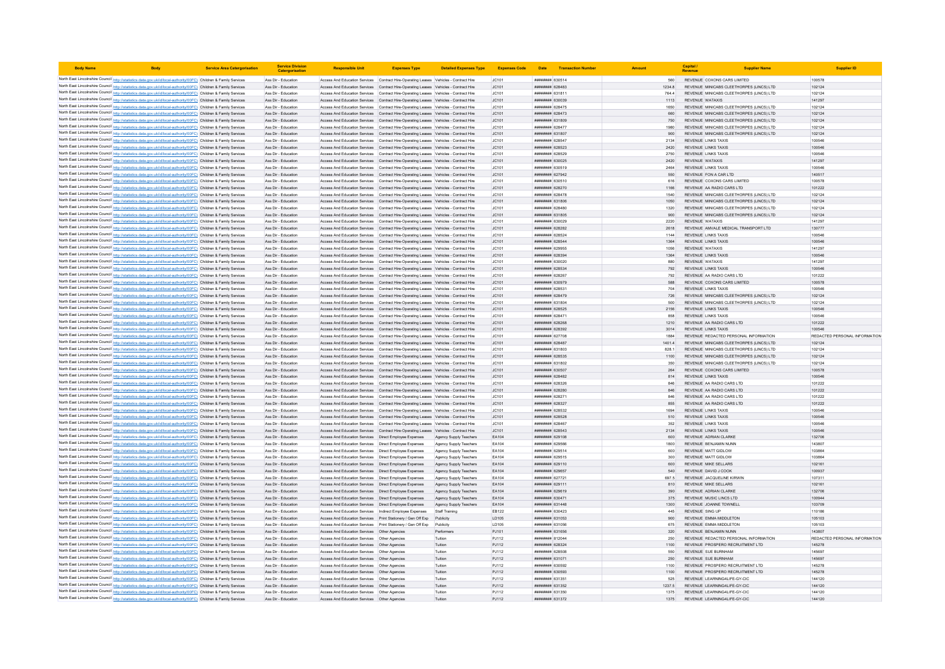| <b>Body Name</b>                                                                                                                                                                                                                       | <b>Service Area Catergorisation</b> | <b>Service Division</b><br>Catergorisati   | <b>Responsible Unit</b>                                                                                                                                                        | <b>Expenses Type</b>                                    | <b>Detailed Expenses Type</b>                    | <b>Expenses Code</b> |                                          | Date Transaction Number |              | Capital<br>Revenue | <b>Supplier Name</b>                                                 | <b>Supplier ID</b>            |
|----------------------------------------------------------------------------------------------------------------------------------------------------------------------------------------------------------------------------------------|-------------------------------------|--------------------------------------------|--------------------------------------------------------------------------------------------------------------------------------------------------------------------------------|---------------------------------------------------------|--------------------------------------------------|----------------------|------------------------------------------|-------------------------|--------------|--------------------|----------------------------------------------------------------------|-------------------------------|
| North East Lincolnshire Council http://statistics.data.gov.uk/id/local-authority/00FC) Children & Family Services                                                                                                                      |                                     | Ass Dir - Education                        | Access And Education Services Contract Hire-Operating Leases Vehicles - Contract Hire                                                                                          |                                                         |                                                  | JC101                | ######## 630514                          |                         | 560          |                    | REVENUE COXONS CARS LIMITED                                          | 100578                        |
| North East Lincolnshire Council http://statistics.data.gov.uk/id/local-authority/00FC) Children & Family Services                                                                                                                      |                                     | Ass Dir - Education                        | Access And Education Services                                                                                                                                                  | Contract Hire-Operating Leases Vehicles - Contract Hire |                                                  | JC101                | ######## 628483                          |                         | 1234.8       |                    | REVENUE MINICABS CLEETHORPES (LINCS) LTD                             | 102124                        |
| North East Lincolnshire Council http://statistics.data.gov.uk/id/local-authority/00FC) Children & Family Services                                                                                                                      |                                     | Ass Dir - Education                        | Access And Education Services Contract Hire-Operating Leases Vehicles - Contract Hire                                                                                          |                                                         |                                                  | JC101                | ####### 631811                           |                         | 764.4        |                    | REVENUE MINICABS CLEETHORPES (LINCS) LTD                             | 102124                        |
| North East Lincolnshire Council http://statistics.data.gov.uk/id/local-authority/00FC) Children & Family Services                                                                                                                      |                                     | Ass Dir - Education                        | Access And Education Services Contract Hire-Operating Leases Vehicles - Contract Hire                                                                                          |                                                         |                                                  | JC101                | ######## 630039                          |                         | 1113         |                    | <b>REVENUE WATAXIS</b>                                               | 141297                        |
| North East Lincolnshire Council http://statistics.data.gov.uk/id/local-authority/00FC) Children & Family Services                                                                                                                      |                                     | Ass Dir - Education                        | Access And Education Services Contract Hire-Operating Leases Vehicles - Contract Hire                                                                                          |                                                         |                                                  | JC101                | ######## 628475                          |                         | 1650         |                    | REVENUE MINICABS CLEETHORPES (LINCS) LTD                             | 102124                        |
| North East Lincolnshire Council http://statistics.data.gov.uk/id/local-authority/00FC) Children & Family Services                                                                                                                      |                                     | Ass Dir - Education                        | Access And Education Services Contract Hire-Operating Leases Vehicles - Contract Hire                                                                                          |                                                         |                                                  | JC101                | ######## 628473                          |                         | 660          |                    | REVENUE MINICABS CLEETHORPES (LINCS) LTD                             | 102124                        |
| North East Lincolnshire Council http://statistics.data.gov.uk/id/local-authority/00FC) Children & Family Services                                                                                                                      |                                     | Ass Dir - Education                        | Access And Education Services Contract Hire-Operating Leases Vehicles - Contract Hire                                                                                          |                                                         |                                                  | JC101                | ######## 631809                          |                         | 750          |                    | REVENUE MINICABS CLEETHORPES (LINCS) LTD                             | 102124                        |
| North East Lincolnshire Council http://statistics.data.gov.uk/id/local-authority/00FC) Children & Family Services                                                                                                                      |                                     | Ass Dir - Education                        | Access And Education Services Contract Hire-Operating Leases Vehicles - Contract Hire                                                                                          |                                                         |                                                  | JC101                | ######## 628477                          |                         | 1980         |                    | REVENUE MINICABS CLEETHORPES (LINCS) LTD                             | 102124                        |
| North East Lincolnshire Council http://statistics.data.gov.uk/id/local-authority/00FC) Children & Family Services                                                                                                                      |                                     | Ass Dir - Education                        | Access And Education Services Contract Hire-Operating Leases Vehicles - Contract Hire                                                                                          |                                                         |                                                  | JC101                | ######## 631807                          |                         | 900          |                    | REVENUE MINICABS CLEETHORPES (LINCS) LTD                             | 102124                        |
| North East Lincolnshire Council http://statistics.data.gov.uk/id/local-authority/00FC) Children & Family Services                                                                                                                      |                                     | Ass Dir - Education                        | Access And Education Services                                                                                                                                                  | Contract Hire-Operating Leases Vehicles - Contract Hire |                                                  | JC101                | ####### 628547                           |                         | 2134         |                    | <b>REVENUE LINKS TAXIS</b>                                           | 100546                        |
| North East Lincolnshire Council http://statistics.data.gov.uk/id/local-authority/00FC) Children & Family Services                                                                                                                      |                                     | Ass Dir - Education                        | Access And Education Services Contract Hire-Operating Leases Vehicles - Contract Hire                                                                                          |                                                         |                                                  | JC101                | <b>пининня</b> 628523                    |                         | 2420         |                    | <b>REVENUE LINKS TAXIS</b>                                           | 100546                        |
| North East Lincolnshire Council http://statistics.data.gov.uk/id/local-authority/00FC) Children & Family Services                                                                                                                      |                                     | Ass Dir - Education                        | Access And Education Services   Contract Hire-Operating Leases   Vehicles - Contract Hire                                                                                      |                                                         |                                                  | JC101                | ####### 628529                           |                         | 2750         |                    | <b>REVENUE LINKS TAXIS</b>                                           | 100546                        |
| North East Lincolnshire Council http://statistics.data.gov.uk/id/local-authority/00FC) Children & Family Services                                                                                                                      |                                     | Ass Dir - Education                        | Access And Education Services Contract Hire-Operating Leases Vehicles - Contract Hire                                                                                          |                                                         |                                                  | JC101                | ######## 630025                          |                         | 2420         |                    | REVENUE WATAXIS                                                      | 141297                        |
| North East Lincolnshire Council http://statistics.data.gov.uk/id/local-authority/00FC) Children & Family Services                                                                                                                      |                                     | Ass Dir - Education                        | Access And Education Services Contract Hire-Operating Leases Vehicles - Contract Hire                                                                                          |                                                         |                                                  | JC101                | ######## 630519                          |                         | 2464         |                    | <b>REVENUE LINKS TAXIS</b>                                           | 100546                        |
| North East Lincolnshire Council http://statistics.data.gov.uk/id/local-authority/00FC) Children & Family Services                                                                                                                      |                                     | Ass Dir - Education                        | Access And Education Services Contract Hire-Operating Leases Vehicles - Contract Hire                                                                                          |                                                         |                                                  | JC101                | <b>пининний</b> 627942                   |                         | 550          |                    | REVENUE FON A CAR LTD                                                | 140517                        |
| North East Lincolnshire Council http://statistics.data.gov.uk/id/local-authority/00FC) Children & Family Services                                                                                                                      |                                     | Ass Dir - Education<br>Ass Dir - Education | Access And Education Services Contract Hire-Operating Leases Vehicles - Contract Hire<br>Access And Education Services                                                         |                                                         |                                                  | JC101<br>JC101       | ######## 630510<br>######## 628270       |                         | 616<br>1166  |                    | REVENUE COXONS CARS LIMITED<br>REVENUE AA RADIO CARS LTD             | 100578<br>101222              |
| North East Lincolnshire Council http://statistics.data.gov.uk/id/local-authority/00FC) Children & Family Services<br>North East Lincolnshire Council http://statistics.data.gov.uk/id/local-authority/00FC) Children & Family Services |                                     | Ass Dir - Education                        | Access And Education Services                                                                                                                                                  | Contract Hire-Operating Leases Vehicles - Contract Hire |                                                  | JC101                | ######## 628478                          |                         | 1540         |                    | REVENUE MINICABS CLEETHORPES (LINCS) LTD                             | 102124                        |
| North East Lincolnshire Council http://statistics.data.gov.uk/id/local-authority/00FC) Children & Family Services                                                                                                                      |                                     | Ass Dir - Education                        | Access And Education Services Contract Hire-Operating Leases Vehicles - Contract Hire                                                                                          | Contract Hire-Operating Leases Vehicles - Contract Hire |                                                  | IC101                | ######## 631806                          |                         | 1050         |                    | REVENUE MINICARS CLEETHORPES (LINCS) LTD.                            | 102124                        |
| North East Lincolnshire Council http://statistics.data.gov.uk/id/local-authority/00FC) Children & Family Services                                                                                                                      |                                     | Ass Dir - Education                        | Access And Education Services Contract Hire-Operating Leases Vehicles - Contract Hire                                                                                          |                                                         |                                                  | JC101                | ппинини 628480                           |                         | 1320         |                    | REVENUE MINICABS CLEETHORPES (LINCS) LTD                             | 102124                        |
| North East Lincolnshire Council http://statistics.data.gov.uk/id/local-authority/00FC) Children & Family Services                                                                                                                      |                                     | Ass Dir - Education                        | Access And Education Services Contract Hire-Operating Leases Vehicles - Contract Hire                                                                                          |                                                         |                                                  | JC101                | ######## 631805                          |                         | 900          |                    | REVENUE MINICABS CLEETHORPES (LINCS) LTD                             | 102124                        |
| North East Lincolnshire Council http://statistics.data.gov.uk/id/local-authority/00FC) Children & Family Services                                                                                                                      |                                     | Ass Dir - Education                        | Access And Education Services Contract Hire-Operating Leases Vehicles - Contract Hire                                                                                          |                                                         |                                                  | JC101                | ######## 630029                          |                         | 2220         |                    | <b>REVENUE WATAXIS</b>                                               | 141297                        |
| North East Lincolnshire Council http://statistics.data.gov.uk/id/local-authority/00FC) Children & Family Services                                                                                                                      |                                     | Ass Dir - Education                        | Access And Education Services Contract Hire-Operating Leases Vehicles - Contract Hire                                                                                          |                                                         |                                                  | JC101                | ######## 628282                          |                         | 2618         |                    | REVENUE AMVALE MEDICAL TRANSPORT LTD                                 | 130777                        |
| North East Lincolnshire Council http://statistics.data.gov.uk/id/local-authority/00FC) Children & Family Services                                                                                                                      |                                     | Ass Dir - Education                        | Access And Education Services Contract Hire-Operating Leases Vehicles - Contract Hire                                                                                          |                                                         |                                                  | JC101                | ####### 628524                           |                         | 1144         |                    | <b>REVENUE LINKS TAXIS</b>                                           | 100546                        |
| North East Lincolnshire Council http://statistics.data.gov.uk/id/local-authority/00FC) Children & Family Services                                                                                                                      |                                     | Ass Dir - Education                        | Access And Education Services                                                                                                                                                  | Contract Hire-Operating Leases Vehicles - Contract Hire |                                                  | JC101                | ######## 628544                          |                         | 1364         |                    | REVENUE LINKS TAXIS                                                  | 100546                        |
| North East Lincolnshire Council http://statistics.data.gov.uk/id/local-authority/00FC) Children & Family Services                                                                                                                      |                                     | Ass Dir - Education                        | Access And Education Services                                                                                                                                                  | Contract Hire-Operating Leases Vehicles - Contract Hire |                                                  | JC101                | <b>пининнин</b> 629955                   |                         | 1056         |                    | <b>REVENUE WATAXIS</b>                                               | 141297                        |
| North East Lincolnshire Council http://statistics.data.gov.uk/id/local-authority/00FC) Children & Family Services                                                                                                                      |                                     | Ass Dir - Education                        | Access And Education Services Contract Hire-Operating Leases Vehicles - Contract Hire                                                                                          |                                                         |                                                  | JC101                | ######## 628394                          |                         | 1364         |                    | <b>REVENUE LINKS TAXIS</b>                                           | 100546                        |
| North East Lincolnshire Council http://statistics.data.gov.uk/id/local-authority/00FC) Children & Family Services                                                                                                                      |                                     | Ass Dir - Education                        | Access And Education Services Contract Hire-Operating Leases Vehicles - Contract Hire                                                                                          |                                                         |                                                  | JC101                | ######## 630020                          |                         | 880          |                    | REVENUE WATAXIS                                                      | 141297                        |
| North East Lincolnshire Council http://statistics.data.gov.uk/id/local-authority/00FC) Children & Family Services                                                                                                                      |                                     | Ass Dir - Education                        | Access And Education Services Contract Hire-Operating Leases Vehicles - Contract Hire                                                                                          |                                                         |                                                  | JC101                | ######## 628534                          |                         | 792          |                    | <b>REVENUE LINKS TAXIS</b>                                           | 100546                        |
| North East Lincolnshire Council http://statistics.data.gov.uk/id/local-authority/00FC) Children & Family Services                                                                                                                      |                                     | Ass Dir - Education                        | Access And Education Services Contract Hire-Operating Leases Vehicles - Contract Hire                                                                                          |                                                         |                                                  | JC101                | нининни 628267                           |                         | 792          |                    | REVENUE AA RADIO CARS LTD                                            | 101222                        |
| North East Lincolnshire Council http://statistics.data.gov.uk/id/local-authority/00FC) Children & Family Services                                                                                                                      |                                     | Ass Dir - Education                        | Access And Education Services  Contract Hire-Operating Leases  Vehicles - Contract Hire                                                                                        |                                                         |                                                  | JC101                | ######## 630979                          |                         | 588          |                    | REVENUE COXONS CARS LIMITED                                          | 100578                        |
| North East Lincolnshire Council http://statistics.data.gov.uk/id/local-authority/00FC) Children & Family Services                                                                                                                      |                                     | Ass Dir - Education                        | Access And Education Services  Contract Hire-Operating Leases  Vehicles - Contract Hire                                                                                        |                                                         |                                                  | JC101                | ####### 62853*                           |                         | 704          |                    | <b>REVENUE LINKS TAXIS</b>                                           | 100546                        |
| North East Lincolnshire Council http://statistics.data.gov.uk/id/local-authority/00FC) Children & Family Services                                                                                                                      |                                     | Ass Dir - Education                        | Access And Education Services                                                                                                                                                  | Contract Hire-Operating Leases Vehicles - Contract Hire |                                                  | JC101                | ######## 628479                          |                         | 726          |                    | REVENUE MINICABS CLEETHORPES (LINCS) LTD                             | 102124                        |
| North East Lincolnshire Council http://statistics.data.gov.uk/id/local-authority/00FC) Children & Family Services                                                                                                                      |                                     | Ass Dir - Education                        | Access And Education Services Contract Hire-Operating Leases Vehicles - Contract Hire                                                                                          |                                                         |                                                  | JC101                | ######## 631804                          |                         | 500          |                    | REVENUE MINICABS CLEETHORPES (LINCS) LTD                             | 102124                        |
| North East Lincolnshire Council http://statistics.data.gov.uk/id/local-authority/00FC) Children & Family Services                                                                                                                      |                                     | Ass Dir - Education                        | Access And Education Services  Contract Hire-Operating Leases  Vehicles - Contract Hire                                                                                        |                                                         |                                                  | JC101                | ######## 628525                          |                         | 2156         |                    | <b>REVENUE LINKS TAXIS</b>                                           | 100546                        |
| North East Lincolnshire Council http://statistics.data.gov.uk/id/local-authority/00FC) Children & Family Services<br>North East Lincolnshire Council http://statistics.data.gov.uk/id/local-authority/00FC) Children & Family Services |                                     | Ass Dir - Education<br>Ass Dir - Education | Access And Education Services Contract Hire-Operating Leases Vehicles - Contract Hire                                                                                          |                                                         |                                                  | JC101                | ######## 628471<br>######## 628268       |                         | 858<br>1210  |                    | <b>REVENUE LINKS TAXIS</b><br>REVENUE AA RADIO CARS LTD              | 100546<br>101222              |
| North East Lincolnshire Council http://statistics.data.gov.uk/id/local-authority/00FC) Children & Family Services                                                                                                                      |                                     | Ass Dir - Education                        | Access And Education Services Contract Hire-Operating Leases Vehicles - Contract Hire<br>Access And Education Services Contract Hire-Operating Leases Vehicles - Contract Hire |                                                         |                                                  | JC101<br>LC101       | пининни 628392                           |                         | 3014         |                    | <b>REVENUE LINKS TAXIS</b>                                           | 100546                        |
| North East Lincolnshire Council http://statistics.data.gov.uk/id/local-authority/00FC) Children & Family Services                                                                                                                      |                                     | Ass Dir - Education                        | Access And Education Services Contract Hire-Operating Leases Vehicles - Contract Hire                                                                                          |                                                         |                                                  | JC101                | ######## 627708                          |                         | 1884         |                    | REVENUE REDACTED PERSONAL INFORMATION                                | REDACTED PERSONAL INFORMATION |
| North East Lincolnshire Council http://statistics.data.gov.uk/id/local-authority/00FC) Children & Family Services                                                                                                                      |                                     | Ass Dir - Education                        | Access And Education Services                                                                                                                                                  | Contract Hire-Operating Leases Vehicles - Contract Hire |                                                  | JC101                | ######## 628487                          |                         | 1401.4       |                    | REVENUE MINICABS CLEETHORPES (LINCS) LTD                             | 102124                        |
| North East Lincolnshire Council http://statistics.data.gov.uk/id/local-authority/00FC) Children & Family Services                                                                                                                      |                                     | Ass Dir - Education                        | Access And Education Services                                                                                                                                                  | Contract Hire-Operating Leases Vehicles - Contract Hire |                                                  | JC101                | ####### 631803                           |                         | 8281         |                    | REVENUE MINICARS CLEETHORPES (LINCS) LTD                             | 102124                        |
| North East Lincolnshire Council http://statistics.data.gov.uk/id/local-authority/00FC) Children & Family Services                                                                                                                      |                                     | Ass Dir - Education                        | Access And Education Services Contract Hire-Operating Leases Vehicles - Contract Hire                                                                                          |                                                         |                                                  | IC101                | <i>пивниния</i> 628535                   |                         | 1100         |                    | REVENUE MINICARS CLEETHORPES (LINCS) LTD.                            | 102124                        |
| North East Lincolnshire Council http://statistics.data.gov.uk/id/local-authority/00FC) Children & Family Services                                                                                                                      |                                     | Ass Dir - Education                        | Access And Education Services Contract Hire-Operating Leases Vehicles - Contract Hire                                                                                          |                                                         |                                                  | JC101                | ######## 631802                          |                         | 350          |                    | REVENUE MINICABS CLEETHORPES (LINCS) LTD                             | 102124                        |
| North East Lincolnshire Council http://statistics.data.gov.uk/id/local-authority/00FC) Children & Family Services                                                                                                                      |                                     | Ass Dir - Education                        | Access And Education Services Contract Hire-Operating Leases Vehicles - Contract Hire                                                                                          |                                                         |                                                  | JC101                | ######## 630507                          |                         | 264          |                    | REVENUE COXONS CARS LIMITED                                          | 100578                        |
| North East Lincolnshire Council http://statistics.data.gov.uk/id/local-authority/00FC) Children & Family Services                                                                                                                      |                                     | Ass Dir - Education                        | Access And Education Services Contract Hire-Operating Leases Vehicles - Contract Hire                                                                                          |                                                         |                                                  | JC101                | ######## 628482                          |                         | 814          |                    | <b>REVENUE LINKS TAXIS</b>                                           | 100546                        |
| North East Lincolnshire Council http://statistics.data.gov.uk/id/local-authority/00FC) Children & Family Services                                                                                                                      |                                     | Ass Dir - Education                        | Access And Education Services Contract Hire-Operating Leases Vehicles - Contract Hire                                                                                          |                                                         |                                                  | JC101                | ######## 628326                          |                         | 846          |                    | REVENUE AA RADIO CARS LTD                                            | 101222                        |
| North East Lincolnshire Council http://statistics.data.gov.uk/id/local-authority/00FC) Children & Family Services                                                                                                                      |                                     | Ass Dir - Education                        | Access And Education Services Contract Hire-Operating Leases Vehicles - Contract Hire                                                                                          |                                                         |                                                  | JC101                | ######## 628280                          |                         | 846          |                    | REVENUE AA RADIO CARS LTD                                            | 101222                        |
| North East Lincolnshire Council http://statistics.data.gov.uk/id/local-authority/00FC) Children & Family Services                                                                                                                      |                                     | Ass Dir - Education                        | Access And Education Services                                                                                                                                                  | Contract Hire-Operating Leases Vehicles - Contract Hire |                                                  | JC101                | ####### 62827                            |                         | 846          |                    | REVENUE AA RADIO CARS LTD                                            | 101222                        |
| North East Lincolnshire Council http://statistics.data.gov.uk/id/local-authority/00FC) Children & Family Services                                                                                                                      |                                     | Ass Dir - Education                        | Access And Education Services Contract Hire-Operating Leases Vehicles - Contract Hire                                                                                          |                                                         |                                                  | JC101                | <b>ПЕНИНИН 628327</b>                    |                         | 855          |                    | REVENUE AA RADIO CARS LTD                                            | 101222                        |
| North East Lincolnshire Council http://statistics.data.gov.uk/id/local-authority/00FC) Children & Family Services                                                                                                                      |                                     | Ass Dir - Education                        | Access And Education Services Contract Hire-Operating Leases Vehicles - Contract Hire                                                                                          |                                                         |                                                  | JC101                | ######## 628532                          |                         | 1694         |                    | <b>REVENUE LINKS TAXIS</b>                                           | 100546                        |
| North East Lincolnshire Council http://statistics.data.gov.uk/id/local-authority/00FC) Children & Family Services                                                                                                                      |                                     | Ass Dir - Education                        | Access And Education Services Contract Hire-Operating Leases Vehicles - Contract Hire                                                                                          |                                                         |                                                  | JC101                | ######## 628528                          |                         | 510          |                    | <b>REVENUE LINKS TAXIS</b>                                           | 100546                        |
| North East Lincolnshire Council http://statistics.data.gov.uk/id/local-authority/00FC) Children & Family Services                                                                                                                      |                                     | Ass Dir - Education                        | Access And Education Services Contract Hire-Operating Leases Vehicles - Contract Hire                                                                                          |                                                         |                                                  | JC101                | ######## 628467                          |                         | 352          |                    | <b>REVENUE LINKS TAXIS</b>                                           | 100546                        |
| North East Lincolnshire Council http://statistics.data.gov.uk/id/local-authority/00FC) Children & Family Services                                                                                                                      |                                     | Ass Dir - Education                        | Access And Education Services Contract Hire-Operating Leases Vehicles - Contract Hire                                                                                          |                                                         |                                                  | JC101                | <b>пининни</b> 628543                    |                         | 2134         |                    | <b>REVENUE LINKS TAXIS</b>                                           | 100546                        |
| North East Lincolnshire Council http://statistics.data.gov.uk/id/local-authority/00FC) Children & Family Services<br>North East Lincolnshire Council http://statistics.data.gov.uk/id/local-authority/00FC) Children & Family Services |                                     | Ass Dir - Education<br>Ass Dir - Education | Access And Education Services  Direct Employee Expenses<br>Access And Education Services  Direct Employee Expenses                                                             |                                                         | Agency Supply Teachers<br>Agency Supply Teachers | EA104<br>EA104       | ######## 629108<br><b>####### 629566</b> |                         | 600<br>1800  |                    | REVENUE ADRIAN CLARKE<br>REVENUE BENJAMIN NUNN                       | 132706<br>143807              |
| North East Lincolnshire Council http://statistics.data.gov.uk/id/local-authority/00FC) Children & Family Services                                                                                                                      |                                     | Ass Dir - Education                        | Access And Education Services                                                                                                                                                  | Direct Employee Expenses                                | Agency Supply Teachers                           | EA104                | ######## 629514                          |                         | 600          |                    | REVENUE MATT GIDLOW                                                  | 103864                        |
| North East Lincolnshire Council http://statistics.data.gov.uk/id/local-authority/00FC) Children & Family Services                                                                                                                      |                                     | Ass Dir - Education                        | Access And Education Services Direct Employee Expenses                                                                                                                         |                                                         | Agency Supply Teachers                           | FA104                | ######## 629515                          |                         | 300          |                    | REVENUE MATT GIDLOW                                                  | 103864                        |
| North East Lincolnshire Council http://statistics.data.gov.uk/id/local-authority/00FC) Children & Family Services                                                                                                                      |                                     | Ass Dir - Education                        | Access And Education Services   Direct Employee Expenses                                                                                                                       |                                                         | Agency Supply Teachers                           | EA104                | <b>ПЕНИНИН 629110</b>                    |                         | 600          |                    | <b>REVENUE MIKE SELLARS</b>                                          | 102161                        |
| North East Lincolnshire Council http://statistics.data.gov.uk/id/local-authority/00FC) Children & Family Services                                                                                                                      |                                     | Ass Dir - Education                        | Access And Education Services  Direct Employee Expenses                                                                                                                        |                                                         | Agency Supply Teachers                           | EA104                | ######## 629657                          |                         | 540          |                    | REVENUE DAVID J COOK                                                 | 100937                        |
| North East Lincolnshire Council http://statistics.data.gov.uk/id/local-authority/00FC) Children & Family Services                                                                                                                      |                                     | Ass Dir - Education                        | Access And Education Services  Direct Employee Expenses                                                                                                                        |                                                         | Agency Supply Teachers                           | EA104                | <b>пининни 627721</b>                    |                         | 697.5        |                    | REVENUE JACQUELINE KIRWIN                                            | 107311                        |
| North East Lincolnshire Council http://statistics.data.gov.uk/id/local-authority/00FC) Children & Family Services                                                                                                                      |                                     | Ass Dir - Education                        | Access And Education Services   Direct Employee Expenses                                                                                                                       |                                                         | Agency Supply Teachers                           | FA104                | ######## 629111                          |                         | 810          |                    | REVENUE MIKE SELLARS                                                 | 102161                        |
| North East Lincolnshire Council http://statistics.data.gov.uk/id/local-authority/00FC) Children & Family Services                                                                                                                      |                                     | Ass Dir - Education                        | Access And Education Services   Direct Employee Expenses                                                                                                                       |                                                         | Agency Supply Teachers                           | FA104                | ######## 629619                          |                         | 390          |                    | REVENUE ADRIAN CLARKE                                                | 132706                        |
| North East Lincolnshire Council http://statistics.data.gov.uk/id/local-authority/00FC) Children & Family Services                                                                                                                      |                                     | Ass Dir - Education                        | Access And Education Services                                                                                                                                                  | Direct Employee Expenses                                | Agency Supply Teachers                           | EA104                | ######## 630471                          |                         | 375          |                    | REVENUE MUSIC LINCS LTD                                              | 100944                        |
| North East Lincolnshire Council http://statistics.data.gov.uk/id/local-authority/00FC) Children & Family Services                                                                                                                      |                                     | Ass Dir - Education                        | Access And Education Services  Direct Employee Expenses                                                                                                                        |                                                         | Agency Supply Teachers                           | EA104                | ######## 631448                          |                         | 1300         |                    | REVENUE JOANNE TOWNELL                                               | 103709                        |
| North East Lincolnshire Council http://statistics.data.gov.uk/id/local-authority/00FC) Children & Family Services                                                                                                                      |                                     | Ass Dir - Education                        | Access And Education Services  Indirect Employee Expenses                                                                                                                      |                                                         | Staff Training                                   | EB122                | ######## 630423                          |                         | 445          |                    | <b>REVENUE SING UP</b>                                               | 110186                        |
| North East Lincolnshire Council http://statistics.data.gov.uk/id/local-authority/00FC) Children & Family Services                                                                                                                      |                                     | Ass Dir - Education                        | Access And Education Services Print Stationery / Gen Off Exp Publicity                                                                                                         |                                                         |                                                  | LD105                | ######## 631053                          |                         | 900          |                    | REVENUE EMMA MIDDLETON                                               | 105103                        |
| North East Lincolnshire Council http://statistics.data.gov.uk/id/local-authority/00FC) Children & Family Services                                                                                                                      |                                     | Ass Dir - Education                        | Access And Education Services Print Stationery / Gen Off Exp Publicity                                                                                                         |                                                         |                                                  | LD105                | ######## 631056                          |                         | 675          |                    | REVENUE EMMA MIDDLETON                                               | 105103                        |
| North East Lincolnshire Council http://statistics.data.gov.uk/id/local-authority/00FC) Children & Family Services                                                                                                                      |                                     | Ass Dir - Education                        | Access And Education Services   Other Agencies                                                                                                                                 |                                                         | Performen                                        | PJ101                | ######## 631656                          |                         | 320          |                    | REVENUE BENJAMIN NUNN                                                | 143807                        |
| North East Lincolnshire Council http://statistics.data.gov.uk/id/local-authority/00FC) Children & Family Services                                                                                                                      |                                     | Ass Dir - Education                        | Access And Education Services   Other Agencies                                                                                                                                 |                                                         | Tuition                                          | PJ112                | ######## 812044                          |                         | 250          |                    | REVENUE REDACTED PERSONAL INFORMATION                                | REDACTED PERSONAL INFORMATION |
| North East Lincolnshire Council http://statistics.data.gov.uk/id/local-authority/00FC) Children & Family Services                                                                                                                      |                                     | Ass Dir - Education                        | Access And Education Services   Other Agencies                                                                                                                                 |                                                         | Tuition                                          | PJ112                | ######## 628324                          |                         | 1100         |                    | REVENUE PROSPERO RECRUITMENT LTD                                     | 145278                        |
| North East Lincolnshire Council http://statistics.data.gov.uk/id/local-authority/00FC) Children & Family Services                                                                                                                      |                                     | Ass Dir - Education                        | Access And Education Services                                                                                                                                                  | Other Agencies                                          | Tuition                                          | PJ112                | ####### 628508                           |                         | 550          |                    | <b>REVENUE SUE BURNHAM</b>                                           | 145697                        |
| North East Lincolnshire Council http://statistics.data.gov.uk/id/local-authority/00FC) Children & Family Services                                                                                                                      |                                     | Ass Dir - Education                        | Access And Education Services  Other Agencies                                                                                                                                  |                                                         | Tuition                                          | PJ112                | ######## 631071                          |                         | 250          |                    | REVENUE SUE BURNHAM                                                  | 145697                        |
| North East Lincolnshire Council http://statistics.data.gov.uk/id/local-authority/00FC) Children & Family Services                                                                                                                      |                                     | Ass Dir - Education<br>Ass Dir - Education | Access And Education Services   Other Agencies<br>Access And Education Services   Other Agencies                                                                               |                                                         | Tuition<br>Tuition                               | PJ112                | ######## 630592<br>######## 630593       |                         | 1100<br>1100 |                    | REVENUE PROSPERO RECRUITMENT LTD<br>REVENUE PROSPERO RECRUITMENT LTD | 145278<br>145278              |
| North East Lincolnshire Council http://statistics.data.gov.uk/id/local-authority/00FC) Children & Family Services<br>North East Lincolnshire Council http://statistics.data.gov.uk/id/local-authority/00FC) Children & Family Services |                                     | Ass Dir - Education                        | Access And Education Services   Other Agencies                                                                                                                                 |                                                         | Tuition                                          | PJ112<br>PJ112       | ######## 631351                          |                         | 525          |                    | REVENUE LEARNING4LIFE-GY-CIC                                         | 144120                        |
| North East Lincolnshire Council http://statistics.data.gov.uk/id/local-authority/00FC) Children & Family Services                                                                                                                      |                                     | Ass Dir - Education                        | Access And Education Services  Other Agencies                                                                                                                                  |                                                         | Tuition                                          | PJ112                | <b>пининни 631352</b>                    |                         | 1237.5       |                    | REVENUE LEARNING4LIFE-GY-CIC                                         | 144120                        |
| North East Lincolnshire Council http://statistics.data.gov.uk/id/local-authority/00FC) Children & Family Services                                                                                                                      |                                     | Ass Dir - Education                        | Access And Education Services   Other Agencies                                                                                                                                 |                                                         | Tuition                                          | PJ112                | ######## 63135C                          |                         | 1375         |                    | REVENUE LEARNING4LIFE-GY-CIC                                         | 144120                        |
| North East Lincolnshire Council http://statistics.data.gov.uk/id/local-authority/00FC) Children & Family Services                                                                                                                      |                                     | Ass Dir - Education                        | Access And Education Services                                                                                                                                                  | Other Agencies                                          | Tuition                                          | PJ112                | ######## 631372                          |                         | 1375         |                    | REVENUE LEARNING4LIFE-GY-CIC                                         | 144120                        |
|                                                                                                                                                                                                                                        |                                     |                                            |                                                                                                                                                                                |                                                         |                                                  |                      |                                          |                         |              |                    |                                                                      |                               |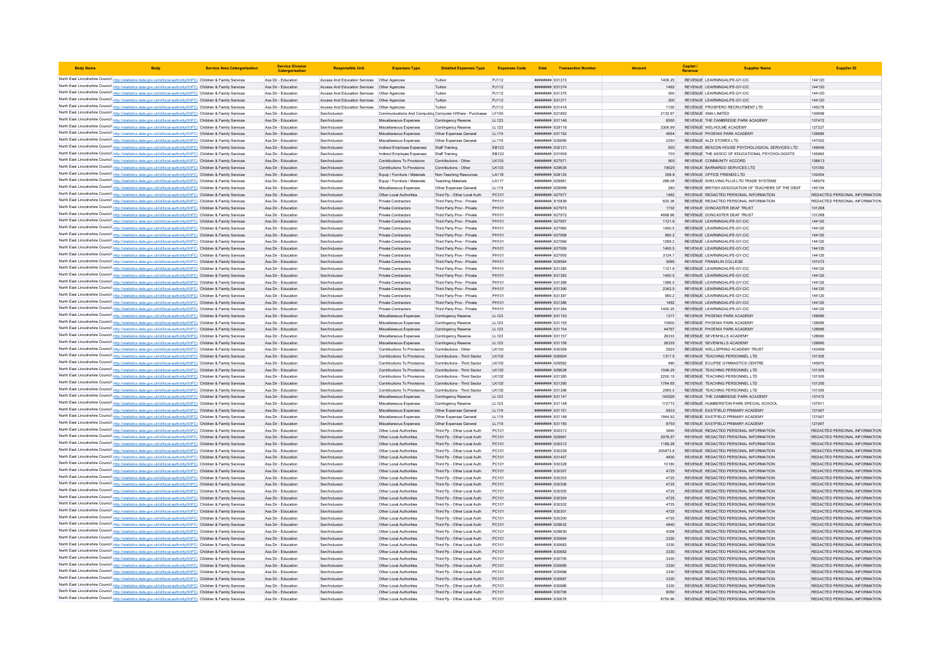| <b>Body Name</b> |                                                                                                                                                                                                                                        | <b>Service Area Catergorisation</b> | <b>Service Division</b><br>Catergorisati   | <b>Responsible Unit</b>                        | <b>Expenses Type</b>                                       | <b>Detailed Expenses Type</b>                              | <b>Expenses Code</b> | Date                                    | <b>Transaction Number</b> |                 | Capital<br><b>Supplier Name</b>                                                | <b>Supplier ID</b>                                             |
|------------------|----------------------------------------------------------------------------------------------------------------------------------------------------------------------------------------------------------------------------------------|-------------------------------------|--------------------------------------------|------------------------------------------------|------------------------------------------------------------|------------------------------------------------------------|----------------------|-----------------------------------------|---------------------------|-----------------|--------------------------------------------------------------------------------|----------------------------------------------------------------|
|                  | North East Lincolnshire Council http://statistics.data.gov.uk/id/local-authority/00FC) Children & Family Services                                                                                                                      |                                     | Ass Dir - Education                        | Access And Education Services   Other Agencies |                                                            | Tuition                                                    | PJ112                | ######## 631373                         |                           | 1406.25         | REVENUE LEARNING4LIFE-GY-CIC                                                   | 144120                                                         |
|                  | North East Lincolnshire Council http://statistics.data.gov.uk/id/local-authority/00FC) Children & Family Services                                                                                                                      |                                     | Ass Dir - Education                        | Access And Education Services                  | Other Agencies                                             | Tuition                                                    | PJ112                | ######## 631374                         |                           |                 | REVENUE LEARNING4LIFE-GY-CIC                                                   | 144120                                                         |
|                  | North East Lincolnshire Council http://statistics.data.gov.uk/id/local-authority/00FC) Children & Family Services                                                                                                                      |                                     | Ass Dir - Education                        | Access And Education Services   Other Agencies |                                                            | Tuition                                                    | PJ112                | ####### 631375                          |                           | 300             | REVENUE LEARNING4LIFE-GY-CIC                                                   | 144120                                                         |
|                  | North East Lincolnshire Council http://statistics.data.gov.uk/id/local-authority/00FC) Children & Family Services                                                                                                                      |                                     | Ass Dir - Education                        | Access And Education Services  Other Agencies  |                                                            | Tuition                                                    | PJ112                | ######## 631371                         |                           | 300             | REVENUE LEARNING4LIFE-GY-CIC                                                   | 144120                                                         |
|                  | North East Lincolnshire Council http://statistics.data.gov.uk/id/local-authority/00FC) Children & Family Services                                                                                                                      |                                     | Ass Dir - Education                        | Access And Education Services   Other Agencies |                                                            | Tuition                                                    | PJ112                | ####### 631418                          |                           | 1100            | REVENUE PROSPERO RECRUITMENT LTD                                               | 145278                                                         |
|                  | North East Lincolnshire Council http://statistics.data.gov.uk/id/local-authority/00FC) Children & Family Services                                                                                                                      |                                     | Ass Dir - Education                        | Sen/Inclusion                                  |                                                            | Communications And Computing Computer H/Ware - Purchases   | LF105                | ####### 621893                          |                           | 2132.97         | REVENUE XMA LIMITED                                                            | 100699                                                         |
|                  | North East Lincolnshire Council http://statistics.data.gov.uk/id/local-authority/00FC) Children & Family Services<br>North East Lincolnshire Council http://statistics.data.gov.uk/id/local-authority/00FC) Children & Family Services |                                     | Ass Dir - Education<br>Ass Dir - Education | Sen/Inclusion<br>Sen/Inclusion                 | Miscellaneous Expenses<br>Miscellaneous Expenses           | Contingency Reserve<br>Contingency Reserve                 | LL123<br>LL123       | ######## 631146<br>######## 629116      |                           | 8550<br>3306.99 | REVENUE THE CAMBRIDGE PARK ACADEMY<br>REVENUE WELHOLME ACADEMY                 | 107472<br>127227                                               |
|                  | North East Lincolnshire Council http://statistics.data.gov.uk/id/local-authority/00FC) Children & Family Services                                                                                                                      |                                     | Ass Dir - Education                        | Sen/Inclusion                                  | Miscellaneous Expenses                                     | Other Expenses General                                     | LL119                | ######## 631152                         |                           | 4654            | REVENUE PHOENIX PARK ACADEMY                                                   | 126685                                                         |
|                  | North East Lincolnshire Council http://statistics.data.gov.uk/id/local-authority/00FC) Children & Family Services                                                                                                                      |                                     | Ass Dir - Education                        | Sen/Inclusio                                   | Miscellaneous Expenses                                     | Other Expenses General                                     | LL119                | ######## 630695                         |                           | 2250            | REVENUE ALDI STORES LTD                                                        | 147003                                                         |
|                  | North East Lincolnshire Council http://statistics.data.gov.uk/id/local-authority/00FC) Children & Family Services                                                                                                                      |                                     | Ass Dir - Education                        | Sen/Inclusion                                  | Indirect Employee Expenses                                 | Staff Training                                             | EB122                | ######## 630121                         |                           | 500             | REVENUE BEACON HOUSE PSYCHOLOGICAL SERVICES LTD                                | 146949                                                         |
|                  | North East Lincolnshire Council http://statistics.data.gov.uk/id/local-authority/00FC) Children & Family Services                                                                                                                      |                                     | Ass Dir - Education                        | Sen/Inclusion                                  | Indirect Employee Expenses                                 | Staff Training                                             | EB122                | ######## 631659                         |                           | 700             | REVENUE THE ASSOC OF EDUCATIONAL PSYCHOLOGISTS                                 | 145963                                                         |
|                  | North East Lincolnshire Council http://statistics.data.gov.uk/id/local-authority/00FC) Children & Family Services                                                                                                                      |                                     | Ass Dir - Education                        | Sen/Inclusion                                  | Contributions To Provisions                                | Contributions - Other                                      | LK103                | <b><i>BREERER 62797</i></b>             |                           | 900             | REVENUE COMMUNITY ACCORD                                                       | 106613                                                         |
|                  | North East Lincolnshire Council http://statistics.data.gov.uk/id/local-authority/00FC) Children & Family Services                                                                                                                      |                                     | Ass Dir - Education                        | Sen/Inclusion                                  | Contributions To Provisions                                | Contributions - Other                                      | LK103                | ######## 629635                         |                           | 19625           | REVENUE BARNARDO SERVICES LTD                                                  | 101050                                                         |
|                  | North East Lincolnshire Council http://statistics.data.gov.uk/id/local-authority/00FC) Children & Family Services<br>North East Lincolnshire Council http://statistics.data.gov.uk/id/local-authority/00FC) Children & Family Services |                                     | Ass Dir - Education<br>Ass Dir - Education | Sen/Inclusion                                  | Equip / Furniture / Materials                              | Non-Teaching Resources                                     | LA118<br>LA117       | <b>ПНИНИНИ 628125</b><br>######## 62996 |                           | 308.8<br>289.08 | REVENUE OFFICE FRIENDS LTD<br>REVENUE SHELVING PLUS LTD TRADE SYSTEMS          | 102454<br>146979                                               |
|                  | North East Lincolnshire Council http://statistics.data.gov.uk/id/local-authority/00FC) Children & Family Services                                                                                                                      |                                     | Ass Dir - Education                        | Sen/Inclusion<br>Sen/Inclusion                 | Equip / Furniture / Materials<br>Miscellaneous Expenses    | <b>Teaching Materials</b><br>Other Expenses General        | LL119                | <b>########</b> 62999                   |                           | 280             | REVENUE BRITISH ASSOCIATION OF TEACHERS OF THE DEAF                            | 145154                                                         |
|                  | North East Lincolnshire Council http://statistics.data.gov.uk/id/local-authority/00FC) Children & Family Services                                                                                                                      |                                     | Ass Dir - Education                        | Sen/Inclusion                                  | Other Local Authorities                                    | Third Pp - Other Local Auth                                | PC101                | ######## 627977                         |                           | 1462            | REVENUE REDACTED PERSONAL INFORMATION                                          | REDACTED PERSONAL INFORMATION                                  |
|                  | North East Lincolnshire Council http://statistics.data.gov.uk/id/local-authority/00FC) Children & Family Services                                                                                                                      |                                     | Ass Dir - Education                        | Sen/Inclusion                                  | Private Contractors                                        | Third Party Prov - Private                                 | PH101                | <b><i>BREEBBBB</i></b> 815839           |                           | 620.36          | REVENUE REDACTED PERSONAL INFORMATION                                          | REDACTED PERSONAL INFORMATION                                  |
|                  | North East Lincolnshire Council http://statistics.data.gov.uk/id/local-authority/00FC) Children & Family Services                                                                                                                      |                                     | Ass Dir - Education                        | Sen/Inclusion                                  | Private Contractors                                        | Third Party Prov - Private                                 | PH101                | ######## 627973                         |                           | 1732            | REVENUE DONCASTER DEAF TRUST                                                   | 101268                                                         |
|                  | North East Lincolnshire Council http://statistics.data.gov.uk/id/local-authority/00FC) Children & Family Services                                                                                                                      |                                     | Ass Dir - Education                        | Sen/Inclusion                                  | Private Contractors                                        | Third Party Prov - Private                                 | PH101                | ######## 627972                         |                           | 4668.66         | REVENUE DONCASTER DEAF TRUST                                                   | 101268                                                         |
|                  | North East Lincolnshire Council http://statistics.data.gov.uk/id/local-authority/00FC) Children & Family Services                                                                                                                      |                                     | Ass Dir - Education                        | Sen/Inclusion                                  | Private Contractors                                        | Third Party Prov - Private                                 | PH101                | ######## 627957                         |                           | 1121.9          | REVENUE LEARNING4LIFE-GY-CIC                                                   | 144120                                                         |
|                  | North East Lincolnshire Council http://statistics.data.gov.uk/id/local-authority/00FC) Children & Family Services                                                                                                                      |                                     | Ass Dir - Education                        | Sen/Inclusion                                  | <b>Private Contractors</b>                                 | Third Party Prov - Private                                 | PH101                | ######## 627960                         |                           | 1400.5          | REVENUE LEARNING4LIFE-GY-CIC                                                   | 144120<br>144120                                               |
|                  | North East Lincolnshire Council http://statistics.data.gov.uk/id/local-authority/00FC) Children & Family Services<br>North East Lincolnshire Council http://statistics.data.gov.uk/id/local-authority/00FC) Children & Family Services |                                     | Ass Dir - Education<br>Ass Dir - Education | Sen/Inclusion<br>Sen/Inclusio                  | Private Contractors<br>Private Contractors                 | Third Party Prov - Private<br>Third Party Prov - Private   | PH101<br>PH101       | ######## 627958<br>####### 62795        |                           | 950.2<br>1269.2 | REVENUE LEARNING4LIFE-GY-CIC<br>REVENUE LEARNING4LIFE-GY-CIC                   | 144120                                                         |
|                  | North East Lincolnshire Council http://statistics.data.gov.uk/id/local-authority/00FC) Children & Family Services                                                                                                                      |                                     | Ass Dir - Education                        | Sen/Indusion                                   | Private Contractors                                        | Third Party Prov - Private                                 | PH101                | ######## 627959                         |                           | 1400.5          | REVENUE LEARNING4LIFE-GY-CIC                                                   | 144120                                                         |
|                  | North East Lincolnshire Council http://statistics.data.gov.uk/id/local-authority/00FC) Children & Family Services                                                                                                                      |                                     | Ass Dir - Education                        | Sen/Inclusion                                  | Private Contractors                                        | Third Party Prov - Private                                 | PH101                | ######## 627955                         |                           | 3124.7          | REVENUE LEARNING4LIFE-GY-CIC                                                   | 144120                                                         |
|                  | North East Lincolnshire Council http://statistics.data.gov.uk/id/local-authority/00FC) Children & Family Services                                                                                                                      |                                     | Ass Dir - Education                        | Sen/Inclusion                                  | Private Contractors                                        | Third Party Prov - Private                                 | PH101                | ######## 629564                         |                           | 5595            | REVENUE FRANKLIN COLLEGE                                                       | 101073                                                         |
|                  | North East Lincolnshire Council http://statistics.data.gov.uk/id/local-authority/00FC) Children & Family Services                                                                                                                      |                                     | Ass Dir - Education                        | Sen/Inclusion                                  | Private Contractors                                        | Third Party Prov - Private                                 | PH101                | ####### 631385                          |                           | 1121.9          | REVENUE LEARNING4LIFE-GY-CIC                                                   | 144120                                                         |
|                  | North East Lincolnshire Council http://statistics.data.gov.uk/id/local-authority/00FC) Children & Family Services                                                                                                                      |                                     | Ass Dir - Education                        | Sen/Inclusion                                  | Private Contractors                                        | Third Party Prov - Private                                 | PH101                | ######## 631383                         |                           | 1400.5          | REVENUE LEARNING4LIFE-GY-CIC                                                   | 144120                                                         |
|                  | North East Lincolnshire Council http://statistics.data.gov.uk/id/local-authority/00FC) Children & Family Services                                                                                                                      |                                     | Ass Dir - Education                        | Sen/Inclusion                                  | <b>Private Contractors</b>                                 | Third Party Prov - Private                                 | PH101                | ######## 631389                         |                           | 1586.5          | REVENUE LEARNING4LIFE-GY-CIC                                                   | 144120                                                         |
|                  | North East Lincolnshire Council http://statistics.data.gov.uk/id/local-authority/00FC) Children & Family Services                                                                                                                      |                                     | Ass Dir - Education                        | Sen/Inclusion                                  | <b>Private Contractors</b>                                 | Third Party Prov - Private                                 | PH101                | ######## 631390                         |                           | 2342.5          | REVENUE LEARNING4LIFE-GY-CIC                                                   | 144120                                                         |
|                  | North East Lincolnshire Council http://statistics.data.gov.uk/id/local-authority/00FC) Children & Family Services<br>North East Lincolnshire Council http://statistics.data.gov.uk/id/local-authority/00FC) Children & Family Services |                                     | Ass Dir - Education<br>Ass Dir - Education | Sen/Inclusion<br>Sen/Inclusion                 | Private Contractors<br>Private Contractors                 | Third Party Prov - Private<br>Third Party Prov - Private   | PH101<br>PH101       | ######## 63138<br>######## 631386       |                           | 950.2<br>1462   | REVENUE LEARNING4LIFE-GY-CIC<br>REVENUE LEARNING4LIFE-GY-CIC                   | 144120<br>144120                                               |
|                  | North East Lincolnshire Council http://statistics.data.gov.uk/id/local-authority/00FC) Children & Family Services                                                                                                                      |                                     | Ass Dir - Education                        | Sen/Inclusion                                  | Private Contractors                                        | Third Party Prov - Private                                 | PH101                | ######## 631384                         |                           | 1400.25         | REVENUE LEARNING4LIFE-GY-CIC                                                   | 144120                                                         |
|                  | North East Lincolnshire Council http://statistics.data.gov.uk/id/local-authority/00FC) Children & Family Services                                                                                                                      |                                     | Ass Dir - Education                        | Sen/Inclusion                                  | Miscellaneous Expenses                                     | Contingency Reserve                                        | LL123                | ######## 631153                         |                           | 1317            | REVENUE PHOENIX PARK ACADEMY                                                   | 126685                                                         |
|                  | North East Lincolnshire Council http://statistics.data.gov.uk/id/local-authority/00FC) Children & Family Services                                                                                                                      |                                     | Ass Dir - Education                        | Sen/Inclusion                                  | Miscellaneous Expenses                                     | Contingency Reserve                                        | LL123                | ######## 631155                         |                           | 15800           | REVENUE PHOENIX PARK ACADEMY                                                   | 126685                                                         |
|                  | North East Lincolnshire Council http://statistics.data.gov.uk/id/local-authority/00FC) Children & Family Services                                                                                                                      |                                     | Ass Dir - Education                        | Sen/Inclusion                                  | Miscellaneous Expenses                                     | Contingency Reserve                                        | LL123                | <b>HHHHHHH</b> 631154                   |                           | 44767           | REVENUE PHOENIX PARK ACADEMY                                                   | 126685                                                         |
|                  | North East Lincolnshire Council http://statistics.data.gov.uk/id/local-authority/00FC) Children & Family Services                                                                                                                      |                                     | Ass Dir - Education                        | Sen/Inclusion                                  | Miscellaneous Expenses                                     | Contingency Reserve                                        | LL123                | ######## 631157                         |                           | 26333           | REVENUE SEVENHILLS ACADEMY                                                     | 128660                                                         |
|                  | North East Lincolnshire Council http://statistics.data.gov.uk/id/local-authority/00FC) Children & Family Services                                                                                                                      |                                     | Ass Dir - Education                        | Sen/Inclusion                                  | Miscellaneous Expenses                                     | Contingency Reserve                                        | LL123                | ######## 631156                         |                           | 26333           | REVENUE SEVENHILLS ACADEMY                                                     | 128660                                                         |
|                  | North East Lincolnshire Council http://statistics.data.gov.uk/id/local-authority/00FC) Children & Family Services<br>North East Lincolnshire Council http://statistics.data.gov.uk/id/local-authority/00FC) Children & Family Services |                                     | Ass Dir - Education<br>Ass Dir - Education | Sen/Inclusion<br>Sen/Inclusion                 | Contributions To Provisions<br>Contributions To Provisions | Contributions - Other<br>Contributions - Third Sector      | LK103<br>I K102      | ####### 630359<br>пининни 626804        |                           | 2925<br>1317.5  | REVENUE WELLSPRING ACADEMY TRUST<br>REVENUE TEACHING PERSONNEL LTD             | 143489<br>101305                                               |
|                  | North East Lincolnshire Council http://statistics.data.gov.uk/id/local-authority/00FC) Children & Family Services                                                                                                                      |                                     | Ass Dir - Education                        | Sen/Inclusion                                  | Contributions To Provisions                                | Contributions - Third Sector                               | LK102                | ######## 629562                         |                           | 480             | REVENUE ECLIPSE GYMNASTICS CENTRE                                              | 145970                                                         |
|                  | North East Lincolnshire Council http://statistics.data.gov.uk/id/local-authority/00FC) Children & Family Services                                                                                                                      |                                     | Ass Dir - Education                        | Sen/Inclusion                                  | Contributions To Provisions                                | Contributions - Third Sector                               | LK102                | ######## 629628                         |                           | 1546.25         | REVENUE TEACHING PERSONNEL LTD                                                 | 101305                                                         |
|                  | North East Lincolnshire Council http://statistics.data.gov.uk/id/local-authority/00FC) Children & Family Services                                                                                                                      |                                     | Ass Dir - Education                        | Sen/Inclusion                                  | Contributions To Provisions                                | Contributions - Third Sector                               | LK102                | ######## 631365                         |                           | 2250.15         | REVENUE TEACHING PERSONNEL LTD                                                 | 101305                                                         |
|                  | North East Lincolnshire Council http://statistics.data.gov.uk/id/local-authority/00FC) Children & Family Services                                                                                                                      |                                     | Ass Dir - Education                        | Sen/Inclusion                                  | Contributions To Provisions                                | Contributions - Third Sector                               | LK102                | ######## 631395                         |                           | 1764.65         | REVENUE TEACHING PERSONNEL LTD                                                 | 101305                                                         |
|                  | North East Lincolnshire Council http://statistics.data.gov.uk/id/local-authority/00FC) Children & Family Services                                                                                                                      |                                     | Ass Dir - Education                        | Sen/Inclusion                                  | Contributions To Provisions                                | Contributions - Third Sector                               | LK102                | ####### 631396                          |                           | 2955.5          | REVENUE TEACHING PERSONNEL LTD                                                 | 101305                                                         |
|                  | North East Lincolnshire Council http://statistics.data.gov.uk/id/local-authority/00FC) Children & Family Services                                                                                                                      |                                     | Ass Dir - Education                        | Sen/Inclusion                                  | Miscellaneous Expenses                                     | Contingency Reserve                                        | LL123                | <b><i>MHHHHHH</i></b> 631147            |                           |                 | REVENUE THE CAMBRIDGE PARK ACADEM'                                             | 107472                                                         |
|                  | North East Lincolnshire Council http://statistics.data.gov.uk/id/local-authority/00FC) Children & Family Services<br>North East Lincolnshire Council http://statistics.data.gov.uk/id/local-authority/00FC) Children & Family Services |                                     | Ass Dir - Education<br>Ass Dir - Education | Sen/Inclusion<br>Sen/Inclusion                 | Miscellaneous Expenses<br>Miscellaneous Expenses           | Contingency Reserve<br>Other Expenses General              | LL123<br>LL119       | ######## 631148<br>######## 631151      |                           | 112773<br>5833  | REVENUE HUMBERSTON PARK SPECIAL SCHOOL<br>REVENUE EASTFIELD PRIMARY ACADEMY    | 107911<br>121907                                               |
|                  | North East Lincolnshire Council http://statistics.data.gov.uk/id/local-authority/00FC) Children & Family Services                                                                                                                      |                                     | Ass Dir - Education                        | Sen/Inclusion                                  | Miscellaneous Expenses                                     | Other Expenses General                                     | LL119                | ######## 631149                         |                           | 1944.92         | REVENUE EASTFIELD PRIMARY ACADEMY                                              | 121907                                                         |
|                  | North East Lincolnshire Council http://statistics.data.gov.uk/id/local-authority/00FC) Children & Family Services                                                                                                                      |                                     | Ass Dir - Education                        | Sen/Inclusion                                  | Miscellaneous Expenses                                     | Other Expenses General                                     | LL119                | ######## 631150                         |                           | 8750            | REVENUE EASTFIELD PRIMARY ACADEMY                                              | 121907                                                         |
|                  | North East Lincolnshire Council http://statistics.data.gov.uk/id/local-authority/00FC) Children & Family Services                                                                                                                      |                                     | Ass Dir - Education                        | Sen/Inclusion                                  | Other Local Authorities                                    | Third Pp - Other Local Auth                                | PC101                | ######## 630313                         |                           | 3840            | REVENUE REDACTED PERSONAL INFORMATION                                          | REDACTED PERSONAL INFORMATION                                  |
|                  | North East Lincolnshire Council http://statistics.data.gov.uk/id/local-authority/00FC) Children & Family Services                                                                                                                      |                                     | Ass Dir - Education                        | Sen/Inclusion                                  | Other Local Authorities                                    | Third Pp - Other Local Auth                                | PC101                | ######## 629991                         |                           | 2978.57         | REVENUE REDACTED PERSONAL INFORMATION                                          | REDACTED PERSONAL INFORMATION                                  |
|                  | North East Lincolnshire Council http://statistics.data.gov.uk/id/local-authority/00FC) Children & Family Services                                                                                                                      |                                     | Ass Dir - Education                        | Sen/Inclusion                                  | Other Local Authorities                                    | Third Pp - Other Local Auth                                | PC101                | ######## 630312                         |                           | 1189.29         | REVENUE REDACTED PERSONAL INFORMATION                                          | REDACTED PERSONAL INFORMATION                                  |
|                  | North East Lincolnshire Council http://statistics.data.gov.uk/id/local-authority/00FC) Children & Family Services                                                                                                                      |                                     | Ass Dir - Education                        | Sen/Inclusion                                  | Other Local Authorities                                    | Third Pp - Other Local Auth                                | PC101                | ######## 630329                         |                           | 205873.8        | REVENUE REDACTED PERSONAL INFORMATION                                          | REDACTED PERSONAL INFORMATION                                  |
|                  | North East Lincolnshire Council http://statistics.data.gov.uk/id/local-authority/00FC) Children & Family Services                                                                                                                      |                                     | Ass Dir - Education                        | Sen/Inclusion                                  | Other Local Authorities                                    | Third Pp - Other Local Auth                                | PC101                | ######## 631457                         |                           | 4830            | REVENUE REDACTED PERSONAL INFORMATION                                          | REDACTED PERSONAL INFORMATION                                  |
|                  | North East Lincolnshire Council http://statistics.data.gov.uk/id/local-authority/00FC) Children & Family Services                                                                                                                      |                                     | Ass Dir - Education<br>Ass Dir - Education | Sen/Inclusion<br>Sen/Inclusion                 | Other Local Authorities<br>Other Local Authorities         | Third Pp - Other Local Auth                                | PC101<br>PC101       | ######## 630328<br>######## 630307      |                           | 10180<br>4725   | REVENUE REDACTED PERSONAL INFORMATION<br>REVENUE REDACTED PERSONAL INFORMATION | REDACTED PERSONAL INFORMATION<br>REDACTED PERSONAL INFORMATION |
|                  | North East Lincolnshire Council http://statistics.data.gov.uk/id/local-authority/00FC) Children & Family Services<br>North East Lincolnshire Council http://statistics.data.gov.uk/id/local-authority/00FC) Children & Family Services |                                     | Ass Dir - Education                        | Sen/Inclusion                                  | Other Local Authorities                                    | Third Pp - Other Local Auth<br>Third Pp - Other Local Auth | PC101                | ######## 630303                         |                           | 4725            | REVENUE REDACTED PERSONAL INFORMATION                                          | REDACTED PERSONAL INFORMATION                                  |
|                  | North East Lincolnshire Council http://statistics.data.gov.uk/id/local-authority/00FC) Children & Family Services                                                                                                                      |                                     | Ass Dir - Education                        | Sen/Inclusion                                  | Other Local Authorities                                    | Third Pp - Other Local Auth                                | PC101                | ######## 630306                         |                           | 4725            | REVENUE REDACTED PERSONAL INFORMATION                                          | REDACTED PERSONAL INFORMATION                                  |
|                  | North East Lincolnshire Council http://statistics.data.gov.uk/id/local-authority/00FC) Children & Family Services                                                                                                                      |                                     | Ass Dir - Education                        | Sen/Inclusion                                  | Other Local Authorities                                    | Third Pp - Other Local Auth                                | PC101                | ######## 630305                         |                           | 4725            | REVENUE REDACTED PERSONAL INFORMATION                                          | REDACTED PERSONAL INFORMATION                                  |
|                  | North East Lincolnshire Council http://statistics.data.gov.uk/id/local-authority/00FC) Children & Family Services                                                                                                                      |                                     | Ass Dir - Education                        | Sen/Inclusion                                  | Other Local Authorities                                    | Third Pp - Other Local Auth                                | PC101                | ######## 630304                         |                           | 4725            | REVENUE REDACTED PERSONAL INFORMATION                                          | REDACTED PERSONAL INFORMATION                                  |
|                  | North East Lincolnshire Council http://statistics.data.gov.uk/id/local-authority/00FC) Children & Family Services                                                                                                                      |                                     | Ass Dir - Education                        | Sen/Inclusion                                  | Other Local Authorities                                    | Third Pp - Other Local Auth                                | PC101                | ######## 630302                         |                           | 4725            | REVENUE REDACTED PERSONAL INFORMATION                                          | REDACTED PERSONAL INFORMATION                                  |
|                  | North East Lincolnshire Council http://statistics.data.gov.uk/id/local-authority/00FC) Children & Family Services                                                                                                                      |                                     | Ass Dir - Education                        | Sen/Inclusion                                  | Other Local Authorities                                    | Third Pp - Other Local Auth                                | PC101                | ######## 630301                         |                           | 4725            | REVENUE REDACTED PERSONAL INFORMATION                                          | REDACTED PERSONAL INFORMATION                                  |
|                  | North East Lincolnshire Council http://statistics.data.gov.uk/id/local-authority/00FC) Children & Family Services                                                                                                                      |                                     | Ass Dir - Education                        | Sen/Inclusion                                  | Other Local Authorities                                    | Third Pp - Other Local Auth                                | PC101                | ######## 630300                         |                           | 4725            | REVENUE REDACTED PERSONAL INFORMATION                                          | REDACTED PERSONAL INFORMATION                                  |
|                  | North East Lincolnshire Council http://statistics.data.gov.uk/id/local-authority/00FC) Children & Family Services<br>North East Lincolnshire Council http://statistics.data.gov.uk/id/local-authority/00FC) Children & Family Services |                                     | Ass Dir - Education<br>Ass Dir - Education | Sen/Inclusion<br>Sen/Inclusion                 | Other Local Authorities<br>Other Local Authorities         | Third Pp - Other Local Auth<br>Third Pp - Other Local Auth | PC101<br>PC101       | ######## 629632<br>######## 629630      |                           | 4840<br>4308    | REVENUE REDACTED PERSONAL INFORMATION<br>REVENUE REDACTED PERSONAL INFORMATION | REDACTED PERSONAL INFORMATION<br>REDACTED PERSONAL INFORMATION |
|                  | North East Lincolnshire Council http://statistics.data.gov.uk/id/local-authority/00FC) Children & Family Services                                                                                                                      |                                     | Ass Dir - Education                        | Sen/Inclusion                                  | Other Local Authorities                                    | Third Pp - Other Local Auth                                | PC101                | ######## 630684                         |                           | 3330            | REVENUE REDACTED PERSONAL INFORMATION                                          | REDACTED PERSONAL INFORMATION                                  |
|                  | North East Lincolnshire Council http://statistics.data.gov.uk/id/local-authority/00FC) Children & Family Services                                                                                                                      |                                     | Ass Dir - Education                        | Sen/Inclusion                                  | Other Local Authorities                                    | Third Pp - Other Local Auth                                | PC101                | ######## 630683                         |                           | 3330            | REVENUE REDACTED PERSONAL INFORMATION                                          | REDACTED PERSONAL INFORMATION                                  |
|                  | North East Lincolnshire Council http://statistics.data.gov.uk/id/local-authority/00FC) Children & Family Services                                                                                                                      |                                     | Ass Dir - Education                        | Sen/Inclusion                                  | Other Local Authorities                                    | Third Pp - Other Local Auth                                | PC101                | ######## 630682                         |                           | 3330            | REVENUE REDACTED PERSONAL INFORMATION                                          | REDACTED PERSONAL INFORMATION                                  |
|                  | North East Lincolnshire Council http://statistics.data.gov.uk/id/local-authority/00FC) Children & Family Services                                                                                                                      |                                     | Ass Dir - Education                        | Sen/Indusion                                   | Other Local Authorities                                    | Third Pp - Other Local Auth                                | PC101                | <b>########</b> 630705                  |                           | 3330            | REVENUE REDACTED PERSONAL INFORMATION                                          | REDACTED PERSONAL INFORMATION                                  |
|                  | North East Lincolnshire Council http://statistics.data.gov.uk/id/local-authority/00FC) Children & Family Services                                                                                                                      |                                     | Ass Dir - Education                        | Sen/Inclusion                                  | Other Local Authorities                                    | Third Po - Other Local Auth                                | PC101                | ######## 630685                         |                           | 3330            | REVENUE REDACTED PERSONAL INFORMATION                                          | REDACTED PERSONAL INFORMATION                                  |
|                  | North East Lincolnshire Council http://statistics.data.gov.uk/id/local-authority/00FC) Children & Family Services                                                                                                                      |                                     | Ass Dir - Education                        | Sen/Inclusion                                  | Other Local Authorities                                    | Third Pp - Other Local Auth                                | PC101                | ######## 630688                         |                           | 3330            | REVENUE REDACTED PERSONAL INFORMATION                                          | REDACTED PERSONAL INFORMATION                                  |
|                  | North East Lincolnshire Council http://statistics.data.gov.uk/id/local-authority/00FC) Children & Family Services<br>North East Lincolnshire Council http://statistics.data.gov.uk/id/local-authority/00FC) Children & Family Services |                                     | Ass Dir - Education<br>Ass Dir - Education | Sen/Inclusion<br>Sen/Inclusion                 | Other Local Authorities<br>Other Local Authorities         | Third Pp - Other Local Auth<br>Third Pp - Other Local Auth | PC101<br>PC101       | ######## 630687<br>######## 630686      |                           | 3330<br>3330    | REVENUE REDACTED PERSONAL INFORMATION<br>REVENUE REDACTED PERSONAL INFORMATION | REDACTED PERSONAL INFORMATION<br>REDACTED PERSONAL INFORMATION |
|                  | North East Lincolnshire Council http://statistics.data.gov.uk/id/local-authority/00FC) Children & Family Services                                                                                                                      |                                     | Ass Dir - Education                        | Sen/Inclusion                                  | Other Local Authorities                                    | Third Pp - Other Local Auth                                | PC101                | ######## 630706                         |                           | 9050            | REVENUE REDACTED PERSONAL INFORMATION                                          | REDACTED PERSONAL INFORMATION                                  |
|                  | North East Lincolnshire Council http://statistics.data.gov.uk/id/local-authority/00FC) Children & Family Services                                                                                                                      |                                     | Ass Dir - Education                        | Sen/Inclusion                                  | Other Local Authorities                                    | Third Pp - Other Local Auth                                | PC101                | ####### 63067                           |                           | 8750.96         | REVENUE REDACTED PERSONAL INFORMATION                                          | REDACTED PERSONAL INFORMATION                                  |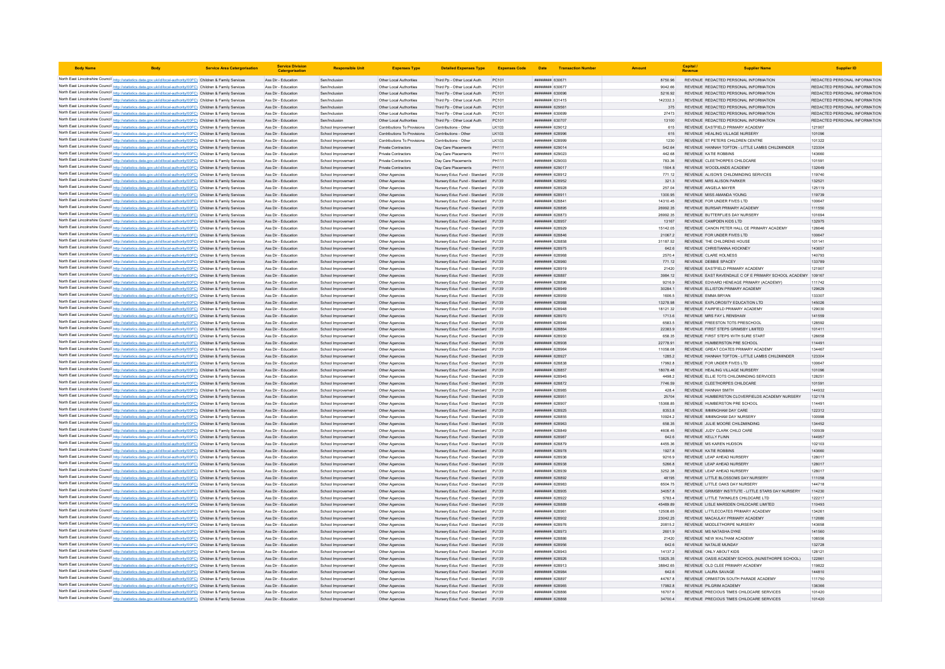| <b>Body Name</b>                                                                                                                                                                                                                       | <b>Service Area Catergorisation</b> | <b>Service Division</b><br>Catergorisatio  | <b>Responsible Unit</b>                 | <b>Expenses Type</b>             | <b>Detailed Expenses Type</b>                                            | <b>Expenses Code</b> | Date                              | <b>Transaction Number</b> | Amoun            | Capital | <b>Supplier Name</b>                                                | <b>Supplier ID</b>            |
|----------------------------------------------------------------------------------------------------------------------------------------------------------------------------------------------------------------------------------------|-------------------------------------|--------------------------------------------|-----------------------------------------|----------------------------------|--------------------------------------------------------------------------|----------------------|-----------------------------------|---------------------------|------------------|---------|---------------------------------------------------------------------|-------------------------------|
| North East Lincolnshire Council http://statistics.data.gov.uk/id/local-authority/00FC) Children & Family Services                                                                                                                      |                                     | Ass Dir - Education                        | Sen/Inclusion                           | Other Local Authorities          | Third Pp - Other Local Auth                                              | PC101                | ####### 630671                    |                           | 8750.96          |         | REVENUE REDACTED PERSONAL INFORMATION                               | REDACTED PERSONAL INFORMATION |
| North East Lincolnshire Council http://statistics.data.gov.uk/id/local-authority/00FC) Children & Family Services                                                                                                                      |                                     | Ass Dir - Education                        | Sen/Inclusion                           | Other Local Authorities          | Third Po - Other Local Auth                                              | PC101                | ######## 630677                   |                           | 9042.66          |         | REVENUE REDACTED PERSONAL INFORMATION                               | REDACTED PERSONAL INFORMATION |
| North East Lincolnshire Council http://statistics.data.gov.uk/id/local-authority/00FC) Children & Family Services                                                                                                                      |                                     | Ass Dir - Education                        | Sen/Inclusion                           | Other Local Authorities          | Third Pp - Other Local Auth                                              | PC101                | ######## 630696                   |                           | 5216.92          |         | REVENUE REDACTED PERSONAL INFORMATION                               | REDACTED PERSONAL INFORMATION |
| North East Lincolnshire Council http://statistics.data.gov.uk/id/local-authority/00FC) Children & Family Services                                                                                                                      |                                     | Ass Dir - Education                        | Sen/Inclusion                           | Other Local Authoritie           | Third Pp - Other Local Auth                                              | PC101                | <b>########</b> 631415            |                           | 142332.3         |         | REVENUE REDACTED PERSONAL INFORMATION                               | REDACTED PERSONAL INFORMATION |
| North East Lincolnshire Council http://statistics.data.gov.uk/id/local-authority/00FC) Children & Family Services                                                                                                                      |                                     | Ass Dir - Education                        | Sen/Inclusion                           | Other Local Authorities          | Third Pp - Other Local Auth                                              | PC101                | ######## 629561                   |                           | 375              |         | REVENUE REDACTED PERSONAL INFORMATION                               | REDACTED PERSONAL INFORMATION |
| North East Lincolnshire Council http://statistics.data.gov.uk/id/local-authority/00FC) Children & Family Services                                                                                                                      |                                     | Ass Dir - Education                        | Sen/Inclusion                           | Other Local Authorities          | Third Po - Other Local Auth                                              | PC101                | ######## 630699                   |                           | 27473            |         | REVENUE REDACTED PERSONAL INFORMATION                               | REDACTED PERSONAL INFORMATION |
| North East Lincolnshire Council http://statistics.data.gov.uk/id/local-authority/00FC) Children & Family Services                                                                                                                      |                                     | Ass Dir - Education                        | Sen/Inclusion                           | Other Local Authorities          | Third Pp - Other Local Auth                                              | PC101                | ######## 630707                   |                           | 13100            |         | REVENUE REDACTED PERSONAL INFORMATION                               | REDACTED PERSONAL INFORMATION |
| North East Lincolnshire Council http://statistics.data.gov.uk/id/local-authority/00FC) Children & Family Services                                                                                                                      |                                     | Ass Dir - Education                        | School Improvemen                       | Contributions To Provisions      | Contributions - Other                                                    | LK103                | ######## 629012                   |                           | 615              |         | REVENUE EASTFIELD PRIMARY ACADEMY                                   | 121907                        |
| North East Lincolnshire Council http://statistics.data.gov.uk/id/local-authority/00FC) Children & Family Services                                                                                                                      |                                     | Ass Dir - Education                        | School Improvement                      | Contributions To Provisions      | Contributions - Other                                                    | LK103                | <b>######## 628996</b>            |                           | 615              |         | REVENUE HEALING VILLAGE NURSERY                                     | 101096                        |
| North East Lincolnshire Council http://statistics.data.gov.uk/id/local-authority/00FC) Children & Family Services                                                                                                                      |                                     | Ass Dir - Education                        | School Improvement                      | Contributions To Provisions      | Contributions - Other                                                    | LK103                | <i>вининния</i> 628995            |                           | 1230             |         | REVENUE ST PETERS CHILDREN CENTRE                                   | 101322                        |
| North East Lincolnshire Council http://statistics.data.gov.uk/id/local-authority/00FC) Children & Family Services                                                                                                                      |                                     | Ass Dir - Education                        | School Improvement                      | Private Contractors              | Day Care Placements                                                      | PH111                | ####### 629014                    |                           | 542.64           |         | REVENUE HANNAH TOFTON - LITTLE LAMBS CHILDMINDER                    | 123304                        |
| North East Lincolnshire Council http://statistics.data.gov.uk/id/local-authority/00FC) Children & Family Services                                                                                                                      |                                     | Ass Dir - Education                        | School Improvement                      | Private Contractors              | Day Care Placements                                                      | PH111                | ######## 629023                   |                           | 442.68           |         | <b>REVENUE KATIE ROBBINS</b>                                        | 143660                        |
| North East Lincolnshire Council http://statistics.data.gov.uk/id/local-authority/00FC) Children & Family Services                                                                                                                      |                                     | Ass Dir - Education                        | School Improvement                      | Private Contractors              | Day Care Placements                                                      | PH111                | ######## 629003                   |                           | 783.36           |         | REVENUE CLEETHORPES CHILDCARE                                       | 101591                        |
| North East Lincolnshire Council http://statistics.data.gov.uk/id/local-authority/00FC) Children & Family Services                                                                                                                      |                                     | Ass Dir - Education                        | School Improvement                      | Private Contractors              | Day Care Placements                                                      | PH111                | ######## 629017                   |                           | 1504.8           |         | REVENUE WOODLANDS ACADEMY                                           | 132649                        |
| North East Lincolnshire Council http://statistics.data.gov.uk/id/local-authority/00FC) Children & Family Services                                                                                                                      |                                     | Ass Dir - Education                        | School Improvemen                       | Other Agencies                   | Nursery Educ Fund - Standard PJ139                                       |                      | ####### 628912<br>######## 628952 |                           | 771.12           |         | REVENUE ALISON'S CHILDMINDING SERVICES<br>REVENUE MRS ALISON PARKER | 119740<br>132521              |
| North East Lincolnshire Council http://statistics.data.gov.uk/id/local-authority/00FC) Children & Family Services<br>North East Lincolnshire Council http://statistics.data.gov.uk/id/local-authority/00FC) Children & Family Services |                                     | Ass Dir - Education<br>Ass Dir - Education | School Improvement<br>School Improvemen | Other Agencies<br>Other Agencies | Nursery Educ Fund - Standard PJ139<br>Nursery Educ Fund - Standard PJ139 |                      | ######## 628928                   |                           | 321.3<br>257.04  |         | REVENUE ANGELA MAYER                                                | 125119                        |
| North East Lincolnshire Council http://statistics.data.gov.uk/id/local-authority/00FC) Children & Family Services                                                                                                                      |                                     | Ass Dir - Education                        | School Improvement                      | Other Agencies                   | Nursery Educ Fund - Standard PJ139                                       |                      | ######## 628911                   |                           | 1300.95          |         | REVENUE MISS AMANDA YOUNG                                           | 119739                        |
| North East Lincolnshire Council http://statistics.data.gov.uk/id/local-authority/00FC) Children & Family Services                                                                                                                      |                                     | Ass Dir - Education                        | School Improvemen                       | Other Agencies                   | Nursery Educ Fund - Standard PJ139                                       |                      | ######## 62884                    |                           | 14310.45         |         | REVENUE FOR UNDER FIVES LTD                                         | 100647                        |
| North East Lincolnshire Council http://statistics.data.gov.uk/id/local-authority/00FC) Children & Family Services                                                                                                                      |                                     | Ass Dir - Education                        | School Improvement                      | Other Agencies                   | Nursery Educ Fund - Standard PJ139                                       |                      | <b>######## 628895</b>            |                           | 26992.35         |         | REVENUE BURSAR PRIMARY ACADEMY                                      | 111550                        |
| North East Lincolnshire Council http://statistics.data.gov.uk/id/local-authority/00FC) Children & Family Services                                                                                                                      |                                     | Ass Dir - Education                        | School Improvement                      | Other Agencies                   | Nursery Educ Fund - Standard PJ139                                       |                      | ######## 628873                   |                           | 26992.35         |         | REVENUE BUTTERFLIES DAY NURSERY                                     | 101694                        |
| North East Lincolnshire Council http://statistics.data.gov.uk/id/local-authority/00FC) Children & Family Services                                                                                                                      |                                     | Ass Dir - Education                        | School Improvement                      | Other Agencies                   | Nursery Educ Fund - Standard PJ139                                       |                      | ######## 628957                   |                           | 13167            |         | REVENUE CAMPDEN KIDS LTD                                            | 132975                        |
| North East Lincolnshire Council http://statistics.data.gov.uk/id/local-authority/00FC) Children & Family Services                                                                                                                      |                                     | Ass Dir - Education                        | School Improvemen                       | Other Agencies                   | Nursery Educ Fund - Standard PJ139                                       |                      | ####### 628929                    |                           | 15142.05         |         | REVENUE CANON PETER HALL CE PRIMARY ACADEMY                         | 126646                        |
| North East Lincolnshire Council http://statistics.data.gov.uk/id/local-authority/00FC) Children & Family Services                                                                                                                      |                                     | Ass Dir - Education                        | School Improvement                      | Other Agencies                   | Nursery Educ Fund - Standard PJ139                                       |                      | <i>пивниния</i> 628846            |                           | 210672           |         | REVENUE FOR UNDER FIVES ITD                                         | 100647                        |
| North East Lincolnshire Council http://statistics.data.gov.uk/id/local-authority/00FC) Children & Family Services                                                                                                                      |                                     | Ass Dir - Education                        | School Improvemen                       | Other Agencies                   | Nursery Educ Fund - Standard PJ139                                       |                      | ######## 62885F                   |                           | 31187.52         |         | REVENUE THE CHILDRENS HOUSE                                         | 101141                        |
| North East Lincolnshire Council http://statistics.data.gov.uk/id/local-authority/00FC) Children & Family Services                                                                                                                      |                                     | Ass Dir - Education                        | School Improvement                      | Other Agencies                   | Nursery Educ Fund - Standard PJ139                                       |                      | ######## 628975                   |                           | 642.6            |         | REVENUE CHRISTIANNA HOCKNEY                                         | 143657                        |
| North East Lincolnshire Council http://statistics.data.gov.uk/id/local-authority/00FC) Children & Family Services                                                                                                                      |                                     | Ass Dir - Education                        | School Improvemen                       | Other Agencies                   | Nursery Educ Fund - Standard PJ139                                       |                      | <b>*********</b> 628968           |                           | 2570.4           |         | <b>REVENUE CLARE HOLNESS</b>                                        | 140793                        |
| North East Lincolnshire Council http://statistics.data.gov.uk/id/local-authority/00FC) Children & Family Services                                                                                                                      |                                     | Ass Dir - Education                        | School Improvement                      | Other Agencies                   | Nursery Educ Fund - Standard PJ139                                       |                      | ######## 628960                   |                           | 771.12           |         | REVENUE DEBBIE SPACEY                                               | 133789                        |
| North East Lincolnshire Council http://statistics.data.gov.uk/id/local-authority/00FC) Children & Family Services                                                                                                                      |                                     | Ass Dir - Education                        | School Improvement                      | Other Agencies                   | Nursery Educ Fund - Standard PJ139                                       |                      | ######## 628919                   |                           | 21420            |         | REVENUE EASTFIELD PRIMARY ACADEMY                                   | 121907                        |
| North East Lincolnshire Council http://statistics.data.gov.uk/id/local-authority/00FC) Children & Family Services                                                                                                                      |                                     | Ass Dir - Education                        | School Improvemen                       | Other Agencies                   | Nursery Educ Fund - Standard PJ139                                       |                      | ######## 628887                   |                           | 3984.12          |         | REVENUE EAST RAVENDALE C OF E PRIMARY SCHOOL ACADEMY 109167         |                               |
| North East Lincolnshire Council http://statistics.data.gov.uk/id/local-authority/00FC) Children & Family Services                                                                                                                      |                                     | Ass Dir - Education                        | School Improvemen                       | Other Agencies                   | Nursery Educ Fund - Standard PJ139                                       |                      | ппининин 628896                   |                           | 9216.9           |         | REVENUE EDWARD HENEAGE PRIMARY (ACADEMY)                            | 111742                        |
| North East Lincolnshire Council http://statistics.data.gov.uk/id/local-authority/00FC) Children & Family Services                                                                                                                      |                                     | Ass Dir - Education                        | School Improvement                      | Other Agencies                   | Nursery Educ Fund - Standard PJ139                                       |                      | ######## 628949                   |                           | 30284.1          |         | REVENUE ELLISTON PRIMARY ACADEMY                                    | 129629                        |
| North East Lincolnshire Council http://statistics.data.gov.uk/id/local-authority/00FC) Children & Family Services                                                                                                                      |                                     | Ass Dir - Education                        | School Improvemen                       | Other Agencies                   | Nursery Educ Fund - Standard PJ139                                       |                      | ######## 628959                   |                           | 1606.5           |         | REVENUE EMMA BRYAN                                                  | 133307                        |
| North East Lincolnshire Council http://statistics.data.gov.uk/id/local-authority/00FC) Children & Family Services                                                                                                                      |                                     | Ass Dir - Education                        | School Improvement                      | Other Agencies                   | Nursery Educ Fund - Standard PJ139                                       |                      | ######## 628988                   |                           | 13278.98         |         | REVENUE EXPLOROSITY EDUCATION LTD                                   | 145026                        |
| North East Lincolnshire Council http://statistics.data.gov.uk/id/local-authority/00FC) Children & Family Services                                                                                                                      |                                     | Ass Dir - Education                        | School Improvemen                       | Other Agencies                   | Nursery Educ Fund - Standard PJ139                                       |                      | <i>пининня</i> 628948             |                           | 18121.32         |         | REVENUE FAIRFIELD PRIMARY ACADEMY                                   | 129030                        |
| North East Lincolnshire Council http://statistics.data.gov.uk/id/local-authority/00FC) Children & Family Services                                                                                                                      |                                     | Ass Dir - Education                        | School Improvement                      | Other Agencies                   | Nursery Educ Fund - Standard PJ139                                       |                      | ######## 628970                   |                           | 1713.6           |         | REVENUE MRS FAY L RENSHAW                                           | 141559                        |
| North East Lincolnshire Council http://statistics.data.gov.uk/id/local-authority/00FC) Children & Family Services                                                                                                                      |                                     | Ass Dir - Education                        | School Improvement                      | Other Agencies                   | Nursery Educ Fund - Standard PJ139                                       |                      | ######## 628946                   |                           | 6583.5           |         | REVENUE FREESTON TOTS PRESCHOOL                                     | 128592                        |
| North East Lincolnshire Council http://statistics.data.gov.uk/id/local-authority/00FC) Children & Family Services                                                                                                                      |                                     | Ass Dir - Education                        | School Improvement                      | Other Agencies                   | Nursery Educ Fund - Standard PJ139                                       |                      | ######## 628864                   |                           | 22383.9          |         | REVENUE FIRST STEPS GRIMSBY LIMITED                                 | 101411                        |
| North East Lincolnshire Council http://statistics.data.gov.uk/id/local-authority/00FC) Children & Family Services                                                                                                                      |                                     | Ass Dir - Education                        | School Improvemen                       | Other Agencies                   | Nursery Educ Fund - Standard PJ139                                       |                      | ######## 628930                   |                           | 658 35           |         | REVENUE FIRST STEPS WITH SURE START                                 | 126658                        |
| North East Lincolnshire Council http://statistics.data.gov.uk/id/local-authority/00FC) Children & Family Services                                                                                                                      |                                     | Ass Dir - Education                        | School Improvement                      | Other Agencies                   | Nursery Educ Fund - Standard PJ139                                       |                      | ######## 628908                   |                           | 22778.91         |         | REVENUE HUMBERSTON PRE SCHOOL                                       | 114491                        |
| North East Lincolnshire Council http://statistics.data.gov.uk/id/local-authority/00FC) Children & Family Services                                                                                                                      |                                     | Ass Dir - Education                        | School Improvemen                       | Other Agencies                   | Nursery Educ Fund - Standard PJ139                                       |                      | ####### 628964                    |                           | 11058.08         |         | REVENUE GREAT COATES PRIMARY ACADEMY                                | 134467                        |
| North East Lincolnshire Council http://statistics.data.gov.uk/id/local-authority/00FC) Children & Family Services                                                                                                                      |                                     | Ass Dir - Education                        | School Improvement                      | Other Agencies                   | Nursery Educ Fund - Standard PJ139                                       |                      | ######## 628927                   |                           | 1285.2           |         | REVENUE HANNAH TOFTON - LITTLE LAMBS CHILDMINDER                    | 123304                        |
| North East Lincolnshire Council http://statistics.data.gov.uk/id/local-authority/00FC) Children & Family Services                                                                                                                      |                                     | Ass Dir - Education                        | School Improvement                      | Other Agencies                   | Nursery Educ Fund - Standard PJ139                                       |                      | ######## 628838                   |                           | 17992.8          |         | REVENUE FOR UNDER FIVES LTD                                         | 100647                        |
| North East Lincolnshire Council http://statistics.data.gov.uk/id/local-authority/00FC) Children & Family Services                                                                                                                      |                                     | Ass Dir - Education                        | School Improvement                      | Other Agencies                   | Nursery Educ Fund - Standard PJ139                                       |                      | ######## 628857                   |                           | 18078.48         |         | REVENUE HEALING VILLAGE NURSERY                                     | 101096                        |
| North East Lincolnshire Council http://statistics.data.gov.uk/id/local-authority/00FC) Children & Family Services                                                                                                                      |                                     | Ass Dir - Education                        | School Improvemen                       | Other Agencies                   | Nursery Educ Fund - Standard PJ139                                       |                      | ######## 628945                   |                           | 4498.2           |         | REVENUE ELLIE TOTS CHILDMINDING SERVICES                            | 128251                        |
| North East Lincolnshire Council http://statistics.data.gov.uk/id/local-authority/00FC) Children & Family Services                                                                                                                      |                                     | Ass Dir - Education                        | School Improvement                      | Other Agencies                   | Nursery Educ Fund - Standard PJ139                                       |                      | ######## 628872                   |                           | 7746.59          |         | REVENUE CLEETHORPES CHILDCARE                                       | 101591                        |
| North East Lincolnshire Council http://statistics.data.gov.uk/id/local-authority/00FC) Children & Family Services                                                                                                                      |                                     | Ass Dir - Education                        | School Improvement                      | Other Agencies                   | Nursery Educ Fund - Standard PJ139                                       |                      | ######## 628985                   |                           | 428.4            |         | <b>REVENUE HANNAH SMITH</b>                                         | 144932                        |
| North East Lincolnshire Council http://statistics.data.gov.uk/id/local-authority/00FC) Children & Family Services                                                                                                                      |                                     | Ass Dir - Education                        | School Improvement                      | Other Agencies                   | Nursery Educ Fund - Standard PJ139                                       |                      | ######## 628951                   |                           | 25704            |         | REVENUE HUMBERSTON CLOVERFIELDS ACADEMY NURSERY                     | 132178                        |
| North East Lincolnshire Council http://statistics.data.gov.uk/id/local-authority/00FC) Children & Family Services                                                                                                                      |                                     | Ass Dir - Education                        | School Improvemen                       | Other Agencies                   | Nursery Educ Fund - Standard PJ139                                       |                      | ######## 628907                   |                           | 15368.85         |         | REVENUE HUMBERSTON PRE SCHOOL                                       | 114491                        |
| North East Lincolnshire Council http://statistics.data.gov.uk/id/local-authority/00FC) Children & Family Services                                                                                                                      |                                     | Ass Dir - Education                        | School Improvement                      | Other Agencies                   | Nursery Educ Fund - Standard PJ139                                       |                      | <b>ПИНИНИЯ</b> 628925             |                           | 8353.8           |         | REVENUE IMMINGHAM DAY CARE                                          | 122312                        |
| North East Lincolnshire Council http://statistics.data.gov.uk/id/local-authority/00FC) Children & Family Services                                                                                                                      |                                     | Ass Dir - Education                        | School Improvement                      | Other Agencies                   | Nursery Educ Fund - Standard PJ139                                       |                      | <b><i>BREEBBBB</i></b> 628855     |                           | 10924.2          |         | REVENUE IMMINGHAM DAY NURSERY                                       | 100998                        |
| North East Lincolnshire Council http://statistics.data.gov.uk/id/local-authority/00FC) Children & Family Services                                                                                                                      |                                     | Ass Dir - Education                        | School Improvement                      | Other Agencies                   | Nursery Educ Fund - Standard PJ139                                       |                      | ######## 628963                   |                           | 658.35           |         | REVENUE JULIE MOORE CHILDMINDING                                    | 134452                        |
| North East Lincolnshire Council http://statistics.data.gov.uk/id/local-authority/00FC) Children & Family Services                                                                                                                      |                                     | Ass Dir - Education                        | School Improvemen                       | Other Agencies                   | Nursery Educ Fund - Standard PJ139                                       |                      | <i>пивниния</i> 628849            |                           | 4608.45          |         | REVENUE JUDY CLARK CHILD CARE                                       | 100939                        |
| North East Lincolnshire Council http://statistics.data.gov.uk/id/local-authority/00FC) Children & Family Services                                                                                                                      |                                     | Ass Dir - Education                        | School Improvement                      | Other Agencies                   | Nursery Educ Fund - Standard PJ139                                       |                      | <i>пининня</i> 628987             |                           | 642.6            |         | REVENUE KELLY FLINN                                                 | 144957                        |
| North East Lincolnshire Council http://statistics.data.gov.uk/id/local-authority/00FC) Children & Family Services                                                                                                                      |                                     | Ass Dir - Education                        | School Improvement                      | Other Agencies                   | Nursery Educ Fund - Standard PJ139                                       |                      | ####### 628879                    |                           | 4455.36          |         | REVENUE MS KAREN HUDSON                                             | 102103                        |
| North East Lincolnshire Council http://statistics.data.gov.uk/id/local-authority/00FC) Children & Family Services                                                                                                                      |                                     | Ass Dir - Education                        | School Improvement                      | Other Agencies                   | Nursery Educ Fund - Standard PJ139                                       |                      | ######## 628978<br>####### 628936 |                           | 1927.8           |         | REVENUE KATIE ROBBINS<br>REVENUE LEAP AHEAD NURSERY                 | 143660<br>128017              |
| North East Lincolnshire Council http://statistics.data.gov.uk/id/local-authority/00FC) Children & Family Services<br>North East Lincolnshire Council http://statistics.data.gov.uk/id/local-authority/00FC) Children & Family Services |                                     | Ass Dir - Education<br>Ass Dir - Education | School Improvemen<br>School Improvement | Other Agencies<br>Other Agencies | Nursery Educ Fund - Standard PJ139<br>Nursery Educ Fund - Standard PJ139 |                      | ######## 628938                   |                           | 9216.9<br>5266.8 |         | REVENUE LEAP AHEAD NURSERY                                          | 128017                        |
| North East Lincolnshire Council http://statistics.data.gov.uk/id/local-authority/00FC) Children & Family Services                                                                                                                      |                                     | Ass Dir - Education                        | School Improvement                      | Other Agencies                   | Nursery Educ Fund - Standard PJ139                                       |                      | ######## 628939                   |                           | 3252.38          |         | REVENUE LEAP AHEAD NURSERY                                          | 128017                        |
| North East Lincolnshire Council http://statistics.data.gov.uk/id/local-authority/00FC) Children & Family Services                                                                                                                      |                                     | Ass Dir - Education                        | School Improvemen                       | Other Agencies                   | Nursery Educ Fund - Standard PJ139                                       |                      | ######## 628892                   |                           | 48195            |         | REVENUE LITTLE BLOSSOMS DAY NURSERY                                 | 111058                        |
| North East Lincolnshire Council http://statistics.data.gov.uk/id/local-authority/00FC) Children & Family Services                                                                                                                      |                                     | Ass Dir - Education                        | School Improvemen                       | Other Agencies                   | Nursery Educ Fund - Standard PJ139                                       |                      | нининни 628983                    |                           | 6504 75          |         | REVENUE LITTLE OAKS DAY NURSERY                                     | 144718                        |
| North East Lincolnshire Council http://statistics.data.gov.uk/id/local-authority/00FC) Children & Family Services                                                                                                                      |                                     | Ass Dir - Education                        | School Improvement                      | Other Agencies                   | Nursery Educ Fund - Standard PJ139                                       |                      | ######## 628905                   |                           | 34057.8          |         | REVENUE GRIMSBY INSTITUTE - LITTLE STARS DAY NURSERY                | 114230                        |
| North East Lincolnshire Council http://statistics.data.gov.uk/id/local-authority/00FC) Children & Family Services                                                                                                                      |                                     | Ass Dir - Education                        | School Improvemen                       | Other Agencies                   | Nursery Educ Fund - Standard PJ139                                       |                      | ######## 628922                   |                           | 5783.4           |         | REVENUE LITTLE TWINKLES CHILDCARE LTD                               | 122217                        |
| North East Lincolnshire Council http://statistics.data.gov.uk/id/local-authority/00FC) Children & Family Services                                                                                                                      |                                     | Ass Dir - Education                        | School Improvement                      | Other Agencies                   | Nursery Educ Fund - Standard PJ139                                       |                      | ######## 628889                   |                           | 45489.89         |         | REVENUE LISLE MARSDEN CHILDCARE LIMITED                             | 110493                        |
| North East Lincolnshire Council http://statistics.data.gov.uk/id/local-authority/00FC) Children & Family Services                                                                                                                      |                                     | Ass Dir - Education                        | School Improvement                      | Other Agencies                   | Nursery Educ Fund - Standard PJ139                                       |                      | ####### 628961                    |                           | 12508 65         |         | REVENUE LITTLECOATES PRIMARY ACADEMY                                | 134261                        |
| North East Lincolnshire Council http://statistics.data.gov.uk/id/local-authority/00FC) Children & Family Services                                                                                                                      |                                     | Ass Dir - Education                        | School Improvement                      | Other Agencies                   | Nursery Educ Fund - Standard PJ139                                       |                      | ######## 628902                   |                           | 23042.25         |         | REVENUE MACAULAY PRIMARY ACADEMY                                    | 112680                        |
| North East Lincolnshire Council http://statistics.data.gov.uk/id/local-authority/00FC) Children & Family Services                                                                                                                      |                                     | Ass Dir - Education                        | School Improvemen                       | Other Agencies                   | Nursery Educ Fund - Standard PJ139                                       |                      | ######## 628976                   |                           | 20815.2          |         | REVENUE MIDDLETHORPE NURSERY                                        | 143658                        |
| North East Lincolnshire Council http://statistics.data.gov.uk/id/local-authority/00FC) Children & Family Services                                                                                                                      |                                     | Ass Dir - Education                        | School Improvement                      | Other Agencies                   | Nursery Educ Fund - Standard PJ139                                       |                      | <b>пининний</b> 628973            |                           | 2601.9           |         | REVENUE MS NATASHA DYKE                                             | 141560                        |
| North East Lincolnshire Council http://statistics.data.gov.uk/id/local-authority/00FC) Children & Family Services                                                                                                                      |                                     | Ass Dir - Education                        | School Improvemen                       | Other Agencies                   | Nursery Educ Fund - Standard PJ139                                       |                      | ######## 628886                   |                           | 21420            |         | REVENUE NEW WALTHAM ACADEMY                                         | 108556                        |
| North East Lincolnshire Council http://statistics.data.gov.uk/id/local-authority/00FC) Children & Family Services                                                                                                                      |                                     | Ass Dir - Education                        | School Improvement                      | Other Agencies                   | Nursery Educ Fund - Standard PJ139                                       |                      | ######## 628956                   |                           | 642.6            |         | REVENUE NATALIE MUNDAY                                              | 132728                        |
| North East Lincolnshire Council http://statistics.data.gov.uk/id/local-authority/00FC) Children & Family Services                                                                                                                      |                                     | Ass Dir - Education                        | School Improvemen                       | Other Agencies                   | Nursery Educ Fund - Standard PJ139                                       |                      | ********** 628943                 |                           | 14137.2          |         | REVENUE ONLY ABOUT KIDS                                             | 128121                        |
| North East Lincolnshire Council http://statistics.data.gov.uk/id/local-authority/00FC) Children & Family Services                                                                                                                      |                                     | Ass Dir - Education                        | School Improvement                      | Other Agencies                   | Nursery Educ Fund - Standard PJ139                                       |                      | ######## 628926                   |                           | 13825.35         |         | REVENUE OASIS ACADEMY SCHOOL (NUNSTHORPE SCHOOL)                    | 122861                        |
| North East Lincolnshire Council http://statistics.data.gov.uk/id/local-authority/00FC) Children & Family Services                                                                                                                      |                                     | Ass Dir - Education                        | School Improvement                      | Other Agencies                   | Nursery Educ Fund - Standard PJ139                                       |                      | ####### 628913                    |                           | 38842.65         |         | REVENUE OLD CLEE PRIMARY ACADEMY                                    | 119822                        |
| North East Lincolnshire Council http://statistics.data.gov.uk/id/local-authority/00FC) Children & Family Services                                                                                                                      |                                     | Ass Dir - Education                        | School Improvement                      | Other Agencies                   | Nursery Educ Fund - Standard PJ139                                       |                      | ######## 628984                   |                           | 642.6            |         | REVENUE LAURA SAVAGE                                                | 144810                        |
| North East Lincolnshire Council http://statistics.data.gov.uk/id/local-authority/00FC) Children & Family Services                                                                                                                      |                                     | Ass Dir - Education                        | School Improvemen                       | Other Agencies                   | Nursery Educ Fund - Standard PJ139                                       |                      | ######## 628897                   |                           | 44767.8          |         | REVENUE ORMISTON SOUTH PARADE ACADEMY                               | 111750                        |
| North East Lincolnshire Council http://statistics.data.gov.uk/id/local-authority/00FC) Children & Family Services                                                                                                                      |                                     | Ass Dir - Education                        | School Improvemen                       | Other Agencies                   | Nursery Educ Fund - Standard PJ139                                       |                      | нининни 628965                    |                           | 17992.8          |         | REVENUE PILGRIM ACADEMY                                             | 136366                        |
| North East Lincolnshire Council http://statistics.data.gov.uk/id/local-authority/00FC) Children & Family Services                                                                                                                      |                                     | Ass Dir - Education                        | School Improvement                      | Other Agencies                   | Nursery Educ Fund - Standard PJ139                                       |                      | ######## 628866                   |                           | 16707.6          |         | REVENUE PRECIOUS TIMES CHILDCARE SERVICES                           | 101420                        |
| North East Lincolnshire Council http://statistics.data.gov.uk/id/local-authority/00FC) Children & Family Services                                                                                                                      |                                     | Ass Dir - Education                        | School Improvemen                       | Other Agencies                   | Nursery Educ Fund - Standard PJ139                                       |                      | ######## 628868                   |                           | 34700.4          |         | REVENUE PRECIOUS TIMES CHILDCARE SERVICES                           | 101420                        |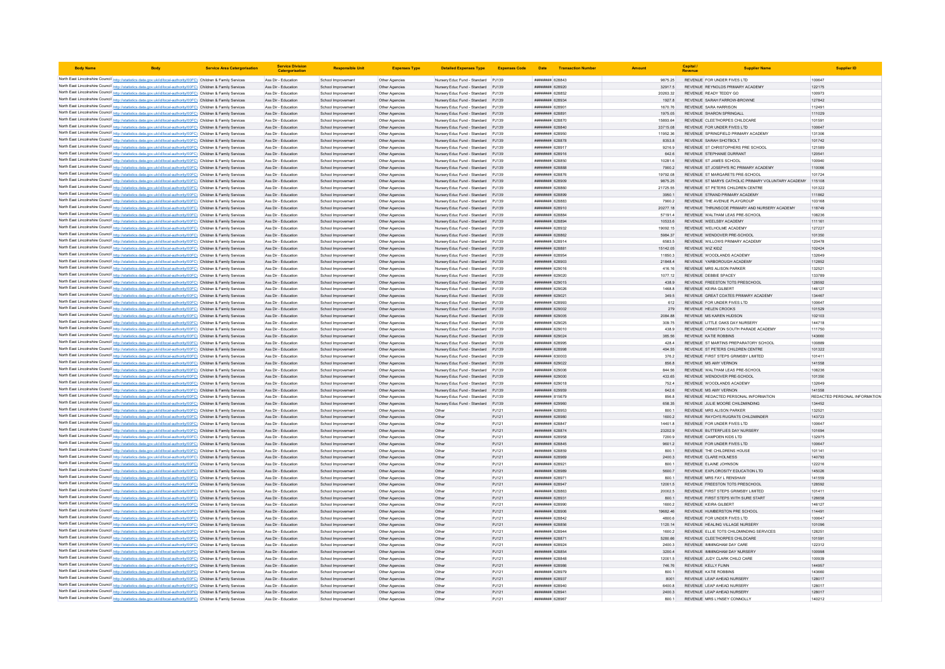| <b>Body Name</b>                                                                                                                                                                                                                       | <b>Service Area Catergorisation</b> | <b>Service Division</b><br>Catergorisatio  | <b>Responsible Unit</b>                  | <b>Expenses Type</b>             | <b>Detailed Expenses Type</b>                                            | <b>Expenses Code</b> | Date                                   | <b>Transaction Number</b> |                      | Capital<br>Revenue                                                      |                                                            |                               |
|----------------------------------------------------------------------------------------------------------------------------------------------------------------------------------------------------------------------------------------|-------------------------------------|--------------------------------------------|------------------------------------------|----------------------------------|--------------------------------------------------------------------------|----------------------|----------------------------------------|---------------------------|----------------------|-------------------------------------------------------------------------|------------------------------------------------------------|-------------------------------|
| North East Lincolnshire Council http://statistics.data.gov.uk/id/local-authority/00FC) Children & Family Services                                                                                                                      |                                     | Ass Dir - Education                        | School Improvement                       | Other Agencies                   | Nursery Educ Fund - Standard PJ139                                       |                      | ######## 628843                        |                           | 9875.25              | REVENUE FOR UNDER FIVES LTD                                             |                                                            | 100647                        |
| North East Lincolnshire Council http://statistics.data.gov.uk/id/local-authority/00FC) Children & Family Services                                                                                                                      |                                     | Ass Dir - Education                        | School Improvement                       | Other Agencies                   | Nursery Educ Fund - Standard PJ139                                       |                      | ######## 628920                        |                           | 32917.5              | REVENUE REYNOLDS PRIMARY ACADEMY                                        |                                                            | 122175                        |
| North East Lincolnshire Council http://statistics.data.gov.uk/id/local-authority/00FC) Children & Family Services                                                                                                                      |                                     | Ass Dir - Education                        | School Improvemer                        | Other Agencies                   | Nursery Educ Fund - Standard PJ139                                       |                      | ####### 628852                         |                           | 20263.32             | REVENUE READY TEDDY GC                                                  |                                                            | 100973                        |
| North East Lincolnshire Council http://statistics.data.gov.uk/id/local-authority/00FC) Children & Family Services                                                                                                                      |                                     | Ass Dir - Education                        | School Improvement                       | Other Agencies                   | Nursery Educ Fund - Standard PJ139                                       |                      | ######## 628934                        |                           | 1927.8               | REVENUE SARAH FARROW-BROWNE                                             |                                                            | 127842                        |
| North East Lincolnshire Council http://statistics.data.gov.uk/id/local-authority/00FC) Children & Family Services                                                                                                                      |                                     | Ass Dir - Education                        | School Improvement                       | Other Agencies                   | Nursery Educ Fund - Standard PJ139                                       |                      | ######## 628901                        |                           | 1670.76              | REVENUE SARA HARRISON                                                   |                                                            | 112491                        |
| North East Lincolnshire Council http://statistics.data.gov.uk/id/local-authority/00FC) Children & Family Services                                                                                                                      |                                     | Ass Dir - Education                        | School Improvement                       | Other Agencies                   | Nursery Educ Fund - Standard PJ139                                       |                      | ######## 628891                        |                           | 1975.05              | REVENUE SHARON SPRINGALL                                                |                                                            | 111029                        |
| North East Lincolnshire Council http://statistics.data.gov.uk/id/local-authority/00FC) Children & Family Services<br>North East Lincolnshire Council http://statistics.data.gov.uk/id/local-authority/00FC) Children & Family Services |                                     | Ass Dir - Education                        | School Improvemen                        | Other Agencies                   | Nursery Educ Fund - Standard PJ139                                       |                      | ####### 628870<br><b>BRASS BREEFER</b> |                           | 15893.64             | REVENUE CLEETHORPES CHILDCARE                                           |                                                            | 101591<br>100647              |
| North East Lincolnshire Council http://statistics.data.gov.uk/id/local-authority/00FC) Children & Family Services                                                                                                                      |                                     | Ass Dir - Education<br>Ass Dir - Education | School Improvement<br>School Improvement | Other Agencies<br>Other Agencies | Nursery Educ Fund - Standard PJ139<br>Nursery Educ Fund - Standard PJ139 |                      | ######## 628950                        |                           | 33715.08<br>11952.36 | REVENUE FOR UNDER FIVES LTD<br>REVENUE SPRINGFIELD PRIMARY ACADEMY      |                                                            | 131306                        |
| North East Lincolnshire Council http://statistics.data.gov.uk/id/local-authority/00FC) Children & Family Services                                                                                                                      |                                     | Ass Dir - Education                        | School Improvement                       | Other Agencies                   | Nursery Educ Fund - Standard PJ139                                       |                      | ######## 628878                        |                           | 8353.8               | REVENUE SARAH SHOTBOLT                                                  |                                                            | 101742                        |
| North East Lincolnshire Council http://statistics.data.gov.uk/id/local-authority/00FC) Children & Family Services                                                                                                                      |                                     | Ass Dir - Education                        | School Improvemen                        | Other Agencies                   | Nursery Educ Fund - Standard PJ139                                       |                      | ######## 628917                        |                           | 9216.9               | REVENUE ST CHRISTOPHERS PRE SCHOOL                                      |                                                            | 121589                        |
| North East Lincolnshire Council http://statistics.data.gov.uk/id/local-authority/00FC) Children & Family Services                                                                                                                      |                                     | Ass Dir - Education                        | School Improvement                       | Other Agencies                   | Nursery Educ Fund - Standard PJ139                                       |                      | <b>ПИНИНИЯ</b> 628916                  |                           | 642.6                | REVENUE STEPHANIE DURRANT                                               |                                                            | 120541                        |
| North East Lincolnshire Council http://statistics.data.gov.uk/id/local-authority/00FC) Children & Family Services                                                                                                                      |                                     | Ass Dir - Education                        | School Improvement                       | Other Agencies                   | Nursery Educ Fund - Standard PJ139                                       |                      | нининни 628850                         |                           | 10281.6              | REVENUE ST JAMES SCHOOL                                                 |                                                            | 100940                        |
| North East Lincolnshire Council http://statistics.data.gov.uk/id/local-authority/00FC) Children & Family Services                                                                                                                      |                                     | Ass Dir - Education                        | School Improvement                       | Other Agencies                   | Nursery Educ Fund - Standard PJ139                                       |                      | ######## 628888                        |                           | 7900.2               |                                                                         | REVENUE ST JOSEPH'S RC PRIMARY ACADEMY                     | 110066                        |
| North East Lincolnshire Council http://statistics.data.gov.uk/id/local-authority/00FC) Children & Family Services                                                                                                                      |                                     | Ass Dir - Education                        | School Improvemen                        | Other Agencies                   | Nursery Educ Fund - Standard PJ139                                       |                      | пининни 628876                         |                           | 19792.08             | REVENUE ST MARGARETS PRE-SCHOOL                                         |                                                            | 101724                        |
| North East Lincolnshire Council http://statistics.data.gov.uk/id/local-authority/00FC) Children & Family Services                                                                                                                      |                                     | Ass Dir - Education                        | School Improvement                       | Other Agencies                   | Nursery Educ Fund - Standard PJ139                                       |                      | ######## 628909                        |                           | 9875.25              |                                                                         | REVENUE ST MARYS CATHOLIC PRIMARY VOLUNTARY ACADEMY 115108 |                               |
| North East Lincolnshire Council http://statistics.data.gov.uk/id/local-authority/00FC) Children & Family Services<br>North East Lincolnshire Council http://statistics.data.gov.uk/id/local-authority/00FC) Children & Family Services |                                     | Ass Dir - Education<br>Ass Dir - Education | School Improvemen<br>School Improvement  | Other Agencies<br>Other Agencies | Nursery Educ Fund - Standard PJ139<br>Nursery Educ Fund - Standard PJ139 |                      | ######## 628860<br>######## 628899     |                           | 21725.55<br>3950.1   | REVENUE ST PETERS CHILDREN CENTRE<br>REVENUE STRAND PRIMARY ACADEMY     |                                                            | 101322<br>111862              |
| North East Lincolnshire Council http://statistics.data.gov.uk/id/local-authority/00FC) Children & Family Services                                                                                                                      |                                     | Ass Dir - Education                        | School Improvemen                        | Other Agencies                   | Nursery Educ Fund - Standard PJ139                                       |                      | ######## 628883                        |                           | 7900.2               | REVENUE THE AVENUE PLAYGROUP                                            |                                                            | 103168                        |
| North East Lincolnshire Council http://statistics.data.gov.uk/id/local-authority/00FC) Children & Family Services                                                                                                                      |                                     | Ass Dir - Education                        | School Improvement                       | Other Agencies                   | Nursery Educ Fund - Standard PJ139                                       |                      | ######## 628910                        |                           | 20277.18             |                                                                         | REVENUE THRUNSCOE PRIMARY AND NURSERY ACADEMY              | 118749                        |
| North East Lincolnshire Council http://statistics.data.gov.uk/id/local-authority/00FC) Children & Family Services                                                                                                                      |                                     | Ass Dir - Education                        | School Improvement                       | Other Agencies                   | Nursery Educ Fund - Standard PJ139                                       |                      | ######## 628884                        |                           | 57191.4              | REVENUE WALTHAM LEAS PRE-SCHOOL                                         |                                                            | 108236                        |
| North East Lincolnshire Council http://statistics.data.gov.uk/id/local-authority/00FC) Children & Family Services                                                                                                                      |                                     | Ass Dir - Education                        | School Improvement                       | Other Agencies                   | Nursery Educ Fund - Standard PJ139                                       |                      | ######## 628894                        |                           | 10533.6              | REVENUE WEELSBY ACADEMY                                                 |                                                            | 111161                        |
| North East Lincolnshire Council http://statistics.data.gov.uk/id/local-authority/00FC) Children & Family Services                                                                                                                      |                                     | Ass Dir - Education                        | School Improvemen                        | Other Agencies                   | Nursery Educ Fund - Standard PJ139                                       |                      | пининний 628932                        |                           | 19092.15             | REVENUE WELHOLME ACADEMY                                                |                                                            | 127227                        |
| North East Lincolnshire Council http://statistics.data.gov.uk/id/local-authority/00FC) Children & Family Services                                                                                                                      |                                     | Ass Dir - Education                        | School Improvement                       | Other Agencies                   | Nursery Educ Fund - Standard PJ139                                       |                      | ######## 628862                        |                           | 5984.37              | REVENUE WENDOVER PRE-SCHOOL                                             |                                                            | 101350                        |
| North East Lincolnshire Council http://statistics.data.gov.uk/id/local-authority/00FC) Children & Family Services                                                                                                                      |                                     | Ass Dir - Education                        | School Improvemen                        | Other Agencies                   | Nursery Educ Fund - Standard PJ139                                       |                      | ####### 628914                         |                           | 6583.5               | REVENUE WILLOWS PRIMARY ACADEMY                                         |                                                            | 120478                        |
| North East Lincolnshire Council http://statistics.data.gov.uk/id/local-authority/00FC) Children & Family Services                                                                                                                      |                                     | Ass Dir - Education                        | School Improvement                       | Other Agencies                   | Nursery Educ Fund - Standard PJ139                                       |                      | ######## 628881                        |                           | 15142.05             | REVENUE WIZ KIDZ                                                        |                                                            | 102424                        |
| North East Lincolnshire Council http://statistics.data.gov.uk/id/local-authority/00FC) Children & Family Services                                                                                                                      |                                     | Ass Dir - Education                        | School Improvement                       | Other Agencies                   | Nursery Educ Fund - Standard PJ139                                       |                      | <b><i>BREEBBBB</i></b> 628954          |                           | 118503               | REVENUE WOODLANDS ACADEMY                                               |                                                            | 132649                        |
| North East Lincolnshire Council http://statistics.data.gov.uk/id/local-authority/00FC) Children & Family Services                                                                                                                      |                                     | Ass Dir - Education<br>Ass Dir - Education | School Improvement<br>School Improvement | Other Agencies                   | Nursery Educ Fund - Standard PJ139<br>Nursery Educ Fund - Standard PJ139 |                      | ######## 628903<br>######## 629016     |                           | 21848.4<br>416.16    | REVENUE YARBOROUGH ACADEMY<br>REVENUE MRS ALISON PARKER                 |                                                            | 112852<br>132521              |
| North East Lincolnshire Council http://statistics.data.gov.uk/id/local-authority/00FC) Children & Family Services<br>North East Lincolnshire Council http://statistics.data.gov.uk/id/local-authority/00FC) Children & Family Services |                                     | Ass Dir - Education                        | School Improvemen                        | Other Agencies<br>Other Agencies | Nursery Educ Fund - Standard PJ139                                       |                      | ######## 629020                        |                           | 1077.12              | REVENUE DEBBIE SPACEY                                                   |                                                            | 133789                        |
| North East Lincolnshire Council http://statistics.data.gov.uk/id/local-authority/00FC) Children & Family Services                                                                                                                      |                                     | Ass Dir - Education                        | School Improvement                       | Other Agencies                   | Nursery Educ Fund - Standard PJ139                                       |                      | ######## 629015                        |                           | 438.9                | REVENUE FREESTON TOTS PRESCHOOL                                         |                                                            | 128592                        |
| North East Lincolnshire Council http://statistics.data.gov.uk/id/local-authority/00FC) Children & Family Services                                                                                                                      |                                     | Ass Dir - Education                        | School Improvemen                        | Other Agencies                   | Nursery Educ Fund - Standard PJ139                                       |                      | ######## 629026                        |                           | 1468.8               | REVENUE KEIRA GILBERT                                                   |                                                            | 146127                        |
| North East Lincolnshire Council http://statistics.data.gov.uk/id/local-authority/00FC) Children & Family Services                                                                                                                      |                                     | Ass Dir - Education                        | School Improvement                       | Other Agencies                   | Nursery Educ Fund - Standard PJ139                                       |                      | ######## 629021                        |                           | 349.5                |                                                                         | REVENUE GREAT COATES PRIMARY ACADEMY                       | 134467                        |
| North East Lincolnshire Council http://statistics.data.gov.uk/id/local-authority/00FC) Children & Family Services                                                                                                                      |                                     | Ass Dir - Education                        | School Improvemen                        | Other Agencies                   | Nursery Educ Fund - Standard PJ139                                       |                      | ######## 628993                        |                           | 612                  | REVENUE FOR UNDER FIVES LTD                                             |                                                            | 100647                        |
| North East Lincolnshire Council http://statistics.data.gov.uk/id/local-authority/00FC) Children & Family Services                                                                                                                      |                                     | Ass Dir - Education                        | School Improvement                       | Other Agencies                   | Nursery Educ Fund - Standard PJ139                                       |                      | ######## 629002                        |                           | 279                  | REVENUE HELEN CROOKS                                                    |                                                            | 101529                        |
| North East Lincolnshire Council http://statistics.data.gov.uk/id/local-authority/00FC) Children & Family Services                                                                                                                      |                                     | Ass Dir - Education                        | School Improvement                       | Other Agencies                   | Nursery Educ Fund - Standard PJ139                                       |                      | ######## 629005                        |                           | 2084.88              | REVENUE MS KAREN HUDSON                                                 |                                                            | 102103                        |
| North East Lincolnshire Council http://statistics.data.gov.uk/id/local-authority/00FC) Children & Family Services                                                                                                                      |                                     | Ass Dir - Education                        | School Improvement                       | Other Agencies                   | Nursery Educ Fund - Standard PJ139                                       |                      | ######## 629025                        |                           | 309.75               | REVENUE LITTLE OAKS DAY NURSERY                                         |                                                            | 144718                        |
| North East Lincolnshire Council http://statistics.data.gov.uk/id/local-authority/00FC) Children & Family Services                                                                                                                      |                                     | Ass Dir - Education                        | School Improvemen                        | Other Agencies                   | Nursery Educ Fund - Standard PJ139                                       |                      | ####### 629010                         |                           | 438.9                |                                                                         | REVENUE ORMISTON SOUTH PARADE ACADEMY                      | 111750                        |
| North East Lincolnshire Council http://statistics.data.gov.uk/id/local-authority/00FC) Children & Family Services                                                                                                                      |                                     | Ass Dir - Education                        | School Improvement                       | Other Agencies                   | Nursery Educ Fund - Standard PJ139                                       |                      | ######## 629024                        |                           | 385.56               | REVENUE KATIE ROBBINS                                                   | REVENUE ST MARTINS PREPARATORY SCHOOL                      | 143660<br>100889              |
| North East Lincolnshire Council http://statistics.data.gov.uk/id/local-authority/00FC) Children & Family Services<br>North East Lincolnshire Council http://statistics.data.gov.uk/id/local-authority/00FC) Children & Family Services |                                     | Ass Dir - Education<br>Ass Dir - Education | School Improvement<br>School Improvement | Other Agencies<br>Other Agencies | Nursery Educ Fund - Standard PJ139<br>Nursery Educ Fund - Standard PJ139 |                      | ####### 628995<br>######## 628998      |                           | 428.4<br>494.55      | REVENUE ST PETERS CHILDREN CENTRI                                       |                                                            | 101322                        |
| North East Lincolnshire Council http://statistics.data.gov.uk/id/local-authority/00FC) Children & Family Services                                                                                                                      |                                     | Ass Dir - Education                        | School Improvement                       | Other Agencies                   | Nursery Educ Fund - Standard PJ139                                       |                      | <i><b>BRAHHHHH 630003</b></i>          |                           | 376.2                | REVENUE FIRST STEPS GRIMSBY LIMITED                                     |                                                            | 101411                        |
| North East Lincolnshire Council http://statistics.data.gov.uk/id/local-authority/00FC) Children & Family Services                                                                                                                      |                                     | Ass Dir - Education                        | School Improvement                       | Other Agencies                   | Nursery Educ Fund - Standard PJ139                                       |                      | ######## 629022                        |                           | 856.8                | REVENUE MS AMY VERNON                                                   |                                                            | 141558                        |
| North East Lincolnshire Council http://statistics.data.gov.uk/id/local-authority/00FC) Children & Family Services                                                                                                                      |                                     | Ass Dir - Education                        | School Improvemen                        | Other Agencies                   | Nursery Educ Fund - Standard PJ139                                       |                      | ######## 629006                        |                           | 844.56               | REVENUE WALTHAM LEAS PRE-SCHOOL                                         |                                                            | 108236                        |
| North East Lincolnshire Council http://statistics.data.gov.uk/id/local-authority/00FC) Children & Family Services                                                                                                                      |                                     | Ass Dir - Education                        | School Improvement                       | Other Agencies                   | Nursery Educ Fund - Standard PJ139                                       |                      | ######## 629000                        |                           | 433.65               | REVENUE WENDOVER PRE-SCHOOL                                             |                                                            | 101350                        |
| North East Lincolnshire Council http://statistics.data.gov.uk/id/local-authority/00FC) Children & Family Services                                                                                                                      |                                     | Ass Dir - Education                        | School Improvemen                        | Other Agencies                   | Nursery Educ Fund - Standard PJ139                                       |                      | ######## 629018                        |                           | 7524                 | REVENUE WOODLANDS ACADEMY                                               |                                                            | 132649                        |
| North East Lincolnshire Council http://statistics.data.gov.uk/id/local-authority/00FC) Children & Family Services                                                                                                                      |                                     | Ass Dir - Education                        | School Improvement                       | Other Agencies                   | Nursery Educ Fund - Standard PJ139                                       |                      | ######## 629959                        |                           | 642.6                | REVENUE MS AMY VERNON                                                   |                                                            | 141558                        |
| North East Lincolnshire Council http://statistics.data.gov.uk/id/local-authority/00FC) Children & Family Services                                                                                                                      |                                     | Ass Dir - Education                        | School Improvemer                        | Other Agencies                   | Nursery Educ Fund - Standard PJ139                                       |                      | <b>#######</b> 815679                  |                           | 856.8                |                                                                         | REVENUE REDACTED PERSONAL INFORMATION                      | REDACTED PERSONAL INFORMATION |
| North East Lincolnshire Council http://statistics.data.gov.uk/id/local-authority/00FC) Children & Family Services                                                                                                                      |                                     | Ass Dir - Education                        | School Improvement                       | Other Agencies                   | Nursery Educ Fund - Standard PJ139                                       |                      | ######## 629960                        |                           | 658.35               | REVENUE JULIE MOORE CHILDMINDING                                        |                                                            | 134452                        |
| North East Lincolnshire Council http://statistics.data.gov.uk/id/local-authority/00FC) Children & Family Services                                                                                                                      |                                     | Ass Dir - Education<br>Ass Dir - Education | School Improvement                       | Other Agencies                   | Other<br>Other                                                           | PJ121<br>PJ121       | ######## 628953<br>######## 628980     |                           | 800.1<br>1600.2      | <b>REVENUE MRS ALISON PARKER</b><br>REVENUE RAYCH'S RUGRATS CHILDMINDER |                                                            | 132521<br>143723              |
| North East Lincolnshire Council http://statistics.data.gov.uk/id/local-authority/00FC) Children & Family Services<br>North East Lincolnshire Council http://statistics.data.gov.uk/id/local-authority/00FC) Children & Family Services |                                     | Ass Dir - Education                        | School Improvement<br>School Improvemen  | Other Agencies<br>Other Agencies | Other                                                                    | PJ121                | ######## 628847                        |                           | 14401.8              | REVENUE FOR UNDER FIVES LTD                                             |                                                            | 100647                        |
| North East Lincolnshire Council http://statistics.data.gov.uk/id/local-authority/00FC) Children & Family Services                                                                                                                      |                                     | Ass Dir - Education                        | School Improvement                       | Other Agencies                   | Other                                                                    | PJ121                | ######## 628874                        |                           | 23202.9              | REVENUE BUTTERFLIES DAY NURSERY                                         |                                                            | 101694                        |
| North East Lincolnshire Council http://statistics.data.gov.uk/id/local-authority/00FC) Children & Family Services                                                                                                                      |                                     | Ass Dir - Education                        | School Improvemen                        | Other Agencies                   | Other                                                                    | PJ121                | ######## 628958                        |                           | 7200.9               | REVENUE CAMPDEN KIDS LTD                                                |                                                            | 132975                        |
| North East Lincolnshire Council http://statistics.data.gov.uk/id/local-authority/00FC) Children & Family Services                                                                                                                      |                                     | Ass Dir - Education                        | School Improvement                       | Other Agencies                   | Other                                                                    | PJ121                | ######## 628845                        |                           | 9601.2               | REVENUE FOR UNDER FIVES LTD                                             |                                                            | 100647                        |
| North East Lincolnshire Council http://statistics.data.gov.uk/id/local-authority/00FC) Children & Family Service                                                                                                                       |                                     | Ass Dir - Education                        | School Improvemer                        | Other Agencies                   | Other                                                                    | PJ121                | <b>####### 628859</b>                  |                           | 800.1                | REVENUE THE CHILDRENS HOUSE                                             |                                                            | 101141                        |
| North East Lincolnshire Council http://statistics.data.gov.uk/id/local-authority/00FC) Children & Family Services                                                                                                                      |                                     | Ass Dir - Education                        | School Improvement                       | Other Agencies                   | Other                                                                    | PJ121                | пининний 628969                        |                           | 2400.3               | <b>REVENUE CLARE HOLNESS</b>                                            |                                                            | 140793                        |
| North East Lincolnshire Council http://statistics.data.gov.uk/id/local-authority/00FC) Children & Family Services                                                                                                                      |                                     | Ass Dir - Education                        | School Improvement                       | Other Agencies                   | Other                                                                    | PJ121                | ######## 628921                        |                           | 800.1                | REVENUE ELAINE JOHNSON                                                  |                                                            | 122216                        |
| North East Lincolnshire Council http://statistics.data.gov.uk/id/local-authority/00FC) Children & Family Services                                                                                                                      |                                     | Ass Dir - Education                        | School Improvement                       | Other Agencies                   | Other                                                                    | PJ121                | ######## 628989                        |                           | 5600.7               | REVENUE EXPLOROSITY EDUCATION LTD                                       |                                                            | 145026                        |
| North East Lincolnshire Council http://statistics.data.gov.uk/id/local-authority/00FC) Children & Family Services                                                                                                                      |                                     | Ass Dir - Education                        | School Improvemen                        | Other Agencies                   | Other                                                                    | PJ121                | ######## 62897*                        |                           | 800.1                | REVENUE MRS FAY L RENSHAW                                               |                                                            | 141559                        |
| North East Lincolnshire Council http://statistics.data.gov.uk/id/local-authority/00FC) Children & Family Services<br>North East Lincolnshire Council http://statistics.data.gov.uk/id/local-authority/00FC) Children & Family Services |                                     | Ass Dir - Education                        | School Improvement                       | Other Agencies                   | Other<br>Other                                                           | PJ121<br>PJ121       | <i>пининня</i> 628947                  |                           | 12001.5<br>20002.5   | REVENUE FREESTON TOTS PRESCHOOL<br>REVENUE FIRST STEPS GRIMSBY LIMITED  |                                                            | 128592<br>101411              |
| North East Lincolnshire Council http://statistics.data.gov.uk/id/local-authority/00FC) Children & Family Services                                                                                                                      |                                     | Ass Dir - Education<br>Ass Dir - Education | School Improvement<br>School Improvement | Other Agencies<br>Other Agencies | Other                                                                    | PJ121                | ######## 628863<br>######## 628931     |                           | 800.1                | REVENUE FIRST STEPS WITH SURE START                                     |                                                            | 126658                        |
| North East Lincolnshire Council http://statistics.data.gov.uk/id/local-authority/00FC) Children & Family Services                                                                                                                      |                                     | Ass Dir - Education                        | School Improvemen                        | Other Agencies                   | Other                                                                    | PJ121                | <b><i>BREEBBBB</i></b> 628990          |                           | 1600.2               | REVENUE KEIRA GILBERT                                                   |                                                            | 146127                        |
| North East Lincolnshire Council http://statistics.data.gov.uk/id/local-authority/00FC) Children & Family Services                                                                                                                      |                                     | Ass Dir - Education                        | School Improvement                       | Other Agencies                   | Other                                                                    | PJ121                | ######## 628906                        |                           | 19682 46             | REVENUE HUMBERSTON PRE SCHOOL                                           |                                                            | 114491                        |
| North East Lincolnshire Council http://statistics.data.gov.uk/id/local-authority/00FC) Children & Family Services                                                                                                                      |                                     | Ass Dir - Education                        | School Improvement                       | Other Agencies                   | Other                                                                    | PJ121                | ппининин 628842                        |                           | 4800.6               | REVENUE FOR UNDER FIVES LTD                                             |                                                            | 100647                        |
| North East Lincolnshire Council http://statistics.data.gov.uk/id/local-authority/00FC) Children & Family Services                                                                                                                      |                                     | Ass Dir - Education                        | School Improvement                       | Other Agencies                   | Other                                                                    | PJ121                | ######## 628856                        |                           | 1120.14              | REVENUE HEALING VILLAGE NURSERY                                         |                                                            | 101096                        |
| North East Lincolnshire Council http://statistics.data.gov.uk/id/local-authority/00FC) Children & Family Services                                                                                                                      |                                     | Ass Dir - Education                        | School Improvemen                        | Other Agencies                   | Other                                                                    | PJ121                | ######## 628944                        |                           | 1600.2               |                                                                         | REVENUE ELLIE TOTS CHILDMINDING SERVICES                   | 128251                        |
| North East Lincolnshire Council http://statistics.data.gov.uk/id/local-authority/00FC) Children & Family Services                                                                                                                      |                                     | Ass Dir - Education                        | School Improvement                       | Other Agencies                   | Other                                                                    | PJ121                | ######## 628871                        |                           | 5280.66              | REVENUE CLEETHORPES CHILDCARE                                           |                                                            | 101591                        |
| North East Lincolnshire Council http://statistics.data.gov.uk/id/local-authority/00FC) Children & Family Services                                                                                                                      |                                     | Ass Dir - Education                        | School Improvemen                        | Other Agencies                   | Other                                                                    | PJ121                | ####### 628924                         |                           | 2400.3               | REVENUE IMMINGHAM DAY CARE                                              |                                                            | 122312                        |
| North East Lincolnshire Council http://statistics.data.gov.uk/id/local-authority/00FC) Children & Family Services                                                                                                                      |                                     | Ass Dir - Education                        | School Improvement                       | Other Agencies                   | Other                                                                    | PJ121                | ######## 628854                        |                           | 3200.4               | REVENUE IMMINGHAM DAY NURSERY                                           |                                                            | 100998                        |
| North East Lincolnshire Council http://statistics.data.gov.uk/id/local-authority/00FC) Children & Family Services                                                                                                                      |                                     | Ass Dir - Education                        | School Improvement                       | Other Agencies                   | Other                                                                    | PJ121                | пининнин 628848<br>######## 628986     |                           | 12001.5              | REVENUE JUDY CLARK CHILD CARE<br>REVENUE KELLY FLINN                    |                                                            | 100939<br>144957              |
| North East Lincolnshire Council http://statistics.data.gov.uk/id/local-authority/00FC) Children & Family Services<br>North East Lincolnshire Council http://statistics.data.gov.uk/id/local-authority/00FC) Children & Family Services |                                     | Ass Dir - Education<br>Ass Dir - Education | School Improvement<br>School Improvement | Other Agencies<br>Other Agencies | Other<br>Other                                                           | PJ121<br>PJ121       | ######## 628979                        |                           | 746.76<br>800.1      | REVENUE KATIE ROBBINS                                                   |                                                            | 143660                        |
| North East Lincolnshire Council http://statistics.data.gov.uk/id/local-authority/00FC) Children & Family Services                                                                                                                      |                                     | Ass Dir - Education                        | School Improvemen                        | Other Agencies                   | Other                                                                    | PJ121                | ######## 628937                        |                           | 8001                 | REVENUE LEAP AHEAD NURSERY                                              |                                                            | 128017                        |
| North East Lincolnshire Council http://statistics.data.gov.uk/id/local-authority/00FC) Children & Family Services                                                                                                                      |                                     | Ass Dir - Education                        | School Improvemen                        | Other Agencies                   | Other                                                                    | PJ121                | <i>пининня</i> 628940                  |                           | 6400.8               | REVENUE LEAP AHEAD NURSERY                                              |                                                            | 128017                        |
| North East Lincolnshire Council http://statistics.data.gov.uk/id/local-authority/00FC) Children & Family Services                                                                                                                      |                                     | Ass Dir - Education                        | School Improvement                       | Other Agencies                   | Other                                                                    | PJ121                | ######## 628941                        |                           | 2400.3               | REVENUE LEAP AHEAD NURSERY                                              |                                                            | 128017                        |
| North East Lincolnshire Council http://statistics.data.gov.uk/id/local-authority/00FC) Children & Family Services                                                                                                                      |                                     | Ass Dir - Education                        | School Improvemer                        | Other Agencies                   | Other                                                                    | PJ121                | ####### 62896                          |                           | 800.1                | REVENUE MRS LYNSEY CONNOLLY                                             |                                                            | 140212                        |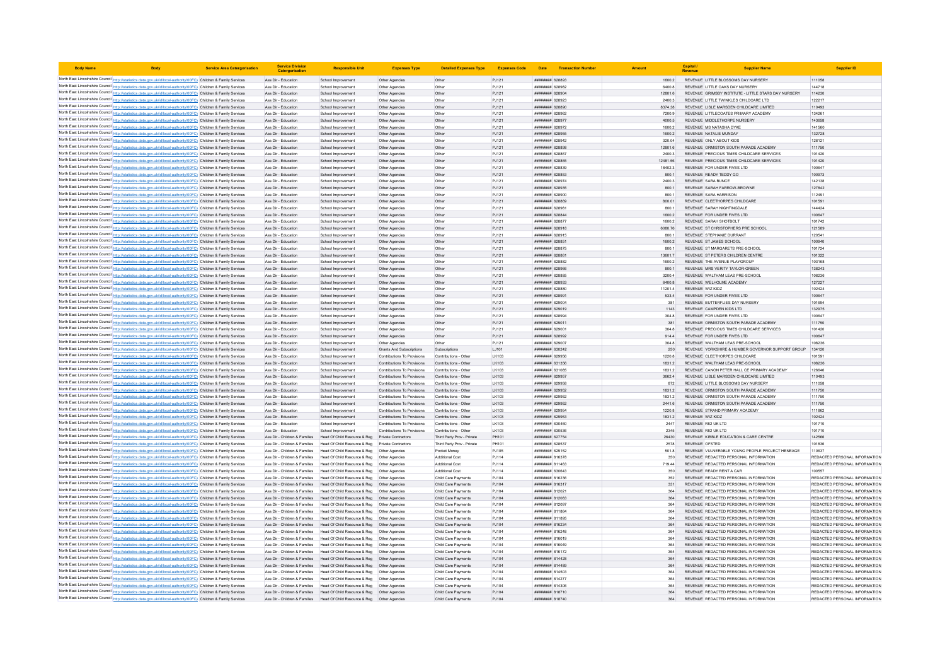| <b>Body Name</b>                                                                                                                                                                                                                       | <b>Service Area Catergorisation</b> | <b>Service Division</b><br>Catergorisatio                      | <b>Responsible Unit</b>                                                                    | <b>Expenses Type</b>                                       | <b>Detailed Expenses Type</b>                  | <b>Expenses Code</b> |                                           | Date Transaction Number |                  | Canital.<br>Revenue | <b>Supplier Name</b>                                                           | <b>Supplier ID</b>                                             |
|----------------------------------------------------------------------------------------------------------------------------------------------------------------------------------------------------------------------------------------|-------------------------------------|----------------------------------------------------------------|--------------------------------------------------------------------------------------------|------------------------------------------------------------|------------------------------------------------|----------------------|-------------------------------------------|-------------------------|------------------|---------------------|--------------------------------------------------------------------------------|----------------------------------------------------------------|
| North East Lincolnshire Council http://statistics.data.gov.uk/id/local-authority/00FC) Children & Family Services                                                                                                                      |                                     | Ass Dir - Education                                            | School Improvement                                                                         | Other Agencies                                             | Other                                          | PJ121                | ######## 628893                           |                         | 1600.2           |                     | REVENUE LITTLE BLOSSOMS DAY NURSERY                                            | 111058                                                         |
| North East Lincolnshire Council http://statistics.data.gov.uk/id/local-authority/00FC) Children & Family Services                                                                                                                      |                                     | Ass Dir - Education                                            | School Improvemen                                                                          | Other Agencies                                             | Other                                          | PJ121                | ####### 628982                            |                         | 6400.8           |                     | REVENUE LITTLE OAKS DAY NURSERY                                                | 144718                                                         |
| North East Lincolnshire Council http://statistics.data.gov.uk/id/local-authority/00FC) Children & Family Services                                                                                                                      |                                     | Ass Dir - Education                                            | School Improvement                                                                         | Other Agencies                                             | Other                                          | PJ121                | <b>BORSO BREEHER</b>                      |                         | 12801.6          |                     | REVENUE GRIMSBY INSTITUTE - LITTLE STARS DAY NURSERY                           | 114230                                                         |
| North East Lincolnshire Council http://statistics.data.gov.uk/id/local-authority/00FC) Children & Family Services                                                                                                                      |                                     | Ass Dir - Education                                            | School Improvement                                                                         | Other Agencies                                             | Other                                          | PJ121                | ######## 628923                           |                         | 2400.3           |                     | REVENUE LITTLE TWINKLES CHILDCARE LTD                                          | 122217                                                         |
| North East Lincolnshire Council http://statistics.data.gov.uk/id/local-authority/00FC) Children & Family Services                                                                                                                      |                                     | Ass Dir - Education                                            | School Improvement                                                                         | Other Agencies                                             | Other                                          | PJ121                | ######## 628890                           |                         | 8374.38          |                     | REVENUE LISLE MARSDEN CHILDCARE LIMITED                                        | 110493                                                         |
| North East Lincolnshire Council http://statistics.data.gov.uk/id/local-authority/00FC) Children & Family Services                                                                                                                      |                                     | Ass Dir - Education                                            | School Improvemen                                                                          | Other Agencies                                             | Other                                          | PJ121                | ######## 628962                           |                         | 7200.9           |                     | REVENUE LITTLECOATES PRIMARY ACADEMY                                           | 134261                                                         |
| North East Lincolnshire Council http://statistics.data.gov.uk/id/local-authority/00FC) Children & Family Services<br>North East Lincolnshire Council http://statistics.data.gov.uk/id/local-authority/00FC) Children & Family Services |                                     | Ass Dir - Education<br>Ass Dir - Education                     | School Improvement<br>School Improvemen                                                    | Other Agencies                                             | Other<br>Other                                 | PJ121<br>PJ121       | ######## 628977<br>######## 628972        |                         | 4000.5<br>1600.2 |                     | REVENUE MIDDLETHORPE NURSERY<br>REVENUE MS NATASHA DYKE                        | 143658<br>141560                                               |
| North East Lincolnshire Council http://statistics.data.gov.uk/id/local-authority/00FC) Children & Family Services                                                                                                                      |                                     | Ass Dir - Education                                            | School Improvement                                                                         | Other Agencies<br>Other Agencies                           | Other                                          | PJ121                | ######## 628955                           |                         | 1600.2           |                     | REVENUE NATALIE MUNDAY                                                         | 132728                                                         |
| North East Lincolnshire Council http://statistics.data.gov.uk/id/local-authority/00FC) Children & Family Services                                                                                                                      |                                     | Ass Dir - Education                                            | School Improvemen                                                                          | Other Agencies                                             | Other                                          | PJ121                | ####### 628942                            |                         | 320.04           |                     | REVENUE ONLY ABOUT KIDS                                                        | 128121                                                         |
| North East Lincolnshire Council http://statistics.data.gov.uk/id/local-authority/00FC) Children & Family Services                                                                                                                      |                                     | Ass Dir - Education                                            | School Improvement                                                                         | Other Agencies                                             | Other                                          | PJ121                | <i>пининня</i> 628898                     |                         | 12801.6          |                     | REVENUE ORMISTON SOUTH PARADE ACADEMY                                          | 111750                                                         |
| North East Lincolnshire Council http://statistics.data.gov.uk/id/local-authority/00FC) Children & Family Services                                                                                                                      |                                     | Ass Dir - Education                                            | School Improvement                                                                         | Other Agencies                                             | Other                                          | PJ121                | ####### 628867                            |                         | 2400.3           |                     | REVENUE PRECIOUS TIMES CHILDCARE SERVICES                                      | 101420                                                         |
| North East Lincolnshire Council http://statistics.data.gov.uk/id/local-authority/00FC) Children & Family Services                                                                                                                      |                                     | Ass Dir - Education                                            | School Improvement                                                                         | Other Agencies                                             | Other                                          | PJ121                | ######## 628865                           |                         | 12481.56         |                     | REVENUE PRECIOUS TIMES CHILDCARE SERVICES                                      | 101420                                                         |
| North East Lincolnshire Council http://statistics.data.gov.uk/id/local-authority/00FC) Children & Family Services                                                                                                                      |                                     | Ass Dir - Education                                            | School Improvemen                                                                          | Other Agencies                                             | Other                                          | PJ121                | ######## 628839                           |                         | 18402.3          |                     | REVENUE FOR UNDER FIVES LTD                                                    | 100647                                                         |
| North East Lincolnshire Council http://statistics.data.gov.uk/id/local-authority/00FC) Children & Family Services                                                                                                                      |                                     | Ass Dir - Education                                            | School Improvement                                                                         | Other Agencies                                             | Other                                          | PJ121                | <i>пивниния</i> 628853                    |                         | 800 1            |                     | REVENUE READY TEDDY GO                                                         | 100973                                                         |
| North East Lincolnshire Council http://statistics.data.gov.uk/id/local-authority/00FC) Children & Family Services                                                                                                                      |                                     | Ass Dir - Education                                            | School Improvement                                                                         | Other Agencies                                             | Other                                          | PJ121                | ######## 628974                           |                         | 2400.3           |                     | <b>REVENUE SARA BUNCE</b>                                                      | 142138                                                         |
| North East Lincolnshire Council http://statistics.data.gov.uk/id/local-authority/00FC) Children & Family Services<br>North East Lincolnshire Council http://statistics.data.gov.uk/id/local-authority/00FC) Children & Family Services |                                     | Ass Dir - Education<br>Ass Dir - Education                     | School Improvement<br>School Improvemen                                                    | Other Agencies<br>Other Agencies                           | Other<br>Other                                 | PJ121<br>PJ121       | ######## 628935<br>######## 628900        |                         | 800.1<br>800.1   |                     | REVENUE SARAH FARROW-BROWNE<br>REVENUE SARA HARRISON                           | 127842<br>112491                                               |
| North East Lincolnshire Council http://statistics.data.gov.uk/id/local-authority/00FC) Children & Family Services                                                                                                                      |                                     | Ass Dir - Education                                            | School Improvement                                                                         | Other Agencies                                             | Other                                          | PJ121                | <b><i><u>RHHHHHH</u></i></b> 628869       |                         | 800.01           |                     | REVENUE CLEETHORPES CHILDCARE                                                  | 101591                                                         |
| North East Lincolnshire Council http://statistics.data.gov.uk/id/local-authority/00FC) Children & Family Services                                                                                                                      |                                     | Ass Dir - Education                                            | School Improvement                                                                         | Other Agencies                                             | Other                                          | PJ121                | нининни 628981                            |                         | 800.1            |                     | REVENUE SARAH NIGHTINGDALE                                                     | 144424                                                         |
| North East Lincolnshire Council http://statistics.data.gov.uk/id/local-authority/00FC) Children & Family Services                                                                                                                      |                                     | Ass Dir - Education                                            | School Improvement                                                                         | Other Agencies                                             | Other                                          | PJ121                | ######## 628844                           |                         | 1600.2           |                     | REVENUE FOR UNDER FIVES LTD                                                    | 100647                                                         |
| North East Lincolnshire Council http://statistics.data.gov.uk/id/local-authority/00FC) Children & Family Services                                                                                                                      |                                     | Ass Dir - Education                                            | School Improvemen                                                                          | Other Agencies                                             | Other                                          | PJ121                | ######## 628877                           |                         | 1600.2           |                     | REVENUE SARAH SHOTBOLT                                                         | 101742                                                         |
| North East Lincolnshire Council http://statistics.data.gov.uk/id/local-authority/00FC) Children & Family Services                                                                                                                      |                                     | Ass Dir - Education                                            | School Improvement                                                                         | Other Agencies                                             | Other                                          | PJ121                | ######## 628918                           |                         | 6080.76          |                     | REVENUE ST CHRISTOPHERS PRE SCHOOL                                             | 121589                                                         |
| North East Lincolnshire Council http://statistics.data.gov.uk/id/local-authority/00FC) Children & Family Services                                                                                                                      |                                     | Ass Dir - Education                                            | School Improvemen                                                                          | Other Agencies                                             | Other                                          | PJ121                | ####### 628915                            |                         | 800.1            |                     | REVENUE STEPHANIE DURRANT                                                      | 120541                                                         |
| North East Lincolnshire Council http://statistics.data.gov.uk/id/local-authority/00FC) Children & Family Services                                                                                                                      |                                     | Ass Dir - Education                                            | School Improvement                                                                         | Other Agencies                                             | Other                                          | PJ121                | ####### 628851                            |                         | 1600.2           |                     | REVENUE ST JAMES SCHOOL                                                        | 100940                                                         |
| North East Lincolnshire Council http://statistics.data.gov.uk/id/local-authority/00FC) Children & Family Services                                                                                                                      |                                     | Ass Dir - Education                                            | School Improvement                                                                         | Other Agencies                                             | Other                                          | PJ121                | ######## 628875                           |                         | 800.1            |                     | REVENUE ST MARGARETS PRE-SCHOOL                                                | 101724                                                         |
| North East Lincolnshire Council http://statistics.data.gov.uk/id/local-authority/00FC) Children & Family Services                                                                                                                      |                                     | Ass Dir - Education                                            | School Improvement                                                                         | Other Agencies                                             | Other                                          | PJ121                | ######## 628861                           |                         | 13601.7          |                     | REVENUE ST PETERS CHILDREN CENTRE                                              | 101322                                                         |
| North East Lincolnshire Council http://statistics.data.gov.uk/id/local-authority/00FC) Children & Family Services                                                                                                                      |                                     | Ass Dir - Education<br>Ass Dir - Education                     | School Improvement<br>School Improvement                                                   | Other Agencies<br>Other Agencies                           | Other<br>Other                                 | PJ121<br>PJ121       | ######## 628882<br>######## 628966        |                         | 1600.2<br>800.1  |                     | REVENUE THE AVENUE PLAYGROUP<br>REVENUE MRS VERITY TAYLOR-GREEN                | 103168<br>138243                                               |
| North East Lincolnshire Council http://statistics.data.gov.uk/id/local-authority/00FC) Children & Family Services<br>North East Lincolnshire Council http://statistics.data.gov.uk/id/local-authority/00FC) Children & Family Services |                                     | Ass Dir - Education                                            | School Improvemen                                                                          | Other Agencies                                             | Other                                          | PJ121                | нининни 628885                            |                         | 32004            |                     | REVENUE WALTHAM LEAS PRE-SCHOOL                                                | 108236                                                         |
| North East Lincolnshire Council http://statistics.data.gov.uk/id/local-authority/00FC) Children & Family Services                                                                                                                      |                                     | Ass Dir - Education                                            | School Improvement                                                                         | Other Agencies                                             | Other                                          | PJ121                | ######## 628933                           |                         | 6400.8           |                     | REVENUE WELHOLME ACADEMY                                                       | 127227                                                         |
| North East Lincolnshire Council http://statistics.data.gov.uk/id/local-authority/00FC) Children & Family Services                                                                                                                      |                                     | Ass Dir - Education                                            | School Improvemen                                                                          | Other Agencies                                             | Other                                          | PJ121                | ######## 628880                           |                         | 11201.4          | REVENUE WIZ KIDZ    |                                                                                | 102424                                                         |
| North East Lincolnshire Council http://statistics.data.gov.uk/id/local-authority/00FC) Children & Family Services                                                                                                                      |                                     | Ass Dir - Education                                            | School Improvement                                                                         | Other Agencies                                             | Other                                          | PJ121                | ######## 628991                           |                         | 533.4            |                     | REVENUE FOR UNDER FIVES LTD                                                    | 100647                                                         |
| North East Lincolnshire Council http://statistics.data.gov.uk/id/local-authority/00FC) Children & Family Services                                                                                                                      |                                     | Ass Dir - Education                                            | School Improvemen                                                                          | Other Agencies                                             | Other                                          | PJ121                | ######## 629004                           |                         | 381              |                     | REVENUE BUTTEREUES DAY NURSERY                                                 | 101694                                                         |
| North East Lincolnshire Council http://statistics.data.gov.uk/id/local-authority/00FC) Children & Family Services                                                                                                                      |                                     | Ass Dir - Education                                            | School Improvement                                                                         | Other Agencies                                             | Other                                          | PJ121                | ######## 629019                           |                         | 1143             |                     | REVENUE CAMPDEN KIDS LTD                                                       | 132975                                                         |
| North East Lincolnshire Council http://statistics.data.gov.uk/id/local-authority/00FC) Children & Family Services                                                                                                                      |                                     | Ass Dir - Education                                            | School Improvement                                                                         | Other Agencies                                             | Other                                          | PJ121                | ######## 628994                           |                         | 304.8            |                     | REVENUE FOR UNDER FIVES LTD                                                    | 100647                                                         |
| North East Lincolnshire Council http://statistics.data.gov.uk/id/local-authority/00FC) Children & Family Services                                                                                                                      |                                     | Ass Dir - Education                                            | School Improvement                                                                         | Other Agencies                                             | Other                                          | PJ121                | ######## 629011                           |                         | 381              |                     | REVENUE ORMISTON SOUTH PARADE ACADEMY                                          | 111750                                                         |
| North East Lincolnshire Council http://statistics.data.gov.uk/id/local-authority/00FC) Children & Family Services                                                                                                                      |                                     | Ass Dir - Education                                            | School Improvemen                                                                          | Other Agencies                                             | Other                                          | PJ121                | ######## 629001                           |                         | 304.8            |                     | REVENUE, PRECIOUS TIMES CHILDCARE SERVICES                                     | 101420                                                         |
| North East Lincolnshire Council http://statistics.data.gov.uk/id/local-authority/00FC) Children & Family Services<br>North East Lincolnshire Council http://statistics.data.gov.uk/id/local-authority/00FC) Children & Family Services |                                     | Ass Dir - Education<br>Ass Dir - Education                     | School Improvement<br>School Improvemen                                                    | Other Agencies<br>Other Agencies                           | Other<br>Other                                 | PJ121<br>PJ121       | <i>пивниния</i> 628992<br>####### 629007  |                         | 9144<br>304.8    |                     | REVENUE FOR UNDER FIVES LTD<br>REVENUE WALTHAM LEAS PRE-SCHOOL                 | 100647<br>108236                                               |
| North East Lincolnshire Council http://statistics.data.gov.uk/id/local-authority/00FC) Children & Family Services                                                                                                                      |                                     | Ass Dir - Education                                            | School Improvement                                                                         | <b>Grants And Subscriptions</b>                            | Subscriptions                                  | LJ101                | ######## 630242                           |                         | 250              |                     | REVENUE YORKSHIRE & HUMBER GOVERNOR SUPPORT GROUP                              | 134120                                                         |
| North East Lincolnshire Council http://statistics.data.gov.uk/id/local-authority/00FC) Children & Family Services                                                                                                                      |                                     | Ass Dir - Education                                            | School Improvement                                                                         | Contributions To Provisions                                | Contributions - Other                          | LK103                | <b>######## 629956</b>                    |                         | 1220.8           |                     | REVENUE CLEETHORPES CHILDCARE                                                  | 101591                                                         |
| North East Lincolnshire Council http://statistics.data.gov.uk/id/local-authority/00FC) Children & Family Services                                                                                                                      |                                     | Ass Dir - Education                                            | School Improvement                                                                         | Contributions To Provisions                                | Contributions - Other                          | LK103                | ######## 631356                           |                         | 1831.2           |                     | REVENUE WALTHAM LEAS PRE-SCHOOL                                                | 108236                                                         |
| North East Lincolnshire Council http://statistics.data.gov.uk/id/local-authority/00FC) Children & Family Services                                                                                                                      |                                     | Ass Dir - Education                                            | School Improvemen                                                                          | Contributions To Provisions                                | Contributions - Other                          | LK103                | ######## 631085                           |                         | 1831.2           |                     | REVENUE CANON PETER HALL CE PRIMARY ACADEMY                                    | 126646                                                         |
| North East Lincolnshire Council http://statistics.data.gov.uk/id/local-authority/00FC) Children & Family Services                                                                                                                      |                                     | Ass Dir - Education                                            | School Improvement                                                                         | Contributions To Provisions                                | Contributions - Other                          | LK103                | ######## 629957                           |                         | 3662.4           |                     | REVENUE LISLE MARSDEN CHILDCARE LIMITED                                        | 110493                                                         |
| North East Lincolnshire Council http://statistics.data.gov.uk/id/local-authority/00FC) Children & Family Services                                                                                                                      |                                     | Ass Dir - Education                                            | School Improvemen                                                                          | Contributions To Provisions                                | Contributions - Other                          | LK103                | ######## 629958                           |                         | 872              |                     | REVENUE LITTLE BLOSSOMS DAY NURSERY                                            | 111058                                                         |
| North East Lincolnshire Council http://statistics.data.gov.uk/id/local-authority/00FC) Children & Family Services                                                                                                                      |                                     | Ass Dir - Education                                            | School Improvement                                                                         | Contributions To Provisions                                | Contributions - Other                          | LK103                | ######## 629952                           |                         | 1831.2           |                     | REVENUE ORMISTON SOUTH PARADE ACADEMY                                          | 111750                                                         |
| North East Lincolnshire Council http://statistics.data.gov.uk/id/local-authority/00FC) Children & Family Services                                                                                                                      |                                     | Ass Dir - Education                                            | School Improvemer                                                                          | Contributions To Provisions                                | Contributions - Othe                           | LK103                | ######## 629952                           |                         | 1831.2           |                     | REVENUE ORMISTON SOUTH PARADE ACADEMY                                          | 111750                                                         |
| North East Lincolnshire Council http://statistics.data.gov.uk/id/local-authority/00FC) Children & Family Services<br>North East Lincolnshire Council http://statistics.data.gov.uk/id/local-authority/00FC) Children & Family Services |                                     | Ass Dir - Education<br>Ass Dir - Education                     | School Improvement<br>School Improvement                                                   | Contributions To Provisions<br>Contributions To Provisions | Contributions - Other<br>Contributions - Other | LK103<br>LK103       | ######## 629952<br>######## 629954        |                         | 2441.6<br>1220.8 |                     | REVENUE ORMISTON SOUTH PARADE ACADEMY<br>REVENUE STRAND PRIMARY ACADEMY        | 111750<br>111862                                               |
| North East Lincolnshire Council http://statistics.data.gov.uk/id/local-authority/00FC) Children & Family Services                                                                                                                      |                                     | Ass Dir - Education                                            | School Improvement                                                                         | Contributions To Provisions                                | Contributions - Other                          | LK103                | ######## 629953                           |                         | 1831.2           | REVENUE WIZ KIDZ    |                                                                                | 102424                                                         |
| North East Lincolnshire Council http://statistics.data.gov.uk/id/local-authority/00FC) Children & Family Services                                                                                                                      |                                     | Ass Dir - Education                                            | School Improvement                                                                         | Contributions To Provisions                                | Contributions - Other                          | LK103                | ######## 630460                           |                         | 2447             | REVENUE R82 UK LTD  |                                                                                | 101710                                                         |
| North East Lincolnshire Council http://statistics.data.gov.uk/id/local-authority/00FC) Children & Family Services                                                                                                                      |                                     | Ass Dir - Education                                            | School Improvement                                                                         | Contributions To Provisions                                | Contributions - Other                          | 1K103                | <b>пининни 630536</b>                     |                         | 2345             | REVENUE R82 UK LTD  |                                                                                | 101710                                                         |
| North East Lincolnshire Council http://statistics.data.gov.uk/id/local-authority/00FC) Children & Family Services                                                                                                                      |                                     | Ass Dir - Children & Families                                  | Head Of Child Resource & Reg Private Contractors                                           |                                                            | Third Party Prov - Private                     | PH101                | ######## 627754                           |                         | 26430            |                     | REVENUE KIBBLE EDUCATION & CARE CENTRE                                         | 142566                                                         |
| North East Lincolnshire Council http://statistics.data.gov.uk/id/local-authority/00FC) Children & Family Services                                                                                                                      |                                     | Ass Dir - Children & Families                                  | Head Of Child Resource & Reg                                                               | <b>Private Contractors</b>                                 | Third Party Prov - Private                     | PH101                | ####### 628537                            |                         | 2578             | REVENUE OFSTED      |                                                                                | 101836                                                         |
| North East Lincolnshire Council http://statistics.data.gov.uk/id/local-authority/00FC) Children & Family Services                                                                                                                      |                                     | Ass Dir - Children & Families                                  | Head Of Child Resource & Reg                                                               | Other Agencies                                             | Pocket Money                                   | PJ105                | ######## 629152                           |                         | 501.8            |                     | REVENUE VULNERABLE YOUNG PEOPLE PROJECT HENEAGE                                | 110637                                                         |
| North East Lincolnshire Council http://statistics.data.gov.uk/id/local-authority/00FC) Children & Family Services                                                                                                                      |                                     | Ass Dir - Children & Families                                  | Head Of Child Resource & Reg                                                               | Other Anencies                                             | Additional Cost                                | PJ114                | <b><i>BREEBBBB</i></b> 816378             |                         | 350              |                     | REVENUE REDACTED PERSONAL INFORMATION                                          | REDACTED PERSONAL INFORMATION                                  |
| North East Lincolnshire Council http://statistics.data.gov.uk/id/local-authority/00FC) Children & Family Services                                                                                                                      |                                     |                                                                | Ass Dir - Children & Families Head Of Child Resource & Reg Other Agencies                  |                                                            | <b>Additional Cost</b>                         | PJ114                | ######## 811463                           |                         | 719.44           |                     | REVENUE REDACTED PERSONAL INFORMATION                                          | REDACTED PERSONAL INFORMATION                                  |
| North East Lincolnshire Council http://statistics.data.gov.uk/id/local-authority/00FC) Children & Family Services                                                                                                                      |                                     | Ass Dir - Children & Families                                  | Head Of Child Resource & Reg  Other Agencies                                               |                                                            | <b>Additional Cost</b>                         | PJ114                | ######## 630643<br>####### 816236         |                         | 350              |                     | REVENUE READY RENT A CAR<br>REVENUE REDACTED PERSONAL INFORMATION              | 100557<br>REDACTED PERSONAL INFORMATION                        |
| North East Lincolnshire Council http://statistics.data.gov.uk/id/local-authority/00FC) Children & Family Services<br>North East Lincolnshire Council http://statistics.data.gov.uk/id/local-authority/00FC) Children & Family Services |                                     | Ass Dir - Children & Families<br>Ass Dir - Children & Families | Head Of Child Resource & Reg  Other Agencies                                               |                                                            | Child Care Payments<br>Child Care Payments     | PJ104<br>PJ104       | <b><i>BREEBBBB</i></b> 816317             |                         | 352<br>331       |                     | REVENUE REDACTED PERSONAL INFORMATION                                          | REDACTED PERSONAL INFORMATION                                  |
| North East Lincolnshire Council http://statistics.data.gov.uk/id/local-authority/00FC) Children & Family Services                                                                                                                      |                                     | Ass Dir - Children & Families                                  | Head Of Child Resource & Reg   Other Agencies                                              |                                                            | Child Care Payments                            | PJ104                | <b>ПИНИНИЯ</b> 812021                     |                         | 364              |                     | REVENUE REDACTED PERSONAL INFORMATION                                          | REDACTED PERSONAL INFORMATION                                  |
| North East Lincolnshire Council http://statistics.data.gov.uk/id/local-authority/00FC) Children & Family Services                                                                                                                      |                                     | Ass Dir - Children & Families                                  | Head Of Child Resource & Reg   Other Agencies                                              |                                                            | Child Care Payments                            | PJ104                | ####### 812083                            |                         | 364              |                     | REVENUE REDACTED PERSONAL INFORMATION                                          | REDACTED PERSONAL INFORMATION                                  |
| North East Lincolnshire Council http://statistics.data.gov.uk/id/local-authority/00FC) Children & Family Services                                                                                                                      |                                     | Ass Dir - Children & Families                                  | Head Of Child Resource & Reg                                                               | Other Agencies                                             | Child Care Payments                            | PJ104                | ######## 812097                           |                         | 364              |                     | REVENUE REDACTED PERSONAL INFORMATION                                          | REDACTED PERSONAL INFORMATION                                  |
| North East Lincolnshire Council http://statistics.data.gov.uk/id/local-authority/00FC) Children & Family Services                                                                                                                      |                                     |                                                                | Ass Dir - Children & Families Head Of Child Resource & Reg Other Agencies                  |                                                            | Child Care Payments                            | PJ104                | ######## 811864                           |                         | 364              |                     | REVENUE REDACTED PERSONAL INFORMATION                                          | REDACTED PERSONAL INFORMATION                                  |
| North East Lincolnshire Council http://statistics.data.gov.uk/id/local-authority/00FC) Children & Family Services                                                                                                                      |                                     | Ass Dir - Children & Families                                  | Head Of Child Resource & Reg   Other Agencies                                              |                                                            | Child Care Payments                            | PJ104                | ####### 811895                            |                         | 364              |                     | REVENUE REDACTED PERSONAL INFORMATION                                          | REDACTED PERSONAL INFORMATION                                  |
| North East Lincolnshire Council http://statistics.data.gov.uk/id/local-authority/00FC) Children & Family Services                                                                                                                      |                                     |                                                                | Ass Dir - Children & Families Head Of Child Resource & Reg Other Agencies                  |                                                            | Child Care Payments                            | PJ104                | ####### 816234                            |                         | 364              |                     | REVENUE REDACTED PERSONAL INFORMATION                                          | REDACTED PERSONAL INFORMATION                                  |
| North East Lincolnshire Council http://statistics.data.gov.uk/id/local-authority/00FC) Children & Family Services                                                                                                                      |                                     | Ass Dir - Children & Families                                  | Head Of Child Resource & Reg   Other Agencies                                              |                                                            | Child Care Payments                            | PJ104                | ####### 816248                            |                         | 364              |                     | REVENUE REDACTED PERSONAL INFORMATION                                          | REDACTED PERSONAL INFORMATION                                  |
| North East Lincolnshire Council http://statistics.data.gov.uk/id/local-authority/00FC) Children & Family Services                                                                                                                      |                                     | Ass Dir - Children & Families                                  | Head Of Child Resource & Reg  Other Agencies                                               |                                                            | Child Care Payments                            | PJ104                | ######## 816019                           |                         | 364              |                     | REVENUE REDACTED PERSONAL INFORMATION                                          | REDACTED PERSONAL INFORMATION                                  |
| North East Lincolnshire Council http://statistics.data.gov.uk/id/local-authority/00FC) Children & Family Services                                                                                                                      |                                     | Ass Dir - Children & Families                                  | Head Of Child Resource & Reg                                                               | Other Agencies                                             | Child Care Payments                            | PJ104                | ####### 816049                            |                         | 364              |                     | REVENUE REDACTED PERSONAL INFORMATION                                          | REDACTED PERSONAL INFORMATION                                  |
| North East Lincolnshire Council http://statistics.data.gov.uk/id/local-authority/00FC) Children & Family Services<br>North East Lincolnshire Council http://statistics.data.gov.uk/id/local-authority/00FC) Children & Family Services |                                     | Ass Dir - Children & Families                                  | Head Of Child Resource & Reg<br>Ass Dir - Children & Families Head Of Child Resource & Reg | Other Agencies<br>Other Agencies                           | Child Care Payments<br>Child Care Payments     | PJ104<br>PJ104       | ######## 816172<br><b>пининний</b> 814428 |                         | 364<br>364       |                     | REVENUE REDACTED PERSONAL INFORMATION<br>REVENUE REDACTED PERSONAL INFORMATION | REDACTED PERSONAL INFORMATION<br>REDACTED PERSONAL INFORMATION |
| North East Lincolnshire Council http://statistics.data.gov.uk/id/local-authority/00FC) Children & Family Services                                                                                                                      |                                     |                                                                | Ass Dir - Children & Families Head Of Child Resource & Reg Other Agencies                  |                                                            | Child Care Payments                            | PJ104                | ######## 814489                           |                         | 364              |                     | REVENUE REDACTED PERSONAL INFORMATION                                          | REDACTED PERSONAL INFORMATION                                  |
| North East Lincolnshire Council http://statistics.data.gov.uk/id/local-authority/00FC) Children & Family Services                                                                                                                      |                                     |                                                                | Ass Dir - Children & Families Head Of Child Resource & Reg Other Agencies                  |                                                            | Child Care Payments                            | PJ104                | ######## 814503                           |                         | 364              |                     | REVENUE REDACTED PERSONAL INFORMATION                                          | REDACTED PERSONAL INFORMATION                                  |
| North East Lincolnshire Council http://statistics.data.gov.uk/id/local-authority/00FC) Children & Family Services                                                                                                                      |                                     | Ass Dir - Children & Families                                  | Head Of Child Resource & Reg  Other Agencies                                               |                                                            | Child Care Payments                            | PJ104                | ######## 814277                           |                         | 364              |                     | REVENUE REDACTED PERSONAL INFORMATION                                          | REDACTED PERSONAL INFORMATION                                  |
| North East Lincolnshire Council http://statistics.data.gov.uk/id/local-authority/00FC) Children & Family Services                                                                                                                      |                                     | Ass Dir - Children & Families                                  | Head Of Child Resource & Reg  Other Agencies                                               |                                                            | Child Care Payments                            | P.1104               | <b><i>BREEBBBB</i></b> 814306             |                         | 364              |                     | REVENUE REDACTED PERSONAL INFORMATION                                          | REDACTED PERSONAL INFORMATION                                  |
| North East Lincolnshire Council http://statistics.data.gov.uk/id/local-authority/00FC) Children & Family Services                                                                                                                      |                                     |                                                                | Ass Dir - Children & Families Head Of Child Resource & Reg Other Agencies                  |                                                            | Child Care Payments                            | PJ104                | ######## 818710                           |                         | 364              |                     | REVENUE REDACTED PERSONAL INFORMATION                                          | REDACTED PERSONAL INFORMATION                                  |
| North East Lincolnshire Council http://statistics.data.gov.uk/id/local-authority/00FC) Children & Family Services                                                                                                                      |                                     | Ass Dir - Children & Families                                  | Head Of Child Resource & Reg                                                               | Other Agencies                                             | Child Care Payments                            | PJ104                | ######## 818740                           |                         | 364              |                     | REVENUE REDACTED PERSONAL INFORMATION                                          | REDACTED PERSONAL INFORMATION                                  |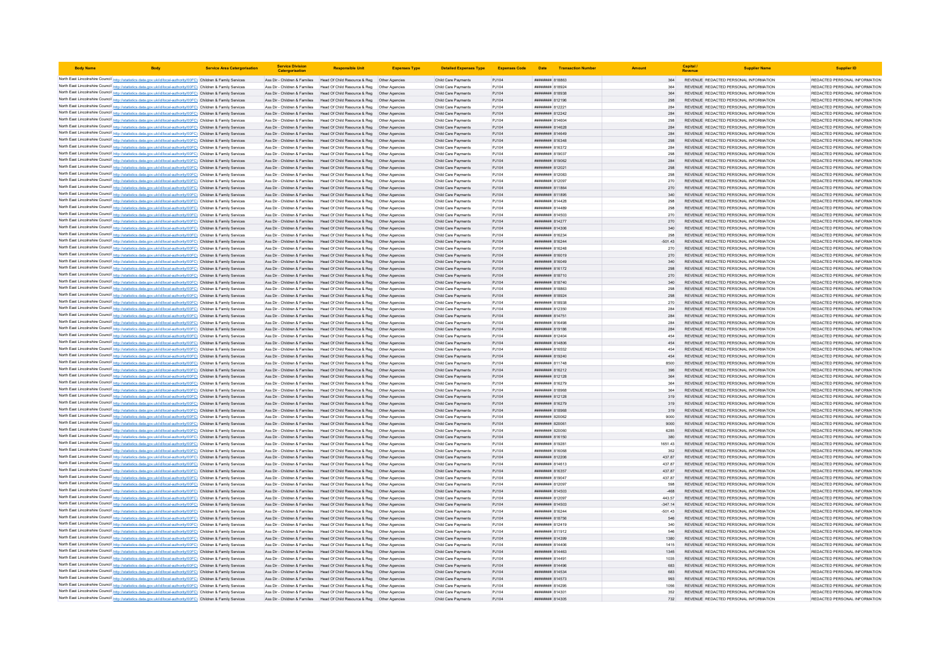| <b>Body Name</b> |                                                                                                                                                                                                                                        | <b>Service Area Catergorisation</b> | <b>Service Division</b><br>Catergorisati | <b>Responsible Unit</b>                                                                                                                                | <b>Expenses Type</b> | <b>Detailed Expenses Type</b>              | Expenses Code Date Transaction Number |                                                        |             | Capital | <b>Supplier Name</b>                                                           | <b>Supplier ID</b>                                             |
|------------------|----------------------------------------------------------------------------------------------------------------------------------------------------------------------------------------------------------------------------------------|-------------------------------------|------------------------------------------|--------------------------------------------------------------------------------------------------------------------------------------------------------|----------------------|--------------------------------------------|---------------------------------------|--------------------------------------------------------|-------------|---------|--------------------------------------------------------------------------------|----------------------------------------------------------------|
|                  | North East Lincolnshire Council http://statistics.data.gov.uk/id/local-authority/00FC) Children & Family Services                                                                                                                      |                                     |                                          | Ass Dir - Children & Families Head Of Child Resource & Reg Other Agencies                                                                              |                      | Child Care Payments                        | PJ104                                 | ######## 818863                                        | 364         |         | REVENUE REDACTED PERSONAL INFORMATION                                          | REDACTED PERSONAL INFORMATION                                  |
|                  | North East Lincolnshire Council http://statistics.data.gov.uk/id/local-authority/00FC) Children & Family Services                                                                                                                      |                                     | Ass Dir - Children & Families            | Head Of Child Resource & Reg   Other Agencies                                                                                                          |                      | Child Care Payments                        | PJ104                                 | ####### 818924                                         |             |         | REVENUE REDACTED PERSONAL INFORMATION                                          | REDACTED PERSONAL INFORMATION                                  |
|                  | North East Lincolnshire Council http://statistics.data.gov.uk/id/local-authority/00FC) Children & Family Services                                                                                                                      |                                     |                                          | Ass Dir - Children & Families Head Of Child Resource & Reg Other Agencies                                                                              |                      | Child Care Payments                        | PJ104                                 | ######## 818938                                        | 364         |         | REVENUE REDACTED PERSONAL INFORMATION                                          | REDACTED PERSONAL INFORMATION                                  |
|                  | North East Lincolnshire Council http://statistics.data.gov.uk/id/local-authority/00FC) Children & Family Services                                                                                                                      |                                     |                                          | Ass Dir - Children & Families Head Of Child Resource & Reg Other Agencies                                                                              |                      | Child Care Payments                        | PJ104                                 | ######## 812196                                        | 298         |         | REVENUE REDACTED PERSONAL INFORMATION                                          | REDACTED PERSONAL INFORMATION                                  |
|                  | North East Lincolnshire Council http://statistics.data.gov.uk/id/local-authority/00FC) Children & Family Services                                                                                                                      |                                     |                                          | Ass Dir - Children & Families Head Of Child Resource & Reg Other Agencies                                                                              |                      | Child Care Payments                        | PJ104                                 | ######## 812221                                        | 284         |         | REVENUE REDACTED PERSONAL INFORMATION                                          | REDACTED PERSONAL INFORMATION                                  |
|                  | North East Lincolnshire Council http://statistics.data.gov.uk/id/local-authority/00FC) Children & Family Services                                                                                                                      |                                     |                                          | Ass Dir - Children & Families Head Of Child Resource & Reg Other Agencies                                                                              |                      | Child Care Payments                        | PJ104                                 | ####### 812242                                         | 284         |         | REVENUE REDACTED PERSONAL INFORMATION                                          | REDACTED PERSONAL INFORMATION                                  |
|                  | North East Lincolnshire Council http://statistics.data.gov.uk/id/local-authority/00FC) Children & Family Services                                                                                                                      |                                     |                                          | Ass Dir - Children & Families Head Of Child Resource & Reg   Other Agencies                                                                            |                      | Child Care Payments                        | PJ104                                 | <b>BOALS REBENDED</b>                                  | 298         |         | REVENUE REDACTED PERSONAL INFORMATION                                          | REDACTED PERSONAL INFORMATION                                  |
|                  | North East Lincolnshire Council http://statistics.data.gov.uk/id/local-authority/00FC) Children & Family Services                                                                                                                      |                                     |                                          | Ass Dir - Children & Families Head Of Child Resource & Reg Other Agencies                                                                              |                      | Child Care Payments                        | PJ104                                 | ####### 814628                                         | 284         |         | REVENUE REDACTED PERSONAL INFORMATION                                          | REDACTED PERSONAL INFORMATION                                  |
|                  | North East Lincolnshire Council http://statistics.data.gov.uk/id/local-authority/00FC) Children & Family Services                                                                                                                      |                                     | Ass Dir - Children & Families            | Head Of Child Resource & Reg                                                                                                                           | Other Agencies       | Child Care Payments                        | PJ104                                 | ######## 814649                                        | 284         |         | REVENUE REDACTED PERSONAL INFORMATION                                          | REDACTED PERSONAL INFORMATION                                  |
|                  | North East Lincolnshire Council http://statistics.data.gov.uk/id/local-authority/00FC) Children & Family Services                                                                                                                      |                                     |                                          | Ass Dir - Children & Families Head Of Child Resource & Reg                                                                                             |                      | Child Care Payments                        | PJ104                                 | ####### 816348                                         |             |         | REVENUE REDACTED PERSONAL INFORMATION                                          | REDACTED PERSONAL INFORMATION                                  |
|                  | North East Lincolnshire Council http://statistics.data.gov.uk/id/local-authority/00FC) Children & Family Services                                                                                                                      |                                     |                                          | Ass Dir - Children & Families Head Of Child Resource & Reg                                                                                             | Other Anencies       | Child Care Payments                        | PJ104                                 | <b><i>BREEBBBB</i></b> 816372                          | 284         |         | REVENUE REDACTED PERSONAL INFORMATION                                          | REDACTED PERSONAL INFORMATION                                  |
|                  | North East Lincolnshire Council http://statistics.data.gov.uk/id/local-authority/00FC) Children & Family Services                                                                                                                      |                                     |                                          | Ass Dir - Children & Families Head Of Child Resource & Reg Other Agencies                                                                              |                      | Child Care Payments                        | PJ104                                 | ####### 819037                                         | 298         |         | REVENUE REDACTED PERSONAL INFORMATION                                          | REDACTED PERSONAL INFORMATION                                  |
|                  | North East Lincolnshire Council http://statistics.data.gov.uk/id/local-authority/00FC) Children & Family Services                                                                                                                      |                                     |                                          | Ass Dir - Children & Families Head Of Child Resource & Reg Other Agencies                                                                              |                      | Child Care Payments                        | PJ104                                 | ######## 819062                                        | 284         |         | REVENUE REDACTED PERSONAL INFORMATION                                          | REDACTED PERSONAL INFORMATION                                  |
|                  | North East Lincolnshire Council http://statistics.data.gov.uk/id/local-authority/00FC) Children & Family Services<br>North East Lincolnshire Council http://statistics.data.gov.uk/id/local-authority/00FC) Children & Family Services |                                     |                                          | Ass Dir - Children & Families Head Of Child Resource & Reg Other Agencies<br>Ass Dir - Children & Families Head Of Child Resource & Reg Other Agencies |                      | Child Care Payments<br>Child Care Payments | PJ104<br>PJ104                        | ######## 812021<br><b><i>BRAHHHHH</i></b> 812083       | 298         |         | REVENUE REDACTED PERSONAL INFORMATION<br>REVENUE REDACTED PERSONAL INFORMATION | REDACTED PERSONAL INFORMATION<br>REDACTED PERSONAL INFORMATION |
|                  | North East Lincolnshire Council http://statistics.data.gov.uk/id/local-authority/00FC) Children & Family Services                                                                                                                      |                                     | Ass Dir - Children & Families            | Head Of Child Resource & Reg  Other Agencies                                                                                                           |                      | Child Care Payments                        | PJ104                                 | ######## 812097                                        | 298<br>270  |         | REVENUE REDACTED PERSONAL INFORMATION                                          | REDACTED PERSONAL INFORMATION                                  |
|                  | North East Lincolnshire Council http://statistics.data.gov.uk/id/local-authority/00FC) Children & Family Services                                                                                                                      |                                     | Ass Dir - Children & Families            | Head Of Child Resource & Reg                                                                                                                           | Other Agencies       | Child Care Payments                        | PJ104                                 | ######## 811864                                        | 270         |         | REVENUE REDACTED PERSONAL INFORMATION                                          | REDACTED PERSONAL INFORMATION                                  |
|                  | North East Lincolnshire Council http://statistics.data.gov.uk/id/local-authority/00FC) Children & Family Services                                                                                                                      |                                     |                                          | Ass Dir - Children & Families Head Of Child Resource & Reg Other Agencies                                                                              |                      | Child Care Payments                        | PJ104                                 | ######## 811895                                        | 340         |         | REVENUE REDACTED PERSONAL INFORMATION                                          | REDACTED PERSONAL INFORMATION                                  |
|                  | North East Lincolnshire Council http://statistics.data.gov.uk/id/local-authority/00FC) Children & Family Services                                                                                                                      |                                     |                                          | Ass Dir - Children & Families Head Of Child Resource & Reg. Other Agencies                                                                             |                      | Child Care Payments                        | PJ104                                 | <i>пивнини</i> 814428                                  | 298         |         | REVENUE REDACTED PERSONAL INFORMATION                                          | REDACTED PERSONAL INFORMATION                                  |
|                  | North East Lincolnshire Council http://statistics.data.gov.uk/id/local-authority/00FC) Children & Family Services                                                                                                                      |                                     |                                          | Ass Dir - Children & Families Head Of Child Resource & Reg Other Agencies                                                                              |                      | Child Care Payments                        | PJ104                                 | ####### 814489                                         | 298         |         | REVENUE REDACTED PERSONAL INFORMATION                                          | REDACTED PERSONAL INFORMATION                                  |
|                  | North East Lincolnshire Council http://statistics.data.gov.uk/id/local-authority/00FC) Children & Family Services                                                                                                                      |                                     |                                          | Ass Dir - Children & Families Head Of Child Resource & Reg Other Agencies                                                                              |                      | Child Care Payments                        | PJ104                                 | ####### 814503                                         | 270         |         | REVENUE REDACTED PERSONAL INFORMATION                                          | REDACTED PERSONAL INFORMATION                                  |
|                  | North East Lincolnshire Council http://statistics.data.gov.uk/id/local-authority/00FC) Children & Family Services                                                                                                                      |                                     |                                          | Ass Dir - Children & Families Head Of Child Resource & Reg Other Agencies                                                                              |                      | Child Care Payments                        | PJ104                                 | ####### 814277                                         | 270         |         | REVENUE REDACTED PERSONAL INFORMATION                                          | REDACTED PERSONAL INFORMATION                                  |
|                  | North East Lincolnshire Council http://statistics.data.gov.uk/id/local-authority/00FC) Children & Family Services                                                                                                                      |                                     |                                          | Ass Dir - Children & Families Head Of Child Resource & Reg Other Agencies                                                                              |                      | Child Care Payments                        | PJ104                                 | ######## 814306                                        | 340         |         | REVENUE REDACTED PERSONAL INFORMATION                                          | REDACTED PERSONAL INFORMATION                                  |
|                  | North East Lincolnshire Council http://statistics.data.gov.uk/id/local-authority/00FC) Children & Family Services                                                                                                                      |                                     |                                          | Ass Dir - Children & Families Head Of Child Resource & Reg Other Agencies                                                                              |                      | Child Care Payments                        | PJ104                                 | ####### 816234                                         | 298         |         | REVENUE REDACTED PERSONAL INFORMATION                                          | REDACTED PERSONAL INFORMATION                                  |
|                  | North East Lincolnshire Council http://statistics.data.gov.uk/id/local-authority/00FC) Children & Family Services                                                                                                                      |                                     | Ass Dir - Children & Families            | Head Of Child Resource & Reg                                                                                                                           |                      | Child Care Payments                        | PJ104                                 | ####### 816244                                         | $-501.43$   |         | REVENUE REDACTED PERSONAL INFORMATION                                          | REDACTED PERSONAL INFORMATION                                  |
|                  | North East Lincolnshire Council http://statistics.data.gov.uk/id/local-authority/00FC) Children & Family Services                                                                                                                      |                                     |                                          | Ass Dir - Children & Families Head Of Child Resource & Reg                                                                                             | Other Anencies       | Child Care Payments                        | PJ104                                 | <b>BACAIR REBENDED</b>                                 | 270         |         | REVENUE REDACTED PERSONAL INFORMATION                                          | REDACTED PERSONAL INFORMATION                                  |
|                  | North East Lincolnshire Council http://statistics.data.gov.uk/id/local-authority/00FC) Children & Family Services                                                                                                                      |                                     |                                          | Ass Dir - Children & Families Head Of Child Resource & Reg                                                                                             | Other Agencies       | Child Care Payments                        | PJ104                                 | ####### 816019                                         | 270         |         | REVENUE REDACTED PERSONAL INFORMATION                                          | REDACTED PERSONAL INFORMATION                                  |
|                  | North East Lincolnshire Council http://statistics.data.gov.uk/id/local-authority/00FC) Children & Family Services                                                                                                                      |                                     |                                          | Ass Dir - Children & Families Head Of Child Resource & Reg Other Agencies                                                                              |                      | Child Care Payments                        | PJ104                                 | ######## 816049                                        | 340         |         | REVENUE REDACTED PERSONAL INFORMATION                                          | REDACTED PERSONAL INFORMATION                                  |
|                  | North East Lincolnshire Council http://statistics.data.gov.uk/id/local-authority/00FC) Children & Family Services                                                                                                                      |                                     | Ass Dir - Children & Families            | Head Of Child Resource & Reg  Other Agencies                                                                                                           |                      | Child Care Payments                        | PJ104                                 | ####### 816172                                         |             |         | REVENUE REDACTED PERSONAL INFORMATION                                          | REDACTED PERSONAL INFORMATION                                  |
|                  | North East Lincolnshire Council http://statistics.data.gov.uk/id/local-authority/00FC) Children & Family Services                                                                                                                      |                                     |                                          | Ass Dir - Children & Families Head Of Child Resource & Reg Other Agencies                                                                              |                      | Child Care Payments                        | PJ104                                 | ######## 818710                                        | 270         |         | REVENUE REDACTED PERSONAL INFORMATION                                          | REDACTED PERSONAL INFORMATION                                  |
|                  | North East Lincolnshire Council http://statistics.data.gov.uk/id/local-authority/00FC) Children & Family Services                                                                                                                      |                                     |                                          | Ass Dir - Children & Families Head Of Child Resource & Reg Other Agencies                                                                              |                      | Child Care Payments                        | PJ104                                 | ######## 818740                                        | 340         |         | REVENUE REDACTED PERSONAL INFORMATION                                          | REDACTED PERSONAL INFORMATION                                  |
|                  | North East Lincolnshire Council http://statistics.data.gov.uk/id/local-authority/00FC) Children & Family Services                                                                                                                      |                                     | Ass Dir - Children & Families            | Head Of Child Resource & Reg   Other Agencies                                                                                                          |                      | Child Care Payments                        | PJ104                                 | ######## 818863                                        | 298         |         | REVENUE REDACTED PERSONAL INFORMATION                                          | REDACTED PERSONAL INFORMATION                                  |
|                  | North East Lincolnshire Council http://statistics.data.gov.uk/id/local-authority/00FC) Children & Family Services                                                                                                                      |                                     |                                          | Ass Dir - Children & Families Head Of Child Resource & Reg Other Agencies                                                                              |                      | Child Care Payments                        | PJ104                                 | ######## 818924                                        | 298         |         | REVENUE REDACTED PERSONAL INFORMATION                                          | REDACTED PERSONAL INFORMATION                                  |
|                  | North East Lincolnshire Council http://statistics.data.gov.uk/id/local-authority/00FC) Children & Family Services                                                                                                                      |                                     |                                          | Ass Dir - Children & Families Head Of Child Resource & Reg   Other Agencies                                                                            |                      | Child Care Payments                        | PJ104                                 | <b><i>BERBHARD</i></b> 818938                          | 270         |         | REVENUE REDACTED PERSONAL INFORMATION                                          | REDACTED PERSONAL INFORMATION                                  |
|                  | North East Lincolnshire Council http://statistics.data.gov.uk/id/local-authority/00FC) Children & Family Services                                                                                                                      |                                     |                                          | Ass Dir - Children & Families Head Of Child Resource & Reg Other Agencies                                                                              |                      | Child Care Payments                        | PJ104                                 | ######## 812350                                        | 284         |         | REVENUE REDACTED PERSONAL INFORMATION                                          | REDACTED PERSONAL INFORMATION                                  |
|                  | North East Lincolnshire Council http://statistics.data.gov.uk/id/local-authority/00FC) Children & Family Services                                                                                                                      |                                     |                                          | Ass Dir - Children & Families Head Of Child Resource & Reg Other Agencies                                                                              |                      | Child Care Payments                        | PJ104                                 | ######## 814751                                        | 284         |         | REVENUE REDACTED PERSONAL INFORMATION                                          | REDACTED PERSONAL INFORMATION                                  |
|                  | North East Lincolnshire Council http://statistics.data.gov.uk/id/local-authority/00FC) Children & Family Services                                                                                                                      |                                     |                                          | Ass Dir - Children & Families Head Of Child Resource & Reg Other Agencies                                                                              |                      | Child Care Payments                        | PJ104                                 | ####### 816498                                         | 284         |         | REVENUE REDACTED PERSONAL INFORMATION                                          | REDACTED PERSONAL INFORMATION                                  |
|                  | North East Lincolnshire Council http://statistics.data.gov.uk/id/local-authority/00FC) Children & Family Services                                                                                                                      |                                     |                                          | Ass Dir - Children & Families Head Of Child Resource & Reg Other Agencies                                                                              |                      | Child Care Payments                        | P.1104                                | ######## 819186                                        | 284         |         | REVENUE REDACTED PERSONAL INFORMATION                                          | REDACTED PERSONAL INFORMATION                                  |
|                  | North East Lincolnshire Council http://statistics.data.gov.uk/id/local-authority/00FC) Children & Family Services                                                                                                                      |                                     | Ass Dir - Children & Families            | Head Of Child Resource & Reg   Other Agencies                                                                                                          |                      | Child Care Payments                        | PJ104                                 | ######## 812404                                        | 454         |         | REVENUE REDACTED PERSONAL INFORMATION                                          | REDACTED PERSONAL INFORMATION                                  |
|                  | North East Lincolnshire Council http://statistics.data.gov.uk/id/local-authority/00FC) Children & Family Services                                                                                                                      |                                     |                                          | Ass Dir - Children & Families Head Of Child Resource & Reg<br>Ass Dir - Children & Families   Head Of Child Resource & Reg                             |                      | Child Care Payments                        | PJ104                                 | ######## 814806<br><b><i>BREEZER R16552</i></b>        | 454         |         | REVENUE REDACTED PERSONAL INFORMATION                                          | REDACTED PERSONAL INFORMATION<br>REDACTED PERSONAL INFORMATION |
|                  | North East Lincolnshire Council http://statistics.data.gov.uk/id/local-authority/00FC) Children & Family Services<br>North East Lincolnshire Council http://statistics.data.gov.uk/id/local-authority/00FC) Children & Family Services |                                     |                                          | Ass Dir - Children & Families Head Of Child Resource & Reg. Other Agencies                                                                             | Other Agencies       | Child Care Payments<br>Child Care Payments | PJ104<br>PJ104                        | <b>HHHHHHH 819240</b>                                  | 454<br>454  |         | REVENUE REDACTED PERSONAL INFORMATION<br>REVENUE REDACTED PERSONAL INFORMATION | REDACTED PERSONAL INFORMATION                                  |
|                  | North East Lincolnshire Council http://statistics.data.gov.uk/id/local-authority/00FC) Children & Family Services                                                                                                                      |                                     |                                          | Ass Dir - Children & Families Head Of Child Resource & Reg Other Agencies                                                                              |                      | Child Care Payments                        | PJ104                                 | ######## 811748                                        | 8500        |         | REVENUE REDACTED PERSONAL INFORMATION                                          | REDACTED PERSONAL INFORMATION                                  |
|                  | North East Lincolnshire Council http://statistics.data.gov.uk/id/local-authority/00FC) Children & Family Services                                                                                                                      |                                     |                                          | Ass Dir - Children & Families Head Of Child Resource & Reg Other Agencies                                                                              |                      | Child Care Payments                        | PJ104                                 | ####### 816212                                         |             |         | REVENUE REDACTED PERSONAL INFORMATION                                          | REDACTED PERSONAL INFORMATION                                  |
|                  | North East Lincolnshire Council http://statistics.data.gov.uk/id/local-authority/00FC) Children & Family Services                                                                                                                      |                                     |                                          | Ass Dir - Children & Families Head Of Child Resource & Reg Other Agencies                                                                              |                      | Child Care Payments                        | PJ104                                 | ####### 812128                                         | 364         |         | REVENUE REDACTED PERSONAL INFORMATION                                          | REDACTED PERSONAL INFORMATION                                  |
|                  | North East Lincolnshire Council http://statistics.data.gov.uk/id/local-authority/00FC) Children & Family Services                                                                                                                      |                                     |                                          | Ass Dir - Children & Families Head Of Child Resource & Reg Other Agencies                                                                              |                      | Child Care Payments                        | PJ104                                 | ######## 816279                                        | 364         |         | REVENUE REDACTED PERSONAL INFORMATION                                          | REDACTED PERSONAL INFORMATION                                  |
|                  | North East Lincolnshire Council http://statistics.data.gov.uk/id/local-authority/00FC) Children & Family Services                                                                                                                      |                                     | Ass Dir - Children & Families            | Head Of Child Resource & Reg   Other Agencies                                                                                                          |                      | Child Care Payments                        | PJ104                                 | ####### 818968                                         | 364         |         | REVENUE REDACTED PERSONAL INFORMATION                                          | REDACTED PERSONAL INFORMATION                                  |
|                  | North East Lincolnshire Council http://statistics.data.gov.uk/id/local-authority/00FC) Children & Family Services                                                                                                                      |                                     | Ass Dir - Children & Families            | Head Of Child Resource & Reg                                                                                                                           | Other Agencies       | Child Care Payments                        | PJ104                                 | <b>####### 812128</b>                                  | 319         |         | REVENUE REDACTED PERSONAL INFORMATION                                          | REDACTED PERSONAL INFORMATION                                  |
|                  | North East Lincolnshire Council http://statistics.data.gov.uk/id/local-authority/00FC) Children & Family Services                                                                                                                      |                                     |                                          | Ass Dir - Children & Families Head Of Child Resource & Reg Other Agencies                                                                              |                      | Child Care Payments                        | PJ104                                 | ######## 816279                                        | 319         |         | REVENUE REDACTED PERSONAL INFORMATION                                          | REDACTED PERSONAL INFORMATION                                  |
|                  | North East Lincolnshire Council http://statistics.data.gov.uk/id/local-authority/00FC) Children & Family Services                                                                                                                      |                                     |                                          | Ass Dir - Children & Families Head Of Child Resource & Reg Other Agencies                                                                              |                      | Child Care Payments                        | PJ104                                 | ######## 818968                                        | 319         |         | REVENUE REDACTED PERSONAL INFORMATION                                          | REDACTED PERSONAL INFORMATION                                  |
|                  | North East Lincolnshire Council http://statistics.data.gov.uk/id/local-authority/00FC) Children & Family Services                                                                                                                      |                                     |                                          | Ass Dir - Children & Families Head Of Child Resource & Reg Other Agencies                                                                              |                      | Child Care Payments                        | PJ104                                 | ######## 820062                                        | 9000        |         | REVENUE REDACTED PERSONAL INFORMATION                                          | REDACTED PERSONAL INFORMATION                                  |
|                  | North East Lincolnshire Council http://statistics.data.gov.uk/id/local-authority/00FC) Children & Family Services                                                                                                                      |                                     |                                          | Ass Dir - Children & Families Head Of Child Resource & Reg Other Agencies                                                                              |                      | Child Care Payments                        | PJ104                                 | ######## 820061                                        | 9000        |         | REVENUE REDACTED PERSONAL INFORMATION                                          | REDACTED PERSONAL INFORMATION                                  |
|                  | North East Lincolnshire Council http://statistics.data.gov.uk/id/local-authority/00FC) Children & Family Services                                                                                                                      |                                     |                                          | Ass Dir - Children & Families Head Of Child Resource & Reg   Other Agencies                                                                            |                      | Child Care Payments                        | PJ104                                 | 020028 #######                                         | 6285        |         | REVENUE REDACTED PERSONAL INFORMATION                                          | REDACTED PERSONAL INFORMATION                                  |
|                  | North East Lincolnshire Council http://statistics.data.gov.uk/id/local-authority/00FC) Children & Family Services                                                                                                                      |                                     |                                          | Ass Dir - Children & Families Head Of Child Resource & Reg Other Agencies                                                                              |                      | Child Care Payments                        | PJ104                                 | ######## 816150                                        | 380         |         | REVENUE REDACTED PERSONAL INFORMATION                                          | REDACTED PERSONAL INFORMATION                                  |
|                  | North East Lincolnshire Council http://statistics.data.gov.uk/id/local-authority/00FC) Children & Family Services                                                                                                                      |                                     | Ass Dir - Children & Families            | Head Of Child Resource & Reg                                                                                                                           | Other Agencies       | Child Care Payments                        | PJ104                                 | ####### 819281                                         | 1651.43     |         | REVENUE REDACTED PERSONAL INFORMATION                                          | REDACTED PERSONAL INFORMATION                                  |
|                  | North East Lincolnshire Council http://statistics.data.gov.uk/id/local-authority/00FC) Children & Family Services                                                                                                                      |                                     | Ass Dir - Children & Families            | Head Of Child Resource & Reg                                                                                                                           | Other Agencies       | Child Care Payments                        | PJ104                                 | 830818 RRRHBR                                          | 352         |         | REVENUE REDACTED PERSONAL INFORMATION                                          | REDACTED PERSONAL INFORMATION                                  |
|                  | North East Lincolnshire Council http://statistics.data.gov.uk/id/local-authority/00FC) Children & Family Services                                                                                                                      |                                     |                                          | Ass Dir - Children & Families Head Of Child Resource & Reg                                                                                             | Other Agencies       | Child Care Payments                        | PJ104                                 | ######## 812206                                        | 437.87      |         | REVENUE REDACTED PERSONAL INFORMATION                                          | REDACTED PERSONAL INFORMATION                                  |
|                  | North East Lincolnshire Council http://statistics.data.gov.uk/id/local-authority/00FC) Children & Family Services                                                                                                                      |                                     |                                          | Ass Dir - Children & Families Head Of Child Resource & Reg Other Agencies                                                                              |                      | Child Care Payments                        | PJ104                                 | ####### 814613                                         | 43787       |         | REVENUE REDACTED PERSONAL INFORMATION                                          | REDACTED PERSONAL INFORMATION                                  |
|                  | North East Lincolnshire Council http://statistics.data.gov.uk/id/local-authority/00FC) Children & Family Services                                                                                                                      |                                     |                                          | Ass Dir - Children & Families Head Of Child Resource & Reg Other Agencies                                                                              |                      | Child Care Payments                        | PJ104                                 | ######## 816357                                        | 437.87      |         | REVENUE REDACTED PERSONAL INFORMATION                                          | REDACTED PERSONAL INFORMATION                                  |
|                  | North East Lincolnshire Council http://statistics.data.gov.uk/id/local-authority/00FC) Children & Family Services                                                                                                                      |                                     |                                          | Ass Dir - Children & Families Head Of Child Resource & Reg Other Agencies                                                                              |                      | Child Care Payments                        | PJ104                                 | ####### 819047                                         | 437.87      |         | REVENUE REDACTED PERSONAL INFORMATION                                          | REDACTED PERSONAL INFORMATION                                  |
|                  | North East Lincolnshire Council http://statistics.data.gov.uk/id/local-authority/00FC) Children & Family Services                                                                                                                      |                                     | Ass Dir - Children & Families            | Head Of Child Resource & Reg. Other Agencies                                                                                                           |                      | Child Care Payments                        | P.1104                                | ######## 812097                                        | 598         |         | REVENUE REDACTED PERSONAL INFORMATION                                          | REDACTED PERSONAL INFORMATION                                  |
|                  | North East Lincolnshire Council http://statistics.data.gov.uk/id/local-authority/00FC) Children & Family Services                                                                                                                      |                                     |                                          | Ass Dir - Children & Families Head Of Child Resource & Reg Other Agencies                                                                              |                      | Child Care Payments                        | PJ104                                 | ######## 814503                                        | $-468$      |         | REVENUE REDACTED PERSONAL INFORMATION                                          | REDACTED PERSONAL INFORMATION                                  |
|                  | North East Lincolnshire Council http://statistics.data.gov.uk/id/local-authority/00FC) Children & Family Services                                                                                                                      |                                     | Ass Dir - Children & Families            | Head Of Child Resource & Reg   Other Agencies                                                                                                          |                      | Child Care Payments                        | PJ104                                 | ####### 81209                                          | 443.57      |         | REVENUE REDACTED PERSONAL INFORMATION                                          | REDACTED PERSONAL INFORMATION                                  |
|                  | North East Lincolnshire Council http://statistics.data.gov.uk/id/local-authority/00FC) Children & Family Services                                                                                                                      |                                     |                                          | Ass Dir - Children & Families Head Of Child Resource & Reg                                                                                             | Other Agencies       | Child Care Payments                        | PJ104                                 | ######## 814503                                        | $-347.14$   |         | REVENUE REDACTED PERSONAL INFORMATION                                          | REDACTED PERSONAL INFORMATION                                  |
|                  | North East Lincolnshire Council http://statistics.data.gov.uk/id/local-authority/00FC) Children & Family Services                                                                                                                      |                                     |                                          | Ass Dir - Children & Families Head Of Child Resource & Reg Other Agencies                                                                              |                      | Child Care Payments                        | PJ104                                 | ######## 816244                                        | $-501.43$   |         | REVENUE REDACTED PERSONAL INFORMATION                                          | REDACTED PERSONAL INFORMATION                                  |
|                  | North East Lincolnshire Council http://statistics.data.gov.uk/id/local-authority/00FC) Children & Family Services                                                                                                                      |                                     |                                          | Ass Dir - Children & Families Head Of Child Resource & Reg Other Agencies                                                                              |                      | Child Care Payments                        | PJ104                                 | ######## 818756                                        | 546         |         | REVENUE REDACTED PERSONAL INFORMATION                                          | REDACTED PERSONAL INFORMATION                                  |
|                  | North East Lincolnshire Council http://statistics.data.gov.uk/id/local-authority/00FC) Children & Family Services                                                                                                                      |                                     |                                          | Ass Dir - Children & Families Head Of Child Resource & Reg Other Agencies                                                                              |                      | Child Care Payments                        | PJ104                                 | ####### 812419                                         |             |         | REVENUE REDACTED PERSONAL INFORMATION                                          | REDACTED PERSONAL INFORMATION                                  |
|                  | North East Lincolnshire Council http://statistics.data.gov.uk/id/local-authority/00FC) Children & Family Services                                                                                                                      |                                     |                                          | Ass Dir - Children & Families Head Of Child Resource & Reg Other Agencies                                                                              |                      | Child Care Payments                        | PJ104                                 | ####### 811912                                         | 546         |         | REVENUE REDACTED PERSONAL INFORMATION                                          | REDACTED PERSONAL INFORMATION                                  |
|                  | North East Lincolnshire Council http://statistics.data.gov.uk/id/local-authority/00FC) Children & Family Services                                                                                                                      |                                     |                                          | Ass Dir - Children & Families Head Of Child Resource & Reg Other Agencies                                                                              |                      | Child Care Payments                        | PJ104                                 | ######## 814399                                        | 1380        |         | REVENUE REDACTED PERSONAL INFORMATION                                          | REDACTED PERSONAL INFORMATION                                  |
|                  | North East Lincolnshire Council http://statistics.data.gov.uk/id/local-authority/00FC) Children & Family Services                                                                                                                      |                                     | Ass Dir - Children & Families            | Head Of Child Resource & Reg                                                                                                                           | Other Agencies       | Child Care Payments                        | PJ104                                 | ####### 814406                                         | 1415        |         | REVENUE REDACTED PERSONAL INFORMATION                                          | REDACTED PERSONAL INFORMATION                                  |
|                  | North East Lincolnshire Council http://statistics.data.gov.uk/id/local-authority/00FC) Children & Family Services                                                                                                                      |                                     |                                          | Ass Dir - Children & Families Head Of Child Resource & Reg<br>Ass Dir - Children & Families Head Of Child Resource & Reg                               |                      | Child Care Payments<br>Child Care Payments | PJ104<br>PJ104                        | ####### 814463<br><i><b><i>BRAHHHHH</i></b> 814491</i> | 1345        |         | REVENUE REDACTED PERSONAL INFORMATION<br>REVENUE REDACTED PERSONAL INFORMATION | REDACTED PERSONAL INFORMATION<br>REDACTED PERSONAL INFORMATION |
|                  | North East Lincolnshire Council http://statistics.data.gov.uk/id/local-authority/00FC) Children & Family Services<br>North East Lincolnshire Council http://statistics.data.gov.uk/id/local-authority/00FC) Children & Family Services |                                     |                                          | Ass Dir - Children & Families Head Of Child Resource & Reg Other Agencies                                                                              | Other Agencies       | Child Care Payments                        | PJ104                                 | ####### 814496                                         | 1035<br>683 |         | REVENUE REDACTED PERSONAL INFORMATION                                          | REDACTED PERSONAL INFORMATION                                  |
|                  | North East Lincolnshire Council http://statistics.data.gov.uk/id/local-authority/00FC) Children & Family Services                                                                                                                      |                                     |                                          | Ass Dir - Children & Families Head Of Child Resource & Reg Other Agencies                                                                              |                      | Child Care Payments                        | PJ104                                 | ######## 814534                                        | 683         |         | REVENUE REDACTED PERSONAL INFORMATION                                          | REDACTED PERSONAL INFORMATION                                  |
|                  | North East Lincolnshire Council http://statistics.data.gov.uk/id/local-authority/00FC) Children & Family Services                                                                                                                      |                                     |                                          | Ass Dir - Children & Families Head Of Child Resource & Reg Other Agencies                                                                              |                      | Child Care Payments                        | PJ104                                 | ####### 814573                                         |             |         | REVENUE REDACTED PERSONAL INFORMATION                                          | REDACTED PERSONAL INFORMATION                                  |
|                  | North East Lincolnshire Council http://statistics.data.gov.uk/id/local-authority/00FC) Children & Family Services                                                                                                                      |                                     |                                          | Ass Dir - Children & Families Head Of Child Resource & Reg Other Agencies                                                                              |                      | Child Care Payments                        | PJ104                                 | <b><i>BREBBBBB</i></b> 814295                          | 1056        |         | REVENUE REDACTED PERSONAL INFORMATION                                          | REDACTED PERSONAL INFORMATION                                  |
|                  | North East Lincolnshire Council http://statistics.data.gov.uk/id/local-authority/00FC) Children & Family Services                                                                                                                      |                                     |                                          | Ass Dir - Children & Families Head Of Child Resource & Reg Other Agencies                                                                              |                      | Child Care Payments                        | PJ104                                 | ######## 814301                                        | 352         |         | REVENUE REDACTED PERSONAL INFORMATION                                          | REDACTED PERSONAL INFORMATION                                  |
|                  | North East Lincolnshire Council http://statistics.data.gov.uk/id/local-authority/00FC) Children & Family Services                                                                                                                      |                                     |                                          | Ass Dir - Children & Families Head Of Child Resource & Reg                                                                                             | Other Agencies       | Child Care Payments                        | PJ104                                 | ######## 814305                                        | 732         |         | REVENUE REDACTED PERSONAL INFORMATION                                          | REDACTED PERSONAL INFORMATION                                  |
|                  |                                                                                                                                                                                                                                        |                                     |                                          |                                                                                                                                                        |                      |                                            |                                       |                                                        |             |         |                                                                                |                                                                |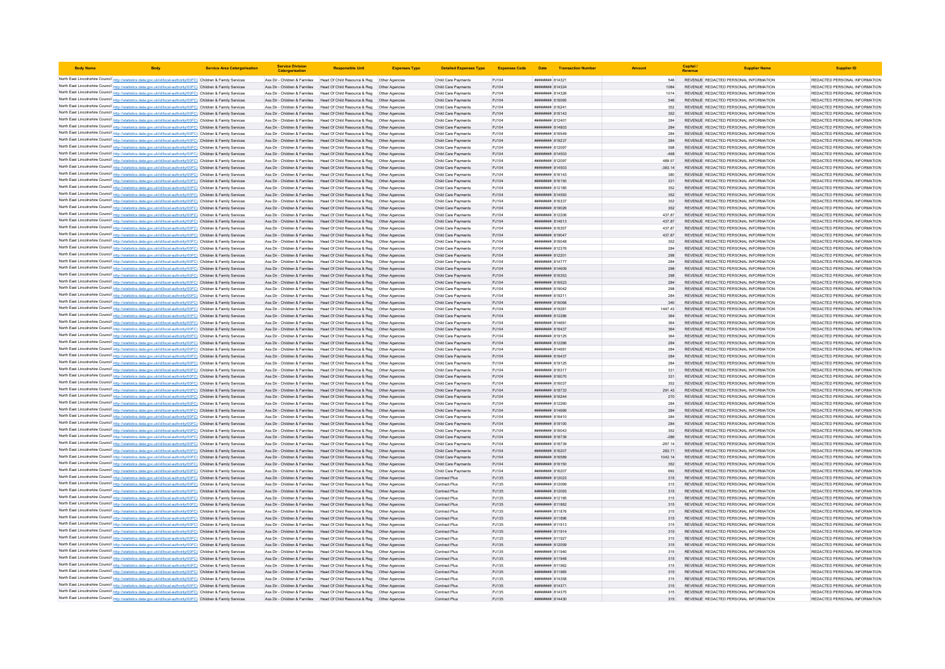| <b>Body Name</b> |                                                                                                                                                                                                                                        | <b>Service Area Catergorisation</b> | <b>Service Division</b><br>Catergorisati | <b>Responsible Unit</b>                                                                                                                                  | <b>Expenses Type</b> | <b>Detailed Expenses Type</b>              |                |                                                  | Expenses Code Date Transaction Number |                     | Capital | <b>Supplier Name</b>                                                           | <b>Supplier ID</b>                                             |
|------------------|----------------------------------------------------------------------------------------------------------------------------------------------------------------------------------------------------------------------------------------|-------------------------------------|------------------------------------------|----------------------------------------------------------------------------------------------------------------------------------------------------------|----------------------|--------------------------------------------|----------------|--------------------------------------------------|---------------------------------------|---------------------|---------|--------------------------------------------------------------------------------|----------------------------------------------------------------|
|                  | North East Lincolnshire Council http://statistics.data.gov.uk/id/local-authority/00FC) Children & Family Services                                                                                                                      |                                     |                                          | Ass Dir - Children & Families Head Of Child Resource & Reg Other Agencies                                                                                |                      | Child Care Payments                        | PJ104          | <b>#######</b> 814321                            |                                       | 546                 |         | REVENUE REDACTED PERSONAL INFORMATION                                          | REDACTED PERSONAL INFORMATION                                  |
|                  | North East Lincolnshire Council http://statistics.data.gov.uk/id/local-authority/00FC) Children & Family Services                                                                                                                      |                                     |                                          | Ass Dir - Children & Families Head Of Child Resource & Reg Other Agencies                                                                                |                      | Child Care Payments                        | PJ104          | ####### 814324                                   |                                       |                     |         | REVENUE REDACTED PERSONAL INFORMATION                                          | REDACTED PERSONAL INFORMATION                                  |
|                  | North East Lincolnshire Council http://statistics.data.gov.uk/id/local-authority/00FC) Children & Family Services                                                                                                                      |                                     |                                          | Ass Dir - Children & Families Head Of Child Resource & Reg   Other Agencies                                                                              |                      | Child Care Payments                        | PJ104          | ####### 814326                                   |                                       | 1014                |         | REVENUE REDACTED PERSONAL INFORMATION                                          | REDACTED PERSONAL INFORMATION                                  |
|                  | North East Lincolnshire Council http://statistics.data.gov.uk/id/local-authority/00FC) Children & Family Services                                                                                                                      |                                     |                                          | Ass Dir - Children & Families Head Of Child Resource & Reg Other Agencies                                                                                |                      | Child Care Payments                        | PJ104          | ######## 816065                                  |                                       | 546                 |         | REVENUE REDACTED PERSONAL INFORMATION                                          | REDACTED PERSONAL INFORMATION                                  |
|                  | North East Lincolnshire Council http://statistics.data.gov.uk/id/local-authority/00FC) Children & Family Services                                                                                                                      |                                     |                                          | Ass Dir - Children & Families Head Of Child Resource & Reg Other Agencies                                                                                |                      | Child Care Payments                        | PJ104          | ####### 816241                                   |                                       | 352                 |         | REVENUE REDACTED PERSONAL INFORMATION                                          | REDACTED PERSONAL INFORMATION                                  |
|                  | North East Lincolnshire Council http://statistics.data.gov.uk/id/local-authority/00FC) Children & Family Services                                                                                                                      |                                     |                                          | Ass Dir - Children & Families Head Of Child Resource & Reg Other Agencies                                                                                |                      | Child Care Payments                        | PJ104          | ####### 816143                                   |                                       | 352                 |         | REVENUE REDACTED PERSONAL INFORMATION                                          | REDACTED PERSONAL INFORMATION                                  |
|                  | North East Lincolnshire Council http://statistics.data.gov.uk/id/local-authority/00FC) Children & Family Services                                                                                                                      |                                     |                                          | Ass Dir - Children & Families Head Of Child Resource & Reg Other Agencies                                                                                |                      | Child Care Payments                        | PJ104          | ####### 812401                                   |                                       | 284                 |         | REVENUE REDACTED PERSONAL INFORMATION                                          | REDACTED PERSONAL INFORMATION                                  |
|                  | North East Lincolnshire Council http://statistics.data.gov.uk/id/local-authority/00FC) Children & Family Services<br>North East Lincolnshire Council http://statistics.data.gov.uk/id/local-authority/00FC) Children & Family Services |                                     | Ass Dir - Children & Families            | Ass Dir - Children & Families Head Of Child Resource & Reg Other Agencies<br>Head Of Child Resource & Reg                                                | Other Agencies       | Child Care Payments<br>Child Care Payments | PJ104<br>PJ104 | ######## 814803<br>####### 816549                |                                       | 284<br>284          |         | REVENUE REDACTED PERSONAL INFORMATION<br>REVENUE REDACTED PERSONAL INFORMATION | REDACTED PERSONAL INFORMATION<br>REDACTED PERSONAL INFORMATION |
|                  | North East Lincolnshire Council http://statistics.data.gov.uk/id/local-authority/00FC) Children & Family Services                                                                                                                      |                                     |                                          | Ass Dir - Children & Families Head Of Child Resource & Reg                                                                                               |                      | Child Care Payments                        | PJ104          | ######## 819237                                  |                                       | 284                 |         | REVENUE REDACTED PERSONAL INFORMATION                                          | REDACTED PERSONAL INFORMATION                                  |
|                  | North East Lincolnshire Council http://statistics.data.gov.uk/id/local-authority/00FC) Children & Family Services                                                                                                                      |                                     |                                          | Ass Dir - Children & Families Head Of Child Resource & Reg                                                                                               | Other Anencies       | Child Care Payments                        | PJ104          | ######## 812097                                  |                                       | 598                 |         | REVENUE REDACTED PERSONAL INFORMATION                                          | REDACTED PERSONAL INFORMATION                                  |
|                  | North East Lincolnshire Council http://statistics.data.gov.uk/id/local-authority/00FC) Children & Family Services                                                                                                                      |                                     |                                          | Ass Dir - Children & Families Head Of Child Resource & Reg Other Agencies                                                                                |                      | Child Care Payments                        | PJ104          | ######## 814503                                  |                                       | $-468$              |         | REVENUE REDACTED PERSONAL INFORMATION                                          | REDACTED PERSONAL INFORMATION                                  |
|                  | North East Lincolnshire Council http://statistics.data.gov.uk/id/local-authority/00FC) Children & Family Services                                                                                                                      |                                     |                                          | Ass Dir - Children & Families Head Of Child Resource & Reg Other Agencies                                                                                |                      | Child Care Payments                        | PJ104          | <b>####### 81209</b>                             |                                       | 489.57              |         | REVENUE REDACTED PERSONAL INFORMATION                                          | REDACTED PERSONAL INFORMATION                                  |
|                  | North East Lincolnshire Council http://statistics.data.gov.uk/id/local-authority/00FC) Children & Family Services                                                                                                                      |                                     |                                          | Ass Dir - Children & Families Head Of Child Resource & Reg Other Agencies                                                                                |                      | Child Care Payments                        | PJ104          | ######## 814503                                  |                                       | $-383.14$           |         | REVENUE REDACTED PERSONAL INFORMATION                                          | REDACTED PERSONAL INFORMATION                                  |
|                  | North East Lincolnshire Council http://statistics.data.gov.uk/id/local-authority/00FC) Children & Family Services                                                                                                                      |                                     | Ass Dir - Children & Families            | Head Of Child Resource & Reg   Other Agencies                                                                                                            |                      | Child Care Payments                        | P.1104         | ######## 816143                                  |                                       | 380                 |         | REVENUE REDACTED PERSONAL INFORMATION                                          | REDACTED PERSONAL INFORMATION                                  |
|                  | North East Lincolnshire Council http://statistics.data.gov.uk/id/local-authority/00FC) Children & Family Services                                                                                                                      |                                     |                                          | Ass Dir - Children & Families Head Of Child Resource & Reg Other Agencies                                                                                |                      | Child Care Payments                        | PJ104          | ######## 816150                                  |                                       | 331                 |         | REVENUE REDACTED PERSONAL INFORMATION                                          | REDACTED PERSONAL INFORMATION                                  |
|                  | North East Lincolnshire Council http://statistics.data.gov.uk/id/local-authority/00FC) Children & Family Services                                                                                                                      |                                     | Ass Dir - Children & Families            | Head Of Child Resource & Reg   Other Agencies                                                                                                            |                      | Child Care Payments                        | PJ104          | <b>####### 81218</b>                             |                                       | 352                 |         | REVENUE REDACTED PERSONAL INFORMATION                                          | REDACTED PERSONAL INFORMATION                                  |
|                  | North East Lincolnshire Council http://statistics.data.gov.uk/id/local-authority/00FC) Children & Family Services                                                                                                                      |                                     |                                          | Ass Dir - Children & Families Head Of Child Resource & Reg Other Agencies                                                                                |                      | Child Care Payments                        | PJ104          | ######## 814593                                  |                                       | 352                 |         | REVENUE REDACTED PERSONAL INFORMATION                                          | REDACTED PERSONAL INFORMATION                                  |
|                  | North East Lincolnshire Council http://statistics.data.gov.uk/id/local-authority/00FC) Children & Family Services                                                                                                                      |                                     |                                          | Ass Dir - Children & Families Head Of Child Resource & Reg. Other Agencies<br>Ass Dir - Children & Families Head Of Child Resource & Reg Other Agencies  |                      | Child Care Payments                        | PJ104          | <b><i>BREEBBBB</i></b> 816337<br>######## 819026 |                                       | 352                 |         | REVENUE REDACTED PERSONAL INFORMATION<br>REVENUE REDACTED PERSONAL INFORMATION | REDACTED PERSONAL INFORMATION<br>REDACTED PERSONAL INFORMATION |
|                  | North East Lincolnshire Council http://statistics.data.gov.uk/id/local-authority/00FC) Children & Family Services<br>North East Lincolnshire Council http://statistics.data.gov.uk/id/local-authority/00FC) Children & Family Services |                                     |                                          | Ass Dir - Children & Families Head Of Child Resource & Reg Other Agencies                                                                                |                      | Child Care Payments<br>Child Care Payments | PJ104<br>PJ104 | ####### 812206                                   |                                       | 352<br>437.87       |         | REVENUE REDACTED PERSONAL INFORMATION                                          | REDACTED PERSONAL INFORMATION                                  |
|                  | North East Lincolnshire Council http://statistics.data.gov.uk/id/local-authority/00FC) Children & Family Services                                                                                                                      |                                     |                                          | Ass Dir - Children & Families Head Of Child Resource & Reg Other Agencies                                                                                |                      | Child Care Payments                        | PJ104          | ####### 814613                                   |                                       | 437.87              |         | REVENUE REDACTED PERSONAL INFORMATION                                          | REDACTED PERSONAL INFORMATION                                  |
|                  | North East Lincolnshire Council http://statistics.data.gov.uk/id/local-authority/00FC) Children & Family Services                                                                                                                      |                                     |                                          | Ass Dir - Children & Families Head Of Child Resource & Reg Other Agencies                                                                                |                      | Child Care Payments                        | PJ104          | ######## 816357                                  |                                       | 437.87              |         | REVENUE REDACTED PERSONAL INFORMATION                                          | REDACTED PERSONAL INFORMATION                                  |
|                  | North East Lincolnshire Council http://statistics.data.gov.uk/id/local-authority/00FC) Children & Family Services                                                                                                                      |                                     |                                          | Ass Dir - Children & Families Head Of Child Resource & Reg                                                                                               | Other Agencies       | Child Care Payments                        | PJ104          | ######## 819047                                  |                                       | 437.87              |         | REVENUE REDACTED PERSONAL INFORMATION                                          | REDACTED PERSONAL INFORMATION                                  |
|                  | North East Lincolnshire Council http://statistics.data.gov.uk/id/local-authority/00FC) Children & Family Services                                                                                                                      |                                     | Ass Dir - Children & Families            | Head Of Child Resource & Reg                                                                                                                             |                      | Child Care Payments                        | PJ104          | ####### 816048                                   |                                       | 352                 |         | REVENUE REDACTED PERSONAL INFORMATION                                          | REDACTED PERSONAL INFORMATION                                  |
|                  | North East Lincolnshire Council http://statistics.data.gov.uk/id/local-authority/00FC) Children & Family Services                                                                                                                      |                                     |                                          | Ass Dir - Children & Families Head Of Child Resource & Reg                                                                                               | Other Agencies       | Child Care Payments                        | PJ104          | <b>########</b> 812376                           |                                       | 284                 |         | REVENUE REDACTED PERSONAL INFORMATION                                          | REDACTED PERSONAL INFORMATION                                  |
|                  | North East Lincolnshire Council http://statistics.data.gov.uk/id/local-authority/00FC) Children & Family Services                                                                                                                      |                                     |                                          | Ass Dir - Children & Families Head Of Child Resource & Reg Other Agencies                                                                                |                      | Child Care Payments                        | PJ104          | ####### 812201                                   |                                       | 298                 |         | REVENUE REDACTED PERSONAL INFORMATION                                          | REDACTED PERSONAL INFORMATION                                  |
|                  | North East Lincolnshire Council http://statistics.data.gov.uk/id/local-authority/00FC) Children & Family Services                                                                                                                      |                                     |                                          | Ass Dir - Children & Families Head Of Child Resource & Reg Other Agencies                                                                                |                      | Child Care Payments                        | PJ104          | ######## 814777                                  |                                       | 284                 |         | REVENUE REDACTED PERSONAL INFORMATION                                          | REDACTED PERSONAL INFORMATION                                  |
|                  | North East Lincolnshire Council http://statistics.data.gov.uk/id/local-authority/00FC) Children & Family Services                                                                                                                      |                                     | Ass Dir - Children & Families            | Head Of Child Resource & Reg  Other Agencies                                                                                                             |                      | Child Care Payments                        | PJ104          | ######## 814609                                  |                                       | 298                 |         | REVENUE REDACTED PERSONAL INFORMATION                                          | REDACTED PERSONAL INFORMATION                                  |
|                  | North East Lincolnshire Council http://statistics.data.gov.uk/id/local-authority/00FC) Children & Family Services                                                                                                                      |                                     |                                          | Ass Dir - Children & Families Head Of Child Resource & Reg Other Agencies                                                                                |                      | Child Care Payments                        | PJ104          | ######## 816353                                  |                                       | 298                 |         | REVENUE REDACTED PERSONAL INFORMATION                                          | REDACTED PERSONAL INFORMATION                                  |
|                  | North East Lincolnshire Council http://statistics.data.gov.uk/id/local-authority/00FC) Children & Family Services<br>North East Lincolnshire Council http://statistics.data.gov.uk/id/local-authority/00FC) Children & Family Services |                                     | Ass Dir - Children & Families            | Ass Dir - Children & Families Head Of Child Resource & Reg Other Agencies<br>Head Of Child Resource & Reg   Other Agencies                               |                      | Child Care Payments<br>Child Care Payments | PJ104<br>PJ104 | ######## 816523<br>######## 819042               |                                       | 284<br>298          |         | REVENUE REDACTED PERSONAL INFORMATION<br>REVENUE REDACTED PERSONAL INFORMATION | REDACTED PERSONAL INFORMATION<br>REDACTED PERSONAL INFORMATION |
|                  | North East Lincolnshire Council http://statistics.data.gov.uk/id/local-authority/00FC) Children & Family Services                                                                                                                      |                                     | Ass Dir - Children & Families            | Head Of Child Resource & Reg  Other Agencies                                                                                                             |                      | Child Care Payments                        | PJ104          | ######## 819211                                  |                                       | 284                 |         | REVENUE REDACTED PERSONAL INFORMATION                                          | REDACTED PERSONAL INFORMATION                                  |
|                  | North East Lincolnshire Council http://statistics.data.gov.uk/id/local-authority/00FC) Children & Family Services                                                                                                                      |                                     |                                          | Ass Dir - Children & Families Head Of Child Resource & Reg Other Agencies                                                                                |                      | Child Care Payments                        | PJ104          | 830818 846068                                    |                                       | 340                 |         | REVENUE REDACTED PERSONAL INFORMATION                                          | REDACTED PERSONAL INFORMATION                                  |
|                  | North East Lincolnshire Council http://statistics.data.gov.uk/id/local-authority/00FC) Children & Family Services                                                                                                                      |                                     |                                          | Ass Dir - Children & Families Head Of Child Resource & Reg Other Agencies                                                                                |                      | Child Care Payments                        | PJ104          | ######## 819281                                  |                                       | 1447.43             |         | REVENUE REDACTED PERSONAL INFORMATION                                          | REDACTED PERSONAL INFORMATION                                  |
|                  | North East Lincolnshire Council http://statistics.data.gov.uk/id/local-authority/00FC) Children & Family Services                                                                                                                      |                                     |                                          | Ass Dir - Children & Families Head Of Child Resource & Reg Other Agencies                                                                                |                      | Child Care Payments                        | PJ104          | ######## 812286                                  |                                       |                     |         | REVENUE REDACTED PERSONAL INFORMATION                                          | REDACTED PERSONAL INFORMATION                                  |
|                  | North East Lincolnshire Council http://statistics.data.gov.uk/id/local-authority/00FC) Children & Family Services                                                                                                                      |                                     |                                          | Ass Dir - Children & Families Head Of Child Resource & Reg Other Agencies                                                                                |                      | Child Care Payments                        | PJ104          | ####### 814691                                   |                                       | 364                 |         | REVENUE REDACTED PERSONAL INFORMATION                                          | REDACTED PERSONAL INFORMATION                                  |
|                  | North East Lincolnshire Council http://statistics.data.gov.uk/id/local-authority/00FC) Children & Family Services                                                                                                                      |                                     |                                          | Ass Dir - Children & Families Head Of Child Resource & Reg Other Agencies                                                                                |                      | Child Care Payments                        | P.1104         | <b><i>BREEBBBB</i></b> 816437                    |                                       | 364                 |         | REVENUE REDACTED PERSONAL INFORMATION                                          | REDACTED PERSONAL INFORMATION                                  |
|                  | North East Lincolnshire Council http://statistics.data.gov.uk/id/local-authority/00FC) Children & Family Services                                                                                                                      |                                     |                                          | Ass Dir - Children & Families Head Of Child Resource & Reg                                                                                               | Other Agencies       | Child Care Payments                        | PJ104          | ######## 819125                                  |                                       | 364                 |         | REVENUE REDACTED PERSONAL INFORMATION                                          | REDACTED PERSONAL INFORMATION                                  |
|                  | North East Lincolnshire Council http://statistics.data.gov.uk/id/local-authority/00FC) Children & Family Services                                                                                                                      |                                     |                                          | Ass Dir - Children & Families Head Of Child Resource & Reg                                                                                               |                      | Child Care Payments                        | PJ104          | <b>########</b> 812286                           |                                       | 284                 |         | REVENUE REDACTED PERSONAL INFORMATION                                          | REDACTED PERSONAL INFORMATION                                  |
|                  | North East Lincolnshire Council http://statistics.data.gov.uk/id/local-authority/00FC) Children & Family Services                                                                                                                      |                                     | Ass Dir - Children & Families            | Head Of Child Resource & Reg                                                                                                                             | Other Agencies       | Child Care Payments                        | PJ104          | ####### 814691                                   |                                       | 284                 |         | REVENUE REDACTED PERSONAL INFORMATION                                          | REDACTED PERSONAL INFORMATION                                  |
|                  | North East Lincolnshire Council http://statistics.data.gov.uk/id/local-authority/00FC) Children & Family Services<br>North East Lincolnshire Council http://statistics.data.gov.uk/id/local-authority/00FC) Children & Family Services |                                     |                                          | Ass Dir - Children & Families Head Of Child Resource & Reg<br>Ass Dir - Children & Families Head Of Child Resource & Reg Other Agencies                  | Other Agencies       | Child Care Payments<br>Child Care Payments | PJ104<br>PJ104 | <b><i>BREEBBBB</i></b> 816437<br>####### 819125  |                                       | 284<br>284          |         | REVENUE REDACTED PERSONAL INFORMATION<br>REVENUE REDACTED PERSONAL INFORMATION | REDACTED PERSONAL INFORMATION<br>REDACTED PERSONAL INFORMATION |
|                  | North East Lincolnshire Council http://statistics.data.gov.uk/id/local-authority/00FC) Children & Family Services                                                                                                                      |                                     | Ass Dir - Children & Families            | Head Of Child Resource & Reg   Other Agencies                                                                                                            |                      | Child Care Payments                        | PJ104          | <b>####### 816317</b>                            |                                       | 331                 |         | REVENUE REDACTED PERSONAL INFORMATION                                          | REDACTED PERSONAL INFORMATION                                  |
|                  | North East Lincolnshire Council http://statistics.data.gov.uk/id/local-authority/00FC) Children & Family Services                                                                                                                      |                                     |                                          | Ass Dir - Children & Families Head Of Child Resource & Reg Other Agencies                                                                                |                      | Child Care Payments                        | PJ104          | ####### 816070                                   |                                       | 331                 |         | REVENUE REDACTED PERSONAL INFORMATION                                          | REDACTED PERSONAL INFORMATION                                  |
|                  | North East Lincolnshire Council http://statistics.data.gov.uk/id/local-authority/00FC) Children & Family Services                                                                                                                      |                                     | Ass Dir - Children & Families            | Head Of Child Resource & Reg  Other Agencies                                                                                                             |                      | Child Care Payments                        | PJ104          | ######## 816037                                  |                                       | 352                 |         | REVENUE REDACTED PERSONAL INFORMATION                                          | REDACTED PERSONAL INFORMATION                                  |
|                  | North East Lincolnshire Council http://statistics.data.gov.uk/id/local-authority/00FC) Children & Family Services                                                                                                                      |                                     | Ass Dir - Children & Families            | Head Of Child Resource & Reg   Other Agencies                                                                                                            |                      | Child Care Payments                        | PJ104          | ######## 818733                                  |                                       | 291.43              |         | REVENUE REDACTED PERSONAL INFORMATION                                          | REDACTED PERSONAL INFORMATION                                  |
|                  | North East Lincolnshire Council http://statistics.data.gov.uk/id/local-authority/00FC) Children & Family Services                                                                                                                      |                                     |                                          | Ass Dir - Children & Families Head Of Child Resource & Reg Other Agencies                                                                                |                      | Child Care Payments                        | PJ104          | ####### 816244                                   |                                       |                     |         | REVENUE REDACTED PERSONAL INFORMATION                                          | REDACTED PERSONAL INFORMATION                                  |
|                  | North East Lincolnshire Council http://statistics.data.gov.uk/id/local-authority/00FC) Children & Family Services                                                                                                                      |                                     |                                          | Ass Dir - Children & Families   Head Of Child Resource & Reg   Other Agencies                                                                            |                      | Child Care Payments                        | PJ104          | ####### 812260                                   |                                       | 284                 |         | REVENUE REDACTED PERSONAL INFORMATION                                          | REDACTED PERSONAL INFORMATION                                  |
|                  | North East Lincolnshire Council http://statistics.data.gov.uk/id/local-authority/00FC) Children & Family Services                                                                                                                      |                                     |                                          | Ass Dir - Children & Families Head Of Child Resource & Reg Other Agencies                                                                                |                      | Child Care Payments                        | PJ104          | ######## 814666                                  |                                       | 284                 |         | REVENUE REDACTED PERSONAL INFORMATION                                          | REDACTED PERSONAL INFORMATION                                  |
|                  | North East Lincolnshire Council http://statistics.data.gov.uk/id/local-authority/00FC) Children & Family Services                                                                                                                      |                                     |                                          | Ass Dir - Children & Families Head Of Child Resource & Reg Other Agencies                                                                                |                      | Child Care Payments                        | PJ104          | ####### 816410                                   |                                       | 284                 |         | REVENUE REDACTED PERSONAL INFORMATION                                          | REDACTED PERSONAL INFORMATION                                  |
|                  | North East Lincolnshire Council http://statistics.data.gov.uk/id/local-authority/00FC) Children & Family Services                                                                                                                      |                                     |                                          | Ass Dir - Children & Families Head Of Child Resource & Reg Other Agencies                                                                                |                      | Child Care Payments                        | PJ104          | ####### 819100                                   |                                       | 284                 |         | REVENUE REDACTED PERSONAL INFORMATION                                          | REDACTED PERSONAL INFORMATION                                  |
|                  | North East Lincolnshire Council http://statistics.data.gov.uk/id/local-authority/00FC) Children & Family Services<br>North East Lincolnshire Council http://statistics.data.gov.uk/id/local-authority/00FC) Children & Family Services |                                     |                                          | Ass Dir - Children & Families Head Of Child Resource & Reg   Other Agencies<br>Ass Dir - Children & Families Head Of Child Resource & Reg Other Agencies |                      | Child Care Payments<br>Child Care Payments | PJ104<br>PJ104 | ####### 816043                                   |                                       | 352                 |         | REVENUE REDACTED PERSONAL INFORMATION<br>REVENUE REDACTED PERSONAL INFORMATION | REDACTED PERSONAL INFORMATION<br>REDACTED PERSONAL INFORMATION |
|                  | North East Lincolnshire Council http://statistics.data.gov.uk/id/local-authority/00FC) Children & Family Services                                                                                                                      |                                     | Ass Dir - Children & Families            | Head Of Child Resource & Reg                                                                                                                             | Other Agencies       | Child Care Payments                        | PJ104          | ######## 818739<br>####### 818739                |                                       | $-286$<br>$-267.14$ |         | REVENUE REDACTED PERSONAL INFORMATION                                          | REDACTED PERSONAL INFORMATION                                  |
|                  | North East Lincolnshire Council http://statistics.data.gov.uk/id/local-authority/00FC) Children & Family Services                                                                                                                      |                                     |                                          | Ass Dir - Children & Families Head Of Child Resource & Reg                                                                                               | Other Agencies       | Child Care Payments                        | PJ104          | ######## 816207                                  |                                       | 283.71              |         | REVENUE REDACTED PERSONAL INFORMATION                                          | REDACTED PERSONAL INFORMATION                                  |
|                  | North East Lincolnshire Council http://statistics.data.gov.uk/id/local-authority/00FC) Children & Family Services                                                                                                                      |                                     |                                          | Ass Dir - Children & Families Head Of Child Resource & Reg                                                                                               | Other Agencies       | Child Care Payments                        | PJ104          | 816589 BREEFFER                                  |                                       | 1042.14             |         | REVENUE REDACTED PERSONAL INFORMATION                                          | REDACTED PERSONAL INFORMATION                                  |
|                  | North East Lincolnshire Council http://statistics.data.gov.uk/id/local-authority/00FC) Children & Family Services                                                                                                                      |                                     |                                          | Ass Dir - Children & Families Head Of Child Resource & Reg Other Agencies                                                                                |                      | Child Care Payments                        | PJ104          | ####### 816150                                   |                                       | 352                 |         | REVENUE REDACTED PERSONAL INFORMATION                                          | REDACTED PERSONAL INFORMATION                                  |
|                  | North East Lincolnshire Council http://statistics.data.gov.uk/id/local-authority/00FC) Children & Family Services                                                                                                                      |                                     | Ass Dir - Children & Families            | Head Of Child Resource & Reg   Other Agencies                                                                                                            |                      | Child Care Payments                        | PJ104          | ####### 816207                                   |                                       |                     |         | REVENUE REDACTED PERSONAL INFORMATION                                          | REDACTED PERSONAL INFORMATION                                  |
|                  | North East Lincolnshire Council http://statistics.data.gov.uk/id/local-authority/00FC) Children & Family Services                                                                                                                      |                                     |                                          | Ass Dir - Children & Families Head Of Child Resource & Reg Other Agencies                                                                                |                      | Contract Plus                              | PJ135          | ######## 812023                                  |                                       | 315                 |         | REVENUE REDACTED PERSONAL INFORMATION                                          | REDACTED PERSONAL INFORMATION                                  |
|                  | North East Lincolnshire Council http://statistics.data.gov.uk/id/local-authority/00FC) Children & Family Services                                                                                                                      |                                     | Ass Dir - Children & Families            | Head Of Child Resource & Reg. Other Agencies                                                                                                             |                      | Contract Plus                              | P.1135         | ######## 81206S                                  |                                       | 315                 |         | REVENUE REDACTED PERSONAL INFORMATION                                          | REDACTED PERSONAL INFORMATION                                  |
|                  | North East Lincolnshire Council http://statistics.data.gov.uk/id/local-authority/00FC) Children & Family Services                                                                                                                      |                                     |                                          | Ass Dir - Children & Families Head Of Child Resource & Reg Other Agencies                                                                                |                      | Contract Plus                              | PJ135          | ######## 812093                                  |                                       | 315                 |         | REVENUE REDACTED PERSONAL INFORMATION                                          | REDACTED PERSONAL INFORMATION                                  |
|                  | North East Lincolnshire Council http://statistics.data.gov.uk/id/local-authority/00FC) Children & Family Services                                                                                                                      |                                     | Ass Dir - Children & Families            | Head Of Child Resource & Reg                                                                                                                             | Other Agencies       | Contract Plus                              | PJ135          | ####### 81219                                    |                                       | 315                 |         | REVENUE REDACTED PERSONAL INFORMATION                                          | REDACTED PERSONAL INFORMATION                                  |
|                  | North East Lincolnshire Council http://statistics.data.gov.uk/id/local-authority/00FC) Children & Family Services                                                                                                                      |                                     |                                          | Ass Dir - Children & Families Head Of Child Resource & Reg                                                                                               | Other Agencies       | Contract Plus                              | PJ135          | ####### 811862<br>####### 811876                 |                                       | 315                 |         | REVENUE REDACTED PERSONAL INFORMATION                                          | REDACTED PERSONAL INFORMATION<br>REDACTED PERSONAL INFORMATION |
|                  | North East Lincolnshire Council http://statistics.data.gov.uk/id/local-authority/00FC) Children & Family Services<br>North East Lincolnshire Council http://statistics.data.gov.uk/id/local-authority/00FC) Children & Family Services |                                     |                                          | Ass Dir - Children & Families Head Of Child Resource & Reg Other Agencies<br>Ass Dir - Children & Families Head Of Child Resource & Reg Other Agencies   |                      | Contract Plus<br>Contract Plus             | PJ135<br>PJ135 | ######## 811896                                  |                                       | 315<br>315          |         | REVENUE REDACTED PERSONAL INFORMATION<br>REVENUE REDACTED PERSONAL INFORMATION | REDACTED PERSONAL INFORMATION                                  |
|                  | North East Lincolnshire Council http://statistics.data.gov.uk/id/local-authority/00FC) Children & Family Services                                                                                                                      |                                     |                                          | Ass Dir - Children & Families Head Of Child Resource & Reg Other Agencies                                                                                |                      | Contract Plus                              | PJ135          | ####### 811913                                   |                                       | 315                 |         | REVENUE REDACTED PERSONAL INFORMATION                                          | REDACTED PERSONAL INFORMATION                                  |
|                  | North East Lincolnshire Council http://statistics.data.gov.uk/id/local-authority/00FC) Children & Family Services                                                                                                                      |                                     |                                          | Ass Dir - Children & Families Head Of Child Resource & Reg Other Agencies                                                                                |                      | Contract Plus                              | PJ135          | ####### 811914                                   |                                       | 315                 |         | REVENUE REDACTED PERSONAL INFORMATION                                          | REDACTED PERSONAL INFORMATION                                  |
|                  | North East Lincolnshire Council http://statistics.data.gov.uk/id/local-authority/00FC) Children & Family Services                                                                                                                      |                                     |                                          | Ass Dir - Children & Families Head Of Child Resource & Reg Other Agencies                                                                                |                      | Contract Plus                              | PJ135          | ######## 811927                                  |                                       | 315                 |         | REVENUE REDACTED PERSONAL INFORMATION                                          | REDACTED PERSONAL INFORMATION                                  |
|                  | North East Lincolnshire Council http://statistics.data.gov.uk/id/local-authority/00FC) Children & Family Services                                                                                                                      |                                     |                                          | Ass Dir - Children & Families Head Of Child Resource & Reg                                                                                               | Other Agencies       | Contract Plus                              | PJ135          | ######## 812059                                  |                                       | 315                 |         | REVENUE REDACTED PERSONAL INFORMATION                                          | REDACTED PERSONAL INFORMATION                                  |
|                  | North East Lincolnshire Council http://statistics.data.gov.uk/id/local-authority/00FC) Children & Family Services                                                                                                                      |                                     | Ass Dir - Children & Families            | Head Of Child Resource & Reg                                                                                                                             |                      | Contract Plus                              | PJ135          | ######## 811940                                  |                                       |                     |         | REVENUE REDACTED PERSONAL INFORMATION                                          | REDACTED PERSONAL INFORMATION                                  |
|                  | North East Lincolnshire Council http://statistics.data.gov.uk/id/local-authority/00FC) Children & Family Services                                                                                                                      |                                     |                                          | Ass Dir - Children & Families Head Of Child Resource & Reg                                                                                               | Other Agencies       | Contract Plus                              | PJ135          | ######## 811948                                  |                                       | 315                 |         | REVENUE REDACTED PERSONAL INFORMATION                                          | REDACTED PERSONAL INFORMATION                                  |
|                  | North East Lincolnshire Council http://statistics.data.gov.uk/id/local-authority/00FC) Children & Family Services                                                                                                                      |                                     |                                          | Ass Dir - Children & Families Head Of Child Resource & Reg Other Agencies                                                                                |                      | Contract Plus                              | PJ135          | ####### 811962                                   |                                       | 315                 |         | REVENUE REDACTED PERSONAL INFORMATION                                          | REDACTED PERSONAL INFORMATION                                  |
|                  | North East Lincolnshire Council http://statistics.data.gov.uk/id/local-authority/00FC) Children & Family Services                                                                                                                      |                                     |                                          | Ass Dir - Children & Families Head Of Child Resource & Reg Other Agencies                                                                                |                      | Contract Plus                              | PJ135          | ####### 811965                                   |                                       | 315                 |         | REVENUE REDACTED PERSONAL INFORMATION                                          | REDACTED PERSONAL INFORMATION                                  |
|                  | North East Lincolnshire Council http://statistics.data.gov.uk/id/local-authority/00FC) Children & Family Services                                                                                                                      |                                     |                                          | Ass Dir - Children & Families Head Of Child Resource & Reg Other Agencies                                                                                |                      | Contract Plus                              | PJ135          | ######## 814358                                  |                                       |                     |         | REVENUE REDACTED PERSONAL INFORMATION                                          | REDACTED PERSONAL INFORMATION                                  |
|                  | North East Lincolnshire Council http://statistics.data.gov.uk/id/local-authority/00FC) Children & Family Services<br>North East Lincolnshire Council http://statistics.data.gov.uk/id/local-authority/00FC) Children & Family Services |                                     |                                          | Ass Dir - Children & Families Head Of Child Resource & Reg Other Agencies<br>Ass Dir - Children & Families Head Of Child Resource & Reg Other Agencies   |                      | Contract Plus<br>Contract Plus             | PJ135<br>PJ135 | ######## 814371<br>####### 814375                |                                       | 315<br>315          |         | REVENUE REDACTED PERSONAL INFORMATION<br>REVENUE REDACTED PERSONAL INFORMATION | REDACTED PERSONAL INFORMATION<br>REDACTED PERSONAL INFORMATION |
|                  | North East Lincolnshire Council http://statistics.data.gov.uk/id/local-authority/00FC) Children & Family Services                                                                                                                      |                                     |                                          | Ass Dir - Children & Families Head Of Child Resource & Reg Other Agencies                                                                                |                      | Contract Plus                              | PJ135          | <b>########</b> 814430                           |                                       | 315                 |         | REVENUE REDACTED PERSONAL INFORMATION                                          | REDACTED PERSONAL INFORMATION                                  |
|                  |                                                                                                                                                                                                                                        |                                     |                                          |                                                                                                                                                          |                      |                                            |                |                                                  |                                       |                     |         |                                                                                |                                                                |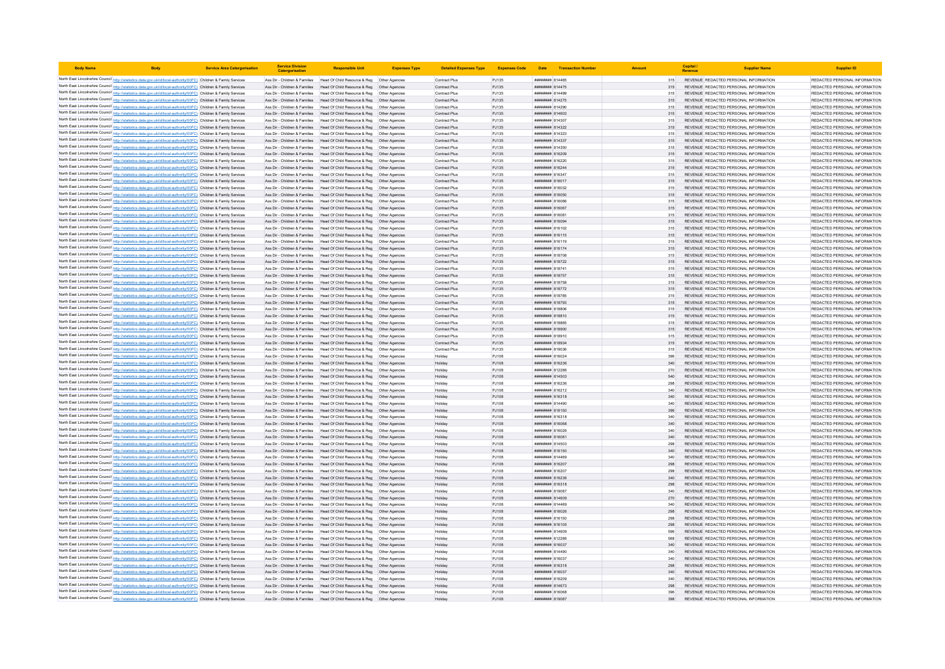| <b>Body Name</b> |                                                                                                                                                                                                                                        | <b>Service Area Catergorisation</b> | <b>Service Division</b><br>Catergorisati | <b>Responsible Unit</b>                                                                                                                                 | <b>Expenses Type</b> | <b>Detailed Expenses Type</b>         | Expenses Code Date Transaction Number |                                                  |            | Capital                                                                        | <b>Supplier Name</b> | <b>Supplier ID</b>                                             |
|------------------|----------------------------------------------------------------------------------------------------------------------------------------------------------------------------------------------------------------------------------------|-------------------------------------|------------------------------------------|---------------------------------------------------------------------------------------------------------------------------------------------------------|----------------------|---------------------------------------|---------------------------------------|--------------------------------------------------|------------|--------------------------------------------------------------------------------|----------------------|----------------------------------------------------------------|
|                  | North East Lincolnshire Council http://statistics.data.gov.uk/id/local-authority/00FC) Children & Family Services                                                                                                                      |                                     |                                          | Ass Dir - Children & Families Head Of Child Resource & Reg Other Agencies                                                                               |                      | Contract Plus                         | PJ135                                 | ####### 814465                                   | 315        | REVENUE REDACTED PERSONAL INFORMATION                                          |                      | REDACTED PERSONAL INFORMATION                                  |
|                  | North East Lincolnshire Council http://statistics.data.gov.uk/id/local-authority/00FC) Children & Family Services                                                                                                                      |                                     |                                          | Ass Dir - Children & Families Head Of Child Resource & Reg Other Agencies                                                                               |                      | Contract Plus                         | PJ135                                 | <b>#######</b> 814475                            |            | REVENUE REDACTED PERSONAL INFORMATION                                          |                      | REDACTED PERSONAL INFORMATION                                  |
|                  | North East Lincolnshire Council http://statistics.data.gov.uk/id/local-authority/00FC) Children & Family Services                                                                                                                      |                                     |                                          | Ass Dir - Children & Families Head Of Child Resource & Reg   Other Agencies                                                                             |                      | Contract Plus                         | PJ135                                 | ####### 814499                                   | 315        | REVENUE REDACTED PERSONAL INFORMATION                                          |                      | REDACTED PERSONAL INFORMATION                                  |
|                  | North East Lincolnshire Council http://statistics.data.gov.uk/id/local-authority/00FC) Children & Family Services                                                                                                                      |                                     |                                          | Ass Dir - Children & Families Head Of Child Resource & Reg Other Agencies                                                                               |                      | Contract Plus                         | PJ135                                 | ######## 814275                                  | 315        | REVENUE REDACTED PERSONAL INFORMATION                                          |                      | REDACTED PERSONAL INFORMATION                                  |
|                  | North East Lincolnshire Council http://statistics.data.gov.uk/id/local-authority/00FC) Children & Family Services                                                                                                                      |                                     |                                          | Ass Dir - Children & Families Head Of Child Resource & Reg Other Agencies                                                                               |                      | Contract Plus                         | PJ135                                 | ####### 814290                                   | 315        | REVENUE REDACTED PERSONAL INFORMATION                                          |                      | REDACTED PERSONAL INFORMATION                                  |
|                  | North East Lincolnshire Council http://statistics.data.gov.uk/id/local-authority/00FC) Children & Family Services                                                                                                                      |                                     |                                          | Ass Dir - Children & Families Head Of Child Resource & Reg Other Agencies                                                                               |                      | Contract Plus                         | PJ135                                 | ####### 814603                                   |            | REVENUE REDACTED PERSONAL INFORMATION                                          |                      | REDACTED PERSONAL INFORMATION                                  |
|                  | North East Lincolnshire Council http://statistics.data.gov.uk/id/local-authority/00FC) Children & Family Services                                                                                                                      |                                     |                                          | Ass Dir - Children & Families Head Of Child Resource & Reg Other Agencies                                                                               |                      | Contract Plus                         | PJ135                                 | ######## 814307                                  | 315        | REVENUE REDACTED PERSONAL INFORMATION                                          |                      | REDACTED PERSONAL INFORMATION                                  |
|                  | North East Lincolnshire Council http://statistics.data.gov.uk/id/local-authority/00FC) Children & Family Services                                                                                                                      |                                     |                                          | Ass Dir - Children & Families Head Of Child Resource & Reg Other Agencies                                                                               |                      | Contract Plus                         | PJ135                                 | ######## 814322                                  | 315        | REVENUE REDACTED PERSONAL INFORMATION                                          |                      | REDACTED PERSONAL INFORMATION                                  |
|                  | North East Lincolnshire Council http://statistics.data.gov.uk/id/local-authority/00FC) Children & Family Services                                                                                                                      |                                     | Ass Dir - Children & Families            | Head Of Child Resource & Reg                                                                                                                            | Other Agencies       | Contract Plus                         | PJ135                                 | <b>#######</b> 814323                            | 315        | REVENUE REDACTED PERSONAL INFORMATION                                          |                      | REDACTED PERSONAL INFORMATION                                  |
|                  | North East Lincolnshire Council http://statistics.data.gov.uk/id/local-authority/00FC) Children & Family Services                                                                                                                      |                                     |                                          | Ass Dir - Children & Families Head Of Child Resource & Reg                                                                                              |                      | Contract Plus                         | PJ135                                 | ######## 814337                                  | 315        | REVENUE REDACTED PERSONAL INFORMATION                                          |                      | REDACTED PERSONAL INFORMATION                                  |
|                  | North East Lincolnshire Council http://statistics.data.gov.uk/id/local-authority/00FC) Children & Family Services                                                                                                                      |                                     |                                          | Ass Dir - Children & Families Head Of Child Resource & Reg                                                                                              | Other Anencies       | Contract Plus                         | PJ135                                 | <i><b>BREERER R14350</b></i>                     | 315        | REVENUE REDACTED PERSONAL INFORMATION                                          |                      | REDACTED PERSONAL INFORMATION                                  |
|                  | North East Lincolnshire Council http://statistics.data.gov.uk/id/local-authority/00FC) Children & Family Services                                                                                                                      |                                     |                                          | Ass Dir - Children & Families Head Of Child Resource & Reg Other Agencies                                                                               |                      | Contract Plus                         | PJ135                                 | ######## 816209                                  | 315        | REVENUE REDACTED PERSONAL INFORMATION                                          |                      | REDACTED PERSONAL INFORMATION                                  |
|                  | North East Lincolnshire Council http://statistics.data.gov.uk/id/local-authority/00FC) Children & Family Services                                                                                                                      |                                     | Ass Dir - Children & Families            | Head Of Child Resource & Reg   Other Agencies                                                                                                           |                      | Contract Plus                         | PJ135                                 | ####### 816220                                   | 315        | REVENUE REDACTED PERSONAL INFORMATION                                          |                      | REDACTED PERSONAL INFORMATION                                  |
|                  | North East Lincolnshire Council http://statistics.data.gov.uk/id/local-authority/00FC) Children & Family Services<br>North East Lincolnshire Council http://statistics.data.gov.uk/id/local-authority/00FC) Children & Family Services |                                     | Ass Dir - Children & Families            | Ass Dir - Children & Families Head Of Child Resource & Reg Other Agencies                                                                               |                      | Contract Plus                         | PJ135                                 | ######## 816244<br><b><i>BREEBBBB</i></b> 816347 | 315        | REVENUE REDACTED PERSONAL INFORMATION<br>REVENUE REDACTED PERSONAL INFORMATION |                      | REDACTED PERSONAL INFORMATION<br>REDACTED PERSONAL INFORMATION |
|                  | North East Lincolnshire Council http://statistics.data.gov.uk/id/local-authority/00FC) Children & Family Services                                                                                                                      |                                     | Ass Dir - Children & Families            | Head Of Child Resource & Reg  Other Agencies<br>Head Of Child Resource & Reg   Other Agencies                                                           |                      | <b>Contract Plus</b><br>Contract Plus | PJ135<br>PJ135                        | ######## 816017                                  | 315<br>315 | REVENUE REDACTED PERSONAL INFORMATION                                          |                      | REDACTED PERSONAL INFORMATION                                  |
|                  | North East Lincolnshire Council http://statistics.data.gov.uk/id/local-authority/00FC) Children & Family Services                                                                                                                      |                                     | Ass Dir - Children & Families            | Head Of Child Resource & Reg                                                                                                                            | Other Agencies       | Contract Plus                         | PJ135                                 | ######## 816032                                  | 315        | REVENUE REDACTED PERSONAL INFORMATION                                          |                      | REDACTED PERSONAL INFORMATION                                  |
|                  | North East Lincolnshire Council http://statistics.data.gov.uk/id/local-authority/00FC) Children & Family Services                                                                                                                      |                                     |                                          | Ass Dir - Children & Families Head Of Child Resource & Reg                                                                                              | Other Agencies       | Contract Plus                         | PJ135                                 | ######## 816050                                  | 315        | REVENUE REDACTED PERSONAL INFORMATION                                          |                      | REDACTED PERSONAL INFORMATION                                  |
|                  | North East Lincolnshire Council http://statistics.data.gov.uk/id/local-authority/00FC) Children & Family Services                                                                                                                      |                                     |                                          | Ass Dir - Children & Families Head Of Child Resource & Reg. Other Agencies                                                                              |                      | Contract Plus                         | PJ135                                 | 8160818 #######                                  | 315        | REVENUE REDACTED PERSONAL INFORMATION                                          |                      | REDACTED PERSONAL INFORMATION                                  |
|                  | North East Lincolnshire Council http://statistics.data.gov.uk/id/local-authority/00FC) Children & Family Services                                                                                                                      |                                     |                                          | Ass Dir - Children & Families Head Of Child Resource & Reg Other Agencies                                                                               |                      | Contract Plus                         | PJ135                                 | <b>####### 816067</b>                            | 315        | REVENUE REDACTED PERSONAL INFORMATION                                          |                      | REDACTED PERSONAL INFORMATION                                  |
|                  | North East Lincolnshire Council http://statistics.data.gov.uk/id/local-authority/00FC) Children & Family Services                                                                                                                      |                                     |                                          | Ass Dir - Children & Families Head Of Child Resource & Reg Other Agencies                                                                               |                      | Contract Plus                         | PJ135                                 | ####### 816081                                   | 315        | REVENUE REDACTED PERSONAL INFORMATION                                          |                      | REDACTED PERSONAL INFORMATION                                  |
|                  | North East Lincolnshire Council http://statistics.data.gov.uk/id/local-authority/00FC) Children & Family Services                                                                                                                      |                                     |                                          | Ass Dir - Children & Families Head Of Child Resource & Reg Other Agencies                                                                               |                      | Contract Plus                         | PJ135                                 | ######## 816094                                  | 315        | REVENUE REDACTED PERSONAL INFORMATION                                          |                      | REDACTED PERSONAL INFORMATION                                  |
|                  | North East Lincolnshire Council http://statistics.data.gov.uk/id/local-authority/00FC) Children & Family Services                                                                                                                      |                                     |                                          | Ass Dir - Children & Families Head Of Child Resource & Reg Other Agencies                                                                               |                      | <b>Contract Plus</b>                  | PJ135                                 | ######## 816102                                  | 315        | REVENUE REDACTED PERSONAL INFORMATION                                          |                      | REDACTED PERSONAL INFORMATION                                  |
|                  | North East Lincolnshire Council http://statistics.data.gov.uk/id/local-authority/00FC) Children & Family Services                                                                                                                      |                                     |                                          | Ass Dir - Children & Families Head Of Child Resource & Reg                                                                                              | Other Agencies       | Contract Plus                         | PJ135                                 | ####### 816115                                   | 315        | REVENUE REDACTED PERSONAL INFORMATION                                          |                      | REDACTED PERSONAL INFORMATION                                  |
|                  | North East Lincolnshire Council http://statistics.data.gov.uk/id/local-authority/00FC) Children & Family Services                                                                                                                      |                                     | Ass Dir - Children & Families            | Head Of Child Resource & Reg                                                                                                                            |                      | Contract Plus                         | PJ135                                 | <b>####### 816119</b>                            |            | REVENUE REDACTED PERSONAL INFORMATION                                          |                      | REDACTED PERSONAL INFORMATION                                  |
|                  | North East Lincolnshire Council http://statistics.data.gov.uk/id/local-authority/00FC) Children & Family Services                                                                                                                      |                                     |                                          | Ass Dir - Children & Families Head Of Child Resource & Reg                                                                                              | Other Agencies       | Contract Plus                         | PJ135                                 | ####### 816174                                   | 315        | REVENUE REDACTED PERSONAL INFORMATION                                          |                      | REDACTED PERSONAL INFORMATION                                  |
|                  | North East Lincolnshire Council http://statistics.data.gov.uk/id/local-authority/00FC) Children & Family Services                                                                                                                      |                                     |                                          | Ass Dir - Children & Families Head Of Child Resource & Reg   Other Agencies                                                                             |                      | Contract Plus                         | PJ135                                 | ####### 818708                                   | 315        | REVENUE REDACTED PERSONAL INFORMATION                                          |                      | REDACTED PERSONAL INFORMATION                                  |
|                  | North East Lincolnshire Council http://statistics.data.gov.uk/id/local-authority/00FC) Children & Family Services                                                                                                                      |                                     |                                          | Ass Dir - Children & Families Head Of Child Resource & Reg Other Agencies                                                                               |                      | Contract Plus                         | PJ135                                 | ####### 818722                                   | 315        | REVENUE REDACTED PERSONAL INFORMATION                                          |                      | REDACTED PERSONAL INFORMATION                                  |
|                  | North East Lincolnshire Council http://statistics.data.gov.uk/id/local-authority/00FC) Children & Family Services                                                                                                                      |                                     | Ass Dir - Children & Families            | Head Of Child Resource & Reg   Other Agencies                                                                                                           |                      | Contract Plus                         | PJ135                                 | ######## 818741                                  |            | REVENUE REDACTED PERSONAL INFORMATION                                          |                      | REDACTED PERSONAL INFORMATION                                  |
|                  | North East Lincolnshire Council http://statistics.data.gov.uk/id/local-authority/00FC) Children & Family Services                                                                                                                      |                                     |                                          | Ass Dir - Children & Families Head Of Child Resource & Reg Other Agencies                                                                               |                      | Contract Plus                         | PJ135                                 | ######## 818757                                  | 315        | REVENUE REDACTED PERSONAL INFORMATION                                          |                      | REDACTED PERSONAL INFORMATION                                  |
|                  | North East Lincolnshire Council http://statistics.data.gov.uk/id/local-authority/00FC) Children & Family Services                                                                                                                      |                                     | Ass Dir - Children & Families            | Head Of Child Resource & Reg   Other Agencies                                                                                                           |                      | Contract Plus                         | PJ135                                 | ######## 818758                                  | 315        | REVENUE REDACTED PERSONAL INFORMATION                                          |                      | REDACTED PERSONAL INFORMATION                                  |
|                  | North East Lincolnshire Council http://statistics.data.gov.uk/id/local-authority/00FC) Children & Family Services                                                                                                                      |                                     | Ass Dir - Children & Families            | Head Of Child Resource & Reg   Other Agencies                                                                                                           |                      | Contract Plus                         | PJ135                                 | ######## 818772                                  | 315        | REVENUE REDACTED PERSONAL INFORMATION                                          |                      | REDACTED PERSONAL INFORMATION                                  |
|                  | North East Lincolnshire Council http://statistics.data.gov.uk/id/local-authority/00FC) Children & Family Services                                                                                                                      |                                     | Ass Dir - Children & Families            | Head Of Child Resource & Reg                                                                                                                            | Other Agencies       | Contract Plus                         | PJ135                                 | ######## 818785                                  | 315        | REVENUE REDACTED PERSONAL INFORMATION                                          |                      | REDACTED PERSONAL INFORMATION                                  |
|                  | North East Lincolnshire Council http://statistics.data.gov.uk/id/local-authority/00FC) Children & Family Services<br>North East Lincolnshire Council http://statistics.data.gov.uk/id/local-authority/00FC) Children & Family Services |                                     |                                          | Ass Dir - Children & Families Head Of Child Resource & Reg. Other Agencies<br>Ass Dir - Children & Families Head Of Child Resource & Reg Other Agencies |                      | Contract Plus<br>Contract Plus        | PJ135<br>PJ135                        | <b><i>BREARBAR 818793</i></b><br>####### 818806  | 315        | REVENUE REDACTED PERSONAL INFORMATION<br>REVENUE REDACTED PERSONAL INFORMATION |                      | REDACTED PERSONAL INFORMATION<br>REDACTED PERSONAL INFORMATION |
|                  | North East Lincolnshire Council http://statistics.data.gov.uk/id/local-authority/00FC) Children & Family Services                                                                                                                      |                                     |                                          | Ass Dir - Children & Families Head Of Child Resource & Reg Other Agencies                                                                               |                      | Contract Plus                         | PJ135                                 | ####### 818810                                   | 315<br>315 | REVENUE REDACTED PERSONAL INFORMATION                                          |                      | REDACTED PERSONAL INFORMATION                                  |
|                  | North East Lincolnshire Council http://statistics.data.gov.uk/id/local-authority/00FC) Children & Family Services                                                                                                                      |                                     | Ass Dir - Children & Families            | Head Of Child Resource & Reg   Other Agencies                                                                                                           |                      | Contract Plus                         | PJ135                                 | ####### 818865                                   | 315        | REVENUE REDACTED PERSONAL INFORMATION                                          |                      | REDACTED PERSONAL INFORMATION                                  |
|                  | North East Lincolnshire Council http://statistics.data.gov.uk/id/local-authority/00FC) Children & Family Services                                                                                                                      |                                     |                                          | Ass Dir - Children & Families Head Of Child Resource & Reg Other Agencies                                                                               |                      | Contract Plus                         | PJ135                                 | <b>BRANDALE R18900</b>                           | 315        | REVENUE REDACTED PERSONAL INFORMATION                                          |                      | REDACTED PERSONAL INFORMATION                                  |
|                  | North East Lincolnshire Council http://statistics.data.gov.uk/id/local-authority/00FC) Children & Family Services                                                                                                                      |                                     | Ass Dir - Children & Families            | Head Of Child Resource & Reg                                                                                                                            | Other Agencies       | Contract Plus                         | PJ135                                 |                                                  | 315        | REVENUE REDACTED PERSONAL INFORMATION                                          |                      | REDACTED PERSONAL INFORMATION                                  |
|                  | North East Lincolnshire Council http://statistics.data.gov.uk/id/local-authority/00FC) Children & Family Services                                                                                                                      |                                     | Ass Dir - Children & Families            | Head Of Child Resource & Reg                                                                                                                            |                      | Contract Plus                         | PJ135                                 | <b>########</b> 818934                           | 315        | REVENUE REDACTED PERSONAL INFORMATION                                          |                      | REDACTED PERSONAL INFORMATION                                  |
|                  | North East Lincolnshire Council http://statistics.data.gov.uk/id/local-authority/00FC) Children & Family Services                                                                                                                      |                                     |                                          | Ass Dir - Children & Families Head Of Child Resource & Reg                                                                                              | Other Agencies       | Contract Plus                         | PJ135                                 | <i><b>пининни 819036</b></i>                     | 315        | REVENUE REDACTED PERSONAL INFORMATION                                          |                      | REDACTED PERSONAL INFORMATION                                  |
|                  | North East Lincolnshire Council http://statistics.data.gov.uk/id/local-authority/00FC) Children & Family Services                                                                                                                      |                                     |                                          | Ass Dir - Children & Families Head Of Child Resource & Reg                                                                                              | Other Anencies       | Holiday                               | P.I108                                | 816024 BARBERT                                   | 396        | REVENUE REDACTED PERSONAL INFORMATION                                          |                      | REDACTED PERSONAL INFORMATION                                  |
|                  | North East Lincolnshire Council http://statistics.data.gov.uk/id/local-authority/00FC) Children & Family Services                                                                                                                      |                                     |                                          | Ass Dir - Children & Families Head Of Child Resource & Reg Other Agencies                                                                               |                      | Holiday                               | PJ108                                 | ######## 816236                                  | 340        | REVENUE REDACTED PERSONAL INFORMATION                                          |                      | REDACTED PERSONAL INFORMATION                                  |
|                  | North East Lincolnshire Council http://statistics.data.gov.uk/id/local-authority/00FC) Children & Family Services                                                                                                                      |                                     | Ass Dir - Children & Families            | Head Of Child Resource & Reg   Other Agencies                                                                                                           |                      | Holiday                               | PJ108                                 | ####### 812286                                   | 270        | REVENUE REDACTED PERSONAL INFORMATION                                          |                      | REDACTED PERSONAL INFORMATION                                  |
|                  | North East Lincolnshire Council http://statistics.data.gov.uk/id/local-authority/00FC) Children & Family Services                                                                                                                      |                                     |                                          | Ass Dir - Children & Families Head Of Child Resource & Reg Other Agencies                                                                               |                      | Holiday                               | PJ108                                 | ######## 814503                                  | 540        | REVENUE REDACTED PERSONAL INFORMATION                                          |                      | REDACTED PERSONAL INFORMATION                                  |
|                  | North East Lincolnshire Council http://statistics.data.gov.uk/id/local-authority/00FC) Children & Family Services                                                                                                                      |                                     | Ass Dir - Children & Families            | Head Of Child Resource & Reg   Other Agencies                                                                                                           |                      | Holiday                               | PJ108                                 | ######## 816236                                  | 298        | REVENUE REDACTED PERSONAL INFORMATION                                          |                      | REDACTED PERSONAL INFORMATION                                  |
|                  | North East Lincolnshire Council http://statistics.data.gov.uk/id/local-authority/00FC) Children & Family Services                                                                                                                      |                                     | Ass Dir - Children & Families            | Head Of Child Resource & Reg                                                                                                                            | Other Agencies       | Holiday                               | PJ108                                 | ####### 816212                                   | 340        | REVENUE REDACTED PERSONAL INFORMATION                                          |                      | REDACTED PERSONAL INFORMATION                                  |
|                  | North East Lincolnshire Council http://statistics.data.gov.uk/id/local-authority/00FC) Children & Family Services                                                                                                                      |                                     | Ass Dir - Children & Families            | Head Of Child Resource & Reg  Other Agencies                                                                                                            |                      | Holiday                               | PJ108                                 | <b>####### 816318</b>                            | 340        | REVENUE REDACTED PERSONAL INFORMATION                                          |                      | REDACTED PERSONAL INFORMATION                                  |
|                  | North East Lincolnshire Council http://statistics.data.gov.uk/id/local-authority/00FC) Children & Family Services                                                                                                                      |                                     |                                          | Ass Dir - Children & Families Head Of Child Resource & Reg                                                                                              | Other Agencies       | Holiday                               | PJ108                                 | ####### 814490                                   | 340        | REVENUE REDACTED PERSONAL INFORMATION                                          |                      | REDACTED PERSONAL INFORMATION                                  |
|                  | North East Lincolnshire Council http://statistics.data.gov.uk/id/local-authority/00FC) Children & Family Services                                                                                                                      |                                     |                                          | Ass Dir - Children & Families Head Of Child Resource & Reg Other Agencies                                                                               |                      | Holiday                               | PJ108                                 | ######## 816150                                  | 396        | REVENUE REDACTED PERSONAL INFORMATION                                          |                      | REDACTED PERSONAL INFORMATION                                  |
|                  | North East Lincolnshire Council http://statistics.data.gov.uk/id/local-authority/00FC) Children & Family Services                                                                                                                      |                                     |                                          | Ass Dir - Children & Families Head Of Child Resource & Reg Other Agencies                                                                               |                      | Holiday                               | PJ108                                 | ######## 816318                                  | 340        | REVENUE REDACTED PERSONAL INFORMATION                                          |                      | REDACTED PERSONAL INFORMATION                                  |
|                  | North East Lincolnshire Council http://statistics.data.gov.uk/id/local-authority/00FC) Children & Family Services                                                                                                                      |                                     |                                          | Ass Dir - Children & Families Head Of Child Resource & Reg Other Agencies                                                                               |                      | Holiday                               | PJ108                                 | ####### 816068                                   | 340        | REVENUE REDACTED PERSONAL INFORMATION                                          |                      | REDACTED PERSONAL INFORMATION                                  |
|                  | North East Lincolnshire Council http://statistics.data.gov.uk/id/local-authority/00FC) Children & Family Services                                                                                                                      |                                     |                                          | Ass Dir - Children & Families Head Of Child Resource & Reg Other Agencies                                                                               |                      | Holiday                               | PJ108                                 | 816028 HEEEHEE                                   | 340        | REVENUE REDACTED PERSONAL INFORMATION                                          |                      | REDACTED PERSONAL INFORMATION                                  |
|                  | North East Lincolnshire Council http://statistics.data.gov.uk/id/local-authority/00FC) Children & Family Services                                                                                                                      |                                     |                                          | Ass Dir - Children & Families Head Of Child Resource & Reg Other Agencies                                                                               |                      | Holiday                               | PJ108                                 | ######## 816081                                  | 340        | REVENUE REDACTED PERSONAL INFORMATION                                          |                      | REDACTED PERSONAL INFORMATION                                  |
|                  | North East Lincolnshire Council http://statistics.data.gov.uk/id/local-authority/00FC) Children & Family Services                                                                                                                      |                                     | Ass Dir - Children & Families            | Head Of Child Resource & Reg                                                                                                                            | Other Agencies       | Holiday                               | PJ108                                 | ####### 814503                                   | 298        | REVENUE REDACTED PERSONAL INFORMATION                                          |                      | REDACTED PERSONAL INFORMATION                                  |
|                  | North East Lincolnshire Council http://statistics.data.gov.uk/id/local-authority/00FC) Children & Family Services                                                                                                                      |                                     |                                          | Ass Dir - Children & Families Head Of Child Resource & Reg<br>Ass Dir - Children & Families Head Of Child Resource & Reg                                | Other Anencies       | <b>Holiday</b><br>Holiday             | PJ108<br>P.I108                       | ######## 816150<br>8144888 RUBBBBB               | 340        | REVENUE REDACTED PERSONAL INFORMATION<br>REVENUE REDACTED PERSONAL INFORMATION |                      | REDACTED PERSONAL INFORMATION<br>REDACTED PERSONAL INFORMATION |
|                  | North East Lincolnshire Council http://statistics.data.gov.uk/id/local-authority/00FC) Children & Family Services<br>North East Lincolnshire Council http://statistics.data.gov.uk/id/local-authority/00FC) Children & Family Services |                                     |                                          | Ass Dir - Children & Families Head Of Child Resource & Reg Other Agencies                                                                               |                      | Holiday                               | PJ108                                 | ######## 816207                                  | 340<br>298 | REVENUE REDACTED PERSONAL INFORMATION                                          |                      | REDACTED PERSONAL INFORMATION                                  |
|                  | North East Lincolnshire Council http://statistics.data.gov.uk/id/local-authority/00FC) Children & Family Services                                                                                                                      |                                     | Ass Dir - Children & Families            | Head Of Child Resource & Reg  Other Agencies                                                                                                            |                      | Holiday                               | PJ108                                 | ######## 816207                                  |            | REVENUE REDACTED PERSONAL INFORMATION                                          |                      | REDACTED PERSONAL INFORMATION                                  |
|                  | North East Lincolnshire Council http://statistics.data.gov.uk/id/local-authority/00FC) Children & Family Services                                                                                                                      |                                     |                                          | Ass Dir - Children & Families Head Of Child Resource & Reg Other Agencies                                                                               |                      | Holiday                               | PJ108                                 | ######## 816236                                  | 340        | REVENUE REDACTED PERSONAL INFORMATION                                          |                      | REDACTED PERSONAL INFORMATION                                  |
|                  | North East Lincolnshire Council http://statistics.data.gov.uk/id/local-authority/00FC) Children & Family Services                                                                                                                      |                                     |                                          | Ass Dir - Children & Families Head Of Child Resource & Reg. Other Agencies                                                                              |                      | Holiday                               | P.1108                                | ######## 816318                                  | 298        | REVENUE REDACTED PERSONAL INFORMATION                                          |                      | REDACTED PERSONAL INFORMATION                                  |
|                  | North East Lincolnshire Council http://statistics.data.gov.uk/id/local-authority/00FC) Children & Family Services                                                                                                                      |                                     | Ass Dir - Children & Families            | Head Of Child Resource & Reg   Other Agencies                                                                                                           |                      | Holiday                               | PJ108                                 | ######## 819087                                  | 340        | REVENUE REDACTED PERSONAL INFORMATION                                          |                      | REDACTED PERSONAL INFORMATION                                  |
|                  | North East Lincolnshire Council http://statistics.data.gov.uk/id/local-authority/00FC) Children & Family Services                                                                                                                      |                                     | Ass Dir - Children & Families            | Head Of Child Resource & Reg  Other Agencies                                                                                                            |                      | Holiday                               | PJ108                                 | ####### 814609                                   | 270        | REVENUE REDACTED PERSONAL INFORMATION                                          |                      | REDACTED PERSONAL INFORMATION                                  |
|                  | North East Lincolnshire Council http://statistics.data.gov.uk/id/local-authority/00FC) Children & Family Services                                                                                                                      |                                     |                                          | Ass Dir - Children & Families Head Of Child Resource & Reg                                                                                              | Other Agencies       | Holiday                               | PJ108                                 | ####### 814469                                   | 340        | REVENUE REDACTED PERSONAL INFORMATION                                          |                      | REDACTED PERSONAL INFORMATION                                  |
|                  | North East Lincolnshire Council http://statistics.data.gov.uk/id/local-authority/00FC) Children & Family Services                                                                                                                      |                                     |                                          | Ass Dir - Children & Families Head Of Child Resource & Reg Other Agencies                                                                               |                      | Holiday                               | PJ108                                 | ######## 816026                                  | 298        | REVENUE REDACTED PERSONAL INFORMATION                                          |                      | REDACTED PERSONAL INFORMATION                                  |
|                  | North East Lincolnshire Council http://statistics.data.gov.uk/id/local-authority/00FC) Children & Family Services                                                                                                                      |                                     |                                          | Ass Dir - Children & Families Head Of Child Resource & Reg Other Agencies                                                                               |                      | Holiday                               | PJ108                                 | ######## 816150                                  | 298        | REVENUE REDACTED PERSONAL INFORMATION                                          |                      | REDACTED PERSONAL INFORMATION                                  |
|                  | North East Lincolnshire Council http://statistics.data.gov.uk/id/local-authority/00FC) Children & Family Services                                                                                                                      |                                     |                                          | Ass Dir - Children & Families Head Of Child Resource & Reg Other Agencies                                                                               |                      | Holiday                               | PJ108                                 | ####### 816105                                   |            | REVENUE REDACTED PERSONAL INFORMATION                                          |                      | REDACTED PERSONAL INFORMATION                                  |
|                  | North East Lincolnshire Council http://statistics.data.gov.uk/id/local-authority/00FC) Children & Family Services                                                                                                                      |                                     |                                          | Ass Dir - Children & Families Head Of Child Resource & Reg Other Agencies                                                                               |                      | Holiday                               | PJ108                                 | ####### 814609                                   |            | REVENUE REDACTED PERSONAL INFORMATION                                          |                      | REDACTED PERSONAL INFORMATION                                  |
|                  | North East Lincolnshire Council http://statistics.data.gov.uk/id/local-authority/00FC) Children & Family Services                                                                                                                      |                                     |                                          | Ass Dir - Children & Families Head Of Child Resource & Reg Other Agencies                                                                               |                      | Holiday                               | PJ108                                 | ######## 812286                                  | 568        | REVENUE REDACTED PERSONAL INFORMATION                                          |                      | REDACTED PERSONAL INFORMATION                                  |
|                  | North East Lincolnshire Council http://statistics.data.gov.uk/id/local-authority/00FC) Children & Family Services                                                                                                                      |                                     |                                          | Ass Dir - Children & Families Head Of Child Resource & Reg                                                                                              | Other Agencies       | Holiday                               | PJ108                                 | ######## 816037                                  | 340        | REVENUE REDACTED PERSONAL INFORMATION                                          |                      | REDACTED PERSONAL INFORMATION                                  |
|                  | North East Lincolnshire Council http://statistics.data.gov.uk/id/local-authority/00FC) Children & Family Services                                                                                                                      |                                     | Ass Dir - Children & Families            | Head Of Child Resource & Reg                                                                                                                            |                      | Holiday                               | PJ108                                 | ####### 814490                                   |            | REVENUE REDACTED PERSONAL INFORMATION                                          |                      | REDACTED PERSONAL INFORMATION                                  |
|                  | North East Lincolnshire Council http://statistics.data.gov.uk/id/local-authority/00FC) Children & Family Services                                                                                                                      |                                     |                                          | Ass Dir - Children & Families Head Of Child Resource & Reg                                                                                              | Other Anencies       | Holiday                               | PJ108                                 | <b>########</b> 816037                           | 340        | REVENUE REDACTED PERSONAL INFORMATION                                          |                      | REDACTED PERSONAL INFORMATION                                  |
|                  | North East Lincolnshire Council http://statistics.data.gov.uk/id/local-authority/00FC) Children & Family Services                                                                                                                      |                                     |                                          | Ass Dir - Children & Families Head Of Child Resource & Reg Other Agencies                                                                               |                      | Holiday                               | PJ108                                 | ####### 816318                                   | 298        | REVENUE REDACTED PERSONAL INFORMATION                                          |                      | REDACTED PERSONAL INFORMATION                                  |
|                  | North East Lincolnshire Council http://statistics.data.gov.uk/id/local-authority/00FC) Children & Family Services                                                                                                                      |                                     |                                          | Ass Dir - Children & Families Head Of Child Resource & Reg Other Agencies                                                                               |                      | Holiday                               | PJ108                                 | ######## 816037                                  | 340        | REVENUE REDACTED PERSONAL INFORMATION                                          |                      | REDACTED PERSONAL INFORMATION                                  |
|                  | North East Lincolnshire Council http://statistics.data.gov.uk/id/local-authority/00FC) Children & Family Services                                                                                                                      |                                     | Ass Dir - Children & Families            | Head Of Child Resource & Reg  Other Agencies                                                                                                            |                      | Holiday                               | PJ108                                 | ######## 816209                                  |            | REVENUE REDACTED PERSONAL INFORMATION                                          |                      | REDACTED PERSONAL INFORMATION                                  |
|                  | North East Lincolnshire Council http://statistics.data.gov.uk/id/local-authority/00FC) Children & Family Services<br>North East Lincolnshire Council http://statistics.data.gov.uk/id/local-authority/00FC) Children & Family Services |                                     |                                          | Ass Dir - Children & Families Head Of Child Resource & Reg Other Agencies<br>Ass Dir - Children & Families Head Of Child Resource & Reg Other Agencies  |                      | Holiday                               | PJ108<br>PJ108                        | ######## 814673<br>######## 816068               | 298<br>396 | REVENUE REDACTED PERSONAL INFORMATION<br>REVENUE REDACTED PERSONAL INFORMATION |                      | REDACTED PERSONAL INFORMATION<br>REDACTED PERSONAL INFORMATION |
|                  | North East Lincolnshire Council http://statistics.data.gov.uk/id/local-authority/00FC) Children & Family Services                                                                                                                      |                                     |                                          | Ass Dir - Children & Families Head Of Child Resource & Reg Other Agencies                                                                               |                      | Holiday<br>Holiday                    | PJ108                                 | ######## 81908                                   |            | REVENUE REDACTED PERSONAL INFORMATION                                          |                      | REDACTED PERSONAL INFORMATION                                  |
|                  |                                                                                                                                                                                                                                        |                                     |                                          |                                                                                                                                                         |                      |                                       |                                       |                                                  |            |                                                                                |                      |                                                                |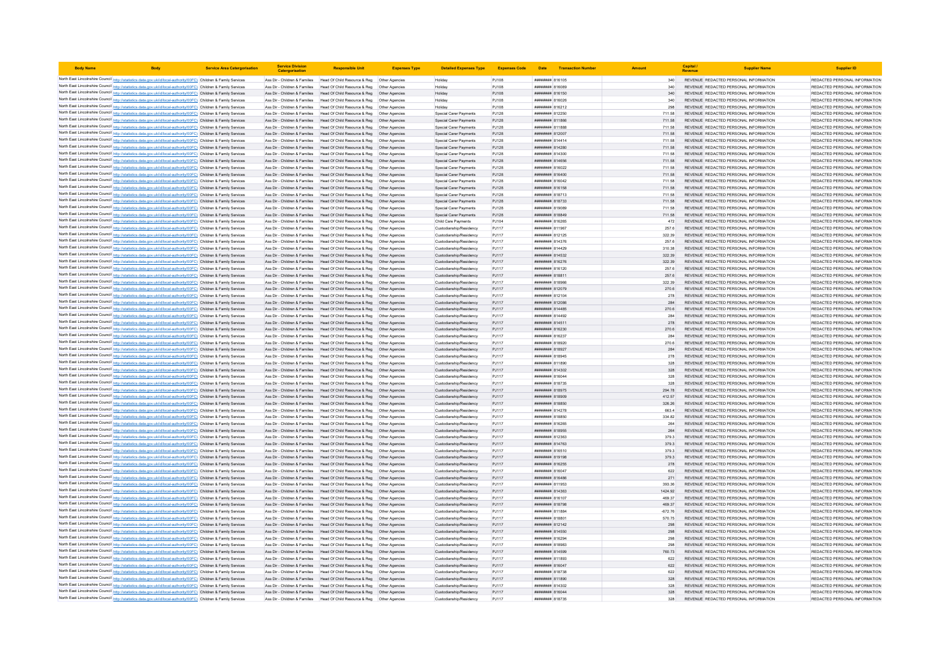| <b>Body Name</b>                                                                                                                                                                                                                       | <b>Service Area Catergorisation</b> | <b>Service Division</b><br>Catergorisati                       | <b>Responsible Unit</b>                                                                                                                                | <b>Expenses Type</b> | Detailed Expenses Type Expenses Code               |                |                                                 | Date Transaction Number |                     | Capital | <b>Supplier Name</b>                                                           | <b>Supplier ID</b>                                             |
|----------------------------------------------------------------------------------------------------------------------------------------------------------------------------------------------------------------------------------------|-------------------------------------|----------------------------------------------------------------|--------------------------------------------------------------------------------------------------------------------------------------------------------|----------------------|----------------------------------------------------|----------------|-------------------------------------------------|-------------------------|---------------------|---------|--------------------------------------------------------------------------------|----------------------------------------------------------------|
| North East Lincolnshire Council http://statistics.data.gov.uk/id/local-authority/00FC) Children & Family Services                                                                                                                      |                                     |                                                                | Ass Dir - Children & Families Head Of Child Resource & Reg Other Agencies                                                                              |                      | Holiday                                            | PJ108          | ####### 816105                                  |                         | 340                 |         | REVENUE REDACTED PERSONAL INFORMATION                                          | REDACTED PERSONAL INFORMATION                                  |
| North East Lincolnshire Council http://statistics.data.gov.uk/id/local-authority/00FC) Children & Family Services                                                                                                                      |                                     | Ass Dir - Children & Families                                  | Head Of Child Resource & Reg   Other Agencies                                                                                                          |                      | Holiday                                            | PJ108          | ####### 816089                                  |                         |                     |         | REVENUE REDACTED PERSONAL INFORMATION                                          | REDACTED PERSONAL INFORMATION                                  |
| North East Lincolnshire Council http://statistics.data.gov.uk/id/local-authority/00FC) Children & Family Services                                                                                                                      |                                     |                                                                | Ass Dir - Children & Families Head Of Child Resource & Reg Other Agencies                                                                              |                      | Holiday                                            | PJ108          | ######## 816150                                 |                         | 340                 |         | REVENUE REDACTED PERSONAL INFORMATION                                          | REDACTED PERSONAL INFORMATION                                  |
| North East Lincolnshire Council http://statistics.data.gov.uk/id/local-authority/00FC) Children & Family Services                                                                                                                      |                                     |                                                                | Ass Dir - Children & Families Head Of Child Resource & Reg Other Agencies                                                                              |                      | Holiday                                            | PJ108          | ######## 816026                                 |                         | 340                 |         | REVENUE REDACTED PERSONAL INFORMATION                                          | REDACTED PERSONAL INFORMATION                                  |
| North East Lincolnshire Council http://statistics.data.gov.uk/id/local-authority/00FC) Children & Family Services                                                                                                                      |                                     |                                                                | Ass Dir - Children & Families Head Of Child Resource & Reg   Other Agencies                                                                            |                      | Holiday                                            | PJ108          | ####### 816212                                  |                         | 298                 |         | REVENUE REDACTED PERSONAL INFORMATION                                          | REDACTED PERSONAL INFORMATION                                  |
| North East Lincolnshire Council http://statistics.data.gov.uk/id/local-authority/00FC) Children & Family Services                                                                                                                      |                                     |                                                                | Ass Dir - Children & Families Head Of Child Resource & Reg Other Agencies                                                                              |                      | Special Carer Payments                             | PJ128          | ####### 812250                                  |                         | 711.58              |         | REVENUE REDACTED PERSONAL INFORMATION                                          | REDACTED PERSONAL INFORMATION                                  |
| North East Lincolnshire Council http://statistics.data.gov.uk/id/local-authority/00FC) Children & Family Services                                                                                                                      |                                     |                                                                | Ass Dir - Children & Families Head Of Child Resource & Reg Other Agencies                                                                              |                      | Special Carer Payments                             | PJ128          | ######## 811866                                 |                         | 711.58              |         | REVENUE REDACTED PERSONAL INFORMATION                                          | REDACTED PERSONAL INFORMATION                                  |
| North East Lincolnshire Council http://statistics.data.gov.uk/id/local-authority/00FC) Children & Family Services                                                                                                                      |                                     |                                                                | Ass Dir - Children & Families Head Of Child Resource & Reg Other Agencies                                                                              |                      | Special Carer Payments                             | PJ128          | ######## 811888                                 |                         | 711.58              |         | REVENUE REDACTED PERSONAL INFORMATION                                          | REDACTED PERSONAL INFORMATION                                  |
| North East Lincolnshire Council http://statistics.data.gov.uk/id/local-authority/00FC) Children & Family Services                                                                                                                      |                                     |                                                                | Ass Dir - Children & Families Head Of Child Resource & Reg Other Agencies                                                                              |                      | Special Carer Payments                             | PJ128          | ######## 812007                                 |                         | 711.58              |         | REVENUE REDACTED PERSONAL INFORMATION                                          | REDACTED PERSONAL INFORMATION                                  |
| North East Lincolnshire Council http://statistics.data.gov.uk/id/local-authority/00FC) Children & Family Services                                                                                                                      |                                     | Ass Dir - Children & Families                                  | Head Of Child Resource & Reg                                                                                                                           | Other Agencies       | Special Carer Payments                             | PJ128          | <i>*********</i> 814414                         |                         | 711.58              |         | REVENUE REDACTED PERSONAL INFORMATION                                          | REDACTED PERSONAL INFORMATION                                  |
| North East Lincolnshire Council http://statistics.data.gov.uk/id/local-authority/00FC) Children & Family Services                                                                                                                      |                                     |                                                                | Ass Dir - Children & Families Head Of Child Resource & Reg Other Agencies                                                                              |                      | Special Carer Payments                             | PJ128          | <b><i>BREBBBBB</i></b> 814280<br>####### 814300 |                         | 711.58              |         | REVENUE REDACTED PERSONAL INFORMATION                                          | REDACTED PERSONAL INFORMATION<br>REDACTED PERSONAL INFORMATION |
| North East Lincolnshire Council http://statistics.data.gov.uk/id/local-authority/00FC) Children & Family Services<br>North East Lincolnshire Council http://statistics.data.gov.uk/id/local-authority/00FC) Children & Family Services |                                     |                                                                | Ass Dir - Children & Families Head Of Child Resource & Reg Other Agencies<br>Ass Dir - Children & Families Head Of Child Resource & Reg Other Agencies |                      | Special Carer Payments<br>Special Carer Payments   | PJ128<br>PJ128 | ######## 814656                                 |                         | 711.58<br>711.58    |         | REVENUE REDACTED PERSONAL INFORMATION<br>REVENUE REDACTED PERSONAL INFORMATION | REDACTED PERSONAL INFORMATION                                  |
| North East Lincolnshire Council http://statistics.data.gov.uk/id/local-authority/00FC) Children & Family Services                                                                                                                      |                                     | Ass Dir - Children & Families                                  | Head Of Child Resource & Reg   Other Agencies                                                                                                          |                      | Special Carer Payments                             | PJ128          | ####### 816022                                  |                         | 711.58              |         | REVENUE REDACTED PERSONAL INFORMATION                                          | REDACTED PERSONAL INFORMATION                                  |
| North East Lincolnshire Council http://statistics.data.gov.uk/id/local-authority/00FC) Children & Family Services                                                                                                                      |                                     |                                                                | Ass Dir - Children & Families Head Of Child Resource & Reg Other Agencies                                                                              |                      | Special Carer Payments                             | PJ128          | ######## 816400                                 |                         | 711.58              |         | REVENUE REDACTED PERSONAL INFORMATION                                          | REDACTED PERSONAL INFORMATION                                  |
| North East Lincolnshire Council http://statistics.data.gov.uk/id/local-authority/00FC) Children & Family Services                                                                                                                      |                                     | Ass Dir - Children & Families                                  | Head Of Child Resource & Reg  Other Agencies                                                                                                           |                      | Special Carer Payments                             | PJ128          | ######## 816042                                 |                         | 711.58              |         | REVENUE REDACTED PERSONAL INFORMATION                                          | REDACTED PERSONAL INFORMATION                                  |
| North East Lincolnshire Council http://statistics.data.gov.uk/id/local-authority/00FC) Children & Family Services                                                                                                                      |                                     | Ass Dir - Children & Families                                  | Head Of Child Resource & Reg  Other Agencies                                                                                                           |                      | Special Carer Payments                             | PJ128          | ####### 816158                                  |                         | 711.58              |         | REVENUE REDACTED PERSONAL INFORMATION                                          | REDACTED PERSONAL INFORMATION                                  |
| North East Lincolnshire Council http://statistics.data.gov.uk/id/local-authority/00FC) Children & Family Services                                                                                                                      |                                     | Ass Dir - Children & Families                                  | Head Of Child Resource & Reg   Other Agencies                                                                                                          |                      | Special Carer Payments                             | PJ128          | ######## 818713                                 |                         | 711.58              |         | REVENUE REDACTED PERSONAL INFORMATION                                          | REDACTED PERSONAL INFORMATION                                  |
| North East Lincolnshire Council http://statistics.data.gov.uk/id/local-authority/00FC) Children & Family Services                                                                                                                      |                                     |                                                                | Ass Dir - Children & Families Head Of Child Resource & Reg. Other Agencies                                                                             |                      | Special Carer Payments                             | PJ128          | <b><i><u>RHHHHHH</u></i></b> 818733             |                         | 711.58              |         | REVENUE REDACTED PERSONAL INFORMATION                                          | REDACTED PERSONAL INFORMATION                                  |
| North East Lincolnshire Council http://statistics.data.gov.uk/id/local-authority/00FC) Children & Family Services                                                                                                                      |                                     |                                                                | Ass Dir - Children & Families Head Of Child Resource & Reg Other Agencies                                                                              |                      | Special Carer Payments                             | PJ128          | <b><i>BROON BREEZER</i></b>                     |                         | 711.58              |         | REVENUE REDACTED PERSONAL INFORMATION                                          | REDACTED PERSONAL INFORMATION                                  |
| North East Lincolnshire Council http://statistics.data.gov.uk/id/local-authority/00FC) Children & Family Services                                                                                                                      |                                     |                                                                | Ass Dir - Children & Families Head Of Child Resource & Reg Other Agencies                                                                              |                      | Special Carer Payments                             | PJ128          | ####### 818849                                  |                         | 711.58              |         | REVENUE REDACTED PERSONAL INFORMATION                                          | REDACTED PERSONAL INFORMATION                                  |
| North East Lincolnshire Council http://statistics.data.gov.uk/id/local-authority/00FC) Children & Family Services                                                                                                                      |                                     |                                                                | Ass Dir - Children & Families Head Of Child Resource & Reg   Other Agencies                                                                            |                      | Child Care Payments                                | PJ104          | ####### 816265                                  |                         | 472                 |         | REVENUE REDACTED PERSONAL INFORMATION                                          | REDACTED PERSONAL INFORMATION                                  |
| North East Lincolnshire Council http://statistics.data.gov.uk/id/local-authority/00FC) Children & Family Services                                                                                                                      |                                     |                                                                | Ass Dir - Children & Families Head Of Child Resource & Reg Other Agencies                                                                              |                      | Custodianship/Residency                            | PJ117          | ######## 811967                                 |                         | 257.6               |         | REVENUE REDACTED PERSONAL INFORMATION                                          | REDACTED PERSONAL INFORMATION                                  |
| North East Lincolnshire Council http://statistics.data.gov.uk/id/local-authority/00FC) Children & Family Services                                                                                                                      |                                     | Ass Dir - Children & Families                                  | Head Of Child Resource & Reg   Other Agencies                                                                                                          |                      | Custodianship/Residency                            | PJ117          | ####### 812125                                  |                         | 322.39              |         | REVENUE REDACTED PERSONAL INFORMATION                                          | REDACTED PERSONAL INFORMATION                                  |
| North East Lincolnshire Council http://statistics.data.gov.uk/id/local-authority/00FC) Children & Family Services                                                                                                                      |                                     | Ass Dir - Children & Families                                  | Head Of Child Resource & Reg   Other Agencies                                                                                                          |                      | Custodianship/Residency                            | PJ117          | ####### 814376                                  |                         | 257.6               |         | REVENUE REDACTED PERSONAL INFORMATION                                          | REDACTED PERSONAL INFORMATION                                  |
| North East Lincolnshire Council http://statistics.data.gov.uk/id/local-authority/00FC) Children & Family Services                                                                                                                      |                                     |                                                                | Ass Dir - Children & Families Head Of Child Resource & Reg                                                                                             | Other Agencies       | Custodianship/Residency                            | PJ117          | <b>пининний</b> 814429                          |                         | 310.38              |         | REVENUE REDACTED PERSONAL INFORMATION                                          | REDACTED PERSONAL INFORMATION                                  |
| North East Lincolnshire Council http://statistics.data.gov.uk/id/local-authority/00FC) Children & Family Services                                                                                                                      |                                     |                                                                | Ass Dir - Children & Families Head Of Child Resource & Reg Other Agencies                                                                              |                      | Custodianship/Residency                            | PJ117          | ######## 814532                                 |                         | 322.39              |         | REVENUE REDACTED PERSONAL INFORMATION                                          | REDACTED PERSONAL INFORMATION                                  |
| North East Lincolnshire Council http://statistics.data.gov.uk/id/local-authority/00FC) Children & Family Services                                                                                                                      |                                     |                                                                | Ass Dir - Children & Families Head Of Child Resource & Reg Other Agencies                                                                              |                      | Custodianship/Residency                            | PJ117          | ######## 816276                                 |                         | 322.39              |         | REVENUE REDACTED PERSONAL INFORMATION                                          | REDACTED PERSONAL INFORMATION                                  |
| North East Lincolnshire Council http://statistics.data.gov.uk/id/local-authority/00FC) Children & Family Services                                                                                                                      |                                     | Ass Dir - Children & Families                                  | Head Of Child Resource & Reg   Other Agencies                                                                                                          |                      | Custodianship/Residency                            | PJ117          | ####### 816120                                  |                         | 257.6               |         | REVENUE REDACTED PERSONAL INFORMATION                                          | REDACTED PERSONAL INFORMATION                                  |
| North East Lincolnshire Council http://statistics.data.gov.uk/id/local-authority/00FC) Children & Family Services<br>North East Lincolnshire Council http://statistics.data.gov.uk/id/local-authority/00FC) Children & Family Services |                                     | Ass Dir - Children & Families                                  | Head Of Child Resource & Reg  Other Agencies<br>Head Of Child Resource & Reg  Other Agencies                                                           |                      | Custodianship/Residency<br>Custodianship/Residency | PJ117<br>PJ117 | ######## 818811                                 |                         | 257.6               |         | REVENUE REDACTED PERSONAL INFORMATION                                          | REDACTED PERSONAL INFORMATION<br>REDACTED PERSONAL INFORMATION |
| North East Lincolnshire Council http://statistics.data.gov.uk/id/local-authority/00FC) Children & Family Services                                                                                                                      |                                     | Ass Dir - Children & Families<br>Ass Dir - Children & Families | Head Of Child Resource & Reg   Other Agencies                                                                                                          |                      | Custodianship/Residency                            | PJ117          | ######## 818966<br>######## 812079              |                         | 322.39<br>270.6     |         | REVENUE REDACTED PERSONAL INFORMATION<br>REVENUE REDACTED PERSONAL INFORMATION | REDACTED PERSONAL INFORMATION                                  |
| North East Lincolnshire Council http://statistics.data.gov.uk/id/local-authority/00FC) Children & Family Services                                                                                                                      |                                     | Ass Dir - Children & Families                                  | Head Of Child Resource & Reg  Other Agencies                                                                                                           |                      | Custodianship/Residency                            | PJ117          | ######## 812104                                 |                         | 278                 |         | REVENUE REDACTED PERSONAL INFORMATION                                          | REDACTED PERSONAL INFORMATION                                  |
| North East Lincolnshire Council http://statistics.data.gov.uk/id/local-authority/00FC) Children & Family Services                                                                                                                      |                                     |                                                                | Ass Dir - Children & Families Head Of Child Resource & Reg Other Agencies                                                                              |                      | Custodianship/Residency                            | PJ117          | <b>######## 812086</b>                          |                         | 284                 |         | REVENUE REDACTED PERSONAL INFORMATION                                          | REDACTED PERSONAL INFORMATION                                  |
| North East Lincolnshire Council http://statistics.data.gov.uk/id/local-authority/00FC) Children & Family Services                                                                                                                      |                                     |                                                                | Ass Dir - Children & Families Head Of Child Resource & Reg Other Agencies                                                                              |                      | Custodianship/Residency                            | PJ117          | ######## 814485                                 |                         | 270.6               |         | REVENUE REDACTED PERSONAL INFORMATION                                          | REDACTED PERSONAL INFORMATION                                  |
| North East Lincolnshire Council http://statistics.data.gov.uk/id/local-authority/00FC) Children & Family Services                                                                                                                      |                                     |                                                                | Ass Dir - Children & Families Head Of Child Resource & Reg Other Agencies                                                                              |                      | Custodianship/Residency                            | PJ117          | ####### 814492                                  |                         | 284                 |         | REVENUE REDACTED PERSONAL INFORMATION                                          | REDACTED PERSONAL INFORMATION                                  |
| North East Lincolnshire Council http://statistics.data.gov.uk/id/local-authority/00FC) Children & Family Services                                                                                                                      |                                     |                                                                | Ass Dir - Children & Families Head Of Child Resource & Reg Other Agencies                                                                              |                      | Custodianship/Residency                            | PJ117          | ####### 814511                                  |                         | 278                 |         | REVENUE REDACTED PERSONAL INFORMATION                                          | REDACTED PERSONAL INFORMATION                                  |
| North East Lincolnshire Council http://statistics.data.gov.uk/id/local-authority/00FC) Children & Family Services                                                                                                                      |                                     |                                                                | Ass Dir - Children & Families Head Of Child Resource & Reg Other Agencies                                                                              |                      | Custodianship/Residency                            | PJ117          | <b><i>пивнини</i></b> 816230                    |                         | 270.6               |         | REVENUE, REDACTED PERSONAL INFORMATION                                         | REDACTED PERSONAL INFORMATION                                  |
| North East Lincolnshire Council http://statistics.data.gov.uk/id/local-authority/00FC) Children & Family Services                                                                                                                      |                                     |                                                                | Ass Dir - Children & Families Head Of Child Resource & Reg Other Agencies                                                                              |                      | Custodianship/Residency                            | PJ117          | ######## 816237                                 |                         | 284                 |         | REVENUE REDACTED PERSONAL INFORMATION                                          | REDACTED PERSONAL INFORMATION                                  |
| North East Lincolnshire Council http://statistics.data.gov.uk/id/local-authority/00FC) Children & Family Services                                                                                                                      |                                     | Ass Dir - Children & Families                                  | Head Of Child Resource & Reg                                                                                                                           | Other Agencies       | Custodianship/Residency                            | PJ117          | ####### 818920                                  |                         | 270.6               |         | REVENUE REDACTED PERSONAL INFORMATION                                          | REDACTED PERSONAL INFORMATION                                  |
| North East Lincolnshire Council http://statistics.data.gov.uk/id/local-authority/00FC) Children & Family Services                                                                                                                      |                                     |                                                                | Ass Dir - Children & Families Head Of Child Resource & Reg                                                                                             | Other Agencies       | Custodianship/Residency                            | PJ117          | ####### 818927                                  |                         | 284                 |         | REVENUE REDACTED PERSONAL INFORMATION                                          | REDACTED PERSONAL INFORMATION                                  |
| North East Lincolnshire Council http://statistics.data.gov.uk/id/local-authority/00FC) Children & Family Services                                                                                                                      |                                     |                                                                | Ass Dir - Children & Families Head Of Child Resource & Reg. Other Agencies                                                                             |                      | Custodianship/Residency                            | P.I117         | <b><i>BREEBBBB</i></b> 818945                   |                         | 278                 |         | REVENUE REDACTED PERSONAL INFORMATION                                          | REDACTED PERSONAL INFORMATION                                  |
| North East Lincolnshire Council http://statistics.data.gov.uk/id/local-authority/00FC) Children & Family Services                                                                                                                      |                                     |                                                                | Ass Dir - Children & Families Head Of Child Resource & Reg Other Agencies                                                                              |                      | Custodianship/Residency                            | PJ117          | ######## 811890                                 |                         | 328                 |         | REVENUE REDACTED PERSONAL INFORMATION                                          | REDACTED PERSONAL INFORMATION                                  |
| North East Lincolnshire Council http://statistics.data.gov.uk/id/local-authority/00FC) Children & Family Services                                                                                                                      |                                     |                                                                | Ass Dir - Children & Families Head Of Child Resource & Reg Other Agencies                                                                              |                      | Custodianship/Residency                            | PJ117          | ######## 814302                                 |                         | 328                 |         | REVENUE REDACTED PERSONAL INFORMATION                                          | REDACTED PERSONAL INFORMATION                                  |
| North East Lincolnshire Council http://statistics.data.gov.uk/id/local-authority/00FC) Children & Family Services                                                                                                                      |                                     | Ass Dir - Children & Families                                  | Head Of Child Resource & Reg   Other Agencies                                                                                                          |                      | Custodianship/Residency                            | PJ117          | ######## 816044                                 |                         | 328                 |         | REVENUE REDACTED PERSONAL INFORMATION                                          | REDACTED PERSONAL INFORMATION                                  |
| North East Lincolnshire Council http://statistics.data.gov.uk/id/local-authority/00FC) Children & Family Services                                                                                                                      |                                     | Ass Dir - Children & Families<br>Ass Dir - Children & Families | Head Of Child Resource & Reg  Other Agencies<br>Head Of Child Resource & Reg   Other Agencies                                                          |                      | Custodianship/Residency                            | PJ117          | ######## 818735<br>######## 818975              |                         | 328<br>294.78       |         | REVENUE REDACTED PERSONAL INFORMATION                                          | REDACTED PERSONAL INFORMATION<br>REDACTED PERSONAL INFORMATION |
| North East Lincolnshire Council http://statistics.data.gov.uk/id/local-authority/00FC) Children & Family Services<br>North East Lincolnshire Council http://statistics.data.gov.uk/id/local-authority/00FC) Children & Family Services |                                     | Ass Dir - Children & Families                                  | Head Of Child Resource & Reg   Other Agencies                                                                                                          |                      | Custodianship/Residency<br>Custodianship/Residency | PJ117<br>PJ117 | ####### 818909                                  |                         | 412.57              |         | REVENUE REDACTED PERSONAL INFORMATION<br>REVENUE REDACTED PERSONAL INFORMATION | REDACTED PERSONAL INFORMATION                                  |
| North East Lincolnshire Council http://statistics.data.gov.uk/id/local-authority/00FC) Children & Family Services                                                                                                                      |                                     |                                                                | Ass Dir - Children & Families Head Of Child Resource & Reg Other Agencies                                                                              |                      | Custodianship/Residency                            | PJ117          | ######## 818850                                 |                         | 326.26              |         | REVENUE REDACTED PERSONAL INFORMATION                                          | REDACTED PERSONAL INFORMATION                                  |
| North East Lincolnshire Council http://statistics.data.gov.uk/id/local-authority/00FC) Children & Family Services                                                                                                                      |                                     |                                                                | Ass Dir - Children & Families Head Of Child Resource & Reg Other Agencies                                                                              |                      | Custodianship/Residency                            | PJ117          | ######## 814278                                 |                         | 663.4               |         | REVENUE REDACTED PERSONAL INFORMATION                                          | REDACTED PERSONAL INFORMATION                                  |
| North East Lincolnshire Council http://statistics.data.gov.uk/id/local-authority/00FC) Children & Family Services                                                                                                                      |                                     |                                                                | Ass Dir - Children & Families Head Of Child Resource & Reg Other Agencies                                                                              |                      | Custodianship/Residency                            | PJ117          | ######## 818850                                 |                         | 334.82              |         | REVENUE REDACTED PERSONAL INFORMATION                                          | REDACTED PERSONAL INFORMATION                                  |
| North East Lincolnshire Council http://statistics.data.gov.uk/id/local-authority/00FC) Children & Family Services                                                                                                                      |                                     |                                                                | Ass Dir - Children & Families Head Of Child Resource & Reg Other Agencies                                                                              |                      | Custodianship/Residency                            | PJ117          | ####### 816265                                  |                         |                     |         | REVENUE REDACTED PERSONAL INFORMATION                                          | REDACTED PERSONAL INFORMATION                                  |
| North East Lincolnshire Council http://statistics.data.gov.uk/id/local-authority/00FC) Children & Family Services                                                                                                                      |                                     |                                                                | Ass Dir - Children & Families Head Of Child Resource & Reg Other Agencies                                                                              |                      | Custodianship/Residency                            | PJ117          | ####### 818955                                  |                         | 264                 |         | REVENUE REDACTED PERSONAL INFORMATION                                          | REDACTED PERSONAL INFORMATION                                  |
| North East Lincolnshire Council http://statistics.data.gov.uk/id/local-authority/00FC) Children & Family Services                                                                                                                      |                                     |                                                                | Ass Dir - Children & Families Head Of Child Resource & Reg Other Agencies                                                                              |                      | Custodianship/Residency                            | PJ117          | ######## 812363                                 |                         | 379.3               |         | REVENUE REDACTED PERSONAL INFORMATION                                          | REDACTED PERSONAL INFORMATION                                  |
| North East Lincolnshire Council http://statistics.data.gov.uk/id/local-authority/00FC) Children & Family Services                                                                                                                      |                                     |                                                                | Ass Dir - Children & Families Head Of Child Resource & Reg                                                                                             | Other Agencies       | Custodianship/Residency                            | PJ117          | ######## 814763                                 |                         | 379.3               |         | REVENUE REDACTED PERSONAL INFORMATION                                          | REDACTED PERSONAL INFORMATION                                  |
| North East Lincolnshire Council http://statistics.data.gov.uk/id/local-authority/00FC) Children & Family Services                                                                                                                      |                                     | Ass Dir - Children & Families                                  | Head Of Child Resource & Reg                                                                                                                           | Other Agencies       | Custodianship/Residency                            | PJ117          | ######## 816510                                 |                         | 379.3               |         | REVENUE REDACTED PERSONAL INFORMATION                                          | REDACTED PERSONAL INFORMATION                                  |
| North East Lincolnshire Council http://statistics.data.gov.uk/id/local-authority/00FC) Children & Family Services                                                                                                                      |                                     |                                                                | Ass Dir - Children & Families Head Of Child Resource & Reg. Other Agencies                                                                             |                      | Custodianship/Residency                            | PJ117          | <b><i>BREABHAR</i></b> 819198                   |                         | 379.3               |         | REVENUE, REDACTED PERSONAL INFORMATION                                         | REDACTED PERSONAL INFORMATION                                  |
| North East Lincolnshire Council http://statistics.data.gov.uk/id/local-authority/00FC) Children & Family Services                                                                                                                      |                                     |                                                                | Ass Dir - Children & Families Head Of Child Resource & Reg Other Agencies                                                                              |                      | Custodianship/Residency                            | PJ117          | ####### 816255                                  |                         | 278                 |         | REVENUE REDACTED PERSONAL INFORMATION                                          | REDACTED PERSONAL INFORMATION                                  |
| North East Lincolnshire Council http://statistics.data.gov.uk/id/local-authority/00FC) Children & Family Services                                                                                                                      |                                     |                                                                | Ass Dir - Children & Families Head Of Child Resource & Reg Other Agencies                                                                              |                      | Custodianship/Residency                            | PJ117          | ######## 816047                                 |                         | 622                 |         | REVENUE REDACTED PERSONAL INFORMATION                                          | REDACTED PERSONAL INFORMATION                                  |
| North East Lincolnshire Council http://statistics.data.gov.uk/id/local-authority/00FC) Children & Family Services                                                                                                                      |                                     |                                                                | Ass Dir - Children & Families Head Of Child Resource & Reg Other Agencies                                                                              |                      | Custodianship/Residency                            | PJ117          | ######## 816486                                 |                         | 271                 |         | REVENUE REDACTED PERSONAL INFORMATION                                          | REDACTED PERSONAL INFORMATION                                  |
| North East Lincolnshire Council http://statistics.data.gov.uk/id/local-authority/00FC) Children & Family Services                                                                                                                      |                                     | Ass Dir - Children & Families                                  | Head Of Child Resource & Reg. Other Agencies                                                                                                           |                      | Custodianship/Residency                            | P.I117         | ######## 811953                                 |                         | 393.36              |         | REVENUE REDACTED PERSONAL INFORMATION                                          | REDACTED PERSONAL INFORMATION                                  |
| North East Lincolnshire Council http://statistics.data.gov.uk/id/local-authority/00FC) Children & Family Services                                                                                                                      |                                     |                                                                | Ass Dir - Children & Families Head Of Child Resource & Reg Other Agencies                                                                              |                      | Custodianship/Residency                            | PJ117          | ######## 814363                                 |                         | 1424.92             |         | REVENUE REDACTED PERSONAL INFORMATION                                          | REDACTED PERSONAL INFORMATION                                  |
| North East Lincolnshire Council http://statistics.data.gov.uk/id/local-authority/00FC) Children & Family Services                                                                                                                      |                                     | Ass Dir - Children & Families                                  | Head Of Child Resource & Reg   Other Agencies                                                                                                          |                      | Custodianship/Residency                            | PJ117          | ####### 816107                                  |                         | 469.37              |         | REVENUE REDACTED PERSONAL INFORMATION                                          | REDACTED PERSONAL INFORMATION                                  |
| North East Lincolnshire Council http://statistics.data.gov.uk/id/local-authority/00FC) Children & Family Services<br>North East Lincolnshire Council http://statistics.data.gov.uk/id/local-authority/00FC) Children & Family Services |                                     |                                                                | Ass Dir - Children & Families Head Of Child Resource & Reg Other Agencies<br>Ass Dir - Children & Families Head Of Child Resource & Reg Other Agencies |                      | Custodianship/Residency<br>Custodianship/Residency | PJ117<br>PJ117 | ######## 818798<br>######## 811884              |                         | 469.37              |         | REVENUE REDACTED PERSONAL INFORMATION<br>REVENUE REDACTED PERSONAL INFORMATION | REDACTED PERSONAL INFORMATION<br>REDACTED PERSONAL INFORMATION |
| North East Lincolnshire Council http://statistics.data.gov.uk/id/local-authority/00FC) Children & Family Services                                                                                                                      |                                     |                                                                | Ass Dir - Children & Families Head Of Child Resource & Reg Other Agencies                                                                              |                      | Custodianship/Residency                            | PJ117          | ######## 818801                                 |                         | $-672.76$<br>570.75 |         | REVENUE REDACTED PERSONAL INFORMATION                                          | REDACTED PERSONAL INFORMATION                                  |
| North East Lincolnshire Council http://statistics.data.gov.uk/id/local-authority/00FC) Children & Family Services                                                                                                                      |                                     |                                                                | Ass Dir - Children & Families Head Of Child Resource & Reg Other Agencies                                                                              |                      | Custodianship/Residency                            | PJ117          | ######## 812142                                 |                         | 298                 |         | REVENUE REDACTED PERSONAL INFORMATION                                          | REDACTED PERSONAL INFORMATION                                  |
| North East Lincolnshire Council http://statistics.data.gov.uk/id/local-authority/00FC) Children & Family Services                                                                                                                      |                                     |                                                                | Ass Dir - Children & Families Head Of Child Resource & Reg Other Agencies                                                                              |                      | Custodianship/Residency                            | PJ117          | ######## 814550                                 |                         | 298                 |         | REVENUE REDACTED PERSONAL INFORMATION                                          | REDACTED PERSONAL INFORMATION                                  |
| North East Lincolnshire Council http://statistics.data.gov.uk/id/local-authority/00FC) Children & Family Services                                                                                                                      |                                     |                                                                | Ass Dir - Children & Families Head Of Child Resource & Reg Other Agencies                                                                              |                      | Custodianship/Residency                            | PJ117          | ######## 816294                                 |                         | 298                 |         | REVENUE REDACTED PERSONAL INFORMATION                                          | REDACTED PERSONAL INFORMATION                                  |
| North East Lincolnshire Council http://statistics.data.gov.uk/id/local-authority/00FC) Children & Family Services                                                                                                                      |                                     | Ass Dir - Children & Families                                  | Head Of Child Resource & Reg   Other Agencies                                                                                                          |                      | Custodianship/Residency                            | PJ117          | ####### 818983                                  |                         | 298                 |         | REVENUE REDACTED PERSONAL INFORMATION                                          | REDACTED PERSONAL INFORMATION                                  |
| North East Lincolnshire Council http://statistics.data.gov.uk/id/local-authority/00FC) Children & Family Services                                                                                                                      |                                     |                                                                | Ass Dir - Children & Families Head Of Child Resource & Reg Other Agencies                                                                              |                      | Custodianship/Residency                            | PJ117          | ####### 814599                                  |                         | 760.73              |         | REVENUE REDACTED PERSONAL INFORMATION                                          | REDACTED PERSONAL INFORMATION                                  |
| North East Lincolnshire Council http://statistics.data.gov.uk/id/local-authority/00FC) Children & Family Services                                                                                                                      |                                     |                                                                | Ass Dir - Children & Families Head Of Child Resource & Reg Other Agencies                                                                              |                      | Custodianship/Residency                            | PJ117          | <i>пинивни</i> 811893                           |                         | 622                 |         | REVENUE REDACTED PERSONAL INFORMATION                                          | REDACTED PERSONAL INFORMATION                                  |
| North East Lincolnshire Council http://statistics.data.gov.uk/id/local-authority/00FC) Children & Family Services                                                                                                                      |                                     |                                                                | Ass Dir - Children & Families Head Of Child Resource & Reg Other Agencies                                                                              |                      | Custodianship/Residency                            | PJ117          | ######## 816047                                 |                         | 622                 |         | REVENUE REDACTED PERSONAL INFORMATION                                          | REDACTED PERSONAL INFORMATION                                  |
| North East Lincolnshire Council http://statistics.data.gov.uk/id/local-authority/00FC) Children & Family Services                                                                                                                      |                                     |                                                                | Ass Dir - Children & Families Head Of Child Resource & Reg Other Agencies                                                                              |                      | Custodianship/Residency                            | PJ117          | ######## 818738                                 |                         | 622                 |         | REVENUE REDACTED PERSONAL INFORMATION                                          | REDACTED PERSONAL INFORMATION                                  |
| North East Lincolnshire Council http://statistics.data.gov.uk/id/local-authority/00FC) Children & Family Services                                                                                                                      |                                     |                                                                | Ass Dir - Children & Families Head Of Child Resource & Reg Other Agencies                                                                              |                      | Custodianship/Residency                            | PJ117          | ######## 811890                                 |                         | 328                 |         | REVENUE REDACTED PERSONAL INFORMATION                                          | REDACTED PERSONAL INFORMATION                                  |
| North East Lincolnshire Council http://statistics.data.gov.uk/id/local-authority/00FC) Children & Family Services                                                                                                                      |                                     |                                                                | Ass Dir - Children & Families Head Of Child Resource & Reg Other Agencies                                                                              |                      | Custodianship/Residency                            | P.1117         | <b><i>BREEBBBB</i></b> 814302                   |                         | 328                 |         | REVENUE REDACTED PERSONAL INFORMATION                                          | REDACTED PERSONAL INFORMATION                                  |
| North East Lincolnshire Council http://statistics.data.gov.uk/id/local-authority/00FC) Children & Family Services                                                                                                                      |                                     |                                                                | Ass Dir - Children & Families Head Of Child Resource & Reg Other Agencies                                                                              |                      | Custodianship/Residency                            | PJ117          | ######## 816044                                 |                         | 328                 |         | REVENUE REDACTED PERSONAL INFORMATION                                          | REDACTED PERSONAL INFORMATION                                  |
| North East Lincolnshire Council http://statistics.data.gov.uk/id/local-authority/00FC) Children & Family Services                                                                                                                      |                                     |                                                                | Ass Dir - Children & Families Head Of Child Resource & Reg Other Agencies                                                                              |                      | Custodianship/Residency                            | PJ117          | <b>####### 818735</b>                           |                         |                     |         | REVENUE REDACTED PERSONAL INFORMATION                                          | REDACTED PERSONAL INFORMATION                                  |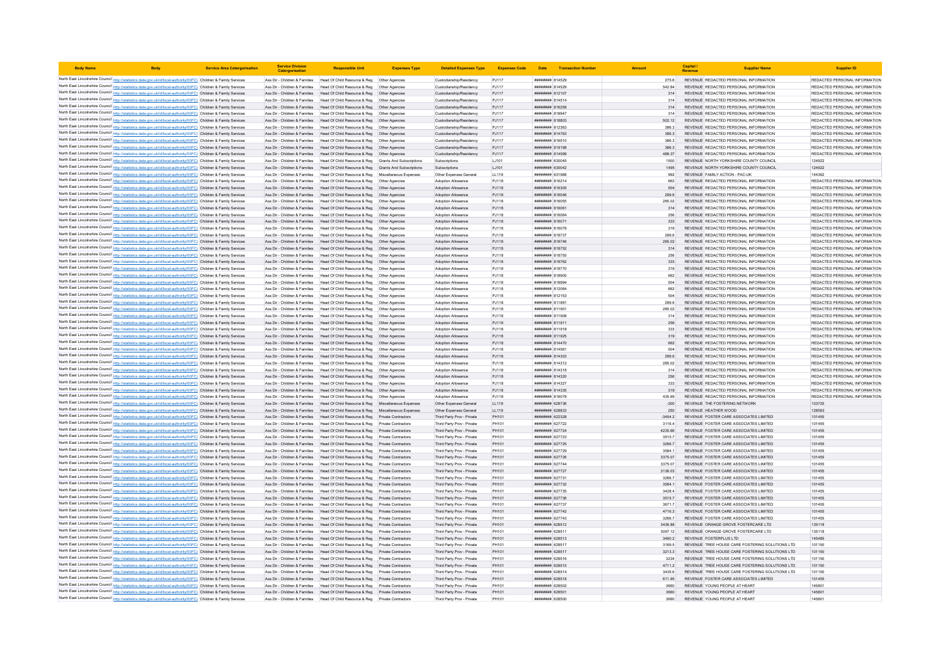| <b>Body Name</b> |                                                                                                                                                                                                                                        | <b>Service Area Catergorisation</b> | <b>Service Division</b><br>Catergorisatio                      |                                                                                                                                                        | <b>Expenses Type</b>                       | <b>Detailed Expenses Type</b>                            | <b>Expenses Code</b> |                                          | Date Transaction Numbe |                    | Capital /<br>Revenue | <b>Supplier Name</b>                                                              | <b>Supplier ID</b>                                             |
|------------------|----------------------------------------------------------------------------------------------------------------------------------------------------------------------------------------------------------------------------------------|-------------------------------------|----------------------------------------------------------------|--------------------------------------------------------------------------------------------------------------------------------------------------------|--------------------------------------------|----------------------------------------------------------|----------------------|------------------------------------------|------------------------|--------------------|----------------------|-----------------------------------------------------------------------------------|----------------------------------------------------------------|
|                  | North East Lincolnshire Council http://statistics.data.gov.uk/id/local-authority/00FC) Children & Family Services                                                                                                                      |                                     |                                                                | Ass Dir - Children & Families Head Of Child Resource & Reg   Other Agencies                                                                            |                                            | Custodianship/Residency                                  | PJ117                | ######## 814529                          |                        | 275.6              |                      | REVENUE REDACTED PERSONAL INFORMATION                                             | REDACTED PERSONAL INFORMATION                                  |
|                  | North East Lincolnshire Council http://statistics.data.gov.uk/id/local-authority/00FC) Children & Family Services                                                                                                                      |                                     | Ass Dir - Children & Families                                  | Head Of Child Resource & Reg   Other Agencies                                                                                                          |                                            | Custodianship/Residency                                  | PJ117                | ####### 814529                           |                        | 542.84             |                      | REVENUE REDACTED PERSONAL INFORMATION                                             | REDACTED PERSONAL INFORMATION                                  |
|                  | North East Lincolnshire Council http://statistics.data.gov.uk/id/local-authority/00FC) Children & Family Services                                                                                                                      |                                     |                                                                | Ass Dir - Children & Families Head Of Child Resource & Reg                                                                                             | Other Agencies                             | Custodianship/Residency                                  | PJ117                | <b>####### 812107</b>                    |                        | 314                |                      | REVENUE REDACTED PERSONAL INFORMATION                                             | REDACTED PERSONAL INFORMATION                                  |
|                  | North East Lincolnshire Council http://statistics.data.gov.uk/id/local-authority/00FC) Children & Family Services                                                                                                                      |                                     |                                                                | Ass Dir - Children & Families   Head Of Child Resource & Reg   Other Agencies                                                                          |                                            | Custodianship/Residency                                  | PJ117                | <b>HHHHHHH</b> 814514                    |                        | 314                |                      | REVENUE REDACTED PERSONAL INFORMATION                                             | REDACTED PERSONAL INFORMATION                                  |
|                  | North East Lincolnshire Council http://statistics.data.gov.uk/id/local-authority/00FC) Children & Family Services                                                                                                                      |                                     |                                                                | Ass Dir - Children & Families Head Of Child Resource & Reg Other Agencies                                                                              |                                            | Custodianship/Residency                                  | PJ117                | ######## 816258                          |                        | 314                |                      | REVENUE REDACTED PERSONAL INFORMATION                                             | REDACTED PERSONAL INFORMATION                                  |
|                  | North East Lincolnshire Council http://statistics.data.gov.uk/id/local-authority/00FC) Children & Family Services                                                                                                                      |                                     |                                                                | Ass Dir - Children & Families Head Of Child Resource & Reg Other Agencies                                                                              |                                            | Custodianship/Residency                                  | PJ117                | ######## 818947                          |                        | 314                |                      | REVENUE REDACTED PERSONAL INFORMATION                                             | REDACTED PERSONAL INFORMATION                                  |
|                  | North East Lincolnshire Council http://statistics.data.gov.uk/id/local-authority/00FC) Children & Family Services<br>North East Lincolnshire Council http://statistics.data.gov.uk/id/local-authority/00FC) Children & Family Services |                                     |                                                                | Ass Dir - Children & Families Head Of Child Resource & Reg Other Agencies<br>Ass Dir - Children & Families Head Of Child Resource & Reg Other Agencies |                                            | Custodianship/Residency<br>Custodianshin/Residency       | PJ117<br>PJ117       | ######## 818803<br>######## 812363       |                        | 502.12<br>386.3    |                      | REVENUE REDACTED PERSONAL INFORMATION<br>REVENUE REDACTED PERSONAL INFORMATION    | REDACTED PERSONAL INFORMATION<br>REDACTED PERSONAL INFORMATION |
|                  | North East Lincolnshire Council http://statistics.data.gov.uk/id/local-authority/00FC) Children & Family Services                                                                                                                      |                                     |                                                                | Ass Dir - Children & Families Head Of Child Resource & Reg Other Agencies                                                                              |                                            | Custodianship/Residency                                  | PJ117                | ######## 814763                          |                        | 386.3              |                      | REVENUE REDACTED PERSONAL INFORMATION                                             | REDACTED PERSONAL INFORMATION                                  |
|                  | North East Lincolnshire Council http://statistics.data.gov.uk/id/local-authority/00FC) Children & Family Services                                                                                                                      |                                     | Ass Dir - Children & Families                                  | Head Of Child Resource & Reg                                                                                                                           | Other Agencies                             | Custodianship/Residency                                  | PJ117                | ####### 816510                           |                        | 386.3              |                      | REVENUE REDACTED PERSONAL INFORMATION                                             | REDACTED PERSONAL INFORMATION                                  |
|                  | North East Lincolnshire Council http://statistics.data.gov.uk/id/local-authority/00FC) Children & Family Services                                                                                                                      |                                     | Ass Dir - Children & Families                                  | Head Of Child Resource & Reg                                                                                                                           | Other Agencies                             | Custodianship/Residency                                  | PJ117                | ######## 819198                          |                        | 386.3              |                      | REVENUE REDACTED PERSONAL INFORMATION                                             | REDACTED PERSONAL INFORMATION                                  |
|                  | North East Lincolnshire Council http://statistics.data.gov.uk/id/local-authority/00FC) Children & Family Services                                                                                                                      |                                     |                                                                | Ass Dir - Children & Families Head Of Child Resource & Reg                                                                                             | Other Anencies                             | Custodianship/Residency                                  | P.1117               | <b><i>BREEBER 814599</i></b>             |                        | 488.37             |                      | REVENUE REDACTED PERSONAL INFORMATION                                             | REDACTED PERSONAL INFORMATION                                  |
|                  | North East Lincolnshire Council http://statistics.data.gov.uk/id/local-authority/00FC) Children & Family Services                                                                                                                      |                                     |                                                                | Ass Dir - Children & Families   Head Of Child Resource & Reg   Grants And Subscriptions                                                                |                                            | Subscriptions                                            | LJ101                | <b>########</b> 630045                   |                        | 1500               |                      | REVENUE NORTH YORKSHIRE COUNTY COUNCIL                                            | 124922                                                         |
|                  | North East Lincolnshire Council http://statistics.data.gov.uk/id/local-authority/00FC) Children & Family Services                                                                                                                      |                                     |                                                                | Ass Dir - Children & Families Head Of Child Resource & Reg Grants And Subscriptions                                                                    |                                            | Subscriptions                                            | LJ101                | ######## 630042                          |                        | 1495               |                      | REVENUE NORTH YORKSHIRE COUNTY COUNCIL                                            | 124922                                                         |
|                  | North East Lincolnshire Council http://statistics.data.gov.uk/id/local-authority/00FC) Children & Family Services                                                                                                                      |                                     | Ass Dir - Children & Families                                  | Head Of Child Resource & Reg                                                                                                                           | Miscellaneous Expenses                     | Other Expenses General                                   | LL119                | ####### 631968                           |                        | 992                |                      | REVENUE FAMILY ACTION - PAC-UK                                                    | 144362                                                         |
|                  | North East Lincolnshire Council http://statistics.data.gov.uk/id/local-authority/00FC) Children & Family Services                                                                                                                      |                                     | Ass Dir - Children & Families<br>Ass Dir - Children & Families | Head Of Child Resource & Reg  Other Agencies<br>Head Of Child Resource & Reg                                                                           |                                            | Adoption Allowance<br>Adoption Allowance                 | PJ118<br>PJ118       | ######## 816214<br>######## 816305       |                        | 662<br>504         |                      | REVENUE REDACTED PERSONAL INFORMATION<br>REVENUE REDACTED PERSONAL INFORMATION    | REDACTED PERSONAL INFORMATION<br>REDACTED PERSONAL INFORMATION |
|                  | North East Lincolnshire Council http://statistics.data.gov.uk/id/local-authority/00FC) Children & Family Services<br>North East Lincolnshire Council http://statistics.data.gov.uk/id/local-authority/00FC) Children & Family Services |                                     | Ass Dir - Children & Families                                  | Head Of Child Resource & Reg                                                                                                                           | Other Agencies<br>Other Agencies           | Adoption Allowance                                       | PJ118                | ####### 816046                           |                        | 299.6              |                      | REVENUE REDACTED PERSONAL INFORMATION                                             | REDACTED PERSONAL INFORMATION                                  |
|                  | North East Lincolnshire Council http://statistics.data.gov.uk/id/local-authority/00FC) Children & Family Services                                                                                                                      |                                     |                                                                | Ass Dir - Children & Families Head Of Child Resource & Reg                                                                                             | Other Agencies                             | Adoption Allowance                                       | PJ118                | <b>########</b> 816055                   |                        | 285.02             |                      | REVENUE REDACTED PERSONAL INFORMATION                                             | REDACTED PERSONAL INFORMATION                                  |
|                  | North East Lincolnshire Council http://statistics.data.gov.uk/id/local-authority/00FC) Children & Family Services                                                                                                                      |                                     |                                                                | Ass Dir - Children & Families Head Of Child Resource & Reg Other Agencies                                                                              |                                            | Adoption Allowance                                       | PJ118                | ######## 816061                          |                        | 314                |                      | REVENUE REDACTED PERSONAL INFORMATION                                             | REDACTED PERSONAL INFORMATION                                  |
|                  | North East Lincolnshire Council http://statistics.data.gov.uk/id/local-authority/00FC) Children & Family Services                                                                                                                      |                                     |                                                                | Ass Dir - Children & Families Head Of Child Resource & Reg Other Agencies                                                                              |                                            | Adoption Allowance                                       | PJ118                | ######## 816064                          |                        | 256                |                      | REVENUE REDACTED PERSONAL INFORMATION                                             | REDACTED PERSONAL INFORMATION                                  |
|                  | North East Lincolnshire Council http://statistics.data.gov.uk/id/local-authority/00FC) Children & Family Services                                                                                                                      |                                     |                                                                | Ass Dir - Children & Families Head Of Child Resource & Reg Other Agencies                                                                              |                                            | Adoption Allowance                                       | PJ118                | ######## 816071                          |                        | 333                |                      | REVENUE REDACTED PERSONAL INFORMATION                                             | REDACTED PERSONAL INFORMATION                                  |
|                  | North East Lincolnshire Council http://statistics.data.gov.uk/id/local-authority/00FC) Children & Family Services                                                                                                                      |                                     |                                                                | Ass Dir - Children & Families Head Of Child Resource & Reg   Other Agencies                                                                            |                                            | Adoption Allowance                                       | PJ118                | <b>HHHHHHH</b> 816079                    |                        | 319                |                      | REVENUE REDACTED PERSONAL INFORMATION                                             | REDACTED PERSONAL INFORMATION                                  |
|                  | North East Lincolnshire Council http://statistics.data.gov.uk/id/local-authority/00FC) Children & Family Services                                                                                                                      |                                     | Ass Dir - Children & Families                                  | Head Of Child Resource & Reg  Other Agencies                                                                                                           |                                            | Adoption Allowance                                       | PJ118                | <i>*********</i> 818737                  |                        | 299.6              |                      | REVENUE REDACTED PERSONAL INFORMATION                                             | REDACTED PERSONAL INFORMATION                                  |
|                  | North East Lincolnshire Council http://statistics.data.gov.uk/id/local-authority/00FC) Children & Family Services                                                                                                                      |                                     | Ass Dir - Children & Families                                  | Head Of Child Resource & Reg                                                                                                                           | Other Agencies                             | <b>Adoption Allowance</b>                                | PJ118                | <b>#######</b> 818746                    |                        | 285.02             |                      | REVENUE REDACTED PERSONAL INFORMATION                                             | REDACTED PERSONAL INFORMATION                                  |
|                  | North East Lincolnshire Council http://statistics.data.gov.uk/id/local-authority/00FC) Children & Family Services                                                                                                                      |                                     |                                                                | Ass Dir - Children & Families Head Of Child Resource & Reg                                                                                             | Other Agencies                             | <b>Adoption Allowance</b>                                | PJ118                | ######## 818752                          |                        | 314                |                      | REVENUE REDACTED PERSONAL INFORMATION                                             | REDACTED PERSONAL INFORMATION                                  |
|                  | North East Lincolnshire Council http://statistics.data.gov.uk/id/local-authority/00FC) Children & Family Services<br>North East Lincolnshire Council http://statistics.data.gov.uk/id/local-authority/00FC) Children & Family Services |                                     |                                                                | Ass Dir - Children & Families Head Of Child Resource & Reg<br>Ass Dir - Children & Families Head Of Child Resource & Reg Other Agencies                | Other Anencies                             | <b>Adoption Allowance</b><br>Adoption Allowance          | PJ118<br>PJ118       | ######## 818755<br>######## 818762       |                        | 256<br>333         |                      | REVENUE REDACTED PERSONAL INFORMATION<br>REVENUE REDACTED PERSONAL INFORMATION    | REDACTED PERSONAL INFORMATION<br>REDACTED PERSONAL INFORMATION |
|                  | North East Lincolnshire Council http://statistics.data.gov.uk/id/local-authority/00FC) Children & Family Services                                                                                                                      |                                     |                                                                | Ass Dir - Children & Families Head Of Child Resource & Reg Other Agencies                                                                              |                                            | Adoption Allowance                                       | PJ118                | ######## 818770                          |                        | 319                |                      | REVENUE REDACTED PERSONAL INFORMATION                                             | REDACTED PERSONAL INFORMATION                                  |
|                  | North East Lincolnshire Council http://statistics.data.gov.uk/id/local-authority/00FC) Children & Family Services                                                                                                                      |                                     | Ass Dir - Children & Families                                  | Head Of Child Resource & Reg   Other Agencies                                                                                                          |                                            | Adoption Allowance                                       | PJ118                | ####### 818905                           |                        | 662                |                      | REVENUE REDACTED PERSONAL INFORMATION                                             | REDACTED PERSONAL INFORMATION                                  |
|                  | North East Lincolnshire Council http://statistics.data.gov.uk/id/local-authority/00FC) Children & Family Services                                                                                                                      |                                     | Ass Dir - Children & Families                                  | Head Of Child Resource & Reg. Other Agencies                                                                                                           |                                            | <b>Adoption Allowance</b>                                | P.I118               | <b><i>BREABHAR 818994</i></b>            |                        | 504                |                      | REVENUE REDACTED PERSONAL INFORMATION                                             | REDACTED PERSONAL INFORMATION                                  |
|                  | North East Lincolnshire Council http://statistics.data.gov.uk/id/local-authority/00FC) Children & Family Services                                                                                                                      |                                     | Ass Dir - Children & Families                                  | Head Of Child Resource & Reg                                                                                                                           | Other Agencies                             | Adoption Allowance                                       | PJ118                | <b><i>пивниния</i></b> 812064            |                        | 662                |                      | REVENUE REDACTED PERSONAL INFORMATION                                             | REDACTED PERSONAL INFORMATION                                  |
|                  | North East Lincolnshire Council http://statistics.data.gov.uk/id/local-authority/00FC) Children & Family Services                                                                                                                      |                                     | Ass Dir - Children & Families                                  | Head Of Child Resource & Reg                                                                                                                           | Other Agencies                             | Adoption Allowance                                       | PJ118                | ####### 812153                           |                        | 504                |                      | REVENUE REDACTED PERSONAL INFORMATION                                             | REDACTED PERSONAL INFORMATION                                  |
|                  | North East Lincolnshire Council http://statistics.data.gov.uk/id/local-authority/00FC) Children & Family Services                                                                                                                      |                                     | Ass Dir - Children & Families                                  | Head Of Child Resource & Reg                                                                                                                           | Other Agencies                             | Adoption Allowance                                       | PJ118                | ######## 811891                          |                        | 299.6              |                      | REVENUE REDACTED PERSONAL INFORMATION                                             | REDACTED PERSONAL INFORMATION                                  |
|                  | North East Lincolnshire Council http://statistics.data.gov.uk/id/local-authority/00FC) Children & Family Services                                                                                                                      |                                     |                                                                | Ass Dir - Children & Families Head Of Child Resource & Reg Other Agencies                                                                              |                                            | Adoption Allowance                                       | PJ118                | ######## 811901                          |                        | 285.02             |                      | REVENUE REDACTED PERSONAL INFORMATION                                             | REDACTED PERSONAL INFORMATION                                  |
|                  | North East Lincolnshire Council http://statistics.data.gov.uk/id/local-authority/00FC) Children & Family Services                                                                                                                      |                                     |                                                                | Ass Dir - Children & Families Head Of Child Resource & Reg Other Agencies                                                                              |                                            | Adoption Allowance                                       | PJ118                | ####### 811908                           |                        | 314                |                      | REVENUE REDACTED PERSONAL INFORMATION                                             | REDACTED PERSONAL INFORMATION                                  |
|                  | North East Lincolnshire Council http://statistics.data.gov.uk/id/local-authority/00FC) Children & Family Services                                                                                                                      |                                     |                                                                | Ass Dir - Children & Families Head Of Child Resource & Reg Other Agencies                                                                              |                                            | Adoption Allowance                                       | PJ118                | ####### 811911<br>81914 R11918           |                        | 256                |                      | REVENUE REDACTED PERSONAL INFORMATION                                             | REDACTED PERSONAL INFORMATION                                  |
|                  | North East Lincolnshire Council http://statistics.data.gov.uk/id/local-authority/00FC) Children & Family Services<br>North East Lincolnshire Council http://statistics.data.gov.uk/id/local-authority/00FC) Children & Family Services |                                     |                                                                | Ass Dir - Children & Families Head Of Child Resource & Reg   Other Agencies<br>Ass Dir - Children & Families Head Of Child Resource & Reg              | Other Agencies                             | Adoption Allowance<br>Adoption Allowance                 | PJ118<br>PJ118       | ######## 811925                          |                        | 333<br>319         |                      | REVENUE REDACTED PERSONAL INFORMATION<br>REVENUE REDACTED PERSONAL INFORMATION    | REDACTED PERSONAL INFORMATION<br>REDACTED PERSONAL INFORMATION |
|                  | North East Lincolnshire Council http://statistics.data.gov.uk/id/local-authority/00FC) Children & Family Services                                                                                                                      |                                     |                                                                | Ass Dir - Children & Families Head Of Child Resource & Reg                                                                                             | Other Agencies                             | Adoption Allowance                                       | PJ118                | ######## 814470                          |                        | 662                |                      | REVENUE REDACTED PERSONAL INFORMATION                                             | REDACTED PERSONAL INFORMATION                                  |
|                  | North East Lincolnshire Council http://statistics.data.gov.uk/id/local-authority/00FC) Children & Family Services                                                                                                                      |                                     | Ass Dir - Children & Families                                  | Head Of Child Resource & Reg                                                                                                                           | Other Agencies                             | Adoption Allowance                                       | PJ118                | <b>####### 81456</b>                     |                        | 504                |                      | REVENUE REDACTED PERSONAL INFORMATION                                             | REDACTED PERSONAL INFORMATION                                  |
|                  | North East Lincolnshire Council http://statistics.data.gov.uk/id/local-authority/00FC) Children & Family Services                                                                                                                      |                                     |                                                                | Ass Dir - Children & Families Head Of Child Resource & Reg                                                                                             | Other Agencies                             | Adoption Allowance                                       | PJ118                | <b>BREEZER R14303</b>                    |                        | 299.6              |                      | REVENUE REDACTED PERSONAL INFORMATION                                             | REDACTED PERSONAL INFORMATION                                  |
|                  | North East Lincolnshire Council http://statistics.data.gov.uk/id/local-authority/00FC) Children & Family Services                                                                                                                      |                                     |                                                                | Ass Dir - Children & Families Head Of Child Resource & Reg   Other Agencies                                                                            |                                            | Adoption Allowance                                       | PJ118                | ######## 814312                          |                        | 285.02             |                      | REVENUE REDACTED PERSONAL INFORMATION                                             | REDACTED PERSONAL INFORMATION                                  |
|                  | North East Lincolnshire Council http://statistics.data.gov.uk/id/local-authority/00FC) Children & Family Services                                                                                                                      |                                     | Ass Dir - Children & Families                                  | Head Of Child Resource & Reg   Other Agencies                                                                                                          |                                            | <b>Adoption Allowance</b>                                | PJ118                | ######## 814318                          |                        | 314                |                      | REVENUE REDACTED PERSONAL INFORMATION                                             | REDACTED PERSONAL INFORMATION                                  |
|                  | North East Lincolnshire Council http://statistics.data.gov.uk/id/local-authority/00FC) Children & Family Services                                                                                                                      |                                     | Ass Dir - Children & Families                                  | Head Of Child Resource & Reg   Other Agencies                                                                                                          |                                            | Adoption Allowance                                       | PJ118                | ######## 814320                          |                        | 256                |                      | REVENUE REDACTED PERSONAL INFORMATION                                             | REDACTED PERSONAL INFORMATION                                  |
|                  | North East Lincolnshire Council http://statistics.data.gov.uk/id/local-authority/00FC) Children & Family Services                                                                                                                      |                                     | Ass Dir - Children & Families                                  | Head Of Child Resource & Reg  Other Agencies                                                                                                           |                                            | Adoption Allowance                                       | P.I118               | <b><i>BREEBBBB</i></b> 814327            |                        | 333                |                      | REVENUE REDACTED PERSONAL INFORMATION                                             | REDACTED PERSONAL INFORMATION                                  |
|                  | North East Lincolnshire Council http://statistics.data.gov.uk/id/local-authority/00FC) Children & Family Services<br>North East Lincolnshire Council http://statistics.data.gov.uk/id/local-authority/00FC) Children & Family Services |                                     | Ass Dir - Children & Families<br>Ass Dir - Children & Families | Head Of Child Resource & Reg<br>Head Of Child Resource & Reg                                                                                           | Other Agencies<br>Other Agencies           | Adoption Allowance<br><b>Adoption Allowance</b>          | PJ118<br>PJ118       | ######## 814335<br><b>####### 81607!</b> |                        | 319<br>435.69      |                      | REVENUE REDACTED PERSONAL INFORMATION<br>REVENUE REDACTED PERSONAL INFORMATION    | REDACTED PERSONAL INFORMATION<br>REDACTED PERSONAL INFORMATION |
|                  | North East Lincolnshire Council http://statistics.data.gov.uk/id/local-authority/00FC) Children & Family Services                                                                                                                      |                                     | Ass Dir - Children & Families                                  | Head Of Child Resource & Reg                                                                                                                           | Miscellaneous Expenses                     | Other Expenses General                                   | LL119                | <i>пивниния</i> 628736                   |                        | $-300$             |                      | REVENUE THE FOSTERING NETWORK                                                     | 103725                                                         |
|                  | North East Lincolnshire Council http://statistics.data.gov.uk/id/local-authority/00FC) Children & Family Services                                                                                                                      |                                     |                                                                | Ass Dir - Children & Families Head Of Child Resource & Reg Miscellaneous Expenses                                                                      |                                            | Other Expenses General                                   | LL119                | ######## 628833                          |                        | 250                |                      | REVENUE HEATHER WOOD                                                              | 128562                                                         |
|                  | North East Lincolnshire Council http://statistics.data.gov.uk/id/local-authority/00FC) Children & Family Services                                                                                                                      |                                     |                                                                | Ass Dir - Children & Families Head Of Child Resource & Reg Private Contractors                                                                         |                                            | Third Party Prov - Private                               | PH101                | ######## 622328                          |                        | $-3454.2$          |                      | REVENUE FOSTER CARE ASSOCIATES LIMITED                                            | 101455                                                         |
|                  | North East Lincolnshire Council http://statistics.data.gov.uk/id/local-authority/00FC) Children & Family Services                                                                                                                      |                                     |                                                                | Ass Dir - Children & Families Head Of Child Resource & Reg Private Contractors                                                                         |                                            | Third Party Prov - Private                               | PH101                | ####### 627722                           |                        | 3116.4             |                      | REVENUE FOSTER CARE ASSOCIATES LIMITED                                            | 101455                                                         |
|                  | North East Lincolnshire Council http://statistics.data.gov.uk/id/local-authority/00FC) Children & Family Services                                                                                                                      |                                     |                                                                | Ass Dir - Children & Families Head Of Child Resource & Reg                                                                                             | <b>Private Contractors</b>                 | Third Party Prov - Private                               | PH101                | ######## 627724                          |                        | 4235.66            |                      | REVENUE FOSTER CARE ASSOCIATES LIMITED                                            | 101455                                                         |
|                  | North East Lincolnshire Council http://statistics.data.gov.uk/id/local-authority/00FC) Children & Family Services                                                                                                                      |                                     |                                                                | Ass Dir - Children & Families Head Of Child Resource & Reg Private Contractors                                                                         |                                            | Third Party Prov - Private                               | PH101                | ######## 627723                          |                        | 3515.7             |                      | REVENUE FOSTER CARE ASSOCIATES LIMITED                                            | 101455                                                         |
|                  | North East Lincolnshire Council http://statistics.data.gov.uk/id/local-authority/00FC) Children & Family Services                                                                                                                      |                                     |                                                                | Ass Dir - Children & Families Head Of Child Resource & Reg                                                                                             | Private Contractors                        | Third Party Prov - Private                               | PH101                | ######## 627725                          |                        | 3266.7             |                      | REVENUE FOSTER CARE ASSOCIATES LIMITED                                            | 101455                                                         |
|                  | North East Lincolnshire Council http://statistics.data.gov.uk/id/local-authority/00FC) Children & Family Services                                                                                                                      |                                     | Ass Dir - Children & Families                                  | Head Of Child Resource & Reg                                                                                                                           | Private Contractors                        | Third Party Prov - Private                               | PH101                | ####### 627729                           |                        | 3584.              |                      | REVENUE FOSTER CARE ASSOCIATES LIMITED                                            | 101455                                                         |
|                  | North East Lincolnshire Council http://statistics.data.gov.uk/id/local-authority/00FC) Children & Family Services                                                                                                                      |                                     |                                                                | Ass Dir - Children & Families Head Of Child Resource & Reg<br>Ass Dir - Children & Families Head Of Child Resource & Reg                               | Private Contractors<br>Private Contractors | Third Party Prov - Private<br>Third Party Prov - Private | PH101<br>PH101       | <b>НИНИНИН</b> 627726<br>######## 627744 |                        | 3375.07<br>3375.07 |                      | REVENUE FOSTER CARE ASSOCIATES LIMITED.<br>REVENUE FOSTER CARE ASSOCIATES LIMITED | 101455<br>101455                                               |
|                  | North East Lincolnshire Council http://statistics.data.gov.uk/id/local-authority/00FC) Children & Family Services<br>North East Lincolnshire Council http://statistics.data.gov.uk/id/local-authority/00FC) Children & Family Services |                                     |                                                                | Ass Dir - Children & Families Head Of Child Resource & Reg Private Contractors                                                                         |                                            | Third Party Prov - Private                               | PH101                | ######## 627727                          |                        | 3136.03            |                      | REVENUE FOSTER CARE ASSOCIATES LIMITED                                            | 101455                                                         |
|                  | North East Lincolnshire Council http://statistics.data.gov.uk/id/local-authority/00FC) Children & Family Services                                                                                                                      |                                     | Ass Dir - Children & Families                                  | Head Of Child Resource & Reg                                                                                                                           | Private Contractors                        | Third Party Prov - Private                               | PH101                | ######## 627731                          |                        | 3266.7             |                      | REVENUE FOSTER CARE ASSOCIATES LIMITED                                            | 101455                                                         |
|                  | North East Lincolnshire Council http://statistics.data.gov.uk/id/local-authority/00FC) Children & Family Services                                                                                                                      |                                     |                                                                | Ass Dir - Children & Families Head Of Child Resource & Reg                                                                                             | Private Contractors                        | Third Party Prov - Private                               | PH101                | <b>пининни 627732</b>                    |                        | 3584 1             |                      | REVENUE FOSTER CARE ASSOCIATES LIMITED                                            | 101455                                                         |
|                  | North East Lincolnshire Council http://statistics.data.gov.uk/id/local-authority/00FC) Children & Family Services                                                                                                                      |                                     | Ass Dir - Children & Families                                  | Head Of Child Resource & Reg                                                                                                                           | <b>Private Contractors</b>                 | Third Party Prov - Private                               | PH101                | <i><b>######## 627735</b></i>            |                        | 3428.4             |                      | REVENUE FOSTER CARE ASSOCIATES LIMITED                                            | 101455                                                         |
|                  | North East Lincolnshire Council http://statistics.data.gov.uk/id/local-authority/00FC) Children & Family Services                                                                                                                      |                                     | Ass Dir - Children & Families                                  | Head Of Child Resource & Reg                                                                                                                           | Private Contractors                        | Third Party Prov - Private                               | PH101                | ######## 627736                          |                        | 3515.              |                      | REVENUE FOSTER CARE ASSOCIATES LIMITED                                            | 101455                                                         |
|                  | North East Lincolnshire Council http://statistics.data.gov.uk/id/local-authority/00FC) Children & Family Services                                                                                                                      |                                     | Ass Dir - Children & Families                                  | Head Of Child Resource & Reg                                                                                                                           | Private Contractors                        | Third Party Prov - Private                               | PH101                | <b>пининний</b> 627737                   |                        | 3671.7             |                      | REVENUE FOSTER CARE ASSOCIATES LIMITED                                            | 101455                                                         |
|                  | North East Lincolnshire Council http://statistics.data.gov.uk/id/local-authority/00FC) Children & Family Services                                                                                                                      |                                     |                                                                | Ass Dir - Children & Families Head Of Child Resource & Reg                                                                                             | Private Contractors                        | Third Party Prov - Private                               | PH101                | <b>пининни 627742</b>                    |                        | 47163              |                      | REVENUE FOSTER CARE ASSOCIATES LIMITED.                                           | 101455                                                         |
|                  | North East Lincolnshire Council http://statistics.data.gov.uk/id/local-authority/00FC) Children & Family Services                                                                                                                      |                                     |                                                                | Ass Dir - Children & Families   Head Of Child Resource & Reg   Private Contractors                                                                     |                                            | Third Party Prov - Private                               | PH101                | <b>пининни 627743</b>                    |                        | 3266.7             |                      | REVENUE FOSTER CARE ASSOCIATES LIMITED                                            | 101455                                                         |
|                  | North East Lincolnshire Council http://statistics.data.gov.uk/id/local-authority/00FC) Children & Family Services                                                                                                                      |                                     |                                                                | Ass Dir - Children & Families Head Of Child Resource & Reg Private Contractors                                                                         |                                            | Third Party Prov - Private                               | PH101                | ######## 628512                          |                        | 3436.88            |                      | REVENUE ORANGE GROVE FOSTERCARE LTD                                               | 135118                                                         |
|                  | North East Lincolnshire Council http://statistics.data.gov.uk/id/local-authority/00FC) Children & Family Services                                                                                                                      |                                     |                                                                | Ass Dir - Children & Families Head Of Child Resource & Reg Private Contractors                                                                         |                                            | Third Party Prov - Private                               | PH101                | ######## 628511                          |                        | 3097.12            |                      | REVENUE ORANGE GROVE FOSTERCARE LTD                                               | 135118<br>145485                                               |
|                  | North East Lincolnshire Council http://statistics.data.gov.uk/id/local-authority/00FC) Children & Family Services<br>North East Lincolnshire Council http://statistics.data.gov.uk/id/local-authority/00FC) Children & Family Services |                                     | Ass Dir - Children & Families                                  | Ass Dir - Children & Families Head Of Child Resource & Reg Private Contractors<br>Head Of Child Resource & Reg                                         | Private Contractors                        | Third Party Prov - Private<br>Third Party Prov - Private | PH101<br>PH101       | ######## 628513<br>####### 628517        |                        | 3460.2<br>3169.5   |                      | REVENUE FOSTERPLUS LTD<br>REVENUE TREE HOUSE CARE FOSTERING SOLUTIONS LTD         | 101150                                                         |
|                  | North East Lincolnshire Council http://statistics.data.gov.uk/id/local-authority/00FC) Children & Family Services                                                                                                                      |                                     | Ass Dir - Children & Families                                  | Head Of Child Resource & Reg                                                                                                                           |                                            | Third Party Prov - Private                               | PH101                | ######## 628517                          |                        | 3213.3             |                      | REVENUE TREE HOUSE CARE FOSTERING SOLUTIONS LTD                                   | 101150                                                         |
|                  | North East Lincolnshire Council http://statistics.data.gov.uk/id/local-authority/00FC) Children & Family Services                                                                                                                      |                                     |                                                                | Ass Dir - Children & Families Head Of Child Resource & Reg                                                                                             | Private Contractors                        | Third Party Prov - Private                               | PH101                | <b>пининний</b> 628516                   |                        | 3234               |                      | REVENUE TREE HOUSE CARE FOSTERING SOLUTIONS LTD.                                  | 101150                                                         |
|                  | North East Lincolnshire Council http://statistics.data.gov.uk/id/local-authority/00FC) Children & Family Services                                                                                                                      |                                     |                                                                | Ass Dir - Children & Families Head Of Child Resource & Reg                                                                                             | Private Contractors                        | Third Party Prov - Private                               | PH101                | ######## 628515                          |                        | 4711.2             |                      | REVENUE TREE HOUSE CARE FOSTERING SOLUTIONS LTD                                   | 101150                                                         |
|                  | North East Lincolnshire Council http://statistics.data.gov.uk/id/local-authority/00FC) Children & Family Services                                                                                                                      |                                     |                                                                | Ass Dir - Children & Families Head Of Child Resource & Reg                                                                                             | Private Contractors                        | Third Party Prov - Private                               | PH101                | ######## 628514                          |                        | 3435.6             |                      | REVENUE TREE HOUSE CARE FOSTERING SOLUTIONS LTD                                   | 101150                                                         |
|                  | North East Lincolnshire Council http://statistics.data.gov.uk/id/local-authority/00FC) Children & Family Services                                                                                                                      |                                     |                                                                | Ass Dir - Children & Families Head Of Child Resource & Reg Private Contractors                                                                         |                                            | Third Party Prov - Private                               | PH101                | ######## 628518                          |                        | 611.95             |                      | REVENUE FOSTER CARE ASSOCIATES LIMITED                                            | 101455                                                         |
|                  | North East Lincolnshire Council http://statistics.data.gov.uk/id/local-authority/00FC) Children & Family Services                                                                                                                      |                                     |                                                                | Ass Dir - Children & Families Head Of Child Resource & Reg Private Contractors                                                                         |                                            | Third Party Prov - Private                               | PH101                | <b>пининни 628502</b>                    |                        | 3660               |                      | REVENUE YOUNG PEOPLE AT HEART                                                     | 145801                                                         |
|                  | North East Lincolnshire Council http://statistics.data.gov.uk/id/local-authority/00FC) Children & Family Services                                                                                                                      |                                     |                                                                | Ass Dir - Children & Families Head Of Child Resource & Reg Private Contractors                                                                         |                                            | Third Party Prov - Private                               | PH101                | ######## 628501                          |                        | 3660               |                      | REVENUE YOUNG PEOPLE AT HEART                                                     | 145801                                                         |
|                  | North East Lincolnshire Council http://statistics.data.gov.uk/id/local-authority/00FC) Children & Family Services                                                                                                                      |                                     |                                                                | Ass Dir - Children & Families Head Of Child Resource & Reg                                                                                             | Private Contractors                        | Third Party Prov - Private                               | PH101                | <b>####### 62850</b>                     |                        | 3660               |                      | REVENUE YOUNG PEOPLE AT HEART                                                     | 145801                                                         |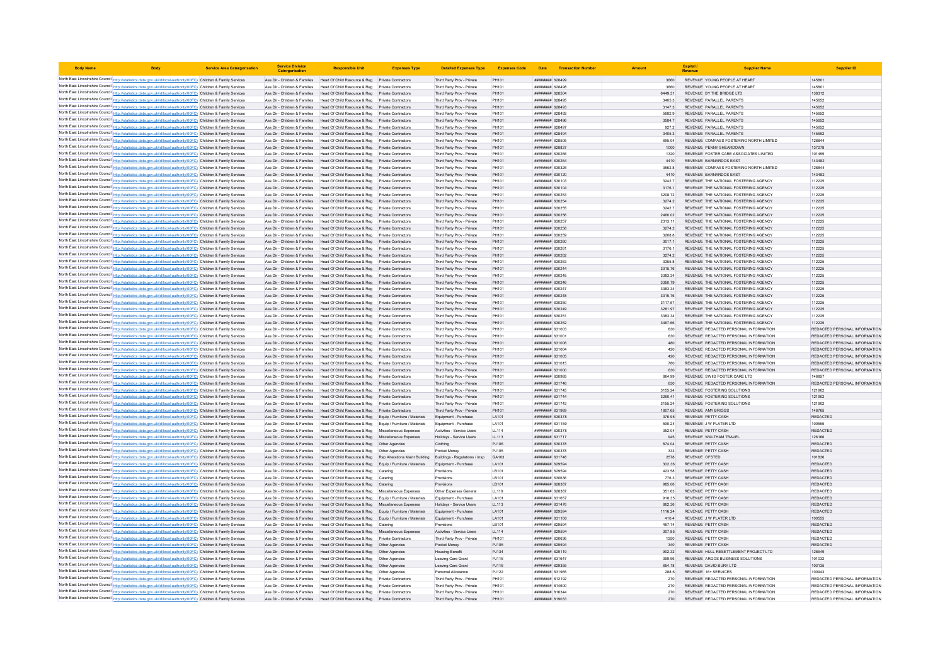| <b>Body Name</b>                                                                                                                                                                                                                       | <b>Service Area Catergorisation</b> | <b>Service Division</b><br>Catergorisatio                      |                                                                                                                                                                               | <b>Expenses Type</b>       | <b>Detailed Expenses Type</b>                            | <b>Expenses Code</b> |                                                        | Date Transaction Numbe |                   | Capital /<br>Revenue                                                           |                                         |
|----------------------------------------------------------------------------------------------------------------------------------------------------------------------------------------------------------------------------------------|-------------------------------------|----------------------------------------------------------------|-------------------------------------------------------------------------------------------------------------------------------------------------------------------------------|----------------------------|----------------------------------------------------------|----------------------|--------------------------------------------------------|------------------------|-------------------|--------------------------------------------------------------------------------|-----------------------------------------|
| North East Lincolnshire Council http://statistics.data.gov.uk/id/local-authority/00FC) Children & Family Services                                                                                                                      |                                     |                                                                | Ass Dir - Children & Families Head Of Child Resource & Reg Private Contractors                                                                                                |                            | Third Party Prov - Private                               | PH101                | ######## 628499                                        |                        | 3660              | REVENUE YOUNG PEOPLE AT HEART                                                  | 145801                                  |
| North East Lincolnshire Council http://statistics.data.gov.uk/id/local-authority/00FC) Children & Family Services                                                                                                                      |                                     | Ass Dir - Children & Families                                  | Head Of Child Resource & Reg Private Contractors                                                                                                                              |                            | Third Party Prov - Private                               | PH101                | ######## 628498                                        |                        | 3660              | REVENUE YOUNG PEOPLE AT HEART                                                  | 145801                                  |
| North East Lincolnshire Council http://statistics.data.gov.uk/id/local-authority/00FC) Children & Family Services                                                                                                                      |                                     | Ass Dir - Children & Families                                  | Head Of Child Resource & Reg Private Contractors                                                                                                                              |                            | Third Party Prov - Private                               | PH101                | ####### 628504                                         |                        | 6449.31           | REVENUE BY THE BRIDGE LTD                                                      | 138312                                  |
| North East Lincolnshire Council http://statistics.data.gov.uk/id/local-authority/00FC) Children & Family Services                                                                                                                      |                                     |                                                                | Ass Dir - Children & Families Head Of Child Resource & Reg Private Contractors                                                                                                |                            | Third Party Prov - Private                               | PH101                | ниннини 628495                                         |                        | 3405.3            | REVENUE PARALLEL PARENTS                                                       | 145652                                  |
| North East Lincolnshire Council http://statistics.data.gov.uk/id/local-authority/00FC) Children & Family Services<br>North East Lincolnshire Council http://statistics.data.gov.uk/id/local-authority/00FC) Children & Family Services |                                     |                                                                | Ass Dir - Children & Families Head Of Child Resource & Reg Private Contractors<br>Ass Dir - Children & Families Head Of Child Resource & Reg Private Contractors              |                            | Third Party Prov - Private<br>Third Party Prov - Private | PH101<br>PH101       | ######## 628493<br>######## 628492                     |                        | 3147.3<br>5682.9  | REVENUE PARALLEL PARENTS<br>REVENUE PARALLEL PARENTS                           | 145652<br>145652                        |
| North East Lincolnshire Council http://statistics.data.gov.uk/id/local-authority/00FC) Children & Family Services                                                                                                                      |                                     |                                                                | Ass Dir - Children & Families Head Of Child Resource & Reg Private Contractors                                                                                                |                            | Third Party Prov - Private                               | PH101                | ######## 628496                                        |                        | 3584.7            | REVENUE PARALLEL PARENTS                                                       | 145652                                  |
| North East Lincolnshire Council http://statistics.data.gov.uk/id/local-authority/00FC) Children & Family Services                                                                                                                      |                                     | Ass Dir - Children & Families                                  | Head Of Child Resource & Reg   Private Contractors                                                                                                                            |                            | Third Party Prov - Private                               | PH101                | нининни 628497                                         |                        | 9272              | REVENUE PARALLEL PARENTS                                                       | 145652                                  |
| North East Lincolnshire Council http://statistics.data.gov.uk/id/local-authority/00FC) Children & Family Services                                                                                                                      |                                     |                                                                | Ass Dir - Children & Families Head Of Child Resource & Reg Private Contractors                                                                                                |                            | Third Party Prov - Private                               | PH101                | ######## 628494                                        |                        | 3405.3            | REVENUE PARALLEL PARENTS                                                       | 145652                                  |
| North East Lincolnshire Council http://statistics.data.gov.uk/id/local-authority/00FC) Children & Family Services                                                                                                                      |                                     | Ass Dir - Children & Families                                  | Head Of Child Resource & Reg                                                                                                                                                  | Private Contractors        | Third Party Prov - Private                               | PH101                | ####### 628505                                         |                        | 695.04            | REVENUE COMPASS FOSTERING NORTH LIMITED                                        | 128844                                  |
| North East Lincolnshire Council http://statistics.data.gov.uk/id/local-authority/00FC) Children & Family Services                                                                                                                      |                                     | Ass Dir - Children & Families                                  | Head Of Child Resource & Reg                                                                                                                                                  | Private Contractors        | Third Party Prov - Private                               | PH101                | ######## 628837                                        |                        | 1000              | REVENUE PENNY SHEARDOWN<br>REVENUE FOSTER CARE ASSOCIATES LIMITED.             | 137278                                  |
| North East Lincolnshire Council http://statistics.data.gov.uk/id/local-authority/00FC) Children & Family Services<br>North East Lincolnshire Council http://statistics.data.gov.uk/id/local-authority/00FC) Children & Family Services |                                     | Ass Dir - Children & Families                                  | Head Of Child Resource & Reg. Private Contractors<br>Ass Dir - Children & Families Head Of Child Resource & Reg Private Contractors                                           |                            | Third Party Prov - Private<br>Third Party Prov - Private | PH101<br>PH101       | <b>######## 630266</b><br>######## 630264              |                        | 1320<br>4410      | REVENUE BARNARDOS EAST                                                         | 101455<br>143482                        |
| North East Lincolnshire Council http://statistics.data.gov.uk/id/local-authority/00FC) Children & Family Services                                                                                                                      |                                     | Ass Dir - Children & Families                                  | Head Of Child Resource & Reg   Private Contractors                                                                                                                            |                            | Third Party Prov - Private                               | PH101                | ######## 630325                                        |                        | 3562.8            | REVENUE COMPASS FOSTERING NORTH LIMITED                                        | 128844                                  |
| North East Lincolnshire Council http://statistics.data.gov.uk/id/local-authority/00FC) Children & Family Services                                                                                                                      |                                     | Ass Dir - Children & Families                                  | Head Of Child Resource & Reg                                                                                                                                                  | <b>Private Contractors</b> | Third Party Prov - Private                               | PH101                | ######## 630120                                        |                        | 4410              | <b>REVENUE BARNARDOS EAST</b>                                                  | 143482                                  |
| North East Lincolnshire Council http://statistics.data.gov.uk/id/local-authority/00FC) Children & Family Services                                                                                                                      |                                     | Ass Dir - Children & Families                                  | Head Of Child Resource & Reg Private Contractors                                                                                                                              |                            | Third Party Prov - Private                               | PH101                | ######## 630103                                        |                        | 3242.7            | REVENUE THE NATIONAL FOSTERING AGENCY                                          | 112225                                  |
| North East Lincolnshire Council http://statistics.data.gov.uk/id/local-authority/00FC) Children & Family Services                                                                                                                      |                                     | Ass Dir - Children & Families                                  | Head Of Child Resource & Reg Private Contractors                                                                                                                              |                            | Third Party Prov - Private                               | PH101                | ######## 630104                                        |                        | 3176.1            | REVENUE THE NATIONAL FOSTERING AGENCY                                          | 112225                                  |
| North East Lincolnshire Council http://statistics.data.gov.uk/id/local-authority/00FC) Children & Family Services                                                                                                                      |                                     | Ass Dir - Children & Families                                  | Head Of Child Resource & Reg<br>Ass Dir - Children & Families Head Of Child Resource & Reg                                                                                    | Private Contractors        | Third Party Prov - Private                               | PH101<br>PH101       | ######## 630253<br>######## 630254                     |                        | 3208.72           | REVENUE THE NATIONAL FOSTERING AGENCY<br>REVENUE THE NATIONAL FOSTERING AGENCY | 112225<br>112225                        |
| North East Lincolnshire Council http://statistics.data.gov.uk/id/local-authority/00FC) Children & Family Services<br>North East Lincolnshire Council http://statistics.data.gov.uk/id/local-authority/00FC) Children & Family Services |                                     |                                                                | Ass Dir - Children & Families Head Of Child Resource & Reg Private Contractors                                                                                                | Private Contractors        | Third Party Prov - Private<br>Third Party Prov - Private | PH101                | ######## 630255                                        |                        | 3274.2<br>3242.7  | REVENUE THE NATIONAL FOSTERING AGENCY                                          | 112225                                  |
| North East Lincolnshire Council http://statistics.data.gov.uk/id/local-authority/00FC) Children & Family Services                                                                                                                      |                                     |                                                                | Ass Dir - Children & Families Head Of Child Resource & Reg Private Contractors                                                                                                |                            | Third Party Prov - Private                               | PH101                | ######## 630256                                        |                        | 2460.02           | REVENUE THE NATIONAL FOSTERING AGENCY                                          | 112225                                  |
| North East Lincolnshire Council http://statistics.data.gov.uk/id/local-authority/00FC) Children & Family Services                                                                                                                      |                                     | Ass Dir - Children & Families                                  | Head Of Child Resource & Reg Private Contractors                                                                                                                              |                            | Third Party Prov - Private                               | PH101                | ######## 630257                                        |                        | 2313.11           | REVENUE THE NATIONAL FOSTERING AGENCY                                          | 112225                                  |
| North East Lincolnshire Council http://statistics.data.gov.uk/id/local-authority/00FC) Children & Family Services                                                                                                                      |                                     |                                                                | Ass Dir - Children & Families Head Of Child Resource & Reg Private Contractors                                                                                                |                            | Third Party Prov - Private                               | PH101                | ######## 630258                                        |                        | 3274 2            | REVENUE THE NATIONAL FOSTERING AGENCY                                          | 112225                                  |
| North East Lincolnshire Council http://statistics.data.gov.uk/id/local-authority/00FC) Children & Family Services                                                                                                                      |                                     | Ass Dir - Children & Families                                  | Head Of Child Resource & Reg Private Contractors                                                                                                                              |                            | Third Party Prov - Private                               | PH101                | ######## 630259                                        |                        | 3208.8            | REVENUE THE NATIONAL FOSTERING AGENCY                                          | 112225                                  |
| North East Lincolnshire Council http://statistics.data.gov.uk/id/local-authority/00FC) Children & Family Services                                                                                                                      |                                     | Ass Dir - Children & Families                                  | Head Of Child Resource & Reg Private Contractors                                                                                                                              |                            | Third Party Prov - Private                               | PH101                | ####### 630260                                         |                        | 3017.1            | REVENUE THE NATIONAL FOSTERING AGENCY                                          | 112225                                  |
| North East Lincolnshire Council http://statistics.data.gov.uk/id/local-authority/00FC) Children & Family Services                                                                                                                      |                                     | Ass Dir - Children & Families                                  | Head Of Child Resource & Reg                                                                                                                                                  | Private Contractors        | Third Party Prov - Private                               | PH101                | ####### 630261                                         |                        | 3176.             | REVENUE THE NATIONAL FOSTERING AGENCY                                          | 112225                                  |
| North East Lincolnshire Council http://statistics.data.gov.uk/id/local-authority/00FC) Children & Family Services                                                                                                                      |                                     |                                                                | Ass Dir - Children & Families Head Of Child Resource & Reg Private Contractors                                                                                                |                            | Third Party Prov - Private                               | PH101                | ######## 630262                                        |                        | 3274.2            | REVENUE THE NATIONAL FOSTERING AGENCY                                          | 112225                                  |
| North East Lincolnshire Council http://statistics.data.gov.uk/id/local-authority/00FC) Children & Family Services<br>North East Lincolnshire Council http://statistics.data.gov.uk/id/local-authority/00FC) Children & Family Services |                                     |                                                                | Ass Dir - Children & Families Head Of Child Resource & Reg Private Contractors<br>Ass Dir - Children & Families Head Of Child Resource & Reg Private Contractors              |                            | Third Party Prov - Private<br>Third Party Prov - Private | PH101<br>PH101       | ######## 630263<br>######## 630244                     |                        | 3355.8<br>3315.76 | REVENUE THE NATIONAL FOSTERING AGENCY<br>REVENUE THE NATIONAL FOSTERING AGENCY | 112225<br>112225                        |
| North East Lincolnshire Council http://statistics.data.gov.uk/id/local-authority/00FC) Children & Family Services                                                                                                                      |                                     | Ass Dir - Children & Families                                  | Head Of Child Resource & Reg                                                                                                                                                  | <b>Private Contractors</b> | Third Party Prov - Private                               | PH101                | ######## 630245                                        |                        | 3383.34           | REVENUE THE NATIONAL FOSTERING AGENCY                                          | 112225                                  |
| North East Lincolnshire Council http://statistics.data.gov.uk/id/local-authority/00FC) Children & Family Services                                                                                                                      |                                     | Ass Dir - Children & Families                                  | Head Of Child Resource & Reg Private Contractors                                                                                                                              |                            | Third Party Prov - Private                               | PH101                | ######## 630246                                        |                        | 3350.79           | REVENUE THE NATIONAL FOSTERING AGENCY                                          | 112225                                  |
| North East Lincolnshire Council http://statistics.data.gov.uk/id/local-authority/00FC) Children & Family Services                                                                                                                      |                                     | Ass Dir - Children & Families                                  | Head Of Child Resource & Reg                                                                                                                                                  | <b>Private Contractors</b> | Third Party Prov - Private                               | PH101                | ######## 630241                                        |                        | 3383.34           | REVENUE THE NATIONAL FOSTERING AGENCY                                          | 112225                                  |
| North East Lincolnshire Council http://statistics.data.gov.uk/id/local-authority/00FC) Children & Family Services                                                                                                                      |                                     | Ass Dir - Children & Families                                  | Head Of Child Resource & Reg                                                                                                                                                  |                            | Third Party Prov - Private                               | PH101                | ######## 630248                                        |                        | 3315.76           | REVENUE THE NATIONAL FOSTERING AGENCY                                          | 112225                                  |
| North East Lincolnshire Council http://statistics.data.gov.uk/id/local-authority/00FC) Children & Family Services                                                                                                                      |                                     | Ass Dir - Children & Families                                  | Head Of Child Resource & Reg                                                                                                                                                  | Private Contractors        | Third Party Prov - Private                               | PH101                | <b>пининни 630250</b>                                  |                        | 3117.67           | REVENUE THE NATIONAL FOSTERING AGENCY                                          | 112225                                  |
| North East Lincolnshire Council http://statistics.data.gov.uk/id/local-authority/00FC) Children & Family Services                                                                                                                      |                                     |                                                                | Ass Dir - Children & Families Head Of Child Resource & Reg Private Contractors                                                                                                |                            | Third Party Prov - Private                               | PH101                | ######## 630249                                        |                        | 3281.97           | REVENUE THE NATIONAL FOSTERING AGENCY                                          | 112225                                  |
| North East Lincolnshire Council http://statistics.data.gov.uk/id/local-authority/00FC) Children & Family Services                                                                                                                      |                                     |                                                                | Ass Dir - Children & Families Head Of Child Resource & Reg Private Contractors                                                                                                |                            | Third Party Prov - Private                               | PH101                | ######## 63025                                         |                        | 3383.34           | REVENUE THE NATIONAL FOSTERING AGENCY                                          | 112225                                  |
| North East Lincolnshire Council http://statistics.data.gov.uk/id/local-authority/00FC) Children & Family Services<br>North East Lincolnshire Council http://statistics.data.gov.uk/id/local-authority/00FC) Children & Family Services |                                     | Ass Dir - Children & Families                                  | Ass Dir - Children & Families Head Of Child Resource & Reg Private Contractors<br>Head Of Child Resource & Reg   Private Contractors                                          |                            | Third Party Prov - Private<br>Third Party Prov - Private | PH101<br>PH101       | ######## 630252<br>######## 631003                     |                        | 3467.66<br>630    | REVENUE THE NATIONAL FOSTERING AGENCY<br>REVENUE REDACTED PERSONAL INFORMATION | 112225<br>REDACTED PERSONAL INFORMATION |
| North East Lincolnshire Council http://statistics.data.gov.uk/id/local-authority/00FC) Children & Family Services                                                                                                                      |                                     | Ass Dir - Children & Families                                  | Head Of Child Resource & Reg Private Contractors                                                                                                                              |                            | Third Party Prov - Private                               | PH101                | ######## 631001                                        |                        | 630               | REVENUE REDACTED PERSONAL INFORMATION                                          | REDACTED PERSONAL INFORMATION           |
| North East Lincolnshire Council http://statistics.data.gov.uk/id/local-authority/00FC) Children & Family Services                                                                                                                      |                                     | Ass Dir - Children & Families                                  | Head Of Child Resource & Reg                                                                                                                                                  | Private Contractors        | Third Party Prov - Private                               | PH101                | ######## 631006                                        |                        | 480               | REVENUE REDACTED PERSONAL INFORMATION                                          | REDACTED PERSONAL INFORMATION           |
| North East Lincolnshire Council http://statistics.data.gov.uk/id/local-authority/00FC) Children & Family Services                                                                                                                      |                                     | Ass Dir - Children & Families                                  | Head Of Child Resource & Reg                                                                                                                                                  | Private Contractors        | Third Party Prov - Private                               | PH101                | ######## 631004                                        |                        | 420               | REVENUE REDACTED PERSONAL INFORMATION                                          | REDACTED PERSONAL INFORMATION           |
| North East Lincolnshire Council http://statistics.data.gov.uk/id/local-authority/00FC) Children & Family Services                                                                                                                      |                                     |                                                                | Ass Dir - Children & Families Head Of Child Resource & Reg Private Contractors                                                                                                |                            | Third Party Prov - Private                               | PH101                | ######## 631005                                        |                        | 420               | REVENUE REDACTED PERSONAL INFORMATION                                          | REDACTED PERSONAL INFORMATION           |
| North East Lincolnshire Council http://statistics.data.gov.uk/id/local-authority/00FC) Children & Family Services                                                                                                                      |                                     |                                                                | Ass Dir - Children & Families Head Of Child Resource & Reg                                                                                                                    | <b>Private Contractors</b> | Third Party Prov - Private                               | PH101                | ######## 631015                                        |                        | 780               | REVENUE REDACTED PERSONAL INFORMATION                                          | REDACTED PERSONAL INFORMATION           |
| North East Lincolnshire Council http://statistics.data.gov.uk/id/local-authority/00FC) Children & Family Services                                                                                                                      |                                     |                                                                | Ass Dir - Children & Families Head Of Child Resource & Reg Private Contractors                                                                                                |                            | Third Party Prov - Private                               | PH101                | ######## 631000                                        |                        | 630               | REVENUE REDACTED PERSONAL INFORMATION                                          | REDACTED PERSONAL INFORMATION           |
| North East Lincolnshire Council http://statistics.data.gov.uk/id/local-authority/00FC) Children & Family Services                                                                                                                      |                                     | Ass Dir - Children & Families                                  | Head Of Child Resource & Reg Private Contractors                                                                                                                              |                            | Third Party Prov - Private                               | PH101                | ######## 630985                                        |                        | 864.99            | REVENUE SWIIS FOSTER CARE LTD                                                  | 146857                                  |
| North East Lincolnshire Council http://statistics.data.gov.uk/id/local-authority/00FC) Children & Family Services<br>North East Lincolnshire Council http://statistics.data.gov.uk/id/local-authority/00FC) Children & Family Services |                                     | Ass Dir - Children & Families<br>Ass Dir - Children & Families | Head Of Child Resource & Reg Private Contractors<br>Head Of Child Resource & Reg Private Contractors                                                                          |                            | Third Party Prov - Private<br>Third Party Prov - Private | PH101<br>PH101       | ######## 631746<br>######## 631745                     |                        | 630<br>3155.24    | REVENUE REDACTED PERSONAL INFORMATION<br>REVENUE FOSTERING SOLUTIONS           | REDACTED PERSONAL INFORMATION<br>121902 |
| North East Lincolnshire Council http://statistics.data.gov.uk/id/local-authority/00FC) Children & Family Services                                                                                                                      |                                     | Ass Dir - Children & Families                                  | Head Of Child Resource & Reg Private Contractors                                                                                                                              |                            | Third Party Prov - Private                               | PH101                | ######## 631744                                        |                        | 3260.41           | REVENUE FOSTERING SOLUTIONS                                                    | 121902                                  |
| North East Lincolnshire Council http://statistics.data.gov.uk/id/local-authority/00FC) Children & Family Services                                                                                                                      |                                     |                                                                | Ass Dir - Children & Families   Head Of Child Resource & Reg   Private Contractors                                                                                            |                            | Third Party Prov - Private                               | PH101                | <b><i>RHHHHHH</i></b> 631743                           |                        | 3155.24           | REVENUE FOSTERING SOLUTIONS                                                    | 121902                                  |
| North East Lincolnshire Council http://statistics.data.gov.uk/id/local-authority/00FC) Children & Family Services                                                                                                                      |                                     |                                                                | Ass Dir - Children & Families Head Of Child Resource & Reg Private Contractors                                                                                                |                            | Third Party Prov - Private                               | PH101                | ######## 631969                                        |                        | 1807.65           | <b>REVENUE AMY BRIGGS</b>                                                      | 146765                                  |
| North East Lincolnshire Council http://statistics.data.gov.uk/id/local-authority/00FC) Children & Family Services                                                                                                                      |                                     |                                                                | Ass Dir - Children & Families Head Of Child Resource & Reg Equip / Furniture / Materials                                                                                      |                            | Equipment - Purchase                                     | LA101                | ######## 630378                                        |                        | 376.95            | REVENUE PETTY CASH                                                             | <b>REDACTED</b>                         |
| North East Lincolnshire Council http://statistics.data.gov.uk/id/local-authority/00FC) Children & Family Services                                                                                                                      |                                     |                                                                | Ass Dir - Children & Families Head Of Child Resource & Reg Equip / Furniture / Materials                                                                                      |                            | Equipment - Purchase                                     | LA101                | ######## 631159                                        |                        | 590.24            | REVENUE J W PLATER LTD                                                         | 100555                                  |
| North East Lincolnshire Council http://statistics.data.gov.uk/id/local-authority/00FC) Children & Family Services                                                                                                                      |                                     | Ass Dir - Children & Families                                  | Head Of Child Resource & Reg Miscellaneous Expenses                                                                                                                           |                            | Activities - Service Users                               | 11114                | ######## 630378                                        |                        | 352.04            | REVENUE PETTY CASH                                                             | <b>REDACTED</b>                         |
| North East Lincolnshire Council http://statistics.data.gov.uk/id/local-authority/00FC) Children & Family Services                                                                                                                      |                                     | Ass Dir - Children & Families                                  | Head Of Child Resource & Reg Miscellaneous Expenses                                                                                                                           |                            | Holidays - Service Users                                 | LL113                | <b>HHHHHHH 631717</b>                                  |                        | 945               | REVENUE WALTHAM TRAVEL                                                         | 126166                                  |
| North East Lincolnshire Council http://statistics.data.gov.uk/id/local-authority/00FC) Children & Family Services<br>North East Lincolnshire Council http://statistics.data.gov.uk/id/local-authority/00FC) Children & Family Services |                                     | Ass Dir - Children & Families<br>Ass Dir - Children & Families | Head Of Child Resource & Reg   Other Agencies                                                                                                                                 |                            | Clothing<br>Pocket Money                                 | PJ106                | ######## 630378<br>######## 630378                     |                        | 874.04            | REVENUE PETTY CASH<br>REVENUE PETTY CASH                                       | <b>REDACTED</b><br><b>REDACTED</b>      |
| North East Lincolnshire Council http://statistics.data.gov.uk/id/local-authority/00FC) Children & Family Services                                                                                                                      |                                     |                                                                | Head Of Child Resource & Reg<br>Ass Dir - Children & Families Head Of Child Resource & Reg Rep Alterations Maint Building                                                     | Other Agencies             | Buildings - Regulations / Insp.                          | PJ105<br>GA103       | ######## 631748                                        |                        | 333<br>2578       | REVENUE OFSTED                                                                 | 101836                                  |
| North East Lincolnshire Council http://statistics.data.gov.uk/id/local-authority/00FC) Children & Family Services                                                                                                                      |                                     |                                                                | Ass Dir - Children & Families Head Of Child Resource & Reg Equip / Furniture / Materials                                                                                      |                            | Equipment - Purchase                                     | LA101                | ######## 629594                                        |                        | 302.36            | REVENUE PETTY CASH                                                             | <b>REDACTED</b>                         |
| North East Lincolnshire Council http://statistics.data.gov.uk/id/local-authority/00FC) Children & Family Services                                                                                                                      |                                     | Ass Dir - Children & Families                                  | Head Of Child Resource & Reg Catering                                                                                                                                         |                            | Provisions                                               | LB101                | ######## 629594                                        |                        | 423.58            | REVENUE PETTY CASH                                                             | <b>REDACTED</b>                         |
| North East Lincolnshire Council http://statistics.data.gov.uk/id/local-authority/00FC) Children & Family Services                                                                                                                      |                                     | Ass Dir - Children & Families                                  | Head Of Child Resource & Reg Catering                                                                                                                                         |                            | Provisions                                               | LB101                | ######## 630636                                        |                        | 776.3             | REVENUE PETTY CASH                                                             | <b>REDACTED</b>                         |
| North East Lincolnshire Council http://statistics.data.gov.uk/id/local-authority/00FC) Children & Family Services                                                                                                                      |                                     | Ass Dir - Children & Families                                  | Head Of Child Resource & Reg Catering                                                                                                                                         |                            | Provisions                                               | LB101                | ######## 628387                                        |                        | 985.06            | <b>REVENUE PETTY CASH</b>                                                      | <b>REDACTED</b>                         |
| North East Lincolnshire Council http://statistics.data.gov.uk/id/local-authority/00FC) Children & Family Services                                                                                                                      |                                     | Ass Dir - Children & Families                                  | Head Of Child Resource & Reg Miscellaneous Expenses                                                                                                                           |                            | Other Expenses General                                   | LL119                | ######## 62838                                         |                        | 351.63            | REVENUE PETTY CASH                                                             | REDACTED                                |
| North East Lincolnshire Council http://statistics.data.gov.uk/id/local-authority/00FC) Children & Family Services                                                                                                                      |                                     | Ass Dir - Children & Families                                  | Head Of Child Resource & Reg Equip / Furniture / Materials                                                                                                                    |                            | Equipment - Purchas                                      | LA101                | ######## 631657                                        |                        | 918.35            | REVENUE PETTY CASH                                                             | <b>REDACTED</b>                         |
| North East Lincolnshire Council http://statistics.data.gov.uk/id/local-authority/00FC) Children & Family Services<br>North East Lincolnshire Council http://statistics.data.gov.uk/id/local-authority/00FC) Children & Family Services |                                     |                                                                | Ass Dir - Children & Families Head Of Child Resource & Reg Miscellaneous Expenses<br>Ass Dir - Children & Families Head Of Child Resource & Reg Equip / Furniture / Materials |                            | Holidays - Service Users<br>Equipment - Purchase         | LL113<br>LA101       | <b><i><u>RHHHHHH</u></i></b> 631476<br>######## 629594 |                        | 862.36<br>1116.24 | REVENUE PETTY CASH<br>REVENUE PETTY CASH                                       | <b>REDACTED</b><br><b>REDACTED</b>      |
| North East Lincolnshire Council http://statistics.data.gov.uk/id/local-authority/00FC) Children & Family Services                                                                                                                      |                                     |                                                                | Ass Dir - Children & Families Head Of Child Resource & Reg Equip / Furniture / Materials                                                                                      |                            | Equipment - Purchase                                     | LA101                | ######## 631160                                        |                        | 410.4             | REVENUE J W PLATER LTD                                                         | 100555                                  |
| North East Lincolnshire Council http://statistics.data.gov.uk/id/local-authority/00FC) Children & Family Services                                                                                                                      |                                     | Ass Dir - Children & Families                                  | Head Of Child Resource & Reg Catering                                                                                                                                         |                            | Provisions                                               | LB101                | <b>пининнин</b> 629594                                 |                        | 467.74            | REVENUE PETTY CASH                                                             | <b>REDACTED</b>                         |
| North East Lincolnshire Council http://statistics.data.gov.uk/id/local-authority/00FC) Children & Family Services                                                                                                                      |                                     |                                                                | Ass Dir - Children & Families Head Of Child Resource & Reg Miscellaneous Expenses                                                                                             |                            | Activities - Service Users                               | 11114                | <b><i><u>RHHHHHH</u></i></b> 629594                    |                        | 30785             | REVENUE PETTY CASH                                                             | <b>REDACTED</b>                         |
| North East Lincolnshire Council http://statistics.data.gov.uk/id/local-authority/00FC) Children & Family Services                                                                                                                      |                                     | Ass Dir - Children & Families                                  | Head Of Child Resource & Reg Private Contractors                                                                                                                              |                            | Third Party Prov - Private                               | PH101                | ######## 630636                                        |                        | 1250              | REVENUE PETTY CASH                                                             | <b>REDACTED</b>                         |
| North East Lincolnshire Council http://statistics.data.gov.uk/id/local-authority/00FC) Children & Family Services                                                                                                                      |                                     | Ass Dir - Children & Families                                  | Head Of Child Resource & Reg                                                                                                                                                  | Other Agencies             | Pocket Money                                             | PJ105                | ********* 62959                                        |                        | 340               | REVENUE PETTY CASH                                                             | <b>REDACTED</b>                         |
| North East Lincolnshire Council http://statistics.data.gov.uk/id/local-authority/00FC) Children & Family Services                                                                                                                      |                                     |                                                                | Ass Dir - Children & Families Head Of Child Resource & Reg                                                                                                                    | Other Agencies             | <b>Housing Benefit</b>                                   | PJ134                | ######## 629119                                        |                        | 902.32            | REVENUE HULL RESETTLEMENT PROJECT LTD                                          | 128649                                  |
| North East Lincolnshire Council http://statistics.data.gov.uk/id/local-authority/00FC) Children & Family Services                                                                                                                      |                                     |                                                                | Ass Dir - Children & Families Head Of Child Resource & Reg   Other Agencies                                                                                                   |                            | Leaving Care Grant                                       | PJ116                | ######## 631647<br>######## 629355                     |                        | 399.96            | REVENUE ARGOS BUSINESS SOLUTIONS                                               | 101032                                  |
| North East Lincolnshire Council http://statistics.data.gov.uk/id/local-authority/00FC) Children & Family Services<br>North East Lincolnshire Council http://statistics.data.gov.uk/id/local-authority/00FC) Children & Family Services |                                     |                                                                | Ass Dir - Children & Families Head Of Child Resource & Reg Other Agencies<br>Ass Dir - Children & Families Head Of Child Resource & Reg Other Agencies                        |                            | Leaving Care Grant<br>Personal Allowance                 | PJ116<br>PJ122       | ######## 631965                                        |                        | 654.18<br>288.6   | REVENUE DAVID BURY LTD<br>REVENUE 16+ SERVICES                                 | 103135<br>100943                        |
| North East Lincolnshire Council http://statistics.data.gov.uk/id/local-authority/00FC) Children & Family Services                                                                                                                      |                                     |                                                                | Ass Dir - Children & Families   Head Of Child Resource & Reg   Private Contractors                                                                                            |                            | Third Party Prov - Private                               | PH101                | ####### 812192                                         |                        | 270               | REVENUE REDACTED PERSONAL INFORMATION                                          | REDACTED PERSONAL INFORMATION           |
| North East Lincolnshire Council http://statistics.data.gov.uk/id/local-authority/00FC) Children & Family Services                                                                                                                      |                                     |                                                                | Ass Dir - Children & Families Head Of Child Resource & Reg Private Contractors                                                                                                |                            | Third Party Prov - Private                               | PH101                | ######## 814600                                        |                        | 270               | REVENUE REDACTED PERSONAL INFORMATION                                          | REDACTED PERSONAL INFORMATION           |
| North East Lincolnshire Council http://statistics.data.gov.uk/id/local-authority/00FC) Children & Family Services                                                                                                                      |                                     |                                                                | Ass Dir - Children & Families Head Of Child Resource & Reg Private Contractors                                                                                                |                            | Third Party Prov - Private                               | PH101                | <b>#######</b> 816344                                  |                        | 270               | REVENUE REDACTED PERSONAL INFORMATION                                          | REDACTED PERSONAL INFORMATION           |
| North East Lincolnshire Council http://statistics.data.gov.uk/id/local-authority/00FC) Children & Family Services                                                                                                                      |                                     |                                                                | Ass Dir - Children & Families Head Of Child Resource & Reg Private Contractors                                                                                                |                            | Third Party Prov - Private                               | PH101                | ######## 819033                                        |                        | 270               | REVENUE REDACTED PERSONAL INFORMATION                                          | REDACTED PERSONAL INFORMATION           |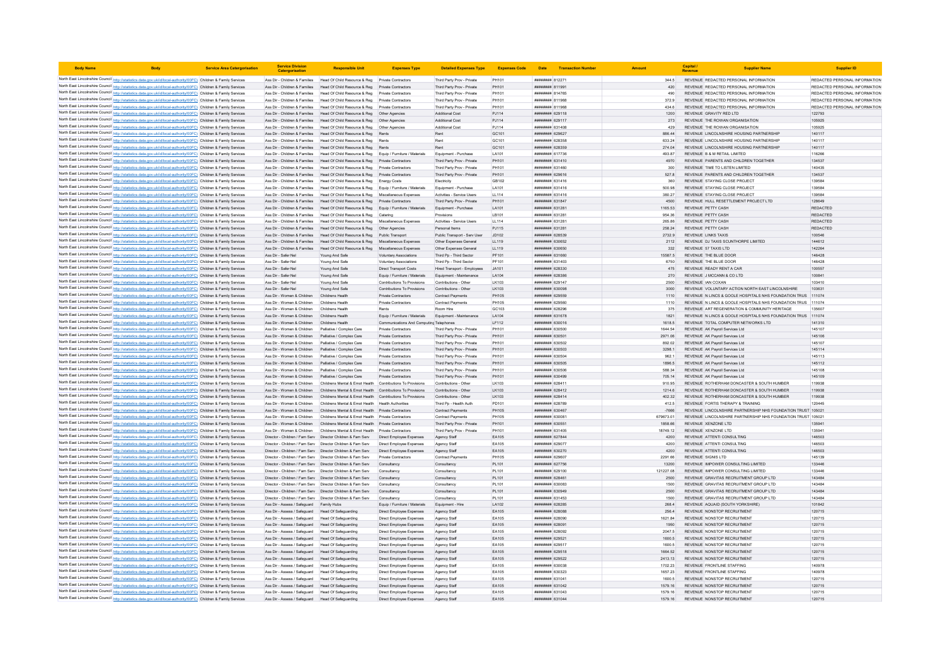| <b>Body Name</b> |                                                                                                                                                                                                                                        | <b>Service Area Catergorisation</b> | <b>Service Division</b><br>Catergorisat                                                       | <b>Responsible Unit</b>                                                                                                    | <b>Expenses Type</b>                                                     | <b>Detailed Expenses Type</b>                       | <b>Expenses Code</b> |                                          | Date Transaction Number |                   | Canital.                                                         | <b>Supplier Name</b>                                                                                | <b>Supplier ID</b>            |
|------------------|----------------------------------------------------------------------------------------------------------------------------------------------------------------------------------------------------------------------------------------|-------------------------------------|-----------------------------------------------------------------------------------------------|----------------------------------------------------------------------------------------------------------------------------|--------------------------------------------------------------------------|-----------------------------------------------------|----------------------|------------------------------------------|-------------------------|-------------------|------------------------------------------------------------------|-----------------------------------------------------------------------------------------------------|-------------------------------|
|                  | North East Lincolnshire Council http://statistics.data.gov.uk/id/local-authority/00FC) Children & Family Services                                                                                                                      |                                     |                                                                                               | Ass Dir - Children & Families Head Of Child Resource & Reg Private Contractors                                             |                                                                          | Third Party Prov - Private                          | PH101                | <b>#######</b> 812271                    |                         | 344.5             |                                                                  | REVENUE REDACTED PERSONAL INFORMATION                                                               | REDACTED PERSONAL INFORMATION |
|                  | North East Lincolnshire Council http://statistics.data.gov.uk/id/local-authority/00FC) Children & Family Services                                                                                                                      |                                     |                                                                                               | Ass Dir - Children & Families Head Of Child Resource & Reg                                                                 | Private Contractors                                                      | Third Party Prov - Private                          | PH101                | ####### 811991                           |                         | 420               |                                                                  | REVENUE REDACTED PERSONAL INFORMATION                                                               | REDACTED PERSONAL INFORMATION |
|                  | North East Lincolnshire Council http://statistics.data.gov.uk/id/local-authority/00FC) Children & Family Services                                                                                                                      |                                     |                                                                                               | Ass Dir - Children & Families Head Of Child Resource & Reg                                                                 | Private Contractors                                                      | Third Party Prov - Private                          | PH101                | <b>пининний</b> 814765                   |                         | 490               |                                                                  | REVENUE REDACTED PERSONAL INFORMATION                                                               | REDACTED PERSONAL INFORMATION |
|                  | North East Lincolnshire Council http://statistics.data.gov.uk/id/local-authority/00FC) Children & Family Services                                                                                                                      |                                     |                                                                                               | Ass Dir - Children & Families Head Of Child Resource & Reg Private Contractors                                             |                                                                          | Third Party Prov - Private                          | PH101                | ######## 811968                          |                         | 372.9             |                                                                  | REVENUE REDACTED PERSONAL INFORMATION                                                               | REDACTED PERSONAL INFORMATION |
|                  | North East Lincolnshire Council http://statistics.data.gov.uk/id/local-authority/00FC) Children & Family Services                                                                                                                      |                                     |                                                                                               | Ass Dir - Children & Families Head Of Child Resource & Reg Private Contractors                                             |                                                                          | Third Party Prov - Private                          | PH101                | ####### 811968                           |                         | 434.6             |                                                                  | REVENUE REDACTED PERSONAL INFORMATION                                                               | REDACTED PERSONAL INFORMATION |
|                  | North East Lincolnshire Council http://statistics.data.gov.uk/id/local-authority/00FC) Children & Family Services                                                                                                                      |                                     |                                                                                               | Ass Dir - Children & Families Head Of Child Resource & Reg Other Agencies                                                  |                                                                          | <b>Additional Cost</b>                              | PJ114                | ####### 629118                           |                         | 1200              | REVENUE GRAVITY RED LTD                                          |                                                                                                     | 122793                        |
|                  | North East Lincolnshire Council http://statistics.data.gov.uk/id/local-authority/00FC) Children & Family Services<br>North East Lincolnshire Council http://statistics.data.gov.uk/id/local-authority/00FC) Children & Family Services |                                     | Ass Dir - Children & Families                                                                 | Ass Dir - Children & Families Head Of Child Resource & Reg Other Agencies<br>Head Of Child Resource & Reg  Other Agencies  |                                                                          | <b>Additional Cost</b><br><b>Additional Cost</b>    | PJ114<br>PJ114       | <b>ПНИНИНИ 629117</b><br>######## 631408 |                         | 273<br>429        | REVENUE THE ROWAN ORGANISATION<br>REVENUE THE ROWAN ORGANISATION |                                                                                                     | 105925<br>105925              |
|                  | North East Lincolnshire Council http://statistics.data.gov.uk/id/local-authority/00FC) Children & Family Services                                                                                                                      |                                     | Ass Dir - Children & Families                                                                 | Head Of Child Resource & Reg                                                                                               |                                                                          | Rent                                                | GC101                | ######## 629627                          |                         | 886.44            |                                                                  | REVENUE LINCOLNSHIRE HOUSING PARTNERSHIP                                                            | 140117                        |
|                  | North East Lincolnshire Council http://statistics.data.gov.uk/id/local-authority/00FC) Children & Family Services                                                                                                                      |                                     | Ass Dir - Children & Families                                                                 | Head Of Child Resource & Reg                                                                                               | Rents                                                                    | Rent                                                | GC101                | ######## 62835F                          |                         | 633.24            |                                                                  | REVENUE LINCOLNSHIRE HOUSING PARTNERSHIP                                                            | 140117                        |
|                  | North East Lincolnshire Council http://statistics.data.gov.uk/id/local-authority/00FC) Children & Family Services                                                                                                                      |                                     |                                                                                               | Ass Dir - Children & Families Head Of Child Resource & Reg                                                                 | Rente                                                                    | Rent                                                | GC <sub>101</sub>    | <i>пивниния</i> 628359                   |                         | 274.04            |                                                                  | REVENUE LINCOLNSHIRE HOUSING PARTNERSHIP                                                            | 140117                        |
|                  | North East Lincolnshire Council http://statistics.data.gov.uk/id/local-authority/00FC) Children & Family Services                                                                                                                      |                                     | Ass Dir - Children & Families                                                                 | Head Of Child Resource & Reg Equip / Furniture / Materials                                                                 |                                                                          | Equipment - Purchase                                | LA101                | <b>пининний</b> 617736                   |                         | 493.87            | REVENUE B & M RETAIL LIMITED                                     |                                                                                                     | 116266                        |
|                  | North East Lincolnshire Council http://statistics.data.gov.uk/id/local-authority/00FC) Children & Family Services                                                                                                                      |                                     | Ass Dir - Children & Families                                                                 | Head Of Child Resource & Reg Private Contractors                                                                           |                                                                          | Third Party Prov - Private                          | PH101                | ####### 631410                           |                         | 4970              |                                                                  | REVENUE PARENTS AND CHILDREN TOGETHER                                                               | 134537                        |
|                  | North East Lincolnshire Council http://statistics.data.gov.uk/id/local-authority/00FC) Children & Family Services                                                                                                                      |                                     | Ass Dir - Children & Families                                                                 | Head Of Child Resource & Reg                                                                                               | Private Contractors                                                      | Third Party Prov - Private                          | PH101                | ######## 631460                          |                         | 300               | REVENUE TIME TO LISTEN LIMITED                                   |                                                                                                     | 140435                        |
|                  | North East Lincolnshire Council http://statistics.data.gov.uk/id/local-authority/00FC) Children & Family Services                                                                                                                      |                                     | Ass Dir - Children & Families                                                                 | Head Of Child Resource & Reg                                                                                               | Private Contractors                                                      | Third Party Prov - Private                          | PH101                | ######## 629616                          |                         | 527.8             |                                                                  | REVENUE PARENTS AND CHILDREN TOGETHER                                                               | 134537                        |
|                  | North East Lincolnshire Council http://statistics.data.gov.uk/id/local-authority/00FC) Children & Family Services<br>North East Lincolnshire Council http://statistics.data.gov.uk/id/local-authority/00FC) Children & Family Services |                                     | Ass Dir - Children & Families<br>Ass Dir - Children & Families                                | Head Of Child Resource & Reg<br>Head Of Child Resource & Reg                                                               | <b>Energy Costs</b><br>Equip / Furniture / Materials                     | Electricity<br>Equipment - Purchase                 | GB102<br>LA101       | ######## 631416<br>####### 631416        |                         | 360<br>500.98     | REVENUE STAYING CLOSE PROJECT<br>REVENUE STAYING CLOSE PROJECT   |                                                                                                     | 139584<br>139584              |
|                  | North East Lincolnshire Council http://statistics.data.gov.uk/id/local-authority/00FC) Children & Family Services                                                                                                                      |                                     | Ass Dir - Children & Families                                                                 | Head Of Child Resource & Reg                                                                                               | Miscellaneous Expenses                                                   | Activities - Service Users                          | LL114                | ####### 631416                           |                         | 380.27            | REVENUE STAYING CLOSE PROJECT                                    |                                                                                                     | 139584                        |
|                  | North East Lincolnshire Council http://statistics.data.gov.uk/id/local-authority/00FC) Children & Family Services                                                                                                                      |                                     |                                                                                               | Ass Dir - Children & Families Head Of Child Resource & Reg                                                                 | Private Contractors                                                      | Third Party Prov - Private                          | PH101                | ######## 631847                          |                         | 4500              |                                                                  | REVENUE HULL RESETTLEMENT PROJECT LTD                                                               | 128649                        |
|                  | North East Lincolnshire Council http://statistics.data.gov.uk/id/local-authority/00FC) Children & Family Services                                                                                                                      |                                     |                                                                                               | Ass Dir - Children & Families Head Of Child Resource & Reg Equip / Furniture / Materials                                   |                                                                          | Equipment - Purchase                                | LA101                | ######## 631281                          |                         | 1165.53           | REVENUE PETTY CASH                                               |                                                                                                     | <b>REDACTED</b>               |
|                  | North East Lincolnshire Council http://statistics.data.gov.uk/id/local-authority/00FC) Children & Family Services                                                                                                                      |                                     | Ass Dir - Children & Families                                                                 | Head Of Child Resource & Reg Catering                                                                                      |                                                                          | Provisions                                          | LB101                | ######## 631281                          |                         | 954.36            | REVENUE PETTY CASH                                               |                                                                                                     | <b>REDACTED</b>               |
|                  | North East Lincolnshire Council http://statistics.data.gov.uk/id/local-authority/00FC) Children & Family Services                                                                                                                      |                                     | Ass Dir - Children & Families                                                                 | Head Of Child Resource & Reg                                                                                               | Miscellaneous Expenses                                                   | Activities - Service Users                          | 11114                | ######## 631281                          |                         | 26586             | <b>REVENUE PETTY CASH</b>                                        |                                                                                                     | <b>REDACTED</b>               |
|                  | North East Lincolnshire Council http://statistics.data.gov.uk/id/local-authority/00FC) Children & Family Services                                                                                                                      |                                     | Ass Dir - Children & Families                                                                 | Head Of Child Resource & Reg                                                                                               | Other Agencies                                                           | Personal Items                                      | PJ115                | ######## 631281                          |                         | 258.24            | REVENUE PETTY CASH                                               |                                                                                                     | <b>REDACTED</b>               |
|                  | North East Lincolnshire Council http://statistics.data.gov.uk/id/local-authority/00FC) Children & Family Services                                                                                                                      |                                     | Ass Dir - Children & Families                                                                 | Head Of Child Resource & Reg                                                                                               | Public Transport                                                         | Public Transport - Serv User                        | JD102                | ######## 628539                          |                         | 2732.9            | <b>REVENUE LINKS TAXIS</b>                                       |                                                                                                     | 100546                        |
|                  | North East Lincolnshire Council http://statistics.data.gov.uk/id/local-authority/00FC) Children & Family Services                                                                                                                      |                                     | Ass Dir - Children & Families                                                                 | Head Of Child Resource & Reg                                                                                               | Miscellaneous Expenses                                                   | Other Expenses General                              | LL119                | ######## 630652                          |                         | 2112              |                                                                  | REVENUE DJ TAXIS SCUNTHORPE LIMITED                                                                 | 144612                        |
|                  | North East Lincolnshire Council http://statistics.data.gov.uk/id/local-authority/00FC) Children & Family Services<br>North East Lincolnshire Council http://statistics.data.gov.uk/id/local-authority/00FC) Children & Family Services |                                     | Ass Dir - Safer Nel                                                                           | Ass Dir - Children & Families Head Of Child Resource & Reg<br>Young And Safe                                               | Miscellaneous Expenses<br>Voluntary Associations                         | Other Expenses General<br>Third Pp - Third Sector   | 11119<br>PF101       | ######## 630650<br>631660                |                         | 332<br>15587.5    | REVENUE 57 TAXIS LTD<br>REVENUE THE BLUE DOOR                    |                                                                                                     | 142264<br>146428              |
|                  | North East Lincolnshire Council http://statistics.data.gov.uk/id/local-authority/00FC) Children & Family Services                                                                                                                      |                                     | Ass Dir - Safer Nel                                                                           | Young And Safe                                                                                                             | Voluntary Associations                                                   | Third Pp - Third Sector                             | PF101                | ####### 631403                           |                         | 6750              | REVENUE THE BLUE DOOR                                            |                                                                                                     | 146428                        |
|                  | North East Lincolnshire Council http://statistics.data.gov.uk/id/local-authority/00FC) Children & Family Services                                                                                                                      |                                     | Ass Dir - Safer Nel                                                                           | Young And Safe                                                                                                             | <b>Direct Transport Costs</b>                                            | Hired Transport - Employees                         | JA101                | <b>пининний</b> 628330                   |                         | 475               | REVENUE READY RENT A CAR                                         |                                                                                                     | 100557                        |
|                  | North East Lincolnshire Council http://statistics.data.gov.uk/id/local-authority/00FC) Children & Family Services                                                                                                                      |                                     | Ass Dir - Safer Nel                                                                           | Young And Safe                                                                                                             | Equip / Furniture / Materials                                            | Equipment - Maintenance                             | LA104                | ######## 628386                          |                         | 270               | REVENUE J MCCANN & CO LTD                                        |                                                                                                     | 100841                        |
|                  | North East Lincolnshire Council http://statistics.data.gov.uk/id/local-authority/00FC) Children & Family Services                                                                                                                      |                                     | Ass Dir - Safer Nel                                                                           | Young And Safe                                                                                                             | Contributions To Provisions                                              | Contributions - Other                               | LK103                | ####### 629147                           |                         | 2500              | REVENUE IAN COXAN                                                |                                                                                                     | 103410                        |
|                  | North East Lincolnshire Council http://statistics.data.gov.uk/id/local-authority/00FC) Children & Family Services                                                                                                                      |                                     | Ass Dir - Safer Nel                                                                           | Young And Safe                                                                                                             | Contributions To Provisions                                              | Contributions - Othe                                | LK103                | ######## 630098                          |                         | 3000              |                                                                  | REVENUE VOLUNTARY ACTION NORTH EAST LINCOLNSHIRE                                                    | 103631                        |
|                  | North East Lincolnshire Council http://statistics.data.gov.uk/id/local-authority/00FC) Children & Family Services                                                                                                                      |                                     | Ass Dir - Women & Children                                                                    | Childrens Health                                                                                                           | Private Contractors                                                      | Contract Payments                                   | PH105                | <b>пининнин</b> 629559                   |                         | 1110              |                                                                  | REVENUE N LINCS & GOOLE HOSPITALS NHS FOUNDATION TRUS 111074                                        |                               |
|                  | North East Lincolnshire Council http://statistics.data.gov.uk/id/local-authority/00FC) Children & Family Services                                                                                                                      |                                     | Ass Dir - Women & Children                                                                    | Childrens Health                                                                                                           | Private Contractors                                                      | Contract Payments                                   | PH105                | ######## 629560                          |                         | 1110              |                                                                  | REVENUE N LINCS & GOOLE HOSPITALS NHS FOUNDATION TRUS 111074                                        |                               |
|                  | North East Lincolnshire Council http://statistics.data.gov.uk/id/local-authority/00FC) Children & Family Services                                                                                                                      |                                     | Ass Dir - Women & Children                                                                    | Childrens Health                                                                                                           | Rents                                                                    | Room Hire                                           | GC103                | ######## 628296                          |                         | 375               |                                                                  | REVENUE ART REGENERATION & COMMUNITY HERITAGE                                                       | 135607                        |
|                  | North East Lincolnshire Council http://statistics.data.gov.uk/id/local-authority/00FC) Children & Family Services<br>North East Lincolnshire Council http://statistics.data.gov.uk/id/local-authority/00FC) Children & Family Services |                                     | Ass Dir - Women & Children<br>Ass Dir - Women & Children                                      | Childrens Health<br>Childrens Health                                                                                       | Equip / Furniture / Materials<br>Communications And Computing Telephones | Equipment - Maintenance                             | LA104<br>IF112       | ######## 631678<br>######## 630016       |                         | 1821<br>1618.5    |                                                                  | REVENUE N LINCS & GOOLE HOSPITALS NHS FOUNDATION TRUS 111074<br>REVENUE TOTAL COMPUTER NETWORKS LTD | 141310                        |
|                  | North East Lincolnshire Council http://statistics.data.gov.uk/id/local-authority/00FC) Children & Family Services                                                                                                                      |                                     | Ass Dir - Women & Children                                                                    | Palliative / Complex Care                                                                                                  | Private Contractors                                                      | Third Party Prov - Private                          | PH101                | ######## 63050C                          |                         | 1644 54           | REVENUE AK Pavroll Services Ltd                                  |                                                                                                     | 145107                        |
|                  | North East Lincolnshire Council http://statistics.data.gov.uk/id/local-authority/00FC) Children & Family Services                                                                                                                      |                                     | Ass Dir - Women & Children                                                                    | Palliative / Complex Care                                                                                                  | Private Contractors                                                      | Third Party Prov - Private                          | PH101                | ######## 630501                          |                         | 2971.06           | REVENUE AK Pavroll Services Ltd                                  |                                                                                                     | 145106                        |
|                  | North East Lincolnshire Council http://statistics.data.gov.uk/id/local-authority/00FC) Children & Family Services                                                                                                                      |                                     | Ass Dir - Women & Children                                                                    | Palliative / Complex Care                                                                                                  | Private Contractors                                                      | Third Party Prov - Private                          | PH101                | ######## 630502                          |                         | 892.02            | REVENUE AK Payroll Services Ltd                                  |                                                                                                     | 145107                        |
|                  | North East Lincolnshire Council http://statistics.data.gov.uk/id/local-authority/00FC) Children & Family Services                                                                                                                      |                                     | Ass Dir - Women & Children Palliative / Complex Care                                          |                                                                                                                            | Private Contractors                                                      | Third Party Prov - Private                          | PH101                | ######## 630503                          |                         | 3298.1            | REVENUE AK Payroll Services Ltd.                                 |                                                                                                     | 145114                        |
|                  | North East Lincolnshire Council http://statistics.data.gov.uk/id/local-authority/00FC) Children & Family Services                                                                                                                      |                                     | Ass Dir - Women & Children                                                                    | Palliative / Complex Care                                                                                                  | Private Contractors                                                      | Third Party Prov - Private                          | PH101                | ######## 630504                          |                         | 962.1             | REVENUE AK Payroll Services Ltd                                  |                                                                                                     | 145113                        |
|                  | North East Lincolnshire Council http://statistics.data.gov.uk/id/local-authority/00FC) Children & Family Services                                                                                                                      |                                     | Ass Dir - Women & Children                                                                    | Palliative / Complex Care                                                                                                  | Private Contractors                                                      | Third Party Prov - Private                          | PH101                | ######## 630505                          |                         | 1896.5            | REVENUE AK Payroll Services Ltd                                  |                                                                                                     | 145112                        |
|                  | North East Lincolnshire Council http://statistics.data.gov.uk/id/local-authority/00FC) Children & Family Services                                                                                                                      |                                     | Ass Dir - Women & Children                                                                    | Palliative / Complex Care                                                                                                  | Private Contractors                                                      | Third Party Prov - Private                          | PH101                | <b>иннинни 630506</b>                    |                         | 588.34            | REVENUE AK Payroll Services Ltd                                  |                                                                                                     | 145108                        |
|                  | North East Lincolnshire Council http://statistics.data.gov.uk/id/local-authority/00FC) Children & Family Services<br>North East Lincolnshire Council http://statistics.data.gov.uk/id/local-authority/00FC) Children & Family Services |                                     | Ass Dir - Women & Children<br>Ass Dir - Women & Children                                      | Palliative / Complex Care<br>Childrens Mental & Emot Health                                                                | Private Contractors<br>Contributions To Provisions                       | Third Party Prov - Private<br>Contributions - Other | PH101<br>LK103       | ######## 630499<br>####### 62841         |                         | 705.14<br>910.95  | REVENUE AK Payroll Services Ltd                                  | REVENUE ROTHERHAM DONCASTER & SOUTH HUMBER                                                          | 145109<br>119938              |
|                  | North East Lincolnshire Council http://statistics.data.gov.uk/id/local-authority/00FC) Children & Family Services                                                                                                                      |                                     | Ass Dir - Women & Children                                                                    | Childrens Mental & Emot Health                                                                                             | Contributions To Provisions                                              | Contributions - Othe                                | LK103                | ######## 628412                          |                         | 1214.6            |                                                                  | REVENUE ROTHERHAM DONCASTER & SOUTH HUMBER                                                          | 119938                        |
|                  | North East Lincolnshire Council http://statistics.data.gov.uk/id/local-authority/00FC) Children & Family Services                                                                                                                      |                                     | Ass Dir - Women & Children                                                                    | Childrens Mental & Emot Health Contributions To Provisions                                                                 |                                                                          | Contributions - Other                               | LK103                | ######## 628414                          |                         | 40232             |                                                                  | REVENUE ROTHERHAM DONCASTER & SOUTH HUMBER                                                          | 119938                        |
|                  | North East Lincolnshire Council http://statistics.data.gov.uk/id/local-authority/00FC) Children & Family Services                                                                                                                      |                                     | Ass Dir - Women & Children                                                                    | Childrens Mental & Emot Health Health Authorities                                                                          |                                                                          | Third Po - Health Auth                              | PD101                | ######## 628789                          |                         | 412.5             | REVENUE FORTIS THERAPY & TRAINING                                |                                                                                                     | 120445                        |
|                  | North East Lincolnshire Council http://statistics.data.gov.uk/id/local-authority/00FC) Children & Family Services                                                                                                                      |                                     |                                                                                               | Ass Dir - Women & Children Childrens Mental & Emot Health Private Contractors                                              |                                                                          | <b>Contract Payments</b>                            | PH105                | ######## 630467                          |                         | $-7666$           |                                                                  | REVENUE LINCOLNSHIRE PARTNERSHIP NHS FOUNDATION TRUST 105021                                        |                               |
|                  | North East Lincolnshire Council http://statistics.data.gov.uk/id/local-authority/00FC) Children & Family Services                                                                                                                      |                                     | Ass Dir - Women & Children                                                                    | Childrens Mental & Emot Health Private Contractors                                                                         |                                                                          | Contract Payments                                   | PH105                | ######## 630081                          |                         | 679673.01         |                                                                  | REVENUE LINCOLNSHIRE PARTNERSHIP NHS FOUNDATION TRUST 105021                                        |                               |
|                  | North East Lincolnshire Council http://statistics.data.gov.uk/id/local-authority/00FC) Children & Family Services                                                                                                                      |                                     | Ass Dir - Women & Children                                                                    | Childrens Mental & Emot Health Private Contractors                                                                         |                                                                          | Third Party Prov - Private                          | PH101                | ######## 630551                          |                         | 1858.66           | REVENUE XENZONE LTD                                              |                                                                                                     | 135941                        |
|                  | North East Lincolnshire Council http://statistics.data.gov.uk/id/local-authority/00FC) Children & Family Services                                                                                                                      |                                     | Ass Dir - Women & Children                                                                    | Childrens Mental & Emot Health                                                                                             | Private Contractors                                                      | Third Party Prov - Private                          | PH101                | ######## 631405                          |                         | 18749.12          | REVENUE XENZONE LTD                                              |                                                                                                     | 135941                        |
|                  | North East Lincolnshire Council http://statistics.data.gov.uk/id/local-authority/00FC) Children & Family Services                                                                                                                      |                                     |                                                                                               | Director - Children / Fam Serv  Director Children & Fam Serv                                                               | Direct Employee Expenses                                                 | Agency Staff                                        | EA105<br>FA105       | ######## 627844<br>####### 629077        |                         | 4200              | REVENUE ATTENTI CONSULTING<br>REVENUE ATTENTI CONSULTING         |                                                                                                     | 146503<br>146503              |
|                  | North East Lincolnshire Council http://statistics.data.gov.uk/id/local-authority/00FC) Children & Family Services<br>North East Lincolnshire Council http://statistics.data.gov.uk/id/local-authority/00FC) Children & Family Services |                                     |                                                                                               | Director - Children / Fam Serv Director Children & Fam Serv<br>Director - Children / Fam Serv Director Children & Fam Serv | Direct Employee Expenses<br>Direct Employee Expenses                     | Agency Staff<br>Anency Staff                        | FA105                | ######## 630270                          |                         | 4200<br>4200      | REVENUE ATTENTI CONSULTING                                       |                                                                                                     | 146503                        |
|                  | North East Lincolnshire Council http://statistics.data.gov.uk/id/local-authority/00FC) Children & Family Services                                                                                                                      |                                     |                                                                                               | Director - Children / Fam Serv  Director Children & Fam Serv                                                               | Private Contractors                                                      | Contract Payments                                   | PH105                | ######## 629607                          |                         | 2291.66           | <b>REVENUE SIGNIS LTD</b>                                        |                                                                                                     | 145139                        |
|                  | North East Lincolnshire Council http://statistics.data.gov.uk/id/local-authority/00FC) Children & Family Services                                                                                                                      |                                     |                                                                                               | Director - Children / Fam Serv  Director Children & Fam Serv                                                               | Consultancy                                                              | Consultancy                                         | PL101                | ######## 627756                          |                         | 13200             |                                                                  | REVENUE IMPOWER CONSULTING LIMITED                                                                  | 133446                        |
|                  | North East Lincolnshire Council http://statistics.data.gov.uk/id/local-authority/00FC) Children & Family Services                                                                                                                      |                                     | Director - Children / Fam Serv   Director Children & Fam Serv                                 |                                                                                                                            | Consultancy                                                              | Consultancy                                         | PL101                | <b>пининний</b> 629100                   |                         | 121227.08         |                                                                  | REVENUE IMPOWER CONSULTING LIMITED                                                                  | 133446                        |
|                  | North East Lincolnshire Council http://statistics.data.gov.uk/id/local-authority/00FC) Children & Family Services                                                                                                                      |                                     |                                                                                               | Director - Children / Fam Serv  Director Children & Fam Serv                                                               | Consultancy                                                              | Consultancy                                         | PL101                | ######## 628461                          |                         | 2500              |                                                                  | REVENUE GRAVITAS RECRUITMENT GROUP LTD                                                              | 143484                        |
|                  | North East Lincolnshire Council http://statistics.data.gov.uk/id/local-authority/00FC) Children & Family Services                                                                                                                      |                                     |                                                                                               | Director - Children / Fam Serv  Director Children & Fam Serv                                                               | Consultancy                                                              | Consultancy                                         | PL101                | ######## 630083                          |                         | 1500              |                                                                  | REVENUE GRAVITAS RECRUITMENT GROUP LTD                                                              | 143484                        |
|                  | North East Lincolnshire Council http://statistics.data.gov.uk/id/local-authority/00FC) Children & Family Services                                                                                                                      |                                     |                                                                                               | Director - Children / Fam Serv  Director Children & Fam Serv                                                               | Consultancy                                                              | Consultancy                                         | PL101                | ######## 630949                          |                         | 2500              |                                                                  | REVENUE GRAVITAS RECRUITMENT GROUP LTD                                                              | 143484                        |
|                  | North East Lincolnshire Council http://statistics.data.gov.uk/id/local-authority/00FC) Children & Family Services                                                                                                                      |                                     |                                                                                               | Director - Children / Fam Serv Director Children & Fam Serv                                                                | Consultancy                                                              | Consultancy                                         | PI 101               | <b>пининний</b> 631453                   |                         | 1500              |                                                                  | REVENUE GRAVITAS RECRUITMENT GROUP LTD                                                              | 143484                        |
|                  | North East Lincolnshire Council http://statistics.data.gov.uk/id/local-authority/00FC) Children & Family Services                                                                                                                      |                                     | Ass Dir - Assess / Safeguard Family Hubs<br>Ass Dir - Assess / Safeguard Head Of Safeguarding |                                                                                                                            | Equip / Furniture / Materials<br>Direct Employee Expenses                | Equipment - Hire                                    | LA102<br>EA105       | ######## 628285<br>######## 628088       |                         | 268.4             | REVENUE AQUAID (SOUTH YORKSHIRE)<br>REVENUE NONSTOP RECRUITMENT  |                                                                                                     | 101842<br>120715              |
|                  | North East Lincolnshire Council http://statistics.data.gov.uk/id/local-authority/00FC) Children & Family Services<br>North East Lincolnshire Council http://statistics.data.gov.uk/id/local-authority/00FC) Children & Family Services |                                     | Ass Dir - Assess / Safeguard                                                                  | Head Of Safeguarding                                                                                                       | Direct Employee Expenses                                                 | Agency Staff<br>Agency Staff                        | EA105                | 82888888 B28090                          |                         | 256.4<br>1621.84  | REVENUE NONSTOP RECRUITMENT                                      |                                                                                                     | 120715                        |
|                  | North East Lincolnshire Council http://statistics.data.gov.uk/id/local-authority/00FC) Children & Family Services                                                                                                                      |                                     | Ass Dir - Assess / Safeguard Head Of Safeguarding                                             |                                                                                                                            | Direct Employee Expenses                                                 | Anency Staff                                        | FA105                | ######## 628091                          |                         | 1950              | REVENUE NONSTOP RECRUITMENT                                      |                                                                                                     | 120715                        |
|                  | North East Lincolnshire Council http://statistics.data.gov.uk/id/local-authority/00FC) Children & Family Services                                                                                                                      |                                     | Ass Dir - Assess / Safeguard                                                                  | Head Of Safeguarding                                                                                                       | Direct Employee Expenses                                                 | Agency Staff                                        | EA105                |                                          |                         | 2047.5            | REVENUE NONSTOP RECRUITMENT                                      |                                                                                                     | 120715                        |
|                  | North East Lincolnshire Council http://statistics.data.gov.uk/id/local-authority/00FC) Children & Family Services                                                                                                                      |                                     | Ass Dir - Assess / Safeguard                                                                  | Head Of Safeguarding                                                                                                       | Direct Employee Expenses                                                 | Agency Staf                                         | EA105                | ######## 629521                          |                         | 1600.5            | REVENUE NONSTOP RECRUITMENT                                      |                                                                                                     | 120715                        |
|                  | North East Lincolnshire Council http://statistics.data.gov.uk/id/local-authority/00FC) Children & Family Services                                                                                                                      |                                     | Ass Dir - Assess / Safeguard                                                                  | Head Of Safeguarding                                                                                                       | Direct Employee Expenses                                                 | Agency Staff                                        | FA105                | <i><b>HHHHHHH</b></i> 620517             |                         | 1600 5            | REVENUE NONSTOP RECRUITMENT                                      |                                                                                                     | 120715                        |
|                  | North East Lincolnshire Council http://statistics.data.gov.uk/id/local-authority/00FC) Children & Family Services                                                                                                                      |                                     | Ass Dir - Assess / Safeguard Head Of Safeguarding                                             |                                                                                                                            | Direct Employee Expenses                                                 | Agency Staff                                        | EA105                | ######## 629518                          |                         | 1664.52           | REVENUE NONSTOP RECRUITMENT                                      |                                                                                                     | 120715                        |
|                  | North East Lincolnshire Council http://statistics.data.gov.uk/id/local-authority/00FC) Children & Family Services                                                                                                                      |                                     | Ass Dir - Assess / Safeguard Head Of Safeguarding                                             |                                                                                                                            | Direct Employee Expenses                                                 | Agency Staff                                        | EA105                | ######## 629522                          |                         | 2413.13           | REVENUE NONSTOP RECRUITMENT                                      |                                                                                                     | 120715                        |
|                  | North East Lincolnshire Council http://statistics.data.gov.uk/id/local-authority/00FC) Children & Family Services                                                                                                                      |                                     | Ass Dir - Assess / Safeguard                                                                  | Head Of Safeguarding                                                                                                       | Direct Employee Expenses                                                 | Agency Staff                                        | EA105                | ######## 630038                          |                         | 1702.23           | REVENUE FRONTLINE STAFFING                                       |                                                                                                     | 140978                        |
|                  | North East Lincolnshire Council http://statistics.data.gov.uk/id/local-authority/00FC) Children & Family Services<br>North East Lincolnshire Council http://statistics.data.gov.uk/id/local-authority/00FC) Children & Family Services |                                     | Ass Dir - Assess / Safeguard<br>Ass Dir - Assess / Safeguard                                  | Head Of Safeguarding<br>Head Of Safeguarding                                                                               | Direct Employee Expenses<br>Direct Employee Expenses                     | Agency Staff<br>Agency Staff                        | EA105<br>EA105       | ######## 630323<br>######## 63104        |                         | 1657.23<br>1600.5 | REVENUE FRONTLINE STAFFING<br>REVENUE NONSTOP RECRUITMENT        |                                                                                                     | 140978<br>120715              |
|                  | North East Lincolnshire Council http://statistics.data.gov.uk/id/local-authority/00FC) Children & Family Services                                                                                                                      |                                     | Ass Dir - Assess / Safeguard                                                                  | Head Of Safeguarding                                                                                                       | Direct Employee Expenses                                                 | Agency Staff                                        | EA105                | ######## 631042                          |                         | 1579.16           | REVENUE NONSTOP RECRUITMENT                                      |                                                                                                     | 120715                        |
|                  | North East Lincolnshire Council http://statistics.data.gov.uk/id/local-authority/00FC) Children & Family Services                                                                                                                      |                                     | Ass Dir - Assess / Safeguard Head Of Safeguarding                                             |                                                                                                                            | Direct Employee Expenses                                                 | Agency Staff                                        | EA105                | ######## 631043                          |                         | 1579.16           | REVENUE NONSTOP RECRUITMENT                                      |                                                                                                     | 120715                        |
|                  | North East Lincolnshire Council http://statistics.data.gov.uk/id/local-authority/00FC) Children & Family Services                                                                                                                      |                                     | Ass Dir - Assess / Safeguard Head Of Safeguarding                                             |                                                                                                                            | Direct Employee Expenses                                                 | Anency Staff                                        | FA105                | ####### 631044                           |                         | 1579.16           | REVENUE NONSTOP RECRUITMENT                                      |                                                                                                     | 120715                        |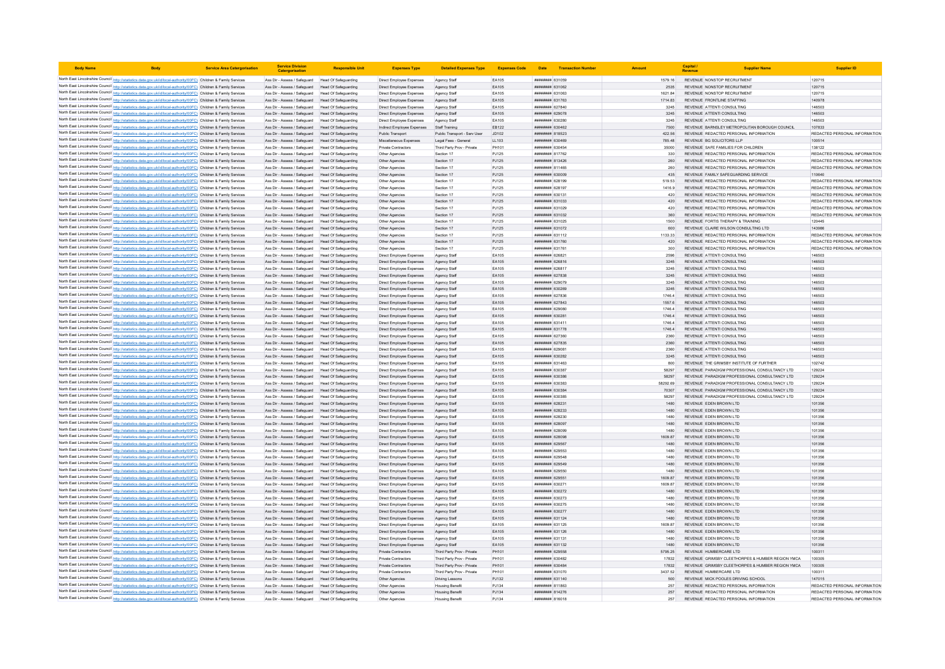| <b>Body Name</b>                                                                                                                                                                                                                       | <b>Service Area Catergorisation</b> | <b>Service Division</b><br>Catergorisatio                                                              | <b>Responsible Unit</b>                      | <b>Expenses Type</b>                                   | <b>Detailed Expenses Type</b>                            | <b>Expenses Code</b> | Date                                     | <b>Transaction Number</b> |                  | Capital<br>Revenue                                                             | <b>Supplier Nam</b>                                                                                  |                                         |
|----------------------------------------------------------------------------------------------------------------------------------------------------------------------------------------------------------------------------------------|-------------------------------------|--------------------------------------------------------------------------------------------------------|----------------------------------------------|--------------------------------------------------------|----------------------------------------------------------|----------------------|------------------------------------------|---------------------------|------------------|--------------------------------------------------------------------------------|------------------------------------------------------------------------------------------------------|-----------------------------------------|
| North East Lincolnshire Council http://statistics.data.gov.uk/id/local-authority/00FC) Children & Family Services                                                                                                                      |                                     | Ass Dir - Assess / Safeguard Head Of Safeguarding                                                      |                                              | Direct Employee Expenses                               | Agency Staff                                             | EA105                | ######## 631059                          |                           | 1579.16          | REVENUE NONSTOP RECRUITMENT                                                    |                                                                                                      | 120715                                  |
| North East Lincolnshire Council http://statistics.data.gov.uk/id/local-authority/00FC) Children & Family Services                                                                                                                      |                                     | Ass Dir - Assess / Safeguard                                                                           | Head Of Safeguarding                         | Direct Employee Expenses                               | Agency Staff                                             | EA105                | ######## 631062                          |                           | 2535             | REVENUE NONSTOP RECRUITMENT                                                    |                                                                                                      | 120715                                  |
| North East Lincolnshire Council http://statistics.data.gov.uk/id/local-authority/00FC) Children & Family Services                                                                                                                      |                                     | Ass Dir - Assess / Safeguard                                                                           | Head Of Safeguarding                         | Direct Employee Expense                                | Agency Staf                                              | EA105                | ######## 631063                          |                           | 1621.84          | REVENUE NONSTOP RECRUITMENT                                                    |                                                                                                      | 120715                                  |
| North East Lincolnshire Council http://statistics.data.gov.uk/id/local-authority/00FC) Children & Family Services                                                                                                                      |                                     | Ass Dir - Assess / Safeguard Head Of Safeguarding                                                      |                                              | Direct Employee Expenses                               | Agency Staff                                             | EA105                | ######## 631763                          |                           | 1714.83          | REVENUE FRONTLINE STAFFING                                                     |                                                                                                      | 140978                                  |
| North East Lincolnshire Council http://statistics.data.gov.uk/id/local-authority/00FC) Children & Family Services                                                                                                                      |                                     | Ass Dir - Assess / Safeguard Head Of Safeguarding                                                      |                                              | Direct Employee Expenses                               | Agency Staff                                             | EA105                | ######## 627840                          |                           | 3245             | REVENUE ATTENTI CONSULTING                                                     |                                                                                                      | 146503                                  |
| North East Lincolnshire Council http://statistics.data.gov.uk/id/local-authority/00FC) Children & Family Services                                                                                                                      |                                     | Ass Dir - Assess / Safeguard Head Of Safeguarding                                                      |                                              | Direct Employee Expenses                               | Agency Staff                                             | EA105                | ######## 629078                          |                           | 3245             | REVENUE ATTENTI CONSULTING                                                     |                                                                                                      | 146503                                  |
| North East Lincolnshire Council http://statistics.data.gov.uk/id/local-authority/00FC) Children & Family Services<br>North East Lincolnshire Council http://statistics.data.gov.uk/id/local-authority/00FC) Children & Family Services |                                     | Ass Dir - Assess / Safeguard<br>Ass Dir - Assess / Saferward                                           | Head Of Safeguarding<br>Head Of Safeguarding | Direct Employee Expenses<br>Indirect Employee Expenses | Agency Staff<br>Staff Training                           | EA105<br>FR122       | ######## 630280<br><b>пининни 630462</b> |                           | 3245<br>7500     | REVENUE ATTENTI CONSULTING                                                     | REVENUE BARNSLEY METROPOLITAN BOROUGH COUNCIL                                                        | 146503<br>107833                        |
| North East Lincolnshire Council http://statistics.data.gov.uk/id/local-authority/00FC) Children & Family Services                                                                                                                      |                                     | Ass Dir - Assess / Safeguard                                                                           | Head Of Safeguarding                         | Public Transport                                       | Public Transport - Serv User                             | JD102                | <b>пининни 818523</b>                    |                           | 422.56           | REVENUE REDACTED PERSONAL INFORMATION                                          |                                                                                                      | REDACTED PERSONAL INFORMATION           |
| North East Lincolnshire Council http://statistics.data.gov.uk/id/local-authority/00FC) Children & Family Services                                                                                                                      |                                     | Ass Dir - Assess / Safeguard                                                                           | Head Of Safeguarding                         | Miscellaneous Expenses                                 | Legal Fees - General                                     | LL103                | ######## 630469                          |                           | 785.48           | REVENUE BG SOLICITORS LLP                                                      |                                                                                                      | 100514                                  |
| North East Lincolnshire Council http://statistics.data.gov.uk/id/local-authority/00FC) Children & Family Services                                                                                                                      |                                     | Ass Dir - Assess / Safeguard Head Of Safeguarding                                                      |                                              | Private Contractors                                    | Third Party Prov - Private                               | PH101                | ######## 630454                          |                           | 35000            | REVENUE SAFE FAMILIES FOR CHILDREN                                             |                                                                                                      | 138122                                  |
| North East Lincolnshire Council http://statistics.data.gov.uk/id/local-authority/00FC) Children & Family Services                                                                                                                      |                                     | Ass Dir - Assess / Safeguard Head Of Safeguarding                                                      |                                              | Other Agencies                                         | Section 17                                               | PJ125                | ######## 817762                          |                           | 330              | REVENUE REDACTED PERSONAL INFORMATION                                          |                                                                                                      | REDACTED PERSONAL INFORMATION           |
| North East Lincolnshire Council http://statistics.data.gov.uk/id/local-authority/00FC) Children & Family Services                                                                                                                      |                                     | Ass Dir - Assess / Safeguard Head Of Safeguarding                                                      |                                              | Other Agencies                                         | Section 17                                               | PJ125                | ####### 813426                           |                           | 260              | REVENUE REDACTED PERSONAL INFORMATION                                          |                                                                                                      | REDACTED PERSONAL INFORMATION           |
| North East Lincolnshire Council http://statistics.data.gov.uk/id/local-authority/00FC) Children & Family Services                                                                                                                      |                                     | Ass Dir - Assess / Safeguard                                                                           | Head Of Safeguarding                         | Other Agencies                                         | Section 17                                               | PJ125                | ####### 811465                           |                           |                  | REVENUE REDACTED PERSONAL INFORMATION                                          |                                                                                                      | REDACTED PERSONAL INFORMATION           |
| North East Lincolnshire Council http://statistics.data.gov.uk/id/local-authority/00FC) Children & Family Services                                                                                                                      |                                     | Ass Dir - Assess / Safeguard                                                                           | <b>Head Of Safeguarding</b>                  | Other Agencies                                         | Section 17                                               | PJ125                | ######## 630009                          |                           | 435              | REVENUE FAMILY SAFEGUARDING SERVICE                                            |                                                                                                      | 110640<br>REDACTED PERSONAL INFORMATION |
| North East Lincolnshire Council http://statistics.data.gov.uk/id/local-authority/00FC) Children & Family Services<br>North East Lincolnshire Council http://statistics.data.gov.uk/id/local-authority/00FC) Children & Family Services |                                     | Ass Dir - Assess / Safeguard<br>Ass Dir - Assess / Safeguard                                           | Head Of Safeguarding<br>Head Of Safeguarding | Other Agencies<br>Other Agencies                       | Section 17<br>Section 17                                 | PJ125<br>PJ125       | ######## 628199<br>######## 628197       |                           | 519.53<br>1416.9 | REVENUE REDACTED PERSONAL INFORMATION<br>REVENUE REDACTED PERSONAL INFORMATION |                                                                                                      | REDACTED PERSONAL INFORMATION           |
| North East Lincolnshire Council http://statistics.data.gov.uk/id/local-authority/00FC) Children & Family Services                                                                                                                      |                                     | Ass Dir - Assess / Safeguard                                                                           | Head Of Safeguarding                         | Other Agencie                                          | Section 17                                               | PJ125                | ######## 630131                          |                           | 420              | REVENUE REDACTED PERSONAL INFORMATION                                          |                                                                                                      | REDACTED PERSONAL INFORMATION           |
| North East Lincolnshire Council http://statistics.data.gov.uk/id/local-authority/00FC) Children & Family Services                                                                                                                      |                                     | Ass Dir - Assess / Safeguard Head Of Safeguarding                                                      |                                              | Other Agencies                                         | Section 17                                               | PJ125                | EE0153 BRRHBR                            |                           | 420              | REVENUE REDACTED PERSONAL INFORMATION                                          |                                                                                                      | REDACTED PERSONAL INFORMATION           |
| North East Lincolnshire Council http://statistics.data.gov.uk/id/local-authority/00FC) Children & Family Services                                                                                                                      |                                     | Ass Dir - Assess / Safeguard Head Of Safeguarding                                                      |                                              | Other Agencies                                         | Section 17                                               | PJ125                | ######## 631029                          |                           | 420              | REVENUE REDACTED PERSONAL INFORMATION                                          |                                                                                                      | REDACTED PERSONAL INFORMATION           |
| North East Lincolnshire Council http://statistics.data.gov.uk/id/local-authority/00FC) Children & Family Services                                                                                                                      |                                     | Ass Dir - Assess / Safeguard Head Of Safeguarding                                                      |                                              | Other Agencies                                         | Section 17                                               | PJ125                | ######## 631032                          |                           | 360              | REVENUE REDACTED PERSONAL INFORMATION                                          |                                                                                                      | REDACTED PERSONAL INFORMATION           |
| North East Lincolnshire Council http://statistics.data.gov.uk/id/local-authority/00FC) Children & Family Services                                                                                                                      |                                     | Ass Dir - Assess / Safeguard                                                                           | <b>Head Of Safeguarding</b>                  | Other Agencies                                         | Section 17                                               | PJ125                | <b>пининни</b> 631025                    |                           | 1500             | REVENUE FORTIS THERAPY & TRAINING                                              |                                                                                                      | 120445                                  |
| North East Lincolnshire Council http://statistics.data.gov.uk/id/local-authority/00FC) Children & Family Services                                                                                                                      |                                     | Ass Dir - Assess / Safeguard Head Of Safeguarding                                                      |                                              | Other Agencies                                         | Section 17                                               | PJ125                | ######## 631072                          |                           | 600              | REVENUE CLAIRE WILSON CONSULTING LTD                                           |                                                                                                      | 143986<br>REDACTED PERSONAL INFORMATION |
| North East Lincolnshire Council http://statistics.data.gov.uk/id/local-authority/00FC) Children & Family Services<br>North East Lincolnshire Council http://statistics.data.gov.uk/id/local-authority/00FC) Children & Family Services |                                     | Ass Dir - Assess / Safeguard<br>Ass Dir - Assess / Safeguard                                           | Head Of Safeguarding<br>Head Of Safeguarding | Other Agencies<br>Other Agencies                       | Section 17<br>Section 17                                 | PJ125<br>PJ125       | ######## 631112<br>######## 63176C       |                           | 1133.33<br>420   | REVENUE REDACTED PERSONAL INFORMATION<br>REVENUE REDACTED PERSONAL INFORMATION |                                                                                                      | REDACTED PERSONAL INFORMATION           |
| North East Lincolnshire Council http://statistics.data.gov.uk/id/local-authority/00FC) Children & Family Services                                                                                                                      |                                     | Ass Dir - Assess / Safeguard Head Of Safeguarding                                                      |                                              | Other Agencies                                         | Section 17                                               | PJ125                | ######## 631761                          |                           | 300              | REVENUE REDACTED PERSONAL INFORMATION                                          |                                                                                                      | REDACTED PERSONAL INFORMATION           |
| North East Lincolnshire Council http://statistics.data.gov.uk/id/local-authority/00FC) Children & Family Services                                                                                                                      |                                     | Ass Dir - Assess / Safeguard Head Of Safeguarding                                                      |                                              | Direct Employee Expenses                               | Agency Staf                                              | EA105                | ######## 626821                          |                           | 2596             | REVENUE ATTENTI CONSULTING                                                     |                                                                                                      | 146503                                  |
| North East Lincolnshire Council http://statistics.data.gov.uk/id/local-authority/00FC) Children & Family Services                                                                                                                      |                                     | Ass Dir - Assess / Safeguard Head Of Safeguarding                                                      |                                              | Direct Employee Expenses                               | Agency Staf                                              | EA105                | ######## 626816                          |                           | 3245             | REVENUE ATTENTI CONSULTING                                                     |                                                                                                      | 146503                                  |
| North East Lincolnshire Council http://statistics.data.gov.uk/id/local-authority/00FC) Children & Family Services                                                                                                                      |                                     | Ass Dir - Assess / Safeguard                                                                           | Head Of Safeguarding                         | Direct Employee Expenses                               | Agency Staf                                              | EA105                | ######## 626817                          |                           | 3245             | REVENUE ATTENTI CONSULTING                                                     |                                                                                                      | 146503                                  |
| North East Lincolnshire Council http://statistics.data.gov.uk/id/local-authority/00FC) Children & Family Services                                                                                                                      |                                     | Ass Dir - Assess / Safeguard                                                                           | Head Of Safeguarding                         | Direct Employee Expenses                               | Agency Staff                                             | EA105                | <b><i>пининня</i></b> 627838             |                           | 3245             | REVENUE ATTENTI CONSULTING                                                     |                                                                                                      | 146503                                  |
| North East Lincolnshire Council http://statistics.data.gov.uk/id/local-authority/00FC) Children & Family Services                                                                                                                      |                                     | Ass Dir - Assess / Safeguard                                                                           | Head Of Safeguarding                         | Direct Employee Expenses                               | Agency Staf                                              | EA105                | ######## 629079                          |                           | 3245             | REVENUE ATTENTI CONSULTING                                                     |                                                                                                      | 146503                                  |
| North East Lincolnshire Council http://statistics.data.gov.uk/id/local-authority/00FC) Children & Family Services                                                                                                                      |                                     | Ass Dir - Assess / Safeguard                                                                           | Head Of Safeguarding<br>Head Of Safeguarding | Direct Employee Expenses                               | Agency Staf                                              | EA105<br>EA105       | ######## 630269                          |                           | 3245             | REVENUE ATTENTI CONSULTING<br>REVENUE ATTENTI CONSULTING                       |                                                                                                      | 146503<br>146503                        |
| North East Lincolnshire Council http://statistics.data.gov.uk/id/local-authority/00FC) Children & Family Services<br>North East Lincolnshire Council http://statistics.data.gov.uk/id/local-authority/00FC) Children & Family Services |                                     | Ass Dir - Assess / Safeguard<br>Ass Dir - Assess / Safeguard Head Of Safeguarding                      |                                              | Direct Employee Expenses<br>Direct Employee Expenses   | Agency Staf<br>Agency Staff                              | FA105                | ######## 627836<br><i>пининня</i> 627843 |                           | 1746.4<br>15576  | REVENUE ATTENTI CONSULTING                                                     |                                                                                                      | 146503                                  |
| North East Lincolnshire Council http://statistics.data.gov.uk/id/local-authority/00FC) Children & Family Services                                                                                                                      |                                     | Ass Dir - Assess / Safeguard Head Of Safeguarding                                                      |                                              | Direct Employee Expenses                               | Agency Staf                                              | EA105                | ######## 629080                          |                           | 1746.4           | REVENUE ATTENTI CONSULTING                                                     |                                                                                                      | 146503                                  |
| North East Lincolnshire Council http://statistics.data.gov.uk/id/local-authority/00FC) Children & Family Services                                                                                                                      |                                     | Ass Dir - Assess / Safeguard Head Of Safeguarding                                                      |                                              | Direct Employee Expenses                               | Agency Staf                                              | EA105                | ######## 63028                           |                           | 1746.4           | REVENUE ATTENTI CONSULTING                                                     |                                                                                                      | 146503                                  |
| North East Lincolnshire Council http://statistics.data.gov.uk/id/local-authority/00FC) Children & Family Services                                                                                                                      |                                     | Ass Dir - Assess / Safeguard                                                                           | Head Of Safeguarding                         | Direct Employee Expenses                               | Agency Staf                                              | EA105                | ######## 631411                          |                           | 1746.4           | REVENUE ATTENTI CONSULTING                                                     |                                                                                                      | 146503                                  |
| North East Lincolnshire Council http://statistics.data.gov.uk/id/local-authority/00FC) Children & Family Services                                                                                                                      |                                     | Ass Dir - Assess / Safeguard Head Of Safeguarding                                                      |                                              | Direct Employee Expenses                               | Agency Staff                                             | EA105                | ######## 631778                          |                           | 1746.4           | REVENUE ATTENTI CONSULTING                                                     |                                                                                                      | 146503                                  |
| North East Lincolnshire Council http://statistics.data.gov.uk/id/local-authority/00FC) Children & Family Services                                                                                                                      |                                     | Ass Dir - Assess / Safeguard                                                                           | Head Of Safeguarding                         | Direct Employee Expenses                               | Agency Staf                                              | EA105                | ######## 627360                          |                           | 2360             | REVENUE ATTENTI CONSULTING                                                     |                                                                                                      | 146503                                  |
| North East Lincolnshire Council http://statistics.data.gov.uk/id/local-authority/00FC) Children & Family Services                                                                                                                      |                                     | Ass Dir - Assess / Safeguard<br>Ass Dir - Assess / Safenuard Head Of Safeguarding                      | Head Of Safeguarding                         | Direct Employee Expenses                               | Agency Staf                                              | EA105<br>FA105       | ######## 627835<br>нининни 62908:        |                           | 2360             | REVENUE ATTENTI CONSULTING<br>REVENUE ATTENTI CONSULTING                       |                                                                                                      | 146503<br>146503                        |
| North East Lincolnshire Council http://statistics.data.gov.uk/id/local-authority/00FC) Children & Family Services<br>North East Lincolnshire Council http://statistics.data.gov.uk/id/local-authority/00FC) Children & Family Services |                                     | Ass Dir - Assess / Safeguard Head Of Safeguarding                                                      |                                              | Direct Employee Expenses<br>Direct Employee Expenses   | Agency Staf<br>Agency Staff                              | EA105                | ######## 630282                          |                           | 2360<br>3245     | REVENUE ATTENTI CONSULTING                                                     |                                                                                                      | 146503                                  |
| North East Lincolnshire Council http://statistics.data.gov.uk/id/local-authority/00FC) Children & Family Services                                                                                                                      |                                     | Ass Dir - Assess / Safeguard                                                                           | Head Of Safeguarding                         | Direct Employee Expenses                               | Agency Staf                                              | EA105                | ######## 631463                          |                           | 800              | REVENUE THE GRIMSBY INSTITUTE OF FURTHER                                       |                                                                                                      | 102742                                  |
| North East Lincolnshire Council http://statistics.data.gov.uk/id/local-authority/00FC) Children & Family Services                                                                                                                      |                                     | Ass Dir - Assess / Safeguard                                                                           | Head Of Safeguarding                         | Direct Employee Expenses                               | Agency Staf                                              | EA105                | ######## 630387                          |                           | 58297            |                                                                                | REVENUE PARADIGM PROFESSIONAL CONSULTANCY LTD                                                        | 129224                                  |
| North East Lincolnshire Council http://statistics.data.gov.uk/id/local-authority/00FC) Children & Family Services                                                                                                                      |                                     | Ass Dir - Assess / Safeguard                                                                           | Head Of Safeguarding                         | Direct Employee Expenses                               | Agency Staff                                             | EA105                | <b>пининня</b> 630386                    |                           | 58297            |                                                                                | REVENUE PARADIGM PROFESSIONAL CONSULTANCY LTD.                                                       | 129224                                  |
| North East Lincolnshire Council http://statistics.data.gov.uk/id/local-authority/00FC) Children & Family Services                                                                                                                      |                                     | Ass Dir - Assess / Safeguard                                                                           | Head Of Safeguarding                         | Direct Employee Expenses                               | Agency Staf                                              | EA105                | ######## 630383                          |                           | 58292.69         |                                                                                | REVENUE PARADIGM PROFESSIONAL CONSULTANCY LTD                                                        | 129224                                  |
| North East Lincolnshire Council http://statistics.data.gov.uk/id/local-authority/00FC) Children & Family Services                                                                                                                      |                                     | Ass Dir - Assess / Safeguard                                                                           | Head Of Safeguarding                         | Direct Employee Expenses                               | Agency Staf                                              | EA105                | ######## 630384                          |                           | 70307            |                                                                                | REVENUE PARADIGM PROFESSIONAL CONSULTANCY LTD                                                        | 129224                                  |
| North East Lincolnshire Council http://statistics.data.gov.uk/id/local-authority/00FC) Children & Family Services                                                                                                                      |                                     | Ass Dir - Assess / Safeguard                                                                           | Head Of Safeguarding                         | Direct Employee Expenses                               | Agency Staf                                              | EA105                | ######## 630385                          |                           | 58297            |                                                                                | REVENUE PARADIGM PROFESSIONAL CONSULTANCY LTD                                                        | 129224                                  |
| North East Lincolnshire Council http://statistics.data.gov.uk/id/local-authority/00FC) Children & Family Services<br>North East Lincolnshire Council http://statistics.data.gov.uk/id/local-authority/00FC) Children & Family Services |                                     | Ass Dir - Assess / Safeguard Head Of Safeguarding<br>Ass Dir - Assess / Safeguard Head Of Safeguarding |                                              | Direct Employee Expenses<br>Direct Employee Expenses   | Agency Staf<br>Agency Staf                               | EA105<br>EA105       | ######## 628231<br>######## 628233       |                           | 1480<br>1480     | REVENUE EDEN BROWN LTD<br>REVENUE EDEN BROWN LTD                               |                                                                                                      | 101356<br>101356                        |
| North East Lincolnshire Council http://statistics.data.gov.uk/id/local-authority/00FC) Children & Family Services                                                                                                                      |                                     | Ass Dir - Assess / Safeguard                                                                           | Head Of Safeguarding                         | Direct Employee Expenses                               | Agency Staf                                              | EA105                | ######## 628230                          |                           | 1480             | REVENUE EDEN BROWN LTD                                                         |                                                                                                      | 101356                                  |
| North East Lincolnshire Council http://statistics.data.gov.uk/id/local-authority/00FC) Children & Family Services                                                                                                                      |                                     | Ass Dir - Assess / Safeguard                                                                           | Head Of Safeguarding                         | Direct Employee Expenses                               | Agency Staf                                              | EA105                | ######## 628097                          |                           | 1480             | REVENUE EDEN BROWN LTD                                                         |                                                                                                      | 101356                                  |
| North East Lincolnshire Council http://statistics.data.gov.uk/id/local-authority/00FC) Children & Family Services                                                                                                                      |                                     | Ass Dir - Assess / Safeguard                                                                           | Head Of Safeguarding                         | Direct Employee Expenses                               | Agency Staf                                              | EA105                | ######## 628099                          |                           | 1480             | REVENUE EDEN BROWN LTD                                                         |                                                                                                      | 101356                                  |
| North East Lincolnshire Council http://statistics.data.gov.uk/id/local-authority/00FC) Children & Family Services                                                                                                                      |                                     | Ass Dir - Assess / Safeguard                                                                           | Head Of Safeguarding                         | Direct Employee Expenses                               | Agency Staf                                              | EA105                | ######## 628098                          |                           | 1609.87          | REVENUE EDEN BROWN LTD                                                         |                                                                                                      | 101356                                  |
| North East Lincolnshire Council http://statistics.data.gov.uk/id/local-authority/00FC) Children & Family Services                                                                                                                      |                                     | Ass Dir - Assess / Safeguard                                                                           | Head Of Safeguarding                         | Direct Employee Expenses                               | Agency Staf                                              | EA105                | ######## 629567                          |                           | 1480             | REVENUE EDEN BROWN LTD                                                         |                                                                                                      | 101356                                  |
| North East Lincolnshire Council http://statistics.data.gov.uk/id/local-authority/00FC) Children & Family Services                                                                                                                      |                                     | Ass Dir - Assess / Safeguard Head Of Safeguarding                                                      |                                              | Direct Employee Expenses                               | Agency Staff                                             | FA105                | <i>пивнини 629553</i><br>пининни 629548  |                           | 1480             | REVENUE EDEN BROWN LTD                                                         |                                                                                                      | 101356                                  |
| North East Lincolnshire Council http://statistics.data.gov.uk/id/local-authority/00FC) Children & Family Services<br>North East Lincolnshire Council http://statistics.data.gov.uk/id/local-authority/00FC) Children & Family Services |                                     | Ass Dir - Assess / Safeguard<br>Ass Dir - Assess / Safeguard                                           | Head Of Safeguarding<br>Head Of Safeguarding | Direct Employee Expenses<br>Direct Employee Expenses   | Agency Staf<br>Agency Staf                               | EA105<br>EA105       | ######## 629549                          |                           | 1480<br>1480     | REVENUE EDEN BROWN LTD<br>REVENUE EDEN BROWN LTD                               |                                                                                                      | 101356<br>101356                        |
| North East Lincolnshire Council http://statistics.data.gov.uk/id/local-authority/00FC) Children & Family Services                                                                                                                      |                                     | Ass Dir - Assess / Safeguard                                                                           | Head Of Safeguarding                         | Direct Employee Expenses                               | Agency Staf                                              | FA105                | <b>пининнин</b> 629550                   |                           | 1480             | REVENUE FDEN BROWN LTD                                                         |                                                                                                      | 101356                                  |
| North East Lincolnshire Council http://statistics.data.gov.uk/id/local-authority/00FC) Children & Family Services                                                                                                                      |                                     | Ass Dir - Assess / Safeguard                                                                           | Head Of Safeguarding                         | Direct Employee Expenses                               | Agency Staff                                             | EA105                | ######## 629551                          |                           | 1609.87          | REVENUE EDEN BROWN LTD                                                         |                                                                                                      | 101356                                  |
| North East Lincolnshire Council http://statistics.data.gov.uk/id/local-authority/00FC) Children & Family Services                                                                                                                      |                                     | Ass Dir - Assess / Safeguard                                                                           | Head Of Safeguarding                         | Direct Employee Expenses                               | Agency Staf                                              | EA105                | ######## 630271                          |                           | 1609.87          | REVENUE EDEN BROWN LTD                                                         |                                                                                                      | 101356                                  |
| North East Lincolnshire Council http://statistics.data.gov.uk/id/local-authority/00FC) Children & Family Services                                                                                                                      |                                     | Ass Dir - Assess / Safeguard                                                                           | Head Of Safeguarding                         | Direct Employee Expenses                               | Agency Staf                                              | EA105                | ######## 630272                          |                           | 1480             | REVENUE EDEN BROWN LTD                                                         |                                                                                                      | 101356                                  |
| North East Lincolnshire Council http://statistics.data.gov.uk/id/local-authority/00FC) Children & Family Services                                                                                                                      |                                     | Ass Dir - Assess / Safeguard Head Of Safeguarding                                                      |                                              | Direct Employee Expenses                               | Agency Staff                                             | EA105                | ######## 630273                          |                           | 1480             | REVENUE EDEN BROWN LTD                                                         |                                                                                                      | 101356                                  |
| North East Lincolnshire Council http://statistics.data.gov.uk/id/local-authority/00FC) Children & Family Services                                                                                                                      |                                     | Ass Dir - Assess / Safeguard Head Of Safeguarding<br>Ass Dir - Assess / Safeguard Head Of Safeguarding |                                              | Direct Employee Expenses                               | Agency Staf                                              | EA105<br>EA105       | ######## 630275<br>######## 630277       |                           | 1480<br>1480     | REVENUE EDEN BROWN LTD<br>REVENUE EDEN BROWN LTD                               |                                                                                                      | 101356<br>101356                        |
| North East Lincolnshire Council http://statistics.data.gov.uk/id/local-authority/00FC) Children & Family Services<br>North East Lincolnshire Council http://statistics.data.gov.uk/id/local-authority/00FC) Children & Family Services |                                     | Ass Dir - Assess / Safeguard                                                                           | <b>Head Of Safeguarding</b>                  | Direct Employee Expenses<br>Direct Employee Expenses   | Agency Staf<br>Agency Staf                               | EA105                | ######## 631124                          |                           | 1480             | REVENUE EDEN BROWN LTD                                                         |                                                                                                      | 101356                                  |
| North East Lincolnshire Council http://statistics.data.gov.uk/id/local-authority/00FC) Children & Family Services                                                                                                                      |                                     | Ass Dir - Assess / Safeguard                                                                           | Head Of Safeguarding                         | Direct Employee Expenses                               | Agency Staff                                             | FA105                | <i>пивнини</i> 631125                    |                           | 1609 87          | REVENUE EDEN BROWN LTD                                                         |                                                                                                      | 101356                                  |
| North East Lincolnshire Council http://statistics.data.gov.uk/id/local-authority/00FC) Children & Family Services                                                                                                                      |                                     | Ass Dir - Assess / Safeguard Head Of Safeguarding                                                      |                                              | Direct Employee Expenses                               | Agency Staff                                             | EA105                | ######## 631126                          |                           | 1480             | REVENUE EDEN BROWN LTD                                                         |                                                                                                      | 101356                                  |
| North East Lincolnshire Council http://statistics.data.gov.uk/id/local-authority/00FC) Children & Family Services                                                                                                                      |                                     | Ass Dir - Assess / Safeguard                                                                           | Head Of Safeguarding                         | Direct Employee Expenses                               | Agency Stat                                              | EA105                | ####### 631131                           |                           | 1480             | REVENUE EDEN BROWN LTD                                                         |                                                                                                      | 101356                                  |
| North East Lincolnshire Council http://statistics.data.gov.uk/id/local-authority/00FC) Children & Family Services                                                                                                                      |                                     | Ass Dir - Assess / Safeguard                                                                           | Head Of Safeguarding                         | Direct Employee Expenses                               | Agency Staff                                             | EA105                | ######## 631132                          |                           | 1480             | REVENUE EDEN BROWN LTD                                                         |                                                                                                      | 101356                                  |
| North East Lincolnshire Council http://statistics.data.gov.uk/id/local-authority/00FC) Children & Family Services                                                                                                                      |                                     | Ass Dir - Assess / Safeguard Head Of Safeguarding                                                      |                                              | Private Contractors                                    | Third Party Prov - Private                               | PH101                | ######## 629558                          |                           | 5795 25          | REVENUE HUMBERCARE LTD                                                         |                                                                                                      | 100311                                  |
| North East Lincolnshire Council http://statistics.data.gov.uk/id/local-authority/00FC) Children & Family Services<br>North East Lincolnshire Council http://statistics.data.gov.uk/id/local-authority/00FC) Children & Family Services |                                     | Ass Dir - Assess / Safeguard Head Of Safeguarding<br>Ass Dir - Assess / Safeguard                      | <b>Head Of Safeguarding</b>                  | Private Contractors<br>Private Contractors             | Third Party Prov - Private<br>Third Party Prov - Private | PH101<br>PH101       | ######## 630482<br>######## 630484       |                           | 17832<br>17832   |                                                                                | REVENUE GRIMSBY CLEETHORPES & HUMBER REGION YMCA<br>REVENUE GRIMSBY CLEETHORPES & HUMBER REGION YMCA | 100305<br>100305                        |
| North East Lincolnshire Council http://statistics.data.gov.uk/id/local-authority/00FC) Children & Family Services                                                                                                                      |                                     | Ass Dir - Assess / Safeguard                                                                           | Head Of Safeguarding                         | Private Contractors                                    | Third Party Prov - Private                               | PH101                | ######## 631070                          |                           | 3437.52          | REVENUE HUMBERCARE LTD                                                         |                                                                                                      | 100311                                  |
| North East Lincolnshire Council http://statistics.data.gov.uk/id/local-authority/00FC) Children & Family Services                                                                                                                      |                                     | Ass Dir - Assess / Safeguard                                                                           | Head Of Safeguarding                         | Other Agencies                                         | <b>Driving Lessons</b>                                   | PJ132                | ######## 631140                          |                           | 500              | REVENUE MICK POOLES DRIVING SCHOOL                                             |                                                                                                      | 147015                                  |
| North East Lincolnshire Council http://statistics.data.gov.uk/id/local-authority/00FC) Children & Family Services                                                                                                                      |                                     | Ass Dir - Assess / Safeguard                                                                           | Head Of Safeguarding                         | Other Agencies                                         | <b>Housing Benefi</b>                                    | PJ134                | ######## 811863                          |                           | 257              | REVENUE REDACTED PERSONAL INFORMATION                                          |                                                                                                      | REDACTED PERSONAL INFORMATION           |
| North East Lincolnshire Council http://statistics.data.gov.uk/id/local-authority/00FC) Children & Family Services                                                                                                                      |                                     | Ass Dir - Assess / Safeguard Head Of Safeguarding                                                      |                                              | Other Agencies                                         | <b>Housing Benefi</b>                                    | PJ134                | ######## 814276                          |                           | 257              | REVENUE REDACTED PERSONAL INFORMATION                                          |                                                                                                      | REDACTED PERSONAL INFORMATION           |
| North East Lincolnshire Council http://statistics.data.gov.uk/id/local-authority/00FC) Children & Family Services                                                                                                                      |                                     | Ass Dir - Assess / Safeguard Head Of Safeguarding                                                      |                                              | Other Agencies                                         | Housing Benefit                                          | P.1134               | ####### 816018                           |                           | 257              | REVENUE REDACTED PERSONAL INFORMATION                                          |                                                                                                      | REDACTED PERSONAL INFORMATION           |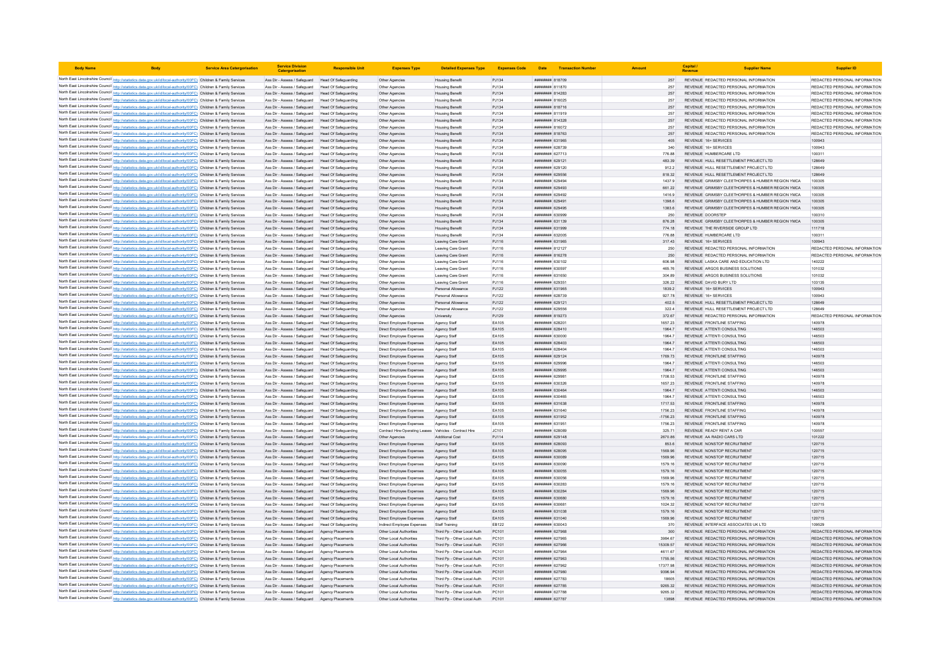| <b>Body Name</b> |                                                                                                                                                                                                                                        | <b>Service Area Catergorisation</b> | <b>Service Division</b><br>Catergorisatio                                                              | <b>Responsible Uni</b>                       | <b>Expenses Type</b>                                 | <b>Detailed Expenses Type</b>                              | <b>Expenses Code</b> |                                                  | Date Transaction Number |                    | Capital /<br>Revenue                           | <b>Supplier Name</b>                                                                                  | <b>Supplier ID</b>                                             |
|------------------|----------------------------------------------------------------------------------------------------------------------------------------------------------------------------------------------------------------------------------------|-------------------------------------|--------------------------------------------------------------------------------------------------------|----------------------------------------------|------------------------------------------------------|------------------------------------------------------------|----------------------|--------------------------------------------------|-------------------------|--------------------|------------------------------------------------|-------------------------------------------------------------------------------------------------------|----------------------------------------------------------------|
|                  | North East Lincolnshire Council http://statistics.data.gov.uk/id/local-authority/00FC) Children & Family Services                                                                                                                      |                                     | Ass Dir - Assess / Safeguard Head Of Safeguarding                                                      |                                              | Other Agencies                                       | Housing Benefit                                            | PJ134                | ######## 818709                                  |                         | 257                |                                                | REVENUE REDACTED PERSONAL INFORMATION                                                                 | REDACTED PERSONAL INFORMATION                                  |
|                  | North East Lincolnshire Council http://statistics.data.gov.uk/id/local-authority/00FC) Children & Family Services                                                                                                                      |                                     | Ass Dir - Assess / Safeguard                                                                           | Head Of Safeguarding                         | Other Agencies                                       | <b>Housing Benefit</b>                                     | PJ134                | ####### 811870                                   |                         | 257                |                                                | REVENUE REDACTED PERSONAL INFORMATION                                                                 | REDACTED PERSONAL INFORMATION                                  |
|                  | North East Lincolnshire Council http://statistics.data.gov.uk/id/local-authority/00FC) Children & Family Services                                                                                                                      |                                     | Ass Dir - Assess / Safeguard Head Of Safeguarding                                                      |                                              | Other Agencies                                       | <b>Housing Benefit</b>                                     | PJ134                | ####### 814283                                   |                         | 257                |                                                | REVENUE REDACTED PERSONAL INFORMATION                                                                 | REDACTED PERSONAL INFORMATION                                  |
|                  | North East Lincolnshire Council http://statistics.data.gov.uk/id/local-authority/00FC) Children & Family Services                                                                                                                      |                                     | Ass Dir - Assess / Safenuard Head Of Safenuarding                                                      |                                              | Other Agencies                                       | <b>Housing Benefit</b>                                     | PJ134                | 816025 HERBERT                                   |                         | 257                |                                                | REVENUE REDACTED PERSONAL INFORMATION                                                                 | REDACTED PERSONAL INFORMATION                                  |
|                  | North East Lincolnshire Council http://statistics.data.gov.uk/id/local-authority/00FC) Children & Family Services<br>North East Lincolnshire Council http://statistics.data.gov.uk/id/local-authority/00FC) Children & Family Services |                                     | Ass Dir - Assess / Safeguard Head Of Safeguarding<br>Ass Dir - Assess / Safeguard Head Of Safeguarding |                                              | Other Agencies<br>Other Agencies                     | <b>Housing Benefit</b><br><b>Housing Benefit</b>           | PJ134<br>PJ134       | ######## 818716<br>####### 811919                |                         | 257<br>257         |                                                | REVENUE REDACTED PERSONAL INFORMATION<br>REVENUE REDACTED PERSONAL INFORMATION                        | REDACTED PERSONAL INFORMATION<br>REDACTED PERSONAL INFORMATION |
|                  | North East Lincolnshire Council http://statistics.data.gov.uk/id/local-authority/00FC) Children & Family Services                                                                                                                      |                                     | Ass Dir - Assess / Safeguard Head Of Safeguarding                                                      |                                              | Other Agencies                                       | <b>Housing Benefit</b>                                     | PJ134                | ######## 814328                                  |                         | 257                |                                                | REVENUE REDACTED PERSONAL INFORMATION                                                                 | REDACTED PERSONAL INFORMATION                                  |
|                  | North East Lincolnshire Council http://statistics.data.gov.uk/id/local-authority/00FC) Children & Family Services                                                                                                                      |                                     | Ass Dir - Assess / Safeguard                                                                           | Head Of Safeguarding                         | Other Agencies                                       | <b>Housing Benefit</b>                                     | P.1134               | ######## 816072                                  |                         | 257                |                                                | REVENUE REDACTED PERSONAL INFORMATION                                                                 | REDACTED PERSONAL INFORMATION                                  |
|                  | North East Lincolnshire Council http://statistics.data.gov.uk/id/local-authority/00FC) Children & Family Services                                                                                                                      |                                     | Ass Dir - Assess / Safeguard                                                                           | Head Of Safeguarding                         | Other Agencies                                       | <b>Housing Benefit</b>                                     | PJ134                | <b><i>BREERER BREEBER</i></b>                    |                         | 257                |                                                | REVENUE REDACTED PERSONAL INFORMATION                                                                 | REDACTED PERSONAL INFORMATION                                  |
|                  | North East Lincolnshire Council http://statistics.data.gov.uk/id/local-authority/00FC) Children & Family Services                                                                                                                      |                                     | Ass Dir - Assess / Safeguard                                                                           | Head Of Safeguarding                         | Other Agencies                                       | <b>Housing Benefit</b>                                     | PJ134                | ######## 631965                                  |                         | 405                | REVENUE 16+ SERVICES                           |                                                                                                       |                                                                |
|                  | North East Lincolnshire Council http://statistics.data.gov.uk/id/local-authority/00FC) Children & Family Services<br>North East Lincolnshire Council http://statistics.data.gov.uk/id/local-authority/00FC) Children & Family Services |                                     | Ass Dir - Assess / Safeguard Head Of Safeguarding                                                      |                                              | Other Agencies                                       | <b>Housing Benefit</b>                                     | PJ134                | ####### 628739                                   |                         | 340                | REVENUE 16+ SERVICES<br>REVENUE HUMBERCARE LTD |                                                                                                       | 100943                                                         |
|                  | North East Lincolnshire Council http://statistics.data.gov.uk/id/local-authority/00FC) Children & Family Services                                                                                                                      |                                     | Ass Dir - Assess / Safeguard Head Of Safeguarding<br>Ass Dir - Assess / Safeguard Head Of Safeguarding |                                              | Other Agencies<br>Other Agencies                     | <b>Housing Benefit</b><br><b>Housing Benefit</b>           | PJ134<br>PJ134       | ######## 627713<br>######## 629121               |                         | 776.88<br>483.39   |                                                | REVENUE HULL RESETTLEMENT PROJECT LTD                                                                 | 100311<br>128649                                               |
|                  | North East Lincolnshire Council http://statistics.data.gov.uk/id/local-authority/00FC) Children & Family Services                                                                                                                      |                                     | Ass Dir - Assess / Safeguard                                                                           | Head Of Safeguarding                         | Other Agencies                                       | <b>Housing Benefit</b>                                     | PJ134                | ####### 629120                                   |                         | 912.2              |                                                | REVENUE HULL RESETTLEMENT PROJECT LTD                                                                 | 128649                                                         |
|                  | North East Lincolnshire Council http://statistics.data.gov.uk/id/local-authority/00FC) Children & Family Services                                                                                                                      |                                     | Ass Dir - Assess / Safeguard                                                                           | Head Of Safeguarding                         | Other Agencies                                       | <b>Housing Benefit</b>                                     | PJ134                | ######## 629556                                  |                         | 818.32             |                                                | REVENUE HULL RESETTLEMENT PROJECT LTD                                                                 | 128649                                                         |
|                  | North East Lincolnshire Council http://statistics.data.gov.uk/id/local-authority/00FC) Children & Family Services                                                                                                                      |                                     | Ass Dir - Assess / Safeguard                                                                           | Head Of Safeguarding                         | Other Agencies                                       | <b>Housing Benefit</b>                                     | PJ134                | ######## 62949                                   |                         | 1437.9             |                                                | REVENUE GRIMSBY CLEETHORPES & HUMBER REGION YMCA                                                      | 100305                                                         |
|                  | North East Lincolnshire Council http://statistics.data.gov.uk/id/local-authority/00FC) Children & Family Services                                                                                                                      |                                     | Ass Dir - Assess / Safeguard                                                                           | Head Of Safeguarding                         | Other Agencies                                       | <b>Housing Benefit</b>                                     | PJ134                | ######## 629493                                  |                         | 661.22             |                                                | REVENUE GRIMSBY CLEETHORPES & HUMBER REGION YMCA                                                      | 100305                                                         |
|                  | North East Lincolnshire Council http://statistics.data.gov.uk/id/local-authority/00FC) Children & Family Services<br>North East Lincolnshire Council http://statistics.data.gov.uk/id/local-authority/00FC) Children & Family Services |                                     | Ass Dir - Assess / Safeguard<br>Ass Dir - Assess / Safeguard Head Of Safeguarding                      | Head Of Safeguarding                         | Other Agencie<br>Other Agencies                      | <b>Housing Benef</b><br><b>Housing Benefit</b>             | PJ134<br>PJ134       | ######## 62949;<br><b><i>BREEBBBB</i></b> 629491 |                         | 1416.9<br>1398.6   |                                                | REVENUE GRIMSBY CLEETHORPES & HUMBER REGION YMCA<br>REVENUE, GRIMSBY CLEETHORPES & HUMBER REGION YMCA | 100305<br>100305                                               |
|                  | North East Lincolnshire Council http://statistics.data.gov.uk/id/local-authority/00FC) Children & Family Services                                                                                                                      |                                     | Ass Dir - Assess / Safeguard Head Of Safeguarding                                                      |                                              | Other Agencies                                       | <b>Housing Benefit</b>                                     | PJ134                | ######## 629495                                  |                         | 1383.6             |                                                | REVENUE GRIMSBY CLEETHORPES & HUMBER REGION YMCA                                                      | 100305                                                         |
|                  | North East Lincolnshire Council http://statistics.data.gov.uk/id/local-authority/00FC) Children & Family Services                                                                                                                      |                                     | Ass Dir - Assess / Safeguard                                                                           | Head Of Safeguarding                         | Other Agencies                                       | <b>Housing Benefit</b>                                     | PJ134                | ######## 630999                                  |                         | 250                | REVENUE DOORSTEP                               |                                                                                                       | 100310                                                         |
|                  | North East Lincolnshire Council http://statistics.data.gov.uk/id/local-authority/00FC) Children & Family Services                                                                                                                      |                                     | Ass Dir - Assess / Safeguard                                                                           | <b>Head Of Safeguarding</b>                  | Other Agencies                                       | <b>Housing Benefit</b>                                     | PJ134                | <b>пининни</b> 631139                            |                         | 876.28             |                                                | REVENUE GRIMSBY CLEETHORPES & HUMBER REGION YMCA                                                      | 100305                                                         |
|                  | North East Lincolnshire Council http://statistics.data.gov.uk/id/local-authority/00FC) Children & Family Services                                                                                                                      |                                     | Ass Dir - Assess / Safeguard Head Of Safeguarding                                                      |                                              | Other Agencies                                       | <b>Housing Benefit</b>                                     | PJ134                | ######## 631999                                  |                         | 774.18             |                                                | REVENUE THE RIVERSIDE GROUP LTD                                                                       | 111718                                                         |
|                  | North East Lincolnshire Council http://statistics.data.gov.uk/id/local-authority/00FC) Children & Family Services                                                                                                                      |                                     | Ass Dir - Assess / Safeguard                                                                           | Head Of Safeguarding                         | Other Agencies                                       | <b>Housing Benefit</b>                                     | PJ134                | ####### 632005                                   |                         | 776.88             | REVENUE HUMBERCARE LTD                         |                                                                                                       | 100311                                                         |
|                  | North East Lincolnshire Council http://statistics.data.gov.uk/id/local-authority/00FC) Children & Family Services                                                                                                                      |                                     | Ass Dir - Assess / Safeguard                                                                           | Head Of Safeguarding                         | Other Agencies                                       | Leaving Care Grant                                         | PJ116                | ######## 631965                                  |                         | 317.43             | REVENUE 16+ SERVICES                           |                                                                                                       | 100943                                                         |
|                  | North East Lincolnshire Council http://statistics.data.gov.uk/id/local-authority/00FC) Children & Family Services                                                                                                                      |                                     | Ass Dir - Assess / Safeguard   Head Of Safeguarding                                                    |                                              | Other Agencies                                       | Leaving Care Grant                                         | PJ116                | ####### 812127                                   |                         | 250                |                                                | REVENUE REDACTED PERSONAL INFORMATION                                                                 | REDACTED PERSONAL INFORMATION                                  |
|                  | North East Lincolnshire Council http://statistics.data.gov.uk/id/local-authority/00FC) Children & Family Services<br>North East Lincolnshire Council http://statistics.data.gov.uk/id/local-authority/00FC) Children & Family Services |                                     | Ass Dir - Assess / Safeguard Head Of Safeguarding<br>Ass Dir - Assess / Safeguard Head Of Safeguarding |                                              | Other Agencies<br>Other Agencies                     | Leaving Care Grant<br>Leaving Care Grant                   | PJ116<br>PJ116       | ######## 816278<br>######## 630102               |                         | 250<br>606.98      |                                                | REVENUE REDACTED PERSONAL INFORMATION<br>REVENUE LASKA CARE AND EDUCATION LTD                         | REDACTED PERSONAL INFORMATION<br>140222                        |
|                  | North East Lincolnshire Council http://statistics.data.gov.uk/id/local-authority/00FC) Children & Family Services                                                                                                                      |                                     | Ass Dir - Assess / Safeguard                                                                           | Head Of Safeguarding                         | Other Agencies                                       | Leaving Care Grant                                         | PJ116                | ####### 630597                                   |                         | 465.76             |                                                | REVENUE ARGOS BUSINESS SOLUTIONS                                                                      | 101032                                                         |
|                  | North East Lincolnshire Council http://statistics.data.gov.uk/id/local-authority/00FC) Children & Family Services                                                                                                                      |                                     | Ass Dir - Assess / Safeguard                                                                           | Head Of Safeguarding                         | Other Agencies                                       | Leaving Care Grant                                         | PJ116                | ######## 631650                                  |                         | 304.89             |                                                | REVENUE ARGOS BUSINESS SOLUTIONS                                                                      | 101032                                                         |
|                  | North East Lincolnshire Council http://statistics.data.gov.uk/id/local-authority/00FC) Children & Family Services                                                                                                                      |                                     | Ass Dir - Assess / Safeguard                                                                           | Head Of Safeguarding                         | Other Agencies                                       | Leaving Care Grant                                         | PJ116                | ######## 62935                                   |                         | 326.22             | REVENUE DAVID BURY LTD                         |                                                                                                       | 103135                                                         |
|                  | North East Lincolnshire Council http://statistics.data.gov.uk/id/local-authority/00FC) Children & Family Services                                                                                                                      |                                     | Ass Dir - Assess / Safeguard                                                                           | Head Of Safeguarding                         | Other Agencies                                       | Personal Allowance                                         | PJ122                | ######## 631965                                  |                         | 1839.2             | REVENUE 16+ SERVICES                           |                                                                                                       | 100943                                                         |
|                  | North East Lincolnshire Council http://statistics.data.gov.uk/id/local-authority/00FC) Children & Family Services                                                                                                                      |                                     | Ass Dir - Assess / Safeguard Head Of Safeguarding                                                      |                                              | Other Agencies                                       | Personal Allowance                                         | PJ122                | ######## 628739                                  |                         | 927.78             | REVENUE 16+ SERVICES                           |                                                                                                       | 100943                                                         |
|                  | North East Lincolnshire Council http://statistics.data.gov.uk/id/local-authority/00FC) Children & Family Services                                                                                                                      |                                     | Ass Dir - Assess / Safeguard Head Of Safeguarding                                                      |                                              | Other Agencies                                       | Personal Allowance                                         | PJ122                | <b>ПНИНИНИЯ</b> 629121                           |                         | 4025               |                                                | REVENUE HULL RESETTLEMENT PROJECT LTD                                                                 | 128649                                                         |
|                  | North East Lincolnshire Council http://statistics.data.gov.uk/id/local-authority/00FC) Children & Family Services                                                                                                                      |                                     | Ass Dir - Assess / Safeguard Head Of Safeguarding                                                      |                                              | Other Agencies                                       | Personal Allowance                                         | PJ122                | ######## 629556                                  |                         | 322.4              |                                                | REVENUE HULL RESETTLEMENT PROJECT LTD                                                                 | 128649                                                         |
|                  | North East Lincolnshire Council http://statistics.data.gov.uk/id/local-authority/00FC) Children & Family Services                                                                                                                      |                                     | Ass Dir - Assess / Safeguard Head Of Safeguarding<br>Ass Dir - Assess / Safeguard                      | Head Of Safeguarding                         | Other Agencies                                       | University                                                 | PJ129<br>EA105       | ####### 819273<br>####### 628201                 |                         | 372.67<br>1657.23  |                                                | REVENUE REDACTED PERSONAL INFORMATION<br>REVENUE FRONTLINE STAFFING                                   | REDACTED PERSONAL INFORMATION<br>140978                        |
|                  | North East Lincolnshire Council http://statistics.data.gov.uk/id/local-authority/00FC) Children & Family Services<br>North East Lincolnshire Council http://statistics.data.gov.uk/id/local-authority/00FC) Children & Family Services |                                     | Ass Dir - Assess / Safeguard Head Of Safeguarding                                                      |                                              | Direct Employee Expenses<br>Direct Employee Expenses | Agency Staff<br>Agency Staff                               | EA105                | ######## 628410                                  |                         | 1964.7             |                                                | REVENUE ATTENTI CONSULTING                                                                            | 146503                                                         |
|                  | North East Lincolnshire Council http://statistics.data.gov.uk/id/local-authority/00FC) Children & Family Services                                                                                                                      |                                     | Ass Dir - Assess / Safeguard                                                                           | Head Of Safeguarding                         | Direct Employee Expenses                             | Agency Staf                                                | EA105                | <b>########</b> 630000                           |                         | 1964.7             |                                                | REVENUE ATTENTI CONSULTING                                                                            | 146503                                                         |
|                  | North East Lincolnshire Council http://statistics.data.gov.uk/id/local-authority/00FC) Children & Family Services                                                                                                                      |                                     | Ass Dir - Assess / Safeguard                                                                           | Head Of Safeguarding                         | Direct Employee Expenses                             | Agency Staff                                               | EA105                | ######## 628403                                  |                         | 1964.7             |                                                | REVENUE ATTENTI CONSULTING                                                                            | 146503                                                         |
|                  | North East Lincolnshire Council http://statistics.data.gov.uk/id/local-authority/00FC) Children & Family Services                                                                                                                      |                                     | Ass Dir - Assess / Safeguard Head Of Safeguarding                                                      |                                              | Direct Employee Expenses                             | Agency Staff                                               | FA105                | BOBSCA BREEBER                                   |                         | 19647              |                                                | REVENUE ATTENTI CONSULTING                                                                            | 146503                                                         |
|                  | North East Lincolnshire Council http://statistics.data.gov.uk/id/local-authority/00FC) Children & Family Services                                                                                                                      |                                     | Ass Dir - Assess / Safeguard Head Of Safeguarding                                                      |                                              | Direct Employee Expenses                             | Agency Staff                                               | EA105                | ######## 629124                                  |                         | 1769.73            |                                                | REVENUE FRONTLINE STAFFING                                                                            | 140978                                                         |
|                  | North East Lincolnshire Council http://statistics.data.gov.uk/id/local-authority/00FC) Children & Family Services                                                                                                                      |                                     | Ass Dir - Assess / Safeguard                                                                           | Head Of Safeguarding                         | Direct Employee Expenses                             | Agency Staf                                                | EA105                | <b>####### 62999</b>                             |                         | 1964.7             |                                                | REVENUE ATTENTI CONSULTING                                                                            | 146503                                                         |
|                  | North East Lincolnshire Council http://statistics.data.gov.uk/id/local-authority/00FC) Children & Family Services                                                                                                                      |                                     | Ass Dir - Assess / Safeguard                                                                           | Head Of Safeguarding                         | Direct Employee Expenses                             | Agency Staff                                               | EA105                | ######## 629995                                  |                         | 1964.7             |                                                | REVENUE ATTENTI CONSULTING                                                                            | 146503                                                         |
|                  | North East Lincolnshire Council http://statistics.data.gov.uk/id/local-authority/00FC) Children & Family Services<br>North East Lincolnshire Council http://statistics.data.gov.uk/id/local-authority/00FC) Children & Family Services |                                     | Ass Dir - Assess / Safeguard<br>Ass Dir - Assess / Safeguard                                           | Head Of Safeguarding<br>Head Of Safeguarding | Direct Employee Expenses<br>Direct Employee Expenses | Agency Staff<br>Agency Staff                               | FA105<br>EA105       | пининни 62998<br><del>виннини в</del> зозоб      |                         | 1708.53<br>1657 23 |                                                | REVENUE FRONTLINE STAFFING<br>REVENUE FRONTLINE STAFFING                                              | 140978<br>140978                                               |
|                  | North East Lincolnshire Council http://statistics.data.gov.uk/id/local-authority/00FC) Children & Family Services                                                                                                                      |                                     | Ass Dir - Assess / Safeguard                                                                           | Head Of Safeguarding                         | Direct Employee Expenses                             | Agency Staf                                                | EA105                | ######## 63046                                   |                         | 1964.              |                                                | REVENUE ATTENTI CONSULTING                                                                            | 146503                                                         |
|                  | North East Lincolnshire Council http://statistics.data.gov.uk/id/local-authority/00FC) Children & Family Services                                                                                                                      |                                     | Ass Dir - Assess / Safeguard                                                                           | Head Of Safeguarding                         | Direct Employee Expenses                             | Agency Staff                                               | EA105                | ####### 630465                                   |                         | 1964.7             |                                                | REVENUE ATTENTI CONSULTING                                                                            | 146503                                                         |
|                  | North East Lincolnshire Council http://statistics.data.gov.uk/id/local-authority/00FC) Children & Family Services                                                                                                                      |                                     | Ass Dir - Assess / Safeguard Head Of Safeguarding                                                      |                                              | Direct Employee Expenses                             | Agency Staff                                               | EA105                | ######## 631638                                  |                         | 1717.53            |                                                | REVENUE FRONTLINE STAFFING                                                                            | 140978                                                         |
|                  | North East Lincolnshire Council http://statistics.data.gov.uk/id/local-authority/00FC) Children & Family Services                                                                                                                      |                                     | Ass Dir - Assess / Safeguard Head Of Safeguarding                                                      |                                              | Direct Employee Expenses                             | Agency Staff                                               | EA105                | ######## 631640                                  |                         | 1756.23            |                                                | REVENUE FRONTLINE STAFFING                                                                            | 140978                                                         |
|                  | North East Lincolnshire Council http://statistics.data.gov.uk/id/local-authority/00FC) Children & Family Services                                                                                                                      |                                     | Ass Dir - Assess / Safeguard Head Of Safeguarding                                                      |                                              | Direct Employee Expenses                             | Agency Staff                                               | EA105                | ######## 631952                                  |                         | $-1756.23$         |                                                | REVENUE FRONTLINE STAFFING                                                                            | 140978                                                         |
|                  | North East Lincolnshire Council http://statistics.data.gov.uk/id/local-authority/00FC) Children & Family Services                                                                                                                      |                                     | Ass Dir - Assess / Safeguard                                                                           | Head Of Safeguarding                         | Direct Employee Expenses                             | Agency Staff                                               | EA105                | ######## 631951                                  |                         | 1756.23            |                                                | REVENUE FRONTLINE STAFFING                                                                            | 140978                                                         |
|                  | North East Lincolnshire Council http://statistics.data.gov.uk/id/local-authority/00FC) Children & Family Services                                                                                                                      |                                     | Ass Dir - Assess / Safeguard                                                                           | Head Of Safeguarding                         | Contract Hire-Operating Leases                       | Vehicles - Contract Hire<br><b>Additional Cost</b>         | JC101<br>PJ114       | ####### 628089<br>####### 629148                 |                         | 325.71<br>2670.86  | REVENUE READY RENT A CAR                       | REVENUE AA RADIO CARS LTD                                                                             | 100557<br>101222                                               |
|                  | North East Lincolnshire Council http://statistics.data.gov.uk/id/local-authority/00FC) Children & Family Services<br>North East Lincolnshire Council http://statistics.data.gov.uk/id/local-authority/00FC) Children & Family Services |                                     | Ass Dir - Assess / Safeguard<br>Ass Dir - Assess / Safeguard                                           | Head Of Safeguarding<br>Head Of Safeguarding | Other Agencies<br>Direct Employee Expenses           | Agency Staff                                               | EA105                | EPORCA BBBBBBBB                                  |                         | 853.6              |                                                | REVENUE NONSTOP RECRUITMENT                                                                           | 120715                                                         |
|                  | North East Lincolnshire Council http://statistics.data.gov.uk/id/local-authority/00FC) Children & Family Services                                                                                                                      |                                     | Ass Dir - Assess / Safeguard Head Of Safeguarding                                                      |                                              | Direct Employee Expenses                             | Anency Staff                                               | FA105                | ######## 628095                                  |                         | 1569 96            |                                                | REVENUE NONSTOP RECRUITMENT                                                                           | 120715                                                         |
|                  | North East Lincolnshire Council http://statistics.data.gov.uk/id/local-authority/00FC) Children & Family Services                                                                                                                      |                                     | Ass Dir - Assess / Safeguard Head Of Safeguarding                                                      |                                              | Direct Employee Expenses                             | Agency Staff                                               | EA105                | ######## 630089                                  |                         | 1569.96            |                                                | REVENUE NONSTOP RECRUITMENT                                                                           | 120715                                                         |
|                  | North East Lincolnshire Council http://statistics.data.gov.uk/id/local-authority/00FC) Children & Family Services                                                                                                                      |                                     | Ass Dir - Assess / Safeguard                                                                           | Head Of Safeguarding                         | Direct Employee Expenses                             | Agency Staf                                                | EA105                | ######## 63009C                                  |                         | 1579.16            |                                                | REVENUE NONSTOP RECRUITMENT                                                                           | 120715                                                         |
|                  | North East Lincolnshire Council http://statistics.data.gov.uk/id/local-authority/00FC) Children & Family Services                                                                                                                      |                                     | Ass Dir - Assess / Safeguard                                                                           | <b>Head Of Safeguarding</b>                  | Direct Employee Expenses                             | Agency Staff                                               | EA105                | ####### 630055                                   |                         | 1579.16            |                                                | REVENUE NONSTOP RECRUITMENT                                                                           | 120715                                                         |
|                  | North East Lincolnshire Council http://statistics.data.gov.uk/id/local-authority/00FC) Children & Family Services                                                                                                                      |                                     | Ass Dir - Assess / Safeguard                                                                           | Head Of Safeguarding                         | Direct Employee Expenses                             | Agency Staff                                               | EA105                | ######## 630056                                  |                         | 1569.96            |                                                | REVENUE NONSTOP RECRUITMENT                                                                           | 120715                                                         |
|                  | North East Lincolnshire Council http://statistics.data.gov.uk/id/local-authority/00FC) Children & Family Services                                                                                                                      |                                     | Ass Dir - Assess / Safeguard                                                                           | Head Of Safeguarding                         | Direct Employee Expenses                             | Agency Staf                                                | EA105                | ######## 630283                                  |                         | 1579.16            |                                                | REVENUE NONSTOP RECRUITMENT                                                                           | 120715                                                         |
|                  | North East Lincolnshire Council http://statistics.data.gov.uk/id/local-authority/00FC) Children & Family Services<br>North East Lincolnshire Council http://statistics.data.gov.uk/id/local-authority/00FC) Children & Family Services |                                     | Ass Dir - Assess / Safeguard<br>Ass Dir - Assess / Safeguard Head Of Safeguarding                      | Head Of Safeguarding                         | Direct Employee Expenses<br>Direct Employee Expenses | Agency Staf<br>Agency Staff                                | EA105<br>EA105       | ######## 630284<br>######## 630680               |                         | 1569.96<br>1579.16 |                                                | REVENUE NONSTOP RECRUITMENT<br>REVENUE NONSTOP RECRUITMENT                                            | 120715<br>120715                                               |
|                  | North East Lincolnshire Council http://statistics.data.gov.uk/id/local-authority/00FC) Children & Family Services                                                                                                                      |                                     | Ass Dir - Assess / Safeguard Head Of Safeguarding                                                      |                                              | Direct Employee Expenses                             | Agency Staff                                               | EA105                | ######## 630681                                  |                         | 1024.32            |                                                | REVENUE NONSTOP RECRUITMENT                                                                           | 120715                                                         |
|                  | North East Lincolnshire Council http://statistics.data.gov.uk/id/local-authority/00FC) Children & Family Services                                                                                                                      |                                     | Ass Dir - Assess / Safeguard Head Of Safeguarding                                                      |                                              | Direct Employee Expenses                             | Agency Staf                                                | EA105                | ######## 631038                                  |                         | 1579.16            |                                                | REVENUE NONSTOP RECRUITMENT                                                                           | 120715                                                         |
|                  | North East Lincolnshire Council http://statistics.data.gov.uk/id/local-authority/00FC) Children & Family Services                                                                                                                      |                                     | Ass Dir - Assess / Safeguard                                                                           | Head Of Safeguarding                         | Direct Employee Expenses                             | Agency Staff                                               | EA105                | ######## 631040                                  |                         | 1569.96            |                                                | REVENUE NONSTOP RECRUITMENT                                                                           | 120715                                                         |
|                  | North East Lincolnshire Council http://statistics.data.gov.uk/id/local-authority/00FC) Children & Family Services                                                                                                                      |                                     | Ass Dir - Assess / Safeguard                                                                           | Head Of Safeguarding                         | Indirect Employee Expenses                           | Staff Training                                             | FR122                | EMOCA BRRHBBB                                    |                         | 370                |                                                | REVENUE INTERFACE ASSOCIATES UK LTD                                                                   | 109529                                                         |
|                  | North East Lincolnshire Council http://statistics.data.gov.uk/id/local-authority/00FC) Children & Family Services                                                                                                                      |                                     | Ass Dir - Assess / Safeguard Agency Placements                                                         |                                              | Other Local Authorities                              | Third Po - Other Local Auth                                | PC101                | ######## 627968                                  |                         | 300                |                                                | REVENUE REDACTED PERSONAL INFORMATION                                                                 | REDACTED PERSONAL INFORMATION                                  |
|                  | North East Lincolnshire Council http://statistics.data.gov.uk/id/local-authority/00FC) Children & Family Services                                                                                                                      |                                     | Ass Dir - Assess / Safeguard                                                                           | Agency Placements                            | Other Local Authorities                              | Third Po - Other Local Auth                                | PC101                | <b>####### 62796</b>                             |                         | 3984.67            |                                                | REVENUE REDACTED PERSONAL INFORMATION                                                                 | REDACTED PERSONAL INFORMATION                                  |
|                  | North East Lincolnshire Council http://statistics.data.gov.uk/id/local-authority/00FC) Children & Family Services                                                                                                                      |                                     | Ass Dir - Assess / Safeguard                                                                           | Agency Placements                            | Other Local Authorities                              | Third Pp - Other Local Auth                                | PC101                | ######## 627966                                  |                         | 15309.57           |                                                | REVENUE REDACTED PERSONAL INFORMATION                                                                 | REDACTED PERSONAL INFORMATION                                  |
|                  | North East Lincolnshire Council http://statistics.data.gov.uk/id/local-authority/00FC) Children & Family Services<br>North East Lincolnshire Council http://statistics.data.gov.uk/id/local-authority/00FC) Children & Family Services |                                     | Ass Dir - Assess / Saferruard                                                                          | Agency Placements                            | Other Local Authorities                              | Third Pn - Other Local Auth<br>Third Pp - Other Local Auth | PC101<br>PC101       | пининни 627964<br>######## 627963                |                         | 4611.67<br>1755.56 |                                                | REVENUE REDACTED PERSONAL INFORMATION<br>REVENUE REDACTED PERSONAL INFORMATION                        | REDACTED PERSONAL INFORMATION<br>REDACTED PERSONAL INFORMATION |
|                  | North East Lincolnshire Council http://statistics.data.gov.uk/id/local-authority/00FC) Children & Family Services                                                                                                                      |                                     | Ass Dir - Assess / Safeguard Agency Placements<br>Ass Dir - Assess / Safeguard                         | Agency Placements                            | Other Local Authorities<br>Other Local Authorities   | Third Pp - Other Local Auth                                | PC101                | ######## 627962                                  |                         | 17377.98           |                                                | REVENUE REDACTED PERSONAL INFORMATION                                                                 | REDACTED PERSONAL INFORMATION                                  |
|                  | North East Lincolnshire Council http://statistics.data.gov.uk/id/local-authority/00FC) Children & Family Services                                                                                                                      |                                     | Ass Dir - Assess / Safeguard                                                                           | Agency Placements                            | Other Local Authorities                              | Third Pp - Other Local Auth                                | PC101                | ######## 627980                                  |                         | 9396.94            |                                                | REVENUE REDACTED PERSONAL INFORMATION                                                                 | REDACTED PERSONAL INFORMATION                                  |
|                  | North East Lincolnshire Council http://statistics.data.gov.uk/id/local-authority/00FC) Children & Family Services                                                                                                                      |                                     | Ass Dir - Assess / Safeguard                                                                           | Agency Placements                            | Other Local Authorities                              | Third Pp - Other Local Auth                                | PC101                | ######## 627783                                  |                         | 18605              |                                                | REVENUE REDACTED PERSONAL INFORMATION                                                                 | REDACTED PERSONAL INFORMATION                                  |
|                  | North East Lincolnshire Council http://statistics.data.gov.uk/id/local-authority/00FC) Children & Family Services                                                                                                                      |                                     | Ass Dir - Assess / Safeguard Agency Placements                                                         |                                              | Other Local Authorities                              | Third Pp - Other Local Auth                                | PC101                | ######## 627785                                  |                         | 9265.32            |                                                | REVENUE REDACTED PERSONAL INFORMATION                                                                 | REDACTED PERSONAL INFORMATION                                  |
|                  | North East Lincolnshire Council http://statistics.data.gov.uk/id/local-authority/00FC) Children & Family Services                                                                                                                      |                                     | Ass Dir - Assess / Safeguard Agency Placement                                                          |                                              | Other Local Authoritie                               | Third Pp - Other Local Auth                                | PC101                | ####### 627788                                   |                         | 9265.32            |                                                | REVENUE REDACTED PERSONAL INFORMATION                                                                 | REDACTED PERSONAL INFORMATION                                  |
|                  | North East Lincolnshire Council http://statistics.data.gov.uk/id/local-authority/00FC) Children & Family Services                                                                                                                      |                                     | Ass Dir - Assess / Safeguard Agency Placements                                                         |                                              | Other Local Authorities                              | Third Pp - Other Local Auth                                | PC101                | <b>НИНИНИЯ 627787</b>                            |                         | 13898              |                                                | REVENUE REDACTED PERSONAL INFORMATION                                                                 | REDACTED PERSONAL INFORMATION                                  |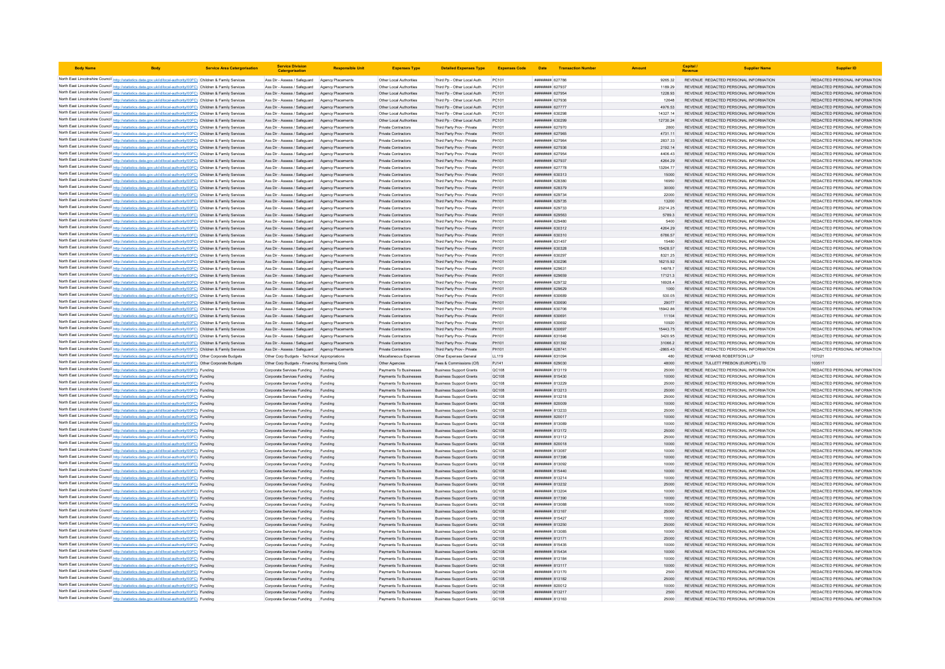| <b>Body Name</b> |                                                                                                                                                                                                                                        | <b>Service Area Catergorisation</b> | <b>Service Division</b><br>Catergorisatio                                                        | <b>Responsible Uni</b>                       | <b>Expenses Type</b>                               | <b>Detailed Expenses Type</b>                                    | <b>Expenses Code</b>         |                                    | Date Transaction Numbe |                       | Capital<br>Revenue | <b>Supplier Name</b>                                                           | <b>Supplier ID</b>                                             |
|------------------|----------------------------------------------------------------------------------------------------------------------------------------------------------------------------------------------------------------------------------------|-------------------------------------|--------------------------------------------------------------------------------------------------|----------------------------------------------|----------------------------------------------------|------------------------------------------------------------------|------------------------------|------------------------------------|------------------------|-----------------------|--------------------|--------------------------------------------------------------------------------|----------------------------------------------------------------|
|                  | North East Lincolnshire Council http://statistics.data.gov.uk/id/local-authority/00FC) Children & Family Services                                                                                                                      |                                     | Ass Dir - Assess / Safeguard Agency Placements                                                   |                                              | Other Local Authorities                            | Third Po - Other Local Auth                                      | PC101                        | ######## 627786                    |                        | 9265.32               |                    | REVENUE REDACTED PERSONAL INFORMATION                                          | REDACTED PERSONAL INFORMATION                                  |
|                  | North East Lincolnshire Council http://statistics.data.gov.uk/id/local-authority/00FC) Children & Family Services                                                                                                                      |                                     | Ass Dir - Assess / Safeguard                                                                     | Agency Placements                            | Other Local Authorities                            | Third Pp - Other Local Auth                                      | PC101                        | ######## 627937                    |                        | 1189.29               |                    | REVENUE REDACTED PERSONAL INFORMATION                                          | REDACTED PERSONAL INFORMATION                                  |
|                  | North East Lincolnshire Council http://statistics.data.gov.uk/id/local-authority/00FC) Children & Family Services                                                                                                                      |                                     | Ass Dir - Assess / Safeguard Agency Placements                                                   |                                              | Other Local Authorities                            | Third Pp - Other Local Auth                                      | PC101                        | ######## 627954                    |                        | 1228.93               |                    | REVENUE REDACTED PERSONAL INFORMATION                                          | REDACTED PERSONAL INFORMATION                                  |
|                  | North East Lincolnshire Council http://statistics.data.gov.uk/id/local-authority/00FC) Children & Family Services                                                                                                                      |                                     | Ass Dir - Assess / Safeguard Agency Placements                                                   |                                              | Other Local Authorities                            | Third Pp - Other Local Auth                                      | PC101                        | ######## 627936                    |                        | 12648                 |                    | REVENUE REDACTED PERSONAL INFORMATION                                          | REDACTED PERSONAL INFORMATION                                  |
|                  | North East Lincolnshire Council http://statistics.data.gov.uk/id/local-authority/00FC) Children & Family Services<br>North East Lincolnshire Council http://statistics.data.gov.uk/id/local-authority/00FC) Children & Family Services |                                     | Ass Dir - Assess / Safeguard Agency Placements<br>Ass Dir - Assess / Safeguard Agency Placements |                                              | Other Local Authorities<br>Other Local Authorities | Third Pp - Other Local Auth<br>Third Pp - Other Local Auth       | PC101<br>PC101               | ######## 627777<br>######## 630298 |                        | 4976.53<br>14327.14   |                    | REVENUE REDACTED PERSONAL INFORMATION<br>REVENUE REDACTED PERSONAL INFORMATION | REDACTED PERSONAL INFORMATION<br>REDACTED PERSONAL INFORMATION |
|                  | North East Lincolnshire Council http://statistics.data.gov.uk/id/local-authority/00FC) Children & Family Services                                                                                                                      |                                     | Ass Dir - Assess / Safeguard Agency Placements                                                   |                                              | Other Local Authorities                            | Third Pp - Other Local Auth                                      | PC101                        | ######## 630299                    |                        | 12730.24              |                    | REVENUE REDACTED PERSONAL INFORMATION                                          | REDACTED PERSONAL INFORMATION                                  |
|                  | North East Lincolnshire Council http://statistics.data.gov.uk/id/local-authority/00FC) Children & Family Services                                                                                                                      |                                     | Ass Dir - Assess / Safeguard Agency Placements                                                   |                                              | <b>Private Contractors</b>                         | Third Party Prov - Private                                       | PH101                        | ######## 627970                    |                        | 2800                  |                    | REVENUE REDACTED PERSONAL INFORMATION                                          | REDACTED PERSONAL INFORMATION                                  |
|                  | North East Lincolnshire Council http://statistics.data.gov.uk/id/local-authority/00FC) Children & Family Services                                                                                                                      |                                     | Ass Dir - Assess / Safeguard Agency Placements                                                   |                                              | <b>Private Contractors</b>                         | Third Party Prov - Private                                       | PH101                        | ######## 627965                    |                        | 4731.11               |                    | REVENUE REDACTED PERSONAL INFORMATION                                          | REDACTED PERSONAL INFORMATION                                  |
|                  | North East Lincolnshire Council http://statistics.data.gov.uk/id/local-authority/00FC) Children & Family Services                                                                                                                      |                                     | Ass Dir - Assess / Safeguard                                                                     | Agency Placements                            | <b>Private Contractors</b>                         | Third Party Prov - Private                                       | PH101                        | ######## 627964                    |                        | 2837.33               |                    | REVENUE REDACTED PERSONAL INFORMATION                                          | REDACTED PERSONAL INFORMATION                                  |
|                  | North East Lincolnshire Council http://statistics.data.gov.uk/id/local-authority/00FC) Children & Family Services                                                                                                                      |                                     | Ass Dir - Assess / Safeguard Agency Placements                                                   |                                              | <b>Private Contractors</b>                         | Third Party Prov - Private                                       | PH101                        | ######## 627936                    |                        | 2192.14               |                    | REVENUE REDACTED PERSONAL INFORMATION                                          | REDACTED PERSONAL INFORMATION                                  |
|                  | North East Lincolnshire Council http://statistics.data.gov.uk/id/local-authority/00FC) Children & Family Services                                                                                                                      |                                     | Ass Dir - Assess / Safeguard Agency Placements                                                   |                                              | Private Contractors                                | Third Party Prov - Private                                       | PH101                        | ######## 627954                    |                        | 4406 43               |                    | REVENUE REDACTED PERSONAL INFORMATION                                          | REDACTED PERSONAL INFORMATION                                  |
|                  | North East Lincolnshire Council http://statistics.data.gov.uk/id/local-authority/00FC) Children & Family Services                                                                                                                      |                                     | Ass Dir - Assess / Safeguard Agency Placements                                                   |                                              | Private Contractors                                | Third Party Prov - Private                                       | PH101                        | ######## 627937                    |                        | 4264.29               |                    | REVENUE REDACTED PERSONAL INFORMATION                                          | REDACTED PERSONAL INFORMATION                                  |
|                  | North East Lincolnshire Council http://statistics.data.gov.uk/id/local-authority/00FC) Children & Family Services<br>North East Lincolnshire Council http://statistics.data.gov.uk/id/local-authority/00FC) Children & Family Services |                                     | Ass Dir - Assess / Safeguard<br>Ass Dir - Assess / Safeguard                                     | Agency Placements<br>Agency Placements       | Private Contractors<br>Private Contractors         | Third Party Prov - Private<br>Third Party Prov - Private         | PH101<br>PH101               | ######## 627778<br>######## 630313 |                        | 13294.77<br>15000     |                    | REVENUE REDACTED PERSONAL INFORMATION<br>REVENUE REDACTED PERSONAL INFORMATION | REDACTED PERSONAL INFORMATION<br>REDACTED PERSONAL INFORMATION |
|                  | North East Lincolnshire Council http://statistics.data.gov.uk/id/local-authority/00FC) Children & Family Services                                                                                                                      |                                     | Ass Dir - Assess / Safeguard                                                                     | Agency Placements                            | <b>Private Contractors</b>                         | Third Party Prov - Private                                       | PH101                        | ######## 628380                    |                        | 16950                 |                    | REVENUE REDACTED PERSONAL INFORMATION                                          | REDACTED PERSONAL INFORMATION                                  |
|                  | North East Lincolnshire Council http://statistics.data.gov.uk/id/local-authority/00FC) Children & Family Services                                                                                                                      |                                     | Ass Dir - Assess / Safeguard                                                                     | Agency Placements                            | Private Contractors                                | Third Party Prov - Private                                       | PH101                        | ######## 628379                    |                        | 30000                 |                    | REVENUE REDACTED PERSONAL INFORMATION                                          | REDACTED PERSONAL INFORMATION                                  |
|                  | North East Lincolnshire Council http://statistics.data.gov.uk/id/local-authority/00FC) Children & Family Services                                                                                                                      |                                     | Ass Dir - Assess / Safeguard                                                                     | Agency Placement                             | Private Contractors                                | Third Party Prov - Private                                       | PH101                        | ####### 62973                      |                        | 22000                 |                    | REVENUE REDACTED PERSONAL INFORMATION                                          | REDACTED PERSONAL INFORMATION                                  |
|                  | North East Lincolnshire Council http://statistics.data.gov.uk/id/local-authority/00FC) Children & Family Services                                                                                                                      |                                     | Ass Dir - Assess / Safeguard Agency Placements                                                   |                                              | Private Contractors                                | Third Party Prov - Private                                       | PH101                        | ######## 629735                    |                        | 13200                 |                    | REVENUE REDACTED PERSONAL INFORMATION                                          | REDACTED PERSONAL INFORMATION                                  |
|                  | North East Lincolnshire Council http://statistics.data.gov.uk/id/local-authority/00FC) Children & Family Services                                                                                                                      |                                     | Ass Dir - Assess / Safeguard Agency Placements                                                   |                                              | Private Contractors                                | Third Party Prov - Private                                       | PH101                        | ######## 629733                    |                        | 23214.25              |                    | REVENUE REDACTED PERSONAL INFORMATION                                          | REDACTED PERSONAL INFORMATION                                  |
|                  | North East Lincolnshire Council http://statistics.data.gov.uk/id/local-authority/00FC) Children & Family Services                                                                                                                      |                                     | Ass Dir - Assess / Safeguard Agency Placements                                                   |                                              | Private Contractors                                | Third Party Prov - Private                                       | PH101                        | ######## 629563                    |                        | 5789.3                |                    | REVENUE REDACTED PERSONAL INFORMATION                                          | REDACTED PERSONAL INFORMATION                                  |
|                  | North East Lincolnshire Council http://statistics.data.gov.uk/id/local-authority/00FC) Children & Family Services<br>North East Lincolnshire Council http://statistics.data.gov.uk/id/local-authority/00FC) Children & Family Services |                                     | Ass Dir - Assess / Safeguard<br>Ass Dir - Assess / Safeguard Agency Placements                   | Agency Placements                            | Private Contractors<br>Private Contractors         | Third Party Prov - Private                                       | PH101<br>PH101               | ######## 629480<br>######## 630312 |                        | 5400<br>4264.29       |                    | REVENUE REDACTED PERSONAL INFORMATION<br>REVENUE REDACTED PERSONAL INFORMATION | REDACTED PERSONAL INFORMATION<br>REDACTED PERSONAL INFORMATION |
|                  | North East Lincolnshire Council http://statistics.data.gov.uk/id/local-authority/00FC) Children & Family Services                                                                                                                      |                                     | Ass Dir - Assess / Safeguard Agency Placements                                                   |                                              | <b>Private Contractors</b>                         | Third Party Prov - Private<br>Third Party Prov - Private         | PH101                        | ######## 630310                    |                        | 6786.57               |                    | REVENUE REDACTED PERSONAL INFORMATION                                          | REDACTED PERSONAL INFORMATION                                  |
|                  | North East Lincolnshire Council http://statistics.data.gov.uk/id/local-authority/00FC) Children & Family Services                                                                                                                      |                                     | Ass Dir - Assess / Safeguard                                                                     | Agency Placements                            | <b>Private Contractors</b>                         | Third Party Prov - Private                                       | PH101                        | <b>#######</b> 631457              |                        | 15480                 |                    | REVENUE REDACTED PERSONAL INFORMATION                                          | REDACTED PERSONAL INFORMATION                                  |
|                  | North East Lincolnshire Council http://statistics.data.gov.uk/id/local-authority/00FC) Children & Family Services                                                                                                                      |                                     | Ass Dir - Assess / Safeguard                                                                     | Agency Placements                            | Private Contractors                                | Third Party Prov - Private                                       | PH101                        | ######## 630328                    |                        | 15428.57              |                    | REVENUE REDACTED PERSONAL INFORMATION                                          | REDACTED PERSONAL INFORMATION                                  |
|                  | North East Lincolnshire Council http://statistics.data.gov.uk/id/local-authority/00FC) Children & Family Services                                                                                                                      |                                     | Ass Dir - Assess / Safeguard Agency Placements                                                   |                                              | Private Contractors                                | Third Party Prov - Private                                       | PH101                        | ######## 630297                    |                        | 8321.25               |                    | REVENUE REDACTED PERSONAL INFORMATION                                          | REDACTED PERSONAL INFORMATION                                  |
|                  | North East Lincolnshire Council http://statistics.data.gov.uk/id/local-authority/00FC) Children & Family Services                                                                                                                      |                                     | Ass Dir - Assess / Safeguard Agency Placements                                                   |                                              | Private Contractors                                | Third Party Prov - Private                                       | PH101                        | ######## 630296                    |                        | 16215.92              |                    | REVENUE REDACTED PERSONAL INFORMATION                                          | REDACTED PERSONAL INFORMATION                                  |
|                  | North East Lincolnshire Council http://statistics.data.gov.uk/id/local-authority/00FC) Children & Family Services                                                                                                                      |                                     | Ass Dir - Assess / Safeguard                                                                     | Agency Placements                            | Private Contractors                                | Third Party Prov - Private                                       | PH101                        | ####### 62963                      |                        | 14978.7               |                    | REVENUE REDACTED PERSONAL INFORMATION                                          | REDACTED PERSONAL INFORMATION                                  |
|                  | North East Lincolnshire Council http://statistics.data.gov.uk/id/local-authority/00FC) Children & Family Services                                                                                                                      |                                     | Ass Dir - Assess / Safeguard                                                                     | Agency Placements                            | Private Contractors                                | Third Party Prov - Private                                       | PH101                        | ######## 629659                    |                        | 17121.3               |                    | REVENUE REDACTED PERSONAL INFORMATION                                          | REDACTED PERSONAL INFORMATION                                  |
|                  | North East Lincolnshire Council http://statistics.data.gov.uk/id/local-authority/00FC) Children & Family Services                                                                                                                      |                                     | Ass Dir - Assess / Safeguard                                                                     | Agency Placements                            | Private Contractors                                | Third Party Prov - Private                                       | PH101                        | ######## 629732                    |                        | 169284<br>1000        |                    | REVENUE REDACTED PERSONAL INFORMATION                                          | REDACTED PERSONAL INFORMATION                                  |
|                  | North East Lincolnshire Council http://statistics.data.gov.uk/id/local-authority/00FC) Children & Family Services<br>North East Lincolnshire Council http://statistics.data.gov.uk/id/local-authority/00FC) Children & Family Services |                                     | Ass Dir - Assess / Safeguard<br>Ass Dir - Assess / Safeguard                                     | <b>Agency Placements</b><br>Agency Placement | Private Contractors<br>Private Contractors         | Third Party Prov - Private<br>Third Party Prov - Private         | PH101<br>PH101               | ######## 629629<br>######## 63068  |                        | 530.05                |                    | REVENUE REDACTED PERSONAL INFORMATION<br>REVENUE REDACTED PERSONAL INFORMATION | REDACTED PERSONAL INFORMATION<br>REDACTED PERSONAL INFORMATION |
|                  | North East Lincolnshire Council http://statistics.data.gov.uk/id/local-authority/00FC) Children & Family Services                                                                                                                      |                                     | Ass Dir - Assess / Safeguard Agency Placements                                                   |                                              | Private Contractors                                | Third Party Prov - Private                                       | PH101                        | ######## 630690                    |                        | 29077                 |                    | REVENUE REDACTED PERSONAL INFORMATION                                          | REDACTED PERSONAL INFORMATION                                  |
|                  | North East Lincolnshire Council http://statistics.data.gov.uk/id/local-authority/00FC) Children & Family Services                                                                                                                      |                                     | Ass Dir - Assess / Safeguard Agency Placements                                                   |                                              | <b>Private Contractors</b>                         | Third Party Prov - Private                                       | PH101                        | ######## 630706                    |                        | 15942.86              |                    | REVENUE REDACTED PERSONAL INFORMATION                                          | REDACTED PERSONAL INFORMATION                                  |
|                  | North East Lincolnshire Council http://statistics.data.gov.uk/id/local-authority/00FC) Children & Family Services                                                                                                                      |                                     | Ass Dir - Assess / Safeguard Agency Placements                                                   |                                              | Private Contractors                                | Third Party Prov - Private                                       | PH101                        | ######## 630691                    |                        | 11104                 |                    | REVENUE REDACTED PERSONAL INFORMATION                                          | REDACTED PERSONAL INFORMATION                                  |
|                  | North East Lincolnshire Council http://statistics.data.gov.uk/id/local-authority/00FC) Children & Family Services                                                                                                                      |                                     | Ass Dir - Assess / Safeguard Agency Placements                                                   |                                              | Private Contractors                                | Third Party Prov - Private                                       | PH101                        | ######## 630692                    |                        | 10920                 |                    | REVENUE REDACTED PERSONAL INFORMATION                                          | REDACTED PERSONAL INFORMATION                                  |
|                  | North East Lincolnshire Council http://statistics.data.gov.uk/id/local-authority/00FC) Children & Family Services                                                                                                                      |                                     | Ass Dir - Assess / Safeguard Agency Placements                                                   |                                              | Private Contractors                                | Third Party Prov - Private                                       | PH101                        | ######## 630697                    |                        | 15443.75              |                    | REVENUE REDACTED PERSONAL INFORMATION                                          | REDACTED PERSONAL INFORMATION                                  |
|                  | North East Lincolnshire Council http://statistics.data.gov.uk/id/local-authority/00FC) Children & Family Services                                                                                                                      |                                     | Ass Dir - Assess / Safeguard Agency Placements                                                   |                                              | <b>Private Contractors</b>                         | Third Party Prov - Private                                       | PH101<br>PH101               | ######## 631646                    |                        | 3420.95               |                    | REVENUE REDACTED PERSONAL INFORMATION                                          | REDACTED PERSONAL INFORMATION                                  |
|                  | North East Lincolnshire Council http://statistics.data.gov.uk/id/local-authority/00FC) Children & Family Services<br>North East Lincolnshire Council http://statistics.data.gov.uk/id/local-authority/00FC) Children & Family Services |                                     | Ass Dir - Assess / Safeguard Agency Placements<br>Ass Dir - Assess / Safeguard Agency Placements |                                              | <b>Private Contractors</b><br>Private Contractors  | Third Party Prov - Private<br>Third Party Prov - Private         | PH101                        | ######## 631392<br>######## 628741 |                        | 31066.2<br>$-2865.43$ |                    | REVENUE REDACTED PERSONAL INFORMATION<br>REVENUE REDACTED PERSONAL INFORMATION | REDACTED PERSONAL INFORMATION<br>REDACTED PERSONAL INFORMATION |
|                  | North East Lincolnshire Council http://statistics.data.gov.uk/id/local-authority/00FC) Other Corporate Budgets                                                                                                                         |                                     | Other Corp Budgets - Technical Appropriations                                                    |                                              | Miscellaneous Expenses                             | Other Expenses General                                           | LL119                        | 831094 BBS ######                  |                        | 480                   |                    | REVENUE HYMANS ROBERTSON I LP                                                  | 107021                                                         |
|                  | North East Lincolnshire Council http://statistics.data.gov.uk/id/local-authority/00FC) Other Corporate Budgets                                                                                                                         |                                     | Other Corp Budgets - Financing Borrowing Costs                                                   |                                              | Other Agencies                                     | Fees & Commissions (CIf)                                         | PJ141                        | ######## 629030                    |                        | 48000                 |                    | REVENUE TULLETT PREBON (EUROPE) LTD                                            | 103517                                                         |
|                  | North East Lincolnshire Council http://statistics.data.gov.uk/id/local-authority/00FC) Funding                                                                                                                                         |                                     | Corporate Services Funding Funding                                                               |                                              | Payments To Businesses                             | <b>Business Support Grants</b>                                   | QC108                        | ######## 813119                    |                        | 25000                 |                    | REVENUE REDACTED PERSONAL INFORMATION                                          | REDACTED PERSONAL INFORMATION                                  |
|                  | North East Lincolnshire Council http://statistics.data.gov.uk/id/local-authority/00FC) Funding                                                                                                                                         |                                     | Corporate Services Funding                                                                       | Funding                                      | Payments To Businesses                             | <b>Business Support Grants</b>                                   | QC108                        | ######## 815430                    |                        | 10000                 |                    | REVENUE REDACTED PERSONAL INFORMATION                                          | REDACTED PERSONAL INFORMATION                                  |
|                  | North East Lincolnshire Council http://statistics.data.gov.uk/id/local-authority/00FC) Funding                                                                                                                                         |                                     | Corporate Services Funding                                                                       | Funding                                      | Payments To Businesses                             | <b>Business Support Grants</b>                                   | OC108                        | ######## 813225                    |                        | 25000                 |                    | REVENUE REDACTED PERSONAL INFORMATION                                          | REDACTED PERSONAL INFORMATION                                  |
|                  | North East Lincolnshire Council http://statistics.data.gov.uk/id/local-authority/00FC) Funding                                                                                                                                         |                                     | Corporate Services Funding                                                                       | Funding                                      | Payments To Businesses                             | <b>Business Support Grants</b>                                   | QC108                        | ######## 813213                    |                        | 25000                 |                    | REVENUE REDACTED PERSONAL INFORMATION                                          | REDACTED PERSONAL INFORMATION                                  |
|                  | North East Lincolnshire Council http://statistics.data.gov.uk/id/local-authority/00FC) Funding<br>North East Lincolnshire Council http://statistics.data.gov.uk/id/local-authority/00FC) Funding                                       |                                     | Corporate Services Funding                                                                       | Funding<br>Funding                           | Payments To Businesses<br>Payments To Businesses   | <b>Business Support Grants</b>                                   | QC108<br>QC108               | ####### 813218<br>######## 820009  |                        | 25000<br>10000        |                    | REVENUE REDACTED PERSONAL INFORMATION<br>REVENUE REDACTED PERSONAL INFORMATION | REDACTED PERSONAL INFORMATION<br>REDACTED PERSONAL INFORMATION |
|                  | North East Lincolnshire Council http://statistics.data.gov.uk/id/local-authority/00FC) Funding                                                                                                                                         |                                     | Corporate Services Funding<br>Corporate Services Funding                                         | Funding                                      | Payments To Businesses                             | <b>Business Support Grants</b><br><b>Business Support Grants</b> | QC108                        | ######## 813233                    |                        | 25000                 |                    | REVENUE REDACTED PERSONAL INFORMATION                                          | REDACTED PERSONAL INFORMATION                                  |
|                  | North East Lincolnshire Council http://statistics.data.gov.uk/id/local-authority/00FC) Funding                                                                                                                                         |                                     | Corporate Services Funding Funding                                                               |                                              | Payments To Businesses                             | <b>Business Support Grants</b>                                   | QC108                        | ####### 820017                     |                        | 10000                 |                    | REVENUE REDACTED PERSONAL INFORMATION                                          | REDACTED PERSONAL INFORMATION                                  |
|                  | North East Lincolnshire Council http://statistics.data.gov.uk/id/local-authority/00FC) Funding                                                                                                                                         |                                     | Corporate Services Funding                                                                       | Funding                                      | Payments To Businesses                             | <b>Business Support Grants</b>                                   | QC108                        | ####### 813089                     |                        | 10000                 |                    | REVENUE REDACTED PERSONAL INFORMATION                                          | REDACTED PERSONAL INFORMATION                                  |
|                  | North East Lincolnshire Council http://statistics.data.gov.uk/id/local-authority/00FC) Funding                                                                                                                                         |                                     | Corporate Services Funding                                                                       | Funding                                      | Payments To Businesses                             | <b>Business Support Grants</b>                                   | QC108                        | ####### 813172                     |                        | 25000                 |                    | REVENUE REDACTED PERSONAL INFORMATION                                          | REDACTED PERSONAL INFORMATION                                  |
|                  | North East Lincolnshire Council http://statistics.data.gov.uk/id/local-authority/00FC) Funding                                                                                                                                         |                                     | Corporate Services Funding                                                                       | Funding                                      | Payments To Businesses                             | <b>Business Support Grants</b>                                   | <b>QC108</b>                 | ######## 813112                    |                        | 25000                 |                    | REVENUE REDACTED PERSONAL INFORMATION                                          | REDACTED PERSONAL INFORMATION                                  |
|                  | North East Lincolnshire Council http://statistics.data.gov.uk/id/local-authority/00FC) Funding                                                                                                                                         |                                     | Corporate Services Funding                                                                       | Funding                                      | Payments To Businesses                             | <b>Business Support Grants</b>                                   | QC108                        | ######## 820018                    |                        | 10000                 |                    | REVENUE REDACTED PERSONAL INFORMATION                                          | REDACTED PERSONAL INFORMATION                                  |
|                  | North East Lincolnshire Council http://statistics.data.gov.uk/id/local-authority/00FC) Funding                                                                                                                                         |                                     | Corporate Services Funding                                                                       | Funding                                      | Payments To Businesses                             | <b>Business Support Grants</b>                                   | QC108                        | ####### 813087                     |                        |                       |                    | REVENUE REDACTED PERSONAL INFORMATION                                          | REDACTED PERSONAL INFORMATION<br>REDACTED PERSONAL INFORMATION |
|                  | North East Lincolnshire Council http://statistics.data.gov.uk/id/local-authority/00FC) Funding<br>North East Lincolnshire Council http://statistics.data.gov.uk/id/local-authority/00FC) Funding                                       |                                     | Corporate Services Funding<br>Corporate Services Funding                                         | Funding<br>Funding                           | Payments To Businesses<br>Payments To Businesses   | <b>Business Support Grants</b><br><b>Business Support Grants</b> | <b>QC108</b><br><b>QC108</b> | ######## 817396<br>######## 813092 |                        | 10000<br>10000        |                    | REVENUE REDACTED PERSONAL INFORMATION<br>REVENUE REDACTED PERSONAL INFORMATION | REDACTED PERSONAL INFORMATION                                  |
|                  | North East Lincolnshire Council http://statistics.data.gov.uk/id/local-authority/00FC) Funding                                                                                                                                         |                                     | Corporate Services Funding                                                                       | Funding                                      | Payments To Businesses                             | <b>Business Support Grants</b>                                   | QC108                        | ######## 815440                    |                        | 10000                 |                    | REVENUE REDACTED PERSONAL INFORMATION                                          | REDACTED PERSONAL INFORMATION                                  |
|                  | North East Lincolnshire Council http://statistics.data.gov.uk/id/local-authority/00FC) Funding                                                                                                                                         |                                     | Corporate Services Funding                                                                       | Funding                                      | Payments To Businesses                             | <b>Business Support Grants</b>                                   | <b>QC108</b>                 | ####### 813214                     |                        | 10000                 |                    | REVENUE REDACTED PERSONAL INFORMATION                                          | REDACTED PERSONAL INFORMATION                                  |
|                  | North East Lincolnshire Council http://statistics.data.gov.uk/id/local-authority/00FC) Funding                                                                                                                                         |                                     | Corporate Services Funding                                                                       | Funding                                      | Payments To Businesses                             | <b>Business Support Grants</b>                                   | <b>QC108</b>                 | ######## 813232                    |                        | 25000                 |                    | REVENUE REDACTED PERSONAL INFORMATION                                          | REDACTED PERSONAL INFORMATION                                  |
|                  | North East Lincolnshire Council http://statistics.data.gov.uk/id/local-authority/00FC) Funding                                                                                                                                         |                                     | Corporate Services Funding                                                                       | Funding                                      | Payments To Businesses                             | <b>Business Support Grants</b>                                   | <b>QC108</b>                 | ######## 813204                    |                        | 10000                 |                    | REVENUE REDACTED PERSONAL INFORMATION                                          | REDACTED PERSONAL INFORMATION                                  |
|                  | North East Lincolnshire Council http://statistics.data.gov.uk/id/local-authority/00FC) Funding                                                                                                                                         |                                     | Corporate Services Funding                                                                       | Funding                                      | Payments To Businesses                             | <b>Business Support Grants</b>                                   | <b>QC108</b>                 | ######## 817390                    |                        | 10000                 |                    | REVENUE REDACTED PERSONAL INFORMATION                                          | REDACTED PERSONAL INFORMATION                                  |
|                  | North East Lincolnshire Council http://statistics.data.gov.uk/id/local-authority/00FC) Funding                                                                                                                                         |                                     | Corporate Services Funding                                                                       | Funding                                      | Payments To Businesses                             | <b>Business Support Grants</b>                                   | QC108                        | ######## 813088                    |                        | 10000                 |                    | REVENUE REDACTED PERSONAL INFORMATION                                          | REDACTED PERSONAL INFORMATION                                  |
|                  | North East Lincolnshire Council http://statistics.data.gov.uk/id/local-authority/00FC) Funding<br>North East Lincolnshire Council http://statistics.data.gov.uk/id/local-authority/00FC) Funding                                       |                                     | Corporate Services Funding<br>Corporate Services Funding                                         | Funding<br>Funding                           | Payments To Businesses<br>Payments To Businesses   | <b>Business Support Grants</b><br><b>Business Support Grants</b> | <b>QC108</b><br>QC108        | ######## 813167<br>####### 815427  |                        | 25000<br>10000        |                    | REVENUE REDACTED PERSONAL INFORMATION<br>REVENUE REDACTED PERSONAL INFORMATION | REDACTED PERSONAL INFORMATION<br>REDACTED PERSONAL INFORMATION |
|                  | North East Lincolnshire Council http://statistics.data.gov.uk/id/local-authority/00FC) Funding                                                                                                                                         |                                     | Corporate Services Funding                                                                       | Funding                                      | Payments To Businesses                             | <b>Business Support Grants</b>                                   | QC108                        | ######## 813250                    |                        | 25000                 |                    | REVENUE REDACTED PERSONAL INFORMATION                                          | REDACTED PERSONAL INFORMATION                                  |
|                  | North East Lincolnshire Council http://statistics.data.gov.uk/id/local-authority/00FC) Funding                                                                                                                                         |                                     | Corporate Services Funding                                                                       | Funding                                      | Payments To Businesses                             | <b>Business Support Grants</b>                                   | QC108                        | ######## 813085                    |                        | 10000                 |                    | REVENUE REDACTED PERSONAL INFORMATION                                          | REDACTED PERSONAL INFORMATION                                  |
|                  | North East Lincolnshire Council http://statistics.data.gov.uk/id/local-authority/00FC) Funding                                                                                                                                         |                                     | Corporate Services Funding                                                                       | Funding                                      | Payments To Businesses                             | <b>Business Support Grants</b>                                   | QC108                        | ######## 813171                    |                        | 25000                 |                    | REVENUE REDACTED PERSONAL INFORMATION                                          | REDACTED PERSONAL INFORMATION                                  |
|                  | North East Lincolnshire Council http://statistics.data.gov.uk/id/local-authority/00FC) Funding                                                                                                                                         |                                     | Corporate Services Funding                                                                       | Funding                                      | Payments To Businesses                             | <b>Business Support Grants</b>                                   | QC108                        | ####### 815435                     |                        | 10000                 |                    | REVENUE REDACTED PERSONAL INFORMATION                                          | REDACTED PERSONAL INFORMATION                                  |
|                  | North East Lincolnshire Council http://statistics.data.gov.uk/id/local-authority/00FC) Funding                                                                                                                                         |                                     | Corporate Services Funding                                                                       | Funding                                      | Payments To Businesses                             | <b>Business Support Grants</b>                                   | QC108                        | ####### 815434                     |                        | 10000                 |                    | REVENUE REDACTED PERSONAL INFORMATION                                          | REDACTED PERSONAL INFORMATION                                  |
|                  | North East Lincolnshire Council http://statistics.data.gov.uk/id/local-authority/00FC) Funding                                                                                                                                         |                                     | Corporate Services Funding                                                                       | Funding                                      | Payments To Businesses                             | <b>Business Support Grants</b>                                   | QC108                        | ######## 813184                    |                        | 10000                 |                    | REVENUE REDACTED PERSONAL INFORMATION                                          | REDACTED PERSONAL INFORMATION                                  |
|                  | North East Lincolnshire Council http://statistics.data.gov.uk/id/local-authority/00FC) Funding<br>North East Lincolnshire Council http://statistics.data.gov.uk/id/local-authority/00FC) Funding                                       |                                     | Corporate Services Funding<br>Corporate Services Funding                                         | Funding<br>Funding                           | Payments To Businesses<br>Payments To Businesses   | <b>Business Support Grants</b><br><b>Business Support Grants</b> | <b>QC108</b><br>QC108        | ######## 813117<br>######## 813170 |                        | 10000<br>2500         |                    | REVENUE REDACTED PERSONAL INFORMATION<br>REVENUE REDACTED PERSONAL INFORMATION | REDACTED PERSONAL INFORMATION<br>REDACTED PERSONAL INFORMATION |
|                  | North East Lincolnshire Council http://statistics.data.gov.uk/id/local-authority/00FC) Funding                                                                                                                                         |                                     | Corporate Services Funding                                                                       | Funding                                      | Payments To Businesses                             | <b>Business Support Grants</b>                                   | QC108                        | ####### 813182                     |                        | 25000                 |                    | REVENUE REDACTED PERSONAL INFORMATION                                          | REDACTED PERSONAL INFORMATION                                  |
|                  | North East Lincolnshire Council http://statistics.data.gov.uk/id/local-authority/00FC) Funding                                                                                                                                         |                                     | Corporate Services Funding                                                                       | Funding                                      | Payments To Businesses                             | <b>Business Support Grants</b>                                   | OC108                        | ######## 820012                    |                        | 10000                 |                    | REVENUE REDACTED PERSONAL INFORMATION                                          | REDACTED PERSONAL INFORMATION                                  |
|                  | North East Lincolnshire Council http://statistics.data.gov.uk/id/local-authority/00FC) Funding                                                                                                                                         |                                     | Corporate Services Funding                                                                       | Funding                                      | Payments To Businesses                             | <b>Business Support Grants</b>                                   | <b>QC108</b>                 | ######## 813217                    |                        | 2500                  |                    | REVENUE REDACTED PERSONAL INFORMATION                                          | REDACTED PERSONAL INFORMATION                                  |
|                  | North East Lincolnshire Council http://statistics.data.gov.uk/id/local-authority/00FC) Funding                                                                                                                                         |                                     | Corporate Services Funding                                                                       | Funding                                      | Payments To Businesses                             | <b>Business Support Grants</b>                                   |                              | <b>####### 81316</b>               |                        | 25000                 |                    | REVENUE REDACTED PERSONAL INFORMATION                                          | REDACTED PERSONAL INFORMATION                                  |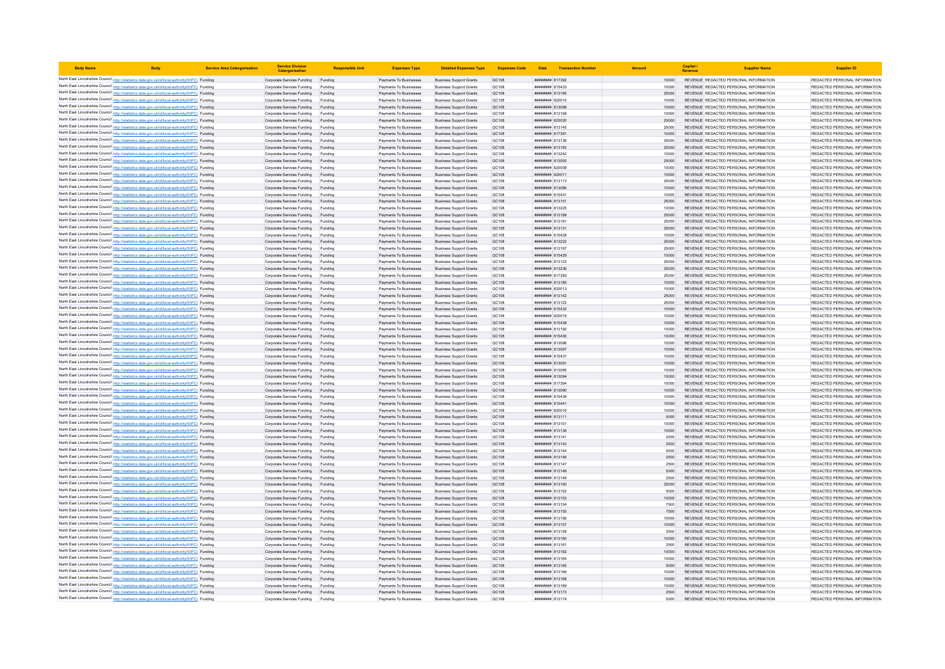| <b>Body Name</b> |                                                                                                                                                                                                  | <b>Service Area Catergorisation</b> | <b>Service Division</b><br>Catergorisatio                | <b>Responsible Uni</b> | <b>Expenses Type</b>                             | <b>Detailed Expenses Type</b>                                    | <b>Expenses Code</b>  |                                   | Date <b>Transaction Number</b> |                | Capital | <b>Supplier Name</b>                                                           | <b>Supplier ID</b>                                             |
|------------------|--------------------------------------------------------------------------------------------------------------------------------------------------------------------------------------------------|-------------------------------------|----------------------------------------------------------|------------------------|--------------------------------------------------|------------------------------------------------------------------|-----------------------|-----------------------------------|--------------------------------|----------------|---------|--------------------------------------------------------------------------------|----------------------------------------------------------------|
|                  | North East Lincolnshire Council http://statistics.data.gov.uk/id/local-authority/00FC) Funding                                                                                                   |                                     | Corporate Services Funding Funding                       |                        | Payments To Businesses                           | <b>Business Support Grants</b>                                   | QC108                 | ######## 817392                   |                                | 10000          |         | REVENUE REDACTED PERSONAL INFORMATION                                          | REDACTED PERSONAL INFORMATION                                  |
|                  | North East Lincolnshire Council http://statistics.data.gov.uk/id/local-authority/00FC) Funding                                                                                                   |                                     | Corporate Services Funding                               | Funding                | Payments To Businesses                           | <b>Business Support Grants</b>                                   | QC108                 | ####### 815433                    |                                | 10000          |         | REVENUE REDACTED PERSONAL INFORMATION                                          | REDACTED PERSONAL INFORMATION                                  |
|                  | North East Lincolnshire Council http://statistics.data.gov.uk/id/local-authority/00FC) Funding                                                                                                   |                                     | Corporate Services Funding                               |                        | Payments To Businesses                           | <b>Business Support Grants</b>                                   | QC108                 | ####### 813195                    |                                |                |         | REVENUE REDACTED PERSONAL INFORMATION                                          | REDACTED PERSONAL INFORMATION                                  |
|                  | North East Lincolnshire Council http://statistics.data.gov.uk/id/local-authority/00FC) Funding                                                                                                   |                                     | Corporate Services Funding                               | Funding                | Payments To Businesses                           | <b>Business Support Grants</b>                                   | OC108                 | ####### 820010                    |                                | 10000          |         | REVENUE REDACTED PERSONAL INFORMATION                                          | REDACTED PERSONAL INFORMATION                                  |
|                  | North East Lincolnshire Council http://statistics.data.gov.uk/id/local-authority/00FC) Funding                                                                                                   |                                     | Corporate Services Funding Funding                       |                        | Payments To Businesses                           | <b>Business Support Grants</b>                                   | <b>QC108</b>          | ######## 813098                   |                                | 10000          |         | REVENUE REDACTED PERSONAL INFORMATION                                          | REDACTED PERSONAL INFORMATION                                  |
|                  | North East Lincolnshire Council http://statistics.data.gov.uk/id/local-authority/00FC) Funding<br>North East Lincolnshire Council http://statistics.data.gov.uk/id/local-authority/00FC) Funding |                                     | Corporate Services Funding<br>Corporate Services Funding | Funding<br>Funding     | Payments To Businesses<br>Payments To Businesses | <b>Business Support Grants</b><br><b>Business Support Grants</b> | QC108<br>QC108        | ####### 813158<br>####### 820020  |                                | 10000<br>25000 |         | REVENUE REDACTED PERSONAL INFORMATION<br>REVENUE REDACTED PERSONAL INFORMATION | REDACTED PERSONAL INFORMATION<br>REDACTED PERSONAL INFORMATION |
|                  | North East Lincolnshire Council http://statistics.data.gov.uk/id/local-authority/00FC) Funding                                                                                                   |                                     | Corporate Services Funding                               | Funding                | Payments To Businesses                           | <b>Business Support Grants</b>                                   | <b>QC108</b>          | ######## 813145                   |                                | 25000          |         | REVENUE REDACTED PERSONAL INFORMATION                                          | REDACTED PERSONAL INFORMATION                                  |
|                  | North East Lincolnshire Council http://statistics.data.gov.uk/id/local-authority/00FC) Funding                                                                                                   |                                     | Corporate Services Funding                               | Funding                | Payments To Businesses                           | <b>Business Support Grants</b>                                   | QC108                 | ######## 817391                   |                                | 10000          |         | REVENUE REDACTED PERSONAL INFORMATION                                          | REDACTED PERSONAL INFORMATION                                  |
|                  | North East Lincolnshire Council http://statistics.data.gov.uk/id/local-authority/00FC) Funding                                                                                                   |                                     | Corporate Services Funding                               | Funding                | Payments To Businesses                           | <b>Business Support Grants</b>                                   | QC108                 | <b>####### 813136</b>             |                                | 25000          |         | REVENUE REDACTED PERSONAL INFORMATION                                          | REDACTED PERSONAL INFORMATION                                  |
|                  | North East Lincolnshire Council http://statistics.data.gov.uk/id/local-authority/00FC) Funding                                                                                                   |                                     | Corporate Services Funding                               | Funding                | Payments To Businesses                           | <b>Business Support Grants</b>                                   | QC108                 | ####### 813183                    |                                | 25000          |         | REVENUE REDACTED PERSONAL INFORMATION                                          | REDACTED PERSONAL INFORMATION                                  |
|                  | North East Lincolnshire Council http://statistics.data.gov.uk/id/local-authority/00FC) Funding                                                                                                   |                                     | Corporate Services Funding                               | Funding                | Payments To Businesses                           | <b>Business Support Grants</b>                                   | <b>QC108</b>          | ####### 813242                    |                                | 10000          |         | REVENUE REDACTED PERSONAL INFORMATION                                          | REDACTED PERSONAL INFORMATION                                  |
|                  | North East Lincolnshire Council http://statistics.data.gov.uk/id/local-authority/00FC) Funding                                                                                                   |                                     | Corporate Services Funding                               | Funding                | Payments To Businesses                           | <b>Business Support Grants</b>                                   | QC108                 | ####### 813093                    |                                | 25000          |         | REVENUE REDACTED PERSONAL INFORMATION                                          | REDACTED PERSONAL INFORMATION                                  |
|                  | North East Lincolnshire Council http://statistics.data.gov.uk/id/local-authority/00FC) Funding                                                                                                   |                                     | Corporate Services Funding                               | Funding                | Payments To Businesses                           | <b>Business Support Grants</b>                                   | QC108                 | ####### 820008                    |                                | 10000          |         | REVENUE REDACTED PERSONAL INFORMATION                                          | REDACTED PERSONAL INFORMATION                                  |
|                  | North East Lincolnshire Council http://statistics.data.gov.uk/id/local-authority/00FC) Funding                                                                                                   |                                     | Corporate Services Funding                               | Funding                | Payments To Businesses                           | <b>Business Support Grants</b>                                   | QC108                 | ######## 820011                   |                                | 10000          |         | REVENUE REDACTED PERSONAL INFORMATION                                          | REDACTED PERSONAL INFORMATION                                  |
|                  | North East Lincolnshire Council http://statistics.data.gov.uk/id/local-authority/00FC) Funding                                                                                                   |                                     | Corporate Services Funding                               | Funding                | Payments To Businesses                           | <b>Business Support Grants</b>                                   | QC108<br>QC108        | ######## 813113                   |                                | 25000          |         | REVENUE REDACTED PERSONAL INFORMATION                                          | REDACTED PERSONAL INFORMATION<br>REDACTED PERSONAL INFORMATION |
|                  | North East Lincolnshire Council http://statistics.data.gov.uk/id/local-authority/00FC) Funding<br>North East Lincolnshire Council http://statistics.data.gov.uk/id/local-authority/00FC) Funding |                                     | Corporate Services Funding<br>Corporate Services Funding | Funding<br>Funding     | Payments To Businesses<br>Payments To Businesses | <b>Business Support Grants</b><br><b>Business Support Grants</b> | QC108                 | ######## 813086<br>######## 81543 |                                | 10000<br>10000 |         | REVENUE REDACTED PERSONAL INFORMATION<br>REVENUE REDACTED PERSONAL INFORMATION | REDACTED PERSONAL INFORMATION                                  |
|                  | North East Lincolnshire Council http://statistics.data.gov.uk/id/local-authority/00FC) Funding                                                                                                   |                                     | Corporate Services Funding                               | Funding                | Payments To Businesses                           | <b>Business Support Grants</b>                                   | <b>QC108</b>          | ######## 813151                   |                                | 25000          |         | REVENUE REDACTED PERSONAL INFORMATION                                          | REDACTED PERSONAL INFORMATION                                  |
|                  | North East Lincolnshire Council http://statistics.data.gov.uk/id/local-authority/00FC) Funding                                                                                                   |                                     | Corporate Services Funding                               | Funding                | Payments To Businesses                           | <b>Business Support Grants</b>                                   | <b>QC108</b>          | ######## 813225                   |                                | 10000          |         | REVENUE REDACTED PERSONAL INFORMATION                                          | REDACTED PERSONAL INFORMATION                                  |
|                  | North East Lincolnshire Council http://statistics.data.gov.uk/id/local-authority/00FC) Funding                                                                                                   |                                     | Corporate Services Funding                               | Funding                | Payments To Businesses                           | <b>Business Support Grants</b>                                   | QC108                 | ######## 813189                   |                                | 25000          |         | REVENUE REDACTED PERSONAL INFORMATION                                          | REDACTED PERSONAL INFORMATION                                  |
|                  | North East Lincolnshire Council http://statistics.data.gov.uk/id/local-authority/00FC) Funding                                                                                                   |                                     | Corporate Services Funding                               | Funding                | Payments To Businesses                           | <b>Business Support Grants</b>                                   | QC108                 | ####### 813191                    |                                | 25000          |         | REVENUE REDACTED PERSONAL INFORMATION                                          | REDACTED PERSONAL INFORMATION                                  |
|                  | North East Lincolnshire Council http://statistics.data.gov.uk/id/local-authority/00FC) Funding                                                                                                   |                                     | Corporate Services Funding                               | Funding                | Payments To Businesses                           | <b>Business Support Grants</b>                                   | QC108                 | ######## 813131                   |                                | 25000          |         | REVENUE REDACTED PERSONAL INFORMATION                                          | REDACTED PERSONAL INFORMATION                                  |
|                  | North East Lincolnshire Council http://statistics.data.gov.uk/id/local-authority/00FC) Funding                                                                                                   |                                     | Corporate Services Funding                               | Funding                | Payments To Businesses                           | <b>Business Support Grants</b>                                   | QC108                 | ####### 815428                    |                                | 10000          |         | REVENUE REDACTED PERSONAL INFORMATION                                          | REDACTED PERSONAL INFORMATION                                  |
|                  | North East Lincolnshire Council http://statistics.data.gov.uk/id/local-authority/00FC) Funding                                                                                                   |                                     | Corporate Services Funding                               |                        | Payments To Businesses                           | <b>Business Support Grants</b>                                   | QC108                 | ####### 813222                    |                                | 25000          |         | REVENUE REDACTED PERSONAL INFORMATION                                          | REDACTED PERSONAL INFORMATION                                  |
|                  | North East Lincolnshire Council http://statistics.data.gov.uk/id/local-authority/00FC) Funding                                                                                                   |                                     | Corporate Services Funding                               | Funding                | Payments To Businesses                           | <b>Business Support Grants</b>                                   | QC108                 | ######## 813197                   |                                | 25000          |         | REVENUE REDACTED PERSONAL INFORMATION                                          | REDACTED PERSONAL INFORMATION                                  |
|                  | North East Lincolnshire Council http://statistics.data.gov.uk/id/local-authority/00FC) Funding                                                                                                   |                                     | Corporate Services Funding                               | Funding                | Payments To Businesses                           | <b>Business Support Grants</b>                                   | <b>QC108</b>          | ####### 815429                    |                                | 10000          |         | REVENUE REDACTED PERSONAL INFORMATION                                          | REDACTED PERSONAL INFORMATION                                  |
|                  | North East Lincolnshire Council http://statistics.data.gov.uk/id/local-authority/00FC) Funding<br>North East Lincolnshire Council http://statistics.data.gov.uk/id/local-authority/00FC) Funding |                                     | Corporate Services Funding                               | Funding                | Payments To Businesses                           | <b>Business Support Grants</b>                                   | QC108                 | ####### 813123                    |                                | 25000<br>25000 |         | REVENUE REDACTED PERSONAL INFORMATION                                          | REDACTED PERSONAL INFORMATION                                  |
|                  | North East Lincolnshire Council http://statistics.data.gov.uk/id/local-authority/00FC) Funding                                                                                                   |                                     | Corporate Services Funding<br>Corporate Services Funding | Funding<br>Funding     | Payments To Businesses<br>Payments To Businesses | <b>Business Support Grants</b><br><b>Business Support Grants</b> | QC108<br><b>QC108</b> | ####### 813236<br>######## 817393 |                                | 25000          |         | REVENUE REDACTED PERSONAL INFORMATION<br>REVENUE REDACTED PERSONAL INFORMATION | REDACTED PERSONAL INFORMATION<br>REDACTED PERSONAL INFORMATION |
|                  | North East Lincolnshire Council http://statistics.data.gov.uk/id/local-authority/00FC) Funding                                                                                                   |                                     | Corporate Services Funding                               | Funding                | Payments To Businesses                           | <b>Business Support Grants</b>                                   | QC108                 | ######## 813185                   |                                | 10000          |         | REVENUE REDACTED PERSONAL INFORMATION                                          | REDACTED PERSONAL INFORMATION                                  |
|                  | North East Lincolnshire Council http://statistics.data.gov.uk/id/local-authority/00FC) Funding                                                                                                   |                                     | Corporate Services Funding                               | Funding                | Payments To Businesses                           | <b>Business Support Grants</b>                                   | QC108                 | ######## 820013                   |                                | 10000          |         | REVENUE REDACTED PERSONAL INFORMATION                                          | REDACTED PERSONAL INFORMATION                                  |
|                  | North East Lincolnshire Council http://statistics.data.gov.uk/id/local-authority/00FC) Funding                                                                                                   |                                     | Corporate Services Funding                               | Funding                | Payments To Businesses                           | <b>Business Support Grants</b>                                   | QC108                 | ######## 813142                   |                                | 25000          |         | REVENUE REDACTED PERSONAL INFORMATION                                          | REDACTED PERSONAL INFORMATION                                  |
|                  | North East Lincolnshire Council http://statistics.data.gov.uk/id/local-authority/00FC) Funding                                                                                                   |                                     | Corporate Services Funding                               | Funding                | Payments To Businesses                           | <b>Business Support Grants</b>                                   | OC108                 | HHHHHHH 813122                    |                                | 25000          |         | REVENUE REDACTED PERSONAL INFORMATION                                          | REDACTED PERSONAL INFORMATION                                  |
|                  | North East Lincolnshire Council http://statistics.data.gov.uk/id/local-authority/00FC) Funding                                                                                                   |                                     | Corporate Services Funding                               | Funding                | Payments To Businesses                           | <b>Business Support Grants</b>                                   | QC108                 | ####### 815432                    |                                | 10000          |         | REVENUE REDACTED PERSONAL INFORMATION                                          | REDACTED PERSONAL INFORMATION                                  |
|                  | North East Lincolnshire Council http://statistics.data.gov.uk/id/local-authority/00FC) Funding                                                                                                   |                                     | Corporate Services Funding                               | Funding                | Payments To Businesses                           | <b>Business Support Grants</b>                                   | QC108                 | ####### 820019                    |                                |                |         | REVENUE REDACTED PERSONAL INFORMATION                                          | REDACTED PERSONAL INFORMATION                                  |
|                  | North East Lincolnshire Council http://statistics.data.gov.uk/id/local-authority/00FC) Funding                                                                                                   |                                     | Corporate Services Funding                               | Funding                | Payments To Businesses                           | <b>Business Support Grants</b>                                   | QC108                 | ####### 815438                    |                                | 10000          |         | REVENUE REDACTED PERSONAL INFORMATION                                          | REDACTED PERSONAL INFORMATION                                  |
|                  | North East Lincolnshire Council http://statistics.data.gov.uk/id/local-authority/00FC) Funding                                                                                                   |                                     | Corporate Services Funding                               | Funding                | Payments To Businesses                           | <b>Business Support Grants</b>                                   | <b>QC108</b>          | ######## 813192                   |                                | 10000          |         | REVENUE REDACTED PERSONAL INFORMATION                                          | REDACTED PERSONAL INFORMATION                                  |
|                  | North East Lincolnshire Council http://statistics.data.gov.uk/id/local-authority/00FC) Funding<br>North East Lincolnshire Council http://statistics.data.gov.uk/id/local-authority/00FC) Funding |                                     | Corporate Services Funding<br>Corporate Services Funding | Funding                | Payments To Businesses<br>Payments To Businesses | <b>Business Support Grants</b><br><b>Business Support Grants</b> | QC108<br>QC108        | ######## 815436<br>####### 813096 |                                | 10000          |         | REVENUE REDACTED PERSONAL INFORMATION<br>REVENUE REDACTED PERSONAL INFORMATION | REDACTED PERSONAL INFORMATION<br>REDACTED PERSONAL INFORMATION |
|                  | North East Lincolnshire Council http://statistics.data.gov.uk/id/local-authority/00FC) Funding                                                                                                   |                                     | Corporate Services Funding                               | Funding                | Payments To Businesses                           | <b>Business Support Grants</b>                                   | QC108                 | ######## 813097                   |                                | 10000          |         | REVENUE REDACTED PERSONAL INFORMATION                                          | REDACTED PERSONAL INFORMATION                                  |
|                  | North East Lincolnshire Council http://statistics.data.gov.uk/id/local-authority/00FC) Funding                                                                                                   |                                     | Corporate Services Funding                               | Funding                | Payments To Businesses                           | <b>Business Support Grants</b>                                   | <b>QC108</b>          | ####### 815437                    |                                | 10000          |         | REVENUE REDACTED PERSONAL INFORMATION                                          | REDACTED PERSONAL INFORMATION                                  |
|                  | North East Lincolnshire Council http://statistics.data.gov.uk/id/local-authority/00FC) Funding                                                                                                   |                                     | Corporate Services Funding                               | Funding                | Payments To Businesses                           | <b>Business Support Grants</b>                                   | QC108                 | ######## 813091                   |                                | 10000          |         | REVENUE REDACTED PERSONAL INFORMATION                                          | REDACTED PERSONAL INFORMATION                                  |
|                  | North East Lincolnshire Council http://statistics.data.gov.uk/id/local-authority/00FC) Funding                                                                                                   |                                     | Corporate Services Funding                               | Funding                | Payments To Businesses                           | <b>Business Support Grants</b>                                   | QC108                 | ######## 813095                   |                                | 10000          |         | REVENUE REDACTED PERSONAL INFORMATION                                          | REDACTED PERSONAL INFORMATION                                  |
|                  | North East Lincolnshire Council http://statistics.data.gov.uk/id/local-authority/00FC) Funding                                                                                                   |                                     | Corporate Services Funding                               | Funding                | Payments To Businesses                           | <b>Business Support Grants</b>                                   | <b>QC108</b>          | <b>HHHHHHH 813094</b>             |                                | 10000          |         | REVENUE REDACTED PERSONAL INFORMATION                                          | REDACTED PERSONAL INFORMATION                                  |
|                  | North East Lincolnshire Council http://statistics.data.gov.uk/id/local-authority/00FC) Funding                                                                                                   |                                     | Corporate Services Funding                               | Funding                | Payments To Businesses                           | <b>Business Support Grants</b>                                   | QC108                 | ######## 817394                   |                                | 10000          |         | REVENUE REDACTED PERSONAL INFORMATION                                          | REDACTED PERSONAL INFORMATION                                  |
|                  | North East Lincolnshire Council http://statistics.data.gov.uk/id/local-authority/00FC) Funding                                                                                                   |                                     | Corporate Services Funding                               | Funding                | Payments To Businesses                           | <b>Business Support Grants</b>                                   | QC108                 | ####### 813090                    |                                | 10000          |         | REVENUE REDACTED PERSONAL INFORMATION                                          | REDACTED PERSONAL INFORMATION                                  |
|                  | North East Lincolnshire Council http://statistics.data.gov.uk/id/local-authority/00FC) Funding                                                                                                   |                                     | Corporate Services Funding                               | Funding                | Payments To Businesses                           | <b>Business Support Grants</b>                                   | QC108                 | ####### 815439                    |                                | 10000          |         | REVENUE REDACTED PERSONAL INFORMATION                                          | REDACTED PERSONAL INFORMATION                                  |
|                  | North East Lincolnshire Council http://statistics.data.gov.uk/id/local-authority/00FC) Funding                                                                                                   |                                     | Corporate Services Funding                               | Funding                | Payments To Businesses                           | <b>Business Support Grants</b>                                   | QC108                 | ######## 815441                   |                                | 10000          |         | REVENUE REDACTED PERSONAL INFORMATION                                          | REDACTED PERSONAL INFORMATION                                  |
|                  | North East Lincolnshire Council http://statistics.data.gov.uk/id/local-authority/00FC) Funding                                                                                                   |                                     | Corporate Services Funding                               | Funding                | Payments To Businesses                           | <b>Business Support Grants</b>                                   | QC108                 | ####### 820016                    |                                | 10000<br>5000  |         | REVENUE REDACTED PERSONAL INFORMATION                                          | REDACTED PERSONAL INFORMATION                                  |
|                  | North East Lincolnshire Council http://statistics.data.gov.uk/id/local-authority/00FC) Funding<br>North East Lincolnshire Council http://statistics.data.gov.uk/id/local-authority/00FC) Funding |                                     | Corporate Services Funding<br>Corporate Services Funding | Funding<br>Funding     | Payments To Businesses<br>Payments To Businesses | <b>Business Support Grants</b><br><b>Business Support Grants</b> | QC108<br>QC108        | ####### 813111<br>######## 813101 |                                | 10000          |         | REVENUE REDACTED PERSONAL INFORMATION<br>REVENUE REDACTED PERSONAL INFORMATION | REDACTED PERSONAL INFORMATION<br>REDACTED PERSONAL INFORMATION |
|                  | North East Lincolnshire Council http://statistics.data.gov.uk/id/local-authority/00FC) Funding                                                                                                   |                                     | Corporate Services Funding                               | Funding                | Payments To Businesses                           | <b>Business Support Grants</b>                                   | QC108                 | ######## 813138                   |                                | 10000          |         | REVENUE REDACTED PERSONAL INFORMATION                                          | REDACTED PERSONAL INFORMATION                                  |
|                  | North East Lincolnshire Council http://statistics.data.gov.uk/id/local-authority/00FC) Funding                                                                                                   |                                     | Corporate Services Funding                               | Funding                | Payments To Businesses                           | <b>Business Support Grants</b>                                   | QC108                 | ####### 813141                    |                                | 2500           |         | REVENUE REDACTED PERSONAL INFORMATION                                          | REDACTED PERSONAL INFORMATION                                  |
|                  | North East Lincolnshire Council http://statistics.data.gov.uk/id/local-authority/00FC) Funding                                                                                                   |                                     | Corporate Services Funding                               |                        | Payments To Businesses                           | <b>Business Support Grants</b>                                   | QC108                 | ######## 813143                   |                                | 2500           |         | REVENUE REDACTED PERSONAL INFORMATION                                          | REDACTED PERSONAL INFORMATION                                  |
|                  | North East Lincolnshire Council http://statistics.data.gov.uk/id/local-authority/00FC) Funding                                                                                                   |                                     | Corporate Services Funding                               | Funding                | Payments To Businesses                           | <b>Business Support Grants</b>                                   | OC108                 | <b><i>RHHHHHH</i></b> 813144      |                                | 5000           |         | REVENUE REDACTED PERSONAL INFORMATION                                          | REDACTED PERSONAL INFORMATION                                  |
|                  | North East Lincolnshire Council http://statistics.data.gov.uk/id/local-authority/00FC) Funding                                                                                                   |                                     | Corporate Services Funding                               | Funding                | Payments To Businesses                           | <b>Business Support Grants</b>                                   | <b>QC108</b>          | ######## 813146                   |                                | 2500           |         | REVENUE REDACTED PERSONAL INFORMATION                                          | REDACTED PERSONAL INFORMATION                                  |
|                  | North East Lincolnshire Council http://statistics.data.gov.uk/id/local-authority/00FC) Funding                                                                                                   |                                     | Corporate Services Funding                               | Funding                | Payments To Businesses                           | <b>Business Support Grants</b>                                   | QC108                 | ######## 813147                   |                                | 2500           |         | REVENUE REDACTED PERSONAL INFORMATION                                          | REDACTED PERSONAL INFORMATION                                  |
|                  | North East Lincolnshire Council http://statistics.data.gov.uk/id/local-authority/00FC) Funding                                                                                                   |                                     | Corporate Services Funding                               | Funding                | Payments To Businesses                           | <b>Business Support Grants</b>                                   | QC108                 | ####### 813148                    |                                | 5000           |         | REVENUE REDACTED PERSONAL INFORMATION                                          | REDACTED PERSONAL INFORMATION                                  |
|                  | North East Lincolnshire Council http://statistics.data.gov.uk/id/local-authority/00FC) Funding                                                                                                   |                                     | Corporate Services Funding                               | Funding                | Payments To Businesses                           | <b>Business Support Grants</b>                                   | <b>QC108</b>          | ######## 813149                   |                                | 2500           |         | REVENUE REDACTED PERSONAL INFORMATION                                          | REDACTED PERSONAL INFORMATION                                  |
|                  | North East Lincolnshire Council http://statistics.data.gov.uk/id/local-authority/00FC) Funding                                                                                                   |                                     | Corporate Services Funding                               | Funding                | Payments To Businesses                           | <b>Business Support Grants</b>                                   | QC108                 | ####### 813150                    |                                | 25000          |         | REVENUE REDACTED PERSONAL INFORMATION                                          | REDACTED PERSONAL INFORMATION                                  |
|                  | North East Lincolnshire Council http://statistics.data.gov.uk/id/local-authority/00FC) Funding<br>North East Lincolnshire Council http://statistics.data.gov.uk/id/local-authority/00FC) Funding |                                     | Corporate Services Funding<br>Corporate Services Funding | Funding<br>Funding     | Payments To Businesses<br>Payments To Businesses | <b>Business Support Grants</b><br><b>Business Support Grants</b> | QC108<br>QC108        | ####### 81315<br>####### 813153   |                                | 10000          |         | REVENUE REDACTED PERSONAL INFORMATION<br>REVENUE REDACTED PERSONAL INFORMATION | REDACTED PERSONAL INFORMATION<br>REDACTED PERSONAL INFORMATION |
|                  | North East Lincolnshire Council http://statistics.data.gov.uk/id/local-authority/00FC) Funding                                                                                                   |                                     | Corporate Services Funding                               | Funding                | Payments To Businesses                           | <b>Business Support Grants</b>                                   | QC108                 | ####### 813154                    |                                | 7500           |         | REVENUE REDACTED PERSONAL INFORMATION                                          | REDACTED PERSONAL INFORMATION                                  |
|                  | North East Lincolnshire Council http://statistics.data.gov.uk/id/local-authority/00FC) Funding                                                                                                   |                                     | Corporate Services Funding                               | Funding                | Payments To Businesses                           | <b>Business Support Grants</b>                                   | QC108                 | ####### 813155                    |                                | 7500           |         | REVENUE REDACTED PERSONAL INFORMATION                                          | REDACTED PERSONAL INFORMATION                                  |
|                  | North East Lincolnshire Council http://statistics.data.gov.uk/id/local-authority/00FC) Funding                                                                                                   |                                     | Corporate Services Funding                               | Funding                | Payments To Businesses                           | <b>Business Support Grants</b>                                   | QC108                 | ######## 813156                   |                                | 10000          |         | REVENUE REDACTED PERSONAL INFORMATION                                          | REDACTED PERSONAL INFORMATION                                  |
|                  | North East Lincolnshire Council http://statistics.data.gov.uk/id/local-authority/00FC) Funding                                                                                                   |                                     | Corporate Services Funding                               | Funding                | Payments To Businesses                           | <b>Business Support Grants</b>                                   | QC108                 | ######## 813157                   |                                | 10000          |         | REVENUE REDACTED PERSONAL INFORMATION                                          | REDACTED PERSONAL INFORMATION                                  |
|                  | North East Lincolnshire Council http://statistics.data.gov.uk/id/local-authority/00FC) Funding                                                                                                   |                                     | Corporate Services Funding                               | Funding                | Payments To Businesses                           | <b>Business Support Grants</b>                                   | QC108                 | ######## 813159                   |                                | 2500           |         | REVENUE REDACTED PERSONAL INFORMATION                                          | REDACTED PERSONAL INFORMATION                                  |
|                  | North East Lincolnshire Council http://statistics.data.gov.uk/id/local-authority/00FC) Funding                                                                                                   |                                     | Corporate Services Funding                               | Funding                | Payments To Businesses                           | <b>Business Support Grants</b>                                   | QC108                 | ######## 813160                   |                                | 10000          |         | REVENUE REDACTED PERSONAL INFORMATION                                          | REDACTED PERSONAL INFORMATION                                  |
|                  | North East Lincolnshire Council http://statistics.data.gov.uk/id/local-authority/00FC) Funding                                                                                                   |                                     | Corporate Services Funding                               |                        | Payments To Businesses                           | <b>Business Support Grants</b>                                   | <b>QC108</b>          | ######## 813161                   |                                | 2500           |         | REVENUE REDACTED PERSONAL INFORMATION                                          | REDACTED PERSONAL INFORMATION                                  |
|                  | North East Lincolnshire Council http://statistics.data.gov.uk/id/local-authority/00FC) Funding                                                                                                   |                                     | Corporate Services Funding                               | Funding                | Payments To Businesses                           | <b>Business Support Grants</b>                                   | QC108                 | <b>ПЕНИНИН 813162</b>             |                                | 10000          |         | REVENUE REDACTED PERSONAL INFORMATION                                          | REDACTED PERSONAL INFORMATION                                  |
|                  | North East Lincolnshire Council http://statistics.data.gov.uk/id/local-authority/00FC) Funding                                                                                                   |                                     | Corporate Services Funding                               | Funding                | Payments To Businesses                           | <b>Business Support Grants</b>                                   | QC108                 | ####### 813164                    |                                | 10000          |         | REVENUE REDACTED PERSONAL INFORMATION                                          | REDACTED PERSONAL INFORMATION                                  |
|                  | North East Lincolnshire Council http://statistics.data.gov.uk/id/local-authority/00FC) Funding<br>North East Lincolnshire Council http://statistics.data.gov.uk/id/local-authority/00FC) Funding |                                     | Corporate Services Funding                               | Funding                | Payments To Businesses<br>Payments To Businesses | <b>Business Support Grants</b><br><b>Business Support Grants</b> | QC108<br>QC108        | ####### 813165<br>######## 813166 |                                | 10000          |         | REVENUE REDACTED PERSONAL INFORMATION<br>REVENUE REDACTED PERSONAL INFORMATION | REDACTED PERSONAL INFORMATION<br>REDACTED PERSONAL INFORMATION |
|                  | North East Lincolnshire Council http://statistics.data.gov.uk/id/local-authority/00FC) Funding                                                                                                   |                                     | Corporate Services Funding<br>Corporate Services Funding | Funding<br>Funding     | Payments To Businesses                           | <b>Business Support Grants</b>                                   | QC108                 | ######## 813168                   |                                | 10000          |         | REVENUE REDACTED PERSONAL INFORMATION                                          | REDACTED PERSONAL INFORMATION                                  |
|                  | North East Lincolnshire Council http://statistics.data.gov.uk/id/local-authority/00FC) Funding                                                                                                   |                                     | Corporate Services Funding                               | Funding                | Payments To Businesses                           | <b>Business Support Grants</b>                                   | QC108                 | ######## 81316                    |                                | 10000          |         | REVENUE REDACTED PERSONAL INFORMATION                                          | REDACTED PERSONAL INFORMATION                                  |
|                  | North East Lincolnshire Council http://statistics.data.gov.uk/id/local-authority/00FC) Funding                                                                                                   |                                     | Corporate Services Funding                               | Funding                | Payments To Businesses                           | <b>Business Support Grants</b>                                   | QC108                 | ####### 813173                    |                                | 2500           |         | REVENUE REDACTED PERSONAL INFORMATION                                          | REDACTED PERSONAL INFORMATION                                  |
|                  | North East Lincolnshire Council http://statistics.data.gov.uk/id/local-authority/00FC) Funding                                                                                                   |                                     | Corporate Services Funding                               | Funding                | Payments To Businesses                           | <b>Business Support Grants</b>                                   | OC108                 | <b><i>BREEZER 813174</i></b>      |                                | 5000           |         | REVENUE REDACTED PERSONAL INFORMATION                                          | REDACTED PERSONAL INFORMATION                                  |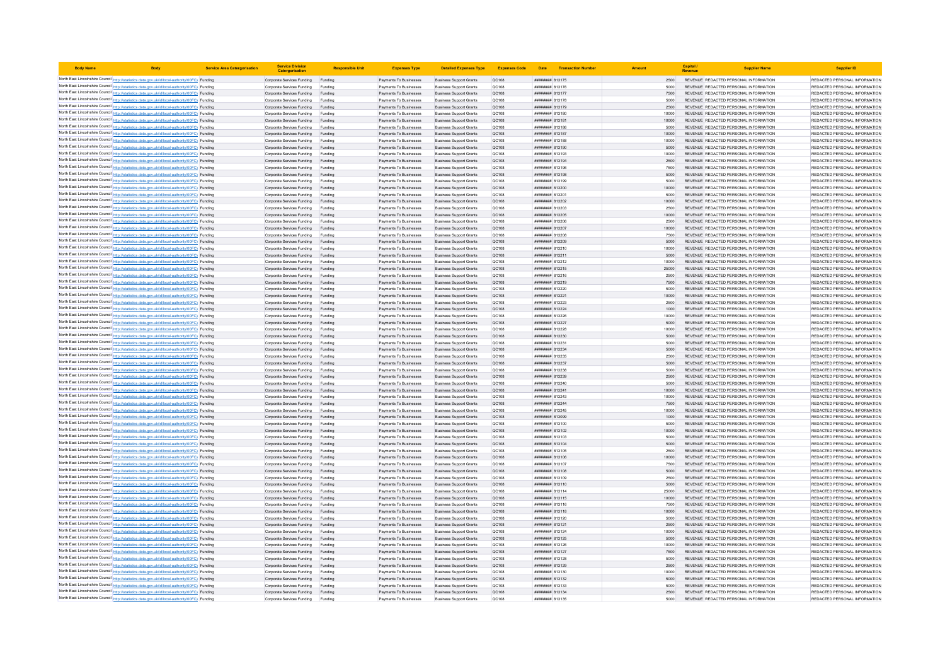| <b>Body Name</b> |                                                                                                                                                                                                  | <b>Service Area Catergorisation</b> | <b>Service Division</b><br>Catergorisatio                | <b>Responsible Uni</b> | <b>Expenses Type</b>                             | <b>Detailed Expenses Type</b>                                    | <b>Expenses Code</b>  |                                   | Date <b>Transaction Number</b> |                | Capital | <b>Supplier Name</b>                                                           | <b>Supplier ID</b>                                             |
|------------------|--------------------------------------------------------------------------------------------------------------------------------------------------------------------------------------------------|-------------------------------------|----------------------------------------------------------|------------------------|--------------------------------------------------|------------------------------------------------------------------|-----------------------|-----------------------------------|--------------------------------|----------------|---------|--------------------------------------------------------------------------------|----------------------------------------------------------------|
|                  | North East Lincolnshire Council http://statistics.data.gov.uk/id/local-authority/00FC) Funding                                                                                                   |                                     | Corporate Services Funding Funding                       |                        | Payments To Businesses                           | <b>Business Support Grants</b>                                   | QC108                 | ######## 813175                   |                                | 2500           |         | REVENUE REDACTED PERSONAL INFORMATION                                          | REDACTED PERSONAL INFORMATION                                  |
|                  | North East Lincolnshire Council http://statistics.data.gov.uk/id/local-authority/00FC) Funding                                                                                                   |                                     | Corporate Services Funding                               | Funding                | Payments To Businesses                           | <b>Business Support Grants</b>                                   | QC108                 | ######## 813176                   |                                | 5000           |         | REVENUE REDACTED PERSONAL INFORMATION                                          | REDACTED PERSONAL INFORMATION                                  |
|                  | North East Lincolnshire Council http://statistics.data.gov.uk/id/local-authority/00FC) Funding                                                                                                   |                                     | Corporate Services Funding                               |                        | Payments To Businesses                           | <b>Business Support Grants</b>                                   | QC108                 | <b>####### 813177</b>             |                                |                |         | REVENUE REDACTED PERSONAL INFORMATION                                          | REDACTED PERSONAL INFORMATION                                  |
|                  | North East Lincolnshire Council http://statistics.data.gov.uk/id/local-authority/00FC) Funding                                                                                                   |                                     | Corporate Services Funding                               | Funding                | Payments To Businesses                           | <b>Business Support Grants</b>                                   | OC108                 | ####### 813178                    |                                | 5000           |         | REVENUE REDACTED PERSONAL INFORMATION                                          | REDACTED PERSONAL INFORMATION                                  |
|                  | North East Lincolnshire Council http://statistics.data.gov.uk/id/local-authority/00FC) Funding<br>North East Lincolnshire Council http://statistics.data.gov.uk/id/local-authority/00FC) Funding |                                     | Corporate Services Funding Funding                       |                        | Payments To Businesses<br>Payments To Businesses | <b>Business Support Grants</b>                                   | <b>QC108</b><br>QC108 | ######## 813179<br>####### 813180 |                                | 2500           |         | REVENUE REDACTED PERSONAL INFORMATION<br>REVENUE REDACTED PERSONAL INFORMATION | REDACTED PERSONAL INFORMATION<br>REDACTED PERSONAL INFORMATION |
|                  | North East Lincolnshire Council http://statistics.data.gov.uk/id/local-authority/00FC) Funding                                                                                                   |                                     | Corporate Services Funding<br>Corporate Services Funding | Funding<br>Funding     | Payments To Businesses                           | <b>Business Support Grants</b><br><b>Business Support Grants</b> | QC108                 | ####### 813181                    |                                | 10000<br>10000 |         | REVENUE REDACTED PERSONAL INFORMATION                                          | REDACTED PERSONAL INFORMATION                                  |
|                  | North East Lincolnshire Council http://statistics.data.gov.uk/id/local-authority/00FC) Funding                                                                                                   |                                     | Corporate Services Funding                               | Funding                | Payments To Businesses                           | <b>Business Support Grants</b>                                   | <b>QC108</b>          | ######## 813186                   |                                | 5000           |         | REVENUE REDACTED PERSONAL INFORMATION                                          | REDACTED PERSONAL INFORMATION                                  |
|                  | North East Lincolnshire Council http://statistics.data.gov.uk/id/local-authority/00FC) Funding                                                                                                   |                                     | Corporate Services Funding                               | Funding                | Payments To Businesses                           | <b>Business Support Grants</b>                                   | QC108                 | ######## 813187                   |                                | 10000          |         | REVENUE REDACTED PERSONAL INFORMATION                                          | REDACTED PERSONAL INFORMATION                                  |
|                  | North East Lincolnshire Council http://statistics.data.gov.uk/id/local-authority/00FC) Funding                                                                                                   |                                     | Corporate Services Funding                               | Funding                | Payments To Businesses                           | <b>Business Support Grants</b>                                   | QC108                 | ####### 81318                     |                                | 10000          |         | REVENUE REDACTED PERSONAL INFORMATION                                          | REDACTED PERSONAL INFORMATION                                  |
|                  | North East Lincolnshire Council http://statistics.data.gov.uk/id/local-authority/00FC) Funding                                                                                                   |                                     | Corporate Services Funding                               | Funding                | Payments To Businesses                           | <b>Business Support Grants</b>                                   | QC108                 | ####### 813190                    |                                | 5000           |         | REVENUE REDACTED PERSONAL INFORMATION                                          | REDACTED PERSONAL INFORMATION                                  |
|                  | North East Lincolnshire Council http://statistics.data.gov.uk/id/local-authority/00FC) Funding                                                                                                   |                                     | Corporate Services Funding                               | Funding                | Payments To Businesses                           | <b>Business Support Grants</b>                                   | <b>QC108</b>          | ####### 813193                    |                                | 10000          |         | REVENUE REDACTED PERSONAL INFORMATION                                          | REDACTED PERSONAL INFORMATION                                  |
|                  | North East Lincolnshire Council http://statistics.data.gov.uk/id/local-authority/00FC) Funding                                                                                                   |                                     | Corporate Services Funding                               | Funding                | Payments To Businesses                           | <b>Business Support Grants</b>                                   | QC108                 | ####### 813194                    |                                | 2500           |         | REVENUE REDACTED PERSONAL INFORMATION                                          | REDACTED PERSONAL INFORMATION                                  |
|                  | North East Lincolnshire Council http://statistics.data.gov.uk/id/local-authority/00FC) Funding                                                                                                   |                                     | Corporate Services Funding                               | Funding                | Payments To Businesses                           | <b>Business Support Grants</b>                                   | QC108                 | ######## 813196                   |                                |                |         | REVENUE REDACTED PERSONAL INFORMATION                                          | REDACTED PERSONAL INFORMATION                                  |
|                  | North East Lincolnshire Council http://statistics.data.gov.uk/id/local-authority/00FC) Funding                                                                                                   |                                     | Corporate Services Funding                               | Funding                | Payments To Businesses                           | <b>Business Support Grants</b>                                   | QC108                 | ####### 813198                    |                                | 5000           |         | REVENUE REDACTED PERSONAL INFORMATION                                          | REDACTED PERSONAL INFORMATION                                  |
|                  | North East Lincolnshire Council http://statistics.data.gov.uk/id/local-authority/00FC) Funding                                                                                                   |                                     | Corporate Services Funding                               | Funding                | Payments To Businesses                           | <b>Business Support Grants</b>                                   | QC108<br>QC108        | ######## 813199                   |                                | 5000           |         | REVENUE REDACTED PERSONAL INFORMATION                                          | REDACTED PERSONAL INFORMATION<br>REDACTED PERSONAL INFORMATION |
|                  | North East Lincolnshire Council http://statistics.data.gov.uk/id/local-authority/00FC) Funding<br>North East Lincolnshire Council http://statistics.data.gov.uk/id/local-authority/00FC) Funding |                                     | Corporate Services Funding<br>Corporate Services Funding | Funding<br>Funding     | Payments To Businesses<br>Payments To Businesses | <b>Business Support Grants</b><br><b>Business Support Grants</b> | QC108                 | ######## 813200<br>######## 81320 |                                | 10000<br>5000  |         | REVENUE REDACTED PERSONAL INFORMATION<br>REVENUE REDACTED PERSONAL INFORMATION | REDACTED PERSONAL INFORMATION                                  |
|                  | North East Lincolnshire Council http://statistics.data.gov.uk/id/local-authority/00FC) Funding                                                                                                   |                                     | Corporate Services Funding                               | Funding                | Payments To Businesses                           | <b>Business Support Grants</b>                                   | <b>QC108</b>          | ######## 813202                   |                                | 10000          |         | REVENUE REDACTED PERSONAL INFORMATION                                          | REDACTED PERSONAL INFORMATION                                  |
|                  | North East Lincolnshire Council http://statistics.data.gov.uk/id/local-authority/00FC) Funding                                                                                                   |                                     | Corporate Services Funding                               | Funding                | Payments To Businesses                           | <b>Business Support Grants</b>                                   | <b>QC108</b>          | ######## 813203                   |                                | 2500           |         | REVENUE REDACTED PERSONAL INFORMATION                                          | REDACTED PERSONAL INFORMATION                                  |
|                  | North East Lincolnshire Council http://statistics.data.gov.uk/id/local-authority/00FC) Funding                                                                                                   |                                     | Corporate Services Funding                               | Funding                | Payments To Businesses                           | <b>Business Support Grants</b>                                   | QC108                 | ######## 813205                   |                                | 10000          |         | REVENUE REDACTED PERSONAL INFORMATION                                          | REDACTED PERSONAL INFORMATION                                  |
|                  | North East Lincolnshire Council http://statistics.data.gov.uk/id/local-authority/00FC) Funding                                                                                                   |                                     | Corporate Services Funding                               | Funding                | Payments To Businesses                           | <b>Business Support Grants</b>                                   | QC108                 | ####### 813206                    |                                | 2500           |         | REVENUE REDACTED PERSONAL INFORMATION                                          | REDACTED PERSONAL INFORMATION                                  |
|                  | North East Lincolnshire Council http://statistics.data.gov.uk/id/local-authority/00FC) Funding                                                                                                   |                                     | Corporate Services Funding                               | Funding                | Payments To Businesses                           | <b>Business Support Grants</b>                                   | QC108                 | ######## 813207                   |                                | 10000          |         | REVENUE REDACTED PERSONAL INFORMATION                                          | REDACTED PERSONAL INFORMATION                                  |
|                  | North East Lincolnshire Council http://statistics.data.gov.uk/id/local-authority/00FC) Funding                                                                                                   |                                     | Corporate Services Funding                               | Funding                | Payments To Businesses                           | <b>Business Support Grants</b>                                   | QC108                 | ######## 813208                   |                                | 7500           |         | REVENUE REDACTED PERSONAL INFORMATION                                          | REDACTED PERSONAL INFORMATION                                  |
|                  | North East Lincolnshire Council http://statistics.data.gov.uk/id/local-authority/00FC) Funding                                                                                                   |                                     | Corporate Services Funding                               |                        | Payments To Businesses                           | <b>Business Support Grants</b>                                   | QC108                 | ####### 813209                    |                                | 5000           |         | REVENUE REDACTED PERSONAL INFORMATION                                          | REDACTED PERSONAL INFORMATION                                  |
|                  | North East Lincolnshire Council http://statistics.data.gov.uk/id/local-authority/00FC) Funding                                                                                                   |                                     | Corporate Services Funding                               | Funding                | Payments To Businesses                           | <b>Business Support Grants</b>                                   | QC108                 | ####### 813210                    |                                | 10000          |         | REVENUE REDACTED PERSONAL INFORMATION                                          | REDACTED PERSONAL INFORMATION                                  |
|                  | North East Lincolnshire Council http://statistics.data.gov.uk/id/local-authority/00FC) Funding                                                                                                   |                                     | Corporate Services Funding                               | Funding                | Payments To Businesses                           | <b>Business Support Grants</b>                                   | <b>QC108</b>          | ######## 813211                   |                                | 5000           |         | REVENUE REDACTED PERSONAL INFORMATION                                          | REDACTED PERSONAL INFORMATION                                  |
|                  | North East Lincolnshire Council http://statistics.data.gov.uk/id/local-authority/00FC) Funding<br>North East Lincolnshire Council http://statistics.data.gov.uk/id/local-authority/00FC) Funding |                                     | Corporate Services Funding                               | Funding                | Payments To Businesses                           | <b>Business Support Grants</b>                                   | QC108                 | ####### 813212                    |                                | 10000<br>25000 |         | REVENUE REDACTED PERSONAL INFORMATION                                          | REDACTED PERSONAL INFORMATION                                  |
|                  | North East Lincolnshire Council http://statistics.data.gov.uk/id/local-authority/00FC) Funding                                                                                                   |                                     | Corporate Services Funding<br>Corporate Services Funding | Funding<br>Funding     | Payments To Businesses<br>Payments To Businesses | <b>Business Support Grants</b><br><b>Business Support Grants</b> | QC108<br><b>QC108</b> | ####### 813215<br>######## 813216 |                                | 2500           |         | REVENUE REDACTED PERSONAL INFORMATION<br>REVENUE REDACTED PERSONAL INFORMATION | REDACTED PERSONAL INFORMATION<br>REDACTED PERSONAL INFORMATION |
|                  | North East Lincolnshire Council http://statistics.data.gov.uk/id/local-authority/00FC) Funding                                                                                                   |                                     | Corporate Services Funding                               | Funding                | Payments To Businesses                           | <b>Business Support Grants</b>                                   | QC108                 | ######## 813219                   |                                | 7500           |         | REVENUE REDACTED PERSONAL INFORMATION                                          | REDACTED PERSONAL INFORMATION                                  |
|                  | North East Lincolnshire Council http://statistics.data.gov.uk/id/local-authority/00FC) Funding                                                                                                   |                                     | Corporate Services Funding                               | Funding                | Payments To Businesses                           | <b>Business Support Grants</b>                                   | QC108                 | ######## 813220                   |                                | 5000           |         | REVENUE REDACTED PERSONAL INFORMATION                                          | REDACTED PERSONAL INFORMATION                                  |
|                  | North East Lincolnshire Council http://statistics.data.gov.uk/id/local-authority/00FC) Funding                                                                                                   |                                     | Corporate Services Funding                               | Funding                | Payments To Businesses                           | <b>Business Support Grants</b>                                   | QC108                 | ######## 813221                   |                                | 10000          |         | REVENUE REDACTED PERSONAL INFORMATION                                          | REDACTED PERSONAL INFORMATION                                  |
|                  | North East Lincolnshire Council http://statistics.data.gov.uk/id/local-authority/00FC) Funding                                                                                                   |                                     | Corporate Services Funding                               | Funding                | Payments To Businesses                           | <b>Business Support Grants</b>                                   | OC108                 | <b><i>пининний</i></b> 813223     |                                | 2500           |         | REVENUE REDACTED PERSONAL INFORMATION                                          | REDACTED PERSONAL INFORMATION                                  |
|                  | North East Lincolnshire Council http://statistics.data.gov.uk/id/local-authority/00FC) Funding                                                                                                   |                                     | Corporate Services Funding                               | Funding                | Payments To Businesses                           | <b>Business Support Grants</b>                                   | QC108                 | ####### 813224                    |                                | 1000           |         | REVENUE REDACTED PERSONAL INFORMATION                                          | REDACTED PERSONAL INFORMATION                                  |
|                  | North East Lincolnshire Council http://statistics.data.gov.uk/id/local-authority/00FC) Funding                                                                                                   |                                     | Corporate Services Funding                               | Funding                | Payments To Businesses                           | <b>Business Support Grants</b>                                   | QC108                 | ####### 813226                    |                                |                |         | REVENUE REDACTED PERSONAL INFORMATION                                          | REDACTED PERSONAL INFORMATION                                  |
|                  | North East Lincolnshire Council http://statistics.data.gov.uk/id/local-authority/00FC) Funding                                                                                                   |                                     | Corporate Services Funding                               | Funding                | Payments To Businesses                           | <b>Business Support Grants</b>                                   | QC108                 | ####### 813227                    |                                | 5000           |         | REVENUE REDACTED PERSONAL INFORMATION                                          | REDACTED PERSONAL INFORMATION                                  |
|                  | North East Lincolnshire Council http://statistics.data.gov.uk/id/local-authority/00FC) Funding                                                                                                   |                                     | Corporate Services Funding                               | Funding                | Payments To Businesses                           | <b>Business Support Grants</b>                                   | <b>QC108</b>          | ######## 813228                   |                                | 10000          |         | REVENUE REDACTED PERSONAL INFORMATION                                          | REDACTED PERSONAL INFORMATION                                  |
|                  | North East Lincolnshire Council http://statistics.data.gov.uk/id/local-authority/00FC) Funding<br>North East Lincolnshire Council http://statistics.data.gov.uk/id/local-authority/00FC) Funding |                                     | Corporate Services Funding<br>Corporate Services Funding | Funding                | Payments To Businesses<br>Payments To Businesses | <b>Business Support Grants</b><br><b>Business Support Grants</b> | QC108<br>QC108        | ######## 813230<br>####### 81323  |                                | 5000           |         | REVENUE REDACTED PERSONAL INFORMATION<br>REVENUE REDACTED PERSONAL INFORMATION | REDACTED PERSONAL INFORMATION<br>REDACTED PERSONAL INFORMATION |
|                  | North East Lincolnshire Council http://statistics.data.gov.uk/id/local-authority/00FC) Funding                                                                                                   |                                     | Corporate Services Funding                               | Funding                | Payments To Businesses                           | <b>Business Support Grants</b>                                   | QC108                 | ######## 813234                   |                                | 5000           |         | REVENUE REDACTED PERSONAL INFORMATION                                          | REDACTED PERSONAL INFORMATION                                  |
|                  | North East Lincolnshire Council http://statistics.data.gov.uk/id/local-authority/00FC) Funding                                                                                                   |                                     | Corporate Services Funding                               | Funding                | Payments To Businesses                           | <b>Business Support Grants</b>                                   | <b>QC108</b>          | ####### 813235                    |                                | 2500           |         | REVENUE REDACTED PERSONAL INFORMATION                                          | REDACTED PERSONAL INFORMATION                                  |
|                  | North East Lincolnshire Council http://statistics.data.gov.uk/id/local-authority/00FC) Funding                                                                                                   |                                     | Corporate Services Funding                               | Funding                | Payments To Businesses                           | <b>Business Support Grants</b>                                   | QC108                 | ######## 813237                   |                                | 5000           |         | REVENUE REDACTED PERSONAL INFORMATION                                          | REDACTED PERSONAL INFORMATION                                  |
|                  | North East Lincolnshire Council http://statistics.data.gov.uk/id/local-authority/00FC) Funding                                                                                                   |                                     | Corporate Services Funding                               | Funding                | Payments To Businesses                           | <b>Business Support Grants</b>                                   | QC108                 | ######## 813238                   |                                | 5000           |         | REVENUE REDACTED PERSONAL INFORMATION                                          | REDACTED PERSONAL INFORMATION                                  |
|                  | North East Lincolnshire Council http://statistics.data.gov.uk/id/local-authority/00FC) Funding                                                                                                   |                                     | Corporate Services Funding                               | Funding                | Payments To Businesses                           | <b>Business Support Grants</b>                                   | <b>QC108</b>          | ######## 813239                   |                                | 2500           |         | REVENUE REDACTED PERSONAL INFORMATION                                          | REDACTED PERSONAL INFORMATION                                  |
|                  | North East Lincolnshire Council http://statistics.data.gov.uk/id/local-authority/00FC) Funding                                                                                                   |                                     | Corporate Services Funding                               | Funding                | Payments To Businesses                           | <b>Business Support Grants</b>                                   | QC108                 | ######## 813240                   |                                | 5000           |         | REVENUE REDACTED PERSONAL INFORMATION                                          | REDACTED PERSONAL INFORMATION                                  |
|                  | North East Lincolnshire Council http://statistics.data.gov.uk/id/local-authority/00FC) Funding                                                                                                   |                                     | Corporate Services Funding                               | Funding                | Payments To Businesses                           | <b>Business Support Grants</b>                                   | QC108                 | ######## 813241                   |                                | 10000          |         | REVENUE REDACTED PERSONAL INFORMATION                                          | REDACTED PERSONAL INFORMATION                                  |
|                  | North East Lincolnshire Council http://statistics.data.gov.uk/id/local-authority/00FC) Funding                                                                                                   |                                     | Corporate Services Funding                               | Funding                | Payments To Businesses                           | <b>Business Support Grants</b>                                   | QC108                 | ####### 813243                    |                                | 10000          |         | REVENUE REDACTED PERSONAL INFORMATION                                          | REDACTED PERSONAL INFORMATION                                  |
|                  | North East Lincolnshire Council http://statistics.data.gov.uk/id/local-authority/00FC) Funding                                                                                                   |                                     | Corporate Services Funding                               | Funding                | Payments To Businesses                           | <b>Business Support Grants</b>                                   | <b>QC108</b>          | ######## 813244                   |                                | 7500           |         | REVENUE REDACTED PERSONAL INFORMATION                                          | REDACTED PERSONAL INFORMATION                                  |
|                  | North East Lincolnshire Council http://statistics.data.gov.uk/id/local-authority/00FC) Funding                                                                                                   |                                     | Corporate Services Funding                               | Funding                | Payments To Businesses                           | <b>Business Support Grants</b>                                   | QC108                 | ####### 813245                    |                                | 10000          |         | REVENUE REDACTED PERSONAL INFORMATION                                          | REDACTED PERSONAL INFORMATION                                  |
|                  | North East Lincolnshire Council http://statistics.data.gov.uk/id/local-authority/00FC) Funding<br>North East Lincolnshire Council http://statistics.data.gov.uk/id/local-authority/00FC) Funding |                                     | Corporate Services Funding<br>Corporate Services Funding | Funding<br>Funding     | Payments To Businesses<br>Payments To Businesses | <b>Business Support Grants</b><br><b>Business Support Grants</b> | QC108<br>QC108        | ####### 813099<br>######## 813100 |                                | 5000           |         | REVENUE REDACTED PERSONAL INFORMATION<br>REVENUE REDACTED PERSONAL INFORMATION | REDACTED PERSONAL INFORMATION<br>REDACTED PERSONAL INFORMATION |
|                  | North East Lincolnshire Council http://statistics.data.gov.uk/id/local-authority/00FC) Funding                                                                                                   |                                     | Corporate Services Funding                               | Funding                | Payments To Businesses                           | <b>Business Support Grants</b>                                   | QC108                 | ######## 813102                   |                                | 10000          |         | REVENUE REDACTED PERSONAL INFORMATION                                          | REDACTED PERSONAL INFORMATION                                  |
|                  | North East Lincolnshire Council http://statistics.data.gov.uk/id/local-authority/00FC) Funding                                                                                                   |                                     | Corporate Services Funding                               | Funding                | Payments To Businesses                           | <b>Business Support Grants</b>                                   | QC108                 | ######## 813103                   |                                | 5000           |         | REVENUE REDACTED PERSONAL INFORMATION                                          | REDACTED PERSONAL INFORMATION                                  |
|                  | North East Lincolnshire Council http://statistics.data.gov.uk/id/local-authority/00FC) Funding                                                                                                   |                                     | Corporate Services Funding                               |                        | Payments To Businesses                           | <b>Business Support Grants</b>                                   | QC108                 | ######## 813104                   |                                | 5000           |         | REVENUE REDACTED PERSONAL INFORMATION                                          | REDACTED PERSONAL INFORMATION                                  |
|                  | North East Lincolnshire Council http://statistics.data.gov.uk/id/local-authority/00FC) Funding                                                                                                   |                                     | Corporate Services Funding                               | Funding                | Payments To Businesses                           | <b>Business Support Grants</b>                                   | OC108                 | <b>########</b> 813105            |                                | 2500           |         | REVENUE REDACTED PERSONAL INFORMATION                                          | REDACTED PERSONAL INFORMATION                                  |
|                  | North East Lincolnshire Council http://statistics.data.gov.uk/id/local-authority/00FC) Funding                                                                                                   |                                     | Corporate Services Funding                               | Funding                | Payments To Businesses                           | <b>Business Support Grants</b>                                   | <b>QC108</b>          | ######## 813106                   |                                | 10000          |         | REVENUE REDACTED PERSONAL INFORMATION                                          | REDACTED PERSONAL INFORMATION                                  |
|                  | North East Lincolnshire Council http://statistics.data.gov.uk/id/local-authority/00FC) Funding                                                                                                   |                                     | Corporate Services Funding                               | Funding                | Payments To Businesses                           | <b>Business Support Grants</b>                                   | QC108                 | ######## 813107                   |                                | 7500           |         | REVENUE REDACTED PERSONAL INFORMATION                                          | REDACTED PERSONAL INFORMATION                                  |
|                  | North East Lincolnshire Council http://statistics.data.gov.uk/id/local-authority/00FC) Funding                                                                                                   |                                     | Corporate Services Funding                               | Funding                | Payments To Businesses                           | <b>Business Support Grants</b>                                   | QC108                 | ####### 813108                    |                                | 5000           |         | REVENUE REDACTED PERSONAL INFORMATION                                          | REDACTED PERSONAL INFORMATION                                  |
|                  | North East Lincolnshire Council http://statistics.data.gov.uk/id/local-authority/00FC) Funding                                                                                                   |                                     | Corporate Services Funding                               | Funding                | Payments To Businesses                           | <b>Business Support Grants</b>                                   | <b>QC108</b>          | ######## 813109                   |                                | 2500           |         | REVENUE REDACTED PERSONAL INFORMATION                                          | REDACTED PERSONAL INFORMATION                                  |
|                  | North East Lincolnshire Council http://statistics.data.gov.uk/id/local-authority/00FC) Funding<br>North East Lincolnshire Council http://statistics.data.gov.uk/id/local-authority/00FC) Funding |                                     | Corporate Services Funding<br>Corporate Services Funding | Funding<br>Funding     | Payments To Businesses<br>Payments To Businesses | <b>Business Support Grants</b><br><b>Business Support Grants</b> | QC108<br>QC108        | ######## 813110<br>####### 81311  |                                | 5000<br>25000  |         | REVENUE REDACTED PERSONAL INFORMATION<br>REVENUE REDACTED PERSONAL INFORMATION | REDACTED PERSONAL INFORMATION<br>REDACTED PERSONAL INFORMATION |
|                  | North East Lincolnshire Council http://statistics.data.gov.uk/id/local-authority/00FC) Funding                                                                                                   |                                     | Corporate Services Funding                               | Funding                | Payments To Businesses                           | <b>Business Support Grants</b>                                   | QC108                 | ####### 813115                    |                                |                |         | REVENUE REDACTED PERSONAL INFORMATION                                          | REDACTED PERSONAL INFORMATION                                  |
|                  | North East Lincolnshire Council http://statistics.data.gov.uk/id/local-authority/00FC) Funding                                                                                                   |                                     | Corporate Services Funding                               | Funding                | Payments To Businesses                           | <b>Business Support Grants</b>                                   | QC108                 | ####### 813116                    |                                | 7500           |         | REVENUE REDACTED PERSONAL INFORMATION                                          | REDACTED PERSONAL INFORMATION                                  |
|                  | North East Lincolnshire Council http://statistics.data.gov.uk/id/local-authority/00FC) Funding                                                                                                   |                                     | Corporate Services Funding                               | Funding                | Payments To Businesses                           | <b>Business Support Grants</b>                                   | QC108                 | ####### 813118                    |                                | 10000          |         | REVENUE REDACTED PERSONAL INFORMATION                                          | REDACTED PERSONAL INFORMATION                                  |
|                  | North East Lincolnshire Council http://statistics.data.gov.uk/id/local-authority/00FC) Funding                                                                                                   |                                     | Corporate Services Funding                               | Funding                | Payments To Businesses                           | <b>Business Support Grants</b>                                   | QC108                 | ######## 813120                   |                                | 5000           |         | REVENUE REDACTED PERSONAL INFORMATION                                          | REDACTED PERSONAL INFORMATION                                  |
|                  | North East Lincolnshire Council http://statistics.data.gov.uk/id/local-authority/00FC) Funding                                                                                                   |                                     | Corporate Services Funding                               | Funding                | Payments To Businesses                           | <b>Business Support Grants</b>                                   | QC108                 | ######## 813121                   |                                | 2500           |         | REVENUE REDACTED PERSONAL INFORMATION                                          | REDACTED PERSONAL INFORMATION                                  |
|                  | North East Lincolnshire Council http://statistics.data.gov.uk/id/local-authority/00FC) Funding                                                                                                   |                                     | Corporate Services Funding                               | Funding                | Payments To Businesses                           | <b>Business Support Grants</b>                                   | QC108                 | ######## 813124                   |                                | 10000          |         | REVENUE REDACTED PERSONAL INFORMATION                                          | REDACTED PERSONAL INFORMATION                                  |
|                  | North East Lincolnshire Council http://statistics.data.gov.uk/id/local-authority/00FC) Funding                                                                                                   |                                     | Corporate Services Funding                               | Funding                | Payments To Businesses                           | <b>Business Support Grants</b>                                   | QC108                 | ######## 813125                   |                                | 5000           |         | REVENUE REDACTED PERSONAL INFORMATION                                          | REDACTED PERSONAL INFORMATION                                  |
|                  | North East Lincolnshire Council http://statistics.data.gov.uk/id/local-authority/00FC) Funding                                                                                                   |                                     | Corporate Services Funding                               |                        | Payments To Businesses                           | <b>Business Support Grants</b>                                   | <b>QC108</b>          | ######## 813126                   |                                | 10000          |         | REVENUE REDACTED PERSONAL INFORMATION                                          | REDACTED PERSONAL INFORMATION                                  |
|                  | North East Lincolnshire Council http://statistics.data.gov.uk/id/local-authority/00FC) Funding                                                                                                   |                                     | Corporate Services Funding                               | Funding                | Payments To Businesses                           | <b>Business Support Grants</b>                                   | <b>OC108</b>          | <b>ПЕНИНИЯ</b> 813127             |                                | 7500           |         | REVENUE REDACTED PERSONAL INFORMATION                                          | REDACTED PERSONAL INFORMATION                                  |
|                  | North East Lincolnshire Council http://statistics.data.gov.uk/id/local-authority/00FC) Funding                                                                                                   |                                     | Corporate Services Funding                               | Funding                | Payments To Businesses                           | <b>Business Support Grants</b>                                   | QC108                 | ######## 813128                   |                                | 5000           |         | REVENUE REDACTED PERSONAL INFORMATION                                          | REDACTED PERSONAL INFORMATION                                  |
|                  | North East Lincolnshire Council http://statistics.data.gov.uk/id/local-authority/00FC) Funding<br>North East Lincolnshire Council http://statistics.data.gov.uk/id/local-authority/00FC) Funding |                                     | Corporate Services Funding<br>Corporate Services Funding | Funding<br>Funding     | Payments To Businesses<br>Payments To Businesses | <b>Business Support Grants</b><br><b>Business Support Grants</b> | QC108<br>QC108        | ####### 813129<br>####### 813130  |                                | 10000          |         | REVENUE REDACTED PERSONAL INFORMATION<br>REVENUE REDACTED PERSONAL INFORMATION | REDACTED PERSONAL INFORMATION<br>REDACTED PERSONAL INFORMATION |
|                  | North East Lincolnshire Council http://statistics.data.gov.uk/id/local-authority/00FC) Funding                                                                                                   |                                     | Corporate Services Funding                               | Funding                | Payments To Businesses                           | <b>Business Support Grants</b>                                   | QC108                 | ######## 813132                   |                                | 5000           |         | REVENUE REDACTED PERSONAL INFORMATION                                          | REDACTED PERSONAL INFORMATION                                  |
|                  | North East Lincolnshire Council http://statistics.data.gov.uk/id/local-authority/00FC) Funding                                                                                                   |                                     | Corporate Services Funding                               | Funding                | Payments To Businesses                           | <b>Business Support Grants</b>                                   | QC108                 | ######## 813133                   |                                | 5000           |         | REVENUE REDACTED PERSONAL INFORMATION                                          | REDACTED PERSONAL INFORMATION                                  |
|                  | North East Lincolnshire Council http://statistics.data.gov.uk/id/local-authority/00FC) Funding                                                                                                   |                                     | Corporate Services Funding                               | Funding                | Payments To Businesses                           | <b>Business Support Grants</b>                                   | QC108                 | ######## 813134                   |                                | 2500           |         | REVENUE REDACTED PERSONAL INFORMATION                                          | REDACTED PERSONAL INFORMATION                                  |
|                  | North East Lincolnshire Council http://statistics.data.gov.uk/id/local-authority/00FC) Funding                                                                                                   |                                     | Corporate Services Funding                               | Funding                | Payments To Businesses                           | <b>Business Support Grants</b>                                   | OC108                 | <b>пининний</b> 813135            |                                | 5000           |         | REVENUE REDACTED PERSONAL INFORMATION                                          | REDACTED PERSONAL INFORMATION                                  |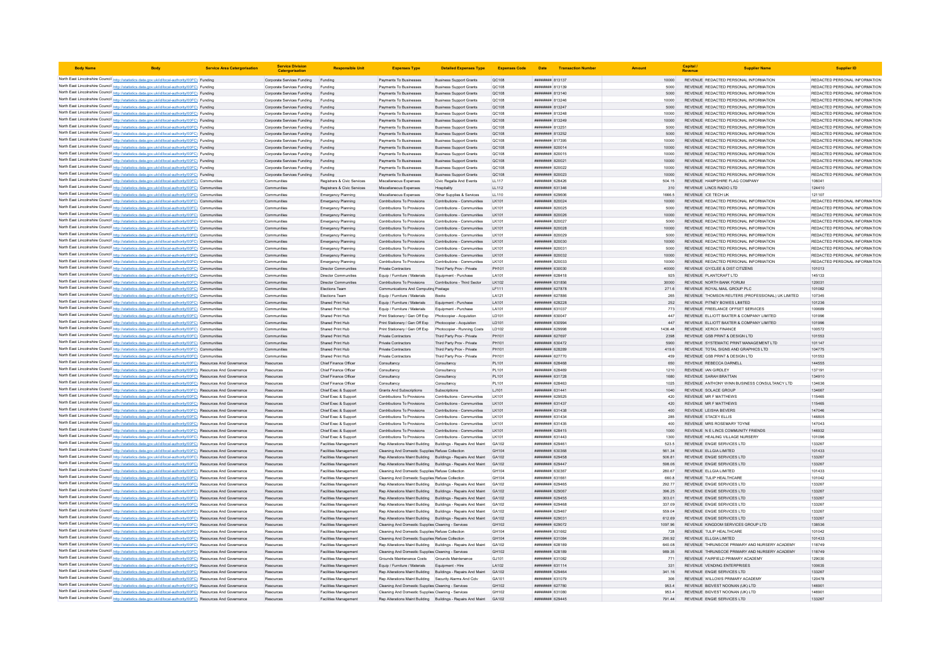| <b>Body Name</b> |                                                                                                                                                                                                                                    | <b>Service Area Catergorisation</b> | <b>Service Division</b><br>Catergorisatio                | <b>Responsible Uni</b>                                     | <b>Expenses Type</b>                                                                                             | <b>Detailed Expenses Type</b>                                      | <b>Expenses Code</b> |                                    | Date Transaction Numbe |                  | Capital /<br>Revenue                                 | <b>Supplier Name</b>                                                           | <b>Supplier ID</b>                                             |
|------------------|------------------------------------------------------------------------------------------------------------------------------------------------------------------------------------------------------------------------------------|-------------------------------------|----------------------------------------------------------|------------------------------------------------------------|------------------------------------------------------------------------------------------------------------------|--------------------------------------------------------------------|----------------------|------------------------------------|------------------------|------------------|------------------------------------------------------|--------------------------------------------------------------------------------|----------------------------------------------------------------|
|                  | North East Lincolnshire Council http://statistics.data.gov.uk/id/local-authority/00FC) Funding                                                                                                                                     |                                     | Corporate Services Funding                               | Funding                                                    | Payments To Businesses                                                                                           | <b>Business Support Grants</b>                                     | <b>QC108</b>         | ######## 813137                    |                        | 10000            |                                                      | REVENUE REDACTED PERSONAL INFORMATION                                          | REDACTED PERSONAL INFORMATION                                  |
|                  | North East Lincolnshire Council http://statistics.data.gov.uk/id/local-authority/00FC) Funding                                                                                                                                     |                                     | Corporate Services Funding                               | Funding                                                    | Payments To Businesses                                                                                           | <b>Business Support Grants</b>                                     | QC108                | ######## 813139                    |                        | 5000             |                                                      | REVENUE REDACTED PERSONAL INFORMATION                                          | REDACTED PERSONAL INFORMATION                                  |
|                  | North East Lincolnshire Council http://statistics.data.gov.uk/id/local-authority/00FC) Funding                                                                                                                                     |                                     | Corporate Services Funding                               |                                                            | Payments To Businesses                                                                                           | <b>Business Support Grants</b>                                     | QC108                | ####### 813140                     |                        | 5000             |                                                      | REVENUE REDACTED PERSONAL INFORMATION                                          | REDACTED PERSONAL INFORMATION                                  |
|                  | North East Lincolnshire Council http://statistics.data.gov.uk/id/local-authority/00FC) Funding                                                                                                                                     |                                     | Corporate Services Funding                               | Funding                                                    | Payments To Businesses                                                                                           | <b>Business Support Grants</b>                                     | <b>QC108</b>         |                                    |                        | 10000            |                                                      | REVENUE REDACTED PERSONAL INFORMATION                                          | REDACTED PERSONAL INFORMATION                                  |
|                  | North East Lincolnshire Council http://statistics.data.gov.uk/id/local-authority/00FC) Funding                                                                                                                                     |                                     | Corporate Services Funding                               | Funding                                                    | Payments To Businesses                                                                                           | Business Support Grants                                            | <b>QC108</b>         | ######## 813247                    |                        | 5000             |                                                      | REVENUE REDACTED PERSONAL INFORMATION                                          | REDACTED PERSONAL INFORMATION                                  |
|                  | North East Lincolnshire Council http://statistics.data.gov.uk/id/local-authority/00FC) Funding                                                                                                                                     |                                     | Corporate Services Funding                               | Funding                                                    | Payments To Businesses                                                                                           | <b>Business Support Grants</b>                                     | <b>QC108</b>         | ######## 813248                    |                        | 10000            |                                                      | REVENUE REDACTED PERSONAL INFORMATION                                          | REDACTED PERSONAL INFORMATION                                  |
|                  | North East Lincolnshire Council http://statistics.data.gov.uk/id/local-authority/00FC) Funding<br>North East Lincolnshire Council http://statistics.data.gov.uk/id/local-authority/00FC) Funding                                   |                                     | Corporate Services Funding<br>Corporate Services Funding | Funding<br>Funding                                         | Payments To Businesses<br>Payments To Businesses                                                                 | <b>Business Support Grants</b><br><b>Business Support Grants</b>   | QC108<br>OC108       | ####### 813249<br>######## 813251  |                        | 10000<br>5000    |                                                      | REVENUE REDACTED PERSONAL INFORMATION<br>REVENUE REDACTED PERSONAL INFORMATION | REDACTED PERSONAL INFORMATION<br>REDACTED PERSONAL INFORMATION |
|                  | North East Lincolnshire Council http://statistics.data.gov.uk/id/local-authority/00FC) Funding                                                                                                                                     |                                     | Corporate Services Funding                               | Funding                                                    | Payments To Businesses                                                                                           | <b>Business Support Grants</b>                                     | QC108                | <b>пининни 813252</b>              |                        | 5000             |                                                      | REVENUE REDACTED PERSONAL INFORMATION                                          | REDACTED PERSONAL INFORMATION                                  |
|                  | North East Lincolnshire Council http://statistics.data.gov.uk/id/local-authority/00FC) Funding                                                                                                                                     |                                     | Corporate Services Funding                               | Funding                                                    | Payments To Businesses                                                                                           | <b>Business Support Grants</b>                                     | QC108                | ######## 817395                    |                        | 10000            |                                                      | REVENUE REDACTED PERSONAL INFORMATION                                          | REDACTED PERSONAL INFORMATION                                  |
|                  | North East Lincolnshire Council http://statistics.data.gov.uk/id/local-authority/00FC) Funding                                                                                                                                     |                                     | Corporate Services Funding                               | Funding                                                    | Payments To Businesses                                                                                           | <b>Business Support Grants</b>                                     | OC108                | <b><i>BREEBBER</i></b> 820014      |                        | 10000            |                                                      | REVENUE REDACTED PERSONAL INFORMATION                                          | REDACTED PERSONAL INFORMATION                                  |
|                  | North East Lincolnshire Council http://statistics.data.gov.uk/id/local-authority/00FC) Funding                                                                                                                                     |                                     | Corporate Services Funding                               | Funding                                                    | Payments To Businesses                                                                                           | <b>Business Sunnort Grants</b>                                     | OC108                | ######## 820015                    |                        | 10000            |                                                      | REVENUE REDACTED PERSONAL INFORMATION                                          | REDACTED PERSONAL INFORMATION                                  |
|                  | North East Lincolnshire Council http://statistics.data.gov.uk/id/local-authority/00FC) Funding                                                                                                                                     |                                     | Corporate Services Funding                               | Funding                                                    | Payments To Businesses                                                                                           | <b>Business Support Grants</b>                                     | QC108                | ######## 820021                    |                        | 10000            |                                                      | REVENUE REDACTED PERSONAL INFORMATION                                          | REDACTED PERSONAL INFORMATION                                  |
|                  | North East Lincolnshire Council http://statistics.data.gov.uk/id/local-authority/00FC) Funding                                                                                                                                     |                                     | Corporate Services Funding                               | Funding                                                    | Payments To Businesses                                                                                           | <b>Business Support Grants</b>                                     | QC108                | ####### 820022                     |                        | 10000            |                                                      | REVENUE REDACTED PERSONAL INFORMATION                                          | REDACTED PERSONAL INFORMATION                                  |
|                  | North East Lincolnshire Council http://statistics.data.gov.uk/id/local-authority/00FC) Funding                                                                                                                                     |                                     | Corporate Services Funding                               | Funding                                                    | Payments To Businesses                                                                                           | <b>Business Support Grants</b>                                     | QC108                | ######## 820023                    |                        | 10000            |                                                      | REVENUE REDACTED PERSONAL INFORMATION                                          | REDACTED PERSONAL INFORMATION                                  |
|                  | North East Lincolnshire Council http://statistics.data.gov.uk/id/local-authority/00FC) Communities<br>North East Lincolnshire Council http://statistics.data.gov.uk/id/local-authority/00FC) Communities                           |                                     | Communities<br>Communities                               | Registrars & Civic Services<br>Registrars & Civic Services | Miscellaneous Expenses<br>Miscellaneous Expenses                                                                 | Civic Regalia And Events<br>Hospitality                            | LL117<br>LL112       | ######## 628426<br>######## 631346 |                        | 504.15<br>310    | REVENUE LINCS RADIO LTD                              | REVENUE HAMPSHIRE FLAG COMPANY                                                 | 106041<br>124410                                               |
|                  | North East Lincolnshire Council http://statistics.data.gov.uk/id/local-authority/00FC) Communities                                                                                                                                 |                                     | Communities                                              | Emergency Planning                                         | Miscellaneous Expenses                                                                                           | Other Supplies & Services                                          | LL110                | <b>####### 62960</b>               |                        | 1666.5           | REVENUE ICE TECH UK                                  |                                                                                | 121107                                                         |
|                  | North East Lincolnshire Council http://statistics.data.gov.uk/id/local-authority/00FC) Communities                                                                                                                                 |                                     | Communities                                              | Emergency Planning                                         | Contributions To Provisions                                                                                      | Contributions - Communities                                        | LK101                | <b>пининний</b> 820024             |                        | 10000            |                                                      | REVENUE REDACTED PERSONAL INFORMATION                                          | REDACTED PERSONAL INFORMATION                                  |
|                  | North East Lincolnshire Council http://statistics.data.gov.uk/id/local-authority/00FC) Communities                                                                                                                                 |                                     | Communities                                              | Emergency Planning                                         | Contributions To Provisions                                                                                      | Contributions - Communities                                        | LK101                | ######## 820025                    |                        | 5000             |                                                      | REVENUE REDACTED PERSONAL INFORMATION                                          | REDACTED PERSONAL INFORMATION                                  |
|                  | North East Lincolnshire Council http://statistics.data.gov.uk/id/local-authority/00FC) Communities                                                                                                                                 |                                     | Communities                                              | Emergency Planning                                         | Contributions To Provisions                                                                                      | Contributions - Communities                                        | LK101                | ######## 820026                    |                        | 10000            |                                                      | REVENUE REDACTED PERSONAL INFORMATION                                          | REDACTED PERSONAL INFORMATION                                  |
|                  | North East Lincolnshire Council http://statistics.data.gov.uk/id/local-authority/00FC) Communities                                                                                                                                 |                                     | Communities                                              | <b>Emergency Planning</b>                                  | Contributions To Provisions                                                                                      | Contributions - Communities                                        | LK101                | ######## 820027                    |                        | 5000             |                                                      | REVENUE REDACTED PERSONAL INFORMATION                                          | REDACTED PERSONAL INFORMATION                                  |
|                  | North East Lincolnshire Council http://statistics.data.gov.uk/id/local-authority/00FC) Communities                                                                                                                                 |                                     | Communities                                              | <b>Emergency Planning</b>                                  | Contributions To Provisions                                                                                      | Contributions - Communities                                        | I K101               | <b><i>пивниния</i></b> 820028      |                        | 10000            |                                                      | REVENUE REDACTED PERSONAL INFORMATION                                          | REDACTED PERSONAL INFORMATION                                  |
|                  | North East Lincolnshire Council http://statistics.data.gov.uk/id/local-authority/00FC) Communities                                                                                                                                 |                                     | Communities                                              | <b>Emergency Planning</b>                                  | Contributions To Provisions                                                                                      | Contributions - Communities                                        | $1$ K <sub>10</sub>  | ######## 820029                    |                        | 5000             |                                                      | REVENUE REDACTED PERSONAL INFORMATION                                          | REDACTED PERSONAL INFORMATION                                  |
|                  | North East Lincolnshire Council http://statistics.data.gov.uk/id/local-authority/00FC) Communities                                                                                                                                 |                                     | Communities                                              | Emergency Planning                                         | Contributions To Provisions                                                                                      | Contributions - Communities                                        | LK101                | ######## 820030                    |                        | 10000            |                                                      | REVENUE REDACTED PERSONAL INFORMATION                                          | REDACTED PERSONAL INFORMATION                                  |
|                  | North East Lincolnshire Council http://statistics.data.gov.uk/id/local-authority/00FC) Communities                                                                                                                                 |                                     | Communities                                              | <b>Emergency Planning</b>                                  | Contributions To Provisions                                                                                      | Contributions - Communities                                        | I K101               | ####### 820031                     |                        | 5000             |                                                      | REVENUE REDACTED PERSONAL INFORMATION                                          | REDACTED PERSONAL INFORMATION                                  |
|                  | North East Lincolnshire Council http://statistics.data.gov.uk/id/local-authority/00FC) Communities<br>North East Lincolnshire Council http://statistics.data.gov.uk/id/local-authority/00FC) Communities                           |                                     | Communities<br>Communities                               | Emergency Planning<br><b>Emergency Planning</b>            | Contributions To Provisions<br>Contributions To Provisions                                                       | Contributions - Communities<br>Contributions - Communities         | LK101<br>LK101       | ######## 820032<br>######## 820033 |                        | 10000<br>10000   |                                                      | REVENUE REDACTED PERSONAL INFORMATION<br>REVENUE REDACTED PERSONAL INFORMATION | REDACTED PERSONAL INFORMATION<br>REDACTED PERSONAL INFORMATION |
|                  | North East Lincolnshire Council http://statistics.data.gov.uk/id/local-authority/00FC) Communities                                                                                                                                 |                                     | Communities                                              | <b>Director Communities</b>                                | Private Contractors                                                                                              | Third Party Prov - Private                                         | PH101                | ######## 630030                    |                        | 40000            |                                                      | REVENUE GY/CLEE & DIST CITIZENS                                                | 101013                                                         |
|                  | North East Lincolnshire Council http://statistics.data.gov.uk/id/local-authority/00FC) Communities                                                                                                                                 |                                     | Communities                                              | <b>Director Communities</b>                                | Equip / Furniture / Materials                                                                                    | Equipment - Purchase                                               | LA101                | ######## 628418                    |                        | 925              | REVENUE PLANTCRAFT LTD                               |                                                                                | 145133                                                         |
|                  | North East Lincolnshire Council http://statistics.data.gov.uk/id/local-authority/00FC) Communities                                                                                                                                 |                                     | Communities                                              | <b>Director Communities</b>                                | Contributions To Provisions                                                                                      | Contributions - Third Sector                                       | LK102                | ######## 631856                    |                        | 30000            | REVENUE NORTH BANK FORUM                             |                                                                                | 120031                                                         |
|                  | North East Lincolnshire Council http://statistics.data.gov.uk/id/local-authority/00FC) Communities                                                                                                                                 |                                     | Communities                                              | Elections Team                                             | Communications And Computing Postage                                                                             |                                                                    | LF111                | ######## 627878                    |                        | 271.6            |                                                      | REVENUE ROYAL MAIL GROUP PLC                                                   | 101082                                                         |
|                  | North East Lincolnshire Council http://statistics.data.gov.uk/id/local-authority/00FC) Communities                                                                                                                                 |                                     | Communities                                              | Elections Team                                             | Equip / Furniture / Materials                                                                                    | Books                                                              | LA121                | ####### 62788                      |                        | 265              |                                                      | REVENUE THOMSON REUTERS (PROFESSIONAL) UK LIMITED                              | 107345                                                         |
|                  | North East Lincolnshire Council http://statistics.data.gov.uk/id/local-authority/00FC) Communities                                                                                                                                 |                                     | Communities                                              | Shared Print Hub                                           | Equip / Furniture / Materials                                                                                    | Foujoment - Purchase                                               | LA101                | ######## 628228                    |                        | 252              |                                                      | REVENUE PITNEY BOWES LIMITED                                                   | 101236                                                         |
|                  | North East Lincolnshire Council http://statistics.data.gov.uk/id/local-authority/00FC) Communities                                                                                                                                 |                                     | Communities                                              | Shared Print Hub                                           | Equip / Furniture / Materials                                                                                    | Equipment - Purchase                                               | LA101                | ######## 631037                    |                        | 773              |                                                      | REVENUE FREELANCE OFFSET SERVICES                                              | 100689                                                         |
|                  | North East Lincolnshire Council http://statistics.data.gov.uk/id/local-authority/00FC) Communities                                                                                                                                 |                                     | Communities                                              | Shared Print Hub                                           | Print Stationery / Gen Off Exp                                                                                   | Photocopier - Acquistion                                           | LD101                | ######## 630047                    |                        | 447              |                                                      | REVENUE ELLIOTT BAXTER & COMPANY LIMITED                                       | 101996                                                         |
|                  | North East Lincolnshire Council http://statistics.data.gov.uk/id/local-authority/00FC) Communities<br>North East Lincolnshire Council http://statistics.data.gov.uk/id/local-authority/00FC) Communities                           |                                     | <b>Communities</b><br>Communities                        | Shared Print Hub<br>Shared Print Hub                       | Print Stationery / Gen Off Exp<br>Print Stationery / Gen Off Exp                                                 | Photocopier - Acquistion<br>Photocopier - Running Costs            | LD101<br>LD102       | ######## 630994<br>829993 BBBBBBBB |                        | 447<br>1436 48   | REVENUE XEROX FINANCE                                | REVENUE ELLIOTT BAXTER & COMPANY LIMITED                                       | 101996<br>100572                                               |
|                  | North East Lincolnshire Council http://statistics.data.gov.uk/id/local-authority/00FC) Communities                                                                                                                                 |                                     | Communities                                              | Shared Print Hub                                           | Private Contractors                                                                                              | Third Party Prov - Private                                         | PH101                | ######## 627697                    |                        | 2398             |                                                      | REVENUE GSB PRINT & DESIGN LTD                                                 | 101553                                                         |
|                  | North East Lincolnshire Council http://statistics.data.gov.uk/id/local-authority/00FC) Communities                                                                                                                                 |                                     | Communities                                              | Shared Print Hub                                           | Private Contractors                                                                                              | Third Party Prov - Private                                         | PH101                | ######## 630472                    |                        | 5900             |                                                      | REVENUE SYSTEMATIC PRINT MANAGEMENT LTD                                        | 101147                                                         |
|                  | North East Lincolnshire Council http://statistics.data.gov.uk/id/local-authority/00FC) Communities                                                                                                                                 |                                     | Communities                                              | Shared Print Hub                                           | Private Contractors                                                                                              | Third Party Prov - Private                                         | PH101                | ######## 628289                    |                        | 419.6            |                                                      | REVENUE TOTAL SIGNS AND GRAPHICS LTD                                           | 104775                                                         |
|                  | North East Lincolnshire Council http://statistics.data.gov.uk/id/local-authority/00FC) Communities                                                                                                                                 |                                     | Communities                                              | Shared Print Hub                                           | <b>Private Contractors</b>                                                                                       | Third Party Prov - Private                                         | PH101                | ######## 627770                    |                        | 459              |                                                      | REVENUE GSB PRINT & DESIGN LTD                                                 | 101553                                                         |
|                  | North East Lincolnshire Council http://statistics.data.gov.uk/id/local-authority/00FC) Resources And Governance                                                                                                                    |                                     | Resources                                                | Chief Finance Officer                                      | Consultancy                                                                                                      | Consultancy                                                        | PL101                | ######## 628468                    |                        | 650              | REVENUE REBECCA DARNELL                              |                                                                                | 144555                                                         |
|                  | North East Lincolnshire Council http://statistics.data.gov.uk/id/local-authority/00FC) Resources And Governance                                                                                                                    |                                     | Resources                                                | Chief Finance Office                                       | Consultancy                                                                                                      | Consultancy                                                        | PL101                | ######## 628469                    |                        | 1210             | REVENUE IAN GIRDLEY                                  |                                                                                | 137191                                                         |
|                  | North East Lincolnshire Council http://statistics.data.gov.uk/id/local-authority/00FC) Resources And Governance                                                                                                                    |                                     | Resources                                                | Chief Finance Officer                                      | Consultancy                                                                                                      | Consultancy                                                        | PL101                | ######## 631728                    |                        | 1680             | REVENUE SARAH BRATTAN                                |                                                                                | 134910                                                         |
|                  | North East Lincolnshire Council http://statistics.data.gov.uk/id/local-authority/00FC) Resources And Governance<br>North East Lincolnshire Council http://statistics.data.gov.uk/id/local-authority/00FC) Resources And Governance |                                     | Resources<br>Resources                                   | Chief Finance Office<br>Chief Exec & Suppor                | Consultancy<br>Grants And Subscriptions                                                                          | Consultancy<br>Subscriptions                                       | PL101<br>LJ101       | ######## 628463<br>######## 631441 |                        | 1025<br>1040     | REVENUE SOLACE GROUP                                 | REVENUE ANTHONY WINN BUSINESS CONSULTANCY LTD                                  | 134636<br>134667                                               |
|                  | North East Lincolnshire Council http://statistics.data.gov.uk/id/local-authority/00FC) Resources And Governance                                                                                                                    |                                     | Resource                                                 | Chief Exec & Suppor                                        | Contributions To Provisions                                                                                      | Contributions - Communities                                        | LK101                | ######## 629525                    |                        | 420              | REVENUE MR F MATTHEWS                                |                                                                                | 115465                                                         |
|                  | North East Lincolnshire Council http://statistics.data.gov.uk/id/local-authority/00FC) Resources And Governance                                                                                                                    |                                     | Resources                                                | Chief Exec & Sunnon                                        | Contributions To Provisions                                                                                      | Contributions - Communities                                        | I K101               | <b><i>BREEBBBB</i></b> 631437      |                        | 420              | REVENUE MR F MATTHEWS                                |                                                                                | 115465                                                         |
|                  | North East Lincolnshire Council http://statistics.data.gov.uk/id/local-authority/00FC) Resources And Governance                                                                                                                    |                                     | Resources                                                | Chief Exec & Support                                       | Contributions To Provisions                                                                                      | Contributions - Communities                                        | LK101                | ######## 631438                    |                        | 400              | REVENUE LEISHA BEVERS                                |                                                                                | 147046                                                         |
|                  | North East Lincolnshire Council http://statistics.data.gov.uk/id/local-authority/00FC) Resources And Governance                                                                                                                    |                                     | Resources                                                | Chief Exec & Support                                       | Contributions To Provisions                                                                                      | Contributions - Communities                                        | LK101                | ######## 631434                    |                        | 285              | REVENUE STACEY ELLIS                                 |                                                                                | 146805                                                         |
|                  | North East Lincolnshire Council http://statistics.data.gov.uk/id/local-authority/00FC) Resources And Governance                                                                                                                    |                                     | Resources                                                | Chief Exec & Suppor                                        | Contributions To Provisions                                                                                      | Contributions - Communities                                        | LK101                | ####### 631435                     |                        | 400              |                                                      | REVENUE MRS ROSEMARY TOYNE                                                     | 147043                                                         |
|                  | North East Lincolnshire Council http://statistics.data.gov.uk/id/local-authority/00FC) Resources And Governance                                                                                                                    |                                     | Resources                                                | Chief Exec & Support                                       | Contributions To Provisions                                                                                      | Contributions - Communities                                        | I K101               | <b>ПНИНИНИ 628415</b>              |                        | 1000             |                                                      | REVENUE IN ELINCS COMMUNITY FRIENDS                                            | 146932                                                         |
|                  | North East Lincolnshire Council http://statistics.data.gov.uk/id/local-authority/00FC) Resources And Governance                                                                                                                    |                                     | Resources                                                | Chief Exec & Support                                       | Contributions To Provisions                                                                                      | Contributions - Communities                                        | I K101               | ######## 631443                    |                        | 1300             |                                                      | REVENUE HEALING VILLAGE NURSERY                                                | 101096                                                         |
|                  | North East Lincolnshire Council http://statistics.data.gov.uk/id/local-authority/00FC) Resources And Governance                                                                                                                    |                                     | Resources                                                | Facilities Management                                      | Rep Alterations Maint Building                                                                                   | Buildings - Repairs And Maint                                      | GA102                | ####### 62946                      |                        | 523.5            | REVENUE ENGIE SERVICES LTD                           |                                                                                | 133267                                                         |
|                  | North East Lincolnshire Council http://statistics.data.gov.uk/id/local-authority/00FC) Resources And Governance<br>North East Lincolnshire Council http://statistics.data.gov.uk/id/local-authority/00FC) Resources And Governance |                                     | Resources<br>Resources                                   | <b>Facilities Management</b><br>Facilities Management      | Cleaning And Domestic Supplies Refuse Collection<br>Rep Alterations Maint Building Buildings - Repairs And Maint |                                                                    | GH104<br>GA102       | ######## 630368<br>######## 629458 |                        | 561.34<br>506.81 | REVENUE ELLGIA LIMITED<br>REVENUE ENGIE SERVICES LTD |                                                                                | 101433<br>133267                                               |
|                  | North East Lincolnshire Council http://statistics.data.gov.uk/id/local-authority/00FC) Resources And Governance                                                                                                                    |                                     | Resources                                                | Facilities Management                                      | Rep Alterations Maint Building Buildings - Repairs And Maint                                                     |                                                                    | GA102                | ######## 629447                    |                        | 598.06           | REVENUE ENGIE SERVICES LTD                           |                                                                                | 133267                                                         |
|                  | North East Lincolnshire Council http://statistics.data.gov.uk/id/local-authority/00FC) Resources And Governance                                                                                                                    |                                     | Resources                                                | Facilities Management                                      | Cleaning And Domestic Supplies Refuse Collection                                                                 |                                                                    | GH104                | ######## 630367                    |                        | 280.67           | REVENUE ELLGIA LIMITED                               |                                                                                | 101433                                                         |
|                  | North East Lincolnshire Council http://statistics.data.gov.uk/id/local-authority/00FC) Resources And Governance                                                                                                                    |                                     | Resources                                                | Facilities Management                                      | Cleaning And Domestic Supplies Refuse Collection                                                                 |                                                                    | GH104                | ######## 631661                    |                        | 660.8            | REVENUE TULIP HEALTHCARE                             |                                                                                | 101042                                                         |
|                  | North East Lincolnshire Council http://statistics.data.gov.uk/id/local-authority/00FC) Resources And Governance                                                                                                                    |                                     | Resources                                                | Facilities Management                                      | Rep Alterations Maint Building Buildings - Repairs And Maint                                                     |                                                                    | GA102                | ######## 629465                    |                        | 292.77           | REVENUE ENGIE SERVICES LTD                           |                                                                                | 133267                                                         |
|                  | North East Lincolnshire Council http://statistics.data.gov.uk/id/local-authority/00FC) Resources And Governance                                                                                                                    |                                     | Resources                                                | Facilities Management                                      | Rep Alterations Maint Building Buildings - Repairs And Maint                                                     |                                                                    | GA102                | ######## 629067                    |                        | 396.25           | REVENUE ENGIE SERVICES LTD                           |                                                                                | 133267                                                         |
|                  | North East Lincolnshire Council http://statistics.data.gov.uk/id/local-authority/00FC) Resources And Governance                                                                                                                    |                                     | Resources                                                | Facilities Management                                      | Rep Alterations Maint Building Buildings - Repairs And Maint                                                     |                                                                    | GA102                | ######## 629455                    |                        | 303.01           | REVENUE ENGIE SERVICES LTD                           |                                                                                | 133267                                                         |
|                  | North East Lincolnshire Council http://statistics.data.gov.uk/id/local-authority/00FC) Resources And Governance                                                                                                                    |                                     | Resources                                                | <b>Facilities Management</b>                               | Rep Alterations Maint Building Buildings - Repairs And Maint GA102                                               |                                                                    |                      | пининни 629468                     |                        | 337.09           | REVENUE ENGIE SERVICES LTD                           |                                                                                | 133267                                                         |
|                  | North East Lincolnshire Council http://statistics.data.gov.uk/id/local-authority/00FC) Resources And Governance                                                                                                                    |                                     | Resources                                                | Facilities Management                                      |                                                                                                                  | Rep Alterations Maint Building Buildings - Repairs And Maint GA102 |                      | ######## 629467                    |                        | 559.04           | REVENUE ENGIE SERVICES LTD                           |                                                                                | 133267                                                         |
|                  | North East Lincolnshire Council http://statistics.data.gov.uk/id/local-authority/00FC) Resources And Governance                                                                                                                    |                                     | Resources                                                | Facilities Management                                      |                                                                                                                  | Rep Alterations Maint Building Buildings - Repairs And Maint GA102 |                      | ######## 629031                    |                        | 612.69           | REVENUE ENGIE SERVICES LTD                           |                                                                                | 133267                                                         |
|                  | North East Lincolnshire Council http://statistics.data.gov.uk/id/local-authority/00FC) Resources And Governance<br>North East Lincolnshire Council http://statistics.data.gov.uk/id/local-authority/00FC) Resources And Governance |                                     | Resources<br>Resources                                   | <b>Facilities Management</b><br>Facilities Management      | Cleaning And Domestic Supplies Cleaning - Services<br>Cleaning And Domestic Supplies Refuse Collection           |                                                                    | GH102<br>GH104       | ######## 629072<br>CARTER BRRHBBB  |                        | 1097.96<br>728   | REVENUE TULIP HEALTHCARE                             | REVENUE KINGDOM SERVICES GROUP LTD                                             | 138536<br>101042                                               |
|                  | North East Lincolnshire Council http://statistics.data.gov.uk/id/local-authority/00FC) Resources And Governance                                                                                                                    |                                     | Resources                                                | Facilities Management                                      | Cleaning And Domestic Supplies Refuse Collection                                                                 |                                                                    | GH104                | ######## 631084                    |                        | 290.92           | REVENUE ELLGIA LIMITED                               |                                                                                | 101433                                                         |
|                  | North East Lincolnshire Council http://statistics.data.gov.uk/id/local-authority/00FC) Resources And Governance                                                                                                                    |                                     | Resources                                                | Facilities Management                                      | Rep Alterations Maint Building Buildings - Repairs And Maint                                                     |                                                                    | GA102                | ####### 628189                     |                        | 640.08           |                                                      | REVENUE THRUNSCOE PRIMARY AND NURSERY ACADEMY                                  | 118749                                                         |
|                  | North East Lincolnshire Council http://statistics.data.gov.uk/id/local-authority/00FC) Resources And Governance                                                                                                                    |                                     | Resources                                                | <b>Facilities Management</b>                               | Cleaning And Domestic Supplies Cleaning - Services                                                               |                                                                    | GH102                | ######## 628189                    |                        | 989.35           |                                                      | REVENUE THRUNSCOE PRIMARY AND NURSERY ACADEMY                                  | 118749                                                         |
|                  | North East Lincolnshire Council http://statistics.data.gov.uk/id/local-authority/00FC) Resources And Governance                                                                                                                    |                                     | Resources                                                | Facilities Management                                      | Grounds Maintenance Costs                                                                                        | Grounds Maintenance                                                | GJ101                | ######## 631082                    |                        | 771              |                                                      | REVENUE FAIRFIELD PRIMARY ACADEMY                                              | 129030                                                         |
|                  | North East Lincolnshire Council http://statistics.data.gov.uk/id/local-authority/00FC) Resources And Governance                                                                                                                    |                                     | Resources                                                | Facilities Management                                      | Equip / Furniture / Materials                                                                                    | Equipment - Hire                                                   | LA102                | ######## 631114                    |                        | 331              |                                                      | REVENUE VENDING ENTERPRISES                                                    | 100635                                                         |
|                  | North East Lincolnshire Council http://statistics.data.gov.uk/id/local-authority/00FC) Resources And Governance                                                                                                                    |                                     | Resources                                                | Facilities Management                                      | Rep Alterations Maint Building Buildings - Repairs And Maint                                                     |                                                                    | GA102                | ######## 629464                    |                        | 341.16           | REVENUE ENGIE SERVICES LTD                           |                                                                                | 133267                                                         |
|                  | North East Lincolnshire Council http://statistics.data.gov.uk/id/local-authority/00FC) Resources And Governance                                                                                                                    |                                     | Resources                                                | Facilities Management                                      | Rep Alterations Maint Building Security Alarms And Cctv                                                          |                                                                    | GA101                | <b>пининний</b> 631079             |                        | 306              |                                                      | REVENUE WILLOWS PRIMARY ACADEMY                                                | 120478                                                         |
|                  | North East Lincolnshire Council http://statistics.data.gov.uk/id/local-authority/00FC) Resources And Governance<br>North East Lincolnshire Council http://statistics.data.gov.uk/id/local-authority/00FC) Resources And Governance |                                     | Resources<br>Resources                                   | Facilities Management<br>Facilities Management             | Cleaning And Domestic Supplies Cleaning - Services<br>Cleaning And Domestic Supplies Cleaning - Services         |                                                                    | GH102<br>GH102       | ######## 627780<br>####### 63108   |                        | 9534<br>953.4    |                                                      | REVENUE BIDVEST NOONAN (UK) LTD<br>REVENUE BIDVEST NOONAN (UK) LTD             | 146901<br>146901                                               |
|                  | North East Lincolnshire Council http://statistics.data.gov.uk/id/local-authority/00FC) Resources And Governance                                                                                                                    |                                     | Resource                                                 | Facilities Management                                      | Rep Alterations Maint Building Buildings - Repairs And Maint                                                     |                                                                    | GA102                | <b><i>BREEBBBB 629445</i></b>      |                        | 791.44           | REVENUE ENGIE SERVICES LTD                           |                                                                                | 133267                                                         |
|                  |                                                                                                                                                                                                                                    |                                     |                                                          |                                                            |                                                                                                                  |                                                                    |                      |                                    |                        |                  |                                                      |                                                                                |                                                                |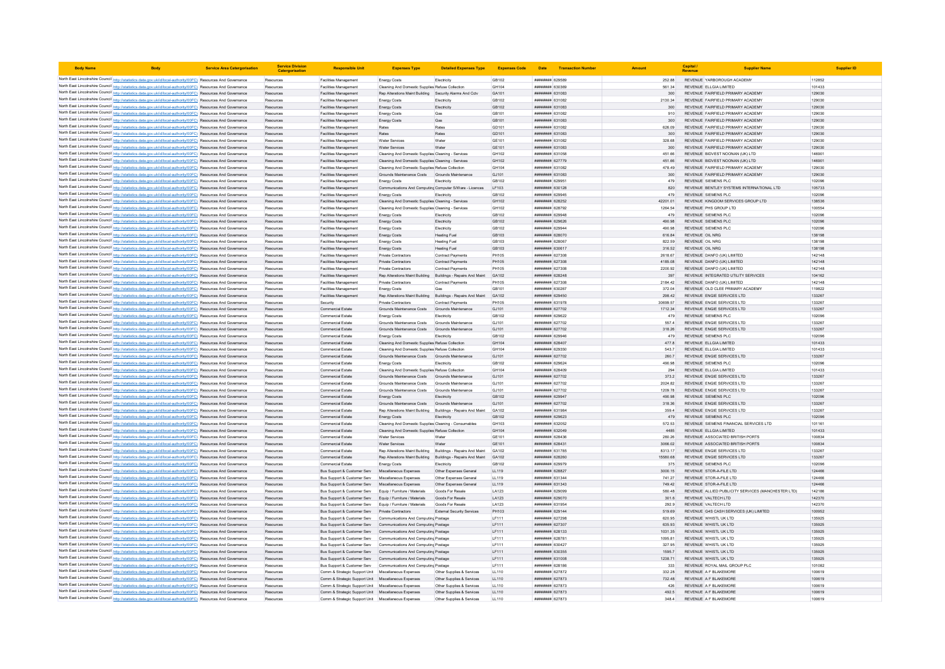| <b>Body Name</b> |                                                                                                                                                                                                                                    | <b>Service Area Catergorisation</b> | <b>Service Division</b><br>Catergorisatio | <b>Responsible Uni</b>                                                              | <b>Expenses Type</b>                                                           | <b>Detailed Expenses Type</b>                   | <b>Expenses Code</b> |                                          | Date Transaction Numbe |                   | Capital<br>Revenue                                                      | <b>Supplier Name</b> |                  |
|------------------|------------------------------------------------------------------------------------------------------------------------------------------------------------------------------------------------------------------------------------|-------------------------------------|-------------------------------------------|-------------------------------------------------------------------------------------|--------------------------------------------------------------------------------|-------------------------------------------------|----------------------|------------------------------------------|------------------------|-------------------|-------------------------------------------------------------------------|----------------------|------------------|
|                  | North East Lincolnshire Council http://statistics.data.gov.uk/id/local-authority/00FC) Resources And Governance                                                                                                                    |                                     | Resources                                 | Facilities Management                                                               | <b>Energy Costs</b>                                                            | Electricity                                     | GB102                | ######## 629589                          |                        | 252.88            | REVENUE YARBOROUGH ACADEMY                                              | 112852               |                  |
|                  | North East Lincolnshire Council http://statistics.data.gov.uk/id/local-authority/00FC) Resources And Governance                                                                                                                    |                                     | Resources                                 | Facilities Management                                                               | Cleaning And Domestic Supplies Refuse Collection                               |                                                 | GH104                | ######## 630369                          |                        | 561.34            | REVENUE ELLGIA LIMITED                                                  |                      | 101433           |
|                  | North East Lincolnshire Council http://statistics.data.gov.uk/id/local-authority/00FC) Resources And Governance                                                                                                                    |                                     | Resources                                 | Facilities Management                                                               | Rep Alterations Maint Building Security Alarms And Cctv                        |                                                 | GA101                | ######## 631083                          |                        | 300               | REVENUE FAIRFIELD PRIMARY ACADEMY                                       | 129030               |                  |
|                  | North East Lincolnshire Council http://statistics.data.gov.uk/id/local-authority/00FC) Resources And Governance                                                                                                                    |                                     | Resources                                 | <b>Facilities Management</b>                                                        | <b>Energy Costs</b>                                                            | Flectricity                                     | GB102                | <b>ппинини 631082</b>                    |                        | 2130.34           | REVENUE FAIRFIELD PRIMARY ACADEMY                                       |                      | 129030           |
|                  | North East Lincolnshire Council http://statistics.data.gov.uk/id/local-authority/00FC) Resources And Governance                                                                                                                    |                                     | Resources                                 | Facilities Management                                                               | <b>Energy Costs</b>                                                            | Electricity                                     | GB102                | ######## 631083                          |                        | 300               | REVENUE FAIRFIELD PRIMARY ACADEMY                                       | 129030               |                  |
|                  | North East Lincolnshire Council http://statistics.data.gov.uk/id/local-authority/00FC) Resources And Governance<br>North East Lincolnshire Council http://statistics.data.gov.uk/id/local-authority/00FC) Resources And Governance |                                     | Resources                                 | <b>Facilities Management</b>                                                        | <b>Energy Costs</b>                                                            | Gas                                             | GB101                | ######## 631082                          |                        | 910               | REVENUE FAIRFIELD PRIMARY ACADEMY                                       |                      | 129030           |
|                  | North East Lincolnshire Council http://statistics.data.gov.uk/id/local-authority/00FC) Resources And Governance                                                                                                                    |                                     | Resources<br>Resources                    | <b>Facilities Management</b><br><b>Facilities Management</b>                        | <b>Energy Costs</b><br>Rates                                                   | Gas<br>Rates                                    | GB101<br>GD101       | ######## 631083<br>######## 631082       |                        | 300<br>626.09     | REVENUE FAIRFIELD PRIMARY ACADEMY<br>REVENUE, FAIRFIELD PRIMARY ACADEMY | 129030               | 129030           |
|                  | North East Lincolnshire Council http://statistics.data.gov.uk/id/local-authority/00FC) Resources And Governance                                                                                                                    |                                     | Resources                                 | Facilities Management                                                               | Rates                                                                          | Rates                                           | GD101                | ######## 631083                          |                        | 300               | REVENUE FAIRFIELD PRIMARY ACADEMY                                       |                      | 129030           |
|                  | North East Lincolnshire Council http://statistics.data.gov.uk/id/local-authority/00FC) Resources And Governance                                                                                                                    |                                     | Resources                                 | Facilities Management                                                               | Water Services                                                                 | Water                                           | GE101                | ######## 631082                          |                        | 328.68            | REVENUE FAIRFIELD PRIMARY ACADEMY                                       | 129030               |                  |
|                  | North East Lincolnshire Council http://statistics.data.gov.uk/id/local-authority/00FC) Resources And Governance                                                                                                                    |                                     | Resources                                 | Facilities Management                                                               | <b>Water Services</b>                                                          | Water                                           | GE101                | ######## 631083                          |                        | 300               | REVENUE FAIRFIELD PRIMARY ACADEMY                                       |                      | 129030           |
|                  | North East Lincolnshire Council http://statistics.data.gov.uk/id/local-authority/00FC) Resources And Governance                                                                                                                    |                                     | Resources                                 | Facilities Management                                                               | Cleaning And Domestic Supplies Cleaning - Services                             |                                                 | GH102                | ######## 631058                          |                        | 451.66            | REVENUE BIDVEST NOONAN (UK) LTD                                         | 146901               |                  |
|                  | North East Lincolnshire Council http://statistics.data.gov.uk/id/local-authority/00FC) Resources And Governance                                                                                                                    |                                     | Resources                                 | <b>Facilities Management</b>                                                        | Cleaning And Domestic Supplies Cleaning - Services                             |                                                 | GH102                | ######## 627779                          |                        | 451.66            | REVENUE BIDVEST NOONAN (UK) LTD                                         | 146901               |                  |
|                  | North East Lincolnshire Council http://statistics.data.gov.uk/id/local-authority/00FC) Resources And Governance                                                                                                                    |                                     | Resources                                 | Facilities Management                                                               | Cleaning And Domestic Supplies Refuse Collection                               |                                                 | GH104                | ######## 631082                          |                        | 478.49            | REVENUE FAIRFIELD PRIMARY ACADEMY                                       | 129030               |                  |
|                  | North East Lincolnshire Council http://statistics.data.gov.uk/id/local-authority/00FC) Resources And Governance                                                                                                                    |                                     | Resources                                 | Facilities Management                                                               | Grounds Maintenance Costs Grounds Maintenance                                  |                                                 | GJ101                | ######## 631083                          |                        | 300               | REVENUE FAIRFIELD PRIMARY ACADEMY                                       |                      | 129030           |
|                  | North East Lincolnshire Council http://statistics.data.gov.uk/id/local-authority/00FC) Resources And Governance<br>North East Lincolnshire Council http://statistics.data.gov.uk/id/local-authority/00FC) Resources And Governance |                                     | Resources<br>Resources                    | Facilities Management<br>Facilities Management                                      | <b>Energy Costs</b><br>Communications And Computing Computer S/Ware - Licences | Electricity                                     | GB102<br>LF103       | ######## 629951<br>######## 630128       |                        | 479<br>820        | <b>REVENUE SIEMENS PLC</b><br>REVENUE BENTLEY SYSTEMS INTERNATIONAL LTD | 102096               | 105733           |
|                  | North East Lincolnshire Council http://statistics.data.gov.uk/id/local-authority/00FC) Resources And Governance                                                                                                                    |                                     | Resources                                 | Facilities Managemen                                                                | <b>Energy Costs</b>                                                            | Electricity                                     | GB102                | ######## 629945                          |                        | 479               | REVENUE SIEMENS PLC.                                                    | 102096               |                  |
|                  | North East Lincolnshire Council http://statistics.data.gov.uk/id/local-authority/00FC) Resources And Governance                                                                                                                    |                                     | Resources                                 | <b>Facilities Management</b>                                                        | Cleaning And Domestic Supplies Cleaning - Services                             |                                                 | GH102                | <b>пининня</b> 628252                    |                        | 42201.01          | REVENUE KINGDOM SERVICES GROUP LTD.                                     |                      | 138536           |
|                  | North East Lincolnshire Council http://statistics.data.gov.uk/id/local-authority/00FC) Resources And Governance                                                                                                                    |                                     | Resources                                 | Facilities Management                                                               | Cleaning And Domestic Supplies Cleaning - Services                             |                                                 | GH102                | ######## 628792                          |                        | 1264.54           | REVENUE PHS GROUP LTD                                                   |                      | 100554           |
|                  | North East Lincolnshire Council http://statistics.data.gov.uk/id/local-authority/00FC) Resources And Governance                                                                                                                    |                                     | Resources                                 | <b>Facilities Management</b>                                                        | <b>Energy Costs</b>                                                            | Electricity                                     | GB102                | ######## 629948                          |                        | 479               | <b>REVENUE SIEMENS PLC</b>                                              | 102096               |                  |
|                  | North East Lincolnshire Council http://statistics.data.gov.uk/id/local-authority/00FC) Resources And Governance                                                                                                                    |                                     | Resources                                 | Facilities Management                                                               | <b>Energy Costs</b>                                                            | Electricity                                     | GB102                | ######## 629626                          |                        | 490.98            | REVENUE SIEMENS PLC                                                     | 102096               |                  |
|                  | North East Lincolnshire Council http://statistics.data.gov.uk/id/local-authority/00FC) Resources And Governance                                                                                                                    |                                     | Resources                                 | Facilities Management                                                               | <b>Energy Costs</b>                                                            | Electricity                                     | GB102                | ######## 629944                          |                        | 490.98            | <b>REVENUE SIEMENS PLC</b>                                              | 102096               |                  |
|                  | North East Lincolnshire Council http://statistics.data.gov.uk/id/local-authority/00FC) Resources And Governance                                                                                                                    |                                     | Resources                                 | <b>Facilities Management</b>                                                        | <b>Energy Costs</b>                                                            | <b>Heating Fuel</b>                             | GB103                | ######## 628070                          |                        | 616.84            | REVENUE OIL NRG                                                         |                      | 138198           |
|                  | North East Lincolnshire Council http://statistics.data.gov.uk/id/local-authority/00FC) Resources And Governance                                                                                                                    |                                     | Resources                                 | Facilities Management                                                               | <b>Energy Costs</b>                                                            | <b>Heating Fuel</b>                             | GB103                | ####### 628067                           |                        | 822.59            | <b>REVENUE OIL NRG</b>                                                  | 138198               |                  |
|                  | North East Lincolnshire Council http://statistics.data.gov.uk/id/local-authority/00FC) Resources And Governance<br>North East Lincolnshire Council http://statistics.data.gov.uk/id/local-authority/00FC) Resources And Governance |                                     | Resources<br>Resources                    | Facilities Management<br>Facilities Management                                      | <b>Energy Costs</b><br>Private Contractors                                     | <b>Heating Fuel</b><br><b>Contract Payments</b> | GB103<br>PH105       | ######## 630617<br>######## 627308       |                        | 316.52<br>2618.67 | <b>REVENUE OIL NRG</b><br>REVENUE DANFO (UK) LIMITED                    |                      | 138198<br>142148 |
|                  | North East Lincolnshire Council http://statistics.data.gov.uk/id/local-authority/00FC) Resources And Governance                                                                                                                    |                                     | Resources                                 | <b>Facilities Management</b>                                                        | Private Contractors                                                            | <b>Contract Payments</b>                        | PH105                | ######## 627308                          |                        | 4185.08           | REVENUE DANFO (UK) LIMITED                                              |                      | 142148           |
|                  | North East Lincolnshire Council http://statistics.data.gov.uk/id/local-authority/00FC) Resources And Governance                                                                                                                    |                                     | Resources                                 | Facilities Management                                                               | Private Contractors                                                            | Contract Payments                               | PH105                | ######## 627308                          |                        | 2200.92           | REVENUE DANFO (UK) LIMITED                                              |                      | 142148           |
|                  | North East Lincolnshire Council http://statistics.data.gov.uk/id/local-authority/00FC) Resources And Governance                                                                                                                    |                                     | Resources                                 | Facilities Management                                                               | Rep Alterations Maint Building                                                 | Buildings - Repairs And Maint                   | GA102                | ######## 628248                          |                        | 397               | REVENUE INTEGRATED UTILITY SERVICES                                     |                      | 104162           |
|                  | North East Lincolnshire Council http://statistics.data.gov.uk/id/local-authority/00FC) Resources And Governance                                                                                                                    |                                     | Resources                                 | <b>Facilities Management</b>                                                        | <b>Private Contractors</b>                                                     | <b>Contract Payments</b>                        | PH105                | ######## 627308                          |                        | 2184.42           | REVENUE DANFO (UK) LIMITED                                              |                      | 142148           |
|                  | North East Lincolnshire Council http://statistics.data.gov.uk/id/local-authority/00FC) Resources And Governance                                                                                                                    |                                     | Resources                                 | Facilities Management                                                               | <b>Energy Costs</b>                                                            | Gas                                             | GB101                | ######## 630267                          |                        | 372.04            | REVENUE OLD CLEE PRIMARY ACADEMY                                        | 119822               |                  |
|                  | North East Lincolnshire Council http://statistics.data.gov.uk/id/local-authority/00FC) Resources And Governance                                                                                                                    |                                     | Resources                                 | Facilities Management                                                               | Rep Alterations Maint Building Buildings - Repairs And Maint                   |                                                 | GA102                | ######## 629450                          |                        | 298.42            | REVENUE ENGIE SERVICES LTD                                              | 133267               |                  |
|                  | North East Lincolnshire Council http://statistics.data.gov.uk/id/local-authority/00FC) Resources And Governance                                                                                                                    |                                     | Resources                                 | Security                                                                            | Private Contractors                                                            | Contract Payments                               | PH105                | <b><i>BREEBBBB</i></b> 631978            |                        | 30699.57          | REVENUE ENGIE SERVICES LTD                                              | 133267               |                  |
|                  | North East Lincolnshire Council http://statistics.data.gov.uk/id/local-authority/00FC) Resources And Governance                                                                                                                    |                                     | Resources                                 | Commercial Estate                                                                   | Grounds Maintenance Costs                                                      | Grounds Maintenance                             | GJ101                | ######## 627702                          |                        | 1712.34           | REVENUE ENGIE SERVICES LTD                                              | 133267               |                  |
|                  | North East Lincolnshire Council http://statistics.data.gov.uk/id/local-authority/00FC) Resources And Governance<br>North East Lincolnshire Council http://statistics.data.gov.uk/id/local-authority/00FC) Resources And Governance |                                     | Resources<br>Resources                    | Commercial Estate<br>Commercial Estate                                              | <b>Energy Costs</b><br>Grounds Maintenance Costs                               | Electricity<br>Grounds Maintenance              | GB102<br>GJ101       | ######## 629622<br>######## 627702       |                        | 479<br>557.4      | REVENUE SIEMENS PLC<br>REVENUE ENGIE SERVICES LTD                       | 102096<br>133267     |                  |
|                  | North East Lincolnshire Council http://statistics.data.gov.uk/id/local-authority/00FC) Resources And Governance                                                                                                                    |                                     | Resources                                 | Commercial Estate                                                                   | Grounds Maintenance Costs                                                      | Grounds Maintenance                             | GJ101                | ######## 627702                          |                        | 318.26            | REVENUE ENGIE SERVICES LTD                                              | 133267               |                  |
|                  | North East Lincolnshire Council http://statistics.data.gov.uk/id/local-authority/00FC) Resources And Governance                                                                                                                    |                                     | Resources                                 | Commercial Estate                                                                   | <b>Energy Costs</b>                                                            | Electricity                                     | GB102                | ######## 629946                          |                        | 479               | <b>REVENUE SIEMENS PLC</b>                                              | 102096               |                  |
|                  | North East Lincolnshire Council http://statistics.data.gov.uk/id/local-authority/00FC) Resources And Governance                                                                                                                    |                                     | Resources                                 | Commercial Estate                                                                   | Cleaning And Domestic Supplies Refuse Collectio                                |                                                 | GH104                | ######## 628407                          |                        | 477.8             | REVENUE ELLGIA LIMITED                                                  |                      | 101433           |
|                  | North East Lincolnshire Council http://statistics.data.gov.uk/id/local-authority/00FC) Resources And Governance                                                                                                                    |                                     | Resources                                 | Commercial Estate                                                                   | Cleaning And Domestic Supplies Refuse Collection                               |                                                 | GH104                | ######## 629350                          |                        | 5437              | REVENUE ELLGIA LIMITED                                                  |                      | 101433           |
|                  | North East Lincolnshire Council http://statistics.data.gov.uk/id/local-authority/00FC) Resources And Governance                                                                                                                    |                                     | Resources                                 | Commercial Estate                                                                   | Grounds Maintenance Costs Grounds Maintenance                                  |                                                 | GJ101                | ######## 627702                          |                        | 260.7             | REVENUE ENGIE SERVICES LTD                                              | 133267               |                  |
|                  | North East Lincolnshire Council http://statistics.data.gov.uk/id/local-authority/00FC) Resources And Governance                                                                                                                    |                                     | Resources                                 | Commercial Estate                                                                   | <b>Energy Costs</b>                                                            | Electricity                                     | GB102                | ######## 629624                          |                        | 490.98            | <b>REVENUE SIEMENS PLC</b>                                              | 102096               |                  |
|                  | North East Lincolnshire Council http://statistics.data.gov.uk/id/local-authority/00FC) Resources And Governance                                                                                                                    |                                     | Resources                                 | Commercial Estate                                                                   | Cleaning And Domestic Supplies Refuse Collection                               |                                                 | GH104                | ######## 628409                          |                        | 294               | REVENUE ELLGIA LIMITED                                                  |                      | 101433           |
|                  | North East Lincolnshire Council http://statistics.data.gov.uk/id/local-authority/00FC) Resources And Governance<br>North East Lincolnshire Council http://statistics.data.gov.uk/id/local-authority/00FC) Resources And Governance |                                     | Resources<br>Resources                    | Commercial Estate<br>Commercial Estate                                              | Grounds Maintenance Costs<br>Grounds Maintenance Costs                         | Grounds Maintenance<br>Grounds Maintenance      | G.I101<br>GJ101      | <b>НИНИНИЯ</b> 627702<br>######## 627702 |                        | 373.2<br>2024 82  | REVENUE ENGIE SERVICES I TD<br>REVENUE ENGIE SERVICES LTD               | 133267<br>133267     |                  |
|                  | North East Lincolnshire Council http://statistics.data.gov.uk/id/local-authority/00FC) Resources And Governance                                                                                                                    |                                     | Resources                                 | Commercial Estate                                                                   | Grounds Maintenance Costs                                                      | Grounds Maintenance                             | GJ101                | ######## 627702                          |                        | 1209.78           | REVENUE ENGIE SERVICES LTD                                              | 133267               |                  |
|                  | North East Lincolnshire Council http://statistics.data.gov.uk/id/local-authority/00FC) Resources And Governance                                                                                                                    |                                     | Resources                                 | Commercial Estate                                                                   | <b>Energy Costs</b>                                                            | Electricity                                     | GB102                | ######## 629947                          |                        | 490.98            | REVENUE SIEMENS PLC.                                                    |                      | 102096           |
|                  | North East Lincolnshire Council http://statistics.data.gov.uk/id/local-authority/00FC) Resources And Governance                                                                                                                    |                                     | Resources                                 | Commercial Estate                                                                   | Grounds Maintenance Costs                                                      | Grounds Maintenance                             | GJ101                | ######## 627702                          |                        | 318.36            | REVENUE ENGIE SERVICES LTD                                              | 133267               |                  |
|                  | North East Lincolnshire Council http://statistics.data.gov.uk/id/local-authority/00FC) Resources And Governance                                                                                                                    |                                     | Resources                                 | Commercial Estate                                                                   | Rep Alterations Maint Building Buildings - Repairs And Maint                   |                                                 | GA102                | ######## 631984                          |                        | 359.4             | REVENUE ENGIE SERVICES LTD                                              |                      | 133267           |
|                  | North East Lincolnshire Council http://statistics.data.gov.uk/id/local-authority/00FC) Resources And Governance                                                                                                                    |                                     | Resources                                 | Commercial Estate                                                                   | <b>Energy Costs</b>                                                            | Electricity                                     | GB102                | ######## 629623                          |                        | 479               | REVENUE SIEMENS PLC                                                     | 102096               |                  |
|                  | North East Lincolnshire Council http://statistics.data.gov.uk/id/local-authority/00FC) Resources And Governance                                                                                                                    |                                     | Resources                                 | Commercial Estate                                                                   | Cleaning And Domestic Supplies Cleaning - Consumables                          |                                                 | GH103                | <b>ппинння</b> 632052                    |                        | 572.53            | REVENUE SIEMENS FINANCIAL SERVICES LTD                                  | 101161               |                  |
|                  | North East Lincolnshire Council http://statistics.data.gov.uk/id/local-authority/00FC) Resources And Governance                                                                                                                    |                                     | Resources                                 | Commercial Estate                                                                   | Cleaning And Domestic Supplies Refuse Collection                               |                                                 | GH104                | ######## 632049                          |                        | 4485              | REVENUE ELLGIA LIMITED                                                  |                      | 101433           |
|                  | North East Lincolnshire Council http://statistics.data.gov.uk/id/local-authority/00FC) Resources And Governance                                                                                                                    |                                     | Resources                                 | <b>Commercial Estate</b>                                                            | Water Services<br><b>Water Services</b>                                        | Water<br>Water                                  | GE101<br>GE101       | ######## 628436<br>######## 628431       |                        | 280.26<br>3066.02 | REVENUE ASSOCIATED BRITISH PORTS<br>REVENUE ASSOCIATED BRITISH PORTS    | 100834               | 100834           |
|                  | North East Lincolnshire Council http://statistics.data.gov.uk/id/local-authority/00FC) Resources And Governance<br>North East Lincolnshire Council http://statistics.data.gov.uk/id/local-authority/00FC) Resources And Governance |                                     | Resources<br>Resources                    | Commercial Estate<br>Commercial Estate                                              | Rep Alterations Maint Building Buildings - Repairs And Maint                   |                                                 | GA102                | <b><i>RENEWER</i></b> 631785             |                        | 8313 17           | REVENUE ENGIE SERVICES I TD                                             | 133267               |                  |
|                  | North East Lincolnshire Council http://statistics.data.gov.uk/id/local-authority/00FC) Resources And Governance                                                                                                                    |                                     | Resources                                 | Commercial Estate                                                                   | Rep Alterations Maint Building Buildings - Repairs And Maint                   |                                                 | GA102                | ######## 628260                          |                        | 15580.68          | REVENUE ENGIE SERVICES LTD                                              | 133267               |                  |
|                  | North East Lincolnshire Council http://statistics.data.gov.uk/id/local-authority/00FC) Resources And Governance                                                                                                                    |                                     | Resources                                 | Commercial Estate                                                                   | <b>Energy Costs</b>                                                            | Electricity                                     | GB102                | ######## 629979                          |                        | 375               | <b>REVENUE SIEMENS PLC</b>                                              | 102096               |                  |
|                  | North East Lincolnshire Council http://statistics.data.gov.uk/id/local-authority/00FC) Resources And Governance                                                                                                                    |                                     | Resources                                 | Bus Support & Customer Serv                                                         | Miscellaneous Expenses                                                         | Other Expenses General                          | LL119                | ######## 628827                          |                        | 3000.15           | REVENUE STOR-A-FILE LTD                                                 |                      | 124466           |
|                  | North East Lincolnshire Council http://statistics.data.gov.uk/id/local-authority/00FC) Resources And Governance                                                                                                                    |                                     | Resources                                 | Bus Support & Customer Serv                                                         | Miscellaneous Expenses                                                         | Other Expenses General                          | LL119                | ######## 631344                          |                        | 741.27            | REVENUE STOR-A-FILE LTD                                                 |                      | 124466           |
|                  | North East Lincolnshire Council http://statistics.data.gov.uk/id/local-authority/00FC) Resources And Governance                                                                                                                    |                                     | Resources                                 | Bus Support & Customer Serv                                                         | Miscellaneous Expenses                                                         | Other Expenses General                          | LL119                | ######## 631343                          |                        | 749.42            | REVENUE STOR-A-FILE LTD                                                 |                      | 124466           |
|                  | North East Lincolnshire Council http://statistics.data.gov.uk/id/local-authority/00FC) Resources And Governance                                                                                                                    |                                     | Resources                                 | Bus Support & Customer Serv                                                         | Equip / Furniture / Materials                                                  | Goods For Resale                                | LA123                | ######## 629099                          |                        | 580.48            | REVENUE ALLIED PUBLICITY SERVICES (MANCHESTER LTD)                      | 142186               |                  |
|                  | North East Lincolnshire Council http://statistics.data.gov.uk/id/local-authority/00FC) Resources And Governance                                                                                                                    |                                     | Resources                                 | Bus Support & Customer Serv<br>Bus Support & Customer Serv                          | Equip / Furniture / Materials                                                  | Goods For Resale<br>Goods For Resale            | LA123<br>LA123       | ######## 629070<br>######## 631954       |                        | 301.6             | REVENUE VALTECH LTD<br>REVENUE VALTECH LTD                              |                      | 142370<br>142370 |
|                  | North East Lincolnshire Council http://statistics.data.gov.uk/id/local-authority/00FC) Resources And Governance<br>North East Lincolnshire Council http://statistics.data.gov.uk/id/local-authority/00FC) Resources And Governance |                                     | Resources<br>Resources                    | Bus Support & Customer Serv                                                         | Equip / Furniture / Materials<br>Private Contractors                           | External Security Services                      | PH103                | ######## 629144                          |                        | 292.9<br>519.69   | REVENUE G4S CASH SERVICES (UK) LIMITED                                  |                      | 100952           |
|                  | North East Lincolnshire Council http://statistics.data.gov.uk/id/local-authority/00FC) Resources And Governance                                                                                                                    |                                     | Resources                                 | Bus Support & Customer Serv                                                         | Communications And Computing Postage                                           |                                                 | LF111                | ######## 627298                          |                        | 620.95            | REVENUE WHISTL UK LTD                                                   | 135925               |                  |
|                  | North East Lincolnshire Council http://statistics.data.gov.uk/id/local-authority/00FC) Resources And Governance                                                                                                                    |                                     | Resources                                 | <b>Bus Support &amp; Customer Serv</b>                                              | Communications And Computing Postage                                           |                                                 | LF111                | <b>пининня</b> 627307                    |                        | 635.93            | REVENUE WHISTLUK LTD                                                    |                      | 135925           |
|                  | North East Lincolnshire Council http://statistics.data.gov.uk/id/local-authority/00FC) Resources And Governance                                                                                                                    |                                     | Resources                                 | Bus Support & Customer Serv                                                         | Communications And Computing Postage                                           |                                                 | LF111                | ######## 628133                          |                        | 1031.35           | REVENUE WHISTL UK LTD                                                   |                      | 135925           |
|                  | North East Lincolnshire Council http://statistics.data.gov.uk/id/local-authority/00FC) Resources And Governance                                                                                                                    |                                     | Resources                                 | Bus Support & Customer Serv                                                         | Communications And Computing Postage                                           |                                                 | <b>LF111</b>         | ######## 628781                          |                        | 1095.81           | REVENUE WHISTL UK LTD                                                   | 135925               |                  |
|                  | North East Lincolnshire Council http://statistics.data.gov.uk/id/local-authority/00FC) Resources And Governance                                                                                                                    |                                     | Resources                                 | Bus Support & Customer Serv                                                         | Communications And Computing Postage                                           |                                                 | <b>LF111</b>         | <b>ппининн</b> 630427                    |                        | 327.95            | REVENUE WHISTLUK ITD                                                    | 135925               |                  |
|                  | North East Lincolnshire Council http://statistics.data.gov.uk/id/local-authority/00FC) Resources And Governance                                                                                                                    |                                     | Resources                                 | <b>Bus Support &amp; Customer Serv</b>                                              | Communications And Computing Postage                                           |                                                 | IF111                | ######## 630355                          |                        | 15957             | REVENUE WHISTLUK LTD                                                    |                      | 135925           |
|                  | North East Lincolnshire Council http://statistics.data.gov.uk/id/local-authority/00FC) Resources And Governance                                                                                                                    |                                     | Resources                                 | Bus Support & Customer Serv                                                         | Communications And Computing Postage                                           |                                                 | LF111                | ######## 631008                          |                        | 1238.71           | REVENUE WHISTL UK LTD                                                   |                      | 135925           |
|                  | North East Lincolnshire Council http://statistics.data.gov.uk/id/local-authority/00FC) Resources And Governance<br>North East Lincolnshire Council http://statistics.data.gov.uk/id/local-authority/00FC) Resources And Governance |                                     | Resources<br>Resources                    | Bus Support & Customer Serv<br>Comm & Strategic Support Unit Miscellaneous Expenses | Communications And Computing Postage                                           | Other Supplies & Services                       | LF111<br>LL110       | ######## 628186<br>######## 627872       |                        | 333<br>332.28     | REVENUE ROYAL MAIL GROUP PLC<br>REVENUE A F BLAKEMORE                   | 101082               | 100619           |
|                  | North East Lincolnshire Council http://statistics.data.gov.uk/id/local-authority/00FC) Resources And Governance                                                                                                                    |                                     | Resources                                 | Comm & Strategic Support Unit Miscellaneous Expenses                                |                                                                                | Other Supplies & Services                       | LL110                | ######## 627873                          |                        | 732.48            | REVENUE A F BLAKEMORE                                                   |                      | 100619           |
|                  | North East Lincolnshire Council http://statistics.data.gov.uk/id/local-authority/00FC) Resources And Governance                                                                                                                    |                                     | Resources                                 | Comm & Strategic Support Unit Miscellaneous Expenses                                |                                                                                | Other Supplies & Services                       | LL110                | ######## 627873                          |                        | 426               | REVENUE A F BLAKEMORE                                                   | 100619               |                  |
|                  | North East Lincolnshire Council http://statistics.data.gov.uk/id/local-authority/00FC) Resources And Governance                                                                                                                    |                                     | Resources                                 | Comm & Strategic Support Unit Miscellaneous Expenses                                |                                                                                | Other Supplies & Services                       | LL110                | ######## 627873                          |                        | 492.5             | REVENUE A F BLAKEMORE                                                   |                      | 100619           |
|                  | North East Lincolnshire Council http://statistics.data.gov.uk/id/local-authority/00FC) Resources And Governance                                                                                                                    |                                     | Resources                                 | Comm & Strategic Support Unit Miscellaneous Expenses                                |                                                                                | Other Supplies & Services                       | 11110                | <b>ппинини 627873</b>                    |                        | 3484              | REVENUE A F BLAKEMORE                                                   |                      | 100619           |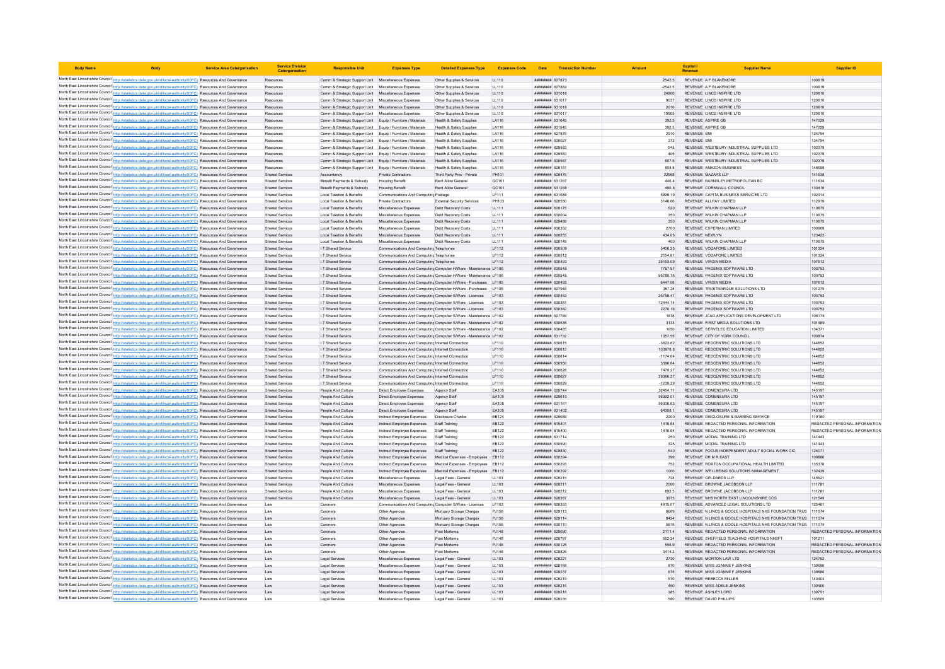| <b>Body Name</b> |                                                                                                                                                                                                                                    | <b>Service Area Catergorisation</b> | <b>Service Division</b><br>Catergorisatio        | <b>Responsible Uni</b>                                                                                                     | <b>Expenses Type</b>                                                                                 | <b>Detailed Expenses Type</b>                                    | <b>Expenses Code</b>  | Date                                    | <b>Transaction Number</b> |                     | Capital<br>Revenue                             | <b>Supplier Name</b>                                                                |                                         |
|------------------|------------------------------------------------------------------------------------------------------------------------------------------------------------------------------------------------------------------------------------|-------------------------------------|--------------------------------------------------|----------------------------------------------------------------------------------------------------------------------------|------------------------------------------------------------------------------------------------------|------------------------------------------------------------------|-----------------------|-----------------------------------------|---------------------------|---------------------|------------------------------------------------|-------------------------------------------------------------------------------------|-----------------------------------------|
|                  | North East Lincolnshire Council http://statistics.data.gov.uk/id/local-authority/00FC) Resources And Governance                                                                                                                    |                                     | Resources                                        | Comm & Strategic Support Unit Miscellaneous Expenses                                                                       |                                                                                                      | Other Supplies & Services                                        | LL110                 | ######## 627873                         |                           | 2542.5              |                                                | REVENUE A F BLAKEMORE                                                               | 100619                                  |
|                  | North East Lincolnshire Council http://statistics.data.gov.uk/id/local-authority/00FC) Resources And Governance                                                                                                                    |                                     | Resources                                        | Comm & Strategic Support Unit Miscellaneous Expenses                                                                       |                                                                                                      | Other Supplies & Services                                        | LL110                 | <b>####### 627882</b>                   |                           | $-2542.5$           |                                                | REVENUE A F BLAKEMOR                                                                | 100619                                  |
|                  | North East Lincolnshire Council http://statistics.data.gov.uk/id/local-authority/00FC) Resources And Governance                                                                                                                    |                                     | Resources                                        | Comm & Strategic Support Unit Miscellaneous Expenses                                                                       |                                                                                                      | Other Supplies & Services                                        | LL110                 | ####### 631016                          |                           | 24800               |                                                | REVENUE LINCS INSPIRE LTD                                                           | 120610                                  |
|                  | North East Lincolnshire Council http://statistics.data.gov.uk/id/local-authority/00FC) Resources And Governance                                                                                                                    |                                     | Resources                                        | Comm & Strategic Support Unit Miscellaneous Expenses                                                                       |                                                                                                      | Other Supplies & Services                                        | LL110                 | <b><i>BREEBER 631017</i></b>            |                           | 9037                |                                                | REVENUE LINCS INSPIRE LTD                                                           | 120610                                  |
|                  | North East Lincolnshire Council http://statistics.data.gov.uk/id/local-authority/00FC) Resources And Governance                                                                                                                    |                                     | Resources                                        | Comm & Strategic Support Unit Miscellaneous Expenses                                                                       |                                                                                                      | Other Supplies & Services                                        | LL110                 | ######## 631016                         |                           | 2010                |                                                | REVENUE LINCS INSPIRE LTD                                                           | 120610                                  |
|                  | North East Lincolnshire Council http://statistics.data.gov.uk/id/local-authority/00FC) Resources And Governance                                                                                                                    |                                     | Resources                                        | Comm & Strategic Support Unit Miscellaneous Expenses                                                                       |                                                                                                      | Other Supplies & Services                                        | LL110                 | ######## 631017                         |                           | 19905               |                                                | REVENUE LINCS INSPIRE LTD                                                           | 120610                                  |
|                  | North East Lincolnshire Council http://statistics.data.gov.uk/id/local-authority/00FC) Resources And Governance                                                                                                                    |                                     | Resources                                        | Comm & Strategic Support Unit Equip / Furniture / Materials                                                                |                                                                                                      | <b>Health &amp; Safety Supplies</b>                              | LA116                 | ######## 631645                         |                           | 392.5               | REVENUE ASPIRE GB                              |                                                                                     | 147029                                  |
|                  | North East Lincolnshire Council http://statistics.data.gov.uk/id/local-authority/00FC) Resources And Governance<br>North East Lincolnshire Council http://statistics.data.gov.uk/id/local-authority/00FC) Resources And Governance |                                     | Resources                                        | Comm & Strategic Support Unit Equip / Furniture / Materials                                                                |                                                                                                      | Health & Safety Sunnlies<br>Health & Safety Supplies             | <b>LA116</b><br>LA116 | ######## 631645<br>######## 627876      |                           | 392.5<br>2910       | <b>REVENUE ASPIRE GB</b><br><b>REVENUE SMI</b> |                                                                                     | 147029<br>134794                        |
|                  | North East Lincolnshire Council http://statistics.data.gov.uk/id/local-authority/00FC) Resources And Governance                                                                                                                    |                                     | Resources<br>Resources                           | Comm & Strategic Support Unit Equip / Furniture / Materials<br>Comm & Strategic Support Unit Equip / Furniture / Materials |                                                                                                      | <b>Health &amp; Safety Supplies</b>                              | LA116                 | ####### 630027                          |                           | 372                 | <b>REVENUE SMI</b>                             |                                                                                     | 134794                                  |
|                  | North East Lincolnshire Council http://statistics.data.gov.uk/id/local-authority/00FC) Resources And Governance                                                                                                                    |                                     | Resources                                        | Comm & Strategic Support Unit Equip / Furniture / Materials                                                                |                                                                                                      | Health & Safety Supplies                                         | LA116                 | ######## 629583                         |                           | 945                 |                                                | REVENUE WESTBURY INDUSTRIAL SUPPLIES LTD                                            | 102378                                  |
|                  | North East Lincolnshire Council http://statistics.data.gov.uk/id/local-authority/00FC) Resources And Governance                                                                                                                    |                                     | Resources                                        | Comm & Strategic Support Unit Foujo / Furniture / Materials                                                                |                                                                                                      | Health & Safety Sunnlies                                         | LA116                 | ######## 629583                         |                           | 405                 |                                                | REVENUE WESTBURY INDUSTRIAL SUPPLIES LTD                                            | 102378                                  |
|                  | North East Lincolnshire Council http://statistics.data.gov.uk/id/local-authority/00FC) Resources And Governance                                                                                                                    |                                     | Resources                                        | Comm & Strategic Support Unit Equip / Furniture / Materials                                                                |                                                                                                      | Health & Safety Supplies                                         | LA116                 | ######## 630587                         |                           | 607.5               |                                                | REVENUE WESTBURY INDUSTRIAL SUPPLIES LTD                                            | 102378                                  |
|                  | North East Lincolnshire Council http://statistics.data.gov.uk/id/local-authority/00FC) Resources And Governance                                                                                                                    |                                     | Resources                                        | Comm & Strategic Support Unit Equip / Furniture / Materials                                                                |                                                                                                      | <b>Health &amp; Safety Supplies</b>                              | LA116                 | ######## 62818                          |                           | 808.8               |                                                | REVENUE AMAZON BUSINESS                                                             | 146598                                  |
|                  | North East Lincolnshire Council http://statistics.data.gov.uk/id/local-authority/00FC) Resources And Governance                                                                                                                    |                                     | <b>Shared Services</b>                           | Accountancy                                                                                                                | Private Contractors                                                                                  | Third Party Prov - Private                                       | PH101                 | пининни 628476                          |                           | 22968               | REVENUE MAZARS LLP                             |                                                                                     | 141538                                  |
|                  | North East Lincolnshire Council http://statistics.data.gov.uk/id/local-authority/00FC) Resources And Governance                                                                                                                    |                                     | <b>Shared Services</b>                           | Benefit Payments & Subsidy                                                                                                 | <b>Housing Benefit</b>                                                                               | Rent Allow General                                               | QC101                 | ######## 631287                         |                           | 446.4<br>490.8      |                                                | REVENUE BARNSLEY METROPOLITAN BC                                                    | 111634<br>130416                        |
|                  | North East Lincolnshire Council http://statistics.data.gov.uk/id/local-authority/00FC) Resources And Governance<br>North East Lincolnshire Council http://statistics.data.gov.uk/id/local-authority/00FC) Resources And Governance |                                     | <b>Shared Services</b><br><b>Shared Services</b> | Benefit Payments & Subsidy<br>Local Taxation & Benefits                                                                    | <b>Housing Benefit</b><br>Communications And Computing Postage                                       | Rent Allow General                                               | QC101<br>LF111        | ######## 631288<br>######## 63108       |                           | 5999.19             |                                                | REVENUE CORNWALL COUNCIL<br>REVENUE CAPITA BUSINESS SERVICES LTD                    | 102314                                  |
|                  | North East Lincolnshire Council http://statistics.data.gov.uk/id/local-authority/00FC) Resources And Governance                                                                                                                    |                                     | <b>Shared Services</b>                           | <b>Local Taxation &amp; Benefits</b>                                                                                       | Private Contractors                                                                                  | External Security Services                                       | PH103                 | ####### 62855C                          |                           | 3146.66             |                                                | REVENUE ALLPAY LIMITED                                                              | 112919                                  |
|                  | North East Lincolnshire Council http://statistics.data.gov.uk/id/local-authority/00FC) Resources And Governance                                                                                                                    |                                     | <b>Shared Services</b>                           | Local Taxation & Benefits                                                                                                  | Miscellaneous Expenses                                                                               | Debt Recovery Costs                                              | LL111                 | ######## 628175                         |                           | 520                 |                                                | REVENUE WILKIN CHAPMAN LLF                                                          | 110675                                  |
|                  | North East Lincolnshire Council http://statistics.data.gov.uk/id/local-authority/00FC) Resources And Governance                                                                                                                    |                                     | <b>Shared Services</b>                           | <b>Local Taxation &amp; Benefits</b>                                                                                       | Miscellaneous Expenses                                                                               | Debt Recovery Costs                                              | LL111                 | ######## 630004                         |                           | 350                 |                                                | REVENUE WILKIN CHAPMAN LLP                                                          | 110675                                  |
|                  | North East Lincolnshire Council http://statistics.data.gov.uk/id/local-authority/00FC) Resources And Governance                                                                                                                    |                                     | <b>Shared Services</b>                           | Local Taxation & Benefits                                                                                                  | Miscellaneous Expenses                                                                               | Debt Recovery Costs                                              | LL111                 | ######## 629489                         |                           | 350                 |                                                | REVENUE WILKIN CHAPMAN LLF                                                          | 110675                                  |
|                  | North East Lincolnshire Council http://statistics.data.gov.uk/id/local-authority/00FC) Resources And Governance                                                                                                                    |                                     | <b>Shared Services</b>                           | Local Taxation & Benefits                                                                                                  | Miscellaneous Expenses                                                                               | Debt Recovery Costs                                              | LL111                 | ######## 630352                         |                           | 2700                |                                                | REVENUE EXPERIAN LIMITED                                                            | 100909                                  |
|                  | North East Lincolnshire Council http://statistics.data.gov.uk/id/local-authority/00FC) Resources And Governance                                                                                                                    |                                     | <b>Shared Services</b>                           | Local Taxation & Benefits                                                                                                  | Miscellaneous Expenses                                                                               | Debt Recovery Costs                                              | LL111                 | ######## 628255                         |                           | 434.05              | <b>REVENUE NEWLYN</b>                          |                                                                                     | 123422                                  |
|                  | North East Lincolnshire Council http://statistics.data.gov.uk/id/local-authority/00FC) Resources And Governance<br>North East Lincolnshire Council http://statistics.data.gov.uk/id/local-authority/00FC) Resources And Governance |                                     | <b>Shared Services</b><br><b>Shared Services</b> | <b>Local Taxation &amp; Benefits</b>                                                                                       | Miscellaneous Expenses<br>Communications And Computing Telephone                                     | Debt Recovery Costs                                              | LL111                 | ####### 628149<br>######## 630509       |                           | 400                 |                                                | REVENUE WILKIN CHAPMAN LLP<br>REVENUE VODAFONE LIMITED                              | 110675<br>101324                        |
|                  | North East Lincolnshire Council http://statistics.data.gov.uk/id/local-authority/00FC) Resources And Governance                                                                                                                    |                                     | Shared Services                                  | I.T Shared Service<br>I T Shared Service                                                                                   | Communications And Computing Telephones                                                              |                                                                  | LF112<br>IF112        | ######## 630512                         |                           | 5406.23<br>2154.61  |                                                | REVENUE VODAEONE LIMITED                                                            | 101324                                  |
|                  | North East Lincolnshire Council http://statistics.data.gov.uk/id/local-authority/00FC) Resources And Governance                                                                                                                    |                                     | <b>Shared Services</b>                           | I.T Shared Service                                                                                                         | Communications And Computing Telephones                                                              |                                                                  | LF112                 | ######## 630493                         |                           | 25153.09            | REVENUE VIRGIN MEDIA                           |                                                                                     | 107612                                  |
|                  | North East Lincolnshire Council http://statistics.data.gov.uk/id/local-authority/00FC) Resources And Governance                                                                                                                    |                                     | <b>Shared Services</b>                           | I.T Shared Service                                                                                                         |                                                                                                      | Communications And Computing Computer H/Ware - Maintenance LF106 |                       | ######## 630545                         |                           | 7757.97             |                                                | REVENUE PHOENIX SOFTWARE LTD                                                        | 100753                                  |
|                  | North East Lincolnshire Council http://statistics.data.gov.uk/id/local-authority/00FC) Resources And Governance                                                                                                                    |                                     | <b>Shared Services</b>                           | I.T Shared Service                                                                                                         |                                                                                                      | Communications And Computing Computer H/Ware - Maintenance LF106 |                       | ####### 630545                          |                           | 56780.76            |                                                | REVENUE PHOENIX SOFTWARE LTD                                                        | 100753                                  |
|                  | North East Lincolnshire Council http://statistics.data.gov.uk/id/local-authority/00FC) Resources And Governance                                                                                                                    |                                     | Shared Services                                  | I T Shared Service                                                                                                         |                                                                                                      | Communications And Computing Computer H/Ware - Purchases LF105   |                       | EPA0ER BREERER                          |                           | 6447.06             | REVENUE VIRGIN MEDIA                           |                                                                                     | 107612                                  |
|                  | North East Lincolnshire Council http://statistics.data.gov.uk/id/local-authority/00FC) Resources And Governance                                                                                                                    |                                     | <b>Shared Services</b>                           | I.T Shared Service                                                                                                         |                                                                                                      | Communications And Computing Computer H/Ware - Purchases LF105   |                       | пининня 627948                          |                           | 357 25              |                                                | REVENUE TRUSTMARQUE SOLUTIONS LTD                                                   | 101275                                  |
|                  | North East Lincolnshire Council http://statistics.data.gov.uk/id/local-authority/00FC) Resources And Governance                                                                                                                    |                                     | <b>Shared Services</b>                           | I.T Shared Service                                                                                                         | Communications And Computing Computer S/Ware - Licences                                              |                                                                  | LF103                 | ######## 630453                         |                           | 26758.4             |                                                | REVENUE PHOENIX SOFTWARE LTD                                                        | 100753                                  |
|                  | North East Lincolnshire Council http://statistics.data.gov.uk/id/local-authority/00FC) Resources And Governance<br>North East Lincolnshire Council http://statistics.data.gov.uk/id/local-authority/00FC) Resources And Governance |                                     | <b>Shared Services</b><br><b>Shared Services</b> | I.T Shared Service<br>I.T Shared Service                                                                                   | Communications And Computing Computer S/Ware - Licences                                              | Communications And Computing Computer S/Ware - Licences LF103    | LF103                 | ######## 63038<br>######## 630382       |                           | 12444.74<br>2270.16 |                                                | REVENUE PHOENIX SOFTWARE LTD<br>REVENUE PHOENIX SOFTWARE LTD                        | 100753<br>100753                        |
|                  | North East Lincolnshire Council http://statistics.data.gov.uk/id/local-authority/00FC) Resources And Governance                                                                                                                    |                                     | <b>Shared Services</b>                           | I.T Shared Service                                                                                                         |                                                                                                      | Communications And Computing Computer S/Ware - Maintenance LF102 |                       | ######## 627789                         |                           | 1878                |                                                | REVENUE JCAD APPLICATIONS DEVELOPMENT LTD                                           | 106178                                  |
|                  | North East Lincolnshire Council http://statistics.data.gov.uk/id/local-authority/00FC) Resources And Governance                                                                                                                    |                                     | <b>Shared Services</b>                           | I.T Shared Service                                                                                                         |                                                                                                      | Communications And Computing Computer S/Ware - Maintenance LF102 |                       | ######## 630535                         |                           | 3133                |                                                | REVENUE FIRST MEDIA SOLUTIONS LTD                                                   | 101489                                  |
|                  | North East Lincolnshire Council http://statistics.data.gov.uk/id/local-authority/00FC) Resources And Governance                                                                                                                    |                                     | <b>Shared Services</b>                           | I.T Shared Service                                                                                                         |                                                                                                      | Communications And Computing Computer S/Ware - Maintenance LF102 |                       | <b><i>BRANSA BREEZERS</i></b>           |                           | 1050                |                                                | REVENUE SERVELEC EDUCATION LIMITED                                                  | 134371                                  |
|                  | North East Lincolnshire Council http://statistics.data.gov.uk/id/local-authority/00FC) Resources And Governance                                                                                                                    |                                     | <b>Shared Services</b>                           | I.T Shared Service                                                                                                         |                                                                                                      | Communications And Computing Computer S/Ware - Maintenance LF102 |                       | ######## 631732                         |                           | 1357.55             |                                                | REVENUE CITY OF YORK COUNCIL                                                        | 100874                                  |
|                  | North East Lincolnshire Council http://statistics.data.gov.uk/id/local-authority/00FC) Resources And Governance                                                                                                                    |                                     | <b>Shared Services</b>                           | I.T Shared Service                                                                                                         | Communications And Computing Internet Connection                                                     |                                                                  | LF110                 | ######## 630615                         |                           | $-3823.62$          |                                                | REVENUE REDCENTRIC SOLUTIONS LTD                                                    | 144852                                  |
|                  | North East Lincolnshire Council http://statistics.data.gov.uk/id/local-authority/00FC) Resources And Governance                                                                                                                    |                                     | <b>Shared Services</b>                           | I.T Shared Service                                                                                                         | Communications And Computing Internet Connection                                                     |                                                                  | LF110                 | ######## 630612                         |                           | 103978.8            |                                                | REVENUE REDCENTRIC SOLUTIONS LTD                                                    | 144852                                  |
|                  | North East Lincolnshire Council http://statistics.data.gov.uk/id/local-authority/00FC) Resources And Governance                                                                                                                    |                                     | Shared Services                                  | I T Shared Service                                                                                                         | Communications And Computing Internet Connection                                                     |                                                                  | IF110                 | <b>Brandal Bakesser</b>                 |                           | $-117464$           |                                                | REVENUE REDCENTRIC SOLUTIONS LTD                                                    | 144852                                  |
|                  | North East Lincolnshire Council http://statistics.data.gov.uk/id/local-authority/00FC) Resources And Governance<br>North East Lincolnshire Council http://statistics.data.gov.uk/id/local-authority/00FC) Resources And Governance |                                     | <b>Shared Services</b><br><b>Shared Services</b> | I.T Shared Service<br>I.T Shared Service                                                                                   | Communications And Computing Internet Connection<br>Communications And Computing Internet Connection |                                                                  | LF110<br>LF110        | ######## 630950<br>####### 630626       |                           | 3596.64<br>7478.27  |                                                | REVENUE REDCENTRIC SOLUTIONS LTD<br>REVENUE REDCENTRIC SOLUTIONS LTD                | 144852<br>144852                        |
|                  | North East Lincolnshire Council http://statistics.data.gov.uk/id/local-authority/00FC) Resources And Governance                                                                                                                    |                                     | <b>Shared Services</b>                           | I.T Shared Service                                                                                                         | Communications And Computing Internet Connection                                                     |                                                                  | LF110                 | ######## 630627                         |                           | 39366.37            |                                                | REVENUE REDCENTRIC SOLUTIONS LTD                                                    | 144852                                  |
|                  | North East Lincolnshire Council http://statistics.data.gov.uk/id/local-authority/00FC) Resources And Governance                                                                                                                    |                                     | Shared Services                                  | I T Shared Service                                                                                                         | Communications And Computing Internet Connection                                                     |                                                                  | IF110                 | ######## 630629                         |                           | $-1239.29$          |                                                | REVENUE REDCENTRIC SOLUTIONS LTD                                                    | 144852                                  |
|                  | North East Lincolnshire Council http://statistics.data.gov.uk/id/local-authority/00FC) Resources And Governance                                                                                                                    |                                     | <b>Shared Services</b>                           | People And Culture                                                                                                         | Direct Employee Expenses                                                                             | Agency Staff                                                     | EA105                 | <b><i>BREBBBBB</i></b> 628744           |                           | 32454.11            |                                                | REVENUE COMENSURA LTD                                                               | 145197                                  |
|                  | North East Lincolnshire Council http://statistics.data.gov.uk/id/local-authority/00FC) Resources And Governance                                                                                                                    |                                     | <b>Shared Services</b>                           | People And Culture                                                                                                         | Direct Employee Expenses                                                                             | Agency Staff                                                     | EA105                 | ######## 629610                         |                           | 95392.01            |                                                | REVENUE COMENSURA LTD                                                               | 145197                                  |
|                  | North East Lincolnshire Council http://statistics.data.gov.uk/id/local-authority/00FC) Resources And Governance                                                                                                                    |                                     | <b>Shared Services</b>                           | People And Culture                                                                                                         | Direct Employee Expenses                                                                             | Agency Staff                                                     | EA105                 | ####### 631161                          |                           | 56006 63            |                                                | REVENUE COMENSURA LTD                                                               | 145197                                  |
|                  | North East Lincolnshire Council http://statistics.data.gov.uk/id/local-authority/00FC) Resources And Governance                                                                                                                    |                                     | <b>Shared Services</b>                           | People And Culture                                                                                                         | Direct Employee Expenses                                                                             | Agency Staff                                                     | EA105                 | ######## 631402                         |                           | 64308.1             |                                                | REVENUE COMENSURA LTD                                                               | 145197                                  |
|                  | North East Lincolnshire Council http://statistics.data.gov.uk/id/local-authority/00FC) Resources And Governance<br>North East Lincolnshire Council http://statistics.data.gov.uk/id/local-authority/00FC) Resources And Governance |                                     | <b>Shared Services</b><br><b>Shared Services</b> | People And Culture<br>People And Culture                                                                                   | Indirect Employee Expenses<br>Indirect Employee Expenses                                             | <b>Disclosure Checks</b><br>Staff Training                       | EB124<br>EB122        | ######## 629089<br>####### 815401       |                           | 2200<br>1416.64     |                                                | REVENUE DISCLOSURE & BARRING SERVICE<br>REVENUE REDACTED PERSONAL INFORMATION       | 119180<br>REDACTED PERSONAL INFORMATION |
|                  | North East Lincolnshire Council http://statistics.data.gov.uk/id/local-authority/00FC) Resources And Governance                                                                                                                    |                                     | <b>Shared Services</b>                           | People And Culture                                                                                                         | Indirect Employee Expenses                                                                           | Staff Training                                                   | EB122                 | ####### 815400                          |                           | 1416.64             |                                                | REVENUE REDACTED PERSONAL INFORMATION                                               | REDACTED PERSONAL INFORMATION           |
|                  | North East Lincolnshire Council http://statistics.data.gov.uk/id/local-authority/00FC) Resources And Governance                                                                                                                    |                                     | <b>Shared Services</b>                           | People And Culture                                                                                                         | Indirect Employee Expenses                                                                           | Staff Training                                                   | EB122                 | ######## 631714                         |                           | 250                 |                                                | REVENUE MODAL TRAINING LTD                                                          | 141443                                  |
|                  | North East Lincolnshire Council http://statistics.data.gov.uk/id/local-authority/00FC) Resources And Governance                                                                                                                    |                                     | <b>Shared Services</b>                           | People And Culture                                                                                                         | Indirect Employee Expenses                                                                           |                                                                  | EB122                 | ######## 63099C                         |                           | 325                 |                                                | REVENUE MODAL TRAINING LTD                                                          | 141443                                  |
|                  | North East Lincolnshire Council http://statistics.data.gov.uk/id/local-authority/00FC) Resources And Governance                                                                                                                    |                                     | <b>Shared Services</b>                           | People And Culture                                                                                                         | Indirect Employee Expenses                                                                           | Staff Training                                                   | EB122                 | ######## 608830                         |                           | 540                 |                                                | REVENUE FOCUS INDEPENDENT ADULT SOCIAL WORK CIC                                     | 124071                                  |
|                  | North East Lincolnshire Council http://statistics.data.gov.uk/id/local-authority/00FC) Resources And Governance                                                                                                                    |                                     | Shared Services                                  | People And Culture                                                                                                         | Indirect Employee Expenses                                                                           | Medical Expenses - Employees                                     | EB112                 | <b>пининний</b> 630294                  |                           | 399                 | REVENUE DR M R FAST                            |                                                                                     | 109880                                  |
|                  | North East Lincolnshire Council http://statistics.data.gov.uk/id/local-authority/00FC) Resources And Governance                                                                                                                    |                                     | Shared Services                                  | People And Culture                                                                                                         | Indirect Employee Expenses                                                                           | Medical Expenses - Employees EB112                               |                       | ######## 630293                         |                           | 752                 |                                                | REVENUE ROXTON OCCUPATIONAL HEALTH LIMITED                                          | 135376                                  |
|                  | North East Lincolnshire Council http://statistics.data.gov.uk/id/local-authority/00FC) Resources And Governance                                                                                                                    |                                     | Shared Services                                  | People And Culture                                                                                                         | Indirect Employee Expenses                                                                           | Medical Expenses - Employees EB112                               |                       | ######## 630292<br>####### 628215       |                           | 1000                |                                                | REVENUE WELLBEING SOLUTIONS MANAGEMENT<br>REVENUE GELDARDS LLP                      | 132439<br>145921                        |
|                  | North East Lincolnshire Council http://statistics.data.gov.uk/id/local-authority/00FC) Resources And Governance<br>North East Lincolnshire Council http://statistics.data.gov.uk/id/local-authority/00FC) Resources And Governance |                                     | <b>Shared Services</b><br>Shared Services        | People And Culture<br>People And Culture                                                                                   | Miscellaneous Expenses<br>Miscellaneous Expenses                                                     | Legal Fees - Genera<br>Legal Fees - General                      | LL103<br>LL103        | <b>ПИНИНИЯ</b> 628211                   |                           | 728<br>2000         |                                                | REVENUE BROWNE JACOBSON LLP                                                         | 111781                                  |
|                  | North East Lincolnshire Council http://statistics.data.gov.uk/id/local-authority/00FC) Resources And Governance                                                                                                                    |                                     | <b>Shared Services</b>                           | People And Culture                                                                                                         | Miscellaneous Expenses                                                                               | Legal Fees - Genera                                              | LL103                 | ######## 628212                         |                           | 8925                |                                                | REVENUE BROWNE JACOBSON LLP                                                         | 111781                                  |
|                  | North East Lincolnshire Council http://statistics.data.gov.uk/id/local-authority/00FC) Resources And Governance                                                                                                                    |                                     | <b>Shared Services</b>                           | People And Culture                                                                                                         | Miscellaneous Expenses                                                                               | Legal Fees - General                                             | LL103                 | ######## 628287                         |                           | 3975                |                                                | REVENUE NHS NORTH EAST LINCOLNSHIRE CCG                                             | 121549                                  |
|                  | North East Lincolnshire Council http://statistics.data.gov.uk/id/local-authority/00FC) Resources And Governance                                                                                                                    |                                     | Law                                              | Coroners                                                                                                                   | Communications And Computing Computer S/Ware - Licences                                              |                                                                  | LF103                 | ######## 626353                         |                           | 4915.07             |                                                | REVENUE ADVANCED LEGAL SOLUTIONS LTD                                                | 125461                                  |
|                  | North East Lincolnshire Council http://statistics.data.gov.uk/id/local-authority/00FC) Resources And Governance                                                                                                                    |                                     | I aw                                             | Coroners                                                                                                                   | Other Anencies                                                                                       | Mortuary Storage Charges                                         | P.1156                | ######## 629113                         |                           | 6669                |                                                | REVENUE N LINCS & GOOLE HOSPITALS NHS FOUNDATION TRUS 111074                        |                                         |
|                  | North East Lincolnshire Council http://statistics.data.gov.uk/id/local-authority/00FC) Resources And Governance                                                                                                                    |                                     | Law                                              | Coroners                                                                                                                   | Other Agencies                                                                                       | Mortuary Storage Charges                                         | PJ156                 | ######## 629114                         |                           | 8424                |                                                | REVENUE N LINCS & GOOLE HOSPITALS NHS FOUNDATION TRUS 111074                        |                                         |
|                  | North East Lincolnshire Council http://statistics.data.gov.uk/id/local-authority/00FC) Resources And Governance                                                                                                                    |                                     | Law                                              | Coroners                                                                                                                   | Other Agencies                                                                                       | Mortuary Storage Charges                                         | PJ156                 | ####### 630110                          |                           | 5616                |                                                | REVENUE N LINCS & GOOLE HOSPITALS NHS FOUNDATION TRUS 111074                        |                                         |
|                  | North East Lincolnshire Council http://statistics.data.gov.uk/id/local-authority/00FC) Resources And Governance                                                                                                                    |                                     | Law                                              | Coroners                                                                                                                   | Other Agencies                                                                                       | Post Mortems                                                     | PJ148                 | ######## 629090                         |                           | 2111.4              |                                                | REVENUE REDACTED PERSONAL INFORMATION                                               | REDACTED PERSONAL INFORMATION           |
|                  | North East Lincolnshire Council http://statistics.data.gov.uk/id/local-authority/00FC) Resources And Governance<br>North East Lincolnshire Council http://statistics.data.gov.uk/id/local-authority/00FC) Resources And Governance |                                     | Law<br>Law                                       | Coroners<br>Coroners                                                                                                       | Other Agencies<br>Other Agencies                                                                     | Post Mortems<br>Post Mortems                                     | PJ148<br>PJ148        | ######## 628797<br>######## 630125      |                           | 552.24<br>556.9     |                                                | REVENUE SHEFFIELD TEACHING HOSPITALS NHSFT<br>REVENUE REDACTED PERSONAL INFORMATION | 101211<br>REDACTED PERSONAL INFORMATION |
|                  | North East Lincolnshire Council http://statistics.data.gov.uk/id/local-authority/00FC) Resources And Governance                                                                                                                    |                                     | Law                                              | Coroners                                                                                                                   | Other Agencies                                                                                       | Post Mortem:                                                     | PJ148                 | ####### 628825                          |                           | 3414.2              |                                                | REVENUE REDACTED PERSONAL INFORMATION                                               | REDACTED PERSONAL INFORMATION           |
|                  | North East Lincolnshire Council http://statistics.data.gov.uk/id/local-authority/00FC) Resources And Governance                                                                                                                    |                                     | Law                                              | Legal Services                                                                                                             | Miscellaneous Expenses                                                                               | Legal Fees - General                                             | LL103                 | ######## 628221                         |                           | 2730                |                                                | REVENUE MORTON LAW LTD                                                              | 124752                                  |
|                  | North East Lincolnshire Council http://statistics.data.gov.uk/id/local-authority/00FC) Resources And Governance                                                                                                                    |                                     | Law                                              | Legal Services                                                                                                             | Miscellaneous Expenses                                                                               | Legal Fees - General                                             | LL103                 | ######## 628168                         |                           | 870                 |                                                | REVENUE MISS JOANNE F JENKINS                                                       | 139686                                  |
|                  | North East Lincolnshire Council http://statistics.data.gov.uk/id/local-authority/00FC) Resources And Governance                                                                                                                    |                                     | Law                                              | Legal Services                                                                                                             | Miscellaneous Expenses                                                                               | Legal Fees - General                                             | LL103                 | ######## 628237                         |                           | 675                 |                                                | REVENUE MISS JOANNE F JENKINS                                                       | 139686                                  |
|                  | North East Lincolnshire Council http://statistics.data.gov.uk/id/local-authority/00FC) Resources And Governance                                                                                                                    |                                     | Law                                              | Legal Services                                                                                                             | Miscellaneous Expenses                                                                               | Legal Fees - Genera                                              | LL103                 | ####### 628219                          |                           | 570                 |                                                | REVENUE REBECCA MILLER                                                              | 140404                                  |
|                  | North East Lincolnshire Council http://statistics.data.gov.uk/id/local-authority/00FC) Resources And Governance                                                                                                                    |                                     | Law                                              | Legal Services                                                                                                             | Miscellaneous Expenses                                                                               | Legal Fees - General                                             | LL103<br>LL103        | ######## 628216                         |                           | 450<br>385          | REVENUE ASHLEY LORD                            | REVENUE MISS ADELE JENKINS                                                          | 139400<br>139751                        |
|                  | North East Lincolnshire Council http://statistics.data.gov.uk/id/local-authority/00FC) Resources And Governance<br>North East Lincolnshire Council http://statistics.data.gov.uk/id/local-authority/00FC) Resources And Governance |                                     | Law<br>Law                                       | Legal Services<br>Legal Service                                                                                            | Miscellaneous Expenses<br>Miscellaneous Expenses                                                     | Legal Fees - General<br>Legal Fees - Genera                      | LL103                 | ######## 628218<br><b>####### 62823</b> |                           |                     |                                                | REVENUE DAVID PHILLIPS                                                              | 103505                                  |
|                  |                                                                                                                                                                                                                                    |                                     |                                                  |                                                                                                                            |                                                                                                      |                                                                  |                       |                                         |                           |                     |                                                |                                                                                     |                                         |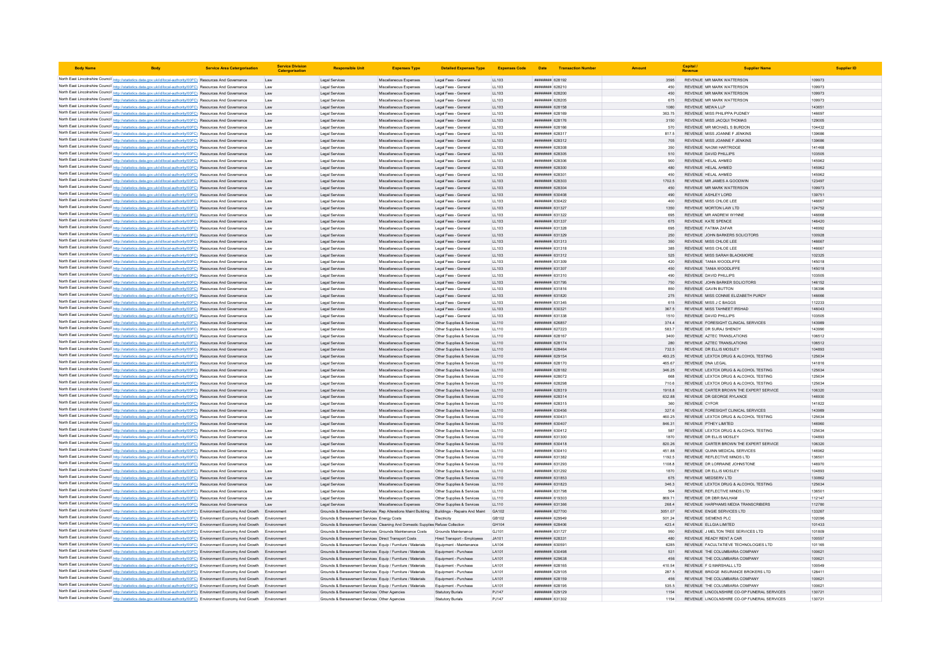| <b>Body Name</b> |                                                                                                                                                                                                                                                                        | <b>Service Area Catergorisation</b> | <b>Service Division</b><br>Catergorisatio | <b>Responsible Uni</b>                                                                                                                      | <b>Expenses Type</b>                             | <b>Detailed Expenses Type</b>                          | <b>Expenses Code</b>  | Date                                     | <b>Transaction Number</b> |                 | Capital /<br>Revenue                                                          |                  |
|------------------|------------------------------------------------------------------------------------------------------------------------------------------------------------------------------------------------------------------------------------------------------------------------|-------------------------------------|-------------------------------------------|---------------------------------------------------------------------------------------------------------------------------------------------|--------------------------------------------------|--------------------------------------------------------|-----------------------|------------------------------------------|---------------------------|-----------------|-------------------------------------------------------------------------------|------------------|
|                  | North East Lincolnshire Council http://statistics.data.gov.uk/id/local-authority/00FC) Resources And Governance                                                                                                                                                        |                                     | Law                                       | Legal Services                                                                                                                              | Miscellaneous Expenses                           | Legal Fees - General                                   | LL103                 | ######## 628192                          |                           | 3595            | REVENUE MR MARK WATTERSON                                                     | 109973           |
|                  | North East Lincolnshire Council http://statistics.data.gov.uk/id/local-authority/00FC) Resources And Governance                                                                                                                                                        |                                     | Law                                       | Legal Services                                                                                                                              | Miscellaneous Expenses                           | Legal Fees - General                                   | LL103                 | ######## 628210                          |                           | 450             | REVENUE MR MARK WATTERSON                                                     | 109973           |
|                  | North East Lincolnshire Council http://statistics.data.gov.uk/id/local-authority/00FC) Resources And Governance                                                                                                                                                        |                                     | Law                                       | Legal Services                                                                                                                              | Miscellaneous Expenses                           | Legal Fees - General                                   | LL103                 | ######## 628200                          |                           | 450             | REVENUE MR MARK WATTERSON                                                     | 109973           |
|                  | North East Lincolnshire Council http://statistics.data.gov.uk/id/local-authority/00FC) Resources And Governance                                                                                                                                                        |                                     | Law                                       | Legal Services                                                                                                                              | Miscellaneous Expenses                           | Legal Fees - General                                   | LL103                 | ######## 628205                          |                           | 675             | REVENUE MR MARK WATTERSON                                                     | 109973           |
|                  | North East Lincolnshire Council http://statistics.data.gov.uk/id/local-authority/00FC) Resources And Governance                                                                                                                                                        |                                     | Law                                       | Legal Services                                                                                                                              | Miscellaneous Expenses                           | Legal Fees - General                                   | LL103                 | ######## 628158                          |                           | 1080            | REVENUE MEWA LLP                                                              | 143651           |
|                  | North East Lincolnshire Council http://statistics.data.gov.uk/id/local-authority/00FC) Resources And Governance                                                                                                                                                        |                                     | Law                                       | Legal Services                                                                                                                              | Miscellaneous Expenses                           | Legal Fees - General                                   | LL103                 | ######## 628169                          |                           | 363.75          | REVENUE MISS PHILIPPA PUDNEY                                                  | 146697           |
|                  | North East Lincolnshire Council http://statistics.data.gov.uk/id/local-authority/00FC) Resources And Governance<br>North East Lincolnshire Council http://statistics.data.gov.uk/id/local-authority/00FC) Resources And Governance                                     |                                     | Law<br>Law                                | Legal Services<br>Legal Services                                                                                                            | Miscellaneous Expenses<br>Miscellaneous Expenses | Legal Fees - General<br>Legal Fees - General           | LL103<br>LL103        | ######## 628176<br>######## 628166       |                           | 3150<br>570     | REVENUE MISS JACQUI THOMAS<br>REVENUE MR MICHAEL S BURDON                     | 129005<br>104432 |
|                  | North East Lincolnshire Council http://statistics.data.gov.uk/id/local-authority/00FC) Resources And Governance                                                                                                                                                        |                                     | Law                                       | Legal Services                                                                                                                              | Miscellaneous Expenses                           | Legal Fees - General                                   | LL103                 | ######## 628317                          |                           | 817.5           | REVENUE MISS JOANNE F JENKINS                                                 | 139686           |
|                  | North East Lincolnshire Council http://statistics.data.gov.uk/id/local-authority/00FC) Resources And Governance                                                                                                                                                        |                                     | Law                                       | Legal Services                                                                                                                              | Miscellaneous Expenses                           | Legal Fees - General                                   | LL103                 | ######## 628312                          |                           | 705             | REVENUE MISS JOANNE F JENKINS                                                 | 139686           |
|                  | North East Lincolnshire Council http://statistics.data.gov.uk/id/local-authority/00FC) Resources And Governance                                                                                                                                                        |                                     | Law                                       | Legal Services                                                                                                                              | Miscellaneous Expenses                           | Legal Fees - General                                   | LL103                 | ####### 628308                           |                           | 350             | <b>REVENUE NAOMI HARTRIDGE</b>                                                | 141468           |
|                  | North East Lincolnshire Council http://statistics.data.gov.uk/id/local-authority/00FC) Resources And Governance                                                                                                                                                        |                                     | Law                                       | Legal Services                                                                                                                              | Miscellaneous Expenses                           | Legal Fees - General                                   | LL103                 | ######## 628305                          |                           | 510             | REVENUE DAVID PHILLIPS                                                        | 103505           |
|                  | North East Lincolnshire Council http://statistics.data.gov.uk/id/local-authority/00FC) Resources And Governance                                                                                                                                                        |                                     | Law                                       | Legal Services                                                                                                                              | Miscellaneous Expenses                           | Legal Fees - General                                   | LL103                 | ######## 628306                          |                           | 900             | REVENUE HELAL AHMED                                                           | 145962           |
|                  | North East Lincolnshire Council http://statistics.data.gov.uk/id/local-authority/00FC) Resources And Governance                                                                                                                                                        |                                     | Law                                       | Legal Services                                                                                                                              | Miscellaneous Expenses                           | Legal Fees - General                                   | LL103                 | ######## 628300                          |                           | 480             | REVENUE HELAL AHMED                                                           | 145962           |
|                  | North East Lincolnshire Council http://statistics.data.gov.uk/id/local-authority/00FC) Resources And Governance<br>North East Lincolnshire Council http://statistics.data.gov.uk/id/local-authority/00FC) Resources And Governance                                     |                                     | Law                                       | Legal Services<br>Legal Services                                                                                                            | Miscellaneous Expenses                           | Legal Fees - General<br>Legal Fees - General           | LL103<br>LL103        | <b>плиннин</b> 628301<br>######## 628303 |                           | 450<br>1702.5   | REVENUE HELAL AHMED<br>REVENUE MR JAMES A GOODWIN                             | 145962<br>123497 |
|                  | North East Lincolnshire Council http://statistics.data.gov.uk/id/local-authority/00FC) Resources And Governance                                                                                                                                                        |                                     | Law<br>Law                                | Legal Services                                                                                                                              | Miscellaneous Expenses<br>Miscellaneous Expenses | Legal Fees - General                                   | LL103                 | ######## 628304                          |                           | 450             | REVENUE MR MARK WATTERSON                                                     | 109973           |
|                  | North East Lincolnshire Council http://statistics.data.gov.uk/id/local-authority/00FC) Resources And Governance                                                                                                                                                        |                                     | Law                                       | Legal Services                                                                                                                              | Miscellaneous Expenses                           | Legal Fees - General                                   | LL103                 | ######## 630408                          |                           | 490             | REVENUE ASHLEY LORD                                                           | 139751           |
|                  | North East Lincolnshire Council http://statistics.data.gov.uk/id/local-authority/00FC) Resources And Governance                                                                                                                                                        |                                     | Law                                       | Legal Services                                                                                                                              | Miscellaneous Expenses                           | Legal Fees - General                                   | LL103                 | ######## 630422                          |                           | 400             | REVENUE MISS CHLOE LEE                                                        | 146667           |
|                  | North East Lincolnshire Council http://statistics.data.gov.uk/id/local-authority/00FC) Resources And Governance                                                                                                                                                        |                                     | Law                                       | Legal Services                                                                                                                              | Miscellaneous Expenses                           | Legal Fees - General                                   | LL103                 | ######## 631327                          |                           | 1350            | REVENUE MORTON LAW LTD                                                        | 124752           |
|                  | North East Lincolnshire Council http://statistics.data.gov.uk/id/local-authority/00FC) Resources And Governance                                                                                                                                                        |                                     | Law                                       | Legal Services                                                                                                                              | Miscellaneous Expenses                           | Legal Fees - General                                   | LL103                 | ######## 631322                          |                           | 695             | REVENUE MR ANDREW WYNNE                                                       | 146668           |
|                  | North East Lincolnshire Council http://statistics.data.gov.uk/id/local-authority/00FC) Resources And Governance                                                                                                                                                        |                                     | Law                                       | Legal Services                                                                                                                              | Miscellaneous Expenses                           | Legal Fees - General                                   | LL103                 | ######## 631337                          |                           | 675             | REVENUE KATE SPENCE                                                           | 146420           |
|                  | North East Lincolnshire Council http://statistics.data.gov.uk/id/local-authority/00FC) Resources And Governance                                                                                                                                                        |                                     | Law                                       | Legal Services                                                                                                                              | Miscellaneous Expenses                           | Legal Fees - General                                   | LL103                 | ######## 631328                          |                           | 695             | REVENUE FATIMA ZAFAR                                                          | 146992           |
|                  | North East Lincolnshire Council http://statistics.data.gov.uk/id/local-authority/00FC) Resources And Governance<br>North East Lincolnshire Council http://statistics.data.gov.uk/id/local-authority/00FC) Resources And Governance                                     |                                     | Law<br>Law                                | Legal Services<br>Legal Services                                                                                                            | Miscellaneous Expenses<br>Miscellaneous Expenses | Legal Fees - General<br>Legal Fees - General           | LL103<br>LL103        | ######## 631329<br>######## 631313       |                           | 250<br>350      | REVENUE JOHN BARKERS SOLICITORS<br>REVENUE MISS CHLOE LEE                     | 100928<br>146667 |
|                  | North East Lincolnshire Council http://statistics.data.gov.uk/id/local-authority/00FC) Resources And Governance                                                                                                                                                        |                                     | Law                                       | Legal Services                                                                                                                              | Miscellaneous Expenser                           | Legal Fees - General                                   | LL103                 | ######## 631318                          |                           | 385             | REVENUE MISS CHLOE LEE                                                        | 146667           |
|                  | North East Lincolnshire Council http://statistics.data.gov.uk/id/local-authority/00FC) Resources And Governance                                                                                                                                                        |                                     | Law                                       | Legal Services                                                                                                                              | Miscellaneous Expenses                           | Legal Fees - General                                   | LL103                 | ######## 631312                          |                           | 525             | REVENUE MISS SARAH BLACKMORE                                                  | 102325           |
|                  | North East Lincolnshire Council http://statistics.data.gov.uk/id/local-authority/00FC) Resources And Governance                                                                                                                                                        |                                     | Law                                       | Legal Services                                                                                                                              | Miscellaneous Expenses                           | Legal Fees - General                                   | LL103                 | ######## 631309                          |                           | 420             | REVENUE TANIA WOODLIFFE                                                       | 145018           |
|                  | North East Lincolnshire Council http://statistics.data.gov.uk/id/local-authority/00FC) Resources And Governance                                                                                                                                                        |                                     | Law                                       | Legal Services                                                                                                                              | Miscellaneous Expenses                           | Legal Fees - General                                   | LL103                 | ######## 631307                          |                           | 450             | REVENUE TANIA WOODLIFFE                                                       | 145018           |
|                  | North East Lincolnshire Council http://statistics.data.gov.uk/id/local-authority/00FC) Resources And Governance                                                                                                                                                        |                                     | Law                                       | Legal Services                                                                                                                              | Miscellaneous Expenses                           | Legal Fees - General                                   | LL103                 | ######## 631310                          |                           | 490             | REVENUE DAVID PHILLIPS                                                        | 103505           |
|                  | North East Lincolnshire Council http://statistics.data.gov.uk/id/local-authority/00FC) Resources And Governance                                                                                                                                                        |                                     | Law                                       | Legal Services                                                                                                                              | Miscellaneous Expenses                           | Legal Fees - General                                   | 11103                 | ######## 631795                          |                           | 750             | REVENUE JOHN BARKER SOLICITORS                                                | 146152           |
|                  | North East Lincolnshire Council http://statistics.data.gov.uk/id/local-authority/00FC) Resources And Governance                                                                                                                                                        |                                     | Law                                       | Legal Services                                                                                                                              | Miscellaneous Expenses                           | Legal Fees - General                                   | LL103                 | ####### 631816                           |                           | 850             | REVENUE GAVIN BUTTON                                                          | 136396           |
|                  | North East Lincolnshire Council http://statistics.data.gov.uk/id/local-authority/00FC) Resources And Governance<br>North East Lincolnshire Council http://statistics.data.gov.uk/id/local-authority/00FC) Resources And Governance                                     |                                     | Law<br>Law                                | Legal Services<br>Legal Services                                                                                                            | Miscellaneous Expenses<br>Miscellaneous Expenses | Legal Fees - General<br>Legal Fees - General           | LL103<br>LL103        | ######## 631820<br>######## 631345       |                           | 275<br>615      | REVENUE MISS CONNIE ELIZABETH PURDY<br>REVENUE MISS J C BAGGS                 | 146666<br>112233 |
|                  | North East Lincolnshire Council http://statistics.data.gov.uk/id/local-authority/00FC) Resources And Governance                                                                                                                                                        |                                     | Law                                       | Legal Services                                                                                                                              | Miscellaneous Expenses                           | Legal Fees - General                                   | LL103                 | ######## 630321                          |                           | 367.5           | REVENUE MISS TAHNEET IRSHAD                                                   | 146043           |
|                  | North East Lincolnshire Council http://statistics.data.gov.uk/id/local-authority/00FC) Resources And Governance                                                                                                                                                        |                                     | Law                                       | Legal Services                                                                                                                              | Miscellaneous Expenses                           | Legal Fees - General                                   | LL103                 | ######## 631338                          |                           | 1510            | REVENUE DAVID PHILLIPS                                                        | 103505           |
|                  | North East Lincolnshire Council http://statistics.data.gov.uk/id/local-authority/00FC) Resources And Governance                                                                                                                                                        |                                     | Law                                       | Legal Services                                                                                                                              | Miscellaneous Expenses                           | Other Supplies & Services                              | LL110                 | ######## 626857                          |                           | 374.4           | REVENUE FORESIGHT CLINICAL SERVICES                                           | 143989           |
|                  | North East Lincolnshire Council http://statistics.data.gov.uk/id/local-authority/00FC) Resources And Governance                                                                                                                                                        |                                     | Law                                       | Legal Services                                                                                                                              | Miscellaneous Expenses                           | Other Supplies & Services                              | LL110                 | ######## 627223                          |                           | 583.7           | REVENUE DR SURAJ SHENOY                                                       | 143990           |
|                  | North East Lincolnshire Council http://statistics.data.gov.uk/id/local-authority/00FC) Resources And Governance                                                                                                                                                        |                                     | Law                                       | Legal Services                                                                                                                              | Miscellaneous Expenses                           | Other Supplies & Services                              | LL110                 | ######## 628167                          |                           | 3400            | REVENUE AZTEC TRANSLATIONS                                                    | 106512           |
|                  | North East Lincolnshire Council http://statistics.data.gov.uk/id/local-authority/00FC) Resources And Governance                                                                                                                                                        |                                     | Law                                       | Legal Services                                                                                                                              | Miscellaneous Expenses                           | Other Supplies & Services                              | LL110                 | ######## 628174                          |                           | 280             | REVENUE AZTEC TRANSLATIONS                                                    | 106512           |
|                  | North East Lincolnshire Council http://statistics.data.gov.uk/id/local-authority/00FC) Resources And Governance<br>North East Lincolnshire Council http://statistics.data.gov.uk/id/local-authority/00FC) Resources And Governance                                     |                                     | Law                                       | Legal Services<br>Legal Services                                                                                                            | Miscellaneous Expenser                           | Other Supplies & Services<br>Other Supplies & Services | LL110<br>LL110        | ######## 628464<br>######## 629154       |                           | 732.5<br>493.25 | REVENUE DR ELLIS MOSLEY<br>REVENUE LEXTOX DRUG & ALCOHOL TESTING              | 104893<br>125634 |
|                  | North East Lincolnshire Council http://statistics.data.gov.uk/id/local-authority/00FC) Resources And Governance                                                                                                                                                        |                                     | Law<br>Law                                | Legal Services                                                                                                                              | Miscellaneous Expenses<br>Miscellaneous Expenses | Other Supplies & Services                              | LL110                 | ####### 628170                           |                           | 465.67          | REVENUE DNA LEGAL                                                             | 141816           |
|                  | North East Lincolnshire Council http://statistics.data.gov.uk/id/local-authority/00FC) Resources And Governance                                                                                                                                                        |                                     | Law                                       | Legal Services                                                                                                                              | Miscellaneous Expenses                           | Other Supplies & Services                              | LL110                 | ######## 628182                          |                           | 346.25          | REVENUE LEXTOX DRUG & ALCOHOL TESTING                                         | 125634           |
|                  | North East Lincolnshire Council http://statistics.data.gov.uk/id/local-authority/00FC) Resources And Governance                                                                                                                                                        |                                     | Law                                       | Legal Services                                                                                                                              | Miscellaneous Expenses                           | Other Supplies & Services                              | LL110                 | ######## 628072                          |                           | 668             | REVENUE LEXTOX DRUG & ALCOHOL TESTING                                         | 125634           |
|                  | North East Lincolnshire Council http://statistics.data.gov.uk/id/local-authority/00FC) Resources And Governance                                                                                                                                                        |                                     | Law                                       | Legal Services                                                                                                                              | Miscellaneous Expenses                           | Other Supplies & Services                              | 11110                 | <i>пивниния</i> 628298                   |                           | 710.6           | REVENUE LEXTOX DRUG & ALCOHOL TESTING                                         | 125634           |
|                  | North East Lincolnshire Council http://statistics.data.gov.uk/id/local-authority/00FC) Resources And Governance                                                                                                                                                        |                                     | Law                                       | Legal Services                                                                                                                              | Miscellaneous Expenses                           | Other Supplies & Services                              | LL110                 | ######## 628319                          |                           | 1918.8          | REVENUE CARTER BROWN THE EXPERT SERVICE                                       | 106320           |
|                  | North East Lincolnshire Council http://statistics.data.gov.uk/id/local-authority/00FC) Resources And Governance                                                                                                                                                        |                                     | Law                                       | Legal Services                                                                                                                              | Miscellaneous Expenses                           | Other Supplies & Services                              | LL110                 | ######## 628314                          |                           | 632.88          | REVENUE DR GEORGE RYLANCE                                                     | 146930           |
|                  | North East Lincolnshire Council http://statistics.data.gov.uk/id/local-authority/00FC) Resources And Governance                                                                                                                                                        |                                     | Law                                       | Legal Services                                                                                                                              | Miscellaneous Expenses                           | Other Supplies & Services                              | LL110                 | <b>пининний</b> 628315                   |                           | 360             | REVENUE CYEOR                                                                 | 141822           |
|                  | North East Lincolnshire Council http://statistics.data.gov.uk/id/local-authority/00FC) Resources And Governance<br>North East Lincolnshire Council http://statistics.data.gov.uk/id/local-authority/00FC) Resources And Governance                                     |                                     | Law<br>Law                                | Legal Services<br>Legal Services                                                                                                            | Miscellaneous Expenses<br>Miscellaneous Expenses | Other Supplies & Services<br>Other Supplies & Services | LL110<br>LL110        | ######## 630456<br>####### 630431        |                           | 327.6<br>460.25 | REVENUE FORESIGHT CLINICAL SERVICES<br>REVENUE LEXTOX DRUG & ALCOHOL TESTING  | 143989<br>125634 |
|                  | North East Lincolnshire Council http://statistics.data.gov.uk/id/local-authority/00FC) Resources And Governance                                                                                                                                                        |                                     | Law                                       | Legal Services                                                                                                                              | Miscellaneous Expenses                           | Other Supplies & Services                              | LL110                 | ######## 630407                          |                           | 846.31          | REVENUE PTHEY LIMITED                                                         | 146960           |
|                  | North East Lincolnshire Council http://statistics.data.gov.uk/id/local-authority/00FC) Resources And Governance                                                                                                                                                        |                                     | Law                                       | Legal Services                                                                                                                              | Miscellaneous Expenses                           | Other Supplies & Services                              | LL110                 | ######## 630412                          |                           | 587             | REVENUE LEXTOX DRUG & ALCOHOL TESTING                                         | 125634           |
|                  | North East Lincolnshire Council http://statistics.data.gov.uk/id/local-authority/00FC) Resources And Governance                                                                                                                                                        |                                     | Law                                       | Legal Services                                                                                                                              | Miscellaneous Expenses                           | Other Supplies & Services                              | LL110                 | ######## 631300                          |                           | 1870            | REVENUE DR ELLIS MOSLEY                                                       | 104893           |
|                  | North East Lincolnshire Council http://statistics.data.gov.uk/id/local-authority/00FC) Resources And Governance                                                                                                                                                        |                                     | Law                                       | Legal Services                                                                                                                              | Miscellaneous Expenses                           | Other Supplies & Services                              | LL110                 | ######## 630418                          |                           | 820.26          | REVENUE CARTER BROWN THE EXPERT SERVICE                                       | 106320           |
|                  | North East Lincolnshire Council http://statistics.data.gov.uk/id/local-authority/00FC) Resources And Governance                                                                                                                                                        |                                     | Law                                       | Legal Services                                                                                                                              | Miscellaneous Expenses                           | Other Supplies & Services                              | LL110                 | ######## 630410                          |                           |                 | REVENUE QUINN MEDICAL SERVICES                                                | 146962           |
|                  | North East Lincolnshire Council http://statistics.data.gov.uk/id/local-authority/00FC) Resources And Governance                                                                                                                                                        |                                     | Law                                       | Legal Services                                                                                                                              | Miscellaneous Expenses                           | Other Supplies & Services                              | LL110                 | ######## 631382                          |                           | 1192.5          | REVENUE REFLECTIVE MINDS LTD                                                  | 136501           |
|                  | North East Lincolnshire Council http://statistics.data.gov.uk/id/local-authority/00FC) Resources And Governance<br>North East Lincolnshire Council http://statistics.data.gov.uk/id/local-authority/00FC) Resources And Governance                                     |                                     | Law                                       | Legal Services<br>Legal Services                                                                                                            | Miscellaneous Expenses<br>Miscellaneous Expenses | Other Supplies & Services<br>Other Supplies & Services | LL110<br>LL110        | ######## 631293<br>######## 631292       |                           | 1108.8<br>1870  | REVENUE DR LORRAINE JOHNSTONE<br>REVENUE DR ELLIS MOSLEY                      | 146970<br>104893 |
|                  | North East Lincolnshire Council http://statistics.data.gov.uk/id/local-authority/00FC) Resources And Governance                                                                                                                                                        |                                     | Law<br>Law                                | Legal Services                                                                                                                              | Miscellaneous Expenses                           | Other Supplies & Services                              | LL110                 | ####### 631853                           |                           | 675             | REVENUE MEDSERV LTD                                                           | 130862           |
|                  | North East Lincolnshire Council http://statistics.data.gov.uk/id/local-authority/00FC) Resources And Governance                                                                                                                                                        |                                     | Law                                       | Legal Services                                                                                                                              | Miscellaneous Expenses                           | Other Supplies & Services                              | LL110                 | ######## 631823                          |                           | 346.3           | REVENUE LEXTOX DRUG & ALCOHOL TESTING                                         | 125634           |
|                  | North East Lincolnshire Council http://statistics.data.gov.uk/id/local-authority/00FC) Resources And Governance                                                                                                                                                        |                                     | Law                                       | Legal Services                                                                                                                              | Miscellaneous Expenses                           | Other Supplies & Services                              | LL110                 | ######## 631798                          |                           | 504             | REVENUE REFLECTIVE MINDS LTD                                                  | 136501           |
|                  | North East Lincolnshire Council http://statistics.data.gov.uk/id/local-authority/00FC) Resources And Governance                                                                                                                                                        |                                     | Law                                       | Legal Services                                                                                                                              | Miscellaneous Expenser                           | Other Supplies & Services                              | LL110                 | ######## 619303                          |                           | 869.71          | REVENUE DR DBR BAILHAM                                                        | 112147           |
|                  | North East Lincolnshire Council http://statistics.data.gov.uk/id/local-authority/00FC) Resources And Governance                                                                                                                                                        |                                     | Law                                       | Legal Services                                                                                                                              | Miscellaneous Expenses                           | Other Supplies & Services                              | LL110                 | ######## 631366                          |                           | 268.4           | REVENUE HARPHAMS MEDIA TRANSCRIBERS                                           | 112780           |
|                  | North East Lincolnshire Council http://statistics.data.gov.uk/id/local-authority/00FC) Environment Economy And Growth Environment                                                                                                                                      |                                     |                                           | Grounds & Bereavement Services, Ren Alterations Maint Building                                                                              |                                                  | Buildings - Repairs And Maint                          | GA102                 | ######## 627700                          |                           | 3051.07         | REVENUE ENGIE SERVICES LTD                                                    | 133267           |
|                  | North East Lincolnshire Council http://statistics.data.gov.uk/id/local-authority/00FC) Environment Economy And Growth Environment                                                                                                                                      |                                     |                                           | Grounds & Bereavement Services Energy Costs                                                                                                 |                                                  | Flectricity                                            | GB102                 | ######## 629949                          |                           | 501.24          | REVENUE SIEMENS PLC.                                                          | 102096           |
|                  | North East Lincolnshire Council http://statistics.data.gov.uk/id/local-authority/00FC) Environment Economy And Growth Environment<br>North East Lincolnshire Council http://statistics.data.gov.uk/id/local-authority/00FC) Environment Economy And Growth Environment |                                     |                                           | Grounds & Bereavement Services Cleaning And Domestic Supplies Refuse Collection<br>Grounds & Bereavement Services Grounds Maintenance Costs |                                                  | Grounds Maintenance                                    | GH104<br>GJ101        | ######## 628406<br>######## 631727       |                           | 423.4<br>950    | REVENUE ELLGIA LIMITED<br>REVENUE J MELTON TREE SERVICES LTD                  | 101433<br>101809 |
|                  | North East Lincolnshire Council http://statistics.data.gov.uk/id/local-authority/00FC) Environment Economy And Growth Environment                                                                                                                                      |                                     |                                           | Grounds & Bereavement Services Direct Transport Costs                                                                                       |                                                  | Hired Transport - Employees                            | JA101                 | ######## 628331                          |                           | 480             | REVENUE READY RENT A CAR                                                      | 100557           |
|                  | North East Lincolnshire Council http://statistics.data.gov.uk/id/local-authority/00FC) Environment Economy And Growth Environment                                                                                                                                      |                                     |                                           | Grounds & Bereavement Services Equip / Furniture / Materials                                                                                |                                                  | Equipment - Maintenance                                | LA104                 | ######## 630591                          |                           | 6285            | REVENUE FACULTATIEVE TECHNOLOGIES LTD                                         | 101165           |
|                  | North East Lincolnshire Council http://statistics.data.gov.uk/id/local-authority/00FC) Environment Economy And Growth                                                                                                                                                  |                                     |                                           | Grounds & Bereavement Services Equip / Furniture / Materials                                                                                |                                                  | Equipment - Purchase                                   | LA101                 | ######## 630498                          |                           | 531             | REVENUE THE COLUMBARIA COMPANY                                                | 100621           |
|                  | North East Lincolnshire Council http://statistics.data.gov.uk/id/local-authority/00FC) Environment Economy And Growth Environment                                                                                                                                      |                                     |                                           | Grounds & Bereavement Services Equip / Furniture / Materials                                                                                |                                                  | Equipment - Purchase                                   | LA101                 | ######## 629638                          |                           | 456             | REVENUE THE COLUMBARIA COMPANY                                                | 100621           |
|                  | North East Lincolnshire Council http://statistics.data.gov.uk/id/local-authority/00FC) Environment Economy And Growth Environment                                                                                                                                      |                                     |                                           | Grounds & Bereavement Services Equip / Furniture / Materials                                                                                |                                                  | Equipment - Purchase                                   | LA101                 | ####### 628165                           |                           | 410.54          | REVENUE F G MARSHALL LTD                                                      | 100549           |
|                  | North East Lincolnshire Council http://statistics.data.gov.uk/id/local-authority/00FC) Environment Economy And Growth Environment                                                                                                                                      |                                     |                                           | Grounds & Bereavement Services Equip / Furniture / Materials                                                                                |                                                  | Equipment - Purchase                                   | LA101                 | ######## 629105                          |                           | 287.5           | REVENUE BRIDGE INSURANCE BROKERS LTD                                          | 128411           |
|                  | North East Lincolnshire Council http://statistics.data.gov.uk/id/local-authority/00FC) Environment Economy And Growth Environment                                                                                                                                      |                                     |                                           | Grounds & Bereavement Services Equip / Furniture / Materials                                                                                |                                                  | Equipment - Purchase                                   | LA101<br><b>LA101</b> | ######## 628159<br>######## 628195       |                           | 456<br>535.5    | REVENUE THE COLUMBARIA COMPANY                                                | 100621<br>100621 |
|                  | North East Lincolnshire Council http://statistics.data.gov.uk/id/local-authority/00FC) Environment Economy And Growth Environment<br>North East Lincolnshire Council http://statistics.data.gov.uk/id/local-authority/00FC) Environment Economy And Growth Environment |                                     |                                           | Grounds & Bereavement Services Equip / Furniture / Materials<br>Grounds & Bereavement Services Other Agencies                               |                                                  | Equipment - Purchase<br><b>Statutory Burials</b>       | PJ147                 | ######## 629129                          |                           | 1154            | REVENUE THE COLUMBARIA COMPANY<br>REVENUE LINCOLNSHIRE CO-OP FUNERAL SERVICES | 130721           |
|                  | North East Lincolnshire Council http://statistics.data.gov.uk/id/local-authority/00FC) Environment Economy And Growth                                                                                                                                                  |                                     | Environment                               | Grounds & Bereavement Services Other Agencies                                                                                               |                                                  | <b>Statutory Burials</b>                               | PJ147                 | ######## 631302                          |                           | 1154            | REVENUE LINCOLNSHIRE CO-OP FUNERAL SERVICE                                    | 13072            |
|                  |                                                                                                                                                                                                                                                                        |                                     |                                           |                                                                                                                                             |                                                  |                                                        |                       |                                          |                           |                 |                                                                               |                  |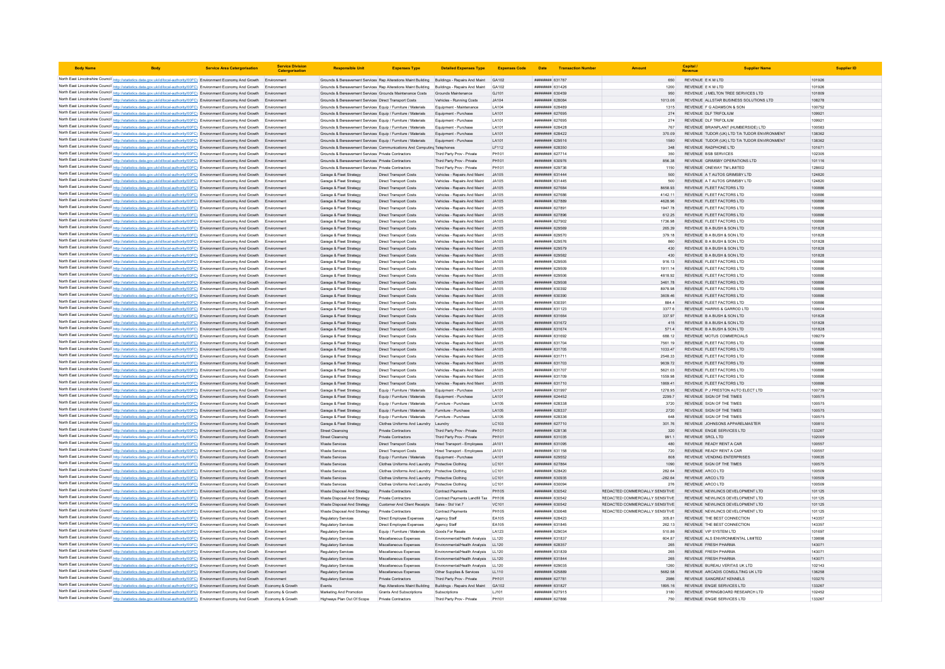| <b>Body Name</b> |                                                                                                                                                                                                                                                                        | <b>Service Area Catergorisation</b> | <b>Service Division</b><br>Catergorisa | <b>Responsible Unit</b>                                                                                                                 | <b>Expenses Type</b>                                           | <b>Detailed Expenses Type</b>                                    | <b>Expenses Code</b> |                                                  | Date <b>Transaction Number</b> |                                                                    | Capital                                                              | <b>Supplier Name</b> | <b>Supplier ID</b> |
|------------------|------------------------------------------------------------------------------------------------------------------------------------------------------------------------------------------------------------------------------------------------------------------------|-------------------------------------|----------------------------------------|-----------------------------------------------------------------------------------------------------------------------------------------|----------------------------------------------------------------|------------------------------------------------------------------|----------------------|--------------------------------------------------|--------------------------------|--------------------------------------------------------------------|----------------------------------------------------------------------|----------------------|--------------------|
|                  | North East Lincolnshire Council http://statistics.data.gov.uk/id/local-authority/00FC) Environment Economy And Growth Environment                                                                                                                                      |                                     |                                        | Grounds & Bereavement Services Rep Alterations Maint Building Buildings - Repairs And Maint                                             |                                                                |                                                                  | GA102                | ######## 631787                                  |                                | 650                                                                | REVENUE E K M LTD                                                    | 101926               |                    |
|                  | North East Lincolnshire Council http://statistics.data.gov.uk/id/local-authority/00FC) Environment Economy And Growth Environmen                                                                                                                                       |                                     |                                        | Grounds & Bereavement Services Rep Alterations Maint Building Buildings - Repairs And Maint                                             |                                                                |                                                                  | GA102                | ######## 631426                                  |                                | 1200                                                               | REVENUE E K M LTD                                                    | 101926               |                    |
|                  | North East Lincolnshire Council http://statistics.data.gov.uk/id/local-authority/00FC) Environment Economy And Growth Environment                                                                                                                                      |                                     |                                        | Grounds & Bereavement Services Grounds Maintenance Costs                                                                                |                                                                | Grounds Maintenance                                              | GJ101                | ######## 630459                                  |                                | 950                                                                | REVENUE J MELTON TREE SERVICES LTD                                   | 101809               |                    |
|                  | North East Lincolnshire Council http://statistics.data.gov.uk/id/local-authority/00FC) Environment Economy And Growth Environment                                                                                                                                      |                                     |                                        | Grounds & Bereavement Services Direct Transport Costs                                                                                   |                                                                | Vehicles - Running Costs                                         | JA104                | ######## 628084                                  |                                | 1013.06                                                            | REVENUE ALLSTAR BUSINESS SOLUTIONS LTD                               | 108278               |                    |
|                  | North East Lincolnshire Council http://statistics.data.gov.uk/id/local-authority/00FC) Environment Economy And Growth Environment                                                                                                                                      |                                     |                                        | Grounds & Bereavement Services Equip / Furniture / Materials                                                                            |                                                                | Equipment - Maintenance                                          | LA104                | ####### 628489                                   |                                | 1315                                                               | REVENUE F G ADAMSON & SON                                            | 100752               |                    |
|                  | North East Lincolnshire Council http://statistics.data.gov.uk/id/local-authority/00FC) Environment Economy And Growth Environment                                                                                                                                      |                                     |                                        | Grounds & Bereavement Services Equip / Furniture / Materials                                                                            |                                                                | Equipment - Purchase                                             | LA101                | ######## 627695                                  |                                | 274                                                                | REVENUE DLF TRIFOLIUM                                                | 109921               |                    |
|                  | North East Lincolnshire Council http://statistics.data.gov.uk/id/local-authority/00FC) Environment Economy And Growth Environment                                                                                                                                      |                                     |                                        | Grounds & Bereavement Services Equip / Furniture / Materials                                                                            |                                                                | Equipment - Purchase                                             | LA101                | ######## 627695                                  |                                | 274                                                                | REVENUE DLF TRIFOLIUM                                                | 109921               |                    |
|                  | North East Lincolnshire Council http://statistics.data.gov.uk/id/local-authority/00FC) Environment Economy And Growth Environment                                                                                                                                      |                                     |                                        | Grounds & Bereavement Services Equip / Furniture / Materials                                                                            |                                                                | Equipment - Purchase                                             | LA101                | ######## 628428                                  |                                | 767                                                                | REVENUE BRIANPLANT (HUMBERSIDE) LTD                                  | 100583               |                    |
|                  | North East Lincolnshire Council http://statistics.data.gov.uk/id/local-authority/00FC) Environment Economy And Growth Environment<br>North East Lincolnshire Council http://statistics.data.gov.uk/id/local-authority/00FC) Environment Economy And Growth             |                                     | Environmen                             | Grounds & Bereavement Services Equip / Furniture / Materials                                                                            |                                                                | Equipment - Purchase<br>Equipment - Purchase                     | LA101                | ######## 628422<br>######## 629516               |                                | 370.09<br>1580                                                     | REVENUE TUDOR (UK) LTD T/A TUDOR ENVIRONMENT                         | 138362<br>138362     |                    |
|                  | North East Lincolnshire Council http://statistics.data.gov.uk/id/local-authority/00FC) Environment Economy And Growth Environment                                                                                                                                      |                                     |                                        | Grounds & Bereavement Services Equip / Furniture / Materials<br>Grounds & Bereavement Services, Communications And Computing Telephones |                                                                |                                                                  | LA101<br>LF112       | ######## 628350                                  |                                | 348                                                                | REVENUE TUDOR (UK) LTD T/A TUDOR ENVIRONMENT<br>REVENUE RADPHONE LTD | 101671               |                    |
|                  | North East Lincolnshire Council http://statistics.data.gov.uk/id/local-authority/00FC) Environment Economy And Growth Environment                                                                                                                                      |                                     |                                        | Grounds & Bereavement Services Private Contractors                                                                                      |                                                                | Third Party Prov - Private                                       | PH101                | ####### 627714                                   |                                | 350                                                                | REVENUE BSB SERVICES                                                 | 102305               |                    |
|                  | North East Lincolnshire Council http://statistics.data.gov.uk/id/local-authority/00FC) Environment Economy And Growth Environment                                                                                                                                      |                                     |                                        | Grounds & Bereavement Services Private Contractors                                                                                      |                                                                | Third Party Prov - Private                                       | PH101                | ######## 630976                                  |                                | 856.38                                                             | REVENUE GRIMSBY OPERATIONS LTD                                       | 101116               |                    |
|                  | North East Lincolnshire Council http://statistics.data.gov.uk/id/local-authority/00FC) Environment Economy And Growth Environment                                                                                                                                      |                                     |                                        | Grounds & Bereavement Services Private Contractors                                                                                      |                                                                | Third Party Prov - Private                                       | PH101                | ######## 629736                                  |                                | 1150                                                               | REVENUE ONEWAY TM LIMITED                                            | 128602               |                    |
|                  | North East Lincolnshire Council http://statistics.data.gov.uk/id/local-authority/00FC) Environment Economy And Growth Environment                                                                                                                                      |                                     |                                        | Garage & Fleet Strategy                                                                                                                 | <b>Direct Transport Costs</b>                                  | Vehicles - Repairs And Maint                                     | .14105               | <b>HHHHHHH 631444</b>                            |                                | 500                                                                | REVENUE A T AUTOS GRIMSBY LTD                                        | 124820               |                    |
|                  | North East Lincolnshire Council http://statistics.data.gov.uk/id/local-authority/00FC) Environment Economy And Growth Environment                                                                                                                                      |                                     |                                        | Garage & Fleet Strategy                                                                                                                 | <b>Direct Transport Costs</b>                                  | Vehicles - Repairs And Maint                                     | JAA05                | ######## 631445                                  |                                | 500                                                                | REVENUE A T AUTOS GRIMSBY LTD                                        | 124820               |                    |
|                  | North East Lincolnshire Council http://statistics.data.gov.uk/id/local-authority/00FC) Environment Economy And Growth Environment                                                                                                                                      |                                     |                                        | Garage & Fleet Strategy                                                                                                                 | <b>Direct Transport Costs</b>                                  | Vehicles - Repairs And Maint                                     | JA105                | ######## 627684                                  |                                | 8658.93                                                            | REVENUE FLEET FACTORS LTD                                            | 100886               |                    |
|                  | North East Lincolnshire Council http://statistics.data.gov.uk/id/local-authority/00FC) Environment Economy And Growth Environment                                                                                                                                      |                                     |                                        | Garage & Fleet Strategy                                                                                                                 | <b>Direct Transport Costs</b>                                  | Vehicles - Repairs And Maint                                     | JAA05                | ######## 627686                                  |                                | 4142 11                                                            | REVENUE ELEFT FACTORS LTD                                            | 100886               |                    |
|                  | North East Lincolnshire Council http://statistics.data.gov.uk/id/local-authority/00FC) Environment Economy And Growth Environment                                                                                                                                      |                                     |                                        | Garage & Fleet Strategy                                                                                                                 | Direct Transport Costs                                         | Vehicles - Renairs And Maint  JA105                              | 14105                | <i>ппининни</i> 627889<br>ппинини 62789:         |                                | 4628.96<br>1947 78                                                 | REVENUE ELEFT FACTORS LTD<br>REVENUE ELEET FACTORS LTD               | 100886<br>100886     |                    |
|                  | North East Lincolnshire Council http://statistics.data.gov.uk/id/local-authority/00FC) Environment Economy And Growth Environment<br>North East Lincolnshire Council http://statistics.data.gov.uk/id/local-authority/00FC) Environment Economy And Growth Environment |                                     |                                        | Garage & Fleet Strategy<br>Garage & Fleet Strategy                                                                                      | <b>Direct Transport Costs</b><br><b>Direct Transport Costs</b> | Vehicles - Repairs And Maint<br>Vehicles - Repairs And Maint     | JA105                | ######## 627896                                  |                                | 612.25                                                             | REVENUE FLEET FACTORS LTD                                            | 100886               |                    |
|                  | North East Lincolnshire Council http://statistics.data.gov.uk/id/local-authority/00FC) Environment Economy And Growth Environment                                                                                                                                      |                                     |                                        | Garage & Fleet Strategy                                                                                                                 | Direct Transport Costs                                         | Vehicles - Repairs And Maint                                     | JA105                | ######## 627902                                  |                                | 1736.98                                                            | REVENUE FLEET FACTORS LTD                                            | 100886               |                    |
|                  | North East Lincolnshire Council http://statistics.data.gov.uk/id/local-authority/00FC) Environment Economy And Growth Environment                                                                                                                                      |                                     |                                        | Garage & Fleet Strategy                                                                                                                 | <b>Direct Transport Costs</b>                                  | Vehicles - Repairs And Maint                                     | JA105                | ######## 629569                                  |                                | 265.39                                                             | REVENUE B A BUSH & SON LTD                                           | 101828               |                    |
|                  | North East Lincolnshire Council http://statistics.data.gov.uk/id/local-authority/00FC) Environment Economy And Growth Environment                                                                                                                                      |                                     |                                        | Garage & Fleet Strategy                                                                                                                 | <b>Direct Transport Costs</b>                                  | Vehicles - Repairs And Maint                                     | JA105                | ######## 629570                                  |                                | 379.18                                                             | REVENUE B A BUSH & SON LTD                                           | 101828               |                    |
|                  | North East Lincolnshire Council http://statistics.data.gov.uk/id/local-authority/00FC) Environment Economy And Growth                                                                                                                                                  |                                     |                                        | <b>Garage &amp; Fleet Strategy</b>                                                                                                      | <b>Direct Transport Costs</b>                                  | Vehicles - Repairs And Maint                                     | JA105                | ######## 629576                                  |                                |                                                                    | REVENUE B A BUSH & SON LTD                                           | 101828               |                    |
|                  | North East Lincolnshire Council http://statistics.data.gov.uk/id/local-authority/00FC) Environment Economy And Growth Environment                                                                                                                                      |                                     |                                        | Garage & Fleet Strategy                                                                                                                 | <b>Direct Transport Costs</b>                                  | Vehicles - Repairs And Maint                                     | .14105               | ######## 629579                                  |                                | 430                                                                | REVENUE B A BUSH & SON LTD                                           | 101828               |                    |
|                  | North East Lincolnshire Council http://statistics.data.gov.uk/id/local-authority/00FC) Environment Economy And Growth Environment                                                                                                                                      |                                     |                                        | Garage & Fleet Strategy                                                                                                                 | <b>Direct Transport Costs</b>                                  | Vehicles - Repairs And Maint                                     | .14105               | ######## 629582                                  |                                | 430                                                                | REVENUE B A BUSH & SON LTD                                           | 101828               |                    |
|                  | North East Lincolnshire Council http://statistics.data.gov.uk/id/local-authority/00FC) Environment Economy And Growth Environment                                                                                                                                      |                                     |                                        | Garage & Fleet Strategy                                                                                                                 | <b>Direct Transport Costs</b>                                  | Vehicles - Repairs And Maint                                     | JA105                | ######## 629505                                  |                                | 916.13                                                             | REVENUE FLEET FACTORS LTD                                            | 100886               |                    |
|                  | North East Lincolnshire Council http://statistics.data.gov.uk/id/local-authority/00FC) Environment Economy And Growth Environment                                                                                                                                      |                                     |                                        | Garage & Fleet Strategy                                                                                                                 | Direct Transport Costs                                         | Vehicles - Repairs And Maint                                     | JA105                | ######## 629509                                  |                                | 1911.14                                                            | REVENUE FLEET FACTORS LTD                                            | 100886               |                    |
|                  | North East Lincolnshire Council http://statistics.data.gov.uk/id/local-authority/00FC) Environment Economy And Growth Environment                                                                                                                                      |                                     |                                        | Garage & Fleet Strategy                                                                                                                 | Direct Transport Costs                                         | Vehicles - Repairs And Maint                                     | .14105               | ######## 629506                                  |                                | 481892                                                             | REVENUE FLEET FACTORS LTD<br>REVENUE FLEET FACTORS LTD               | 100886<br>100886     |                    |
|                  | North East Lincolnshire Council http://statistics.data.gov.uk/id/local-authority/00FC) Environment Economy And Growth Environment<br>North East Lincolnshire Council http://statistics.data.gov.uk/id/local-authority/00FC) Environment Economy And Growth Environment |                                     |                                        | Garage & Fleet Strategy<br>Garage & Fleet Strategy                                                                                      | <b>Direct Transport Costs</b><br><b>Direct Transport Costs</b> | Vehicles - Repairs And Maint<br>Vehicles - Repairs And Maint     | .14105<br>JA105      | ######## 629508<br>######## 630392               |                                | 3461.78<br>8978.98                                                 | REVENUE FLEET FACTORS LTD                                            | 100886               |                    |
|                  | North East Lincolnshire Council http://statistics.data.gov.uk/id/local-authority/00FC) Environment Economy And Growth Environment                                                                                                                                      |                                     |                                        | Garage & Fleet Strategy                                                                                                                 | <b>Direct Transport Costs</b>                                  | Vehicles - Repairs And Maint                                     | JA105                | ######## 630390                                  |                                | 3609.46                                                            | REVENUE FLEET FACTORS LTD                                            | 100886               |                    |
|                  | North East Lincolnshire Council http://statistics.data.gov.uk/id/local-authority/00FC) Environment Economy And Growth Environment                                                                                                                                      |                                     |                                        | Garage & Fleet Strategy                                                                                                                 | <b>Direct Transport Costs</b>                                  | Vehicles - Repairs And Maint                                     | .14105               | ######## 630391                                  |                                | 884 4                                                              | REVENUE ELEFT FACTORS LTD                                            | 100886               |                    |
|                  | North East Lincolnshire Council http://statistics.data.gov.uk/id/local-authority/00FC) Environment Economy And Growth Environment                                                                                                                                      |                                     |                                        | Garage & Fleet Strategy                                                                                                                 | Direct Transport Costs                                         | Vehicles - Repairs And Maint                                     | .14105               | ######## 631123                                  |                                | 33776                                                              | REVENUE HARRIS & GARROD LTD                                          | 100604               |                    |
|                  | North East Lincolnshire Council http://statistics.data.gov.uk/id/local-authority/00FC) Environment Economy And Growth Environment                                                                                                                                      |                                     |                                        | Garage & Fleet Strategy                                                                                                                 | <b>Direct Transport Costs</b>                                  | Vehicles - Repairs And Maint                                     | JA105                | ######## 631664                                  |                                | 337.97                                                             | REVENUE B A BUSH & SON LTD                                           | 101828               |                    |
|                  | North East Lincolnshire Council http://statistics.data.gov.uk/id/local-authority/00FC) Environment Economy And Growth Environment                                                                                                                                      |                                     |                                        | Garage & Fleet Strategy                                                                                                                 | <b>Direct Transport Costs</b>                                  | Vehicles - Repairs And Maint                                     | JA105                | ######## 631672                                  |                                | 415                                                                | REVENUE B A BUSH & SON LTD                                           | 101828               |                    |
|                  | North East Lincolnshire Council http://statistics.data.gov.uk/id/local-authority/00FC) Environment Economy And Growth Environment                                                                                                                                      |                                     |                                        | Garage & Fleet Strategy                                                                                                                 | <b>Direct Transport Costs</b>                                  | Vehicles - Repairs And Maint                                     | .14105               | <b>######## 631674</b>                           |                                | 5714                                                               | REVENUE B A BUSH & SON LTD.                                          | 101828               |                    |
|                  | North East Lincolnshire Council http://statistics.data.gov.uk/id/local-authority/00FC) Environment Economy And Growth Environment                                                                                                                                      |                                     |                                        | Garage & Fleet Strategy                                                                                                                 | Direct Transport Costs                                         | Vehicles - Repairs And Maint                                     | .14105               | ######## 631692                                  |                                | 688 12                                                             | REVENUE MOTUS COMMERCIALS                                            | 109279               |                    |
|                  | North East Lincolnshire Council http://statistics.data.gov.uk/id/local-authority/00FC) Environment Economy And Growth Environment                                                                                                                                      |                                     |                                        | Garage & Fleet Strategy                                                                                                                 | <b>Direct Transport Costs</b>                                  | Vehicles - Repairs And Maint                                     | JA105                | ********* 631704                                 |                                | 7561.19                                                            | REVENUE FLEET FACTORS LTD                                            | 100886               |                    |
|                  | North East Lincolnshire Council http://statistics.data.gov.uk/id/local-authority/00FC) Environment Economy And Growth Environment<br>North East Lincolnshire Council http://statistics.data.gov.uk/id/local-authority/00FC) Environment Economy And Growth Environment |                                     |                                        | Garage & Fleet Strategy<br>Garage & Fleet Strategy                                                                                      | <b>Direct Transport Costs</b><br>Direct Transport Costs        | Vehicles - Repairs And Maint<br>Vehicles - Renairs And Maint     | .14105<br>.14105     | ######## 631705<br><b><i>BREEBHAR</i></b> 631711 |                                | 1033 47<br>2548.33                                                 | REVENUE ELEET FACTORS LTD<br>REVENUE ELEFT FACTORS LTD               | 100886<br>100886     |                    |
|                  | North East Lincolnshire Council http://statistics.data.gov.uk/id/local-authority/00FC) Environment Economy And Growth Environment                                                                                                                                      |                                     |                                        | Garage & Fleet Strategy                                                                                                                 | <b>Direct Transport Costs</b>                                  | Vehicles - Repairs And Maint                                     | JA105                | ######## 631703                                  |                                | 9639.72                                                            | REVENUE FLEET FACTORS LTD                                            | 100886               |                    |
|                  | North East Lincolnshire Council http://statistics.data.gov.uk/id/local-authority/00FC) Environment Economy And Growth Environment                                                                                                                                      |                                     |                                        | Garage & Fleet Strategy                                                                                                                 | Direct Transport Costs                                         | Vehicles - Repairs And Maint                                     | JA105                | ######## 631707                                  |                                | 5621.03                                                            | REVENUE FLEET FACTORS LTD                                            | 100886               |                    |
|                  | North East Lincolnshire Council http://statistics.data.gov.uk/id/local-authority/00FC) Environment Economy And Growth Environment                                                                                                                                      |                                     |                                        | Garage & Fleet Strategy                                                                                                                 | Direct Transport Costs                                         | Vehicles - Repairs And Maint                                     | JA105                | ######## 631709                                  |                                | 1559.98                                                            | REVENUE FLEET FACTORS LTD                                            | 100886               |                    |
|                  | North East Lincolnshire Council http://statistics.data.gov.uk/id/local-authority/00FC) Environment Economy And Growth Environment                                                                                                                                      |                                     |                                        | Garage & Fleet Strategy                                                                                                                 | <b>Direct Transport Costs</b>                                  | Vehicles - Repairs And Maint                                     | JA105                | ######## 631710                                  |                                | 1869.41                                                            | REVENUE FLEET FACTORS LTD                                            | 100886               |                    |
|                  | North East Lincolnshire Council http://statistics.data.gov.uk/id/local-authority/00FC) Environment Economy And Growth Environment                                                                                                                                      |                                     |                                        | Garage & Fleet Strategy                                                                                                                 | Equip / Furniture / Materials                                  | Equipment - Purchase                                             | LA101                | ######## 631997                                  |                                | 1278.95                                                            | REVENUE P J PRESTON AUTO ELECT LTD                                   | 100739               |                    |
|                  | North East Lincolnshire Council http://statistics.data.gov.uk/id/local-authority/00FC) Environment Economy And Growth Environment                                                                                                                                      |                                     |                                        | Garage & Fleet Strategy                                                                                                                 | Equip / Furniture / Materials                                  | Equipment - Purchase                                             | LA101                | ######## 624452                                  |                                | 2299.7                                                             | REVENUE SIGN OF THE TIMES                                            | 100575               |                    |
|                  | North East Lincolnshire Council http://statistics.data.gov.uk/id/local-authority/00FC) Environment Economy And Growth Environment                                                                                                                                      |                                     |                                        | Garage & Fleet Strategy                                                                                                                 | Equip / Furniture / Materials                                  | Furniture - Purchase                                             | LA105                | нининни 628338                                   |                                | 3720                                                               | REVENUE SIGN OF THE TIMES                                            | 100575               |                    |
|                  | North East Lincolnshire Council http://statistics.data.gov.uk/id/local-authority/00FC) Environment Economy And Growth Environment                                                                                                                                      |                                     |                                        | Garage & Fleet Strategy                                                                                                                 | Equip / Furniture / Materials                                  | Furniture - Purchase                                             | LA105                | ######## 628337                                  |                                | 2720                                                               | REVENUE SIGN OF THE TIMES                                            | 100575               |                    |
|                  | North East Lincolnshire Council http://statistics.data.gov.uk/id/local-authority/00FC) Environment Economy And Growth Environment                                                                                                                                      |                                     |                                        | Garage & Fleet Strategy                                                                                                                 | Equip / Furniture / Materials                                  | Furniture - Purchase                                             | LA105                | ######## 628336                                  |                                | 648                                                                | REVENUE SIGN OF THE TIMES                                            | 100575               |                    |
|                  | North East Lincolnshire Council http://statistics.data.gov.uk/id/local-authority/00FC) Environment Economy And Growth Environment<br>North East Lincolnshire Council http://statistics.data.gov.uk/id/local-authority/00FC) Environment Economy And Growth Environment |                                     |                                        | Garage & Fleet Strategy<br>Street Cleansing                                                                                             | Clothes Uniforms And Laundry Laundry<br>Private Contractors    | Third Party Prov - Private                                       | LC103<br>PH101       | ######## 627710<br><b>ппининн</b> 628136         |                                | 301.76<br>320                                                      | REVENUE JOHNSONS APPARELMASTER<br>REVENUE ENGIE SERVICES LTD         | 100810<br>133267     |                    |
|                  | North East Lincolnshire Council http://statistics.data.gov.uk/id/local-authority/00FC) Environment Economy And Growth Environment                                                                                                                                      |                                     |                                        | Street Cleansing                                                                                                                        | <b>Private Contractors</b>                                     | Third Party Prov - Private                                       | PH101                | ######## 631035                                  |                                | 991.1                                                              | REVENUE SRCL LTD                                                     | 102009               |                    |
|                  | North East Lincolnshire Council http://statistics.data.gov.uk/id/local-authority/00FC) Environment Economy And Growth Environment                                                                                                                                      |                                     |                                        | <b>Waste Services</b>                                                                                                                   | <b>Direct Transport Costs</b>                                  | Hired Transport - Employees                                      | JA101                | ######## 631095                                  |                                | 480                                                                | REVENUE READY RENT A CAR                                             | 100557               |                    |
|                  | North East Lincolnshire Council http://statistics.data.gov.uk/id/local-authority/00FC) Environment Economy And Growth Environment                                                                                                                                      |                                     |                                        | <b>Waste Servicer</b>                                                                                                                   | <b>Direct Transport Costs</b>                                  | <b>Hired Transport - Employees</b>                               | JA101                | ######## 631158                                  |                                | 720                                                                | REVENUE READY RENT A CAR                                             | 100557               |                    |
|                  | North East Lincolnshire Council http://statistics.data.gov.uk/id/local-authority/00FC) Environment Economy And Growth Environment                                                                                                                                      |                                     |                                        | Waste Services                                                                                                                          | Fouio / Furniture / Materials                                  | Foujoment - Purchase                                             | <b>LA101</b>         | ######## 629552                                  |                                | 808                                                                | REVENUE VENDING ENTERPRISES                                          | 100635               |                    |
|                  | North East Lincolnshire Council http://statistics.data.gov.uk/id/local-authority/00FC) Environment Economy And Growth Environment                                                                                                                                      |                                     |                                        | <b>Waste Services</b>                                                                                                                   | Clothes Uniforms And Laundry                                   | Protective Clothing                                              | LC101                | ######## 627864                                  |                                | 1090                                                               | REVENUE SIGN OF THE TIMES                                            | 100575               |                    |
|                  | North East Lincolnshire Council http://statistics.data.gov.uk/id/local-authority/00FC) Environment Economy And Growth Environment                                                                                                                                      |                                     |                                        | Waste Services                                                                                                                          | Clothes Uniforms And Laundry                                   | Protective Clothing                                              | LC101                | ######## 628420                                  |                                | 282.64                                                             | REVENUE ARCO LTD                                                     | 100509               |                    |
|                  | North East Lincolnshire Council http://statistics.data.gov.uk/id/local-authority/00FC) Environment Economy And Growth Environment                                                                                                                                      |                                     |                                        | <b>Waste Services</b>                                                                                                                   | Clothes Uniforms And Laundry Protective Clothing               |                                                                  | LC101                | ######## 630935                                  |                                | $-282.64$                                                          | REVENUE ARCO LTD                                                     | 100509               |                    |
|                  | North East Lincolnshire Council http://statistics.data.gov.uk/id/local-authority/00FC) Environment Economy And Growth Environment                                                                                                                                      |                                     |                                        | Waste Services                                                                                                                          | Clothes Uniforms And Laundry Protective Clothing               |                                                                  | LC101                | ######## 630094                                  |                                | 276                                                                | REVENUE ARCO LTD                                                     | 100509               |                    |
|                  | North East Lincolnshire Council http://statistics.data.gov.uk/id/local-authority/00FC) Environment Economy And Growth Environment<br>North East Lincolnshire Council http://statistics.data.gov.uk/id/local-authority/00FC) Environment Economy And Growth Environmen  |                                     |                                        | Waste Disposal And Strategy<br>Waste Disposal And Strategy                                                                              | Private Contractors<br>Private Contracton                      | <b>Contract Payments</b><br>Contract Payments Landfill Tax       | PH105<br>PH106       | ######## 630542<br>######## 630542               |                                | REDACTED COMMERCIALLY SENSITIVE<br>REDACTED COMMERCIALLY SENSITIVE | REVENUE NEWLINCS DEVELOPMENT LTD<br>REVENUE NEWLINCS DEVELOPMENT LTD | 101125<br>101125     |                    |
|                  | North East Lincolnshire Council http://statistics.data.gov.uk/id/local-authority/00FC) Environment Economy And Growth Environment                                                                                                                                      |                                     |                                        | Waste Disposal And Strategy                                                                                                             | Customer And Client Receipts                                   | Sales - Std Vat 7                                                | VC101                | ######## 630542                                  |                                | REDACTED COMMERCIALLY SENSITIVE                                    | REVENUE NEWLINCS DEVELOPMENT LTD                                     | 101125               |                    |
|                  | North East Lincolnshire Council http://statistics.data.gov.uk/id/local-authority/00FC) Environment Economy And Growth Environment                                                                                                                                      |                                     |                                        | Waste Disposal And Strategy                                                                                                             | Private Contractors                                            | <b>Contract Payments</b>                                         | PH105                | ######## 630648                                  |                                | REDACTED COMMERCIALLY SENSITIVE                                    | REVENUE NEWLINCS DEVELOPMENT LTD                                     | 101125               |                    |
|                  | North East Lincolnshire Council http://statistics.data.gov.uk/id/local-authority/00FC) Environment Economy And Growth Environment                                                                                                                                      |                                     |                                        | <b>Regulatory Services</b>                                                                                                              | Direct Employee Expenses                                       | Agency Staff                                                     | EA105                | ######## 628423                                  |                                | 305.81                                                             | REVENUE THE BEST CONNECTION                                          | 143357               |                    |
|                  | North East Lincolnshire Council http://statistics.data.gov.uk/id/local-authority/00FC) Environment Economy And Growth Environment                                                                                                                                      |                                     |                                        | Regulatory Services                                                                                                                     | Direct Employee Expenses                                       | Agency Staff                                                     | EA105                | ####### 631845                                   |                                | 262.13                                                             | REVENUE THE BEST CONNECTION                                          | 143357               |                    |
|                  | North East Lincolnshire Council http://statistics.data.gov.uk/id/local-authority/00FC) Environment Economy And Growth Environment                                                                                                                                      |                                     |                                        | Regulatory Services                                                                                                                     | Equip / Furniture / Materials                                  | Goods For Resale                                                 | LA123                | ######## 629034                                  |                                | 510.86                                                             | REVENUE VIP SYSTEM LTD                                               | 101697               |                    |
|                  | North East Lincolnshire Council http://statistics.data.gov.uk/id/local-authority/00FC) Environment Economy And Growth Environment                                                                                                                                      |                                     |                                        | Regulatory Services                                                                                                                     | Miscellaneous Expenses                                         | Environmental/Health Analysis                                    | LL120                | ######## 631837                                  |                                | 604.87                                                             | REVENUE ALS ENVIRONMENTAL LIMITED                                    | 139898               |                    |
|                  | North East Lincolnshire Council http://statistics.data.gov.uk/id/local-authority/00FC) Environment Economy And Growth Environment                                                                                                                                      |                                     |                                        | <b>Regulatory Services</b>                                                                                                              | Miscellaneous Expenses                                         | Environmental/Health Analysis                                    | LL120                | ######## 628357                                  |                                | 265                                                                | REVENUE FRESH PHARMA                                                 | 143071               |                    |
|                  | North East Lincolnshire Council http://statistics.data.gov.uk/id/local-authority/00FC) Environment Economy And Growth Environment                                                                                                                                      |                                     |                                        | <b>Regulatory Service</b>                                                                                                               | Miscellaneous Expenses                                         | Environmental/Health Analysis                                    | LL120                | ######## 631839                                  |                                | 265                                                                | <b>REVENUE FRESH PHARMA</b>                                          | 143071               |                    |
|                  | North East Lincolnshire Council http://statistics.data.gov.uk/id/local-authority/00FC) Environment Economy And Growth Environment                                                                                                                                      |                                     |                                        | Regulatory Services                                                                                                                     | Miscellaneous Expenses                                         | Environmental/Health Analysis LL120                              |                      | <b>пининний</b> 631844                           |                                | 265                                                                | REVENUE FRESH PHARMA                                                 | 143071               |                    |
|                  | North East Lincolnshire Council http://statistics.data.gov.uk/id/local-authority/00FC) Environment Economy And Growth Environment                                                                                                                                      |                                     |                                        | Regulatory Services<br>Regulatory Services                                                                                              | Miscellaneous Expenses<br>Miscellaneous Expenses               | Environmental/Health Analysis LL120<br>Other Supplies & Services | LL110                | ######## 629035<br>######## 625889               |                                | 1260<br>5682.58                                                    | REVENUE BUREAU VERITAS UK LTD<br>REVENUE ARCADIS CONSULTING UK LTD   | 102143<br>136258     |                    |
|                  | North East Lincolnshire Council http://statistics.data.gov.uk/id/local-authority/00FC) Environment Economy And Growth Environment<br>North East Lincolnshire Council http://statistics.data.gov.uk/id/local-authority/00FC) Environment Economy And Growth Environment |                                     |                                        | Regulatory Service                                                                                                                      | Private Contractors                                            | Third Party Prov - Private                                       | PH101                | ######## 627781                                  |                                | 2986                                                               | REVENUE SANGREAT KENNELS                                             | 103270               |                    |
|                  | North East Lincolnshire Council http://statistics.data.gov.uk/id/local-authority/00FC) Environment Economy And Growth Economy & Growth                                                                                                                                 |                                     |                                        | Events                                                                                                                                  | Rep Alterations Maint Building                                 | Buildings - Repairs And Maint                                    | GA102                | ######## 631827                                  |                                | 1895 16                                                            | REVENUE ENGIE SERVICES LTD                                           | 133267               |                    |
|                  | North East Lincolnshire Council http://statistics.data.gov.uk/id/local-authority/00FC) Environment Economy And Growth Economy & Growth                                                                                                                                 |                                     |                                        | Marketing And Promotion                                                                                                                 | Grants And Subscriptions                                       | Subscriptions                                                    | LJ101                | ######## 627915                                  |                                | 3180                                                               | REVENUE SPRINGBOARD RESEARCH LTD                                     | 102452               |                    |
|                  | North East Lincolnshire Council http://statistics.data.gov.uk/id/local-authority/00FC) Environment Economy And Growth                                                                                                                                                  |                                     | Economy & Growth                       | Highways Plan Out Of Scope                                                                                                              | <b>Private Contractors</b>                                     | Third Party Prov - Privat                                        | PH10                 | ######## 627866                                  |                                | 750                                                                | REVENUE ENGIE SERVICES LTD                                           | 133267               |                    |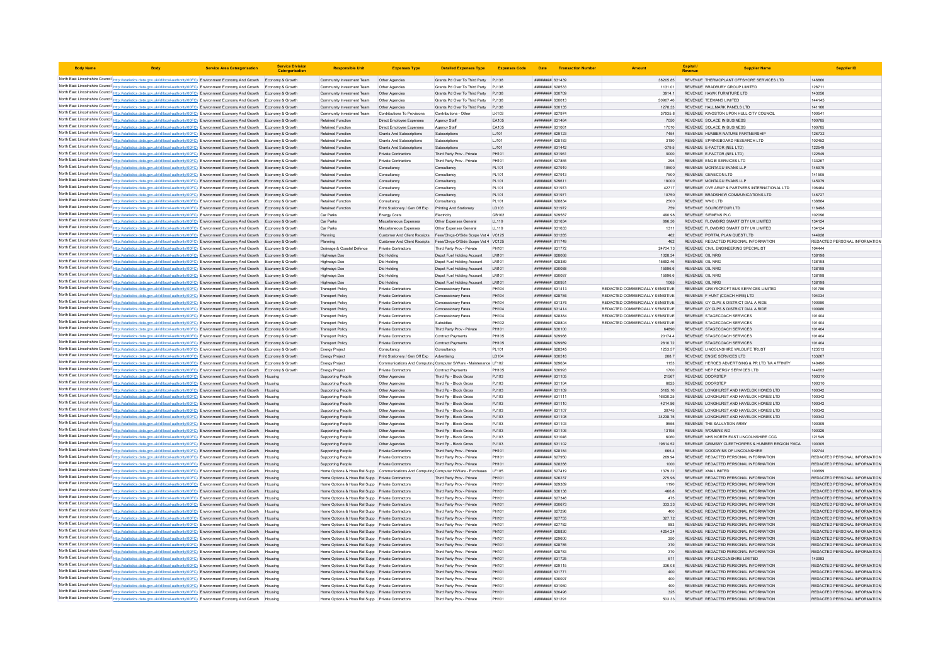| <b>Body Name</b>                                                                                                                                                                                                                                                                 | <b>Service Area Catergorisation</b> | <b>Service Division</b><br>Catergorisat | <b>Responsible Unit</b>                                                                              | <b>Expenses Type</b>                                        | <b>Detailed Expenses Type</b>                                    | <b>Expenses Code</b> |                                           | Date Transaction Number |                                                                    | Capital                   | <b>Supplier Name</b>                                                                        | <b>Supplier ID</b>                                             |
|----------------------------------------------------------------------------------------------------------------------------------------------------------------------------------------------------------------------------------------------------------------------------------|-------------------------------------|-----------------------------------------|------------------------------------------------------------------------------------------------------|-------------------------------------------------------------|------------------------------------------------------------------|----------------------|-------------------------------------------|-------------------------|--------------------------------------------------------------------|---------------------------|---------------------------------------------------------------------------------------------|----------------------------------------------------------------|
| North East Lincolnshire Council http://statistics.data.gov.uk/id/local-authority/00FC) Environment Economy And Growth Economy & Growth                                                                                                                                           |                                     |                                         | Community Investment Team Other Agencies                                                             |                                                             | Grants Pd Over To Third Party PJ138                              |                      | ######## 631439                           |                         | 38205.85                                                           |                           | REVENUE THERMOPLANT OFFSHORE SERVICES LTD                                                   | 146860                                                         |
| North East Lincolnshire Council http://statistics.data.gov.uk/id/local-authority/00FC) Environment Economy And Growth Economy & Growth                                                                                                                                           |                                     |                                         | Community Investment Team                                                                            | Other Agencies                                              | Grants Pd Over To Third Party PJ138                              |                      | ####### 628533                            |                         | 1131.01                                                            |                           | REVENUE BRADBURY GROUP LIMITED                                                              | 128711                                                         |
| North East Lincolnshire Council http://statistics.data.gov.uk/id/local-authority/00FC) Environment Economy And Growth Economy & Growth                                                                                                                                           |                                     |                                         | Community Investment Team                                                                            | Other Agencies                                              | Grants Pd Over To Third Party PJ138                              |                      | <b>HUMHUHH 630709</b>                     |                         | 3914.1                                                             |                           | REVENUE HAWK FURNITURE LTD                                                                  | 143056                                                         |
| North East Lincolnshire Council http://statistics.data.gov.uk/id/local-authority/00FC) Environment Economy And Growth Economy & Growth                                                                                                                                           |                                     |                                         | Community Investment Team                                                                            | Other Agencies                                              | Grants Pd Over To Third Party PJ138                              |                      | ######## 630013                           |                         | 50907.46                                                           |                           | REVENUE TEEMANS LIMITED                                                                     | 144145                                                         |
| North East Lincolnshire Council http://statistics.data.gov.uk/id/local-authority/00FC) Environment Economy And Growth Economy & Growth                                                                                                                                           |                                     |                                         | Community Investment Team Other Agencies                                                             |                                                             | Grants Pd Over To Third Party PJ138                              |                      | ######## 630135                           |                         | 1278.33                                                            |                           | REVENUE HALLMARK PANELS LTD                                                                 | 141160                                                         |
| North East Lincolnshire Council http://statistics.data.gov.uk/id/local-authority/00FC) Environment Economy And Growth Economy & Growth                                                                                                                                           |                                     |                                         | Community Investment Team                                                                            | Contributions To Provisions                                 | Contributions - Other                                            | LK103                | ######## 627974                           |                         | 37935.8                                                            |                           | REVENUE KINGSTON UPON HULL CITY COUNCIL                                                     | 100541                                                         |
| North East Lincolnshire Council http://statistics.data.gov.uk/id/local-authority/00FC) Environment Economy And Growth Economy & Growth                                                                                                                                           |                                     |                                         | Retained Function                                                                                    | Direct Employee Expenses                                    | Agency Staff                                                     | EA105                | <b>пининний</b> 631464                    |                         | 7050                                                               |                           | REVENUE SOLACE IN BUSINESS                                                                  | 100785                                                         |
| North East Lincolnshire Council http://statistics.data.gov.uk/id/local-authority/00FC) Environment Economy And Growth Economy & Growth                                                                                                                                           |                                     |                                         | <b>Retained Function</b>                                                                             | Direct Employee Expenses                                    | Agency Staff                                                     | EA105                | ######## 631061                           |                         | 17010                                                              |                           | REVENUE SOLACE IN BUSINESS                                                                  | 100785                                                         |
| North East Lincolnshire Council http://statistics.data.gov.uk/id/local-authority/00FC) Environment Economy And Growth<br>North East Lincolnshire Council http://statistics.data.gov.uk/id/local-authority/00FC) Environment Economy And Growth                                   |                                     | Economy & Growth<br>Economy & Growth    | Retained Function<br><b>Retained Function</b>                                                        | Grants And Subscriptions                                    | Subscriptions<br>Subscriptions                                   | LJ101<br>LJ101       | ####### 629123<br>######## 628183         |                         | 7454<br>3180                                                       |                           | REVENUE HUMBER NATURE PARTNERSHIP<br>REVENUE SPRINGBOARD RESEARCH LTD                       | 126732<br>102452                                               |
| North East Lincolnshire Council http://statistics.data.gov.uk/id/local-authority/00FC) Environment Economy And Growth Economy & Growth                                                                                                                                           |                                     |                                         | <b>Retained Function</b>                                                                             | <b>Grants And Subscriptions</b><br>Grants And Subscriptions | Subscriptions                                                    | LJ101                | <b>пининня</b> 631442                     |                         | $-379.5$                                                           |                           | REVENUE E-FACTOR (NEL LTD)                                                                  | 122549                                                         |
| North East Lincolnshire Council http://statistics.data.gov.uk/id/local-authority/00FC) Environment Economy And Growth Economy & Growth                                                                                                                                           |                                     |                                         | Retained Function                                                                                    | <b>Private Contractors</b>                                  | Third Party Prov - Private                                       | PH101                | ######## 631961                           |                         | 9000                                                               |                           | REVENUE E-FACTOR (NEL LTD)                                                                  | 122549                                                         |
| North East Lincolnshire Council http://statistics.data.gov.uk/id/local-authority/00FC) Environment Economy And Growth                                                                                                                                                            |                                     | Economy & Growth                        | <b>Retained Function</b>                                                                             | Private Contractors                                         | Third Party Prov - Private                                       | PH101                | ######## 627865                           |                         | 295                                                                |                           | REVENUE ENGIE SERVICES LTD                                                                  | 133267                                                         |
| North East Lincolnshire Council http://statistics.data.gov.uk/id/local-authority/00FC) Environment Economy And Growth Economy & Growth                                                                                                                                           |                                     |                                         | <b>Retained Function</b>                                                                             | Consultancy                                                 | Consultancy                                                      | PL101                | ######## 627919                           |                         | 10500                                                              |                           | REVENUE MONTAGU EVANS LLP                                                                   | 145979                                                         |
| North East Lincolnshire Council http://statistics.data.gov.uk/id/local-authority/00FC) Environment Economy And Growth                                                                                                                                                            |                                     | Fronomy & Growth                        | <b>Retained Function</b>                                                                             | Consultancy                                                 | Consultancy                                                      | PI 101               | <i>пининни</i> 627913                     |                         | 7500                                                               |                           | REVENUE GENECON LTD                                                                         | 141505                                                         |
| North East Lincolnshire Council http://statistics.data.gov.uk/id/local-authority/00FC) Environment Economy And Growth                                                                                                                                                            |                                     | Fronomy & Growth                        | Retained Function                                                                                    | Consultancy                                                 | Consultancy                                                      | PL101                | ######## 629611                           |                         | 18000                                                              |                           | REVENUE MONTAGU EVANS LLF                                                                   | 145979                                                         |
| North East Lincolnshire Council http://statistics.data.gov.uk/id/local-authority/00FC) Environment Economy And Growth                                                                                                                                                            |                                     |                                         | Retained Function                                                                                    | Consultancy                                                 | Consultanc                                                       | PL101                | ######## 631973                           |                         | 42717                                                              |                           | REVENUE OVE ARUP & PARTNERS INTERNATIONAL LTD                                               | 106464                                                         |
| North East Lincolnshire Council http://statistics.data.gov.uk/id/local-authority/00FC) Environment Economy And Growth Economy & Growth                                                                                                                                           |                                     |                                         | <b>Retained Function</b>                                                                             | Consultancy                                                 | Consultancy                                                      | PL101                | ######## 631971                           |                         | 10750                                                              |                           | REVENUE BRADSHAW COMMUNICATIONS LTD                                                         | 146727                                                         |
| North East Lincolnshire Council http://statistics.data.gov.uk/id/local-authority/00FC) Environment Economy And Growth Economy & Growth                                                                                                                                           |                                     |                                         | <b>Retained Function</b>                                                                             | Consultancy                                                 | Consultancy                                                      | PL101                | ######## 628834                           |                         | 2500                                                               | REVENUE WNC LTD           |                                                                                             | 138884                                                         |
| North East Lincolnshire Council http://statistics.data.gov.uk/id/local-authority/00FC) Environment Economy And Growth Economy & Growth                                                                                                                                           |                                     |                                         | Retained Function                                                                                    | Print Stationery / Gen Off Exp Printing And Stationery      |                                                                  | LD103                | ######## 631972                           |                         | 759                                                                |                           | REVENUE SOURCEFOUR LTD                                                                      | 116498                                                         |
| North East Lincolnshire Council http://statistics.data.gov.uk/id/local-authority/00FC) Environment Economy And Growth Economy & Growth<br>North East Lincolnshire Council http://statistics.data.gov.uk/id/local-authority/00FC) Environment Economy And Growth Economy & Growth |                                     |                                         | Car Parks<br>Car Parks                                                                               | <b>Energy Costs</b><br>Miscellaneous Expenses               | Electricity<br>Other Expenses General                            | GB102<br>LL119       | ######## 629587<br>######## 631634        |                         | 490.98<br>696.36                                                   | REVENUE SIEMENS PLC       | REVENUE FLOWBIRD SMART CITY UK LIMITED                                                      | 102096<br>134124                                               |
| North East Lincolnshire Council http://statistics.data.gov.uk/id/local-authority/00FC) Environment Economy And Growth Economy & Growth                                                                                                                                           |                                     |                                         | Car Parks                                                                                            | Miscellaneous Expenses                                      | Other Expenses General                                           | LL119                | ######## 631633                           |                         | 1311                                                               |                           | REVENUE FLOWBIRD SMART CITY UK LIMITED                                                      | 134124                                                         |
| North East Lincolnshire Council http://statistics.data.gov.uk/id/local-authority/00FC) Environment Economy And Growth                                                                                                                                                            |                                     | Economy & Growth                        | Planning                                                                                             | Customer And Client Receipts                                | Fees/Chras-O/Side Scope Vat 4 VC125                              |                      | ####### 631285                            |                         | 462                                                                |                           | REVENUE PORTAL PLAN QUEST LTD                                                               | 144928                                                         |
| North East Lincolnshire Council http://statistics.data.gov.uk/id/local-authority/00FC) Environment Economy And Growth                                                                                                                                                            |                                     | Economy & Growth                        | Planning                                                                                             | Customer And Client Receipts                                | Fees/Chrgs-O/Side Scope Vat 4 VC125                              |                      | ######## 811749                           |                         | 462                                                                |                           | REVENUE REDACTED PERSONAL INFORMATION                                                       | REDACTED PERSONAL INFORMATION                                  |
| North East Lincolnshire Council http://statistics.data.gov.uk/id/local-authority/00FC) Environment Economy And Growth                                                                                                                                                            |                                     | Fronomy & Growth                        | Drainage & Coastal Defence                                                                           | Private Contractors                                         | Third Party Prov - Private                                       | PH101                | <b>пининний</b> 631772                    |                         | 24704 73                                                           |                           | REVENUE CIVIL ENGINEERING SPECIALIST                                                        | 104444                                                         |
| North East Lincolnshire Council http://statistics.data.gov.uk/id/local-authority/00FC) Environment Economy And Growth Economy & Growth                                                                                                                                           |                                     |                                         | Highways Dso                                                                                         | Dlo Holding                                                 | Depot Fuel Holding Account                                       | LM101                | ######## 628068                           |                         | 1028.34                                                            | <b>REVENUE OIL NRG</b>    |                                                                                             | 138198                                                         |
| North East Lincolnshire Council http://statistics.data.gov.uk/id/local-authority/00FC) Environment Economy And Growth                                                                                                                                                            |                                     | Economy & Growth                        | Highways Dso                                                                                         | Dlo Holding                                                 | Depot Fuel Holding Account                                       | LM101                | ######## 628389                           |                         | 15892.46                                                           | REVENUE OIL NRG           |                                                                                             | 138198                                                         |
| North East Lincolnshire Council http://statistics.data.gov.uk/id/local-authority/00FC) Environment Economy And Growth Economy & Growth                                                                                                                                           |                                     |                                         | Highways Dso                                                                                         | Dlo Holding                                                 | Depot Fuel Holding Account                                       | LM101                | ######## 630088                           |                         | 15996.6                                                            | <b>REVENUE OIL NRG</b>    |                                                                                             | 138198                                                         |
| North East Lincolnshire Council http://statistics.data.gov.uk/id/local-authority/00FC) Environment Economy And Growth                                                                                                                                                            |                                     | Fronomy & Growth                        | Highways Dso                                                                                         | Dlo Holding                                                 | Depot Fuel Holding Account                                       | <b>IM101</b>         | ######## 630087                           |                         | 15996.6                                                            | REVENUE OIL NRG           |                                                                                             | 138198                                                         |
| North East Lincolnshire Council http://statistics.data.gov.uk/id/local-authority/00FC) Environment Economy And Growth                                                                                                                                                            |                                     | Fronomy & Growth                        | Highways Dso                                                                                         | Dlo Holding                                                 | Depot Fuel Holding Account                                       | LM101                | ######## 630951                           |                         | 1065                                                               | REVENUE OIL NRG           |                                                                                             | 138198                                                         |
| North East Lincolnshire Council http://statistics.data.gov.uk/id/local-authority/00FC) Environment Economy And Growth<br>North East Lincolnshire Council http://statistics.data.gov.uk/id/local-authority/00FC) Environment Economy And Growth Economy & Growth                  |                                     |                                         | <b>Transport Policy</b><br><b>Transport Policy</b>                                                   | Private Contractors<br>Private Contractors                  | Concessionary Fares                                              | PH104<br>PH104       | ######## 631413<br>######## 628786        |                         | REDACTED COMMERCIALLY SENSITIVE<br>REDACTED COMMERCIALLY SENSITIVE |                           | REVENUE GRAYSCROFT BUS SERVICES LIMITED<br>REVENUE E HUNT (COACH HIRE) I TD                 | 101786<br>104034                                               |
| North East Lincolnshire Council http://statistics.data.gov.uk/id/local-authority/00FC) Environment Economy And Growth Economy & Growth                                                                                                                                           |                                     |                                         | <b>Transport Policy</b>                                                                              | Private Contractors                                         | Concessionary Fares<br>Concessionary Fares                       | PH104                | ######## 631376                           |                         | REDACTED COMMERCIALLY SENSITIVE                                    |                           | REVENUE GY CLPS & DISTRICT DIAL A RIDE                                                      | 100980                                                         |
| North East Lincolnshire Council http://statistics.data.gov.uk/id/local-authority/00FC) Environment Economy And Growth Economy & Growth                                                                                                                                           |                                     |                                         | <b>Transport Policy</b>                                                                              | Private Contractors                                         | Concessionary Fares                                              | PH104                | ######## 631414                           |                         | REDACTED COMMERCIALLY SENSITIVE                                    |                           | REVENUE GY CLPS & DISTRICT DIAL A RIDE                                                      | 100980                                                         |
| North East Lincolnshire Council http://statistics.data.gov.uk/id/local-authority/00FC) Environment Economy And Growth Economy & Growth                                                                                                                                           |                                     |                                         | <b>Transport Policy</b>                                                                              | Private Contractors                                         | Concessionary Fares                                              | PH104                | ######## 628384                           |                         | REDACTED COMMERCIALLY SENSITIVE                                    |                           | REVENUE STAGECOACH SERVICES                                                                 | 101404                                                         |
| North East Lincolnshire Council http://statistics.data.gov.uk/id/local-authority/00FC) Environment Economy And Growth Economy & Growth                                                                                                                                           |                                     |                                         | <b>Transport Policy</b>                                                                              | Private Contractors                                         | Subsidies                                                        | PH102                | пининний 628804                           |                         | REDACTED COMMERCIALLY SENSITIVE                                    |                           | REVENUE STAGECOACH SERVICES                                                                 | 101404                                                         |
| North East Lincolnshire Council http://statistics.data.gov.uk/id/local-authority/00FC) Environment Economy And Growth Economy & Growth                                                                                                                                           |                                     |                                         | <b>Transport Policy</b>                                                                              | Private Contractors                                         | Third Party Prov - Private                                       | PH101                | ######## 630100                           |                         | 64890                                                              |                           | REVENUE STAGECOACH SERVICES                                                                 | 101404                                                         |
| North East Lincolnshire Council http://statistics.data.gov.uk/id/local-authority/00FC) Environment Economy And Growth                                                                                                                                                            |                                     | Economy & Growth                        | <b>Transport Policy</b>                                                                              | Private Contractors                                         | <b>Contract Payments</b>                                         | PH105                | ######## 629988                           |                         | 20174.4                                                            |                           | REVENUE STAGECOACH SERVICES                                                                 | 101404                                                         |
| North East Lincolnshire Council http://statistics.data.gov.uk/id/local-authority/00FC) Environment Economy And Growth                                                                                                                                                            |                                     | Economy & Growth                        | <b>Transport Policy</b>                                                                              | Private Contractors                                         | Contract Payments                                                | PH105                | ######## 629989                           |                         | 2810.72                                                            |                           | REVENUE STAGECOACH SERVICES                                                                 | 101404                                                         |
| North East Lincolnshire Council http://statistics.data.gov.uk/id/local-authority/00FC) Environment Economy And Growth                                                                                                                                                            |                                     | Fronomy & Growth                        | Energy Project                                                                                       | Consultancy                                                 | Consultancy                                                      | PI 101               | <b>пининнин</b> 628245                    |                         | 1253 57                                                            |                           | REVENUE LINCOLNSHIRE WILDLIFE TRUST                                                         | 123513                                                         |
| North East Lincolnshire Council http://statistics.data.gov.uk/id/local-authority/00FC) Environment Economy And Growth Economy & Growth                                                                                                                                           |                                     |                                         | <b>Energy Project</b>                                                                                | Print Stationery / Gen Off Exp Advertising                  |                                                                  | LD104                | ######## 630518                           |                         | 288.7                                                              |                           | REVENUE ENGIE SERVICES LTD                                                                  | 133267                                                         |
| North East Lincolnshire Council http://statistics.data.gov.uk/id/local-authority/00FC) Environment Economy And Growth Economy & Growth<br>North East Lincolnshire Council http://statistics.data.gov.uk/id/local-authority/00FC) Environment Economy And Growth                  |                                     | Economy & Growth                        | <b>Energy Project</b>                                                                                |                                                             | Communications And Computing Computer S/Ware - Maintenance LF102 | PH105                | ######## 629634<br>######## 630993        |                         | 1153<br>1700                                                       |                           | REVENUE HEROES ADVERTISING & PR LTD T/A AFFINITY<br>REVENUE NEP ENERGY SERVICES LTD         | 140496<br>144602                                               |
| North East Lincolnshire Council http://statistics.data.gov.uk/id/local-authority/00FC) Environment Economy And Growth                                                                                                                                                            |                                     | Housing                                 | <b>Energy Project</b><br><b>Supporting People</b>                                                    | Private Contractors<br>Other Agencies                       | Contract Payments<br>Third Po - Block Gross                      | P.1103               | ######## 631105                           |                         | 21567                                                              | REVENUE DOORSTEP          |                                                                                             | 100310                                                         |
| North East Lincolnshire Council http://statistics.data.gov.uk/id/local-authority/00FC) Environment Economy And Growth                                                                                                                                                            |                                     | Housing                                 | Supporting People                                                                                    | Other Agencies                                              | Third Pp - Block Gross                                           | PJ103                | ######## 631104                           |                         | 6825                                                               | REVENUE DOORSTEP          |                                                                                             | 100310                                                         |
| North East Lincolnshire Council http://statistics.data.gov.uk/id/local-authority/00FC) Environment Economy And Growth                                                                                                                                                            |                                     | Housing                                 | Supporting People                                                                                    | Other Agencies                                              | Third Pp - Block Gross                                           | PJ103                | ######## 631109                           |                         | 5165.16                                                            |                           | REVENUE LONGHURST AND HAVELOK HOMES LTD                                                     | 100342                                                         |
| North East Lincolnshire Council http://statistics.data.gov.uk/id/local-authority/00FC) Environment Economy And Growth                                                                                                                                                            |                                     | Housing                                 | <b>Supporting Peopl</b>                                                                              | Other Agencies                                              | Third Pp - Block Gross                                           | PJ103                | ######## 631111                           |                         | 16630.25                                                           |                           | REVENUE LONGHURST AND HAVELOK HOMES LTD                                                     | 100342                                                         |
| North East Lincolnshire Council http://statistics.data.gov.uk/id/local-authority/00FC) Environment Economy And Growth Housing                                                                                                                                                    |                                     |                                         | Supporting People                                                                                    | Other Agencies                                              | Third Pp - Block Gross                                           | P.1103               | ######## 631110                           |                         | 421486                                                             |                           | REVENUE LONGHURST AND HAVELOK HOMES LTD.                                                    | 100342                                                         |
| North East Lincolnshire Council http://statistics.data.gov.uk/id/local-authority/00FC) Environment Economy And Growth Housing                                                                                                                                                    |                                     |                                         | <b>Supporting People</b>                                                                             | Other Agencies                                              | Third Pp - Block Gross                                           | PJ103                | <b>пининний</b> 631107                    |                         | 30745                                                              |                           | REVENUE LONGHURST AND HAVELOK HOMES LTD                                                     | 100342                                                         |
| North East Lincolnshire Council http://statistics.data.gov.uk/id/local-authority/00FC) Environment Economy And Growth Housing                                                                                                                                                    |                                     |                                         | <b>Supporting People</b>                                                                             | Other Agencies                                              | Third Pp - Block Gross                                           | PJ103                | ######## 631108                           |                         | 34238.75                                                           |                           | REVENUE LONGHURST AND HAVELOK HOMES LTD                                                     | 100342                                                         |
| North East Lincolnshire Council http://statistics.data.gov.uk/id/local-authority/00FC) Environment Economy And Growth                                                                                                                                                            |                                     | Housing                                 | <b>Supporting People</b>                                                                             | Other Agencies                                              | Third Pp - Block Gross                                           | PJ103                | ######## 631103                           |                         | 9555                                                               |                           | REVENUE THE SALVATION ARMY                                                                  | 100309                                                         |
| North East Lincolnshire Council http://statistics.data.gov.uk/id/local-authority/00FC) Environment Economy And Growth                                                                                                                                                            |                                     | Housing                                 | <b>Supporting People</b>                                                                             | Other Agencies                                              | Third Po - Block Gross                                           | PJ103                | ######## 631106                           |                         | 13195                                                              | <b>REVENUE WOMENS AID</b> |                                                                                             | 100326                                                         |
| North East Lincolnshire Council http://statistics.data.gov.uk/id/local-authority/00FC) Environment Economy And Growth<br>North East Lincolnshire Council http://statistics.data.gov.uk/id/local-authority/00FC) Environment Economy And Growth                                   |                                     | Housing                                 | <b>Supporting People</b><br><b>Supporting People</b>                                                 | Other Agencies<br>Other Agencies                            | Third Pp - Block Gross<br>Third Pp - Block Gross                 | PJ103<br>PJ103       | ######## 631046<br>######## 631102        |                         | 6060<br>19814.52                                                   |                           | REVENUE NHS NORTH EAST LINCOLNSHIRE CCG<br>REVENUE GRIMSBY CLEETHORPES & HUMBER REGION YMCA | 121549<br>100305                                               |
| North East Lincolnshire Council http://statistics.data.gov.uk/id/local-authority/00FC) Environment Economy And Growth                                                                                                                                                            |                                     | Housing                                 | <b>Supporting People</b>                                                                             | Private Contractors                                         | Third Party Prov - Private                                       | PH101                | <b>ПЕНИНИН 628184</b>                     |                         | 6654                                                               |                           | REVENUE GOODWINS OF LINCOLNSHIRE                                                            | 102744                                                         |
| North East Lincolnshire Council http://statistics.data.gov.uk/id/local-authority/00FC) Environment Economy And Growth Housing                                                                                                                                                    |                                     |                                         | Supporting People                                                                                    | Private Contractors                                         | Third Party Prov - Private                                       | PH101                | ######## 627950                           |                         | 269.94                                                             |                           | REVENUE REDACTED PERSONAL INFORMATION                                                       | REDACTED PERSONAL INFORMATION                                  |
| North East Lincolnshire Council http://statistics.data.gov.uk/id/local-authority/00FC) Environment Economy And Growth Housing                                                                                                                                                    |                                     |                                         | Supporting People                                                                                    | Private Contractors                                         | Third Party Prov - Private                                       | PH101                | ######## 628288                           |                         | 1000                                                               |                           | REVENUE REDACTED PERSONAL INFORMATION                                                       | REDACTED PERSONAL INFORMATION                                  |
| North East Lincolnshire Council http://statistics.data.gov.uk/id/local-authority/00FC) Environment Economy And Growth                                                                                                                                                            |                                     | Housing                                 | Home Options & Hous Rel Supp Communications And Computing Computer H/Ware - Purchases LF105          |                                                             |                                                                  |                      | ######## 627419                           |                         | 1379.32                                                            | REVENUE XMA LIMITED       |                                                                                             | 100699                                                         |
| North East Lincolnshire Council http://statistics.data.gov.uk/id/local-authority/00FC) Environment Economy And Growth                                                                                                                                                            |                                     | Housing                                 | Home Options & Hous Rel Supp Private Contractors                                                     |                                                             | Third Party Prov - Private                                       | PH101                | <b>ПНИНИНИЯ</b> 626237                    |                         | 275.96                                                             |                           | REVENUE REDACTED PERSONAL INFORMATION                                                       | REDACTED PERSONAL INFORMATION                                  |
| North East Lincolnshire Council http://statistics.data.gov.uk/id/local-authority/00FC) Environment Economy And Growth                                                                                                                                                            |                                     | Housing                                 | Home Options & Hous Rel Supp Private Contractors                                                     |                                                             | Third Party Prov - Private                                       | PH101                | ######## 629389                           |                         | 1190                                                               |                           | REVENUE REDACTED PERSONAL INFORMATION                                                       | REDACTED PERSONAL INFORMATION                                  |
| North East Lincolnshire Council http://statistics.data.gov.uk/id/local-authority/00FC) Environment Economy And Growth                                                                                                                                                            |                                     |                                         | Home Options & Hous Rel Supp Private Contractors                                                     |                                                             | Third Party Prov - Private                                       | PH101                | ######## 630138                           |                         | 466.8                                                              |                           | REVENUE REDACTED PERSONAL INFORMATION                                                       | REDACTED PERSONAL INFORMATION                                  |
| North East Lincolnshire Council http://statistics.data.gov.uk/id/local-authority/00FC) Environment Economy And Growth                                                                                                                                                            |                                     |                                         | Home Options & Hous Rel Supp Private Contractors                                                     |                                                             | Third Party Prov - Private                                       | PH101                | ######## 627348                           |                         | 475                                                                |                           | REVENUE REDACTED PERSONAL INFORMATION                                                       | REDACTED PERSONAL INFORMATION                                  |
| North East Lincolnshire Council http://statistics.data.gov.uk/id/local-authority/00FC) Environment Economy And Growth                                                                                                                                                            |                                     | Housing                                 | Home Options & Hous Rel Supp Private Contractors                                                     |                                                             | Third Party Prov - Private                                       | PH101                | ######## 630673                           |                         | 333 33                                                             |                           | REVENUE REDACTED PERSONAL INFORMATION                                                       | REDACTED PERSONAL INFORMATION                                  |
| North East Lincolnshire Council http://statistics.data.gov.uk/id/local-authority/00FC) Environment Economy And Growth Housing                                                                                                                                                    |                                     |                                         | Home Options & Hous Rel Supp Private Contractors                                                     |                                                             | Third Party Prov - Private                                       | PH101                | нининни 627296                            |                         | 400                                                                |                           | REVENUE REDACTED PERSONAL INFORMATION                                                       | REDACTED PERSONAL INFORMATION                                  |
| North East Lincolnshire Council http://statistics.data.gov.uk/id/local-authority/00FC) Environment Economy And Growth Housing                                                                                                                                                    |                                     |                                         | Home Options & Hous Rel Supp Private Contractors                                                     |                                                             | Third Party Prov - Private                                       | PH101<br>PH101       | ######## 627755<br><b>пининний</b> 627782 |                         | 327.72                                                             |                           | REVENUE REDACTED PERSONAL INFORMATION<br>REVENUE REDACTED PERSONAL INFORMATION              | REDACTED PERSONAL INFORMATION<br>REDACTED PERSONAL INFORMATION |
| North East Lincolnshire Council http://statistics.data.gov.uk/id/local-authority/00FC) Environment Economy And Growth<br>North East Lincolnshire Council http://statistics.data.gov.uk/id/local-authority/00FC) Environment Economy And Growth                                   |                                     | Housing<br>Housing                      | Home Options & Hous Rel Supp Private Contractors<br>Home Options & Hous Rel Supp Private Contractors |                                                             | Third Party Prov - Private<br>Third Party Prov - Private         | PH101                | ######## 628830                           |                         | 883<br>4254.24                                                     |                           | REVENUE REDACTED PERSONAL INFORMATION                                                       | REDACTED PERSONAL INFORMATION                                  |
| North East Lincolnshire Council http://statistics.data.gov.uk/id/local-authority/00FC) Environment Economy And Growth                                                                                                                                                            |                                     | Housing                                 | Home Options & Hous Rel Supp Private Contractors                                                     |                                                             | Third Party Prov - Private                                       | PH101                | ####### 629600                            |                         | 350                                                                |                           | REVENUE REDACTED PERSONAL INFORMATION                                                       | REDACTED PERSONAL INFORMATION                                  |
| North East Lincolnshire Council http://statistics.data.gov.uk/id/local-authority/00FC) Environment Economy And Growth                                                                                                                                                            |                                     |                                         | Home Options & Hous Rel Supp Private Contractors                                                     |                                                             | Third Party Prov - Private                                       | PH101                | ####### 628785                            |                         | 370                                                                |                           | REVENUE REDACTED PERSONAL INFORMATION                                                       | REDACTED PERSONAL INFORMATION                                  |
| North East Lincolnshire Council http://statistics.data.gov.uk/id/local-authority/00FC) Environment Economy And Growth                                                                                                                                                            |                                     | Housing                                 | Home Options & Hous Rel Supp Private Contractors                                                     |                                                             | Third Party Prov - Private                                       | PH101                | <b>пининни 628783</b>                     |                         | 370                                                                |                           | REVENUE REDACTED PERSONAL INFORMATION                                                       | REDACTED PERSONAL INFORMATION                                  |
| North East Lincolnshire Council http://statistics.data.gov.uk/id/local-authority/00FC) Environment Economy And Growth Housing                                                                                                                                                    |                                     |                                         | Home Options & Hous Rel Supp Private Contractors                                                     |                                                             | Third Party Prov - Private                                       | PH101                | ######## 631725                           |                         | 611                                                                |                           | REVENUE RPS LINCOLNSHIRE LIMITED                                                            | 143983                                                         |
| North East Lincolnshire Council http://statistics.data.gov.uk/id/local-authority/00FC) Environment Economy And Growth                                                                                                                                                            |                                     | Housing                                 | Home Options & Hous Rel Supp Private Contractors                                                     |                                                             | Third Party Prov - Private                                       | PH101                | ######## 629115                           |                         | 336.08                                                             |                           | REVENUE REDACTED PERSONAL INFORMATION                                                       | REDACTED PERSONAL INFORMATION                                  |
| North East Lincolnshire Council http://statistics.data.gov.uk/id/local-authority/00FC) Environment Economy And Growth                                                                                                                                                            |                                     |                                         | Home Options & Hous Rel Supp Private Contractors                                                     |                                                             | Third Party Prov - Private                                       | PH101                | ######## 631771                           |                         | 400                                                                |                           | REVENUE REDACTED PERSONAL INFORMATION                                                       | REDACTED PERSONAL INFORMATION                                  |
| North East Lincolnshire Council http://statistics.data.gov.uk/id/local-authority/00FC) Environment Economy And Growth                                                                                                                                                            |                                     | Housing                                 | Home Options & Hous Rel Supp Private Contractors                                                     |                                                             | Third Party Prov - Private                                       | PH101                | ######## 630097                           |                         | 400                                                                |                           | REVENUE REDACTED PERSONAL INFORMATION                                                       | REDACTED PERSONAL INFORMATION                                  |
| North East Lincolnshire Council http://statistics.data.gov.uk/id/local-authority/00FC) Environment Economy And Growth                                                                                                                                                            |                                     | Housing                                 | Home Options & Hous Rel Supp Private Contractors                                                     |                                                             | Third Party Prov - Private                                       | PH101                | ######## 631060                           |                         | 400                                                                |                           | REVENUE REDACTED PERSONAL INFORMATION                                                       | REDACTED PERSONAL INFORMATION                                  |
| North East Lincolnshire Council http://statistics.data.gov.uk/id/local-authority/00FC) Environment Economy And Growth Housing                                                                                                                                                    |                                     |                                         | Home Options & Hous Rel Supp Private Contractors                                                     |                                                             | Third Party Prov - Private                                       | PH101                | ######## 630496                           |                         | 325                                                                |                           | REVENUE REDACTED PERSONAL INFORMATION                                                       | REDACTED PERSONAL INFORMATION                                  |
| North East Lincolnshire Council http://statistics.data.gov.uk/id/local-authority/00FC) Environment Economy And Growth                                                                                                                                                            |                                     |                                         | Home Options & Hous Rel Supp Private Contractors                                                     |                                                             | Third Party Prov - Private                                       | PH101                | <b><i>BREEBBBB</i></b> 631291             |                         | 503.33                                                             |                           | REVENUE REDACTED PERSONAL INFORMATION                                                       | REDACTED PERSONAL INFORMATION                                  |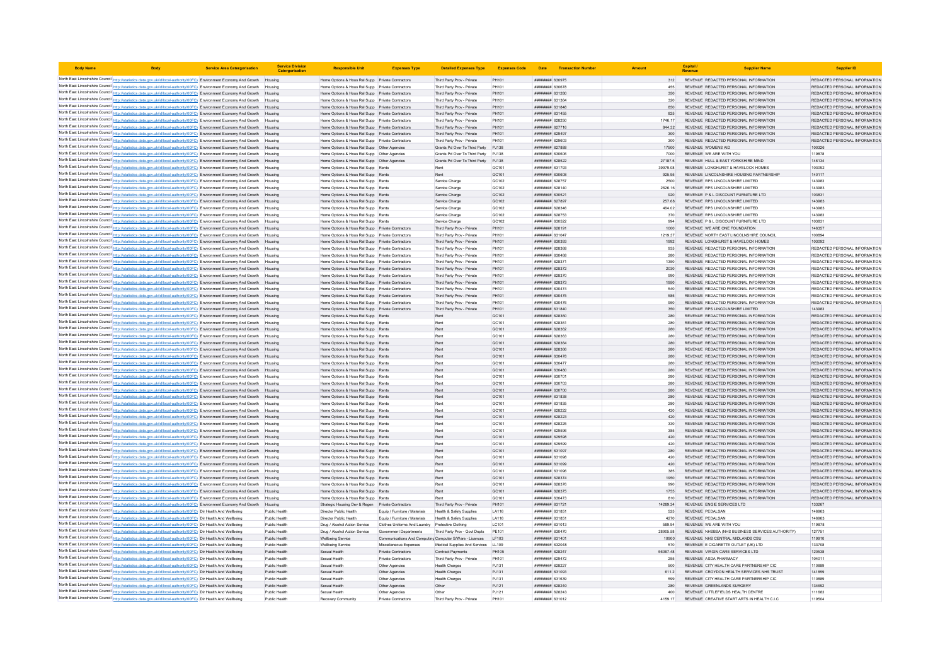| <b>Body Name</b>                                                                                                                                                                                                                                               | <b>Service Area Catergorisation</b> | <b>Service Division</b><br>Catergorisatio | <b>Responsible Unit</b>                                                                              | <b>Expenses Type</b>                                           | <b>Detailed Expenses Type</b>                            | <b>Expenses Code</b> |                                           | Date Transaction Number |               | Capital /<br>Revenue      | <b>Supplier Name</b>                                                           | <b>Supplier ID</b>                                             |
|----------------------------------------------------------------------------------------------------------------------------------------------------------------------------------------------------------------------------------------------------------------|-------------------------------------|-------------------------------------------|------------------------------------------------------------------------------------------------------|----------------------------------------------------------------|----------------------------------------------------------|----------------------|-------------------------------------------|-------------------------|---------------|---------------------------|--------------------------------------------------------------------------------|----------------------------------------------------------------|
| North East Lincolnshire Council http://statistics.data.gov.uk/id/local-authority/00FC) Environment Economy And Growth Housing                                                                                                                                  |                                     |                                           | Home Options & Hous Rel Supp Private Contractors                                                     |                                                                | Third Party Prov - Private                               | PH101                | ######## 630975                           |                         | 312           |                           | REVENUE REDACTED PERSONAL INFORMATION                                          | REDACTED PERSONAL INFORMATION                                  |
| North East Lincolnshire Council http://statistics.data.gov.uk/id/local-authority/00FC) Environment Economy And Growth Housing                                                                                                                                  |                                     |                                           | Home Options & Hous Rel Supp Private Contractors                                                     |                                                                | Third Party Prov - Private                               | PH101                | <b>########</b> 630678                    |                         | 455           |                           | REVENUE REDACTED PERSONAL INFORMATION                                          | REDACTED PERSONAL INFORMATION                                  |
| North East Lincolnshire Council http://statistics.data.gov.uk/id/local-authority/00FC) Environment Economy And Growth Housing                                                                                                                                  |                                     |                                           | Home Options & Hous Rel Supp Private Contractors                                                     |                                                                | Third Party Prov - Private                               | PH101                | ######## 631280                           |                         | 350           |                           | REVENUE REDACTED PERSONAL INFORMATION                                          | REDACTED PERSONAL INFORMATION                                  |
| North East Lincolnshire Council http://statistics.data.gov.uk/id/local-authority/00FC) Environment Economy And Growth Housing                                                                                                                                  |                                     |                                           | Home Options & Hous Rel Supp Private Contractors                                                     |                                                                | Third Party Prov - Private                               | PH101                | <b>пининнин</b> 631364                    |                         | 320           |                           | REVENUE REDACTED PERSONAL INFORMATION                                          | REDACTED PERSONAL INFORMATION                                  |
| North East Lincolnshire Council http://statistics.data.gov.uk/id/local-authority/00FC) Environment Economy And Growth Housing                                                                                                                                  |                                     |                                           | Home Options & Hous Rel Supp Private Contractors                                                     |                                                                | Third Party Prov - Private                               | PH101                | ######## 631848                           |                         | 850           |                           | REVENUE REDACTED PERSONAL INFORMATION                                          | REDACTED PERSONAL INFORMATION                                  |
| North East Lincolnshire Council http://statistics.data.gov.uk/id/local-authority/00FC) Environment Economy And Growth Housing                                                                                                                                  |                                     |                                           | Home Options & Hous Rel Supp Private Contractors                                                     |                                                                | Third Party Prov - Private                               | PH101                | ######## 631455                           |                         | 825           |                           | REVENUE REDACTED PERSONAL INFORMATION                                          | REDACTED PERSONAL INFORMATION                                  |
| North East Lincolnshire Council http://statistics.data.gov.uk/id/local-authority/00FC) Environment Economy And Growth Housing                                                                                                                                  |                                     |                                           | Home Options & Hous Rel Supp Private Contractors                                                     |                                                                | Third Party Prov - Private                               | PH101                | ######## 628250                           |                         | 1746.17       |                           | REVENUE REDACTED PERSONAL INFORMATION                                          | REDACTED PERSONAL INFORMATION                                  |
| North East Lincolnshire Council http://statistics.data.gov.uk/id/local-authority/00FC) Environment Economy And Growth Housing<br>North East Lincolnshire Council http://statistics.data.gov.uk/id/local-authority/00FC) Environment Economy And Growth Housing |                                     |                                           | Home Options & Hous Rel Supp Private Contractors                                                     |                                                                | Third Party Prov - Private<br>Third Party Prov - Private | PH101                | <b>пининни</b> 627716                     |                         | 844.32        |                           | REVENUE REDACTED PERSONAL INFORMATION<br>REVENUE REDACTED PERSONAL INFORMATION | REDACTED PERSONAL INFORMATION<br>REDACTED PERSONAL INFORMATION |
| North East Lincolnshire Council http://statistics.data.gov.uk/id/local-authority/00FC) Environment Economy And Growth                                                                                                                                          |                                     |                                           | Home Options & Hous Rel Supp Private Contractors<br>Home Options & Hous Rel Supp Private Contractors |                                                                | Third Party Prov - Private                               | PH101<br>PH101       | ######## 629497<br>######## 629603        |                         | 300<br>300    |                           | REVENUE REDACTED PERSONAL INFORMATION                                          | REDACTED PERSONAL INFORMATION                                  |
| North East Lincolnshire Council http://statistics.data.gov.uk/id/local-authority/00FC) Environment Economy And Growth                                                                                                                                          |                                     |                                           | Home Options & Hous Rel Supp Other Agencies                                                          |                                                                | Grants Pd Over To Third Party                            | PJ138                | ######## 627888                           |                         | 17500         | <b>REVENUE WOMENS AID</b> |                                                                                | 100326                                                         |
| North East Lincolnshire Council http://statistics.data.gov.uk/id/local-authority/00FC) Environment Economy And Growth Housing                                                                                                                                  |                                     |                                           |                                                                                                      |                                                                | Grants Pd Over To Third Party P.I138                     |                      | ######## 630606                           |                         | 7000          |                           | REVENUE WE ARE WITH YOU                                                        | 119878                                                         |
| North East Lincolnshire Council http://statistics.data.gov.uk/id/local-authority/00FC) Environment Economy And Growth Housing                                                                                                                                  |                                     |                                           | Home Options & Hous Rel Supp Other Agencies                                                          |                                                                | Grants Pd Over To Third Party PJ138                      |                      | ######## 628522                           |                         | 27187.5       |                           | REVENUE HULL & EAST YORKSHIRE MIND                                             | 146134                                                         |
| North East Lincolnshire Council http://statistics.data.gov.uk/id/local-authority/00FC) Environment Economy And Growth Housing                                                                                                                                  |                                     |                                           | Home Options & Hous Rel Supp Rents                                                                   |                                                                |                                                          | GC101                | ######## 631793                           |                         | 39979.08      |                           | REVENUE LONGHURST & HAVELOCK HOMES                                             | 103092                                                         |
| North East Lincolnshire Council http://statistics.data.gov.uk/id/local-authority/00FC) Environment Economy And Growth Housing                                                                                                                                  |                                     |                                           | Home Options & Hous Rel Supp Rents                                                                   |                                                                | Rent                                                     | GC101                | ######## 630608                           |                         | 925.95        |                           | REVENUE LINCOLNSHIRE HOUSING PARTNERSHIP                                       | 140117                                                         |
| North East Lincolnshire Council http://statistics.data.gov.uk/id/local-authority/00FC) Environment Economy And Growth Housing                                                                                                                                  |                                     |                                           | Home Options & Hous Rel Supp Rents                                                                   |                                                                | Service Charge                                           | GC102                | <b>ПИНИНИЯ</b> 628757                     |                         | 2500          |                           | REVENUE RPS LINCOLNSHIRE LIMITED                                               | 143983                                                         |
| North East Lincolnshire Council http://statistics.data.gov.uk/id/local-authority/00FC) Environment Economy And Growth                                                                                                                                          |                                     | Housing                                   | Home Options & Hous Rel Supp Rents                                                                   |                                                                | Service Charge                                           | GC102                | ####### 628140                            |                         | 2626.16       |                           | REVENUE RPS LINCOLNSHIRE LIMITED                                               | 143983                                                         |
| North East Lincolnshire Council http://statistics.data.gov.uk/id/local-authority/00FC) Environment Economy And Growth                                                                                                                                          |                                     |                                           | Home Options & Hous Rel Supp Rents                                                                   |                                                                | Service Charge                                           | GC102                | ######## 630521                           |                         | 920           |                           | REVENUE P & L DISCOUNT FURNITURE LTD                                           | 103831                                                         |
| North East Lincolnshire Council http://statistics.data.gov.uk/id/local-authority/00FC) Environment Economy And Growth Housing                                                                                                                                  |                                     |                                           | Home Options & Hous Rel Supp Rents                                                                   |                                                                | Service Charge                                           | GC102                | <b>пппппппп</b> 627897                    |                         | 257.68        |                           | REVENUE RPS LINCOLNSHIRE LIMITED                                               | 143983                                                         |
| North East Lincolnshire Council http://statistics.data.gov.uk/id/local-authority/00FC) Environment Economy And Growth Housing                                                                                                                                  |                                     |                                           | Home Options & Hous Rel Supp Rents<br>Home Options & Hous Rel Supp Rents                             |                                                                | Service Charge<br>Service Charge                         | GC102<br>GC102       | ######## 628346<br>######## 628753        |                         | 464.02<br>370 |                           | REVENUE RPS LINCOLNSHIRE LIMITED<br>REVENUE RPS LINCOLNSHIRE LIMITED           | 143983<br>143983                                               |
| North East Lincolnshire Council http://statistics.data.gov.uk/id/local-authority/00FC) Environment Economy And Growth Housing<br>North East Lincolnshire Council http://statistics.data.gov.uk/id/local-authority/00FC) Environment Economy And Growth Housing |                                     |                                           | Home Options & Hous Rel Supp Rents                                                                   |                                                                | Service Charge                                           | GC102                | ######## 630522                           |                         | 994           |                           | REVENUE P & L DISCOUNT FURNITURE LTD                                           | 103831                                                         |
| North East Lincolnshire Council http://statistics.data.gov.uk/id/local-authority/00FC) Environment Economy And Growth Housing                                                                                                                                  |                                     |                                           | Home Options & Hous Rel Supp Private Contractors                                                     |                                                                | Third Party Prov - Private                               | PH101                | ######## 628191                           |                         | 1000          |                           | REVENUE WE ARE ONE FOUNDATION                                                  | 146357                                                         |
| North East Lincolnshire Council http://statistics.data.gov.uk/id/local-authority/00FC) Environment Economy And Growth Housing                                                                                                                                  |                                     |                                           | Home Options & Hous Rel Supp Private Contractors                                                     |                                                                | Third Party Prov - Private                               | PH101                | ######## 631047                           |                         | 1219.37       |                           | REVENUE NORTH EAST LINCOLNSHIRE COUNCIL                                        | 100894                                                         |
| North East Lincolnshire Council http://statistics.data.gov.uk/id/local-authority/00FC) Environment Economy And Growth Housing                                                                                                                                  |                                     |                                           | Home Options & Hous Rel Supp Private Contractors                                                     |                                                                | Third Party Prov - Private                               | PH101                | ######## 630393                           |                         | 1992          |                           | REVENUE LONGHURST & HAVELOCK HOMES                                             | 103092                                                         |
| North East Lincolnshire Council http://statistics.data.gov.uk/id/local-authority/00FC) Environment Economy And Growth                                                                                                                                          |                                     |                                           | Home Options & Hous Rel Supp Private Contractors                                                     |                                                                | Third Party Prov - Private                               | PH101                | <b>########</b> 628368                    |                         | 935           |                           | REVENUE REDACTED PERSONAL INFORMATION                                          | REDACTED PERSONAL INFORMATION                                  |
| North East Lincolnshire Council http://statistics.data.gov.uk/id/local-authority/00FC) Environment Economy And Growth                                                                                                                                          |                                     | Housing                                   | Home Options & Hous Rel Supp Private Contractors                                                     |                                                                | Third Party Prov - Private                               | PH101                | ######## 630468                           |                         | 280           |                           | REVENUE REDACTED PERSONAL INFORMATION                                          | REDACTED PERSONAL INFORMATION                                  |
| North East Lincolnshire Council http://statistics.data.gov.uk/id/local-authority/00FC) Environment Economy And Growth Housing                                                                                                                                  |                                     |                                           | Home Options & Hous Rel Supp Private Contractors                                                     |                                                                | Third Party Prov - Private                               | PH101                | ######## 628371                           |                         | 1350          |                           | REVENUE REDACTED PERSONAL INFORMATION                                          | REDACTED PERSONAL INFORMATION                                  |
| North East Lincolnshire Council http://statistics.data.gov.uk/id/local-authority/00FC) Environment Economy And Growth Housing                                                                                                                                  |                                     |                                           | Home Options & Hous Rel Supp Private Contractors                                                     |                                                                | Third Party Prov - Private                               | PH101                | ######## 628372                           |                         | 2030          |                           | REVENUE REDACTED PERSONAL INFORMATION                                          | REDACTED PERSONAL INFORMATION                                  |
| North East Lincolnshire Council http://statistics.data.gov.uk/id/local-authority/00FC) Environment Economy And Growth                                                                                                                                          |                                     | Housing                                   | Home Options & Hous Rel Supp Private Contractors                                                     |                                                                | Third Party Prov - Private                               | PH101                | ######## 628370                           |                         | 990           |                           | REVENUE REDACTED PERSONAL INFORMATION                                          | REDACTED PERSONAL INFORMATION                                  |
| North East Lincolnshire Council http://statistics.data.gov.uk/id/local-authority/00FC) Environment Economy And Growth Housing                                                                                                                                  |                                     |                                           | Home Options & Hous Rel Supp Private Contractors                                                     |                                                                | Third Party Prov - Private                               | PH101                | ######## 628373                           |                         | 1950          |                           | REVENUE, REDACTED PERSONAL INFORMATION                                         | REDACTED PERSONAL INFORMATION                                  |
| North East Lincolnshire Council http://statistics.data.gov.uk/id/local-authority/00FC) Environment Economy And Growth Housing                                                                                                                                  |                                     |                                           | Home Options & Hous Rel Supp Private Contractors                                                     |                                                                | Third Party Prov - Private                               | PH101                | ######## 630474                           |                         | 540           |                           | REVENUE REDACTED PERSONAL INFORMATION                                          | REDACTED PERSONAL INFORMATION                                  |
| North East Lincolnshire Council http://statistics.data.gov.uk/id/local-authority/00FC) Environment Economy And Growth Housing                                                                                                                                  |                                     |                                           | Home Options & Hous Rel Supp Private Contractors                                                     |                                                                | Third Party Prov - Private                               | PH101                | ######## 630475                           |                         |               |                           | REVENUE REDACTED PERSONAL INFORMATION                                          | REDACTED PERSONAL INFORMATION                                  |
| North East Lincolnshire Council http://statistics.data.gov.uk/id/local-authority/00FC) Environment Economy And Growth                                                                                                                                          |                                     |                                           | Home Options & Hous Rel Supp Private Contractors                                                     |                                                                | Third Party Prov - Private                               | PH101                | <b><i>пининня</i></b> 630476              |                         | 950           |                           | REVENUE REDACTED PERSONAL INFORMATION                                          | REDACTED PERSONAL INFORMATION                                  |
| North East Lincolnshire Council http://statistics.data.gov.uk/id/local-authority/00FC) Environment Economy And Growth Housing                                                                                                                                  |                                     |                                           | Home Options & Hous Rel Supp Private Contractors                                                     |                                                                | Third Party Prov - Private                               | PH101                | 631840 BRR####<br>######## 628360         |                         | 350<br>280    |                           | REVENUE RPS LINCOLNSHIRE LIMITED<br>REVENUE REDACTED PERSONAL INFORMATION      | 143983<br>REDACTED PERSONAL INFORMATION                        |
| North East Lincolnshire Council http://statistics.data.gov.uk/id/local-authority/00FC) Environment Economy And Growth Housing<br>North East Lincolnshire Council http://statistics.data.gov.uk/id/local-authority/00FC) Environment Economy And Growth Housing |                                     |                                           | Home Options & Hous Rel Supp Rents<br>Home Options & Hous Rel Supp Rents                             |                                                                | Rent                                                     | GC101<br>GC101       | ######## 628361                           |                         | 280           |                           | REVENUE REDACTED PERSONAL INFORMATION                                          | REDACTED PERSONAL INFORMATION                                  |
| North East Lincolnshire Council http://statistics.data.gov.uk/id/local-authority/00FC) Environment Economy And Growth Housing                                                                                                                                  |                                     |                                           | Home Options & Hous Rel Supp Rents                                                                   |                                                                | Rent                                                     | GC <sub>101</sub>    | ######## 628362                           |                         | 280           |                           | REVENUE REDACTED PERSONAL INFORMATION                                          | REDACTED PERSONAL INFORMATION                                  |
| North East Lincolnshire Council http://statistics.data.gov.uk/id/local-authority/00FC) Environment Economy And Growth Housing                                                                                                                                  |                                     |                                           | Home Options & Hous Rel Supp Rents                                                                   |                                                                | Rent                                                     | GC101                | <i>пивниния</i> 628363                    |                         | 280           |                           | REVENUE REDACTED PERSONAL INFORMATION                                          | REDACTED PERSONAL INFORMATION                                  |
| North East Lincolnshire Council http://statistics.data.gov.uk/id/local-authority/00FC) Environment Economy And Growth Housing                                                                                                                                  |                                     |                                           | Home Options & Hous Rel Supp Rents                                                                   |                                                                | Rent                                                     | GC <sub>101</sub>    | нининни 628364                            |                         | 280           |                           | REVENUE REDACTED PERSONAL INFORMATION                                          | REDACTED PERSONAL INFORMATION                                  |
| North East Lincolnshire Council http://statistics.data.gov.uk/id/local-authority/00FC) Environment Economy And Growth                                                                                                                                          |                                     |                                           | Home Options & Hous Rel Supp Rents                                                                   |                                                                | Rent                                                     | GC101                | ######## 628366                           |                         |               |                           | REVENUE REDACTED PERSONAL INFORMATION                                          | REDACTED PERSONAL INFORMATION                                  |
| North East Lincolnshire Council http://statistics.data.gov.uk/id/local-authority/00FC) Environment Economy And Growth Housing                                                                                                                                  |                                     |                                           | Home Options & Hous Rel Supp Rents                                                                   |                                                                | Rent                                                     | GC101                | ######## 630478                           |                         | 280           |                           | REVENUE REDACTED PERSONAL INFORMATION                                          | REDACTED PERSONAL INFORMATION                                  |
| North East Lincolnshire Council http://statistics.data.gov.uk/id/local-authority/00FC) Environment Economy And Growth Housing                                                                                                                                  |                                     |                                           | Home Options & Hous Rel Supp Rents                                                                   |                                                                | Rent                                                     | GC101                | ######## 630477                           |                         | 280           |                           | REVENUE REDACTED PERSONAL INFORMATION                                          | REDACTED PERSONAL INFORMATION                                  |
| North East Lincolnshire Council http://statistics.data.gov.uk/id/local-authority/00FC) Environment Economy And Growth Housing                                                                                                                                  |                                     |                                           | Home Options & Hous Rel Supp Rents                                                                   |                                                                | Rent                                                     | GC101                | ######## 630480                           |                         | 280           |                           | REVENUE REDACTED PERSONAL INFORMATION                                          | REDACTED PERSONAL INFORMATION                                  |
| North East Lincolnshire Council http://statistics.data.gov.uk/id/local-authority/00FC) Environment Economy And Growth Housing                                                                                                                                  |                                     |                                           | Home Options & Hous Rel Supp Rents                                                                   |                                                                | Rent                                                     | GC101                | ######## 630701                           |                         |               |                           | REVENUE REDACTED PERSONAL INFORMATION                                          | REDACTED PERSONAL INFORMATION                                  |
| North East Lincolnshire Council http://statistics.data.gov.uk/id/local-authority/00FC) Environment Economy And Growth Housing                                                                                                                                  |                                     |                                           | Home Options & Hous Rel Supp Rents                                                                   |                                                                | Rent                                                     | GC101                | ######## 630703                           |                         | 280           |                           | REVENUE REDACTED PERSONAL INFORMATION                                          | REDACTED PERSONAL INFORMATION                                  |
| North East Lincolnshire Council http://statistics.data.gov.uk/id/local-authority/00FC) Environment Economy And Growth Housing                                                                                                                                  |                                     |                                           | Home Options & Hous Rel Supp Rents                                                                   |                                                                | Rent                                                     | GC101                | ######## 630700                           |                         | 280           |                           | REVENUE REDACTED PERSONAL INFORMATION                                          | REDACTED PERSONAL INFORMATION                                  |
| North East Lincolnshire Council http://statistics.data.gov.uk/id/local-authority/00FC) Environment Economy And Growth                                                                                                                                          |                                     | Housing                                   | Home Options & Hous Rel Supp Rents                                                                   |                                                                | Rent                                                     | GC101                | ######## 631838                           |                         | 280           |                           | REVENUE REDACTED PERSONAL INFORMATION                                          | REDACTED PERSONAL INFORMATION                                  |
| North East Lincolnshire Council http://statistics.data.gov.uk/id/local-authority/00FC) Environment Economy And Growth                                                                                                                                          |                                     |                                           | Home Options & Hous Rel Supp Rents                                                                   |                                                                | Rent                                                     | GC101                | ####### 631835                            |                         | 280           |                           | REVENUE REDACTED PERSONAL INFORMATION                                          | REDACTED PERSONAL INFORMATION                                  |
| North East Lincolnshire Council http://statistics.data.gov.uk/id/local-authority/00FC) Environment Economy And Growth Housing<br>North East Lincolnshire Council http://statistics.data.gov.uk/id/local-authority/00FC) Environment Economy And Growth Housing |                                     |                                           | Home Options & Hous Rel Supp Rents                                                                   |                                                                | Rent<br>Rent                                             | GC101<br>GC101       | <b>пининний</b> 628222<br>######## 628223 |                         | 420<br>420    |                           | REVENUE REDACTED PERSONAL INFORMATION<br>REVENUE REDACTED PERSONAL INFORMATION | REDACTED PERSONAL INFORMATION<br>REDACTED PERSONAL INFORMATION |
| North East Lincolnshire Council http://statistics.data.gov.uk/id/local-authority/00FC) Environment Economy And Growth Housing                                                                                                                                  |                                     |                                           | Home Options & Hous Rel Supp Rents<br>Home Options & Hous Rel Supp Rents                             |                                                                | Rent                                                     | GC101                | ######## 628225                           |                         | 330           |                           | REVENUE REDACTED PERSONAL INFORMATION                                          | REDACTED PERSONAL INFORMATION                                  |
| North East Lincolnshire Council http://statistics.data.gov.uk/id/local-authority/00FC) Environment Economy And Growth                                                                                                                                          |                                     | Housing                                   | Home Options & Hous Rel Supp Rents                                                                   |                                                                | Rent                                                     | GC101                | ######## 629596                           |                         | 385           |                           | REVENUE REDACTED PERSONAL INFORMATION                                          | REDACTED PERSONAL INFORMATION                                  |
| North East Lincolnshire Council http://statistics.data.gov.uk/id/local-authority/00FC) Environment Economy And Growth Housing                                                                                                                                  |                                     |                                           | Home Options & Hous Rel Supp Rents                                                                   |                                                                | Rent                                                     | GC <sub>101</sub>    | ######## 629598                           |                         | 420           |                           | REVENUE REDACTED PERSONAL INFORMATION                                          | REDACTED PERSONAL INFORMATION                                  |
| North East Lincolnshire Council http://statistics.data.gov.uk/id/local-authority/00FC) Environment Economy And Growth                                                                                                                                          |                                     | Housing                                   | Home Options & Hous Rel Supp Rents                                                                   |                                                                | Rent                                                     | GC101                | ######## 629599                           |                         | 420           |                           | REVENUE REDACTED PERSONAL INFORMATION                                          | REDACTED PERSONAL INFORMATION                                  |
| North East Lincolnshire Council http://statistics.data.gov.uk/id/local-authority/00FC) Environment Economy And Growth                                                                                                                                          |                                     |                                           | Home Options & Hous Rel Supp Rents                                                                   |                                                                | Rent                                                     | GC101                | ######## 631097                           |                         | 280           |                           | REVENUE REDACTED PERSONAL INFORMATION                                          | REDACTED PERSONAL INFORMATION                                  |
| North East Lincolnshire Council http://statistics.data.gov.uk/id/local-authority/00FC) Environment Economy And Growth                                                                                                                                          |                                     |                                           | Home Options & Hous Rel Supp Rents                                                                   |                                                                | Rent                                                     | GC101                | ######## 631098                           |                         | 420           |                           | REVENUE REDACTED PERSONAL INFORMATION                                          | REDACTED PERSONAL INFORMATION                                  |
| North East Lincolnshire Council http://statistics.data.gov.uk/id/local-authority/00FC) Environment Economy And Growth Housing                                                                                                                                  |                                     |                                           | Home Ontions & Hous Rel Supp Rents                                                                   |                                                                | Rent                                                     | GC <sub>101</sub>    | ######## 631099                           |                         | 420           |                           | REVENUE REDACTED PERSONAL INFORMATION                                          | REDACTED PERSONAL INFORMATION                                  |
| North East Lincolnshire Council http://statistics.data.gov.uk/id/local-authority/00FC) Environment Economy And Growth Housing                                                                                                                                  |                                     |                                           | Home Options & Hous Rel Supp Rents                                                                   |                                                                | Rent                                                     | GC101                | ######## 631096                           |                         | 385           |                           | REVENUE REDACTED PERSONAL INFORMATION                                          | REDACTED PERSONAL INFORMATION                                  |
| North East Lincolnshire Council http://statistics.data.gov.uk/id/local-authority/00FC) Environment Economy And Growth Housing                                                                                                                                  |                                     |                                           | Home Options & Hous Rel Supp Rents                                                                   |                                                                | Rent                                                     | GC101                | ######## 628374                           |                         | 1950          |                           | REVENUE REDACTED PERSONAL INFORMATION                                          | REDACTED PERSONAL INFORMATION                                  |
| North East Lincolnshire Council http://statistics.data.gov.uk/id/local-authority/00FC) Environment Economy And Growth Housing                                                                                                                                  |                                     |                                           | Home Options & Hous Rel Supp Rents                                                                   |                                                                | Rent                                                     | GC <sub>101</sub>    | нининни 628376                            |                         | oon           |                           | REVENUE REDACTED PERSONAL INFORMATION                                          | REDACTED PERSONAL INFORMATION                                  |
| North East Lincolnshire Council http://statistics.data.gov.uk/id/local-authority/00FC) Environment Economy And Growth Housing                                                                                                                                  |                                     |                                           | Home Ontions & Hous Rel Supp Rents                                                                   |                                                                | Rent                                                     | GC <sub>101</sub>    | <i>пивниния</i> 628375                    |                         | 1755          |                           | REVENUE REDACTED PERSONAL INFORMATION                                          | REDACTED PERSONAL INFORMATION                                  |
| North East Lincolnshire Council http://statistics.data.gov.uk/id/local-authority/00FC) Environment Economy And Growth Housing                                                                                                                                  |                                     |                                           | Home Options & Hous Rel Supp Rents                                                                   |                                                                |                                                          | GC101                | ######## 630473                           |                         | 810           |                           | REVENUE REDACTED PERSONAL INFORMATION                                          | REDACTED PERSONAL INFORMATION                                  |
| North East Lincolnshire Council http://statistics.data.gov.uk/id/local-authority/00FC) Environment Economy And Growth Housing                                                                                                                                  |                                     |                                           | Strategic Housing Dev & Regen Private Contractors                                                    |                                                                | Third Party Prov - Private                               | PH101                | ####### 631721                            |                         | 14289.34      | <b>REVENUE PEDALSAN</b>   | REVENUE ENGIE SERVICES LTD                                                     | 133267                                                         |
| North East Lincolnshire Council http://statistics.data.gov.uk/id/local-authority/00FC) Dir Health And Wellbeing<br>North East Lincolnshire Council http://statistics.data.gov.uk/id/local-authority/00FC) Dir Health And Wellbeing                             |                                     | Public Health<br>Public Health            | Director Public Health<br>Director Public Health                                                     | Equip / Furniture / Materials<br>Equip / Furniture / Materials | Health & Safety Supplies<br>Health & Safety Supplies     | LA116<br>LA116       | ######## 631851<br>######## 631851        |                         | 525<br>4270   | REVENUE PEDALSAN          |                                                                                | 146963<br>146963                                               |
| North East Lincolnshire Council http://statistics.data.gov.uk/id/local-authority/00FC) Dir Health And Wellbeing                                                                                                                                                |                                     | Public Health                             | Drug / Alcohol Action Service Clothes Uniforms And Laundry Protective Clothing                       |                                                                |                                                          | LC101                | ####### 631013                            |                         | 589.94        |                           | REVENUE WE ARE WITH YOU                                                        | 119878                                                         |
| North East Lincolnshire Council http://statistics.data.gov.uk/id/local-authority/00FC) Dir Health And Wellbeing                                                                                                                                                |                                     | Public Health                             | Drug / Alcohol Action Service                                                                        | Government Departments                                         | Third Party Prov - Govt Depts                            | PE101                | ######## 630470                           |                         | 28905.58      |                           | REVENUE NHSBSA (NHS BUSINESS SERVICES AUTHORITY)                               | 127751                                                         |
| North East Lincolnshire Council http://statistics.data.gov.uk/id/local-authority/00FC) Dir Health And Wellbeing                                                                                                                                                |                                     | Public Health                             | <b>Wellbeing Service</b>                                                                             | Communications And Computing Computer S/Ware - Licences        |                                                          | LF103                | ######## 631401                           |                         | 10900         |                           | REVENUE NHS CENTRAL MIDLANDS CSU                                               | 119910                                                         |
| North East Lincolnshire Council http://statistics.data.gov.uk/id/local-authority/00FC) Dir Health And Wellbeing                                                                                                                                                |                                     | Public Health                             | Wellbeing Service                                                                                    | Miscellaneous Expenses                                         | Medical Supplies And Services LL109                      |                      | ######## 632048                           |                         | 570           |                           | REVENUE E CIGARETTE OUTLET (UK) LTD                                            | 133708                                                         |
| North East Lincolnshire Council http://statistics.data.gov.uk/id/local-authority/00FC) Dir Health And Wellbeing                                                                                                                                                |                                     | Public Health                             | Sexual Health                                                                                        | Private Contractors                                            | Contract Payments                                        | PH105                | ######## 628247                           |                         | 56067.48      |                           | REVENUE VIRGIN CARE SERVICES LTD                                               | 120538                                                         |
| North East Lincolnshire Council http://statistics.data.gov.uk/id/local-authority/00FC) Dir Health And Wellbeing                                                                                                                                                |                                     | Public Health                             | Sexual Health                                                                                        | Private Contractors                                            | Third Party Prov - Private                               | PH101                | ######## 629472                           |                         | 255           |                           | REVENUE ASDA PHARMACY                                                          | 104011                                                         |
| North East Lincolnshire Council http://statistics.data.gov.uk/id/local-authority/00FC) Dir Health And Wellbeing                                                                                                                                                |                                     | Public Health                             | Sexual Health                                                                                        | Other Agencies                                                 | <b>Health Charger</b>                                    | PJ131                | нининни 628227                            |                         | 500           |                           | REVENUE CITY HEALTH CARE PARTNERSHIP CIC                                       | 110889                                                         |
| North East Lincolnshire Council http://statistics.data.gov.uk/id/local-authority/00FC) Dir Health And Wellbeing                                                                                                                                                |                                     | Public Health                             | Sexual Health                                                                                        | Other Agencies                                                 | <b>Health Charges</b>                                    | PJ131                | ######## 631093                           |                         | 611.2         |                           | REVENUE CROYDON HEALTH SERVICES NHS TRUST                                      | 141859                                                         |
| North East Lincolnshire Council http://statistics.data.gov.uk/id/local-authority/00FC) Dir Health And Wellbeing                                                                                                                                                |                                     | Public Health                             | Sexual Health                                                                                        | Other Agencies                                                 | <b>Health Charger</b>                                    | PJ131                | ######## 631639                           |                         |               |                           | REVENUE CITY HEALTH CARE PARTNERSHIP CIC                                       | 110889                                                         |
| North East Lincolnshire Council http://statistics.data.gov.uk/id/local-authority/00FC) Dir Health And Wellbeing                                                                                                                                                |                                     | Public Health                             | Sexual Health                                                                                        | Other Agencies                                                 | Other                                                    | PJ121                | ######## 628240                           |                         | 280           |                           | REVENUE GREENLANDS SURGERY                                                     | 134692                                                         |
| North East Lincolnshire Council http://statistics.data.gov.uk/id/local-authority/00FC) Dir Health And Wellbeing                                                                                                                                                |                                     | Public Health                             | Sexual Health                                                                                        | Other Agencies                                                 | Other                                                    | P.1121               | пининни 628243                            |                         | 400           |                           | REVENUE LITTLEFIELDS HEALTH CENTRE                                             | 111683                                                         |
| North East Lincolnshire Council http://statistics.data.gov.uk/id/local-authority/00FC) Dir Health And Wellbeing                                                                                                                                                |                                     | Public Health                             | Recovery Community                                                                                   | <b>Private Contractors</b>                                     | Third Party Prov - Private                               | PH101                | <b>пининний</b> 631012                    |                         | 4159 17       |                           | REVENUE, CREATIVE START ARTS IN HEALTH C.LC.                                   | 119504                                                         |